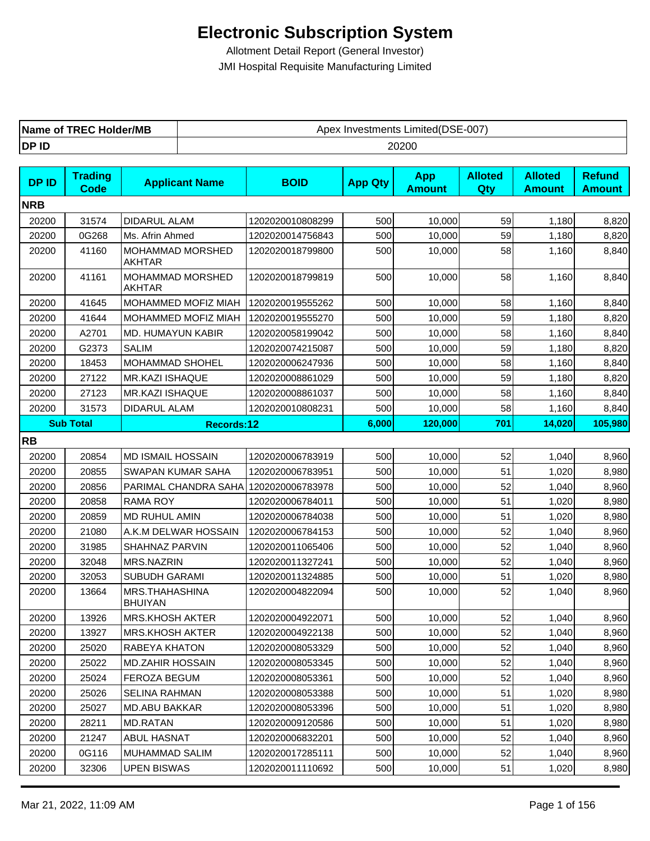| <b>TREC Holder/MB</b> | `Limited(DSE-007, |
|-----------------------|-------------------|
| Name of               | Apex Investments  |
| DP ID                 | 20200             |

| <b>DPID</b> | <b>Trading</b><br>Code | <b>Applicant Name</b>             | <b>BOID</b>      | <b>App Qty</b> | <b>App</b><br><b>Amount</b> | <b>Alloted</b><br>Qty | <b>Alloted</b><br><b>Amount</b> | <b>Refund</b><br><b>Amount</b> |
|-------------|------------------------|-----------------------------------|------------------|----------------|-----------------------------|-----------------------|---------------------------------|--------------------------------|
| <b>NRB</b>  |                        |                                   |                  |                |                             |                       |                                 |                                |
| 20200       | 31574                  | DIDARUL ALAM                      | 1202020010808299 | 500            | 10,000                      | 59                    | 1,180                           | 8,820                          |
| 20200       | 0G268                  | Ms. Afrin Ahmed                   | 1202020014756843 | 500            | 10,000                      | 59                    | 1,180                           | 8,820                          |
| 20200       | 41160                  | MOHAMMAD MORSHED<br><b>AKHTAR</b> | 1202020018799800 | 500            | 10,000                      | 58                    | 1,160                           | 8,840                          |
| 20200       | 41161                  | MOHAMMAD MORSHED<br><b>AKHTAR</b> | 1202020018799819 | 500            | 10,000                      | 58                    | 1,160                           | 8,840                          |
| 20200       | 41645                  | MOHAMMED MOFIZ MIAH               | 1202020019555262 | 500            | 10,000                      | 58                    | 1,160                           | 8,840                          |
| 20200       | 41644                  | MOHAMMED MOFIZ MIAH               | 1202020019555270 | 500            | 10,000                      | 59                    | 1,180                           | 8,820                          |
| 20200       | A2701                  | MD. HUMAYUN KABIR                 | 1202020058199042 | 500            | 10,000                      | 58                    | 1,160                           | 8,840                          |
| 20200       | G2373                  | <b>SALIM</b>                      | 1202020074215087 | 500            | 10,000                      | 59                    | 1,180                           | 8,820                          |
| 20200       | 18453                  | MOHAMMAD SHOHEL                   | 1202020006247936 | 500            | 10,000                      | 58                    | 1,160                           | 8,840                          |
| 20200       | 27122                  | MR.KAZI ISHAQUE                   | 1202020008861029 | 500            | 10,000                      | 59                    | 1,180                           | 8,820                          |
| 20200       | 27123                  | MR.KAZI ISHAQUE                   | 1202020008861037 | 500            | 10,000                      | 58                    | 1,160                           | 8,840                          |
| 20200       | 31573                  | <b>DIDARUL ALAM</b>               | 1202020010808231 | 500            | 10,000                      | 58                    | 1,160                           | 8,840                          |
|             | <b>Sub Total</b>       | <b>Records:12</b>                 |                  | 6,000          | 120,000                     | 701                   | 14,020                          | 105,980                        |
| <b>RB</b>   |                        |                                   |                  |                |                             |                       |                                 |                                |
| 20200       | 20854                  | <b>MD ISMAIL HOSSAIN</b>          | 1202020006783919 | 500            | 10,000                      | 52                    | 1,040                           | 8,960                          |
| 20200       | 20855                  | SWAPAN KUMAR SAHA                 | 1202020006783951 | 500            | 10,000                      | 51                    | 1,020                           | 8,980                          |
| 20200       | 20856                  | PARIMAL CHANDRA SAHA              | 1202020006783978 | 500            | 10,000                      | 52                    | 1,040                           | 8,960                          |
| 20200       | 20858                  | <b>RAMA ROY</b>                   | 1202020006784011 | 500            | 10,000                      | 51                    | 1,020                           | 8,980                          |
| 20200       | 20859                  | MD RUHUL AMIN                     | 1202020006784038 | 500            | 10,000                      | 51                    | 1,020                           | 8,980                          |
| 20200       | 21080                  | A.K.M DELWAR HOSSAIN              | 1202020006784153 | 500            | 10,000                      | 52                    | 1,040                           | 8,960                          |
| 20200       | 31985                  | SHAHNAZ PARVIN                    | 1202020011065406 | 500            | 10,000                      | 52                    | 1,040                           | 8,960                          |
| 20200       | 32048                  | MRS.NAZRIN                        | 1202020011327241 | 500            | 10,000                      | 52                    | 1,040                           | 8,960                          |
| 20200       | 32053                  | SUBUDH GARAMI                     | 1202020011324885 | 500            | 10,000                      | 51                    | 1,020                           | 8,980                          |
| 20200       | 13664                  | MRS.THAHASHINA<br><b>BHUIYAN</b>  | 1202020004822094 | 500            | 10,000                      | 52                    | 1,040                           | 8,960                          |
| 20200       | 13926                  | <b>MRS.KHOSH AKTER</b>            | 1202020004922071 | 500            | 10,000                      | 52                    | 1,040                           | 8,960                          |
| 20200       | 13927                  | <b>MRS.KHOSH AKTER</b>            | 1202020004922138 | 500            | 10,000                      | 52                    | 1,040                           | 8,960                          |
| 20200       | 25020                  | RABEYA KHATON                     | 1202020008053329 | 500            | 10,000                      | 52                    | 1,040                           | 8,960                          |
| 20200       | 25022                  | <b>MD.ZAHIR HOSSAIN</b>           | 1202020008053345 | 500            | 10,000                      | 52                    | 1,040                           | 8,960                          |
| 20200       | 25024                  | FEROZA BEGUM                      | 1202020008053361 | 500            | 10,000                      | 52                    | 1,040                           | 8,960                          |
| 20200       | 25026                  | <b>SELINA RAHMAN</b>              | 1202020008053388 | 500            | 10,000                      | 51                    | 1,020                           | 8,980                          |
| 20200       | 25027                  | MD.ABU BAKKAR                     | 1202020008053396 | 500            | 10,000                      | 51                    | 1,020                           | 8,980                          |
| 20200       | 28211                  | MD.RATAN                          | 1202020009120586 | 500            | 10,000                      | 51                    | 1,020                           | 8,980                          |
| 20200       | 21247                  | <b>ABUL HASNAT</b>                | 1202020006832201 | 500            | 10,000                      | 52                    | 1,040                           | 8,960                          |
| 20200       | 0G116                  | MUHAMMAD SALIM                    | 1202020017285111 | 500            | 10,000                      | 52                    | 1,040                           | 8,960                          |
| 20200       | 32306                  | <b>UPEN BISWAS</b>                | 1202020011110692 | 500            | 10,000                      | 51                    | 1,020                           | 8,980                          |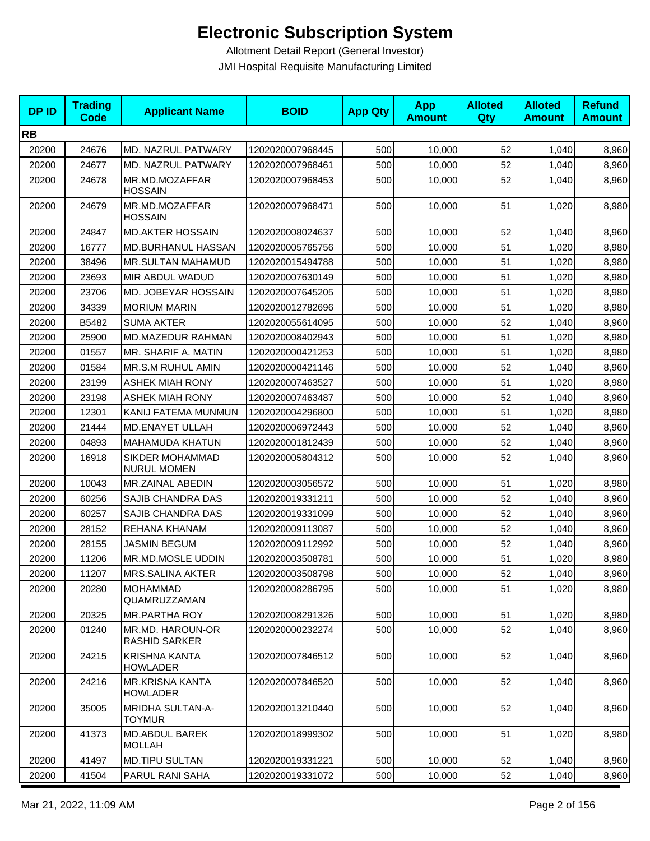| <b>DPID</b> | <b>Trading</b><br><b>Code</b> | <b>Applicant Name</b>                     | <b>BOID</b>      | <b>App Qty</b> | <b>App</b><br><b>Amount</b> | <b>Alloted</b><br>Qty | <b>Alloted</b><br><b>Amount</b> | <b>Refund</b><br><b>Amount</b> |
|-------------|-------------------------------|-------------------------------------------|------------------|----------------|-----------------------------|-----------------------|---------------------------------|--------------------------------|
| <b>RB</b>   |                               |                                           |                  |                |                             |                       |                                 |                                |
| 20200       | 24676                         | MD. NAZRUL PATWARY                        | 1202020007968445 | 500            | 10,000                      | 52                    | 1,040                           | 8,960                          |
| 20200       | 24677                         | MD. NAZRUL PATWARY                        | 1202020007968461 | 500            | 10,000                      | 52                    | 1,040                           | 8,960                          |
| 20200       | 24678                         | MR.MD.MOZAFFAR<br><b>HOSSAIN</b>          | 1202020007968453 | 500            | 10,000                      | 52                    | 1,040                           | 8,960                          |
| 20200       | 24679                         | MR.MD.MOZAFFAR<br><b>HOSSAIN</b>          | 1202020007968471 | 500            | 10,000                      | 51                    | 1,020                           | 8,980                          |
| 20200       | 24847                         | <b>MD.AKTER HOSSAIN</b>                   | 1202020008024637 | 500            | 10.000                      | 52                    | 1,040                           | 8,960                          |
| 20200       | 16777                         | MD.BURHANUL HASSAN                        | 1202020005765756 | 500            | 10,000                      | 51                    | 1,020                           | 8,980                          |
| 20200       | 38496                         | MR.SULTAN MAHAMUD                         | 1202020015494788 | 500            | 10,000                      | 51                    | 1,020                           | 8,980                          |
| 20200       | 23693                         | MIR ABDUL WADUD                           | 1202020007630149 | 500            | 10,000                      | 51                    | 1,020                           | 8,980                          |
| 20200       | 23706                         | MD. JOBEYAR HOSSAIN                       | 1202020007645205 | 500            | 10,000                      | 51                    | 1,020                           | 8,980                          |
| 20200       | 34339                         | <b>MORIUM MARIN</b>                       | 1202020012782696 | 500            | 10,000                      | 51                    | 1,020                           | 8,980                          |
| 20200       | B5482                         | <b>SUMA AKTER</b>                         | 1202020055614095 | 500            | 10,000                      | 52                    | 1,040                           | 8,960                          |
| 20200       | 25900                         | MD.MAZEDUR RAHMAN                         | 1202020008402943 | 500            | 10,000                      | 51                    | 1,020                           | 8,980                          |
| 20200       | 01557                         | MR. SHARIF A. MATIN                       | 1202020000421253 | 500            | 10,000                      | 51                    | 1,020                           | 8,980                          |
| 20200       | 01584                         | MR.S.M RUHUL AMIN                         | 1202020000421146 | 500            | 10,000                      | 52                    | 1,040                           | 8,960                          |
| 20200       | 23199                         | <b>ASHEK MIAH RONY</b>                    | 1202020007463527 | 500            | 10,000                      | 51                    | 1,020                           | 8,980                          |
| 20200       | 23198                         | <b>ASHEK MIAH RONY</b>                    | 1202020007463487 | 500            | 10,000                      | 52                    | 1,040                           | 8,960                          |
| 20200       | 12301                         | KANIJ FATEMA MUNMUN                       | 1202020004296800 | 500            | 10,000                      | 51                    | 1,020                           | 8,980                          |
| 20200       | 21444                         | MD.ENAYET ULLAH                           | 1202020006972443 | 500            | 10,000                      | 52                    | 1,040                           | 8,960                          |
| 20200       | 04893                         | <b>MAHAMUDA KHATUN</b>                    | 1202020001812439 | 500            | 10,000                      | 52                    | 1,040                           | 8,960                          |
| 20200       | 16918                         | SIKDER MOHAMMAD<br><b>NURUL MOMEN</b>     | 1202020005804312 | 500            | 10,000                      | 52                    | 1,040                           | 8,960                          |
| 20200       | 10043                         | MR.ZAINAL ABEDIN                          | 1202020003056572 | 500            | 10,000                      | 51                    | 1,020                           | 8,980                          |
| 20200       | 60256                         | SAJIB CHANDRA DAS                         | 1202020019331211 | 500            | 10,000                      | 52                    | 1,040                           | 8,960                          |
| 20200       | 60257                         | SAJIB CHANDRA DAS                         | 1202020019331099 | 500            | 10,000                      | 52                    | 1,040                           | 8,960                          |
| 20200       | 28152                         | REHANA KHANAM                             | 1202020009113087 | 500            | 10,000                      | 52                    | 1,040                           | 8,960                          |
| 20200       | 28155                         | JASMIN BEGUM                              | 1202020009112992 | 500            | 10,000                      | 52                    | 1,040                           | 8,960                          |
| 20200       | 11206                         | MR.MD.MOSLE UDDIN                         | 1202020003508781 | 500            | 10,000                      | 51                    | 1,020                           | 8,980                          |
| 20200       | 11207                         | MRS.SALINA AKTER                          | 1202020003508798 | 500            | 10,000                      | 52                    | 1,040                           | 8,960                          |
| 20200       | 20280                         | MOHAMMAD<br>QUAMRUZZAMAN                  | 1202020008286795 | 500            | 10,000                      | 51                    | 1,020                           | 8,980                          |
| 20200       | 20325                         | MR.PARTHA ROY                             | 1202020008291326 | 500            | 10,000                      | 51                    | 1,020                           | 8,980                          |
| 20200       | 01240                         | MR.MD. HAROUN-OR<br><b>RASHID SARKER</b>  | 1202020000232274 | 500            | 10,000                      | 52                    | 1,040                           | 8,960                          |
| 20200       | 24215                         | <b>KRISHNA KANTA</b><br><b>HOWLADER</b>   | 1202020007846512 | 500            | 10,000                      | 52                    | 1,040                           | 8,960                          |
| 20200       | 24216                         | <b>MR.KRISNA KANTA</b><br><b>HOWLADER</b> | 1202020007846520 | 500            | 10,000                      | 52                    | 1,040                           | 8,960                          |
| 20200       | 35005                         | <b>MRIDHA SULTAN-A-</b><br><b>TOYMUR</b>  | 1202020013210440 | 500            | 10,000                      | 52                    | 1,040                           | 8,960                          |
| 20200       | 41373                         | MD.ABDUL BAREK<br><b>MOLLAH</b>           | 1202020018999302 | 500            | 10,000                      | 51                    | 1,020                           | 8,980                          |
| 20200       | 41497                         | <b>MD.TIPU SULTAN</b>                     | 1202020019331221 | 500            | 10,000                      | 52                    | 1,040                           | 8,960                          |
| 20200       | 41504                         | PARUL RANI SAHA                           | 1202020019331072 | 500            | 10,000                      | 52                    | 1,040                           | 8,960                          |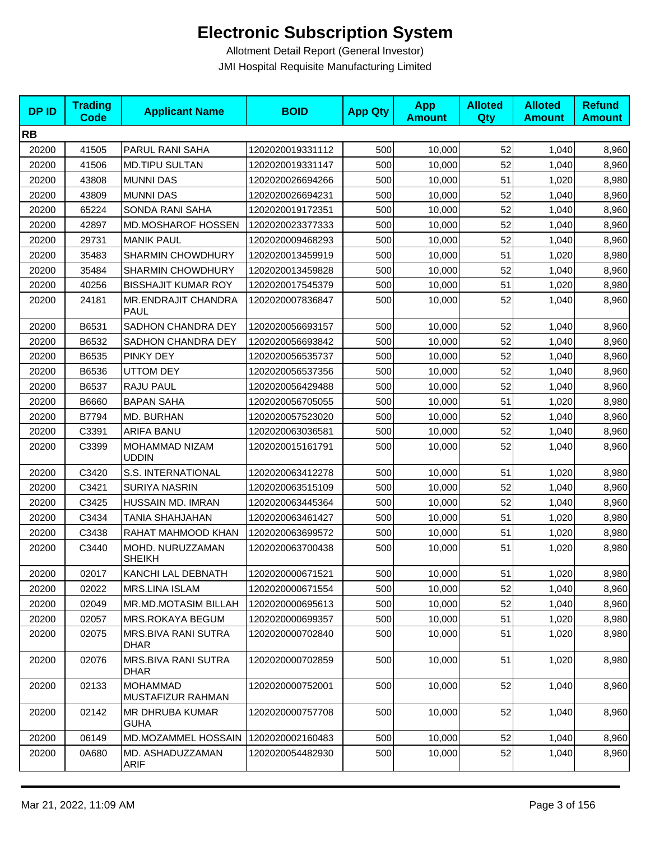| <b>DPID</b> | <b>Trading</b><br><b>Code</b> | <b>Applicant Name</b>                | <b>BOID</b>      | <b>App Qty</b> | <b>App</b><br><b>Amount</b> | <b>Alloted</b><br>Qty | <b>Alloted</b><br><b>Amount</b> | <b>Refund</b><br><b>Amount</b> |
|-------------|-------------------------------|--------------------------------------|------------------|----------------|-----------------------------|-----------------------|---------------------------------|--------------------------------|
| <b>RB</b>   |                               |                                      |                  |                |                             |                       |                                 |                                |
| 20200       | 41505                         | PARUL RANI SAHA                      | 1202020019331112 | 500            | 10,000                      | 52                    | 1,040                           | 8,960                          |
| 20200       | 41506                         | <b>MD.TIPU SULTAN</b>                | 1202020019331147 | 500            | 10,000                      | 52                    | 1,040                           | 8,960                          |
| 20200       | 43808                         | <b>MUNNI DAS</b>                     | 1202020026694266 | 500            | 10,000                      | 51                    | 1,020                           | 8,980                          |
| 20200       | 43809                         | <b>MUNNI DAS</b>                     | 1202020026694231 | 500            | 10,000                      | 52                    | 1,040                           | 8,960                          |
| 20200       | 65224                         | SONDA RANI SAHA                      | 1202020019172351 | 500            | 10,000                      | 52                    | 1,040                           | 8,960                          |
| 20200       | 42897                         | <b>MD.MOSHAROF HOSSEN</b>            | 1202020023377333 | 500            | 10,000                      | 52                    | 1,040                           | 8,960                          |
| 20200       | 29731                         | <b>MANIK PAUL</b>                    | 1202020009468293 | 500            | 10,000                      | 52                    | 1,040                           | 8,960                          |
| 20200       | 35483                         | <b>SHARMIN CHOWDHURY</b>             | 1202020013459919 | 500            | 10,000                      | 51                    | 1,020                           | 8,980                          |
| 20200       | 35484                         | <b>SHARMIN CHOWDHURY</b>             | 1202020013459828 | 500            | 10,000                      | 52                    | 1,040                           | 8,960                          |
| 20200       | 40256                         | <b>BISSHAJIT KUMAR ROY</b>           | 1202020017545379 | 500            | 10,000                      | 51                    | 1,020                           | 8,980                          |
| 20200       | 24181                         | MR.ENDRAJIT CHANDRA<br><b>PAUL</b>   | 1202020007836847 | 500            | 10,000                      | 52                    | 1,040                           | 8,960                          |
| 20200       | B6531                         | SADHON CHANDRA DEY                   | 1202020056693157 | 500            | 10,000                      | 52                    | 1,040                           | 8,960                          |
| 20200       | B6532                         | SADHON CHANDRA DEY                   | 1202020056693842 | 500            | 10,000                      | 52                    | 1,040                           | 8,960                          |
| 20200       | B6535                         | PINKY DEY                            | 1202020056535737 | 500            | 10,000                      | 52                    | 1,040                           | 8,960                          |
| 20200       | B6536                         | <b>UTTOM DEY</b>                     | 1202020056537356 | 500            | 10,000                      | 52                    | 1,040                           | 8,960                          |
| 20200       | B6537                         | RAJU PAUL                            | 1202020056429488 | 500            | 10,000                      | 52                    | 1,040                           | 8,960                          |
| 20200       | B6660                         | <b>BAPAN SAHA</b>                    | 1202020056705055 | 500            | 10,000                      | 51                    | 1,020                           | 8,980                          |
| 20200       | B7794                         | MD. BURHAN                           | 1202020057523020 | 500            | 10,000                      | 52                    | 1,040                           | 8,960                          |
| 20200       | C3391                         | <b>ARIFA BANU</b>                    | 1202020063036581 | 500            | 10,000                      | 52                    | 1,040                           | 8,960                          |
| 20200       | C3399                         | MOHAMMAD NIZAM<br><b>UDDIN</b>       | 1202020015161791 | 500            | 10,000                      | 52                    | 1,040                           | 8,960                          |
| 20200       | C3420                         | S.S. INTERNATIONAL                   | 1202020063412278 | 500            | 10,000                      | 51                    | 1,020                           | 8,980                          |
| 20200       | C3421                         | <b>SURIYA NASRIN</b>                 | 1202020063515109 | 500            | 10,000                      | 52                    | 1,040                           | 8,960                          |
| 20200       | C3425                         | HUSSAIN MD. IMRAN                    | 1202020063445364 | 500            | 10,000                      | 52                    | 1,040                           | 8,960                          |
| 20200       | C3434                         | <b>TANIA SHAHJAHAN</b>               | 1202020063461427 | 500            | 10,000                      | 51                    | 1,020                           | 8,980                          |
| 20200       | C3438                         | RAHAT MAHMOOD KHAN                   | 1202020063699572 | 500            | 10,000                      | 51                    | 1,020                           | 8,980                          |
| 20200       | C3440                         | MOHD. NURUZZAMAN<br><b>SHEIKH</b>    | 1202020063700438 | 500            | 10,000                      | 51                    | 1,020                           | 8,980                          |
| 20200       | 02017                         | KANCHI LAL DEBNATH                   | 1202020000671521 | 500            | 10,000                      | 51                    | 1,020                           | 8,980                          |
| 20200       | 02022                         | MRS.LINA ISLAM                       | 1202020000671554 | 500            | 10,000                      | 52                    | 1,040                           | 8,960                          |
| 20200       | 02049                         | MR.MD.MOTASIM BILLAH                 | 1202020000695613 | 500            | 10,000                      | 52                    | 1,040                           | 8,960                          |
| 20200       | 02057                         | MRS.ROKAYA BEGUM                     | 1202020000699357 | 500            | 10,000                      | 51                    | 1,020                           | 8,980                          |
| 20200       | 02075                         | MRS.BIVA RANI SUTRA<br>DHAR          | 1202020000702840 | 500            | 10,000                      | 51                    | 1,020                           | 8,980                          |
| 20200       | 02076                         | MRS.BIVA RANI SUTRA<br>DHAR          | 1202020000702859 | 500            | 10,000                      | 51                    | 1,020                           | 8,980                          |
| 20200       | 02133                         | <b>MOHAMMAD</b><br>MUSTAFIZUR RAHMAN | 1202020000752001 | 500            | 10,000                      | 52                    | 1,040                           | 8,960                          |
| 20200       | 02142                         | MR DHRUBA KUMAR<br><b>GUHA</b>       | 1202020000757708 | 500            | 10,000                      | 52                    | 1,040                           | 8,960                          |
| 20200       | 06149                         | MD.MOZAMMEL HOSSAIN                  | 1202020002160483 | 500            | 10,000                      | 52                    | 1,040                           | 8,960                          |
| 20200       | 0A680                         | MD. ASHADUZZAMAN<br>ARIF             | 1202020054482930 | 500            | 10,000                      | 52                    | 1,040                           | 8,960                          |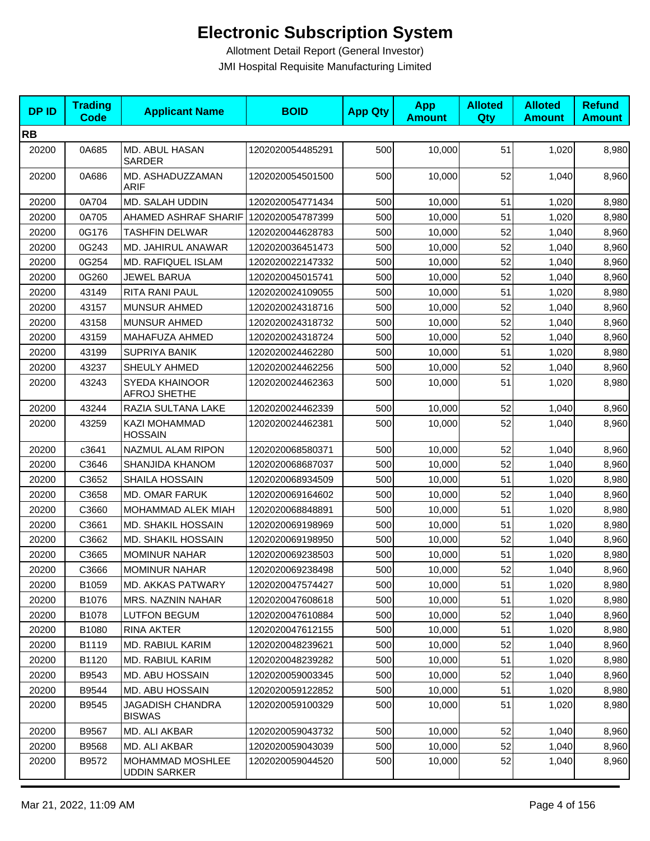| <b>DPID</b> | <b>Trading</b><br><b>Code</b> | <b>Applicant Name</b>                   | <b>BOID</b>      | <b>App Qty</b> | <b>App</b><br><b>Amount</b> | <b>Alloted</b><br>Qty | <b>Alloted</b><br><b>Amount</b> | <b>Refund</b><br><b>Amount</b> |
|-------------|-------------------------------|-----------------------------------------|------------------|----------------|-----------------------------|-----------------------|---------------------------------|--------------------------------|
| <b>RB</b>   |                               |                                         |                  |                |                             |                       |                                 |                                |
| 20200       | 0A685                         | MD. ABUL HASAN<br>SARDER                | 1202020054485291 | 500            | 10,000                      | 51                    | 1,020                           | 8,980                          |
| 20200       | 0A686                         | MD. ASHADUZZAMAN<br><b>ARIF</b>         | 1202020054501500 | 500            | 10,000                      | 52                    | 1,040                           | 8,960                          |
| 20200       | 0A704                         | MD. SALAH UDDIN                         | 1202020054771434 | 500            | 10,000                      | 51                    | 1,020                           | 8,980                          |
| 20200       | 0A705                         | AHAMED ASHRAF SHARIF 1202020054787399   |                  | 500            | 10,000                      | 51                    | 1,020                           | 8,980                          |
| 20200       | 0G176                         | <b>TASHFIN DELWAR</b>                   | 1202020044628783 | 500            | 10.000                      | 52                    | 1,040                           | 8,960                          |
| 20200       | 0G243                         | MD. JAHIRUL ANAWAR                      | 1202020036451473 | 500            | 10,000                      | 52                    | 1,040                           | 8,960                          |
| 20200       | 0G254                         | MD. RAFIQUEL ISLAM                      | 1202020022147332 | 500            | 10,000                      | 52                    | 1,040                           | 8,960                          |
| 20200       | 0G260                         | JEWEL BARUA                             | 1202020045015741 | 500            | 10,000                      | 52                    | 1,040                           | 8,960                          |
| 20200       | 43149                         | RITA RANI PAUL                          | 1202020024109055 | 500            | 10,000                      | 51                    | 1,020                           | 8,980                          |
| 20200       | 43157                         | <b>MUNSUR AHMED</b>                     | 1202020024318716 | 500            | 10,000                      | 52                    | 1,040                           | 8,960                          |
| 20200       | 43158                         | <b>MUNSUR AHMED</b>                     | 1202020024318732 | 500            | 10.000                      | 52                    | 1,040                           | 8,960                          |
| 20200       | 43159                         | MAHAFUZA AHMED                          | 1202020024318724 | 500            | 10,000                      | 52                    | 1,040                           | 8,960                          |
| 20200       | 43199                         | <b>SUPRIYA BANIK</b>                    | 1202020024462280 | 500            | 10,000                      | 51                    | 1,020                           | 8,980                          |
| 20200       | 43237                         | SHEULY AHMED                            | 1202020024462256 | 500            | 10,000                      | 52                    | 1,040                           | 8,960                          |
| 20200       | 43243                         | SYEDA KHAINOOR<br><b>AFROJ SHETHE</b>   | 1202020024462363 | 500            | 10,000                      | 51                    | 1,020                           | 8,980                          |
| 20200       | 43244                         | RAZIA SULTANA LAKE                      | 1202020024462339 | 500            | 10,000                      | 52                    | 1,040                           | 8,960                          |
| 20200       | 43259                         | KAZI MOHAMMAD<br><b>HOSSAIN</b>         | 1202020024462381 | 500            | 10,000                      | 52                    | 1,040                           | 8,960                          |
| 20200       | c3641                         | NAZMUL ALAM RIPON                       | 1202020068580371 | 500            | 10,000                      | 52                    | 1,040                           | 8,960                          |
| 20200       | C3646                         | SHANJIDA KHANOM                         | 1202020068687037 | 500            | 10,000                      | 52                    | 1,040                           | 8,960                          |
| 20200       | C3652                         | SHAILA HOSSAIN                          | 1202020068934509 | 500            | 10,000                      | 51                    | 1,020                           | 8,980                          |
| 20200       | C3658                         | MD. OMAR FARUK                          | 1202020069164602 | 500            | 10,000                      | 52                    | 1,040                           | 8,960                          |
| 20200       | C3660                         | MOHAMMAD ALEK MIAH                      | 1202020068848891 | 500            | 10,000                      | 51                    | 1,020                           | 8,980                          |
| 20200       | C3661                         | <b>MD. SHAKIL HOSSAIN</b>               | 1202020069198969 | 500            | 10,000                      | 51                    | 1,020                           | 8,980                          |
| 20200       | C3662                         | <b>MD. SHAKIL HOSSAIN</b>               | 1202020069198950 | 500            | 10,000                      | 52                    | 1,040                           | 8,960                          |
| 20200       | C3665                         | <b>MOMINUR NAHAR</b>                    | 1202020069238503 | 500            | 10,000                      | 51                    | 1,020                           | 8,980                          |
| 20200       | C3666                         | MOMINUR NAHAR                           | 1202020069238498 | 500            | 10,000                      | 52                    | 1,040                           | 8,960                          |
| 20200       | B1059                         | MD. AKKAS PATWARY                       | 1202020047574427 | 500            | 10,000                      | 51                    | 1,020                           | 8,980                          |
| 20200       | B1076                         | <b>MRS. NAZNIN NAHAR</b>                | 1202020047608618 | 500            | 10,000                      | 51                    | 1,020                           | 8,980                          |
| 20200       | B1078                         | <b>LUTFON BEGUM</b>                     | 1202020047610884 | 500            | 10,000                      | 52                    | 1,040                           | 8,960                          |
| 20200       | B1080                         | <b>RINA AKTER</b>                       | 1202020047612155 | 500            | 10,000                      | 51                    | 1,020                           | 8,980                          |
| 20200       | B1119                         | MD. RABIUL KARIM                        | 1202020048239621 | 500            | 10,000                      | 52                    | 1,040                           | 8,960                          |
| 20200       | B1120                         | MD. RABIUL KARIM                        | 1202020048239282 | 500            | 10,000                      | 51                    | 1,020                           | 8,980                          |
| 20200       | B9543                         | MD. ABU HOSSAIN                         | 1202020059003345 | 500            | 10,000                      | 52                    | 1,040                           | 8,960                          |
| 20200       | B9544                         | MD. ABU HOSSAIN                         | 1202020059122852 | 500            | 10,000                      | 51                    | 1,020                           | 8,980                          |
| 20200       | B9545                         | JAGADISH CHANDRA<br><b>BISWAS</b>       | 1202020059100329 | 500            | 10,000                      | 51                    | 1,020                           | 8,980                          |
| 20200       | B9567                         | MD. ALI AKBAR                           | 1202020059043732 | 500            | 10,000                      | 52                    | 1,040                           | 8,960                          |
| 20200       | B9568                         | MD. ALI AKBAR                           | 1202020059043039 | 500            | 10,000                      | 52                    | 1,040                           | 8,960                          |
| 20200       | B9572                         | MOHAMMAD MOSHLEE<br><b>UDDIN SARKER</b> | 1202020059044520 | 500            | 10,000                      | 52                    | 1,040                           | 8,960                          |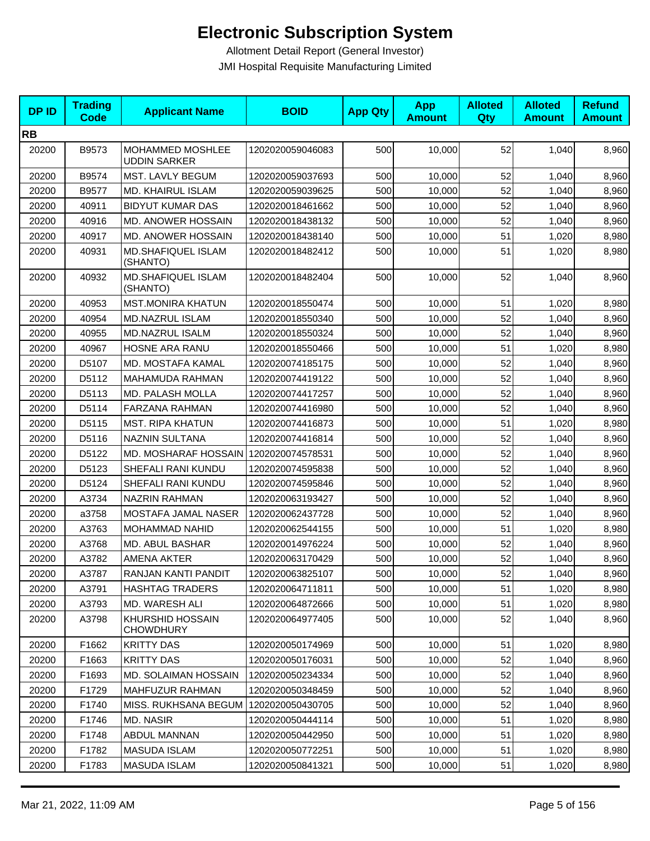| <b>DPID</b> | <b>Trading</b><br><b>Code</b> | <b>Applicant Name</b>                   | <b>BOID</b>      | <b>App Qty</b> | <b>App</b><br><b>Amount</b> | <b>Alloted</b><br>Qty | <b>Alloted</b><br><b>Amount</b> | <b>Refund</b><br><b>Amount</b> |
|-------------|-------------------------------|-----------------------------------------|------------------|----------------|-----------------------------|-----------------------|---------------------------------|--------------------------------|
| <b>RB</b>   |                               |                                         |                  |                |                             |                       |                                 |                                |
| 20200       | B9573                         | MOHAMMED MOSHLEE<br><b>UDDIN SARKER</b> | 1202020059046083 | 500            | 10,000                      | 52                    | 1,040                           | 8,960                          |
| 20200       | B9574                         | MST. LAVLY BEGUM                        | 1202020059037693 | 500            | 10,000                      | 52                    | 1,040                           | 8,960                          |
| 20200       | B9577                         | MD. KHAIRUL ISLAM                       | 1202020059039625 | 500            | 10,000                      | 52                    | 1,040                           | 8,960                          |
| 20200       | 40911                         | <b>BIDYUT KUMAR DAS</b>                 | 1202020018461662 | 500            | 10,000                      | 52                    | 1,040                           | 8,960                          |
| 20200       | 40916                         | MD. ANOWER HOSSAIN                      | 1202020018438132 | 500            | 10,000                      | 52                    | 1,040                           | 8,960                          |
| 20200       | 40917                         | MD. ANOWER HOSSAIN                      | 1202020018438140 | 500            | 10,000                      | 51                    | 1,020                           | 8,980                          |
| 20200       | 40931                         | MD.SHAFIQUEL ISLAM<br>(SHANTO)          | 1202020018482412 | 500            | 10,000                      | 51                    | 1,020                           | 8,980                          |
| 20200       | 40932                         | MD.SHAFIQUEL ISLAM<br>(SHANTO)          | 1202020018482404 | 500            | 10,000                      | 52                    | 1,040                           | 8,960                          |
| 20200       | 40953                         | <b>MST.MONIRA KHATUN</b>                | 1202020018550474 | 500            | 10,000                      | 51                    | 1,020                           | 8,980                          |
| 20200       | 40954                         | MD.NAZRUL ISLAM                         | 1202020018550340 | 500            | 10,000                      | 52                    | 1,040                           | 8,960                          |
| 20200       | 40955                         | <b>MD.NAZRUL ISALM</b>                  | 1202020018550324 | 500            | 10,000                      | 52                    | 1,040                           | 8,960                          |
| 20200       | 40967                         | HOSNE ARA RANU                          | 1202020018550466 | 500            | 10,000                      | 51                    | 1,020                           | 8,980                          |
| 20200       | D5107                         | <b>MD. MOSTAFA KAMAL</b>                | 1202020074185175 | 500            | 10,000                      | 52                    | 1,040                           | 8,960                          |
| 20200       | D5112                         | MAHAMUDA RAHMAN                         | 1202020074419122 | 500            | 10,000                      | 52                    | 1,040                           | 8,960                          |
| 20200       | D5113                         | MD. PALASH MOLLA                        | 1202020074417257 | 500            | 10,000                      | 52                    | 1,040                           | 8,960                          |
| 20200       | D5114                         | FARZANA RAHMAN                          | 1202020074416980 | 500            | 10,000                      | 52                    | 1,040                           | 8,960                          |
| 20200       | D5115                         | <b>MST. RIPA KHATUN</b>                 | 1202020074416873 | 500            | 10,000                      | 51                    | 1,020                           | 8,980                          |
| 20200       | D5116                         | NAZNIN SULTANA                          | 1202020074416814 | 500            | 10,000                      | 52                    | 1,040                           | 8,960                          |
| 20200       | D5122                         | MD. MOSHARAF HOSSAIN                    | 1202020074578531 | 500            | 10,000                      | 52                    | 1,040                           | 8,960                          |
| 20200       | D5123                         | SHEFALI RANI KUNDU                      | 1202020074595838 | 500            | 10,000                      | 52                    | 1,040                           | 8,960                          |
| 20200       | D5124                         | SHEFALI RANI KUNDU                      | 1202020074595846 | 500            | 10,000                      | 52                    | 1,040                           | 8,960                          |
| 20200       | A3734                         | <b>NAZRIN RAHMAN</b>                    | 1202020063193427 | 500            | 10,000                      | 52                    | 1,040                           | 8,960                          |
| 20200       | a3758                         | MOSTAFA JAMAL NASER                     | 1202020062437728 | 500            | 10,000                      | 52                    | 1,040                           | 8,960                          |
| 20200       | A3763                         | <b>MOHAMMAD NAHID</b>                   | 1202020062544155 | 500            | 10,000                      | 51                    | 1,020                           | 8,980                          |
| 20200       | A3768                         | MD. ABUL BASHAR                         | 1202020014976224 | 500            | 10,000                      | 52                    | 1,040                           | 8,960                          |
| 20200       | A3782                         | AMENA AKTER                             | 1202020063170429 | 500            | 10,000                      | 52                    | 1,040                           | 8,960                          |
| 20200       | A3787                         | RANJAN KANTI PANDIT                     | 1202020063825107 | 500            | 10,000                      | 52                    | 1,040                           | 8,960                          |
| 20200       | A3791                         | <b>HASHTAG TRADERS</b>                  | 1202020064711811 | 500            | 10,000                      | 51                    | 1,020                           | 8,980                          |
| 20200       | A3793                         | MD. WARESH ALI                          | 1202020064872666 | 500            | 10,000                      | 51                    | 1,020                           | 8,980                          |
| 20200       | A3798                         | KHURSHID HOSSAIN<br><b>CHOWDHURY</b>    | 1202020064977405 | 500            | 10,000                      | 52                    | 1,040                           | 8,960                          |
| 20200       | F1662                         | <b>KRITTY DAS</b>                       | 1202020050174969 | 500            | 10,000                      | 51                    | 1,020                           | 8,980                          |
| 20200       | F1663                         | <b>KRITTY DAS</b>                       | 1202020050176031 | 500            | 10,000                      | 52                    | 1,040                           | 8,960                          |
| 20200       | F1693                         | MD. SOLAIMAN HOSSAIN                    | 1202020050234334 | 500            | 10,000                      | 52                    | 1,040                           | 8,960                          |
| 20200       | F1729                         | MAHFUZUR RAHMAN                         | 1202020050348459 | 500            | 10,000                      | 52                    | 1,040                           | 8,960                          |
| 20200       | F1740                         | MISS. RUKHSANA BEGUM                    | 1202020050430705 | 500            | 10,000                      | 52                    | 1,040                           | 8,960                          |
| 20200       | F1746                         | <b>MD. NASIR</b>                        | 1202020050444114 | 500            | 10,000                      | 51                    | 1,020                           | 8,980                          |
| 20200       | F1748                         | ABDUL MANNAN                            | 1202020050442950 | 500            | 10,000                      | 51                    | 1,020                           | 8,980                          |
| 20200       | F1782                         | MASUDA ISLAM                            | 1202020050772251 | 500            | 10,000                      | 51                    | 1,020                           | 8,980                          |
| 20200       | F1783                         | <b>MASUDA ISLAM</b>                     | 1202020050841321 | 500            | 10,000                      | 51                    | 1,020                           | 8,980                          |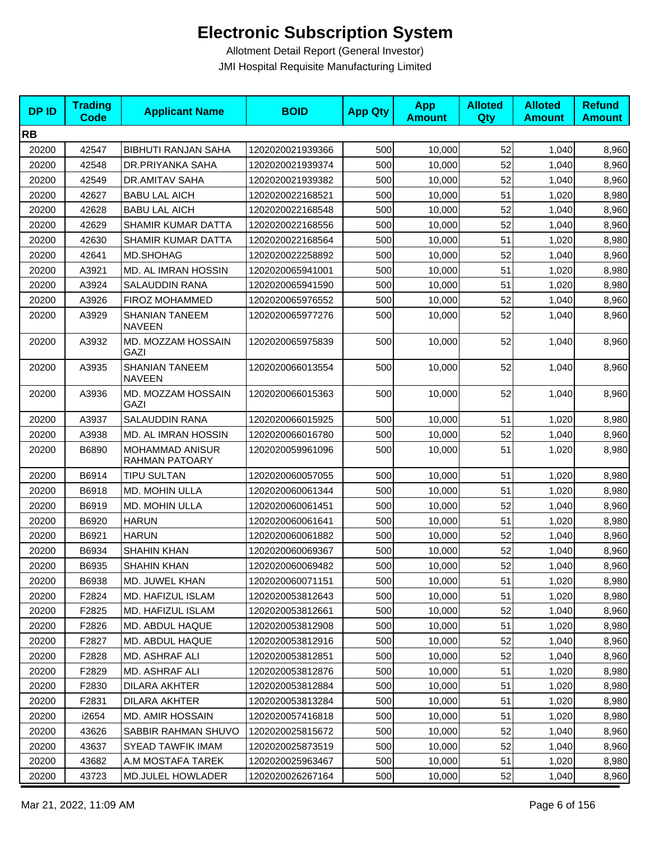| <b>DPID</b> | <b>Trading</b><br>Code | <b>Applicant Name</b>                  | <b>BOID</b>      | <b>App Qty</b> | <b>App</b><br><b>Amount</b> | <b>Alloted</b><br>Qty | <b>Alloted</b><br><b>Amount</b> | <b>Refund</b><br><b>Amount</b> |
|-------------|------------------------|----------------------------------------|------------------|----------------|-----------------------------|-----------------------|---------------------------------|--------------------------------|
| <b>RB</b>   |                        |                                        |                  |                |                             |                       |                                 |                                |
| 20200       | 42547                  | <b>BIBHUTI RANJAN SAHA</b>             | 1202020021939366 | 500            | 10,000                      | 52                    | 1,040                           | 8,960                          |
| 20200       | 42548                  | DR.PRIYANKA SAHA                       | 1202020021939374 | 500            | 10,000                      | 52                    | 1,040                           | 8,960                          |
| 20200       | 42549                  | DR.AMITAV SAHA                         | 1202020021939382 | 500            | 10,000                      | 52                    | 1,040                           | 8,960                          |
| 20200       | 42627                  | <b>BABU LAL AICH</b>                   | 1202020022168521 | 500            | 10,000                      | 51                    | 1,020                           | 8,980                          |
| 20200       | 42628                  | <b>BABU LAL AICH</b>                   | 1202020022168548 | 500            | 10,000                      | 52                    | 1,040                           | 8,960                          |
| 20200       | 42629                  | SHAMIR KUMAR DATTA                     | 1202020022168556 | 500            | 10,000                      | 52                    | 1,040                           | 8,960                          |
| 20200       | 42630                  | SHAMIR KUMAR DATTA                     | 1202020022168564 | 500            | 10,000                      | 51                    | 1,020                           | 8,980                          |
| 20200       | 42641                  | MD.SHOHAG                              | 1202020022258892 | 500            | 10,000                      | 52                    | 1,040                           | 8,960                          |
| 20200       | A3921                  | MD. AL IMRAN HOSSIN                    | 1202020065941001 | 500            | 10,000                      | 51                    | 1,020                           | 8,980                          |
| 20200       | A3924                  | <b>SALAUDDIN RANA</b>                  | 1202020065941590 | 500            | 10,000                      | 51                    | 1,020                           | 8,980                          |
| 20200       | A3926                  | FIROZ MOHAMMED                         | 1202020065976552 | 500            | 10,000                      | 52                    | 1,040                           | 8,960                          |
| 20200       | A3929                  | <b>SHANIAN TANEEM</b><br><b>NAVEEN</b> | 1202020065977276 | 500            | 10,000                      | 52                    | 1,040                           | 8,960                          |
| 20200       | A3932                  | MD. MOZZAM HOSSAIN<br>GAZI             | 1202020065975839 | 500            | 10,000                      | 52                    | 1,040                           | 8,960                          |
| 20200       | A3935                  | <b>SHANIAN TANEEM</b><br><b>NAVEEN</b> | 1202020066013554 | 500            | 10,000                      | 52                    | 1,040                           | 8,960                          |
| 20200       | A3936                  | MD. MOZZAM HOSSAIN<br>GAZI             | 1202020066015363 | 500            | 10,000                      | 52                    | 1,040                           | 8,960                          |
| 20200       | A3937                  | SALAUDDIN RANA                         | 1202020066015925 | 500            | 10,000                      | 51                    | 1,020                           | 8,980                          |
| 20200       | A3938                  | MD. AL IMRAN HOSSIN                    | 1202020066016780 | 500            | 10,000                      | 52                    | 1,040                           | 8,960                          |
| 20200       | B6890                  | MOHAMMAD ANISUR<br>RAHMAN PATOARY      | 1202020059961096 | 500            | 10,000                      | 51                    | 1,020                           | 8,980                          |
| 20200       | B6914                  | <b>TIPU SULTAN</b>                     | 1202020060057055 | 500            | 10,000                      | 51                    | 1,020                           | 8,980                          |
| 20200       | B6918                  | MD. MOHIN ULLA                         | 1202020060061344 | 500            | 10,000                      | 51                    | 1,020                           | 8,980                          |
| 20200       | B6919                  | MD. MOHIN ULLA                         | 1202020060061451 | 500            | 10,000                      | 52                    | 1,040                           | 8,960                          |
| 20200       | B6920                  | <b>HARUN</b>                           | 1202020060061641 | 500            | 10,000                      | 51                    | 1,020                           | 8,980                          |
| 20200       | B6921                  | <b>HARUN</b>                           | 1202020060061882 | 500            | 10,000                      | 52                    | 1,040                           | 8,960                          |
| 20200       | B6934                  | <b>SHAHIN KHAN</b>                     | 1202020060069367 | 500            | 10,000                      | 52                    | 1,040                           | 8,960                          |
| 20200       | B6935                  | <b>SHAHIN KHAN</b>                     | 1202020060069482 | 500            | 10,000                      | 52                    | 1,040                           | 8,960                          |
| 20200       | B6938                  | MD. JUWEL KHAN                         | 1202020060071151 | 500            | 10,000                      | 51                    | 1,020                           | 8,980                          |
| 20200       | F2824                  | MD. HAFIZUL ISLAM                      | 1202020053812643 | 500            | 10,000                      | 51                    | 1,020                           | 8,980                          |
| 20200       | F2825                  | MD. HAFIZUL ISLAM                      | 1202020053812661 | 500            | 10,000                      | 52                    | 1,040                           | 8,960                          |
| 20200       | F2826                  | MD. ABDUL HAQUE                        | 1202020053812908 | 500            | 10,000                      | 51                    | 1,020                           | 8,980                          |
| 20200       | F2827                  | MD. ABDUL HAQUE                        | 1202020053812916 | 500            | 10.000                      | 52                    | 1,040                           | 8,960                          |
| 20200       | F2828                  | MD. ASHRAF ALI                         | 1202020053812851 | 500            | 10,000                      | 52                    | 1,040                           | 8,960                          |
| 20200       | F2829                  | MD. ASHRAF ALI                         | 1202020053812876 | 500            | 10,000                      | 51                    | 1,020                           | 8,980                          |
| 20200       | F2830                  | DILARA AKHTER                          | 1202020053812884 | 500            | 10,000                      | 51                    | 1,020                           | 8,980                          |
| 20200       | F2831                  | <b>DILARA AKHTER</b>                   | 1202020053813284 | 500            | 10,000                      | 51                    | 1,020                           | 8,980                          |
| 20200       | i2654                  | MD. AMIR HOSSAIN                       | 1202020057416818 | 500            | 10,000                      | 51                    | 1,020                           | 8,980                          |
| 20200       | 43626                  | SABBIR RAHMAN SHUVO                    | 1202020025815672 | 500            | 10,000                      | 52                    | 1,040                           | 8,960                          |
| 20200       | 43637                  | <b>SYEAD TAWFIK IMAM</b>               | 1202020025873519 | 500            | 10,000                      | 52                    | 1,040                           | 8,960                          |
| 20200       | 43682                  | A.M MOSTAFA TAREK                      | 1202020025963467 | 500            | 10,000                      | 51                    | 1,020                           | 8,980                          |
| 20200       | 43723                  | MD.JULEL HOWLADER                      | 1202020026267164 | 500            | 10,000                      | 52                    | 1,040                           | 8,960                          |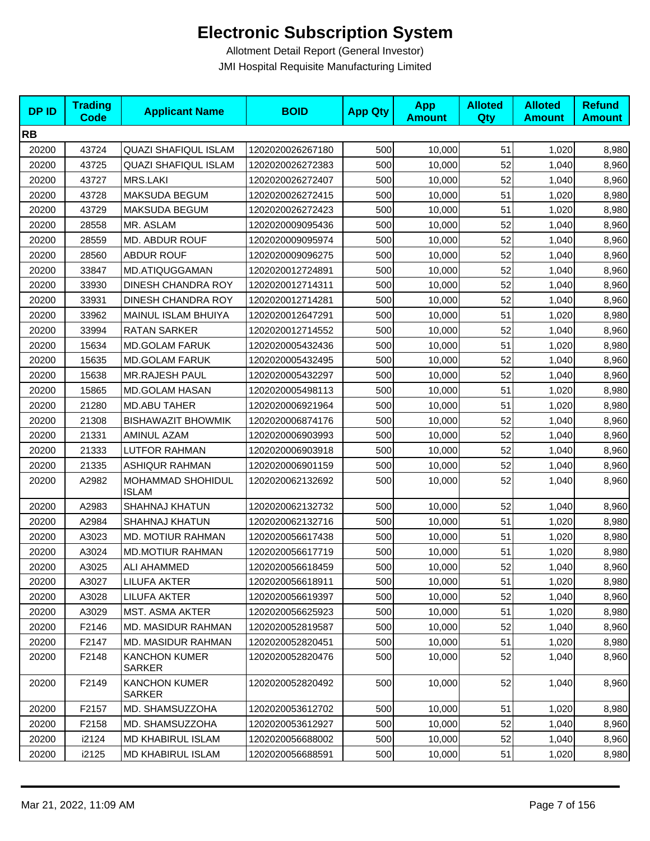| <b>DPID</b> | <b>Trading</b><br>Code | <b>Applicant Name</b>                 | <b>BOID</b>      | <b>App Qty</b> | <b>App</b><br><b>Amount</b> | <b>Alloted</b><br>Qty | <b>Alloted</b><br><b>Amount</b> | <b>Refund</b><br><b>Amount</b> |
|-------------|------------------------|---------------------------------------|------------------|----------------|-----------------------------|-----------------------|---------------------------------|--------------------------------|
| <b>RB</b>   |                        |                                       |                  |                |                             |                       |                                 |                                |
| 20200       | 43724                  | <b>QUAZI SHAFIQUL ISLAM</b>           | 1202020026267180 | 500            | 10,000                      | 51                    | 1,020                           | 8,980                          |
| 20200       | 43725                  | <b>QUAZI SHAFIQUL ISLAM</b>           | 1202020026272383 | 500            | 10,000                      | 52                    | 1,040                           | 8,960                          |
| 20200       | 43727                  | <b>MRS.LAKI</b>                       | 1202020026272407 | 500            | 10,000                      | 52                    | 1,040                           | 8,960                          |
| 20200       | 43728                  | MAKSUDA BEGUM                         | 1202020026272415 | 500            | 10,000                      | 51                    | 1,020                           | 8,980                          |
| 20200       | 43729                  | MAKSUDA BEGUM                         | 1202020026272423 | 500            | 10,000                      | 51                    | 1,020                           | 8,980                          |
| 20200       | 28558                  | MR. ASLAM                             | 1202020009095436 | 500            | 10,000                      | 52                    | 1,040                           | 8,960                          |
| 20200       | 28559                  | MD. ABDUR ROUF                        | 1202020009095974 | 500            | 10,000                      | 52                    | 1,040                           | 8,960                          |
| 20200       | 28560                  | <b>ABDUR ROUF</b>                     | 1202020009096275 | 500            | 10,000                      | 52                    | 1,040                           | 8,960                          |
| 20200       | 33847                  | MD.ATIQUGGAMAN                        | 1202020012724891 | 500            | 10,000                      | 52                    | 1,040                           | 8,960                          |
| 20200       | 33930                  | DINESH CHANDRA ROY                    | 1202020012714311 | 500            | 10,000                      | 52                    | 1,040                           | 8,960                          |
| 20200       | 33931                  | DINESH CHANDRA ROY                    | 1202020012714281 | 500            | 10,000                      | 52                    | 1,040                           | 8,960                          |
| 20200       | 33962                  | MAINUL ISLAM BHUIYA                   | 1202020012647291 | 500            | 10,000                      | 51                    | 1,020                           | 8,980                          |
| 20200       | 33994                  | <b>RATAN SARKER</b>                   | 1202020012714552 | 500            | 10,000                      | 52                    | 1,040                           | 8,960                          |
| 20200       | 15634                  | <b>MD.GOLAM FARUK</b>                 | 1202020005432436 | 500            | 10,000                      | 51                    | 1,020                           | 8,980                          |
| 20200       | 15635                  | <b>MD.GOLAM FARUK</b>                 | 1202020005432495 | 500            | 10,000                      | 52                    | 1,040                           | 8,960                          |
| 20200       | 15638                  | MR.RAJESH PAUL                        | 1202020005432297 | 500            | 10,000                      | 52                    | 1,040                           | 8,960                          |
| 20200       | 15865                  | <b>MD.GOLAM HASAN</b>                 | 1202020005498113 | 500            | 10,000                      | 51                    | 1,020                           | 8,980                          |
| 20200       | 21280                  | <b>MD.ABU TAHER</b>                   | 1202020006921964 | 500            | 10,000                      | 51                    | 1,020                           | 8,980                          |
| 20200       | 21308                  | <b>BISHAWAZIT BHOWMIK</b>             | 1202020006874176 | 500            | 10,000                      | 52                    | 1,040                           | 8,960                          |
| 20200       | 21331                  | AMINUL AZAM                           | 1202020006903993 | 500            | 10,000                      | 52                    | 1,040                           | 8,960                          |
| 20200       | 21333                  | <b>LUTFOR RAHMAN</b>                  | 1202020006903918 | 500            | 10,000                      | 52                    | 1,040                           | 8,960                          |
| 20200       | 21335                  | <b>ASHIQUR RAHMAN</b>                 | 1202020006901159 | 500            | 10,000                      | 52                    | 1,040                           | 8,960                          |
| 20200       | A2982                  | MOHAMMAD SHOHIDUL<br><b>ISLAM</b>     | 1202020062132692 | 500            | 10,000                      | 52                    | 1,040                           | 8,960                          |
| 20200       | A2983                  | <b>SHAHNAJ KHATUN</b>                 | 1202020062132732 | 500            | 10,000                      | 52                    | 1,040                           | 8,960                          |
| 20200       | A2984                  | <b>SHAHNAJ KHATUN</b>                 | 1202020062132716 | 500            | 10,000                      | 51                    | 1,020                           | 8,980                          |
| 20200       | A3023                  | MD. MOTIUR RAHMAN                     | 1202020056617438 | 500            | 10,000                      | 51                    | 1,020                           | 8,980                          |
| 20200       | A3024                  | <b>MD.MOTIUR RAHMAN</b>               | 1202020056617719 | 500            | 10,000                      | 51                    | 1,020                           | 8,980                          |
| 20200       | A3025                  | ALI AHAMMED                           | 1202020056618459 | 500            | 10,000                      | 52                    | 1,040                           | 8,960                          |
| 20200       | A3027                  | LILUFA AKTER                          | 1202020056618911 | 500            | 10,000                      | 51                    | 1,020                           | 8,980                          |
| 20200       | A3028                  | <b>LILUFA AKTER</b>                   | 1202020056619397 | 500            | 10,000                      | 52                    | 1,040                           | 8,960                          |
| 20200       | A3029                  | MST. ASMA AKTER                       | 1202020056625923 | 500            | 10,000                      | 51                    | 1,020                           | 8,980                          |
| 20200       | F2146                  | <b>MD. MASIDUR RAHMAN</b>             | 1202020052819587 | 500            | 10,000                      | 52                    | 1,040                           | 8,960                          |
| 20200       | F2147                  | MD. MASIDUR RAHMAN                    | 1202020052820451 | 500            | 10,000                      | 51                    | 1,020                           | 8,980                          |
| 20200       | F2148                  | KANCHON KUMER<br><b>SARKER</b>        | 1202020052820476 | 500            | 10,000                      | 52                    | 1,040                           | 8,960                          |
| 20200       | F2149                  | <b>KANCHON KUMER</b><br><b>SARKER</b> | 1202020052820492 | 500            | 10,000                      | 52                    | 1,040                           | 8,960                          |
| 20200       | F2157                  | MD. SHAMSUZZOHA                       | 1202020053612702 | 500            | 10,000                      | 51                    | 1,020                           | 8,980                          |
| 20200       | F2158                  | MD. SHAMSUZZOHA                       | 1202020053612927 | 500            | 10,000                      | 52                    | 1,040                           | 8,960                          |
| 20200       | i2124                  | MD KHABIRUL ISLAM                     | 1202020056688002 | 500            | 10,000                      | 52                    | 1,040                           | 8,960                          |
| 20200       | i2125                  | <b>MD KHABIRUL ISLAM</b>              | 1202020056688591 | 500            | 10,000                      | 51                    | 1,020                           | 8,980                          |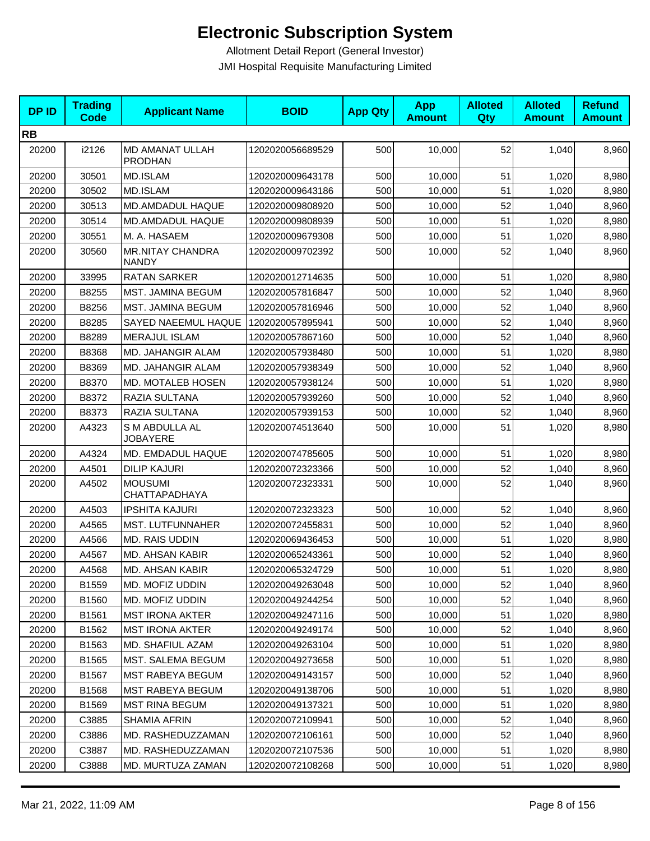| <b>DPID</b> | <b>Trading</b><br><b>Code</b> | <b>Applicant Name</b>                   | <b>BOID</b>      | <b>App Qty</b> | <b>App</b><br><b>Amount</b> | <b>Alloted</b><br><b>Qty</b> | <b>Alloted</b><br><b>Amount</b> | <b>Refund</b><br><b>Amount</b> |
|-------------|-------------------------------|-----------------------------------------|------------------|----------------|-----------------------------|------------------------------|---------------------------------|--------------------------------|
| <b>RB</b>   |                               |                                         |                  |                |                             |                              |                                 |                                |
| 20200       | i2126                         | MD AMANAT ULLAH<br><b>PRODHAN</b>       | 1202020056689529 | 500            | 10,000                      | 52                           | 1,040                           | 8,960                          |
| 20200       | 30501                         | MD.ISLAM                                | 1202020009643178 | 500            | 10,000                      | 51                           | 1,020                           | 8,980                          |
| 20200       | 30502                         | MD.ISLAM                                | 1202020009643186 | 500            | 10,000                      | 51                           | 1,020                           | 8,980                          |
| 20200       | 30513                         | MD.AMDADUL HAQUE                        | 1202020009808920 | 500            | 10,000                      | 52                           | 1,040                           | 8,960                          |
| 20200       | 30514                         | MD.AMDADUL HAQUE                        | 1202020009808939 | 500            | 10,000                      | 51                           | 1,020                           | 8,980                          |
| 20200       | 30551                         | M. A. HASAEM                            | 1202020009679308 | 500            | 10,000                      | 51                           | 1,020                           | 8,980                          |
| 20200       | 30560                         | <b>MR.NITAY CHANDRA</b><br><b>NANDY</b> | 1202020009702392 | 500            | 10,000                      | 52                           | 1,040                           | 8,960                          |
| 20200       | 33995                         | <b>RATAN SARKER</b>                     | 1202020012714635 | 500            | 10,000                      | 51                           | 1,020                           | 8,980                          |
| 20200       | B8255                         | MST. JAMINA BEGUM                       | 1202020057816847 | 500            | 10,000                      | 52                           | 1,040                           | 8,960                          |
| 20200       | B8256                         | MST. JAMINA BEGUM                       | 1202020057816946 | 500            | 10,000                      | 52                           | 1,040                           | 8,960                          |
| 20200       | B8285                         | SAYED NAEEMUL HAQUE                     | 1202020057895941 | 500            | 10,000                      | 52                           | 1,040                           | 8,960                          |
| 20200       | B8289                         | <b>MERAJUL ISLAM</b>                    | 1202020057867160 | 500            | 10,000                      | 52                           | 1,040                           | 8,960                          |
| 20200       | B8368                         | MD. JAHANGIR ALAM                       | 1202020057938480 | 500            | 10,000                      | 51                           | 1,020                           | 8,980                          |
| 20200       | B8369                         | MD. JAHANGIR ALAM                       | 1202020057938349 | 500            | 10,000                      | 52                           | 1,040                           | 8,960                          |
| 20200       | B8370                         | MD. MOTALEB HOSEN                       | 1202020057938124 | 500            | 10.000                      | 51                           | 1,020                           | 8,980                          |
| 20200       | B8372                         | RAZIA SULTANA                           | 1202020057939260 | 500            | 10.000                      | 52                           | 1,040                           | 8,960                          |
| 20200       | B8373                         | RAZIA SULTANA                           | 1202020057939153 | 500            | 10,000                      | 52                           | 1,040                           | 8,960                          |
| 20200       | A4323                         | S M ABDULLA AL<br><b>JOBAYERE</b>       | 1202020074513640 | 500            | 10,000                      | 51                           | 1,020                           | 8,980                          |
| 20200       | A4324                         | MD. EMDADUL HAQUE                       | 1202020074785605 | 500            | 10,000                      | 51                           | 1,020                           | 8,980                          |
| 20200       | A4501                         | <b>DILIP KAJURI</b>                     | 1202020072323366 | 500            | 10,000                      | 52                           | 1,040                           | 8,960                          |
| 20200       | A4502                         | <b>MOUSUMI</b><br>CHATTAPADHAYA         | 1202020072323331 | 500            | 10,000                      | 52                           | 1,040                           | 8,960                          |
| 20200       | A4503                         | <b>IPSHITA KAJURI</b>                   | 1202020072323323 | 500            | 10,000                      | 52                           | 1,040                           | 8,960                          |
| 20200       | A4565                         | MST. LUTFUNNAHER                        | 1202020072455831 | 500            | 10,000                      | 52                           | 1,040                           | 8,960                          |
| 20200       | A4566                         | MD. RAIS UDDIN                          | 1202020069436453 | 500            | 10,000                      | 51                           | 1,020                           | 8,980                          |
| 20200       | A4567                         | MD. AHSAN KABIR                         | 1202020065243361 | 500            | 10,000                      | 52                           | 1,040                           | 8,960                          |
| 20200       | A4568                         | <b>MD. AHSAN KABIR</b>                  | 1202020065324729 | 500            | 10,000                      | 51                           | 1,020                           | 8,980                          |
| 20200       | B1559                         | MD. MOFIZ UDDIN                         | 1202020049263048 | 500            | 10,000                      | 52                           | 1,040                           | 8,960                          |
| 20200       | B1560                         | MD. MOFIZ UDDIN                         | 1202020049244254 | 500            | 10,000                      | 52                           | 1,040                           | 8,960                          |
| 20200       | B1561                         | <b>MST IRONA AKTER</b>                  | 1202020049247116 | 500            | 10,000                      | 51                           | 1,020                           | 8,980                          |
| 20200       | B1562                         | <b>MST IRONA AKTER</b>                  | 1202020049249174 | 500            | 10,000                      | 52                           | 1,040                           | 8,960                          |
| 20200       | B1563                         | MD. SHAFIUL AZAM                        | 1202020049263104 | 500            | 10,000                      | 51                           | 1,020                           | 8,980                          |
| 20200       | B1565                         | MST. SALEMA BEGUM                       | 1202020049273658 | 500            | 10,000                      | 51                           | 1,020                           | 8,980                          |
| 20200       | B1567                         | <b>MST RABEYA BEGUM</b>                 | 1202020049143157 | 500            | 10,000                      | 52                           | 1,040                           | 8,960                          |
| 20200       | B1568                         | <b>MST RABEYA BEGUM</b>                 | 1202020049138706 | 500            | 10,000                      | 51                           | 1,020                           | 8,980                          |
| 20200       | B1569                         | <b>MST RINA BEGUM</b>                   | 1202020049137321 | 500            | 10,000                      | 51                           | 1,020                           | 8,980                          |
| 20200       | C3885                         | <b>SHAMIA AFRIN</b>                     | 1202020072109941 | 500            | 10,000                      | 52                           | 1,040                           | 8,960                          |
| 20200       | C3886                         | MD. RASHEDUZZAMAN                       | 1202020072106161 | 500            | 10,000                      | 52                           | 1,040                           | 8,960                          |
| 20200       | C3887                         | MD. RASHEDUZZAMAN                       | 1202020072107536 | 500            | 10,000                      | 51                           | 1,020                           | 8,980                          |
| 20200       | C3888                         | MD. MURTUZA ZAMAN                       | 1202020072108268 | 500            | 10,000                      | 51                           | 1,020                           | 8,980                          |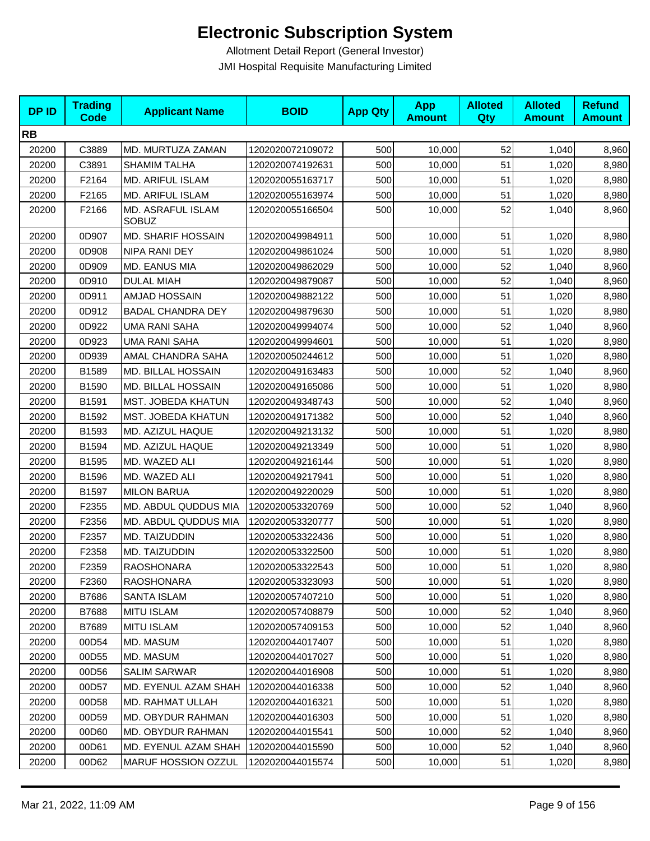| <b>DPID</b> | <b>Trading</b><br><b>Code</b> | <b>Applicant Name</b>             | <b>BOID</b>      | <b>App Qty</b> | <b>App</b><br><b>Amount</b> | <b>Alloted</b><br>Qty | <b>Alloted</b><br><b>Amount</b> | <b>Refund</b><br><b>Amount</b> |
|-------------|-------------------------------|-----------------------------------|------------------|----------------|-----------------------------|-----------------------|---------------------------------|--------------------------------|
| <b>RB</b>   |                               |                                   |                  |                |                             |                       |                                 |                                |
| 20200       | C3889                         | MD. MURTUZA ZAMAN                 | 1202020072109072 | 500            | 10,000                      | 52                    | 1,040                           | 8,960                          |
| 20200       | C3891                         | <b>SHAMIM TALHA</b>               | 1202020074192631 | 500            | 10,000                      | 51                    | 1,020                           | 8,980                          |
| 20200       | F2164                         | MD. ARIFUL ISLAM                  | 1202020055163717 | 500            | 10,000                      | 51                    | 1,020                           | 8,980                          |
| 20200       | F2165                         | MD. ARIFUL ISLAM                  | 1202020055163974 | 500            | 10,000                      | 51                    | 1,020                           | 8,980                          |
| 20200       | F2166                         | MD. ASRAFUL ISLAM<br><b>SOBUZ</b> | 1202020055166504 | 500            | 10,000                      | 52                    | 1,040                           | 8,960                          |
| 20200       | 0D907                         | MD. SHARIF HOSSAIN                | 1202020049984911 | 500            | 10,000                      | 51                    | 1,020                           | 8,980                          |
| 20200       | 0D908                         | NIPA RANI DEY                     | 1202020049861024 | 500            | 10,000                      | 51                    | 1,020                           | 8,980                          |
| 20200       | 0D909                         | MD. EANUS MIA                     | 1202020049862029 | 500            | 10,000                      | 52                    | 1,040                           | 8,960                          |
| 20200       | 0D910                         | <b>DULAL MIAH</b>                 | 1202020049879087 | 500            | 10,000                      | 52                    | 1,040                           | 8,960                          |
| 20200       | 0D911                         | AMJAD HOSSAIN                     | 1202020049882122 | 500            | 10,000                      | 51                    | 1,020                           | 8,980                          |
| 20200       | 0D912                         | <b>BADAL CHANDRA DEY</b>          | 1202020049879630 | 500            | 10,000                      | 51                    | 1,020                           | 8,980                          |
| 20200       | 0D922                         | <b>UMA RANI SAHA</b>              | 1202020049994074 | 500            | 10,000                      | 52                    | 1,040                           | 8,960                          |
| 20200       | 0D923                         | <b>UMA RANI SAHA</b>              | 1202020049994601 | 500            | 10,000                      | 51                    | 1,020                           | 8,980                          |
| 20200       | 0D939                         | AMAL CHANDRA SAHA                 | 1202020050244612 | 500            | 10,000                      | 51                    | 1,020                           | 8,980                          |
| 20200       | B1589                         | MD. BILLAL HOSSAIN                | 1202020049163483 | 500            | 10,000                      | 52                    | 1,040                           | 8,960                          |
| 20200       | B1590                         | MD. BILLAL HOSSAIN                | 1202020049165086 | 500            | 10,000                      | 51                    | 1,020                           | 8,980                          |
| 20200       | B1591                         | MST. JOBEDA KHATUN                | 1202020049348743 | 500            | 10,000                      | 52                    | 1,040                           | 8,960                          |
| 20200       | B1592                         | MST. JOBEDA KHATUN                | 1202020049171382 | 500            | 10,000                      | 52                    | 1,040                           | 8,960                          |
| 20200       | B1593                         | MD. AZIZUL HAQUE                  | 1202020049213132 | 500            | 10,000                      | 51                    | 1,020                           | 8,980                          |
| 20200       | B1594                         | MD. AZIZUL HAQUE                  | 1202020049213349 | 500            | 10,000                      | 51                    | 1,020                           | 8,980                          |
| 20200       | B1595                         | MD. WAZED ALI                     | 1202020049216144 | 500            | 10,000                      | 51                    | 1,020                           | 8,980                          |
| 20200       | B1596                         | MD. WAZED ALI                     | 1202020049217941 | 500            | 10,000                      | 51                    | 1,020                           | 8,980                          |
| 20200       | B1597                         | <b>MILON BARUA</b>                | 1202020049220029 | 500            | 10,000                      | 51                    | 1,020                           | 8,980                          |
| 20200       | F2355                         | MD. ABDUL QUDDUS MIA              | 1202020053320769 | 500            | 10,000                      | 52                    | 1,040                           | 8,960                          |
| 20200       | F2356                         | MD. ABDUL QUDDUS MIA              | 1202020053320777 | 500            | 10,000                      | 51                    | 1,020                           | 8,980                          |
| 20200       | F2357                         | MD. TAIZUDDIN                     | 1202020053322436 | 500            | 10,000                      | 51                    | 1,020                           | 8,980                          |
| 20200       | F2358                         | MD. TAIZUDDIN                     | 1202020053322500 | 500            | 10,000                      | 51                    | 1,020                           | 8,980                          |
| 20200       | F2359                         | <b>RAOSHONARA</b>                 | 1202020053322543 | 500            | 10,000                      | 51                    | 1,020                           | 8,980                          |
| 20200       | F2360                         | RAOSHONARA                        | 1202020053323093 | 500            | 10,000                      | 51                    | 1,020                           | 8,980                          |
| 20200       | B7686                         | SANTA ISLAM                       | 1202020057407210 | 500            | 10,000                      | 51                    | 1,020                           | 8,980                          |
| 20200       | B7688                         | <b>MITU ISLAM</b>                 | 1202020057408879 | 500            | 10,000                      | 52                    | 1,040                           | 8,960                          |
| 20200       | B7689                         | <b>MITU ISLAM</b>                 | 1202020057409153 | 500            | 10,000                      | 52                    | 1,040                           | 8,960                          |
| 20200       | 00D54                         | MD. MASUM                         | 1202020044017407 | 500            | 10,000                      | 51                    | 1,020                           | 8,980                          |
| 20200       | 00D55                         | MD. MASUM                         | 1202020044017027 | 500            | 10,000                      | 51                    | 1,020                           | 8,980                          |
| 20200       | 00D56                         | <b>SALIM SARWAR</b>               | 1202020044016908 | 500            | 10,000                      | 51                    | 1,020                           | 8,980                          |
| 20200       | 00D57                         | MD. EYENUL AZAM SHAH              | 1202020044016338 | 500            | 10,000                      | 52                    | 1,040                           | 8,960                          |
| 20200       | 00D58                         | MD. RAHMAT ULLAH                  | 1202020044016321 | 500            | 10,000                      | 51                    | 1,020                           | 8,980                          |
| 20200       | 00D59                         | MD. OBYDUR RAHMAN                 | 1202020044016303 | 500            | 10,000                      | 51                    | 1,020                           | 8,980                          |
| 20200       | 00D60                         | MD. OBYDUR RAHMAN                 | 1202020044015541 | 500            | 10,000                      | 52                    | 1,040                           | 8,960                          |
| 20200       | 00D61                         | MD. EYENUL AZAM SHAH              | 1202020044015590 | 500            | 10,000                      | 52                    | 1,040                           | 8,960                          |
| 20200       | 00D62                         | MARUF HOSSION OZZUL               | 1202020044015574 | 500            | 10,000                      | 51                    | 1,020                           | 8,980                          |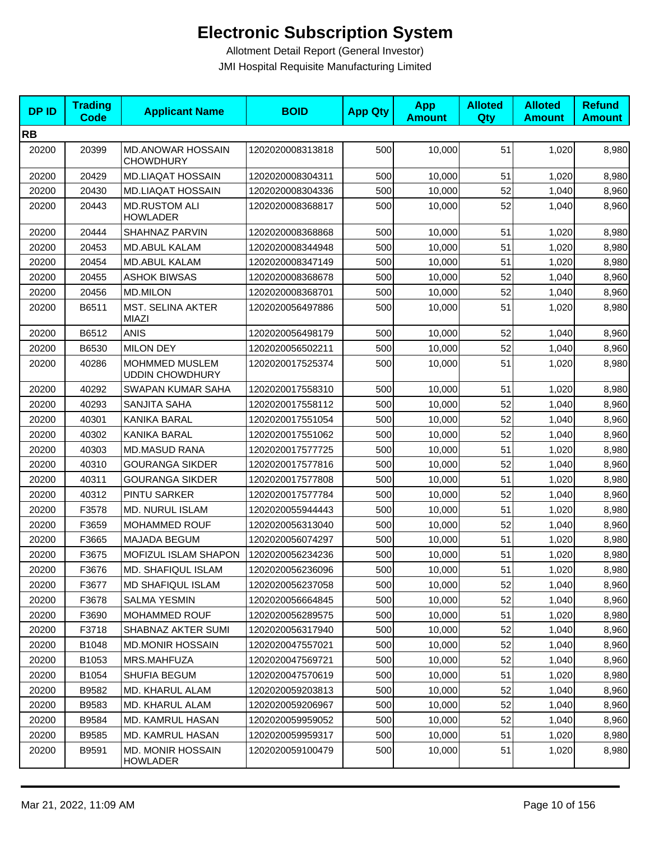| <b>DPID</b> | <b>Trading</b><br><b>Code</b> | <b>Applicant Name</b>                        | <b>BOID</b>      | <b>App Qty</b> | <b>App</b><br><b>Amount</b> | <b>Alloted</b><br>Qty | <b>Alloted</b><br><b>Amount</b> | <b>Refund</b><br><b>Amount</b> |
|-------------|-------------------------------|----------------------------------------------|------------------|----------------|-----------------------------|-----------------------|---------------------------------|--------------------------------|
| <b>RB</b>   |                               |                                              |                  |                |                             |                       |                                 |                                |
| 20200       | 20399                         | <b>MD.ANOWAR HOSSAIN</b><br><b>CHOWDHURY</b> | 1202020008313818 | 500            | 10,000                      | 51                    | 1,020                           | 8,980                          |
| 20200       | 20429                         | <b>MD.LIAQAT HOSSAIN</b>                     | 1202020008304311 | 500            | 10,000                      | 51                    | 1,020                           | 8,980                          |
| 20200       | 20430                         | <b>MD.LIAQAT HOSSAIN</b>                     | 1202020008304336 | 500            | 10,000                      | 52                    | 1,040                           | 8,960                          |
| 20200       | 20443                         | <b>MD.RUSTOM ALI</b><br><b>HOWLADER</b>      | 1202020008368817 | 500            | 10,000                      | 52                    | 1,040                           | 8,960                          |
| 20200       | 20444                         | SHAHNAZ PARVIN                               | 1202020008368868 | 500            | 10,000                      | 51                    | 1,020                           | 8,980                          |
| 20200       | 20453                         | <b>MD.ABUL KALAM</b>                         | 1202020008344948 | 500            | 10,000                      | 51                    | 1,020                           | 8,980                          |
| 20200       | 20454                         | <b>MD.ABUL KALAM</b>                         | 1202020008347149 | 500            | 10,000                      | 51                    | 1,020                           | 8,980                          |
| 20200       | 20455                         | <b>ASHOK BIWSAS</b>                          | 1202020008368678 | 500            | 10,000                      | 52                    | 1,040                           | 8,960                          |
| 20200       | 20456                         | <b>MD.MILON</b>                              | 1202020008368701 | 500            | 10,000                      | 52                    | 1,040                           | 8,960                          |
| 20200       | B6511                         | <b>MST. SELINA AKTER</b><br><b>MIAZI</b>     | 1202020056497886 | 500            | 10,000                      | 51                    | 1,020                           | 8,980                          |
| 20200       | B6512                         | ANIS                                         | 1202020056498179 | 500            | 10,000                      | 52                    | 1,040                           | 8,960                          |
| 20200       | B6530                         | <b>MILON DEY</b>                             | 1202020056502211 | 500            | 10,000                      | 52                    | 1,040                           | 8,960                          |
| 20200       | 40286                         | MOHMMED MUSLEM<br><b>UDDIN CHOWDHURY</b>     | 1202020017525374 | 500            | 10,000                      | 51                    | 1,020                           | 8,980                          |
| 20200       | 40292                         | <b>SWAPAN KUMAR SAHA</b>                     | 1202020017558310 | 500            | 10,000                      | 51                    | 1,020                           | 8,980                          |
| 20200       | 40293                         | SANJITA SAHA                                 | 1202020017558112 | 500            | 10,000                      | 52                    | 1,040                           | 8,960                          |
| 20200       | 40301                         | KANIKA BARAL                                 | 1202020017551054 | 500            | 10,000                      | 52                    | 1,040                           | 8,960                          |
| 20200       | 40302                         | KANIKA BARAL                                 | 1202020017551062 | 500            | 10,000                      | 52                    | 1,040                           | 8,960                          |
| 20200       | 40303                         | <b>MD.MASUD RANA</b>                         | 1202020017577725 | 500            | 10,000                      | 51                    | 1,020                           | 8,980                          |
| 20200       | 40310                         | <b>GOURANGA SIKDER</b>                       | 1202020017577816 | 500            | 10,000                      | 52                    | 1,040                           | 8,960                          |
| 20200       | 40311                         | <b>GOURANGA SIKDER</b>                       | 1202020017577808 | 500            | 10,000                      | 51                    | 1,020                           | 8,980                          |
| 20200       | 40312                         | PINTU SARKER                                 | 1202020017577784 | 500            | 10,000                      | 52                    | 1,040                           | 8,960                          |
| 20200       | F3578                         | <b>MD. NURUL ISLAM</b>                       | 1202020055944443 | 500            | 10,000                      | 51                    | 1,020                           | 8,980                          |
| 20200       | F3659                         | MOHAMMED ROUF                                | 1202020056313040 | 500            | 10,000                      | 52                    | 1,040                           | 8,960                          |
| 20200       | F3665                         | <b>MAJADA BEGUM</b>                          | 1202020056074297 | 500            | 10,000                      | 51                    | 1,020                           | 8,980                          |
| 20200       | F3675                         | MOFIZUL ISLAM SHAPON                         | 1202020056234236 | 500            | 10,000                      | 51                    | 1,020                           | 8,980                          |
| 20200       | F3676                         | <b>MD. SHAFIQUL ISLAM</b>                    | 1202020056236096 | 500            | 10,000                      | 51                    | 1,020                           | 8,980                          |
| 20200       | F3677                         | MD SHAFIQUL ISLAM                            | 1202020056237058 | 500            | 10,000                      | 52                    | 1,040                           | 8,960                          |
| 20200       | F3678                         | SALMA YESMIN                                 | 1202020056664845 | 500            | 10,000                      | 52                    | 1,040                           | 8,960                          |
| 20200       | F3690                         | MOHAMMED ROUF                                | 1202020056289575 | 500            | 10,000                      | 51                    | 1,020                           | 8,980                          |
| 20200       | F3718                         | SHABNAZ AKTER SUMI                           | 1202020056317940 | 500            | 10,000                      | 52                    | 1,040                           | 8,960                          |
| 20200       | B1048                         | <b>MD.MONIR HOSSAIN</b>                      | 1202020047557021 | 500            | 10,000                      | 52                    | 1,040                           | 8,960                          |
| 20200       | B1053                         | MRS.MAHFUZA                                  | 1202020047569721 | 500            | 10,000                      | 52                    | 1,040                           | 8,960                          |
| 20200       | B1054                         | SHUFIA BEGUM                                 | 1202020047570619 | 500            | 10,000                      | 51                    | 1,020                           | 8,980                          |
| 20200       | B9582                         | <b>MD. KHARUL ALAM</b>                       | 1202020059203813 | 500            | 10,000                      | 52                    | 1,040                           | 8,960                          |
| 20200       | B9583                         | MD. KHARUL ALAM                              | 1202020059206967 | 500            | 10,000                      | 52                    | 1,040                           | 8,960                          |
| 20200       | B9584                         | MD. KAMRUL HASAN                             | 1202020059959052 | 500            | 10,000                      | 52                    | 1,040                           | 8,960                          |
| 20200       | B9585                         | MD. KAMRUL HASAN                             | 1202020059959317 | 500            | 10,000                      | 51                    | 1,020                           | 8,980                          |
| 20200       | B9591                         | <b>MD. MONIR HOSSAIN</b><br><b>HOWLADER</b>  | 1202020059100479 | 500            | 10,000                      | 51                    | 1,020                           | 8,980                          |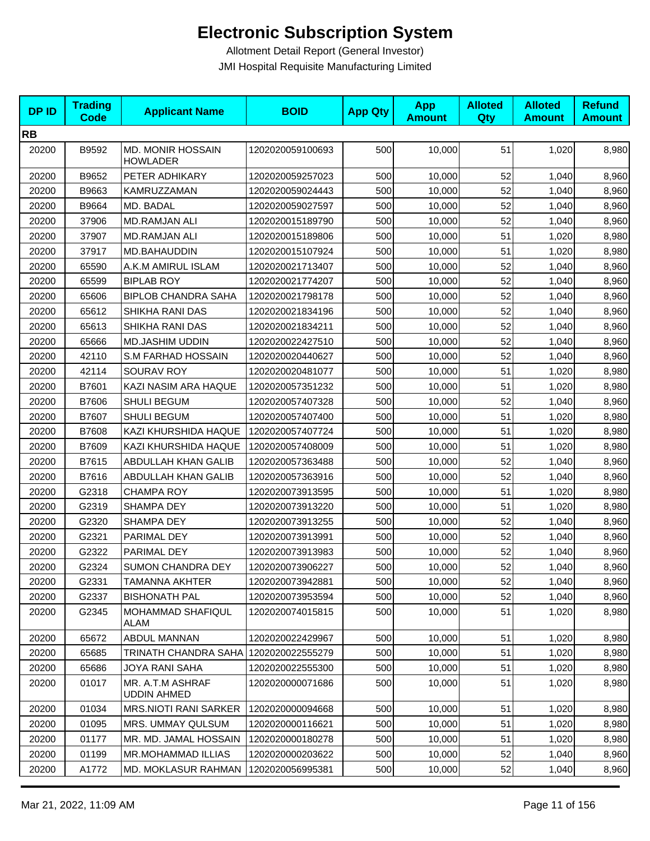| <b>DPID</b> | <b>Trading</b><br><b>Code</b> | <b>Applicant Name</b>                       | <b>BOID</b>      | <b>App Qty</b> | <b>App</b><br><b>Amount</b> | <b>Alloted</b><br>Qty | <b>Alloted</b><br><b>Amount</b> | <b>Refund</b><br><b>Amount</b> |
|-------------|-------------------------------|---------------------------------------------|------------------|----------------|-----------------------------|-----------------------|---------------------------------|--------------------------------|
| <b>RB</b>   |                               |                                             |                  |                |                             |                       |                                 |                                |
| 20200       | B9592                         | <b>MD. MONIR HOSSAIN</b><br><b>HOWLADER</b> | 1202020059100693 | 500            | 10,000                      | 51                    | 1,020                           | 8,980                          |
| 20200       | B9652                         | PETER ADHIKARY                              | 1202020059257023 | 500            | 10,000                      | 52                    | 1,040                           | 8,960                          |
| 20200       | B9663                         | KAMRUZZAMAN                                 | 1202020059024443 | 500            | 10,000                      | 52                    | 1,040                           | 8,960                          |
| 20200       | B9664                         | MD. BADAL                                   | 1202020059027597 | 500            | 10,000                      | 52                    | 1,040                           | 8,960                          |
| 20200       | 37906                         | <b>MD.RAMJAN ALI</b>                        | 1202020015189790 | 500            | 10,000                      | 52                    | 1,040                           | 8,960                          |
| 20200       | 37907                         | <b>MD.RAMJAN ALI</b>                        | 1202020015189806 | 500            | 10,000                      | 51                    | 1,020                           | 8,980                          |
| 20200       | 37917                         | MD.BAHAUDDIN                                | 1202020015107924 | 500            | 10,000                      | 51                    | 1,020                           | 8,980                          |
| 20200       | 65590                         | A.K.M AMIRUL ISLAM                          | 1202020021713407 | 500            | 10,000                      | 52                    | 1,040                           | 8,960                          |
| 20200       | 65599                         | <b>BIPLAB ROY</b>                           | 1202020021774207 | 500            | 10,000                      | 52                    | 1,040                           | 8,960                          |
| 20200       | 65606                         | <b>BIPLOB CHANDRA SAHA</b>                  | 1202020021798178 | 500            | 10,000                      | 52                    | 1,040                           | 8,960                          |
| 20200       | 65612                         | SHIKHA RANI DAS                             | 1202020021834196 | 500            | 10,000                      | 52                    | 1,040                           | 8,960                          |
| 20200       | 65613                         | SHIKHA RANI DAS                             | 1202020021834211 | 500            | 10,000                      | 52                    | 1,040                           | 8,960                          |
| 20200       | 65666                         | MD.JASHIM UDDIN                             | 1202020022427510 | 500            | 10,000                      | 52                    | 1,040                           | 8,960                          |
| 20200       | 42110                         | S.M FARHAD HOSSAIN                          | 1202020020440627 | 500            | 10,000                      | 52                    | 1,040                           | 8,960                          |
| 20200       | 42114                         | <b>SOURAV ROY</b>                           | 1202020020481077 | 500            | 10,000                      | 51                    | 1,020                           | 8,980                          |
| 20200       | B7601                         | KAZI NASIM ARA HAQUE                        | 1202020057351232 | 500            | 10,000                      | 51                    | 1,020                           | 8,980                          |
| 20200       | B7606                         | SHULI BEGUM                                 | 1202020057407328 | 500            | 10,000                      | 52                    | 1,040                           | 8,960                          |
| 20200       | B7607                         | SHULI BEGUM                                 | 1202020057407400 | 500            | 10,000                      | 51                    | 1,020                           | 8,980                          |
| 20200       | B7608                         | KAZI KHURSHIDA HAQUE                        | 1202020057407724 | 500            | 10,000                      | 51                    | 1,020                           | 8,980                          |
| 20200       | B7609                         | KAZI KHURSHIDA HAQUE                        | 1202020057408009 | 500            | 10,000                      | 51                    | 1,020                           | 8,980                          |
| 20200       | B7615                         | ABDULLAH KHAN GALIB                         | 1202020057363488 | 500            | 10,000                      | 52                    | 1,040                           | 8,960                          |
| 20200       | B7616                         | ABDULLAH KHAN GALIB                         | 1202020057363916 | 500            | 10,000                      | 52                    | 1,040                           | 8,960                          |
| 20200       | G2318                         | <b>CHAMPA ROY</b>                           | 1202020073913595 | 500            | 10,000                      | 51                    | 1,020                           | 8,980                          |
| 20200       | G2319                         | SHAMPA DEY                                  | 1202020073913220 | 500            | 10,000                      | 51                    | 1,020                           | 8,980                          |
| 20200       | G2320                         | SHAMPA DEY                                  | 1202020073913255 | 500            | 10,000                      | 52                    | 1,040                           | 8,960                          |
| 20200       | G2321                         | PARIMAL DEY                                 | 1202020073913991 | 500            | 10,000                      | 52                    | 1,040                           | 8,960                          |
| 20200       | G2322                         | PARIMAL DEY                                 | 1202020073913983 | 500            | 10,000                      | 52                    | 1,040                           | 8,960                          |
| 20200       | G2324                         | <b>SUMON CHANDRA DEY</b>                    | 1202020073906227 | 500            | 10,000                      | 52                    | 1,040                           | 8,960                          |
| 20200       | G2331                         | TAMANNA AKHTER                              | 1202020073942881 | 500            | 10,000                      | 52                    | 1,040                           | 8,960                          |
| 20200       | G2337                         | <b>BISHONATH PAL</b>                        | 1202020073953594 | 500            | 10,000                      | 52                    | 1,040                           | 8,960                          |
| 20200       | G2345                         | MOHAMMAD SHAFIQUL<br>ALAM                   | 1202020074015815 | 500            | 10,000                      | 51                    | 1,020                           | 8,980                          |
| 20200       | 65672                         | ABDUL MANNAN                                | 1202020022429967 | 500            | 10,000                      | 51                    | 1,020                           | 8,980                          |
| 20200       | 65685                         | <b>TRINATH CHANDRA SAHA</b>                 | 1202020022555279 | 500            | 10,000                      | 51                    | 1,020                           | 8,980                          |
| 20200       | 65686                         | <b>JOYA RANI SAHA</b>                       | 1202020022555300 | 500            | 10,000                      | 51                    | 1,020                           | 8,980                          |
| 20200       | 01017                         | MR. A.T.M ASHRAF<br><b>UDDIN AHMED</b>      | 1202020000071686 | 500            | 10,000                      | 51                    | 1,020                           | 8,980                          |
| 20200       | 01034                         | MRS.NIOTI RANI SARKER                       | 1202020000094668 | 500            | 10,000                      | 51                    | 1,020                           | 8,980                          |
| 20200       | 01095                         | MRS. UMMAY QULSUM                           | 1202020000116621 | 500            | 10,000                      | 51                    | 1,020                           | 8,980                          |
| 20200       | 01177                         | MR. MD. JAMAL HOSSAIN                       | 1202020000180278 | 500            | 10,000                      | 51                    | 1,020                           | 8,980                          |
| 20200       | 01199                         | MR.MOHAMMAD ILLIAS                          | 1202020000203622 | 500            | 10,000                      | 52                    | 1,040                           | 8,960                          |
| 20200       | A1772                         | <b>MD. MOKLASUR RAHMAN</b>                  | 1202020056995381 | 500            | 10,000                      | 52                    | 1,040                           | 8,960                          |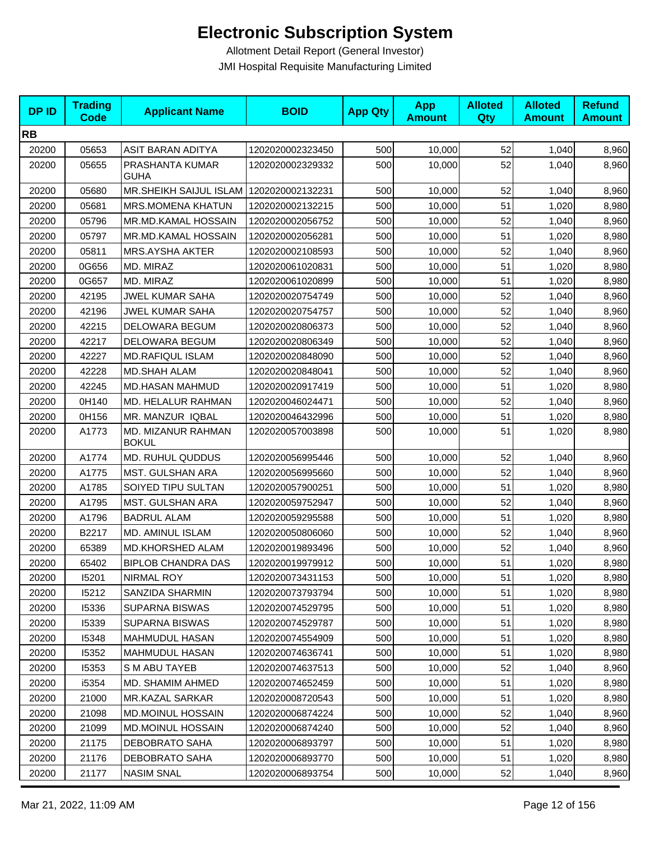| <b>DPID</b> | <b>Trading</b><br><b>Code</b> | <b>Applicant Name</b>                     | <b>BOID</b>      | <b>App Qty</b> | <b>App</b><br><b>Amount</b> | <b>Alloted</b><br>Qty | <b>Alloted</b><br><b>Amount</b> | <b>Refund</b><br><b>Amount</b> |
|-------------|-------------------------------|-------------------------------------------|------------------|----------------|-----------------------------|-----------------------|---------------------------------|--------------------------------|
| <b>RB</b>   |                               |                                           |                  |                |                             |                       |                                 |                                |
| 20200       | 05653                         | ASIT BARAN ADITYA                         | 1202020002323450 | 500            | 10,000                      | 52                    | 1,040                           | 8,960                          |
| 20200       | 05655                         | PRASHANTA KUMAR<br><b>GUHA</b>            | 1202020002329332 | 500            | 10,000                      | 52                    | 1,040                           | 8,960                          |
| 20200       | 05680                         | MR.SHEIKH SAIJUL ISLAM   1202020002132231 |                  | 500            | 10,000                      | 52                    | 1,040                           | 8,960                          |
| 20200       | 05681                         | <b>MRS.MOMENA KHATUN</b>                  | 1202020002132215 | 500            | 10,000                      | 51                    | 1,020                           | 8,980                          |
| 20200       | 05796                         | MR.MD.KAMAL HOSSAIN                       | 1202020002056752 | 500            | 10,000                      | 52                    | 1,040                           | 8,960                          |
| 20200       | 05797                         | MR.MD.KAMAL HOSSAIN                       | 1202020002056281 | 500            | 10,000                      | 51                    | 1,020                           | 8,980                          |
| 20200       | 05811                         | MRS.AYSHA AKTER                           | 1202020002108593 | 500            | 10,000                      | 52                    | 1,040                           | 8,960                          |
| 20200       | 0G656                         | MD. MIRAZ                                 | 1202020061020831 | 500            | 10,000                      | 51                    | 1,020                           | 8,980                          |
| 20200       | 0G657                         | MD. MIRAZ                                 | 1202020061020899 | 500            | 10,000                      | 51                    | 1,020                           | 8,980                          |
| 20200       | 42195                         | <b>JWEL KUMAR SAHA</b>                    | 1202020020754749 | 500            | 10,000                      | 52                    | 1,040                           | 8,960                          |
| 20200       | 42196                         | <b>JWEL KUMAR SAHA</b>                    | 1202020020754757 | 500            | 10,000                      | 52                    | 1,040                           | 8,960                          |
| 20200       | 42215                         | DELOWARA BEGUM                            | 1202020020806373 | 500            | 10,000                      | 52                    | 1,040                           | 8,960                          |
| 20200       | 42217                         | DELOWARA BEGUM                            | 1202020020806349 | 500            | 10,000                      | 52                    | 1,040                           | 8,960                          |
| 20200       | 42227                         | <b>MD.RAFIQUL ISLAM</b>                   | 1202020020848090 | 500            | 10,000                      | 52                    | 1,040                           | 8,960                          |
| 20200       | 42228                         | <b>MD.SHAH ALAM</b>                       | 1202020020848041 | 500            | 10,000                      | 52                    | 1,040                           | 8,960                          |
| 20200       | 42245                         | <b>MD.HASAN MAHMUD</b>                    | 1202020020917419 | 500            | 10,000                      | 51                    | 1,020                           | 8,980                          |
| 20200       | 0H140                         | MD. HELALUR RAHMAN                        | 1202020046024471 | 500            | 10,000                      | 52                    | 1,040                           | 8,960                          |
| 20200       | 0H156                         | MR. MANZUR IQBAL                          | 1202020046432996 | 500            | 10,000                      | 51                    | 1,020                           | 8,980                          |
| 20200       | A1773                         | MD. MIZANUR RAHMAN<br><b>BOKUL</b>        | 1202020057003898 | 500            | 10,000                      | 51                    | 1,020                           | 8,980                          |
| 20200       | A1774                         | MD. RUHUL QUDDUS                          | 1202020056995446 | 500            | 10,000                      | 52                    | 1,040                           | 8,960                          |
| 20200       | A1775                         | MST. GULSHAN ARA                          | 1202020056995660 | 500            | 10,000                      | 52                    | 1,040                           | 8,960                          |
| 20200       | A1785                         | SOIYED TIPU SULTAN                        | 1202020057900251 | 500            | 10,000                      | 51                    | 1,020                           | 8,980                          |
| 20200       | A1795                         | MST. GULSHAN ARA                          | 1202020059752947 | 500            | 10,000                      | 52                    | 1,040                           | 8,960                          |
| 20200       | A1796                         | <b>BADRUL ALAM</b>                        | 1202020059295588 | 500            | 10,000                      | 51                    | 1,020                           | 8,980                          |
| 20200       | B2217                         | MD. AMINUL ISLAM                          | 1202020050806060 | 500            | 10,000                      | 52                    | 1,040                           | 8,960                          |
| 20200       | 65389                         | MD.KHORSHED ALAM                          | 1202020019893496 | 500            | 10,000                      | 52                    | 1,040                           | 8,960                          |
| 20200       | 65402                         | <b>BIPLOB CHANDRA DAS</b>                 | 1202020019979912 | 500            | 10,000                      | 51                    | 1,020                           | 8,980                          |
| 20200       | 15201                         | <b>NIRMAL ROY</b>                         | 1202020073431153 | 500            | 10,000                      | 51                    | 1,020                           | 8,980                          |
| 20200       | 15212                         | SANZIDA SHARMIN                           | 1202020073793794 | 500            | 10,000                      | 51                    | 1,020                           | 8,980                          |
| 20200       | 15336                         | <b>SUPARNA BISWAS</b>                     | 1202020074529795 | 500            | 10,000                      | 51                    | 1,020                           | 8,980                          |
| 20200       | 15339                         | <b>SUPARNA BISWAS</b>                     | 1202020074529787 | 500            | 10,000                      | 51                    | 1,020                           | 8,980                          |
| 20200       | 15348                         | <b>MAHMUDUL HASAN</b>                     | 1202020074554909 | 500            | 10,000                      | 51                    | 1,020                           | 8,980                          |
| 20200       | 15352                         | <b>MAHMUDUL HASAN</b>                     | 1202020074636741 | 500            | 10,000                      | 51                    | 1,020                           | 8,980                          |
| 20200       | 15353                         | S M ABU TAYEB                             | 1202020074637513 | 500            | 10,000                      | 52                    | 1,040                           | 8,960                          |
| 20200       | i5354                         | MD. SHAMIM AHMED                          | 1202020074652459 | 500            | 10,000                      | 51                    | 1,020                           | 8,980                          |
| 20200       | 21000                         | <b>MR.KAZAL SARKAR</b>                    | 1202020008720543 | 500            | 10,000                      | 51                    | 1,020                           | 8,980                          |
| 20200       | 21098                         | <b>MD.MOINUL HOSSAIN</b>                  | 1202020006874224 | 500            | 10,000                      | 52                    | 1,040                           | 8,960                          |
| 20200       | 21099                         | <b>MD.MOINUL HOSSAIN</b>                  | 1202020006874240 | 500            | 10,000                      | 52                    | 1,040                           | 8,960                          |
| 20200       | 21175                         | <b>DEBOBRATO SAHA</b>                     | 1202020006893797 | 500            | 10,000                      | 51                    | 1,020                           | 8,980                          |
| 20200       | 21176                         | <b>DEBOBRATO SAHA</b>                     | 1202020006893770 | 500            | 10,000                      | 51                    | 1,020                           | 8,980                          |
| 20200       | 21177                         | <b>NASIM SNAL</b>                         | 1202020006893754 | 500            | 10,000                      | 52                    | 1,040                           | 8,960                          |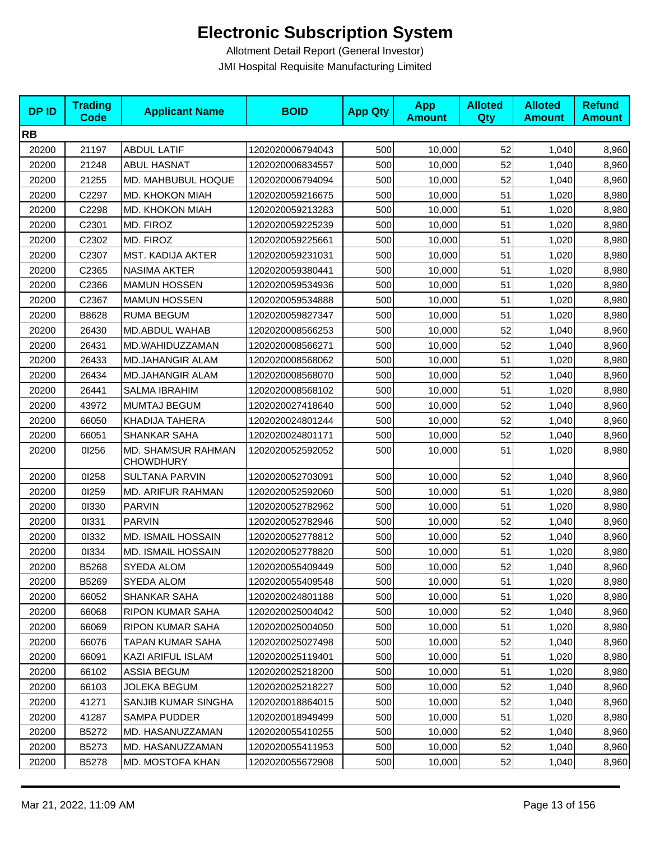| <b>DPID</b> | <b>Trading</b><br><b>Code</b> | <b>Applicant Name</b>                         | <b>BOID</b>      | <b>App Qty</b> | <b>App</b><br><b>Amount</b> | <b>Alloted</b><br><b>Qty</b> | <b>Alloted</b><br><b>Amount</b> | <b>Refund</b><br><b>Amount</b> |
|-------------|-------------------------------|-----------------------------------------------|------------------|----------------|-----------------------------|------------------------------|---------------------------------|--------------------------------|
| <b>RB</b>   |                               |                                               |                  |                |                             |                              |                                 |                                |
| 20200       | 21197                         | <b>ABDUL LATIF</b>                            | 1202020006794043 | 500            | 10,000                      | 52                           | 1,040                           | 8,960                          |
| 20200       | 21248                         | <b>ABUL HASNAT</b>                            | 1202020006834557 | 500            | 10,000                      | 52                           | 1,040                           | 8,960                          |
| 20200       | 21255                         | MD. MAHBUBUL HOQUE                            | 1202020006794094 | 500            | 10,000                      | 52                           | 1,040                           | 8,960                          |
| 20200       | C2297                         | MD. KHOKON MIAH                               | 1202020059216675 | 500            | 10,000                      | 51                           | 1,020                           | 8,980                          |
| 20200       | C2298                         | MD. KHOKON MIAH                               | 1202020059213283 | 500            | 10,000                      | 51                           | 1,020                           | 8,980                          |
| 20200       | C2301                         | MD. FIROZ                                     | 1202020059225239 | 500            | 10,000                      | 51                           | 1,020                           | 8,980                          |
| 20200       | C2302                         | MD. FIROZ                                     | 1202020059225661 | 500            | 10,000                      | 51                           | 1,020                           | 8,980                          |
| 20200       | C2307                         | MST. KADIJA AKTER                             | 1202020059231031 | 500            | 10,000                      | 51                           | 1,020                           | 8,980                          |
| 20200       | C2365                         | <b>NASIMA AKTER</b>                           | 1202020059380441 | 500            | 10,000                      | 51                           | 1,020                           | 8,980                          |
| 20200       | C2366                         | <b>MAMUN HOSSEN</b>                           | 1202020059534936 | 500            | 10,000                      | 51                           | 1,020                           | 8,980                          |
| 20200       | C2367                         | <b>MAMUN HOSSEN</b>                           | 1202020059534888 | 500            | 10,000                      | 51                           | 1,020                           | 8,980                          |
| 20200       | B8628                         | <b>RUMA BEGUM</b>                             | 1202020059827347 | 500            | 10,000                      | 51                           | 1,020                           | 8,980                          |
| 20200       | 26430                         | MD.ABDUL WAHAB                                | 1202020008566253 | 500            | 10,000                      | 52                           | 1,040                           | 8,960                          |
| 20200       | 26431                         | MD.WAHIDUZZAMAN                               | 1202020008566271 | 500            | 10,000                      | 52                           | 1,040                           | 8,960                          |
| 20200       | 26433                         | <b>MD.JAHANGIR ALAM</b>                       | 1202020008568062 | 500            | 10,000                      | 51                           | 1,020                           | 8,980                          |
| 20200       | 26434                         | <b>MD.JAHANGIR ALAM</b>                       | 1202020008568070 | 500            | 10,000                      | 52                           | 1,040                           | 8,960                          |
| 20200       | 26441                         | <b>SALMA IBRAHIM</b>                          | 1202020008568102 | 500            | 10,000                      | 51                           | 1,020                           | 8,980                          |
| 20200       | 43972                         | MUMTAJ BEGUM                                  | 1202020027418640 | 500            | 10,000                      | 52                           | 1,040                           | 8,960                          |
| 20200       | 66050                         | <b>KHADIJA TAHERA</b>                         | 1202020024801244 | 500            | 10,000                      | 52                           | 1,040                           | 8,960                          |
| 20200       | 66051                         | SHANKAR SAHA                                  | 1202020024801171 | 500            | 10,000                      | 52                           | 1,040                           | 8,960                          |
| 20200       | 01256                         | <b>MD. SHAMSUR RAHMAN</b><br><b>CHOWDHURY</b> | 1202020052592052 | 500            | 10,000                      | 51                           | 1,020                           | 8,980                          |
| 20200       | 01258                         | <b>SULTANA PARVIN</b>                         | 1202020052703091 | 500            | 10,000                      | 52                           | 1,040                           | 8,960                          |
| 20200       | 01259                         | MD. ARIFUR RAHMAN                             | 1202020052592060 | 500            | 10,000                      | 51                           | 1,020                           | 8,980                          |
| 20200       | 01330                         | <b>PARVIN</b>                                 | 1202020052782962 | 500            | 10,000                      | 51                           | 1,020                           | 8,980                          |
| 20200       | 01331                         | <b>PARVIN</b>                                 | 1202020052782946 | 500            | 10,000                      | 52                           | 1,040                           | 8,960                          |
| 20200       | 01332                         | <b>MD. ISMAIL HOSSAIN</b>                     | 1202020052778812 | 500            | 10,000                      | 52                           | 1,040                           | 8,960                          |
| 20200       | 01334                         | <b>MD. ISMAIL HOSSAIN</b>                     | 1202020052778820 | 500            | 10,000                      | 51                           | 1,020                           | 8,980                          |
| 20200       | B5268                         | SYEDA ALOM                                    | 1202020055409449 | 500            | 10,000                      | 52                           | 1,040                           | 8,960                          |
| 20200       | B5269                         | SYEDA ALOM                                    | 1202020055409548 | 500            | 10,000                      | 51                           | 1,020                           | 8,980                          |
| 20200       | 66052                         | <b>SHANKAR SAHA</b>                           | 1202020024801188 | 500            | 10,000                      | 51                           | 1,020                           | 8,980                          |
| 20200       | 66068                         | RIPON KUMAR SAHA                              | 1202020025004042 | 500            | 10,000                      | 52                           | 1,040                           | 8,960                          |
| 20200       | 66069                         | RIPON KUMAR SAHA                              | 1202020025004050 | 500            | 10,000                      | 51                           | 1,020                           | 8,980                          |
| 20200       | 66076                         | TAPAN KUMAR SAHA                              | 1202020025027498 | 500            | 10,000                      | 52                           | 1,040                           | 8,960                          |
| 20200       | 66091                         | KAZI ARIFUL ISLAM                             | 1202020025119401 | 500            | 10,000                      | 51                           | 1,020                           | 8,980                          |
| 20200       | 66102                         | <b>ASSIA BEGUM</b>                            | 1202020025218200 | 500            | 10,000                      | 51                           | 1,020                           | 8,980                          |
| 20200       | 66103                         | <b>JOLEKA BEGUM</b>                           | 1202020025218227 | 500            | 10,000                      | 52                           | 1,040                           | 8,960                          |
| 20200       | 41271                         | SANJIB KUMAR SINGHA                           | 1202020018864015 | 500            | 10,000                      | 52                           | 1,040                           | 8,960                          |
| 20200       | 41287                         | <b>SAMPA PUDDER</b>                           | 1202020018949499 | 500            | 10,000                      | 51                           | 1,020                           | 8,980                          |
| 20200       | B5272                         | MD. HASANUZZAMAN                              | 1202020055410255 | 500            | 10,000                      | 52                           | 1,040                           | 8,960                          |
| 20200       | B5273                         | MD. HASANUZZAMAN                              | 1202020055411953 | 500            | 10,000                      | 52                           | 1,040                           | 8,960                          |
| 20200       | B5278                         | MD. MOSTOFA KHAN                              | 1202020055672908 | 500            | 10,000                      | 52                           | 1,040                           | 8,960                          |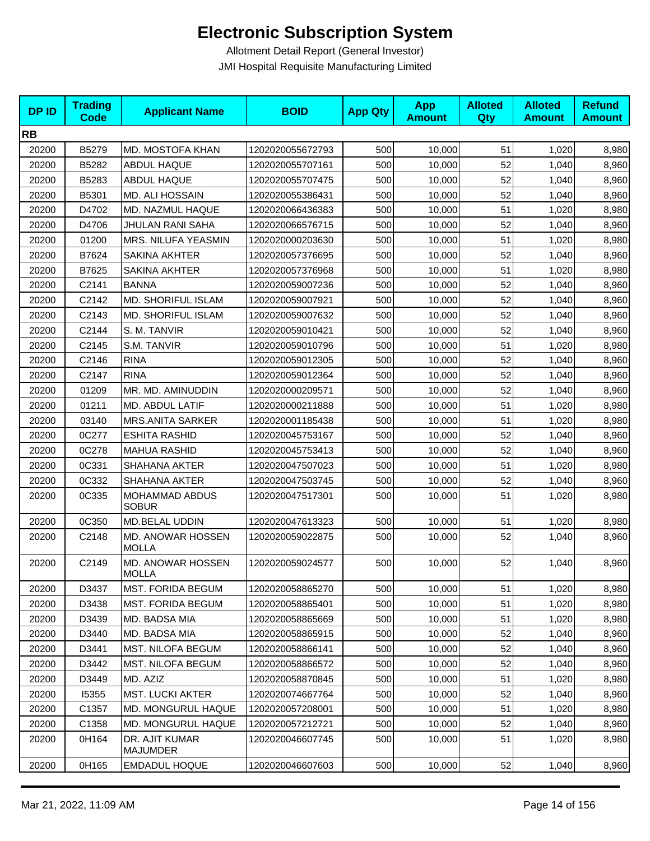| <b>DPID</b> | <b>Trading</b><br><b>Code</b> | <b>Applicant Name</b>             | <b>BOID</b>      | <b>App Qty</b> | <b>App</b><br><b>Amount</b> | <b>Alloted</b><br>Qty | <b>Alloted</b><br><b>Amount</b> | <b>Refund</b><br><b>Amount</b> |
|-------------|-------------------------------|-----------------------------------|------------------|----------------|-----------------------------|-----------------------|---------------------------------|--------------------------------|
| <b>RB</b>   |                               |                                   |                  |                |                             |                       |                                 |                                |
| 20200       | B5279                         | MD. MOSTOFA KHAN                  | 1202020055672793 | 500            | 10,000                      | 51                    | 1,020                           | 8,980                          |
| 20200       | B5282                         | ABDUL HAQUE                       | 1202020055707161 | 500            | 10,000                      | 52                    | 1,040                           | 8,960                          |
| 20200       | B5283                         | <b>ABDUL HAQUE</b>                | 1202020055707475 | 500            | 10,000                      | 52                    | 1,040                           | 8,960                          |
| 20200       | B5301                         | MD. ALI HOSSAIN                   | 1202020055386431 | 500            | 10,000                      | 52                    | 1,040                           | 8,960                          |
| 20200       | D4702                         | MD. NAZMUL HAQUE                  | 1202020066436383 | 500            | 10,000                      | 51                    | 1,020                           | 8,980                          |
| 20200       | D4706                         | JHULAN RANI SAHA                  | 1202020066576715 | 500            | 10,000                      | 52                    | 1,040                           | 8,960                          |
| 20200       | 01200                         | MRS. NILUFA YEASMIN               | 1202020000203630 | 500            | 10,000                      | 51                    | 1,020                           | 8,980                          |
| 20200       | B7624                         | <b>SAKINA AKHTER</b>              | 1202020057376695 | 500            | 10,000                      | 52                    | 1,040                           | 8,960                          |
| 20200       | B7625                         | SAKINA AKHTER                     | 1202020057376968 | 500            | 10,000                      | 51                    | 1,020                           | 8,980                          |
| 20200       | C2141                         | <b>BANNA</b>                      | 1202020059007236 | 500            | 10,000                      | 52                    | 1,040                           | 8,960                          |
| 20200       | C2142                         | MD. SHORIFUL ISLAM                | 1202020059007921 | 500            | 10,000                      | 52                    | 1,040                           | 8,960                          |
| 20200       | C2143                         | <b>MD. SHORIFUL ISLAM</b>         | 1202020059007632 | 500            | 10,000                      | 52                    | 1,040                           | 8,960                          |
| 20200       | C2144                         | S. M. TANVIR                      | 1202020059010421 | 500            | 10,000                      | 52                    | 1,040                           | 8,960                          |
| 20200       | C2145                         | S.M. TANVIR                       | 1202020059010796 | 500            | 10,000                      | 51                    | 1,020                           | 8,980                          |
| 20200       | C2146                         | <b>RINA</b>                       | 1202020059012305 | 500            | 10,000                      | 52                    | 1,040                           | 8,960                          |
| 20200       | C2147                         | <b>RINA</b>                       | 1202020059012364 | 500            | 10,000                      | 52                    | 1,040                           | 8,960                          |
| 20200       | 01209                         | MR. MD. AMINUDDIN                 | 1202020000209571 | 500            | 10,000                      | 52                    | 1,040                           | 8,960                          |
| 20200       | 01211                         | MD. ABDUL LATIF                   | 1202020000211888 | 500            | 10,000                      | 51                    | 1,020                           | 8,980                          |
| 20200       | 03140                         | <b>MRS.ANITA SARKER</b>           | 1202020001185438 | 500            | 10,000                      | 51                    | 1,020                           | 8,980                          |
| 20200       | 0C277                         | <b>ESHITA RASHID</b>              | 1202020045753167 | 500            | 10,000                      | 52                    | 1,040                           | 8,960                          |
| 20200       | 0C278                         | MAHUA RASHID                      | 1202020045753413 | 500            | 10,000                      | 52                    | 1,040                           | 8,960                          |
| 20200       | 0C331                         | SHAHANA AKTER                     | 1202020047507023 | 500            | 10,000                      | 51                    | 1,020                           | 8,980                          |
| 20200       | 0C332                         | <b>SHAHANA AKTER</b>              | 1202020047503745 | 500            | 10,000                      | 52                    | 1,040                           | 8,960                          |
| 20200       | 0C335                         | MOHAMMAD ABDUS<br><b>SOBUR</b>    | 1202020047517301 | 500            | 10,000                      | 51                    | 1,020                           | 8,980                          |
| 20200       | 0C350                         | <b>MD.BELAL UDDIN</b>             | 1202020047613323 | 500            | 10,000                      | 51                    | 1,020                           | 8,980                          |
| 20200       | C2148                         | MD. ANOWAR HOSSEN<br><b>MOLLA</b> | 1202020059022875 | 500            | 10,000                      | 52                    | 1,040                           | 8,960                          |
| 20200       | C2149                         | MD. ANOWAR HOSSEN<br><b>MOLLA</b> | 1202020059024577 | 500            | 10,000                      | 52                    | 1,040                           | 8,960                          |
| 20200       | D3437                         | <b>MST. FORIDA BEGUM</b>          | 1202020058865270 | 500            | 10,000                      | 51                    | 1,020                           | 8,980                          |
| 20200       | D3438                         | <b>MST. FORIDA BEGUM</b>          | 1202020058865401 | 500            | 10,000                      | 51                    | 1,020                           | 8,980                          |
| 20200       | D3439                         | MD. BADSA MIA                     | 1202020058865669 | 500            | 10,000                      | 51                    | 1,020                           | 8,980                          |
| 20200       | D3440                         | MD. BADSA MIA                     | 1202020058865915 | 500            | 10,000                      | 52                    | 1,040                           | 8,960                          |
| 20200       | D3441                         | MST. NILOFA BEGUM                 | 1202020058866141 | 500            | 10,000                      | 52                    | 1,040                           | 8,960                          |
| 20200       | D3442                         | <b>MST. NILOFA BEGUM</b>          | 1202020058866572 | 500            | 10,000                      | 52                    | 1,040                           | 8,960                          |
| 20200       | D3449                         | MD. AZIZ                          | 1202020058870845 | 500            | 10,000                      | 51                    | 1,020                           | 8,980                          |
| 20200       | 15355                         | <b>MST. LUCKI AKTER</b>           | 1202020074667764 | 500            | 10,000                      | 52                    | 1,040                           | 8,960                          |
| 20200       | C1357                         | <b>MD. MONGURUL HAQUE</b>         | 1202020057208001 | 500            | 10,000                      | 51                    | 1,020                           | 8,980                          |
| 20200       | C1358                         | MD. MONGURUL HAQUE                | 1202020057212721 | 500            | 10,000                      | 52                    | 1,040                           | 8,960                          |
| 20200       | 0H164                         | DR. AJIT KUMAR<br>MAJUMDER        | 1202020046607745 | 500            | 10,000                      | 51                    | 1,020                           | 8,980                          |
| 20200       | 0H165                         | <b>EMDADUL HOQUE</b>              | 1202020046607603 | 500            | 10,000                      | 52                    | 1,040                           | 8,960                          |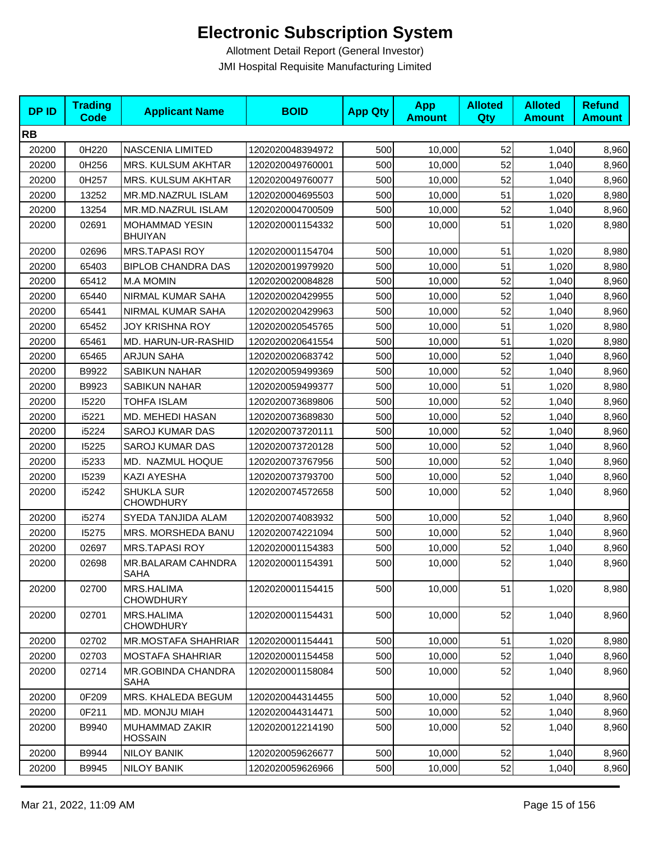| <b>DPID</b> | <b>Trading</b><br><b>Code</b> | <b>Applicant Name</b>                    | <b>BOID</b>      | <b>App Qty</b> | <b>App</b><br><b>Amount</b> | <b>Alloted</b><br>Qty | <b>Alloted</b><br><b>Amount</b> | <b>Refund</b><br><b>Amount</b> |
|-------------|-------------------------------|------------------------------------------|------------------|----------------|-----------------------------|-----------------------|---------------------------------|--------------------------------|
| <b>RB</b>   |                               |                                          |                  |                |                             |                       |                                 |                                |
| 20200       | 0H220                         | NASCENIA LIMITED                         | 1202020048394972 | 500            | 10,000                      | 52                    | 1,040                           | 8,960                          |
| 20200       | 0H256                         | MRS. KULSUM AKHTAR                       | 1202020049760001 | 500            | 10,000                      | 52                    | 1,040                           | 8,960                          |
| 20200       | 0H257                         | MRS. KULSUM AKHTAR                       | 1202020049760077 | 500            | 10,000                      | 52                    | 1,040                           | 8,960                          |
| 20200       | 13252                         | MR.MD.NAZRUL ISLAM                       | 1202020004695503 | 500            | 10,000                      | 51                    | 1,020                           | 8,980                          |
| 20200       | 13254                         | MR.MD.NAZRUL ISLAM                       | 1202020004700509 | 500            | 10,000                      | 52                    | 1,040                           | 8,960                          |
| 20200       | 02691                         | <b>MOHAMMAD YESIN</b><br><b>BHUIYAN</b>  | 1202020001154332 | 500            | 10,000                      | 51                    | 1,020                           | 8,980                          |
| 20200       | 02696                         | <b>MRS.TAPASI ROY</b>                    | 1202020001154704 | 500            | 10,000                      | 51                    | 1,020                           | 8,980                          |
| 20200       | 65403                         | <b>BIPLOB CHANDRA DAS</b>                | 1202020019979920 | 500            | 10,000                      | 51                    | 1,020                           | 8,980                          |
| 20200       | 65412                         | <b>M.A MOMIN</b>                         | 1202020020084828 | 500            | 10,000                      | 52                    | 1,040                           | 8,960                          |
| 20200       | 65440                         | NIRMAL KUMAR SAHA                        | 1202020020429955 | 500            | 10,000                      | 52                    | 1,040                           | 8,960                          |
| 20200       | 65441                         | NIRMAL KUMAR SAHA                        | 1202020020429963 | 500            | 10,000                      | 52                    | 1,040                           | 8,960                          |
| 20200       | 65452                         | JOY KRISHNA ROY                          | 1202020020545765 | 500            | 10,000                      | 51                    | 1,020                           | 8,980                          |
| 20200       | 65461                         | MD. HARUN-UR-RASHID                      | 1202020020641554 | 500            | 10,000                      | 51                    | 1,020                           | 8,980                          |
| 20200       | 65465                         | <b>ARJUN SAHA</b>                        | 1202020020683742 | 500            | 10,000                      | 52                    | 1,040                           | 8,960                          |
| 20200       | B9922                         | <b>SABIKUN NAHAR</b>                     | 1202020059499369 | 500            | 10,000                      | 52                    | 1,040                           | 8,960                          |
| 20200       | B9923                         | <b>SABIKUN NAHAR</b>                     | 1202020059499377 | 500            | 10,000                      | 51                    | 1,020                           | 8,980                          |
| 20200       | 15220                         | <b>TOHFA ISLAM</b>                       | 1202020073689806 | 500            | 10,000                      | 52                    | 1,040                           | 8,960                          |
| 20200       | i5221                         | MD. MEHEDI HASAN                         | 1202020073689830 | 500            | 10,000                      | 52                    | 1,040                           | 8,960                          |
| 20200       | i5224                         | <b>SAROJ KUMAR DAS</b>                   | 1202020073720111 | 500            | 10,000                      | 52                    | 1,040                           | 8,960                          |
| 20200       | 15225                         | <b>SAROJ KUMAR DAS</b>                   | 1202020073720128 | 500            | 10,000                      | 52                    | 1,040                           | 8,960                          |
| 20200       | i5233                         | MD. NAZMUL HOQUE                         | 1202020073767956 | 500            | 10,000                      | 52                    | 1,040                           | 8,960                          |
| 20200       | 15239                         | KAZI AYESHA                              | 1202020073793700 | 500            | 10,000                      | 52                    | 1,040                           | 8,960                          |
| 20200       | i5242                         | <b>SHUKLA SUR</b><br><b>CHOWDHURY</b>    | 1202020074572658 | 500            | 10,000                      | 52                    | 1,040                           | 8,960                          |
| 20200       | i5274                         | SYEDA TANJIDA ALAM                       | 1202020074083932 | 500            | 10,000                      | 52                    | 1,040                           | 8,960                          |
| 20200       | 15275                         | MRS. MORSHEDA BANU                       | 1202020074221094 | 500            | 10,000                      | 52                    | 1,040                           | 8,960                          |
| 20200       | 02697                         | <b>MRS.TAPASI ROY</b>                    | 1202020001154383 | 500            | 10,000                      | 52                    | 1,040                           | 8,960                          |
| 20200       | 02698                         | MR.BALARAM CAHNDRA<br><b>SAHA</b>        | 1202020001154391 | 500            | 10,000                      | 52                    | 1,040                           | 8,960                          |
| 20200       | 02700                         | MRS.HALIMA<br><b>CHOWDHURY</b>           | 1202020001154415 | 500            | 10,000                      | 51                    | 1,020                           | 8,980                          |
| 20200       | 02701                         | MRS.HALIMA<br><b>CHOWDHURY</b>           | 1202020001154431 | 500            | 10,000                      | 52                    | 1,040                           | 8,960                          |
| 20200       | 02702                         | <b>MR.MOSTAFA SHAHRIAR</b>               | 1202020001154441 | 500            | 10,000                      | 51                    | 1,020                           | 8,980                          |
| 20200       | 02703                         | <b>MOSTAFA SHAHRIAR</b>                  | 1202020001154458 | 500            | 10,000                      | 52                    | 1,040                           | 8,960                          |
| 20200       | 02714                         | <b>MR.GOBINDA CHANDRA</b><br><b>SAHA</b> | 1202020001158084 | 500            | 10,000                      | 52                    | 1,040                           | 8,960                          |
| 20200       | 0F209                         | MRS. KHALEDA BEGUM                       | 1202020044314455 | 500            | 10,000                      | 52                    | 1,040                           | 8,960                          |
| 20200       | 0F211                         | MD. MONJU MIAH                           | 1202020044314471 | 500            | 10,000                      | 52                    | 1,040                           | 8,960                          |
| 20200       | B9940                         | MUHAMMAD ZAKIR<br><b>HOSSAIN</b>         | 1202020012214190 | 500            | 10,000                      | 52                    | 1,040                           | 8,960                          |
| 20200       | B9944                         | <b>NILOY BANIK</b>                       | 1202020059626677 | 500            | 10,000                      | 52                    | 1,040                           | 8,960                          |
| 20200       | B9945                         | <b>NILOY BANIK</b>                       | 1202020059626966 | 500            | 10,000                      | 52                    | 1,040                           | 8,960                          |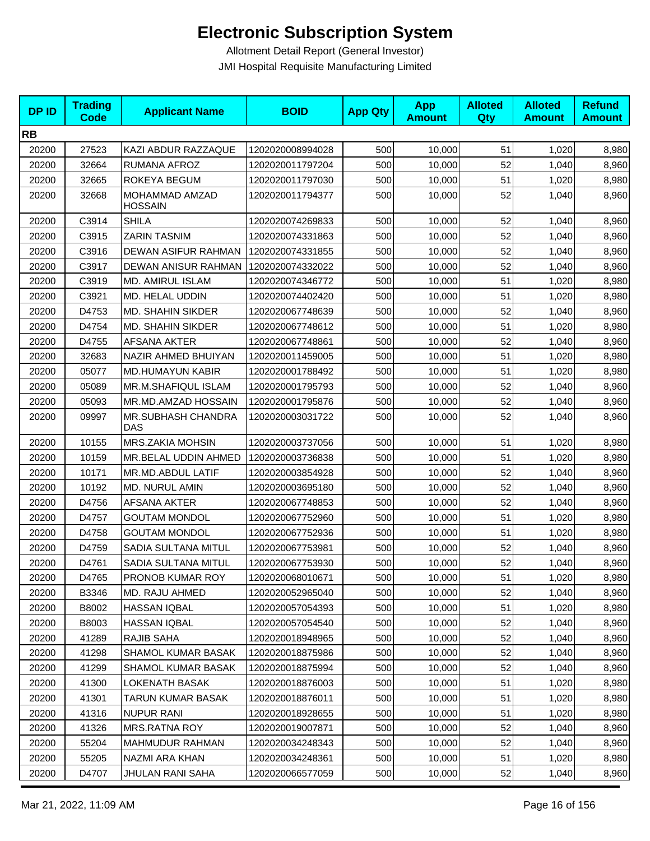| <b>DPID</b> | <b>Trading</b><br><b>Code</b> | <b>Applicant Name</b>     | <b>BOID</b>      | <b>App Qty</b> | <b>App</b><br><b>Amount</b> | <b>Alloted</b><br>Qty | <b>Alloted</b><br><b>Amount</b> | <b>Refund</b><br><b>Amount</b> |
|-------------|-------------------------------|---------------------------|------------------|----------------|-----------------------------|-----------------------|---------------------------------|--------------------------------|
| <b>RB</b>   |                               |                           |                  |                |                             |                       |                                 |                                |
| 20200       | 27523                         | KAZI ABDUR RAZZAQUE       | 1202020008994028 | 500            | 10,000                      | 51                    | 1,020                           | 8,980                          |
| 20200       | 32664                         | RUMANA AFROZ              | 1202020011797204 | 500            | 10,000                      | 52                    | 1,040                           | 8,960                          |
| 20200       | 32665                         | ROKEYA BEGUM              | 1202020011797030 | 500            | 10,000                      | 51                    | 1,020                           | 8,980                          |
| 20200       | 32668                         | MOHAMMAD AMZAD<br>HOSSAIN | 1202020011794377 | 500            | 10,000                      | 52                    | 1,040                           | 8,960                          |
| 20200       | C3914                         | <b>SHILA</b>              | 1202020074269833 | 500            | 10,000                      | 52                    | 1,040                           | 8,960                          |
| 20200       | C3915                         | <b>ZARIN TASNIM</b>       | 1202020074331863 | 500            | 10,000                      | 52                    | 1,040                           | 8,960                          |
| 20200       | C3916                         | DEWAN ASIFUR RAHMAN       | 1202020074331855 | 500            | 10,000                      | 52                    | 1,040                           | 8,960                          |
| 20200       | C3917                         | DEWAN ANISUR RAHMAN       | 1202020074332022 | 500            | 10,000                      | 52                    | 1,040                           | 8,960                          |
| 20200       | C3919                         | <b>MD. AMIRUL ISLAM</b>   | 1202020074346772 | 500            | 10,000                      | 51                    | 1,020                           | 8,980                          |
| 20200       | C3921                         | MD. HELAL UDDIN           | 1202020074402420 | 500            | 10,000                      | 51                    | 1,020                           | 8,980                          |
| 20200       | D4753                         | MD. SHAHIN SIKDER         | 1202020067748639 | 500            | 10,000                      | 52                    | 1,040                           | 8,960                          |
| 20200       | D4754                         | MD. SHAHIN SIKDER         | 1202020067748612 | 500            | 10,000                      | 51                    | 1,020                           | 8,980                          |
| 20200       | D4755                         | <b>AFSANA AKTER</b>       | 1202020067748861 | 500            | 10,000                      | 52                    | 1,040                           | 8,960                          |
| 20200       | 32683                         | NAZIR AHMED BHUIYAN       | 1202020011459005 | 500            | 10,000                      | 51                    | 1,020                           | 8,980                          |
| 20200       | 05077                         | <b>MD.HUMAYUN KABIR</b>   | 1202020001788492 | 500            | 10,000                      | 51                    | 1,020                           | 8,980                          |
| 20200       | 05089                         | MR.M.SHAFIQUL ISLAM       | 1202020001795793 | 500            | 10,000                      | 52                    | 1,040                           | 8,960                          |
| 20200       | 05093                         | MR.MD.AMZAD HOSSAIN       | 1202020001795876 | 500            | 10,000                      | 52                    | 1,040                           | 8,960                          |
| 20200       | 09997                         | MR.SUBHASH CHANDRA<br>DAS | 1202020003031722 | 500            | 10,000                      | 52                    | 1,040                           | 8,960                          |
| 20200       | 10155                         | MRS.ZAKIA MOHSIN          | 1202020003737056 | 500            | 10,000                      | 51                    | 1,020                           | 8,980                          |
| 20200       | 10159                         | MR.BELAL UDDIN AHMED      | 1202020003736838 | 500            | 10,000                      | 51                    | 1,020                           | 8,980                          |
| 20200       | 10171                         | MR.MD.ABDUL LATIF         | 1202020003854928 | 500            | 10,000                      | 52                    | 1,040                           | 8,960                          |
| 20200       | 10192                         | MD. NURUL AMIN            | 1202020003695180 | 500            | 10,000                      | 52                    | 1,040                           | 8,960                          |
| 20200       | D4756                         | AFSANA AKTER              | 1202020067748853 | 500            | 10,000                      | 52                    | 1,040                           | 8,960                          |
| 20200       | D4757                         | <b>GOUTAM MONDOL</b>      | 1202020067752960 | 500            | 10,000                      | 51                    | 1,020                           | 8,980                          |
| 20200       | D4758                         | <b>GOUTAM MONDOL</b>      | 1202020067752936 | 500            | 10,000                      | 51                    | 1,020                           | 8,980                          |
| 20200       | D4759                         | SADIA SULTANA MITUL       | 1202020067753981 | 500            | 10,000                      | 52                    | 1,040                           | 8,960                          |
| 20200       | D4761                         | SADIA SULTANA MITUL       | 1202020067753930 | 500            | 10,000                      | 52                    | 1,040                           | 8,960                          |
| 20200       | D4765                         | PRONOB KUMAR ROY          | 1202020068010671 | 500            | 10,000                      | 51                    | 1,020                           | 8,980                          |
| 20200       | B3346                         | MD. RAJU AHMED            | 1202020052965040 | 500            | 10,000                      | 52                    | 1,040                           | 8,960                          |
| 20200       | B8002                         | HASSAN IQBAL              | 1202020057054393 | 500            | 10,000                      | 51                    | 1,020                           | 8,980                          |
| 20200       | B8003                         | HASSAN IQBAL              | 1202020057054540 | 500            | 10,000                      | 52                    | 1,040                           | 8,960                          |
| 20200       | 41289                         | RAJIB SAHA                | 1202020018948965 | 500            | 10,000                      | 52                    | 1,040                           | 8,960                          |
| 20200       | 41298                         | <b>SHAMOL KUMAR BASAK</b> | 1202020018875986 | 500            | 10.000                      | 52                    | 1,040                           | 8,960                          |
| 20200       | 41299                         | SHAMOL KUMAR BASAK        | 1202020018875994 | 500            | 10,000                      | 52                    | 1,040                           | 8,960                          |
| 20200       | 41300                         | <b>LOKENATH BASAK</b>     | 1202020018876003 | 500            | 10,000                      | 51                    | 1,020                           | 8,980                          |
| 20200       | 41301                         | TARUN KUMAR BASAK         | 1202020018876011 | 500            | 10,000                      | 51                    | 1,020                           | 8,980                          |
| 20200       | 41316                         | <b>NUPUR RANI</b>         | 1202020018928655 | 500            | 10,000                      | 51                    | 1,020                           | 8,980                          |
| 20200       | 41326                         | <b>MRS.RATNA ROY</b>      | 1202020019007871 | 500            | 10,000                      | 52                    | 1,040                           | 8,960                          |
| 20200       | 55204                         | <b>MAHMUDUR RAHMAN</b>    | 1202020034248343 | 500            | 10,000                      | 52                    | 1,040                           | 8,960                          |
| 20200       | 55205                         | NAZMI ARA KHAN            | 1202020034248361 | 500            | 10,000                      | 51                    | 1,020                           | 8,980                          |
| 20200       | D4707                         | JHULAN RANI SAHA          | 1202020066577059 | 500            | 10,000                      | 52                    | 1,040                           | 8,960                          |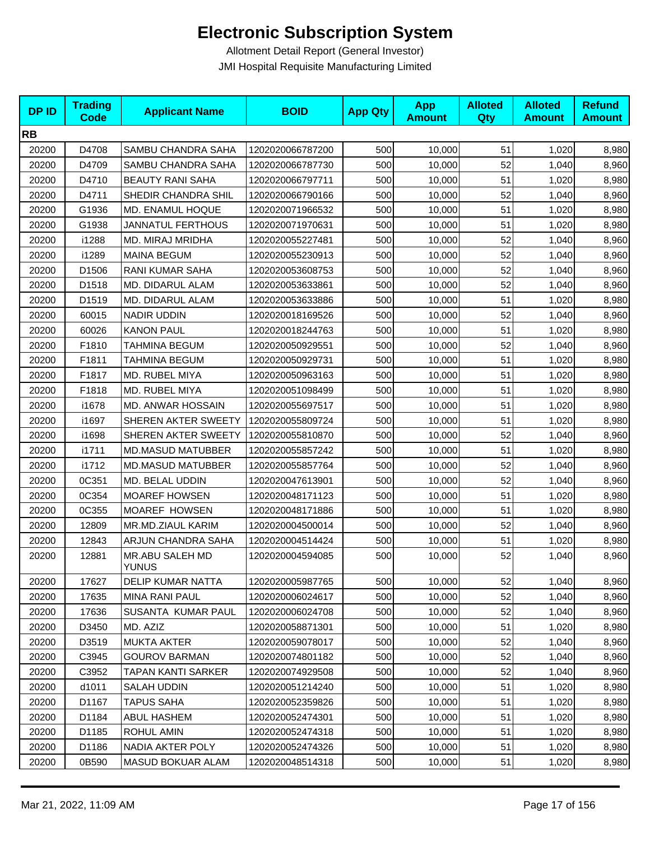| <b>DPID</b> | <b>Trading</b><br><b>Code</b> | <b>Applicant Name</b>    | <b>BOID</b>      | <b>App Qty</b> | <b>App</b><br><b>Amount</b> | <b>Alloted</b><br>Qty | <b>Alloted</b><br><b>Amount</b> | <b>Refund</b><br><b>Amount</b> |
|-------------|-------------------------------|--------------------------|------------------|----------------|-----------------------------|-----------------------|---------------------------------|--------------------------------|
| <b>RB</b>   |                               |                          |                  |                |                             |                       |                                 |                                |
| 20200       | D4708                         | SAMBU CHANDRA SAHA       | 1202020066787200 | 500            | 10,000                      | 51                    | 1,020                           | 8,980                          |
| 20200       | D4709                         | SAMBU CHANDRA SAHA       | 1202020066787730 | 500            | 10,000                      | 52                    | 1,040                           | 8,960                          |
| 20200       | D4710                         | <b>BEAUTY RANI SAHA</b>  | 1202020066797711 | 500            | 10,000                      | 51                    | 1,020                           | 8,980                          |
| 20200       | D4711                         | SHEDIR CHANDRA SHIL      | 1202020066790166 | 500            | 10,000                      | 52                    | 1,040                           | 8,960                          |
| 20200       | G1936                         | MD. ENAMUL HOQUE         | 1202020071966532 | 500            | 10,000                      | 51                    | 1,020                           | 8,980                          |
| 20200       | G1938                         | <b>JANNATUL FERTHOUS</b> | 1202020071970631 | 500            | 10,000                      | 51                    | 1,020                           | 8,980                          |
| 20200       | i1288                         | MD. MIRAJ MRIDHA         | 1202020055227481 | 500            | 10,000                      | 52                    | 1,040                           | 8,960                          |
| 20200       | i1289                         | <b>MAINA BEGUM</b>       | 1202020055230913 | 500            | 10,000                      | 52                    | 1,040                           | 8,960                          |
| 20200       | D1506                         | <b>RANI KUMAR SAHA</b>   | 1202020053608753 | 500            | 10,000                      | 52                    | 1,040                           | 8,960                          |
| 20200       | D1518                         | MD. DIDARUL ALAM         | 1202020053633861 | 500            | 10,000                      | 52                    | 1,040                           | 8,960                          |
| 20200       | D1519                         | MD. DIDARUL ALAM         | 1202020053633886 | 500            | 10,000                      | 51                    | 1,020                           | 8,980                          |
| 20200       | 60015                         | NADIR UDDIN              | 1202020018169526 | 500            | 10,000                      | 52                    | 1,040                           | 8,960                          |
| 20200       | 60026                         | <b>KANON PAUL</b>        | 1202020018244763 | 500            | 10,000                      | 51                    | 1,020                           | 8,980                          |
| 20200       | F1810                         | TAHMINA BEGUM            | 1202020050929551 | 500            | 10,000                      | 52                    | 1,040                           | 8,960                          |
| 20200       | F1811                         | TAHMINA BEGUM            | 1202020050929731 | 500            | 10,000                      | 51                    | 1,020                           | 8,980                          |
| 20200       | F1817                         | MD. RUBEL MIYA           | 1202020050963163 | 500            | 10,000                      | 51                    | 1,020                           | 8,980                          |
| 20200       | F1818                         | MD. RUBEL MIYA           | 1202020051098499 | 500            | 10,000                      | 51                    | 1,020                           | 8,980                          |
| 20200       | i1678                         | MD. ANWAR HOSSAIN        | 1202020055697517 | 500            | 10,000                      | 51                    | 1,020                           | 8,980                          |
| 20200       | i1697                         | SHEREN AKTER SWEETY      | 1202020055809724 | 500            | 10,000                      | 51                    | 1,020                           | 8,980                          |
| 20200       | i1698                         | SHEREN AKTER SWEETY      | 1202020055810870 | 500            | 10,000                      | 52                    | 1,040                           | 8,960                          |
| 20200       | i1711                         | <b>MD.MASUD MATUBBER</b> | 1202020055857242 | 500            | 10,000                      | 51                    | 1,020                           | 8,980                          |
| 20200       | i1712                         | <b>MD.MASUD MATUBBER</b> | 1202020055857764 | 500            | 10,000                      | 52                    | 1,040                           | 8,960                          |
| 20200       | 0C351                         | MD. BELAL UDDIN          | 1202020047613901 | 500            | 10,000                      | 52                    | 1,040                           | 8,960                          |
| 20200       | 0C354                         | <b>MOAREF HOWSEN</b>     | 1202020048171123 | 500            | 10,000                      | 51                    | 1,020                           | 8,980                          |
| 20200       | 0C355                         | <b>MOAREF HOWSEN</b>     | 1202020048171886 | 500            | 10,000                      | 51                    | 1,020                           | 8,980                          |
| 20200       | 12809                         | MR.MD.ZIAUL KARIM        | 1202020004500014 | 500            | 10,000                      | 52                    | 1,040                           | 8,960                          |
| 20200       | 12843                         | ARJUN CHANDRA SAHA       | 1202020004514424 | 500            | 10,000                      | 51                    | 1,020                           | 8,980                          |
| 20200       | 12881                         | MR.ABU SALEH MD<br>YUNUS | 1202020004594085 | 500            | 10,000                      | 52                    | 1,040                           | 8,960                          |
| 20200       | 17627                         | <b>DELIP KUMAR NATTA</b> | 1202020005987765 | 500            | 10,000                      | 52                    | 1,040                           | 8,960                          |
| 20200       | 17635                         | MINA RANI PAUL           | 1202020006024617 | 500            | 10,000                      | 52                    | 1,040                           | 8,960                          |
| 20200       | 17636                         | SUSANTA KUMAR PAUL       | 1202020006024708 | 500            | 10,000                      | 52                    | 1,040                           | 8,960                          |
| 20200       | D3450                         | MD. AZIZ                 | 1202020058871301 | 500            | 10,000                      | 51                    | 1,020                           | 8,980                          |
| 20200       | D3519                         | <b>MUKTA AKTER</b>       | 1202020059078017 | 500            | 10,000                      | 52                    | 1,040                           | 8,960                          |
| 20200       | C3945                         | <b>GOUROV BARMAN</b>     | 1202020074801182 | 500            | 10,000                      | 52                    | 1,040                           | 8,960                          |
| 20200       | C3952                         | TAPAN KANTI SARKER       | 1202020074929508 | 500            | 10,000                      | 52                    | 1,040                           | 8,960                          |
| 20200       | d1011                         | <b>SALAH UDDIN</b>       | 1202020051214240 | 500            | 10,000                      | 51                    | 1,020                           | 8,980                          |
| 20200       | D1167                         | <b>TAPUS SAHA</b>        | 1202020052359826 | 500            | 10,000                      | 51                    | 1,020                           | 8,980                          |
| 20200       | D1184                         | ABUL HASHEM              | 1202020052474301 | 500            | 10,000                      | 51                    | 1,020                           | 8,980                          |
| 20200       | D1185                         | ROHUL AMIN               | 1202020052474318 | 500            | 10,000                      | 51                    | 1,020                           | 8,980                          |
| 20200       | D1186                         | NADIA AKTER POLY         | 1202020052474326 | 500            | 10,000                      | 51                    | 1,020                           | 8,980                          |
| 20200       | 0B590                         | <b>MASUD BOKUAR ALAM</b> | 1202020048514318 | 500            | 10,000                      | 51                    | 1,020                           | 8,980                          |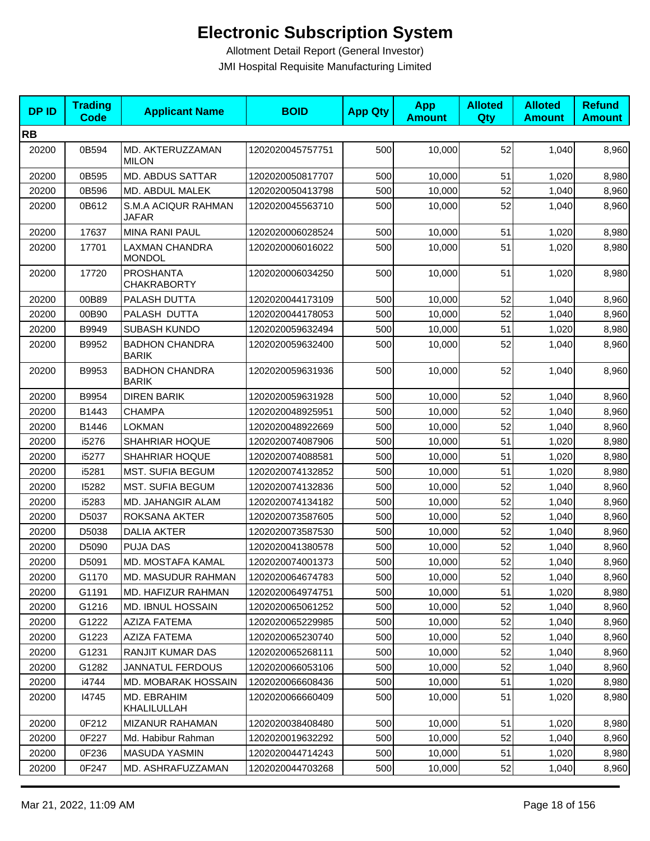| <b>DPID</b> | <b>Trading</b><br><b>Code</b> | <b>Applicant Name</b>                      | <b>BOID</b>      | <b>App Qty</b> | App<br><b>Amount</b> | <b>Alloted</b><br>Qty | <b>Alloted</b><br><b>Amount</b> | <b>Refund</b><br><b>Amount</b> |
|-------------|-------------------------------|--------------------------------------------|------------------|----------------|----------------------|-----------------------|---------------------------------|--------------------------------|
| <b>RB</b>   |                               |                                            |                  |                |                      |                       |                                 |                                |
| 20200       | 0B594                         | MD. AKTERUZZAMAN<br><b>MILON</b>           | 1202020045757751 | 500            | 10,000               | 52                    | 1,040                           | 8,960                          |
| 20200       | 0B595                         | <b>MD. ABDUS SATTAR</b>                    | 1202020050817707 | 500            | 10,000               | 51                    | 1,020                           | 8,980                          |
| 20200       | 0B596                         | MD. ABDUL MALEK                            | 1202020050413798 | 500            | 10,000               | 52                    | 1,040                           | 8,960                          |
| 20200       | 0B612                         | <b>S.M.A ACIQUR RAHMAN</b><br><b>JAFAR</b> | 1202020045563710 | 500            | 10,000               | 52                    | 1,040                           | 8,960                          |
| 20200       | 17637                         | <b>MINA RANI PAUL</b>                      | 1202020006028524 | 500            | 10,000               | 51                    | 1,020                           | 8,980                          |
| 20200       | 17701                         | <b>LAXMAN CHANDRA</b><br><b>MONDOL</b>     | 1202020006016022 | 500            | 10,000               | 51                    | 1,020                           | 8,980                          |
| 20200       | 17720                         | <b>PROSHANTA</b><br><b>CHAKRABORTY</b>     | 1202020006034250 | 500            | 10,000               | 51                    | 1,020                           | 8,980                          |
| 20200       | 00B89                         | PALASH DUTTA                               | 1202020044173109 | 500            | 10,000               | 52                    | 1,040                           | 8,960                          |
| 20200       | 00B90                         | PALASH DUTTA                               | 1202020044178053 | 500            | 10,000               | 52                    | 1,040                           | 8,960                          |
| 20200       | B9949                         | SUBASH KUNDO                               | 1202020059632494 | 500            | 10,000               | 51                    | 1,020                           | 8,980                          |
| 20200       | B9952                         | <b>BADHON CHANDRA</b><br><b>BARIK</b>      | 1202020059632400 | 500            | 10,000               | 52                    | 1,040                           | 8,960                          |
| 20200       | B9953                         | <b>BADHON CHANDRA</b><br><b>BARIK</b>      | 1202020059631936 | 500            | 10,000               | 52                    | 1,040                           | 8,960                          |
| 20200       | B9954                         | <b>DIREN BARIK</b>                         | 1202020059631928 | 500            | 10,000               | 52                    | 1,040                           | 8,960                          |
| 20200       | B1443                         | <b>CHAMPA</b>                              | 1202020048925951 | 500            | 10,000               | 52                    | 1,040                           | 8,960                          |
| 20200       | B1446                         | <b>LOKMAN</b>                              | 1202020048922669 | 500            | 10,000               | 52                    | 1,040                           | 8,960                          |
| 20200       | i5276                         | SHAHRIAR HOQUE                             | 1202020074087906 | 500            | 10,000               | 51                    | 1,020                           | 8,980                          |
| 20200       | i5277                         | SHAHRIAR HOQUE                             | 1202020074088581 | 500            | 10,000               | 51                    | 1,020                           | 8,980                          |
| 20200       | i5281                         | <b>MST. SUFIA BEGUM</b>                    | 1202020074132852 | 500            | 10,000               | 51                    | 1,020                           | 8,980                          |
| 20200       | 15282                         | <b>MST. SUFIA BEGUM</b>                    | 1202020074132836 | 500            | 10,000               | 52                    | 1,040                           | 8,960                          |
| 20200       | i5283                         | MD. JAHANGIR ALAM                          | 1202020074134182 | 500            | 10,000               | 52                    | 1,040                           | 8,960                          |
| 20200       | D5037                         | ROKSANA AKTER                              | 1202020073587605 | 500            | 10,000               | 52                    | 1,040                           | 8,960                          |
| 20200       | D5038                         | <b>DALIA AKTER</b>                         | 1202020073587530 | 500            | 10,000               | 52                    | 1,040                           | 8,960                          |
| 20200       | D5090                         | <b>PUJA DAS</b>                            | 1202020041380578 | 500            | 10,000               | 52                    | 1,040                           | 8,960                          |
| 20200       | D5091                         | MD. MOSTAFA KAMAL                          | 1202020074001373 | 500            | 10,000               | 52                    | 1,040                           | 8,960                          |
| 20200       | G1170                         | MD. MASUDUR RAHMAN                         | 1202020064674783 | 500            | 10,000               | 52                    | 1,040                           | 8,960                          |
| 20200       | G1191                         | MD. HAFIZUR RAHMAN                         | 1202020064974751 | 500            | 10,000               | 51                    | 1,020                           | 8,980                          |
| 20200       | G1216                         | MD. IBNUL HOSSAIN                          | 1202020065061252 | 500            | 10,000               | 52                    | 1,040                           | 8,960                          |
| 20200       | G1222                         | <b>AZIZA FATEMA</b>                        | 1202020065229985 | 500            | 10,000               | 52                    | 1,040                           | 8,960                          |
| 20200       | G1223                         | <b>AZIZA FATEMA</b>                        | 1202020065230740 | 500            | 10,000               | 52                    | 1,040                           | 8,960                          |
| 20200       | G1231                         | RANJIT KUMAR DAS                           | 1202020065268111 | 500            | 10,000               | 52                    | 1,040                           | 8,960                          |
| 20200       | G1282                         | <b>JANNATUL FERDOUS</b>                    | 1202020066053106 | 500            | 10,000               | 52                    | 1,040                           | 8,960                          |
| 20200       | i4744                         | MD. MOBARAK HOSSAIN                        | 1202020066608436 | 500            | 10,000               | 51                    | 1,020                           | 8,980                          |
| 20200       | 14745                         | MD. EBRAHIM<br>KHALILULLAH                 | 1202020066660409 | 500            | 10,000               | 51                    | 1,020                           | 8,980                          |
| 20200       | 0F212                         | MIZANUR RAHAMAN                            | 1202020038408480 | 500            | 10,000               | 51                    | 1,020                           | 8,980                          |
| 20200       | 0F227                         | Md. Habibur Rahman                         | 1202020019632292 | 500            | 10,000               | 52                    | 1,040                           | 8,960                          |
| 20200       | 0F236                         | MASUDA YASMIN                              | 1202020044714243 | 500            | 10,000               | 51                    | 1,020                           | 8,980                          |
| 20200       | 0F247                         | MD. ASHRAFUZZAMAN                          | 1202020044703268 | 500            | 10,000               | 52                    | 1,040                           | 8,960                          |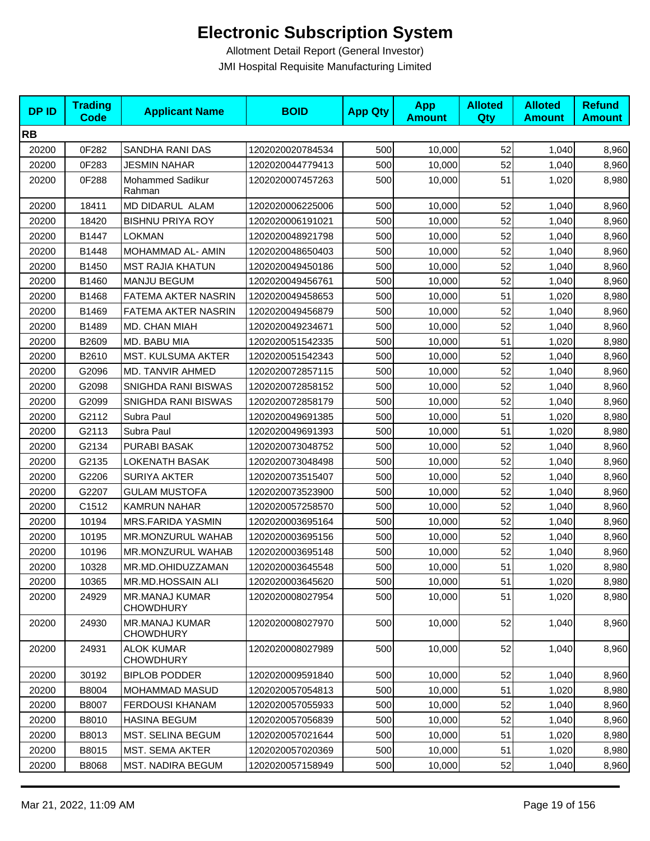| <b>DPID</b> | <b>Trading</b><br><b>Code</b> | <b>Applicant Name</b>                     | <b>BOID</b>      | <b>App Qty</b> | <b>App</b><br><b>Amount</b> | <b>Alloted</b><br>Qty | <b>Alloted</b><br><b>Amount</b> | <b>Refund</b><br><b>Amount</b> |
|-------------|-------------------------------|-------------------------------------------|------------------|----------------|-----------------------------|-----------------------|---------------------------------|--------------------------------|
| <b>RB</b>   |                               |                                           |                  |                |                             |                       |                                 |                                |
| 20200       | 0F282                         | SANDHA RANI DAS                           | 1202020020784534 | 500            | 10,000                      | 52                    | 1,040                           | 8,960                          |
| 20200       | 0F283                         | <b>JESMIN NAHAR</b>                       | 1202020044779413 | 500            | 10,000                      | 52                    | 1,040                           | 8,960                          |
| 20200       | 0F288                         | <b>Mohammed Sadikur</b><br>Rahman         | 1202020007457263 | 500            | 10,000                      | 51                    | 1,020                           | 8,980                          |
| 20200       | 18411                         | MD DIDARUL ALAM                           | 1202020006225006 | 500            | 10,000                      | 52                    | 1,040                           | 8,960                          |
| 20200       | 18420                         | <b>BISHNU PRIYA ROY</b>                   | 1202020006191021 | 500            | 10,000                      | 52                    | 1,040                           | 8,960                          |
| 20200       | B1447                         | <b>LOKMAN</b>                             | 1202020048921798 | 500            | 10,000                      | 52                    | 1,040                           | 8,960                          |
| 20200       | B1448                         | MOHAMMAD AL- AMIN                         | 1202020048650403 | 500            | 10,000                      | 52                    | 1,040                           | 8,960                          |
| 20200       | B1450                         | <b>MST RAJIA KHATUN</b>                   | 1202020049450186 | 500            | 10,000                      | 52                    | 1,040                           | 8,960                          |
| 20200       | B1460                         | <b>MANJU BEGUM</b>                        | 1202020049456761 | 500            | 10,000                      | 52                    | 1,040                           | 8,960                          |
| 20200       | B1468                         | FATEMA AKTER NASRIN                       | 1202020049458653 | 500            | 10,000                      | 51                    | 1,020                           | 8,980                          |
| 20200       | B1469                         | FATEMA AKTER NASRIN                       | 1202020049456879 | 500            | 10,000                      | 52                    | 1,040                           | 8,960                          |
| 20200       | B1489                         | MD. CHAN MIAH                             | 1202020049234671 | 500            | 10,000                      | 52                    | 1,040                           | 8,960                          |
| 20200       | B2609                         | MD. BABU MIA                              | 1202020051542335 | 500            | 10,000                      | 51                    | 1,020                           | 8,980                          |
| 20200       | B2610                         | <b>MST. KULSUMA AKTER</b>                 | 1202020051542343 | 500            | 10,000                      | 52                    | 1,040                           | 8,960                          |
| 20200       | G2096                         | MD. TANVIR AHMED                          | 1202020072857115 | 500            | 10,000                      | 52                    | 1,040                           | 8,960                          |
| 20200       | G2098                         | SNIGHDA RANI BISWAS                       | 1202020072858152 | 500            | 10,000                      | 52                    | 1,040                           | 8,960                          |
| 20200       | G2099                         | SNIGHDA RANI BISWAS                       | 1202020072858179 | 500            | 10,000                      | 52                    | 1,040                           | 8,960                          |
| 20200       | G2112                         | Subra Paul                                | 1202020049691385 | 500            | 10,000                      | 51                    | 1,020                           | 8,980                          |
| 20200       | G2113                         | Subra Paul                                | 1202020049691393 | 500            | 10,000                      | 51                    | 1,020                           | 8,980                          |
| 20200       | G2134                         | PURABI BASAK                              | 1202020073048752 | 500            | 10,000                      | 52                    | 1,040                           | 8,960                          |
| 20200       | G2135                         | LOKENATH BASAK                            | 1202020073048498 | 500            | 10,000                      | 52                    | 1,040                           | 8,960                          |
| 20200       | G2206                         | <b>SURIYA AKTER</b>                       | 1202020073515407 | 500            | 10,000                      | 52                    | 1,040                           | 8,960                          |
| 20200       | G2207                         | <b>GULAM MUSTOFA</b>                      | 1202020073523900 | 500            | 10,000                      | 52                    | 1,040                           | 8,960                          |
| 20200       | C1512                         | KAMRUN NAHAR                              | 1202020057258570 | 500            | 10,000                      | 52                    | 1,040                           | 8,960                          |
| 20200       | 10194                         | <b>MRS.FARIDA YASMIN</b>                  | 1202020003695164 | 500            | 10,000                      | 52                    | 1,040                           | 8,960                          |
| 20200       | 10195                         | MR.MONZURUL WAHAB                         | 1202020003695156 | 500            | 10,000                      | 52                    | 1,040                           | 8,960                          |
| 20200       | 10196                         | <b>MR.MONZURUL WAHAB</b>                  | 1202020003695148 | 500            | 10,000                      | 52                    | 1,040                           | 8,960                          |
| 20200       | 10328                         | MR.MD.OHIDUZZAMAN                         | 1202020003645548 | 500            | 10,000                      | 51                    | 1,020                           | 8,980                          |
| 20200       | 10365                         | MR.MD.HOSSAIN ALI                         | 1202020003645620 | 500            | 10,000                      | 51                    | 1,020                           | 8,980                          |
| 20200       | 24929                         | <b>MR.MANAJ KUMAR</b><br><b>CHOWDHURY</b> | 1202020008027954 | 500            | 10,000                      | 51                    | 1,020                           | 8,980                          |
| 20200       | 24930                         | <b>MR.MANAJ KUMAR</b><br><b>CHOWDHURY</b> | 1202020008027970 | 500            | 10,000                      | 52                    | 1,040                           | 8,960                          |
| 20200       | 24931                         | <b>ALOK KUMAR</b><br><b>CHOWDHURY</b>     | 1202020008027989 | 500            | 10,000                      | 52                    | 1,040                           | 8,960                          |
| 20200       | 30192                         | <b>BIPLOB PODDER</b>                      | 1202020009591840 | 500            | 10,000                      | 52                    | 1,040                           | 8,960                          |
| 20200       | B8004                         | MOHAMMAD MASUD                            | 1202020057054813 | 500            | 10,000                      | 51                    | 1,020                           | 8,980                          |
| 20200       | B8007                         | <b>FERDOUSI KHANAM</b>                    | 1202020057055933 | 500            | 10,000                      | 52                    | 1,040                           | 8,960                          |
| 20200       | B8010                         | <b>HASINA BEGUM</b>                       | 1202020057056839 | 500            | 10,000                      | 52                    | 1,040                           | 8,960                          |
| 20200       | B8013                         | MST. SELINA BEGUM                         | 1202020057021644 | 500            | 10,000                      | 51                    | 1,020                           | 8,980                          |
| 20200       | B8015                         | <b>MST. SEMA AKTER</b>                    | 1202020057020369 | 500            | 10,000                      | 51                    | 1,020                           | 8,980                          |
| 20200       | B8068                         | <b>MST. NADIRA BEGUM</b>                  | 1202020057158949 | 500            | 10,000                      | 52                    | 1,040                           | 8,960                          |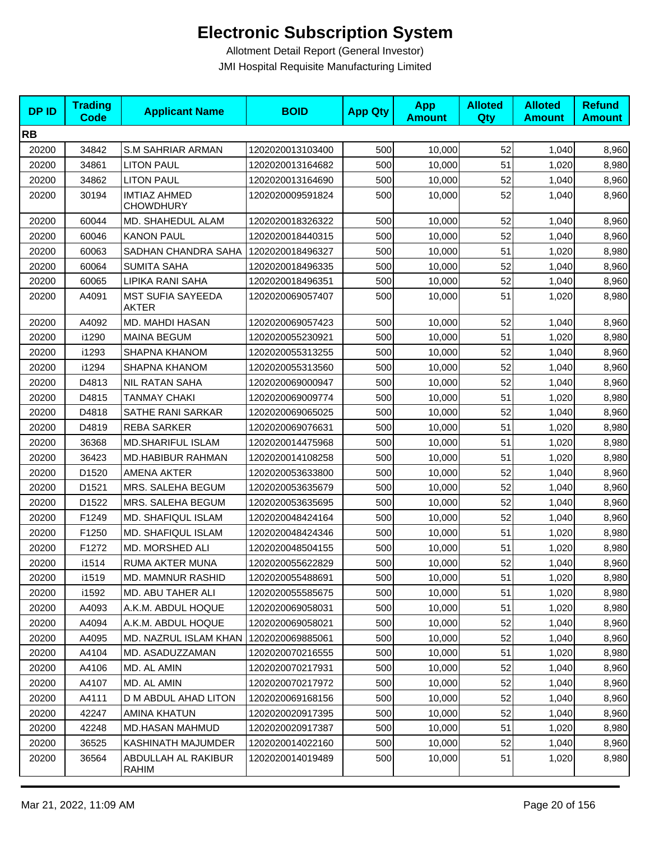| <b>DPID</b> | <b>Trading</b><br><b>Code</b> | <b>Applicant Name</b>                    | <b>BOID</b>      | <b>App Qty</b> | <b>App</b><br><b>Amount</b> | <b>Alloted</b><br>Qty | <b>Alloted</b><br><b>Amount</b> | <b>Refund</b><br><b>Amount</b> |
|-------------|-------------------------------|------------------------------------------|------------------|----------------|-----------------------------|-----------------------|---------------------------------|--------------------------------|
| <b>RB</b>   |                               |                                          |                  |                |                             |                       |                                 |                                |
| 20200       | 34842                         | <b>S.M SAHRIAR ARMAN</b>                 | 1202020013103400 | 500            | 10,000                      | 52                    | 1,040                           | 8,960                          |
| 20200       | 34861                         | <b>LITON PAUL</b>                        | 1202020013164682 | 500            | 10,000                      | 51                    | 1,020                           | 8,980                          |
| 20200       | 34862                         | <b>LITON PAUL</b>                        | 1202020013164690 | 500            | 10,000                      | 52                    | 1,040                           | 8,960                          |
| 20200       | 30194                         | <b>IMTIAZ AHMED</b><br><b>CHOWDHURY</b>  | 1202020009591824 | 500            | 10,000                      | 52                    | 1,040                           | 8,960                          |
| 20200       | 60044                         | MD. SHAHEDUL ALAM                        | 1202020018326322 | 500            | 10,000                      | 52                    | 1,040                           | 8,960                          |
| 20200       | 60046                         | <b>KANON PAUL</b>                        | 1202020018440315 | 500            | 10,000                      | 52                    | 1,040                           | 8,960                          |
| 20200       | 60063                         | SADHAN CHANDRA SAHA                      | 1202020018496327 | 500            | 10,000                      | 51                    | 1,020                           | 8,980                          |
| 20200       | 60064                         | <b>SUMITA SAHA</b>                       | 1202020018496335 | 500            | 10,000                      | 52                    | 1,040                           | 8,960                          |
| 20200       | 60065                         | LIPIKA RANI SAHA                         | 1202020018496351 | 500            | 10,000                      | 52                    | 1,040                           | 8,960                          |
| 20200       | A4091                         | <b>MST SUFIA SAYEEDA</b><br><b>AKTER</b> | 1202020069057407 | 500            | 10,000                      | 51                    | 1,020                           | 8,980                          |
| 20200       | A4092                         | MD. MAHDI HASAN                          | 1202020069057423 | 500            | 10,000                      | 52                    | 1,040                           | 8,960                          |
| 20200       | i1290                         | <b>MAINA BEGUM</b>                       | 1202020055230921 | 500            | 10,000                      | 51                    | 1,020                           | 8,980                          |
| 20200       | i1293                         | <b>SHAPNA KHANOM</b>                     | 1202020055313255 | 500            | 10,000                      | 52                    | 1,040                           | 8,960                          |
| 20200       | i1294                         | SHAPNA KHANOM                            | 1202020055313560 | 500            | 10,000                      | 52                    | 1,040                           | 8,960                          |
| 20200       | D4813                         | <b>NIL RATAN SAHA</b>                    | 1202020069000947 | 500            | 10,000                      | 52                    | 1,040                           | 8,960                          |
| 20200       | D4815                         | <b>TANMAY CHAKI</b>                      | 1202020069009774 | 500            | 10,000                      | 51                    | 1,020                           | 8,980                          |
| 20200       | D4818                         | SATHE RANI SARKAR                        | 1202020069065025 | 500            | 10,000                      | 52                    | 1,040                           | 8,960                          |
| 20200       | D4819                         | <b>REBA SARKER</b>                       | 1202020069076631 | 500            | 10,000                      | 51                    | 1,020                           | 8,980                          |
| 20200       | 36368                         | <b>MD.SHARIFUL ISLAM</b>                 | 1202020014475968 | 500            | 10,000                      | 51                    | 1,020                           | 8,980                          |
| 20200       | 36423                         | MD.HABIBUR RAHMAN                        | 1202020014108258 | 500            | 10,000                      | 51                    | 1,020                           | 8,980                          |
| 20200       | D1520                         | <b>AMENA AKTER</b>                       | 1202020053633800 | 500            | 10,000                      | 52                    | 1,040                           | 8,960                          |
| 20200       | D1521                         | MRS. SALEHA BEGUM                        | 1202020053635679 | 500            | 10,000                      | 52                    | 1,040                           | 8,960                          |
| 20200       | D1522                         | MRS. SALEHA BEGUM                        | 1202020053635695 | 500            | 10,000                      | 52                    | 1,040                           | 8,960                          |
| 20200       | F1249                         | MD. SHAFIQUL ISLAM                       | 1202020048424164 | 500            | 10,000                      | 52                    | 1,040                           | 8,960                          |
| 20200       | F1250                         | MD. SHAFIQUL ISLAM                       | 1202020048424346 | 500            | 10,000                      | 51                    | 1,020                           | 8,980                          |
| 20200       | F1272                         | MD. MORSHED ALI                          | 1202020048504155 | 500            | 10,000                      | 51                    | 1,020                           | 8,980                          |
| 20200       | i1514                         | RUMA AKTER MUNA                          | 1202020055622829 | 500            | 10,000                      | 52                    | 1,040                           | 8,960                          |
| 20200       | i1519                         | MD. MAMNUR RASHID                        | 1202020055488691 | 500            | 10,000                      | 51                    | 1,020                           | 8,980                          |
| 20200       | i1592                         | <b>MD. ABU TAHER ALI</b>                 | 1202020055585675 | 500            | 10,000                      | 51                    | 1,020                           | 8,980                          |
| 20200       | A4093                         | A.K.M. ABDUL HOQUE                       | 1202020069058031 | 500            | 10,000                      | 51                    | 1,020                           | 8,980                          |
| 20200       | A4094                         | A.K.M. ABDUL HOQUE                       | 1202020069058021 | 500            | 10,000                      | 52                    | 1,040                           | 8,960                          |
| 20200       | A4095                         | MD. NAZRUL ISLAM KHAN                    | 1202020069885061 | 500            | 10,000                      | 52                    | 1,040                           | 8,960                          |
| 20200       | A4104                         | MD. ASADUZZAMAN                          | 1202020070216555 | 500            | 10,000                      | 51                    | 1,020                           | 8,980                          |
| 20200       | A4106                         | MD. AL AMIN                              | 1202020070217931 | 500            | 10,000                      | 52                    | 1,040                           | 8,960                          |
| 20200       | A4107                         | MD. AL AMIN                              | 1202020070217972 | 500            | 10,000                      | 52                    | 1,040                           | 8,960                          |
| 20200       | A4111                         | D M ABDUL AHAD LITON                     | 1202020069168156 | 500            | 10,000                      | 52                    | 1,040                           | 8,960                          |
| 20200       | 42247                         | AMINA KHATUN                             | 1202020020917395 | 500            | 10,000                      | 52                    | 1,040                           | 8,960                          |
| 20200       | 42248                         | MD.HASAN MAHMUD                          | 1202020020917387 | 500            | 10,000                      | 51                    | 1,020                           | 8,980                          |
| 20200       | 36525                         | KASHINATH MAJUMDER                       | 1202020014022160 | 500            | 10,000                      | 52                    | 1,040                           | 8,960                          |
| 20200       | 36564                         | ABDULLAH AL RAKIBUR<br>RAHIM             | 1202020014019489 | 500            | 10,000                      | 51                    | 1,020                           | 8,980                          |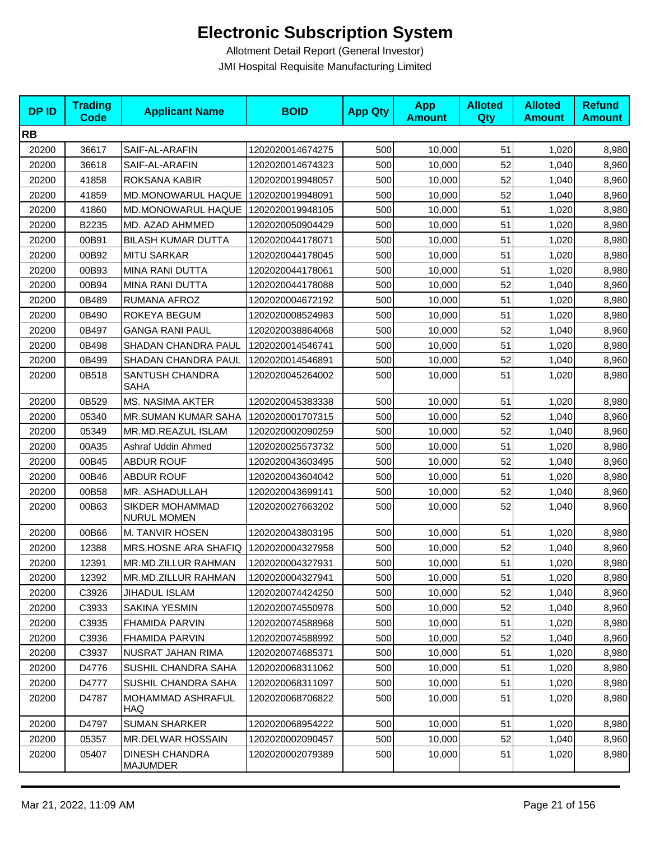| <b>DPID</b> | <b>Trading</b><br><b>Code</b> | <b>Applicant Name</b>                        | <b>BOID</b>      | <b>App Qty</b> | <b>App</b><br><b>Amount</b> | <b>Alloted</b><br>Qty | <b>Alloted</b><br><b>Amount</b> | <b>Refund</b><br><b>Amount</b> |
|-------------|-------------------------------|----------------------------------------------|------------------|----------------|-----------------------------|-----------------------|---------------------------------|--------------------------------|
| <b>RB</b>   |                               |                                              |                  |                |                             |                       |                                 |                                |
| 20200       | 36617                         | SAIF-AL-ARAFIN                               | 1202020014674275 | 500            | 10,000                      | 51                    | 1,020                           | 8,980                          |
| 20200       | 36618                         | SAIF-AL-ARAFIN                               | 1202020014674323 | 500            | 10,000                      | 52                    | 1,040                           | 8,960                          |
| 20200       | 41858                         | ROKSANA KABIR                                | 1202020019948057 | 500            | 10,000                      | 52                    | 1,040                           | 8,960                          |
| 20200       | 41859                         | MD.MONOWARUL HAQUE                           | 1202020019948091 | 500            | 10,000                      | 52                    | 1,040                           | 8,960                          |
| 20200       | 41860                         | MD.MONOWARUL HAQUE                           | 1202020019948105 | 500            | 10,000                      | 51                    | 1,020                           | 8,980                          |
| 20200       | B2235                         | MD. AZAD AHMMED                              | 1202020050904429 | 500            | 10,000                      | 51                    | 1,020                           | 8,980                          |
| 20200       | 00B91                         | <b>BILASH KUMAR DUTTA</b>                    | 1202020044178071 | 500            | 10,000                      | 51                    | 1,020                           | 8,980                          |
| 20200       | 00B92                         | <b>MITU SARKAR</b>                           | 1202020044178045 | 500            | 10,000                      | 51                    | 1,020                           | 8,980                          |
| 20200       | 00B93                         | <b>MINA RANI DUTTA</b>                       | 1202020044178061 | 500            | 10,000                      | 51                    | 1,020                           | 8,980                          |
| 20200       | 00B94                         | MINA RANI DUTTA                              | 1202020044178088 | 500            | 10,000                      | 52                    | 1,040                           | 8,960                          |
| 20200       | 0B489                         | RUMANA AFROZ                                 | 1202020004672192 | 500            | 10,000                      | 51                    | 1,020                           | 8,980                          |
| 20200       | 0B490                         | ROKEYA BEGUM                                 | 1202020008524983 | 500            | 10,000                      | 51                    | 1,020                           | 8,980                          |
| 20200       | 0B497                         | <b>GANGA RANI PAUL</b>                       | 1202020038864068 | 500            | 10,000                      | 52                    | 1,040                           | 8,960                          |
| 20200       | 0B498                         | SHADAN CHANDRA PAUL                          | 1202020014546741 | 500            | 10,000                      | 51                    | 1,020                           | 8,980                          |
| 20200       | 0B499                         | SHADAN CHANDRA PAUL                          | 1202020014546891 | 500            | 10,000                      | 52                    | 1,040                           | 8,960                          |
| 20200       | 0B518                         | SANTUSH CHANDRA<br><b>SAHA</b>               | 1202020045264002 | 500            | 10,000                      | 51                    | 1,020                           | 8,980                          |
| 20200       | 0B529                         | <b>MS. NASIMA AKTER</b>                      | 1202020045383338 | 500            | 10,000                      | 51                    | 1,020                           | 8,980                          |
| 20200       | 05340                         | <b>MR.SUMAN KUMAR SAHA</b>                   | 1202020001707315 | 500            | 10,000                      | 52                    | 1,040                           | 8,960                          |
| 20200       | 05349                         | MR.MD.REAZUL ISLAM                           | 1202020002090259 | 500            | 10,000                      | 52                    | 1,040                           | 8,960                          |
| 20200       | 00A35                         | Ashraf Uddin Ahmed                           | 1202020025573732 | 500            | 10,000                      | 51                    | 1,020                           | 8,980                          |
| 20200       | 00B45                         | <b>ABDUR ROUF</b>                            | 1202020043603495 | 500            | 10,000                      | 52                    | 1,040                           | 8,960                          |
| 20200       | 00B46                         | <b>ABDUR ROUF</b>                            | 1202020043604042 | 500            | 10,000                      | 51                    | 1,020                           | 8,980                          |
| 20200       | 00B58                         | MR. ASHADULLAH                               | 1202020043699141 | 500            | 10,000                      | 52                    | 1,040                           | 8,960                          |
| 20200       | 00B63                         | <b>SIKDER MOHAMMAD</b><br><b>NURUL MOMEN</b> | 1202020027663202 | 500            | 10,000                      | 52                    | 1,040                           | 8,960                          |
| 20200       | 00B66                         | M. TANVIR HOSEN                              | 1202020043803195 | 500            | 10,000                      | 51                    | 1,020                           | 8,980                          |
| 20200       | 12388                         | MRS.HOSNE ARA SHAFIQ                         | 1202020004327958 | 500            | 10,000                      | 52                    | 1,040                           | 8,960                          |
| 20200       | 12391                         | MR.MD.ZILLUR RAHMAN                          | 1202020004327931 | 500            | 10,000                      | 51                    | 1,020                           | 8,980                          |
| 20200       | 12392                         | MR.MD.ZILLUR RAHMAN                          | 1202020004327941 | 500            | 10,000                      | 51                    | 1,020                           | 8,980                          |
| 20200       | C3926                         | <b>JIHADUL ISLAM</b>                         | 1202020074424250 | 500            | 10,000                      | 52                    | 1,040                           | 8,960                          |
| 20200       | C3933                         | SAKINA YESMIN                                | 1202020074550978 | 500            | 10,000                      | 52                    | 1,040                           | 8,960                          |
| 20200       | C3935                         | <b>FHAMIDA PARVIN</b>                        | 1202020074588968 | 500            | 10,000                      | 51                    | 1,020                           | 8,980                          |
| 20200       | C3936                         | FHAMIDA PARVIN                               | 1202020074588992 | 500            | 10,000                      | 52                    | 1,040                           | 8,960                          |
| 20200       | C3937                         | <b>NUSRAT JAHAN RIMA</b>                     | 1202020074685371 | 500            | 10,000                      | 51                    | 1,020                           | 8,980                          |
| 20200       | D4776                         | SUSHIL CHANDRA SAHA                          | 1202020068311062 | 500            | 10,000                      | 51                    | 1,020                           | 8,980                          |
| 20200       | D4777                         | SUSHIL CHANDRA SAHA                          | 1202020068311097 | 500            | 10,000                      | 51                    | 1,020                           | 8,980                          |
| 20200       | D4787                         | MOHAMMAD ASHRAFUL<br><b>HAQ</b>              | 1202020068706822 | 500            | 10,000                      | 51                    | 1,020                           | 8,980                          |
| 20200       | D4797                         | <b>SUMAN SHARKER</b>                         | 1202020068954222 | 500            | 10,000                      | 51                    | 1,020                           | 8,980                          |
| 20200       | 05357                         | <b>MR.DELWAR HOSSAIN</b>                     | 1202020002090457 | 500            | 10,000                      | 52                    | 1,040                           | 8,960                          |
| 20200       | 05407                         | <b>DINESH CHANDRA</b><br>MAJUMDER            | 1202020002079389 | 500            | 10,000                      | 51                    | 1,020                           | 8,980                          |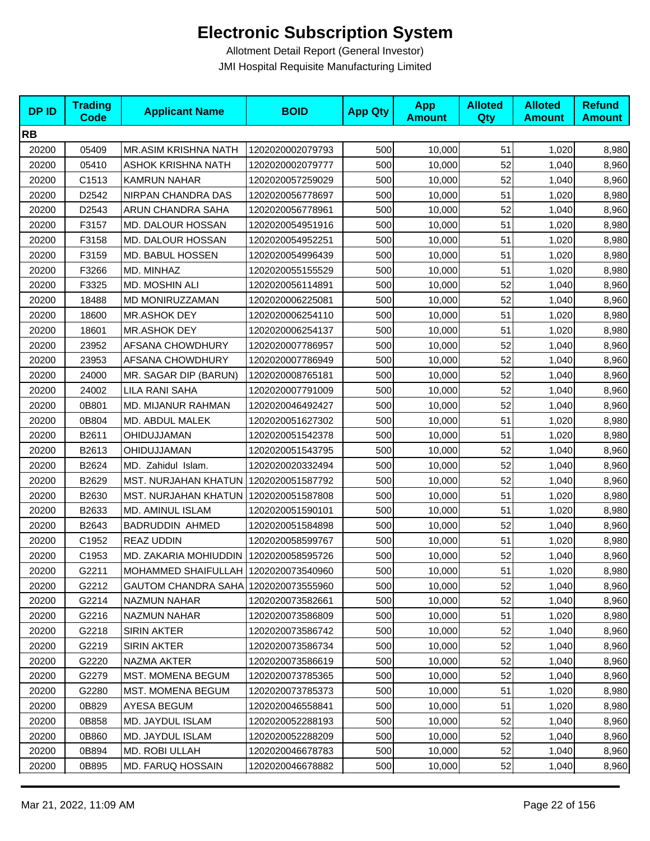| <b>DPID</b> | <b>Trading</b><br><b>Code</b> | <b>Applicant Name</b>                   | <b>BOID</b>      | <b>App Qty</b> | <b>App</b><br><b>Amount</b> | <b>Alloted</b><br><b>Qty</b> | <b>Alloted</b><br><b>Amount</b> | <b>Refund</b><br><b>Amount</b> |
|-------------|-------------------------------|-----------------------------------------|------------------|----------------|-----------------------------|------------------------------|---------------------------------|--------------------------------|
| <b>RB</b>   |                               |                                         |                  |                |                             |                              |                                 |                                |
| 20200       | 05409                         | MR.ASIM KRISHNA NATH                    | 1202020002079793 | 500            | 10,000                      | 51                           | 1,020                           | 8,980                          |
| 20200       | 05410                         | <b>ASHOK KRISHNA NATH</b>               | 1202020002079777 | 500            | 10,000                      | 52                           | 1,040                           | 8,960                          |
| 20200       | C1513                         | <b>KAMRUN NAHAR</b>                     | 1202020057259029 | 500            | 10,000                      | 52                           | 1,040                           | 8,960                          |
| 20200       | D2542                         | NIRPAN CHANDRA DAS                      | 1202020056778697 | 500            | 10,000                      | 51                           | 1,020                           | 8,980                          |
| 20200       | D2543                         | ARUN CHANDRA SAHA                       | 1202020056778961 | 500            | 10,000                      | 52                           | 1,040                           | 8,960                          |
| 20200       | F3157                         | MD. DALOUR HOSSAN                       | 1202020054951916 | 500            | 10,000                      | 51                           | 1,020                           | 8,980                          |
| 20200       | F3158                         | MD. DALOUR HOSSAN                       | 1202020054952251 | 500            | 10,000                      | 51                           | 1,020                           | 8,980                          |
| 20200       | F3159                         | MD. BABUL HOSSEN                        | 1202020054996439 | 500            | 10,000                      | 51                           | 1,020                           | 8,980                          |
| 20200       | F3266                         | MD. MINHAZ                              | 1202020055155529 | 500            | 10,000                      | 51                           | 1,020                           | 8,980                          |
| 20200       | F3325                         | MD. MOSHIN ALI                          | 1202020056114891 | 500            | 10,000                      | 52                           | 1,040                           | 8,960                          |
| 20200       | 18488                         | MD MONIRUZZAMAN                         | 1202020006225081 | 500            | 10,000                      | 52                           | 1,040                           | 8,960                          |
| 20200       | 18600                         | MR.ASHOK DEY                            | 1202020006254110 | 500            | 10,000                      | 51                           | 1,020                           | 8,980                          |
| 20200       | 18601                         | MR.ASHOK DEY                            | 1202020006254137 | 500            | 10,000                      | 51                           | 1,020                           | 8,980                          |
| 20200       | 23952                         | <b>AFSANA CHOWDHURY</b>                 | 1202020007786957 | 500            | 10,000                      | 52                           | 1,040                           | 8,960                          |
| 20200       | 23953                         | AFSANA CHOWDHURY                        | 1202020007786949 | 500            | 10,000                      | 52                           | 1,040                           | 8,960                          |
| 20200       | 24000                         | MR. SAGAR DIP (BARUN)                   | 1202020008765181 | 500            | 10,000                      | 52                           | 1,040                           | 8,960                          |
| 20200       | 24002                         | LILA RANI SAHA                          | 1202020007791009 | 500            | 10,000                      | 52                           | 1,040                           | 8,960                          |
| 20200       | 0B801                         | MD. MIJANUR RAHMAN                      | 1202020046492427 | 500            | 10,000                      | 52                           | 1,040                           | 8,960                          |
| 20200       | 0B804                         | MD. ABDUL MALEK                         | 1202020051627302 | 500            | 10,000                      | 51                           | 1,020                           | 8,980                          |
| 20200       | B2611                         | OHIDUJJAMAN                             | 1202020051542378 | 500            | 10,000                      | 51                           | 1,020                           | 8,980                          |
| 20200       | B2613                         | OHIDUJJAMAN                             | 1202020051543795 | 500            | 10,000                      | 52                           | 1,040                           | 8,960                          |
| 20200       | B2624                         | MD. Zahidul Islam.                      | 1202020020332494 | 500            | 10,000                      | 52                           | 1,040                           | 8,960                          |
| 20200       | B2629                         | MST. NURJAHAN KHATUN   1202020051587792 |                  | 500            | 10,000                      | 52                           | 1,040                           | 8,960                          |
| 20200       | B2630                         | MST. NURJAHAN KHATUN   1202020051587808 |                  | 500            | 10,000                      | 51                           | 1,020                           | 8,980                          |
| 20200       | B2633                         | MD. AMINUL ISLAM                        | 1202020051590101 | 500            | 10,000                      | 51                           | 1,020                           | 8,980                          |
| 20200       | B2643                         | <b>BADRUDDIN AHMED</b>                  | 1202020051584898 | 500            | 10,000                      | 52                           | 1,040                           | 8,960                          |
| 20200       | C1952                         | <b>REAZ UDDIN</b>                       | 1202020058599767 | 500            | 10,000                      | 51                           | 1,020                           | 8,980                          |
| 20200       | C1953                         | MD. ZAKARIA MOHIUDDIN                   | 1202020058595726 | 500            | 10,000                      | 52                           | 1,040                           | 8,960                          |
| 20200       | G2211                         | MOHAMMED SHAIFULLAH 1202020073540960    |                  | 500            | 10,000                      | 51                           | 1,020                           | 8,980                          |
| 20200       | G2212                         | GAUTOM CHANDRA SAHA   1202020073555960  |                  | 500            | 10,000                      | 52                           | 1,040                           | 8,960                          |
| 20200       | G2214                         | NAZMUN NAHAR                            | 1202020073582661 | 500            | 10,000                      | 52                           | 1,040                           | 8,960                          |
| 20200       | G2216                         | <b>NAZMUN NAHAR</b>                     | 1202020073586809 | 500            | 10,000                      | 51                           | 1,020                           | 8,980                          |
| 20200       | G2218                         | <b>SIRIN AKTER</b>                      | 1202020073586742 | 500            | 10,000                      | 52                           | 1,040                           | 8,960                          |
| 20200       | G2219                         | <b>SIRIN AKTER</b>                      | 1202020073586734 | 500            | 10,000                      | 52                           | 1,040                           | 8,960                          |
| 20200       | G2220                         | NAZMA AKTER                             | 1202020073586619 | 500            | 10,000                      | 52                           | 1,040                           | 8,960                          |
| 20200       | G2279                         | <b>MST. MOMENA BEGUM</b>                | 1202020073785365 | 500            | 10,000                      | 52                           | 1,040                           | 8,960                          |
| 20200       | G2280                         | <b>MST. MOMENA BEGUM</b>                | 1202020073785373 | 500            | 10,000                      | 51                           | 1,020                           | 8,980                          |
| 20200       | 0B829                         | AYESA BEGUM                             | 1202020046558841 | 500            | 10,000                      | 51                           | 1,020                           | 8,980                          |
| 20200       | 0B858                         | MD. JAYDUL ISLAM                        | 1202020052288193 | 500            | 10,000                      | 52                           | 1,040                           | 8,960                          |
| 20200       | 0B860                         | MD. JAYDUL ISLAM                        | 1202020052288209 | 500            | 10,000                      | 52                           | 1,040                           | 8,960                          |
| 20200       | 0B894                         | MD. ROBI ULLAH                          | 1202020046678783 | 500            | 10,000                      | 52                           | 1,040                           | 8,960                          |
| 20200       | 0B895                         | MD. FARUQ HOSSAIN                       | 1202020046678882 | 500            | 10,000                      | 52                           | 1,040                           | 8,960                          |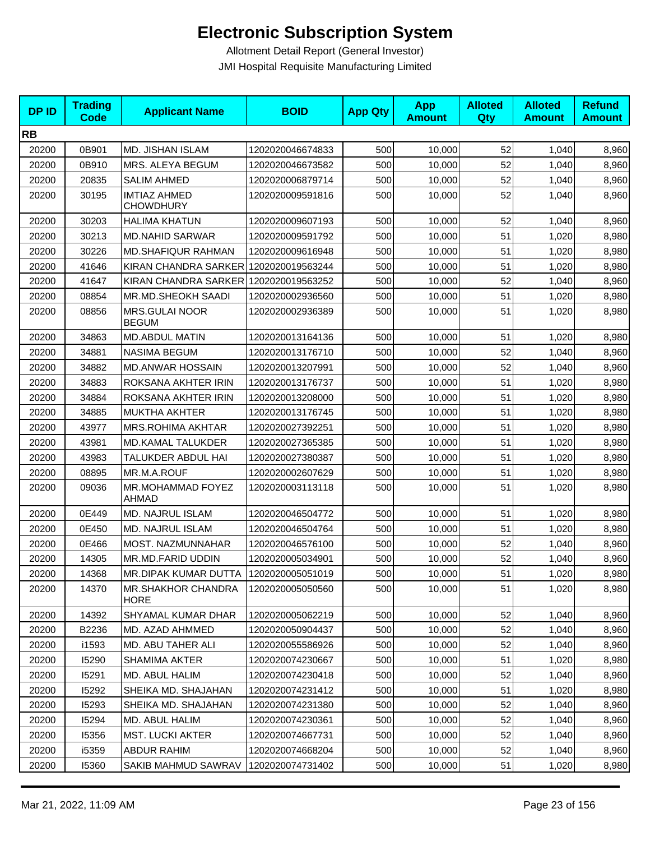| <b>DPID</b> | <b>Trading</b><br><b>Code</b> | <b>Applicant Name</b>                   | <b>BOID</b>      | <b>App Qty</b> | <b>App</b><br><b>Amount</b> | <b>Alloted</b><br>Qty | <b>Alloted</b><br><b>Amount</b> | <b>Refund</b><br><b>Amount</b> |
|-------------|-------------------------------|-----------------------------------------|------------------|----------------|-----------------------------|-----------------------|---------------------------------|--------------------------------|
| <b>RB</b>   |                               |                                         |                  |                |                             |                       |                                 |                                |
| 20200       | 0B901                         | MD. JISHAN ISLAM                        | 1202020046674833 | 500            | 10,000                      | 52                    | 1,040                           | 8,960                          |
| 20200       | 0B910                         | MRS. ALEYA BEGUM                        | 1202020046673582 | 500            | 10,000                      | 52                    | 1,040                           | 8,960                          |
| 20200       | 20835                         | <b>SALIM AHMED</b>                      | 1202020006879714 | 500            | 10,000                      | 52                    | 1,040                           | 8,960                          |
| 20200       | 30195                         | <b>IMTIAZ AHMED</b><br><b>CHOWDHURY</b> | 1202020009591816 | 500            | 10,000                      | 52                    | 1,040                           | 8,960                          |
| 20200       | 30203                         | <b>HALIMA KHATUN</b>                    | 1202020009607193 | 500            | 10,000                      | 52                    | 1,040                           | 8,960                          |
| 20200       | 30213                         | <b>MD.NAHID SARWAR</b>                  | 1202020009591792 | 500            | 10,000                      | 51                    | 1,020                           | 8,980                          |
| 20200       | 30226                         | <b>MD.SHAFIQUR RAHMAN</b>               | 1202020009616948 | 500            | 10,000                      | 51                    | 1,020                           | 8,980                          |
| 20200       | 41646                         | KIRAN CHANDRA SARKER 1202020019563244   |                  | 500            | 10,000                      | 51                    | 1,020                           | 8,980                          |
| 20200       | 41647                         | KIRAN CHANDRA SARKER 1202020019563252   |                  | 500            | 10,000                      | 52                    | 1,040                           | 8,960                          |
| 20200       | 08854                         | MR.MD.SHEOKH SAADI                      | 1202020002936560 | 500            | 10,000                      | 51                    | 1,020                           | 8,980                          |
| 20200       | 08856                         | MRS.GULAI NOOR<br><b>BEGUM</b>          | 1202020002936389 | 500            | 10,000                      | 51                    | 1,020                           | 8,980                          |
| 20200       | 34863                         | <b>MD.ABDUL MATIN</b>                   | 1202020013164136 | 500            | 10,000                      | 51                    | 1,020                           | 8,980                          |
| 20200       | 34881                         | <b>NASIMA BEGUM</b>                     | 1202020013176710 | 500            | 10,000                      | 52                    | 1,040                           | 8,960                          |
| 20200       | 34882                         | <b>MD.ANWAR HOSSAIN</b>                 | 1202020013207991 | 500            | 10,000                      | 52                    | 1,040                           | 8,960                          |
| 20200       | 34883                         | ROKSANA AKHTER IRIN                     | 1202020013176737 | 500            | 10,000                      | 51                    | 1,020                           | 8,980                          |
| 20200       | 34884                         | ROKSANA AKHTER IRIN                     | 1202020013208000 | 500            | 10,000                      | 51                    | 1,020                           | 8,980                          |
| 20200       | 34885                         | <b>MUKTHA AKHTER</b>                    | 1202020013176745 | 500            | 10,000                      | 51                    | 1,020                           | 8,980                          |
| 20200       | 43977                         | <b>MRS.ROHIMA AKHTAR</b>                | 1202020027392251 | 500            | 10,000                      | 51                    | 1,020                           | 8,980                          |
| 20200       | 43981                         | MD.KAMAL TALUKDER                       | 1202020027365385 | 500            | 10,000                      | 51                    | 1,020                           | 8,980                          |
| 20200       | 43983                         | TALUKDER ABDUL HAI                      | 1202020027380387 | 500            | 10,000                      | 51                    | 1,020                           | 8,980                          |
| 20200       | 08895                         | MR.M.A.ROUF                             | 1202020002607629 | 500            | 10,000                      | 51                    | 1,020                           | 8,980                          |
| 20200       | 09036                         | MR.MOHAMMAD FOYEZ<br>AHMAD              | 1202020003113118 | 500            | 10,000                      | 51                    | 1,020                           | 8,980                          |
| 20200       | 0E449                         | MD. NAJRUL ISLAM                        | 1202020046504772 | 500            | 10,000                      | 51                    | 1,020                           | 8,980                          |
| 20200       | 0E450                         | MD. NAJRUL ISLAM                        | 1202020046504764 | 500            | 10,000                      | 51                    | 1,020                           | 8,980                          |
| 20200       | 0E466                         | MOST. NAZMUNNAHAR                       | 1202020046576100 | 500            | 10,000                      | 52                    | 1,040                           | 8,960                          |
| 20200       | 14305                         | MR.MD.FARID UDDIN                       | 1202020005034901 | 500            | 10,000                      | 52                    | 1,040                           | 8,960                          |
| 20200       | 14368                         | MR.DIPAK KUMAR DUTTA   1202020005051019 |                  | 500            | 10,000                      | 51                    | 1,020                           | 8,980                          |
| 20200       | 14370                         | MR.SHAKHOR CHANDRA<br><b>HORE</b>       | 1202020005050560 | 500            | 10,000                      | 51                    | 1,020                           | 8,980                          |
| 20200       | 14392                         | SHYAMAL KUMAR DHAR                      | 1202020005062219 | 500            | 10,000                      | 52                    | 1,040                           | 8,960                          |
| 20200       | B2236                         | MD. AZAD AHMMED                         | 1202020050904437 | 500            | 10,000                      | 52                    | 1,040                           | 8,960                          |
| 20200       | i1593                         | <b>MD. ABU TAHER ALI</b>                | 1202020055586926 | 500            | 10,000                      | 52                    | 1,040                           | 8,960                          |
| 20200       | 15290                         | <b>SHAMIMA AKTER</b>                    | 1202020074230667 | 500            | 10,000                      | 51                    | 1,020                           | 8,980                          |
| 20200       | 15291                         | MD. ABUL HALIM                          | 1202020074230418 | 500            | 10,000                      | 52                    | 1,040                           | 8,960                          |
| 20200       | 15292                         | SHEIKA MD. SHAJAHAN                     | 1202020074231412 | 500            | 10,000                      | 51                    | 1,020                           | 8,980                          |
| 20200       | 15293                         | SHEIKA MD. SHAJAHAN                     | 1202020074231380 | 500            | 10,000                      | 52                    | 1,040                           | 8,960                          |
| 20200       | 15294                         | MD. ABUL HALIM                          | 1202020074230361 | 500            | 10,000                      | 52                    | 1,040                           | 8,960                          |
| 20200       | 15356                         | <b>MST. LUCKI AKTER</b>                 | 1202020074667731 | 500            | 10,000                      | 52                    | 1,040                           | 8,960                          |
| 20200       | i5359                         | ABDUR RAHIM                             | 1202020074668204 | 500            | 10,000                      | 52                    | 1,040                           | 8,960                          |
| 20200       | 15360                         | SAKIB MAHMUD SAWRAV                     | 1202020074731402 | 500            | 10,000                      | 51                    | 1,020                           | 8,980                          |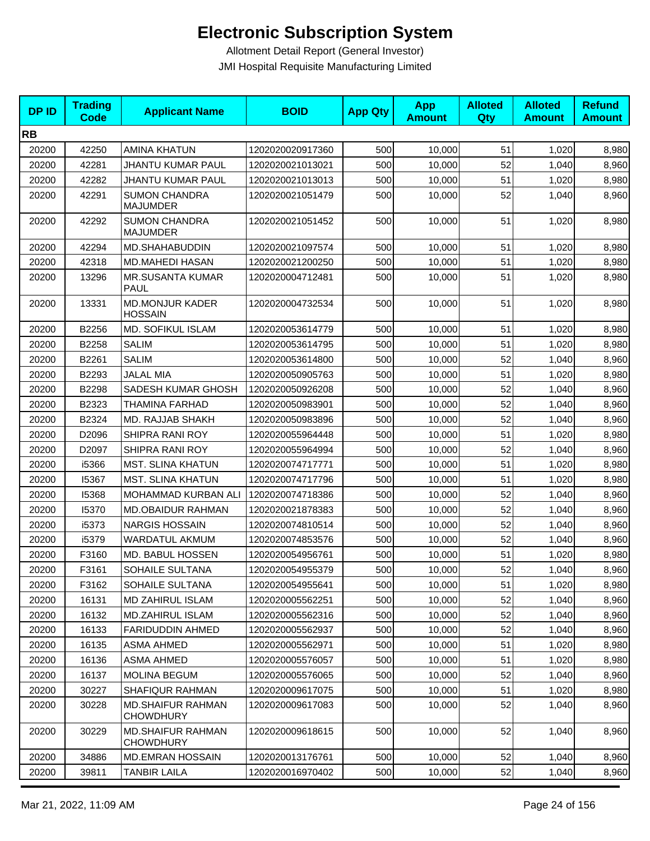| <b>RB</b><br>51<br>20200<br>42250<br><b>AMINA KHATUN</b><br>1202020020917360<br>500<br>10,000<br>1,020<br>500<br>52<br>20200<br>42281<br><b>JHANTU KUMAR PAUL</b><br>1202020021013021<br>10,000<br>1,040 | 8,980                   |
|----------------------------------------------------------------------------------------------------------------------------------------------------------------------------------------------------------|-------------------------|
|                                                                                                                                                                                                          |                         |
|                                                                                                                                                                                                          | 8,960<br>8,980<br>8,960 |
|                                                                                                                                                                                                          |                         |
| 20200<br>42282<br><b>JHANTU KUMAR PAUL</b><br>1202020021013013<br>500<br>51<br>1,020<br>10,000                                                                                                           |                         |
| <b>SUMON CHANDRA</b><br>52<br>20200<br>42291<br>1202020021051479<br>500<br>10,000<br>1,040<br><b>MAJUMDER</b>                                                                                            |                         |
| <b>SUMON CHANDRA</b><br>42292<br>1202020021051452<br>500<br>51<br>1,020<br>20200<br>10,000<br>MAJUMDER                                                                                                   | 8,980                   |
| 42294<br>MD.SHAHABUDDIN<br>1202020021097574<br>500<br>51<br>20200<br>10,000<br>1,020                                                                                                                     | 8,980                   |
| 51<br>20200<br>42318<br><b>MD.MAHEDI HASAN</b><br>1202020021200250<br>500<br>1,020<br>10,000                                                                                                             | 8,980                   |
| 51<br>20200<br>13296<br><b>MR.SUSANTA KUMAR</b><br>500<br>1,020<br>1202020004712481<br>10,000<br><b>PAUL</b>                                                                                             | 8,980                   |
| 51<br><b>MD.MONJUR KADER</b><br>500<br>20200<br>13331<br>1202020004732534<br>10,000<br>1,020<br><b>HOSSAIN</b>                                                                                           | 8,980                   |
| 20200<br>B2256<br>MD. SOFIKUL ISLAM<br>1202020053614779<br>500<br>51<br>10,000<br>1,020                                                                                                                  | 8,980                   |
| <b>SALIM</b><br>51<br>20200<br>B2258<br>1202020053614795<br>500<br>1,020<br>10,000                                                                                                                       | 8,980                   |
| 52<br>20200<br>B2261<br><b>SALIM</b><br>500<br>1,040<br>1202020053614800<br>10,000                                                                                                                       | 8,960                   |
| 20200<br>B2293<br><b>JALAL MIA</b><br>1202020050905763<br>500<br>51<br>10,000<br>1,020                                                                                                                   | 8,980                   |
| 52<br>20200<br>B2298<br>SADESH KUMAR GHOSH<br>1202020050926208<br>500<br>10,000<br>1,040                                                                                                                 | 8,960                   |
| 52<br>20200<br>B2323<br>THAMINA FARHAD<br>1202020050983901<br>500<br>10,000<br>1,040                                                                                                                     | 8,960                   |
| 52<br>20200<br>B2324<br>MD. RAJJAB SHAKH<br>1202020050983896<br>500<br>10,000<br>1,040                                                                                                                   | 8,960                   |
| 20200<br>D2096<br>SHIPRA RANI ROY<br>500<br>51<br>1,020<br>1202020055964448<br>10,000                                                                                                                    | 8,980                   |
| 52<br>20200<br>D2097<br>SHIPRA RANI ROY<br>500<br>1202020055964994<br>10,000<br>1,040                                                                                                                    | 8,960                   |
| <b>MST. SLINA KHATUN</b><br>51<br>20200<br>i5366<br>1202020074717771<br>500<br>10,000<br>1,020                                                                                                           | 8,980                   |
| 20200<br>15367<br><b>MST. SLINA KHATUN</b><br>500<br>51<br>1,020<br>1202020074717796<br>10,000                                                                                                           | 8,980                   |
| 52<br>20200<br>15368<br>500<br><b>MOHAMMAD KURBAN ALI</b><br>1202020074718386<br>10,000<br>1,040                                                                                                         | 8,960                   |
| 52<br>20200<br>15370<br>MD.OBAIDUR RAHMAN<br>1202020021878383<br>500<br>1,040<br>10,000                                                                                                                  | 8,960                   |
| 52<br>20200<br>i5373<br><b>NARGIS HOSSAIN</b><br>1202020074810514<br>500<br>10,000<br>1,040                                                                                                              | 8,960                   |
| 52<br>20200<br>i5379<br>WARDATUL AKMUM<br>1202020074853576<br>500<br>1,040<br>10,000                                                                                                                     | 8,960                   |
| MD. BABUL HOSSEN<br>51<br>20200<br>F3160<br>1202020054956761<br>500<br>1,020<br>10,000                                                                                                                   | 8,980                   |
| 52<br>500<br>20200<br>F3161<br>SOHAILE SULTANA<br>10,000<br>1,040<br>1202020054955379                                                                                                                    | 8,960                   |
| 51<br>20200<br>F3162<br>SOHAILE SULTANA<br>500<br>10,000<br>1,020<br>1202020054955641                                                                                                                    | 8,980                   |
| 52<br>20200<br>16131<br><b>MD ZAHIRUL ISLAM</b><br>500<br>10,000<br>1,040<br>1202020005562251                                                                                                            | 8,960                   |
| <b>MD.ZAHIRUL ISLAM</b><br>500<br>52<br>20200<br>16132<br>1202020005562316<br>10,000<br>1,040                                                                                                            | 8,960                   |
| 500<br>52<br>20200<br>16133<br>FARIDUDDIN AHMED<br>1202020005562937<br>10,000<br>1,040                                                                                                                   | 8,960                   |
| 20200<br>500<br>10,000<br>51<br>1,020<br>16135<br><b>ASMA AHMED</b><br>1202020005562971                                                                                                                  | 8,980                   |
| 16136<br><b>ASMA AHMED</b><br>500<br>51<br>20200<br>1202020005576057<br>10,000<br>1,020                                                                                                                  | 8,980                   |
| 500<br>52<br>20200<br>16137<br>MOLINA BEGUM<br>1202020005576065<br>10,000<br>1,040                                                                                                                       | 8,960                   |
| 20200<br><b>SHAFIQUR RAHMAN</b><br>500<br>51<br>30227<br>1202020009617075<br>10,000<br>1,020                                                                                                             | 8,980                   |
| <b>MD.SHAIFUR RAHMAN</b><br>500<br>52<br>20200<br>30228<br>1202020009617083<br>10,000<br>1,040<br><b>CHOWDHURY</b>                                                                                       | 8,960                   |
| <b>MD.SHAIFUR RAHMAN</b><br>500<br>52<br>20200<br>30229<br>1202020009618615<br>10,000<br>1,040<br><b>CHOWDHURY</b>                                                                                       | 8,960                   |
| 52<br>20200<br>34886<br>1202020013176761<br>500<br><b>MD.EMRAN HOSSAIN</b><br>10,000<br>1,040                                                                                                            | 8,960                   |
| 20200<br>39811<br><b>TANBIR LAILA</b><br>1202020016970402<br>500<br>52<br>10,000<br>1,040                                                                                                                | 8,960                   |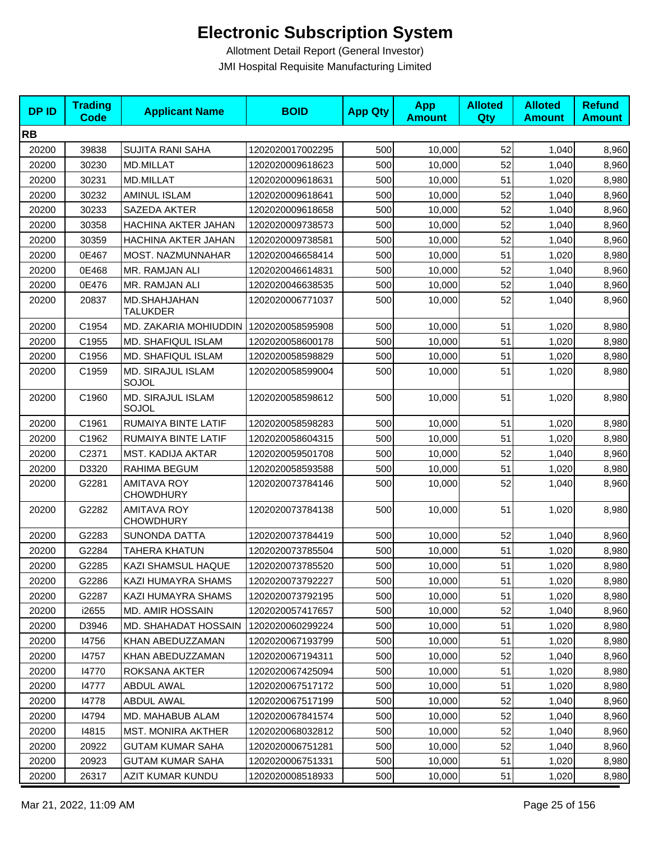| <b>DPID</b> | <b>Trading</b><br><b>Code</b> | <b>Applicant Name</b>                    | <b>BOID</b>      | <b>App Qty</b> | <b>App</b><br><b>Amount</b> | <b>Alloted</b><br>Qty | <b>Alloted</b><br><b>Amount</b> | <b>Refund</b><br><b>Amount</b> |
|-------------|-------------------------------|------------------------------------------|------------------|----------------|-----------------------------|-----------------------|---------------------------------|--------------------------------|
| <b>RB</b>   |                               |                                          |                  |                |                             |                       |                                 |                                |
| 20200       | 39838                         | <b>SUJITA RANI SAHA</b>                  | 1202020017002295 | 500            | 10,000                      | 52                    | 1,040                           | 8,960                          |
| 20200       | 30230                         | MD.MILLAT                                | 1202020009618623 | 500            | 10,000                      | 52                    | 1,040                           | 8,960                          |
| 20200       | 30231                         | <b>MD.MILLAT</b>                         | 1202020009618631 | 500            | 10,000                      | 51                    | 1,020                           | 8,980                          |
| 20200       | 30232                         | <b>AMINUL ISLAM</b>                      | 1202020009618641 | 500            | 10,000                      | 52                    | 1,040                           | 8,960                          |
| 20200       | 30233                         | SAZEDA AKTER                             | 1202020009618658 | 500            | 10,000                      | 52                    | 1,040                           | 8,960                          |
| 20200       | 30358                         | HACHINA AKTER JAHAN                      | 1202020009738573 | 500            | 10,000                      | 52                    | 1,040                           | 8,960                          |
| 20200       | 30359                         | HACHINA AKTER JAHAN                      | 1202020009738581 | 500            | 10,000                      | 52                    | 1,040                           | 8,960                          |
| 20200       | 0E467                         | MOST. NAZMUNNAHAR                        | 1202020046658414 | 500            | 10,000                      | 51                    | 1,020                           | 8,980                          |
| 20200       | 0E468                         | MR. RAMJAN ALI                           | 1202020046614831 | 500            | 10,000                      | 52                    | 1,040                           | 8,960                          |
| 20200       | 0E476                         | MR. RAMJAN ALI                           | 1202020046638535 | 500            | 10,000                      | 52                    | 1,040                           | 8,960                          |
| 20200       | 20837                         | MD.SHAHJAHAN<br><b>TALUKDER</b>          | 1202020006771037 | 500            | 10,000                      | 52                    | 1,040                           | 8,960                          |
| 20200       | C1954                         | MD. ZAKARIA MOHIUDDIN   1202020058595908 |                  | 500            | 10,000                      | 51                    | 1,020                           | 8,980                          |
| 20200       | C1955                         | MD. SHAFIQUL ISLAM                       | 1202020058600178 | 500            | 10,000                      | 51                    | 1,020                           | 8,980                          |
| 20200       | C1956                         | MD. SHAFIQUL ISLAM                       | 1202020058598829 | 500            | 10,000                      | 51                    | 1,020                           | 8,980                          |
| 20200       | C1959                         | MD. SIRAJUL ISLAM<br>SOJOL               | 1202020058599004 | 500            | 10,000                      | 51                    | 1,020                           | 8,980                          |
| 20200       | C1960                         | MD. SIRAJUL ISLAM<br>SOJOL               | 1202020058598612 | 500            | 10,000                      | 51                    | 1,020                           | 8,980                          |
| 20200       | C1961                         | RUMAIYA BINTE LATIF                      | 1202020058598283 | 500            | 10,000                      | 51                    | 1,020                           | 8,980                          |
| 20200       | C1962                         | RUMAIYA BINTE LATIF                      | 1202020058604315 | 500            | 10,000                      | 51                    | 1,020                           | 8,980                          |
| 20200       | C2371                         | MST. KADIJA AKTAR                        | 1202020059501708 | 500            | 10,000                      | 52                    | 1,040                           | 8,960                          |
| 20200       | D3320                         | RAHIMA BEGUM                             | 1202020058593588 | 500            | 10,000                      | 51                    | 1,020                           | 8,980                          |
| 20200       | G2281                         | <b>AMITAVA ROY</b><br><b>CHOWDHURY</b>   | 1202020073784146 | 500            | 10,000                      | 52                    | 1,040                           | 8,960                          |
| 20200       | G2282                         | <b>AMITAVA ROY</b><br><b>CHOWDHURY</b>   | 1202020073784138 | 500            | 10,000                      | 51                    | 1,020                           | 8,980                          |
| 20200       | G2283                         | <b>SUNONDA DATTA</b>                     | 1202020073784419 | 500            | 10,000                      | 52                    | 1,040                           | 8,960                          |
| 20200       | G2284                         | TAHERA KHATUN                            | 1202020073785504 | 500            | 10,000                      | 51                    | 1,020                           | 8,980                          |
| 20200       | G2285                         | KAZI SHAMSUL HAQUE                       | 1202020073785520 | 500            | 10,000                      | 51                    | 1,020                           | 8,980                          |
| 20200       | G2286                         | KAZI HUMAYRA SHAMS                       | 1202020073792227 | 500            | 10,000                      | 51                    | 1,020                           | 8,980                          |
| 20200       | G2287                         | KAZI HUMAYRA SHAMS                       | 1202020073792195 | 500            | 10,000                      | 51                    | 1,020                           | 8,980                          |
| 20200       | i2655                         | MD. AMIR HOSSAIN                         | 1202020057417657 | 500            | 10,000                      | 52                    | 1,040                           | 8,960                          |
| 20200       | D3946                         | MD. SHAHADAT HOSSAIN                     | 1202020060299224 | 500            | 10,000                      | 51                    | 1,020                           | 8,980                          |
| 20200       | 14756                         | KHAN ABEDUZZAMAN                         | 1202020067193799 | 500            | 10,000                      | 51                    | 1,020                           | 8,980                          |
| 20200       | 14757                         | KHAN ABEDUZZAMAN                         | 1202020067194311 | 500            | 10,000                      | 52                    | 1,040                           | 8,960                          |
| 20200       | 14770                         | ROKSANA AKTER                            | 1202020067425094 | 500            | 10,000                      | 51                    | 1,020                           | 8,980                          |
| 20200       | 14777                         | <b>ABDUL AWAL</b>                        | 1202020067517172 | 500            | 10,000                      | 51                    | 1,020                           | 8,980                          |
| 20200       | 14778                         | ABDUL AWAL                               | 1202020067517199 | 500            | 10,000                      | 52                    | 1,040                           | 8,960                          |
| 20200       | 14794                         | MD. MAHABUB ALAM                         | 1202020067841574 | 500            | 10,000                      | 52                    | 1,040                           | 8,960                          |
| 20200       | 14815                         | <b>MST. MONIRA AKTHER</b>                | 1202020068032812 | 500            | 10,000                      | 52                    | 1,040                           | 8,960                          |
| 20200       | 20922                         | <b>GUTAM KUMAR SAHA</b>                  | 1202020006751281 | 500            | 10,000                      | 52                    | 1,040                           | 8,960                          |
| 20200       | 20923                         | <b>GUTAM KUMAR SAHA</b>                  | 1202020006751331 | 500            | 10,000                      | 51                    | 1,020                           | 8,980                          |
| 20200       | 26317                         | AZIT KUMAR KUNDU                         | 1202020008518933 | 500            | 10,000                      | 51                    | 1,020                           | 8,980                          |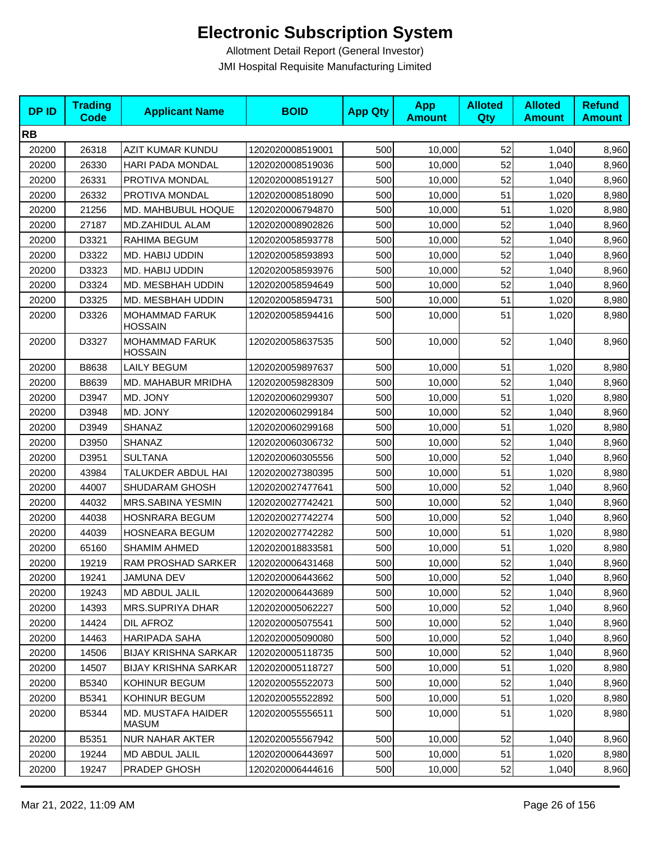| <b>DPID</b> | <b>Trading</b><br>Code | <b>Applicant Name</b>                   | <b>BOID</b>      | <b>App Qty</b> | <b>App</b><br><b>Amount</b> | <b>Alloted</b><br>Qty | <b>Alloted</b><br><b>Amount</b> | <b>Refund</b><br><b>Amount</b> |
|-------------|------------------------|-----------------------------------------|------------------|----------------|-----------------------------|-----------------------|---------------------------------|--------------------------------|
| <b>RB</b>   |                        |                                         |                  |                |                             |                       |                                 |                                |
| 20200       | 26318                  | AZIT KUMAR KUNDU                        | 1202020008519001 | 500            | 10,000                      | 52                    | 1,040                           | 8,960                          |
| 20200       | 26330                  | HARI PADA MONDAL                        | 1202020008519036 | 500            | 10,000                      | 52                    | 1,040                           | 8,960                          |
| 20200       | 26331                  | PROTIVA MONDAL                          | 1202020008519127 | 500            | 10,000                      | 52                    | 1,040                           | 8,960                          |
| 20200       | 26332                  | PROTIVA MONDAL                          | 1202020008518090 | 500            | 10,000                      | 51                    | 1,020                           | 8,980                          |
| 20200       | 21256                  | MD. MAHBUBUL HOQUE                      | 1202020006794870 | 500            | 10,000                      | 51                    | 1,020                           | 8,980                          |
| 20200       | 27187                  | MD.ZAHIDUL ALAM                         | 1202020008902826 | 500            | 10,000                      | 52                    | 1,040                           | 8,960                          |
| 20200       | D3321                  | RAHIMA BEGUM                            | 1202020058593778 | 500            | 10,000                      | 52                    | 1,040                           | 8,960                          |
| 20200       | D3322                  | MD. HABIJ UDDIN                         | 1202020058593893 | 500            | 10,000                      | 52                    | 1,040                           | 8,960                          |
| 20200       | D3323                  | MD. HABIJ UDDIN                         | 1202020058593976 | 500            | 10,000                      | 52                    | 1,040                           | 8,960                          |
| 20200       | D3324                  | MD. MESBHAH UDDIN                       | 1202020058594649 | 500            | 10,000                      | 52                    | 1,040                           | 8,960                          |
| 20200       | D3325                  | MD. MESBHAH UDDIN                       | 1202020058594731 | 500            | 10,000                      | 51                    | 1,020                           | 8,980                          |
| 20200       | D3326                  | <b>MOHAMMAD FARUK</b><br><b>HOSSAIN</b> | 1202020058594416 | 500            | 10,000                      | 51                    | 1,020                           | 8,980                          |
| 20200       | D3327                  | <b>MOHAMMAD FARUK</b><br><b>HOSSAIN</b> | 1202020058637535 | 500            | 10,000                      | 52                    | 1,040                           | 8,960                          |
| 20200       | B8638                  | <b>LAILY BEGUM</b>                      | 1202020059897637 | 500            | 10,000                      | 51                    | 1,020                           | 8,980                          |
| 20200       | B8639                  | MD. MAHABUR MRIDHA                      | 1202020059828309 | 500            | 10,000                      | 52                    | 1,040                           | 8,960                          |
| 20200       | D3947                  | MD. JONY                                | 1202020060299307 | 500            | 10,000                      | 51                    | 1,020                           | 8,980                          |
| 20200       | D3948                  | MD. JONY                                | 1202020060299184 | 500            | 10,000                      | 52                    | 1,040                           | 8,960                          |
| 20200       | D3949                  | SHANAZ                                  | 1202020060299168 | 500            | 10,000                      | 51                    | 1,020                           | 8,980                          |
| 20200       | D3950                  | SHANAZ                                  | 1202020060306732 | 500            | 10,000                      | 52                    | 1,040                           | 8,960                          |
| 20200       | D3951                  | <b>SULTANA</b>                          | 1202020060305556 | 500            | 10,000                      | 52                    | 1,040                           | 8,960                          |
| 20200       | 43984                  | TALUKDER ABDUL HAI                      | 1202020027380395 | 500            | 10,000                      | 51                    | 1,020                           | 8,980                          |
| 20200       | 44007                  | SHUDARAM GHOSH                          | 1202020027477641 | 500            | 10,000                      | 52                    | 1,040                           | 8,960                          |
| 20200       | 44032                  | <b>MRS.SABINA YESMIN</b>                | 1202020027742421 | 500            | 10,000                      | 52                    | 1,040                           | 8,960                          |
| 20200       | 44038                  | <b>HOSNRARA BEGUM</b>                   | 1202020027742274 | 500            | 10,000                      | 52                    | 1,040                           | 8,960                          |
| 20200       | 44039                  | HOSNEARA BEGUM                          | 1202020027742282 | 500            | 10,000                      | 51                    | 1,020                           | 8,980                          |
| 20200       | 65160                  | <b>SHAMIM AHMED</b>                     | 1202020018833581 | 500            | 10,000                      | 51                    | 1,020                           | 8,980                          |
| 20200       | 19219                  | RAM PROSHAD SARKER                      | 1202020006431468 | 500            | 10,000                      | 52                    | 1,040                           | 8,960                          |
| 20200       | 19241                  | <b>JAMUNA DEV</b>                       | 1202020006443662 | 500            | 10,000                      | 52                    | 1,040                           | 8,960                          |
| 20200       | 19243                  | MD ABDUL JALIL                          | 1202020006443689 | 500            | 10,000                      | 52                    | 1,040                           | 8,960                          |
| 20200       | 14393                  | MRS.SUPRIYA DHAR                        | 1202020005062227 | 500            | 10,000                      | 52                    | 1,040                           | 8,960                          |
| 20200       | 14424                  | DIL AFROZ                               | 1202020005075541 | 500            | 10,000                      | 52                    | 1,040                           | 8,960                          |
| 20200       | 14463                  | HARIPADA SAHA                           | 1202020005090080 | 500            | 10,000                      | 52                    | 1,040                           | 8,960                          |
| 20200       | 14506                  | <b>BIJAY KRISHNA SARKAR</b>             | 1202020005118735 | 500            | 10,000                      | 52                    | 1,040                           | 8,960                          |
| 20200       | 14507                  | <b>BIJAY KRISHNA SARKAR</b>             | 1202020005118727 | 500            | 10,000                      | 51                    | 1,020                           | 8,980                          |
| 20200       | B5340                  | KOHINUR BEGUM                           | 1202020055522073 | 500            | 10,000                      | 52                    | 1,040                           | 8,960                          |
| 20200       | B5341                  | KOHINUR BEGUM                           | 1202020055522892 | 500            | 10,000                      | 51                    | 1,020                           | 8,980                          |
| 20200       | B5344                  | MD. MUSTAFA HAIDER<br>MASUM             | 1202020055556511 | 500            | 10,000                      | 51                    | 1,020                           | 8,980                          |
| 20200       | B5351                  | <b>NUR NAHAR AKTER</b>                  | 1202020055567942 | 500            | 10,000                      | 52                    | 1,040                           | 8,960                          |
| 20200       | 19244                  | MD ABDUL JALIL                          | 1202020006443697 | 500            | 10,000                      | 51                    | 1,020                           | 8,980                          |
| 20200       | 19247                  | PRADEP GHOSH                            | 1202020006444616 | 500            | 10,000                      | 52                    | 1,040                           | 8,960                          |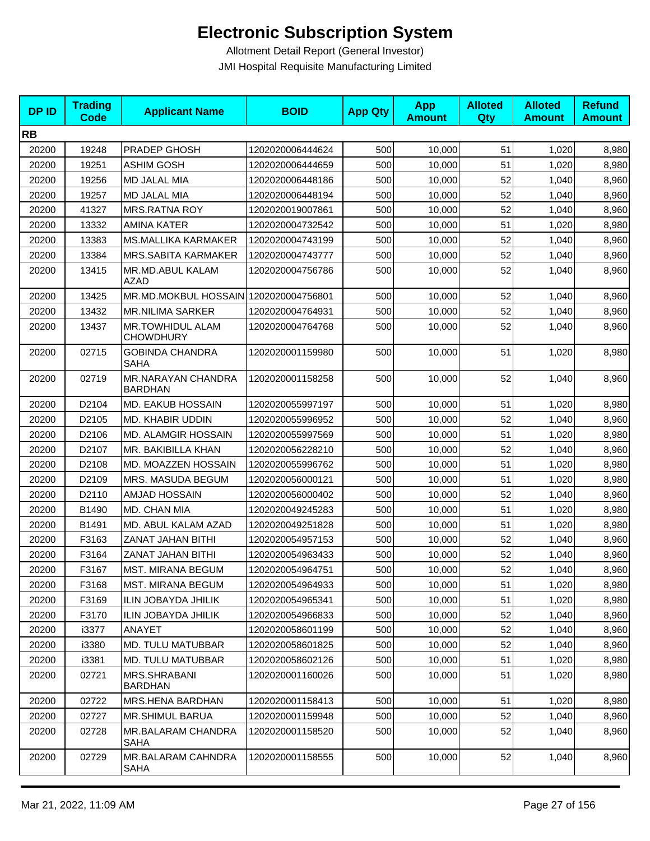| <b>DPID</b> | <b>Trading</b><br><b>Code</b> | <b>Applicant Name</b>                       | <b>BOID</b>      | <b>App Qty</b> | <b>App</b><br><b>Amount</b> | <b>Alloted</b><br>Qty | <b>Alloted</b><br><b>Amount</b> | <b>Refund</b><br><b>Amount</b> |
|-------------|-------------------------------|---------------------------------------------|------------------|----------------|-----------------------------|-----------------------|---------------------------------|--------------------------------|
| <b>RB</b>   |                               |                                             |                  |                |                             |                       |                                 |                                |
| 20200       | 19248                         | PRADEP GHOSH                                | 1202020006444624 | 500            | 10,000                      | 51                    | 1,020                           | 8,980                          |
| 20200       | 19251                         | <b>ASHIM GOSH</b>                           | 1202020006444659 | 500            | 10,000                      | 51                    | 1,020                           | 8,980                          |
| 20200       | 19256                         | MD JALAL MIA                                | 1202020006448186 | 500            | 10,000                      | 52                    | 1,040                           | 8,960                          |
| 20200       | 19257                         | MD JALAL MIA                                | 1202020006448194 | 500            | 10,000                      | 52                    | 1,040                           | 8,960                          |
| 20200       | 41327                         | <b>MRS.RATNA ROY</b>                        | 1202020019007861 | 500            | 10,000                      | 52                    | 1,040                           | 8,960                          |
| 20200       | 13332                         | <b>AMINA KATER</b>                          | 1202020004732542 | 500            | 10,000                      | 51                    | 1,020                           | 8,980                          |
| 20200       | 13383                         | <b>MS.MALLIKA KARMAKER</b>                  | 1202020004743199 | 500            | 10,000                      | 52                    | 1,040                           | 8,960                          |
| 20200       | 13384                         | <b>MRS.SABITA KARMAKER</b>                  | 1202020004743777 | 500            | 10,000                      | 52                    | 1,040                           | 8,960                          |
| 20200       | 13415                         | MR.MD.ABUL KALAM<br>AZAD                    | 1202020004756786 | 500            | 10,000                      | 52                    | 1,040                           | 8,960                          |
| 20200       | 13425                         | MR.MD.MOKBUL HOSSAIN 1202020004756801       |                  | 500            | 10,000                      | 52                    | 1,040                           | 8,960                          |
| 20200       | 13432                         | <b>MR.NILIMA SARKER</b>                     | 1202020004764931 | 500            | 10,000                      | 52                    | 1,040                           | 8,960                          |
| 20200       | 13437                         | <b>MR.TOWHIDUL ALAM</b><br><b>CHOWDHURY</b> | 1202020004764768 | 500            | 10,000                      | 52                    | 1,040                           | 8,960                          |
| 20200       | 02715                         | <b>GOBINDA CHANDRA</b><br>SAHA              | 1202020001159980 | 500            | 10,000                      | 51                    | 1,020                           | 8,980                          |
| 20200       | 02719                         | MR.NARAYAN CHANDRA<br><b>BARDHAN</b>        | 1202020001158258 | 500            | 10,000                      | 52                    | 1,040                           | 8,960                          |
| 20200       | D2104                         | MD. EAKUB HOSSAIN                           | 1202020055997197 | 500            | 10,000                      | 51                    | 1,020                           | 8,980                          |
| 20200       | D2105                         | MD. KHABIR UDDIN                            | 1202020055996952 | 500            | 10,000                      | 52                    | 1,040                           | 8,960                          |
| 20200       | D2106                         | MD. ALAMGIR HOSSAIN                         | 1202020055997569 | 500            | 10,000                      | 51                    | 1,020                           | 8,980                          |
| 20200       | D2107                         | MR. BAKIBILLA KHAN                          | 1202020056228210 | 500            | 10,000                      | 52                    | 1,040                           | 8,960                          |
| 20200       | D2108                         | MD. MOAZZEN HOSSAIN                         | 1202020055996762 | 500            | 10,000                      | 51                    | 1,020                           | 8,980                          |
| 20200       | D2109                         | MRS. MASUDA BEGUM                           | 1202020056000121 | 500            | 10,000                      | 51                    | 1,020                           | 8,980                          |
| 20200       | D2110                         | AMJAD HOSSAIN                               | 1202020056000402 | 500            | 10,000                      | 52                    | 1,040                           | 8,960                          |
| 20200       | B1490                         | MD. CHAN MIA                                | 1202020049245283 | 500            | 10,000                      | 51                    | 1,020                           | 8,980                          |
| 20200       | B1491                         | MD. ABUL KALAM AZAD                         | 1202020049251828 | 500            | 10,000                      | 51                    | 1,020                           | 8,980                          |
| 20200       | F3163                         | ZANAT JAHAN BITHI                           | 1202020054957153 | 500            | 10,000                      | 52                    | 1,040                           | 8,960                          |
| 20200       | F3164                         | ZANAT JAHAN BITHI                           | 1202020054963433 | 500            | 10,000                      | 52                    | 1,040                           | 8,960                          |
| 20200       | F3167                         | <b>MST. MIRANA BEGUM</b>                    | 1202020054964751 | 500            | 10,000                      | 52                    | 1,040                           | 8,960                          |
| 20200       | F3168                         | MST. MIRANA BEGUM                           | 1202020054964933 | 500            | 10,000                      | 51                    | 1,020                           | 8,980                          |
| 20200       | F3169                         | ILIN JOBAYDA JHILIK                         | 1202020054965341 | 500            | 10,000                      | 51                    | 1,020                           | 8,980                          |
| 20200       | F3170                         | <b>ILIN JOBAYDA JHILIK</b>                  | 1202020054966833 | 500            | 10,000                      | 52                    | 1,040                           | 8,960                          |
| 20200       | i3377                         | ANAYET                                      | 1202020058601199 | 500            | 10,000                      | 52                    | 1,040                           | 8,960                          |
| 20200       | i3380                         | MD. TULU MATUBBAR                           | 1202020058601825 | 500            | 10,000                      | 52                    | 1,040                           | 8,960                          |
| 20200       | i3381                         | <b>MD. TULU MATUBBAR</b>                    | 1202020058602126 | 500            | 10,000                      | 51                    | 1,020                           | 8,980                          |
| 20200       | 02721                         | <b>MRS.SHRABANI</b><br><b>BARDHAN</b>       | 1202020001160026 | 500            | 10,000                      | 51                    | 1,020                           | 8,980                          |
| 20200       | 02722                         | MRS.HENA BARDHAN                            | 1202020001158413 | 500            | 10,000                      | 51                    | 1,020                           | 8,980                          |
| 20200       | 02727                         | <b>MR.SHIMUL BARUA</b>                      | 1202020001159948 | 500            | 10,000                      | 52                    | 1,040                           | 8,960                          |
| 20200       | 02728                         | MR.BALARAM CHANDRA<br>SAHA                  | 1202020001158520 | 500            | 10,000                      | 52                    | 1,040                           | 8,960                          |
| 20200       | 02729                         | MR.BALARAM CAHNDRA<br>SAHA                  | 1202020001158555 | 500            | 10,000                      | 52                    | 1,040                           | 8,960                          |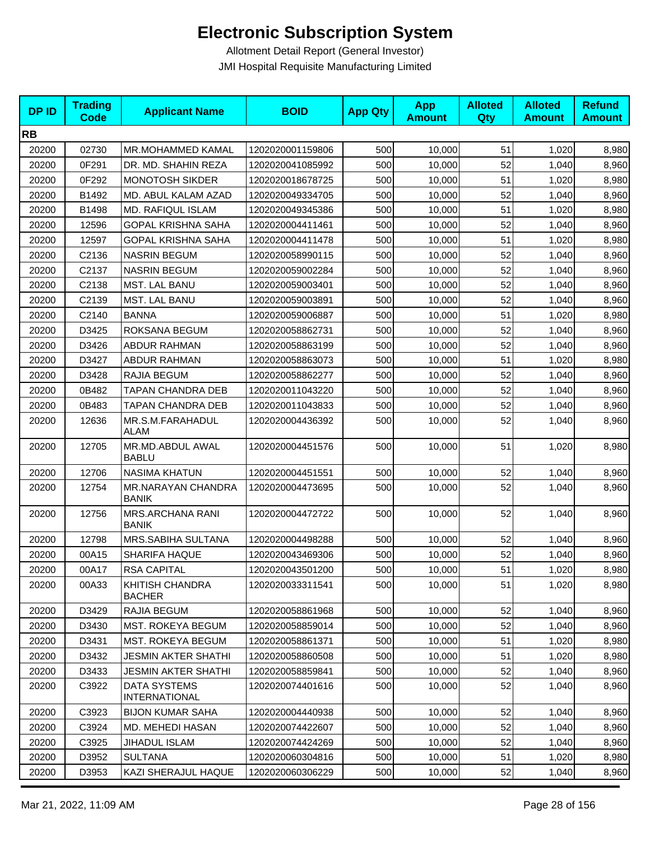| <b>DPID</b> | <b>Trading</b><br><b>Code</b> | <b>Applicant Name</b>                       | <b>BOID</b>      | <b>App Qty</b> | <b>App</b><br><b>Amount</b> | <b>Alloted</b><br>Qty | <b>Alloted</b><br><b>Amount</b> | <b>Refund</b><br><b>Amount</b> |
|-------------|-------------------------------|---------------------------------------------|------------------|----------------|-----------------------------|-----------------------|---------------------------------|--------------------------------|
| <b>RB</b>   |                               |                                             |                  |                |                             |                       |                                 |                                |
| 20200       | 02730                         | MR.MOHAMMED KAMAL                           | 1202020001159806 | 500            | 10,000                      | 51                    | 1,020                           | 8,980                          |
| 20200       | 0F291                         | DR. MD. SHAHIN REZA                         | 1202020041085992 | 500            | 10,000                      | 52                    | 1,040                           | 8,960                          |
| 20200       | 0F292                         | <b>MONOTOSH SIKDER</b>                      | 1202020018678725 | 500            | 10,000                      | 51                    | 1,020                           | 8,980                          |
| 20200       | B1492                         | MD. ABUL KALAM AZAD                         | 1202020049334705 | 500            | 10,000                      | 52                    | 1,040                           | 8,960                          |
| 20200       | B1498                         | MD. RAFIQUL ISLAM                           | 1202020049345386 | 500            | 10,000                      | 51                    | 1,020                           | 8,980                          |
| 20200       | 12596                         | <b>GOPAL KRISHNA SAHA</b>                   | 1202020004411461 | 500            | 10,000                      | 52                    | 1,040                           | 8,960                          |
| 20200       | 12597                         | <b>GOPAL KRISHNA SAHA</b>                   | 1202020004411478 | 500            | 10,000                      | 51                    | 1,020                           | 8,980                          |
| 20200       | C2136                         | <b>NASRIN BEGUM</b>                         | 1202020058990115 | 500            | 10,000                      | 52                    | 1,040                           | 8,960                          |
| 20200       | C2137                         | <b>NASRIN BEGUM</b>                         | 1202020059002284 | 500            | 10,000                      | 52                    | 1,040                           | 8,960                          |
| 20200       | C2138                         | MST. LAL BANU                               | 1202020059003401 | 500            | 10,000                      | 52                    | 1,040                           | 8,960                          |
| 20200       | C2139                         | <b>MST. LAL BANU</b>                        | 1202020059003891 | 500            | 10,000                      | 52                    | 1,040                           | 8,960                          |
| 20200       | C2140                         | <b>BANNA</b>                                | 1202020059006887 | 500            | 10,000                      | 51                    | 1,020                           | 8,980                          |
| 20200       | D3425                         | ROKSANA BEGUM                               | 1202020058862731 | 500            | 10,000                      | 52                    | 1,040                           | 8,960                          |
| 20200       | D3426                         | <b>ABDUR RAHMAN</b>                         | 1202020058863199 | 500            | 10,000                      | 52                    | 1,040                           | 8,960                          |
| 20200       | D3427                         | <b>ABDUR RAHMAN</b>                         | 1202020058863073 | 500            | 10,000                      | 51                    | 1,020                           | 8,980                          |
| 20200       | D3428                         | RAJIA BEGUM                                 | 1202020058862277 | 500            | 10,000                      | 52                    | 1,040                           | 8,960                          |
| 20200       | 0B482                         | TAPAN CHANDRA DEB                           | 1202020011043220 | 500            | 10,000                      | 52                    | 1,040                           | 8,960                          |
| 20200       | 0B483                         | TAPAN CHANDRA DEB                           | 1202020011043833 | 500            | 10,000                      | 52                    | 1,040                           | 8,960                          |
| 20200       | 12636                         | MR.S.M.FARAHADUL<br><b>ALAM</b>             | 1202020004436392 | 500            | 10,000                      | 52                    | 1,040                           | 8,960                          |
| 20200       | 12705                         | MR.MD.ABDUL AWAL<br><b>BABLU</b>            | 1202020004451576 | 500            | 10,000                      | 51                    | 1,020                           | 8,980                          |
| 20200       | 12706                         | <b>NASIMA KHATUN</b>                        | 1202020004451551 | 500            | 10,000                      | 52                    | 1,040                           | 8,960                          |
| 20200       | 12754                         | MR.NARAYAN CHANDRA<br>BANIK                 | 1202020004473695 | 500            | 10,000                      | 52                    | 1,040                           | 8,960                          |
| 20200       | 12756                         | <b>MRS.ARCHANA RANI</b><br><b>BANIK</b>     | 1202020004472722 | 500            | 10,000                      | 52                    | 1,040                           | 8,960                          |
| 20200       | 12798                         | MRS.SABIHA SULTANA                          | 1202020004498288 | 500            | 10,000                      | 52                    | 1,040                           | 8,960                          |
| 20200       | 00A15                         | SHARIFA HAQUE                               | 1202020043469306 | 500            | 10,000                      | 52                    | 1,040                           | 8,960                          |
| 20200       | 00A17                         | <b>RSA CAPITAL</b>                          | 1202020043501200 | 500            | 10,000                      | 51                    | 1,020                           | 8,980                          |
| 20200       | 00A33                         | KHITISH CHANDRA<br><b>BACHER</b>            | 1202020033311541 | 500            | 10,000                      | 51                    | 1,020                           | 8,980                          |
| 20200       | D3429                         | RAJIA BEGUM                                 | 1202020058861968 | 500            | 10,000                      | 52                    | 1,040                           | 8,960                          |
| 20200       | D3430                         | <b>MST. ROKEYA BEGUM</b>                    | 1202020058859014 | 500            | 10,000                      | 52                    | 1,040                           | 8,960                          |
| 20200       | D3431                         | <b>MST. ROKEYA BEGUM</b>                    | 1202020058861371 | 500            | 10,000                      | 51                    | 1,020                           | 8,980                          |
| 20200       | D3432                         | <b>JESMIN AKTER SHATHI</b>                  | 1202020058860508 | 500            | 10,000                      | 51                    | 1,020                           | 8,980                          |
| 20200       | D3433                         | JESMIN AKTER SHATHI                         | 1202020058859841 | 500            | 10,000                      | 52                    | 1,040                           | 8,960                          |
| 20200       | C3922                         | <b>DATA SYSTEMS</b><br><b>INTERNATIONAL</b> | 1202020074401616 | 500            | 10,000                      | 52                    | 1,040                           | 8,960                          |
| 20200       | C3923                         | <b>BIJON KUMAR SAHA</b>                     | 1202020004440938 | 500            | 10,000                      | 52                    | 1,040                           | 8,960                          |
| 20200       | C3924                         | MD. MEHEDI HASAN                            | 1202020074422607 | 500            | 10,000                      | 52                    | 1,040                           | 8,960                          |
| 20200       | C3925                         | JIHADUL ISLAM                               | 1202020074424269 | 500            | 10,000                      | 52                    | 1,040                           | 8,960                          |
| 20200       | D3952                         | <b>SULTANA</b>                              | 1202020060304816 | 500            | 10,000                      | 51                    | 1,020                           | 8,980                          |
| 20200       | D3953                         | KAZI SHERAJUL HAQUE                         | 1202020060306229 | 500            | 10,000                      | 52                    | 1,040                           | 8,960                          |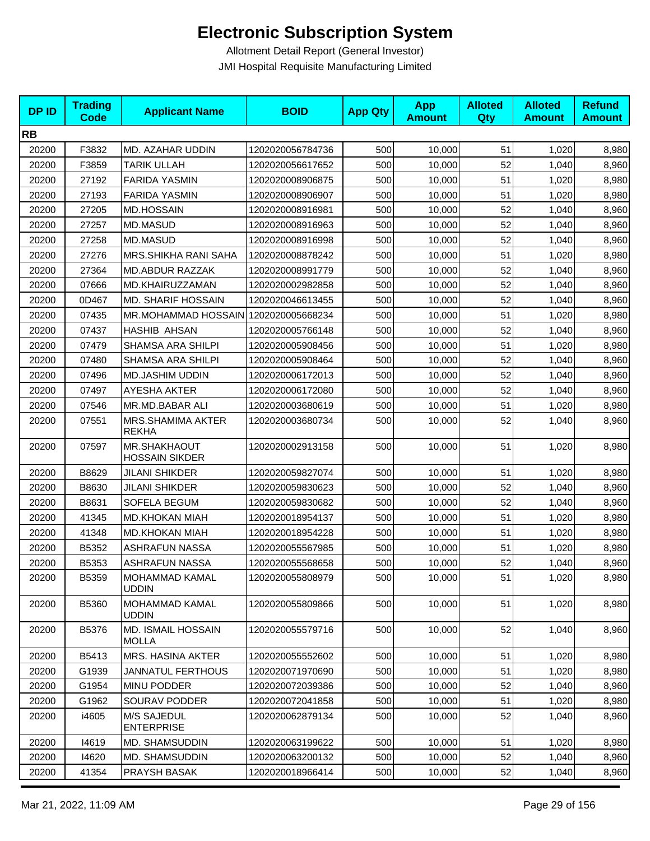| <b>DPID</b> | <b>Trading</b><br><b>Code</b> | <b>Applicant Name</b>                     | <b>BOID</b>      | <b>App Qty</b> | <b>App</b><br><b>Amount</b> | <b>Alloted</b><br>Qty | <b>Alloted</b><br><b>Amount</b> | <b>Refund</b><br><b>Amount</b> |
|-------------|-------------------------------|-------------------------------------------|------------------|----------------|-----------------------------|-----------------------|---------------------------------|--------------------------------|
| <b>RB</b>   |                               |                                           |                  |                |                             |                       |                                 |                                |
| 20200       | F3832                         | MD. AZAHAR UDDIN                          | 1202020056784736 | 500            | 10,000                      | 51                    | 1,020                           | 8,980                          |
| 20200       | F3859                         | <b>TARIK ULLAH</b>                        | 1202020056617652 | 500            | 10,000                      | 52                    | 1,040                           | 8,960                          |
| 20200       | 27192                         | <b>FARIDA YASMIN</b>                      | 1202020008906875 | 500            | 10,000                      | 51                    | 1,020                           | 8,980                          |
| 20200       | 27193                         | <b>FARIDA YASMIN</b>                      | 1202020008906907 | 500            | 10,000                      | 51                    | 1,020                           | 8,980                          |
| 20200       | 27205                         | <b>MD.HOSSAIN</b>                         | 1202020008916981 | 500            | 10,000                      | 52                    | 1,040                           | 8,960                          |
| 20200       | 27257                         | <b>MD.MASUD</b>                           | 1202020008916963 | 500            | 10,000                      | 52                    | 1,040                           | 8,960                          |
| 20200       | 27258                         | MD.MASUD                                  | 1202020008916998 | 500            | 10,000                      | 52                    | 1,040                           | 8,960                          |
| 20200       | 27276                         | MRS.SHIKHA RANI SAHA                      | 1202020008878242 | 500            | 10,000                      | 51                    | 1,020                           | 8,980                          |
| 20200       | 27364                         | <b>MD.ABDUR RAZZAK</b>                    | 1202020008991779 | 500            | 10,000                      | 52                    | 1,040                           | 8,960                          |
| 20200       | 07666                         | MD.KHAIRUZZAMAN                           | 1202020002982858 | 500            | 10,000                      | 52                    | 1,040                           | 8,960                          |
| 20200       | 0D467                         | <b>MD. SHARIF HOSSAIN</b>                 | 1202020046613455 | 500            | 10,000                      | 52                    | 1,040                           | 8,960                          |
| 20200       | 07435                         | MR.MOHAMMAD HOSSAIN 1202020005668234      |                  | 500            | 10,000                      | 51                    | 1,020                           | 8,980                          |
| 20200       | 07437                         | HASHIB AHSAN                              | 1202020005766148 | 500            | 10,000                      | 52                    | 1,040                           | 8,960                          |
| 20200       | 07479                         | SHAMSA ARA SHILPI                         | 1202020005908456 | 500            | 10,000                      | 51                    | 1,020                           | 8,980                          |
| 20200       | 07480                         | SHAMSA ARA SHILPI                         | 1202020005908464 | 500            | 10,000                      | 52                    | 1,040                           | 8,960                          |
| 20200       | 07496                         | <b>MD.JASHIM UDDIN</b>                    | 1202020006172013 | 500            | 10,000                      | 52                    | 1,040                           | 8,960                          |
| 20200       | 07497                         | AYESHA AKTER                              | 1202020006172080 | 500            | 10,000                      | 52                    | 1,040                           | 8,960                          |
| 20200       | 07546                         | MR.MD.BABAR ALI                           | 1202020003680619 | 500            | 10,000                      | 51                    | 1,020                           | 8,980                          |
| 20200       | 07551                         | MRS.SHAMIMA AKTER<br><b>REKHA</b>         | 1202020003680734 | 500            | 10,000                      | 52                    | 1,040                           | 8,960                          |
| 20200       | 07597                         | MR.SHAKHAOUT<br><b>HOSSAIN SIKDER</b>     | 1202020002913158 | 500            | 10,000                      | 51                    | 1,020                           | 8,980                          |
| 20200       | B8629                         | <b>JILANI SHIKDER</b>                     | 1202020059827074 | 500            | 10,000                      | 51                    | 1,020                           | 8,980                          |
| 20200       | B8630                         | <b>JILANI SHIKDER</b>                     | 1202020059830623 | 500            | 10,000                      | 52                    | 1,040                           | 8,960                          |
| 20200       | B8631                         | SOFELA BEGUM                              | 1202020059830682 | 500            | 10,000                      | 52                    | 1,040                           | 8,960                          |
| 20200       | 41345                         | <b>MD.KHOKAN MIAH</b>                     | 1202020018954137 | 500            | 10,000                      | 51                    | 1,020                           | 8,980                          |
| 20200       | 41348                         | <b>MD.KHOKAN MIAH</b>                     | 1202020018954228 | 500            | 10,000                      | 51                    | 1,020                           | 8,980                          |
| 20200       | B5352                         | <b>ASHRAFUN NASSA</b>                     | 1202020055567985 | 500            | 10,000                      | 51                    | 1,020                           | 8,980                          |
| 20200       | B5353                         | <b>ASHRAFUN NASSA</b>                     | 1202020055568658 | 500            | 10,000                      | 52                    | 1,040                           | 8,960                          |
| 20200       | B5359                         | <b>MOHAMMAD KAMAL</b><br><b>UDDIN</b>     | 1202020055808979 | 500            | 10,000                      | 51                    | 1,020                           | 8,980                          |
| 20200       | B5360                         | MOHAMMAD KAMAL<br><b>UDDIN</b>            | 1202020055809866 | 500            | 10,000                      | 51                    | 1,020                           | 8,980                          |
| 20200       | B5376                         | <b>MD. ISMAIL HOSSAIN</b><br><b>MOLLA</b> | 1202020055579716 | 500            | 10,000                      | 52                    | 1,040                           | 8,960                          |
| 20200       | B5413                         | MRS. HASINA AKTER                         | 1202020055552602 | 500            | 10,000                      | 51                    | 1,020                           | 8,980                          |
| 20200       | G1939                         | <b>JANNATUL FERTHOUS</b>                  | 1202020071970690 | 500            | 10,000                      | 51                    | 1,020                           | 8,980                          |
| 20200       | G1954                         | MINU PODDER                               | 1202020072039386 | 500            | 10,000                      | 52                    | 1,040                           | 8,960                          |
| 20200       | G1962                         | SOURAV PODDER                             | 1202020072041858 | 500            | 10,000                      | 51                    | 1,020                           | 8,980                          |
| 20200       | i4605                         | M/S SAJEDUL<br><b>ENTERPRISE</b>          | 1202020062879134 | 500            | 10,000                      | 52                    | 1,040                           | 8,960                          |
| 20200       | 14619                         | MD. SHAMSUDDIN                            | 1202020063199622 | 500            | 10,000                      | 51                    | 1,020                           | 8,980                          |
| 20200       | 14620                         | MD. SHAMSUDDIN                            | 1202020063200132 | 500            | 10,000                      | 52                    | 1,040                           | 8,960                          |
| 20200       | 41354                         | PRAYSH BASAK                              | 1202020018966414 | 500            | 10,000                      | 52                    | 1,040                           | 8,960                          |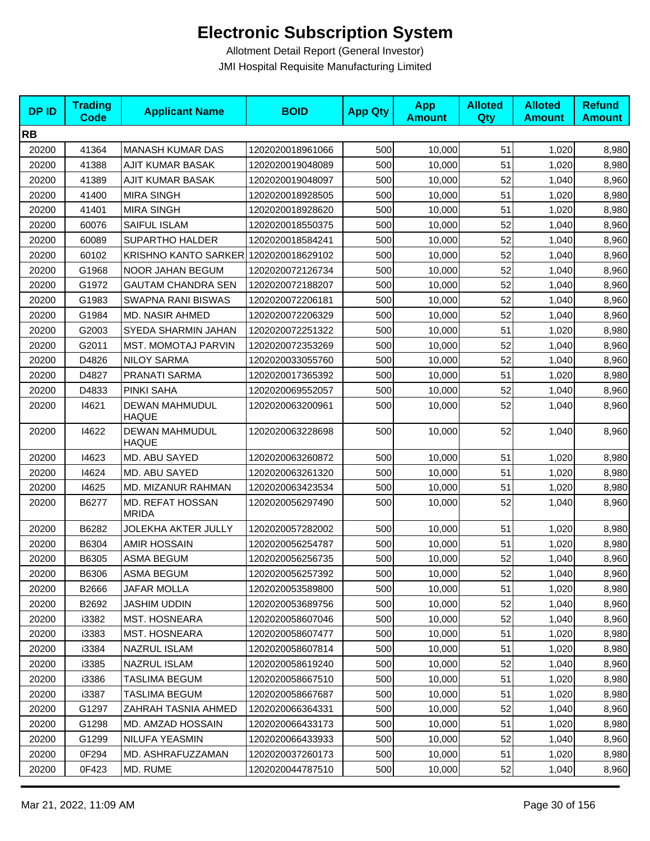| <b>DPID</b> | <b>Trading</b><br><b>Code</b> | <b>Applicant Name</b>                 | <b>BOID</b>      | <b>App Qty</b> | <b>App</b><br><b>Amount</b> | <b>Alloted</b><br><b>Qty</b> | <b>Alloted</b><br><b>Amount</b> | <b>Refund</b><br><b>Amount</b> |
|-------------|-------------------------------|---------------------------------------|------------------|----------------|-----------------------------|------------------------------|---------------------------------|--------------------------------|
| <b>RB</b>   |                               |                                       |                  |                |                             |                              |                                 |                                |
| 20200       | 41364                         | <b>MANASH KUMAR DAS</b>               | 1202020018961066 | 500            | 10,000                      | 51                           | 1,020                           | 8,980                          |
| 20200       | 41388                         | AJIT KUMAR BASAK                      | 1202020019048089 | 500            | 10,000                      | 51                           | 1,020                           | 8,980                          |
| 20200       | 41389                         | AJIT KUMAR BASAK                      | 1202020019048097 | 500            | 10,000                      | 52                           | 1,040                           | 8,960                          |
| 20200       | 41400                         | <b>MIRA SINGH</b>                     | 1202020018928505 | 500            | 10,000                      | 51                           | 1,020                           | 8,980                          |
| 20200       | 41401                         | <b>MIRA SINGH</b>                     | 1202020018928620 | 500            | 10,000                      | 51                           | 1,020                           | 8,980                          |
| 20200       | 60076                         | SAIFUL ISLAM                          | 1202020018550375 | 500            | 10,000                      | 52                           | 1,040                           | 8,960                          |
| 20200       | 60089                         | <b>SUPARTHO HALDER</b>                | 1202020018584241 | 500            | 10,000                      | 52                           | 1,040                           | 8,960                          |
| 20200       | 60102                         | KRISHNO KANTO SARKER 1202020018629102 |                  | 500            | 10,000                      | 52                           | 1,040                           | 8,960                          |
| 20200       | G1968                         | NOOR JAHAN BEGUM                      | 1202020072126734 | 500            | 10,000                      | 52                           | 1,040                           | 8,960                          |
| 20200       | G1972                         | <b>GAUTAM CHANDRA SEN</b>             | 1202020072188207 | 500            | 10,000                      | 52                           | 1,040                           | 8,960                          |
| 20200       | G1983                         | SWAPNA RANI BISWAS                    | 1202020072206181 | 500            | 10,000                      | 52                           | 1,040                           | 8,960                          |
| 20200       | G1984                         | <b>MD. NASIR AHMED</b>                | 1202020072206329 | 500            | 10,000                      | 52                           | 1,040                           | 8,960                          |
| 20200       | G2003                         | SYEDA SHARMIN JAHAN                   | 1202020072251322 | 500            | 10,000                      | 51                           | 1,020                           | 8,980                          |
| 20200       | G2011                         | <b>MST. MOMOTAJ PARVIN</b>            | 1202020072353269 | 500            | 10,000                      | 52                           | 1,040                           | 8,960                          |
| 20200       | D4826                         | <b>NILOY SARMA</b>                    | 1202020033055760 | 500            | 10,000                      | 52                           | 1,040                           | 8,960                          |
| 20200       | D4827                         | PRANATI SARMA                         | 1202020017365392 | 500            | 10,000                      | 51                           | 1,020                           | 8,980                          |
| 20200       | D4833                         | PINKI SAHA                            | 1202020069552057 | 500            | 10,000                      | 52                           | 1,040                           | 8,960                          |
| 20200       | 14621                         | DEWAN MAHMUDUL<br><b>HAQUE</b>        | 1202020063200961 | 500            | 10,000                      | 52                           | 1,040                           | 8,960                          |
| 20200       | 14622                         | DEWAN MAHMUDUL<br><b>HAQUE</b>        | 1202020063228698 | 500            | 10,000                      | 52                           | 1,040                           | 8,960                          |
| 20200       | 14623                         | MD. ABU SAYED                         | 1202020063260872 | 500            | 10,000                      | 51                           | 1,020                           | 8,980                          |
| 20200       | 14624                         | MD. ABU SAYED                         | 1202020063261320 | 500            | 10,000                      | 51                           | 1,020                           | 8,980                          |
| 20200       | 14625                         | MD. MIZANUR RAHMAN                    | 1202020063423534 | 500            | 10,000                      | 51                           | 1,020                           | 8,980                          |
| 20200       | B6277                         | MD. REFAT HOSSAN<br><b>MRIDA</b>      | 1202020056297490 | 500            | 10,000                      | 52                           | 1,040                           | 8,960                          |
| 20200       | B6282                         | JOLEKHA AKTER JULLY                   | 1202020057282002 | 500            | 10,000                      | 51                           | 1,020                           | 8,980                          |
| 20200       | B6304                         | <b>AMIR HOSSAIN</b>                   | 1202020056254787 | 500            | 10,000                      | 51                           | 1,020                           | 8,980                          |
| 20200       | B6305                         | ASMA BEGUM                            | 1202020056256735 | 500            | 10,000                      | 52                           | 1,040                           | 8,960                          |
| 20200       | B6306                         | ASMA BEGUM                            | 1202020056257392 | 500            | 10,000                      | 52                           | 1,040                           | 8,960                          |
| 20200       | B2666                         | JAFAR MOLLA                           | 1202020053589800 | 500            | 10,000                      | 51                           | 1,020                           | 8,980                          |
| 20200       | B2692                         | <b>JASHIM UDDIN</b>                   | 1202020053689756 | 500            | 10,000                      | 52                           | 1,040                           | 8,960                          |
| 20200       | i3382                         | <b>MST. HOSNEARA</b>                  | 1202020058607046 | 500            | 10,000                      | 52                           | 1,040                           | 8,960                          |
| 20200       | i3383                         | MST. HOSNEARA                         | 1202020058607477 | 500            | 10,000                      | 51                           | 1,020                           | 8,980                          |
| 20200       | i3384                         | NAZRUL ISLAM                          | 1202020058607814 | 500            | 10,000                      | 51                           | 1,020                           | 8,980                          |
| 20200       | i3385                         | NAZRUL ISLAM                          | 1202020058619240 | 500            | 10,000                      | 52                           | 1,040                           | 8,960                          |
| 20200       | i3386                         | TASLIMA BEGUM                         | 1202020058667510 | 500            | 10.000                      | 51                           | 1,020                           | 8,980                          |
| 20200       | i3387                         | <b>TASLIMA BEGUM</b>                  | 1202020058667687 | 500            | 10,000                      | 51                           | 1,020                           | 8,980                          |
| 20200       | G1297                         | ZAHRAH TASNIA AHMED                   | 1202020066364331 | 500            | 10,000                      | 52                           | 1,040                           | 8,960                          |
| 20200       | G1298                         | MD. AMZAD HOSSAIN                     | 1202020066433173 | 500            | 10,000                      | 51                           | 1,020                           | 8,980                          |
| 20200       | G1299                         | NILUFA YEASMIN                        | 1202020066433933 | 500            | 10,000                      | 52                           | 1,040                           | 8,960                          |
| 20200       | 0F294                         | MD. ASHRAFUZZAMAN                     | 1202020037260173 | 500            | 10,000                      | 51                           | 1,020                           | 8,980                          |
| 20200       | 0F423                         | MD. RUME                              | 1202020044787510 | 500            | 10,000                      | 52                           | 1,040                           | 8,960                          |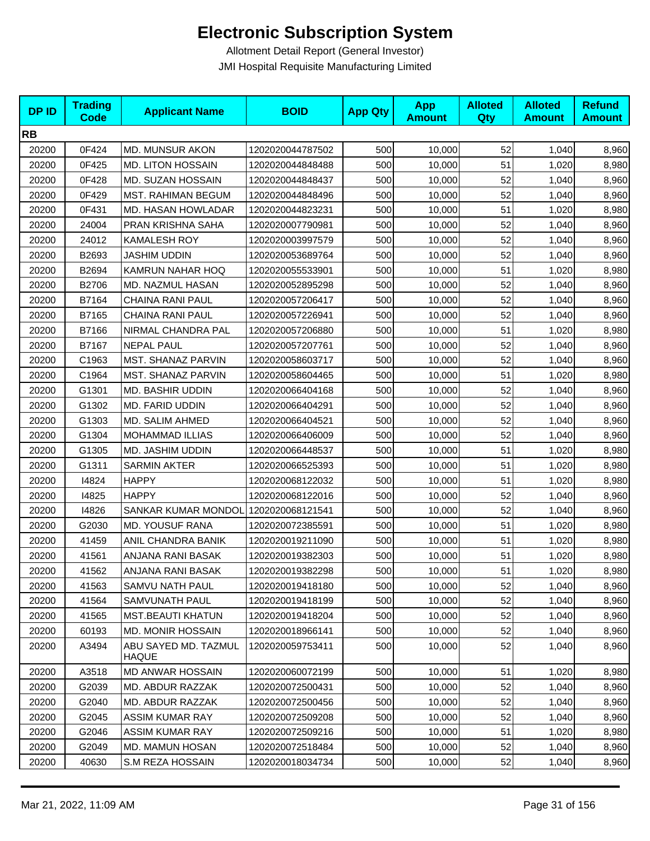| <b>DPID</b> | <b>Trading</b><br><b>Code</b> | <b>Applicant Name</b>         | <b>BOID</b>      | <b>App Qty</b> | <b>App</b><br><b>Amount</b> | <b>Alloted</b><br>Qty | <b>Alloted</b><br><b>Amount</b> | <b>Refund</b><br><b>Amount</b> |
|-------------|-------------------------------|-------------------------------|------------------|----------------|-----------------------------|-----------------------|---------------------------------|--------------------------------|
| <b>RB</b>   |                               |                               |                  |                |                             |                       |                                 |                                |
| 20200       | 0F424                         | <b>MD. MUNSUR AKON</b>        | 1202020044787502 | 500            | 10,000                      | 52                    | 1,040                           | 8,960                          |
| 20200       | 0F425                         | <b>MD. LITON HOSSAIN</b>      | 1202020044848488 | 500            | 10,000                      | 51                    | 1,020                           | 8,980                          |
| 20200       | 0F428                         | <b>MD. SUZAN HOSSAIN</b>      | 1202020044848437 | 500            | 10,000                      | 52                    | 1,040                           | 8,960                          |
| 20200       | 0F429                         | <b>MST. RAHIMAN BEGUM</b>     | 1202020044848496 | 500            | 10,000                      | 52                    | 1,040                           | 8,960                          |
| 20200       | 0F431                         | MD. HASAN HOWLADAR            | 1202020044823231 | 500            | 10,000                      | 51                    | 1,020                           | 8,980                          |
| 20200       | 24004                         | PRAN KRISHNA SAHA             | 1202020007790981 | 500            | 10,000                      | 52                    | 1,040                           | 8,960                          |
| 20200       | 24012                         | <b>KAMALESH ROY</b>           | 1202020003997579 | 500            | 10,000                      | 52                    | 1,040                           | 8,960                          |
| 20200       | B2693                         | <b>JASHIM UDDIN</b>           | 1202020053689764 | 500            | 10,000                      | 52                    | 1,040                           | 8,960                          |
| 20200       | B2694                         | KAMRUN NAHAR HOQ              | 1202020055533901 | 500            | 10,000                      | 51                    | 1,020                           | 8,980                          |
| 20200       | B2706                         | MD. NAZMUL HASAN              | 1202020052895298 | 500            | 10,000                      | 52                    | 1,040                           | 8,960                          |
| 20200       | B7164                         | CHAINA RANI PAUL              | 1202020057206417 | 500            | 10,000                      | 52                    | 1,040                           | 8,960                          |
| 20200       | B7165                         | <b>CHAINA RANI PAUL</b>       | 1202020057226941 | 500            | 10,000                      | 52                    | 1,040                           | 8,960                          |
| 20200       | B7166                         | NIRMAL CHANDRA PAL            | 1202020057206880 | 500            | 10,000                      | 51                    | 1,020                           | 8,980                          |
| 20200       | B7167                         | <b>NEPAL PAUL</b>             | 1202020057207761 | 500            | 10,000                      | 52                    | 1,040                           | 8,960                          |
| 20200       | C1963                         | <b>MST. SHANAZ PARVIN</b>     | 1202020058603717 | 500            | 10,000                      | 52                    | 1,040                           | 8,960                          |
| 20200       | C1964                         | MST. SHANAZ PARVIN            | 1202020058604465 | 500            | 10,000                      | 51                    | 1,020                           | 8,980                          |
| 20200       | G1301                         | <b>MD. BASHIR UDDIN</b>       | 1202020066404168 | 500            | 10,000                      | 52                    | 1,040                           | 8,960                          |
| 20200       | G1302                         | <b>MD. FARID UDDIN</b>        | 1202020066404291 | 500            | 10,000                      | 52                    | 1,040                           | 8,960                          |
| 20200       | G1303                         | MD. SALIM AHMED               | 1202020066404521 | 500            | 10,000                      | 52                    | 1,040                           | 8,960                          |
| 20200       | G1304                         | <b>MOHAMMAD ILLIAS</b>        | 1202020066406009 | 500            | 10,000                      | 52                    | 1,040                           | 8,960                          |
| 20200       | G1305                         | MD. JASHIM UDDIN              | 1202020066448537 | 500            | 10,000                      | 51                    | 1,020                           | 8,980                          |
| 20200       | G1311                         | SARMIN AKTER                  | 1202020066525393 | 500            | 10,000                      | 51                    | 1,020                           | 8,980                          |
| 20200       | 14824                         | <b>HAPPY</b>                  | 1202020068122032 | 500            | 10,000                      | 51                    | 1,020                           | 8,980                          |
| 20200       | 14825                         | <b>HAPPY</b>                  | 1202020068122016 | 500            | 10,000                      | 52                    | 1,040                           | 8,960                          |
| 20200       | 14826                         | SANKAR KUMAR MONDOL           | 1202020068121541 | 500            | 10,000                      | 52                    | 1,040                           | 8,960                          |
| 20200       | G2030                         | <b>MD. YOUSUF RANA</b>        | 1202020072385591 | 500            | 10,000                      | 51                    | 1,020                           | 8,980                          |
| 20200       | 41459                         | ANIL CHANDRA BANIK            | 1202020019211090 | 500            | 10,000                      | 51                    | 1,020                           | 8,980                          |
| 20200       | 41561                         | ANJANA RANI BASAK             | 1202020019382303 | 500            | 10,000                      | 51                    | 1,020                           | 8,980                          |
| 20200       | 41562                         | ANJANA RANI BASAK             | 1202020019382298 | 500            | 10,000                      | 51                    | 1,020                           | 8,980                          |
| 20200       | 41563                         | SAMVU NATH PAUL               | 1202020019418180 | 500            | 10,000                      | 52                    | 1,040                           | 8,960                          |
| 20200       | 41564                         | SAMVUNATH PAUL                | 1202020019418199 | 500            | 10,000                      | 52                    | 1,040                           | 8,960                          |
| 20200       | 41565                         | <b>MST.BEAUTI KHATUN</b>      | 1202020019418204 | 500            | 10,000                      | 52                    | 1,040                           | 8,960                          |
| 20200       | 60193                         | <b>MD. MONIR HOSSAIN</b>      | 1202020018966141 | 500            | 10,000                      | 52                    | 1,040                           | 8,960                          |
| 20200       | A3494                         | ABU SAYED MD. TAZMUL<br>HAQUE | 1202020059753411 | 500            | 10,000                      | 52                    | 1,040                           | 8,960                          |
| 20200       | A3518                         | MD ANWAR HOSSAIN              | 1202020060072199 | 500            | 10,000                      | 51                    | 1,020                           | 8,980                          |
| 20200       | G2039                         | MD. ABDUR RAZZAK              | 1202020072500431 | 500            | 10,000                      | 52                    | 1,040                           | 8,960                          |
| 20200       | G2040                         | MD. ABDUR RAZZAK              | 1202020072500456 | 500            | 10,000                      | 52                    | 1,040                           | 8,960                          |
| 20200       | G2045                         | <b>ASSIM KUMAR RAY</b>        | 1202020072509208 | 500            | 10,000                      | 52                    | 1,040                           | 8,960                          |
| 20200       | G2046                         | <b>ASSIM KUMAR RAY</b>        | 1202020072509216 | 500            | 10,000                      | 51                    | 1,020                           | 8,980                          |
| 20200       | G2049                         | MD. MAMUN HOSAN               | 1202020072518484 | 500            | 10,000                      | 52                    | 1,040                           | 8,960                          |
| 20200       | 40630                         | S.M REZA HOSSAIN              | 1202020018034734 | 500            | 10,000                      | 52                    | 1,040                           | 8,960                          |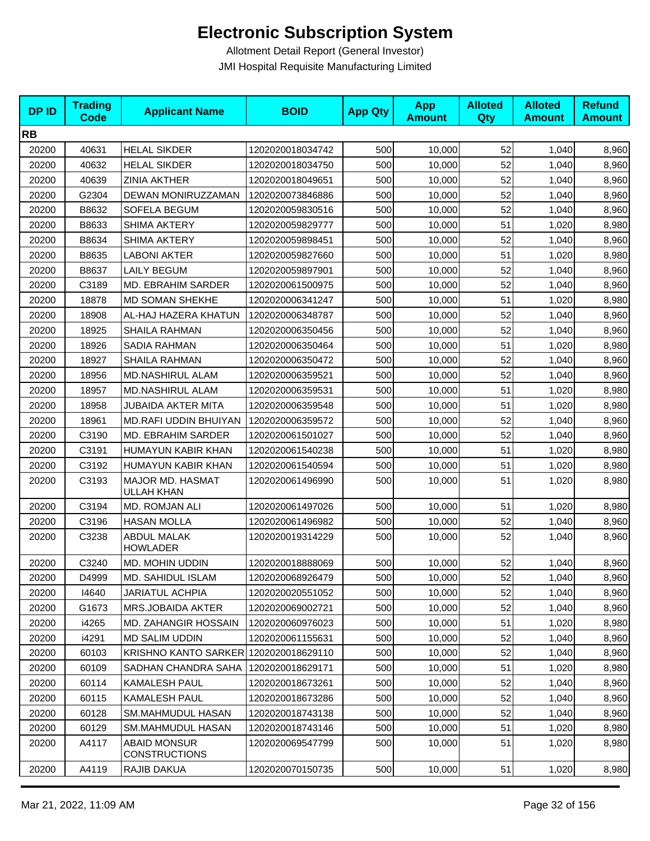| <b>DPID</b> | <b>Trading</b><br><b>Code</b> | <b>Applicant Name</b>                       | <b>BOID</b>      | <b>App Qty</b> | <b>App</b><br><b>Amount</b> | <b>Alloted</b><br>Qty | <b>Alloted</b><br><b>Amount</b> | <b>Refund</b><br><b>Amount</b> |
|-------------|-------------------------------|---------------------------------------------|------------------|----------------|-----------------------------|-----------------------|---------------------------------|--------------------------------|
| <b>RB</b>   |                               |                                             |                  |                |                             |                       |                                 |                                |
| 20200       | 40631                         | <b>HELAL SIKDER</b>                         | 1202020018034742 | 500            | 10,000                      | 52                    | 1,040                           | 8,960                          |
| 20200       | 40632                         | <b>HELAL SIKDER</b>                         | 1202020018034750 | 500            | 10,000                      | 52                    | 1,040                           | 8,960                          |
| 20200       | 40639                         | <b>ZINIA AKTHER</b>                         | 1202020018049651 | 500            | 10,000                      | 52                    | 1,040                           | 8,960                          |
| 20200       | G2304                         | DEWAN MONIRUZZAMAN                          | 1202020073846886 | 500            | 10,000                      | 52                    | 1,040                           | 8,960                          |
| 20200       | B8632                         | SOFELA BEGUM                                | 1202020059830516 | 500            | 10,000                      | 52                    | 1,040                           | 8,960                          |
| 20200       | B8633                         | SHIMA AKTERY                                | 1202020059829777 | 500            | 10,000                      | 51                    | 1,020                           | 8,980                          |
| 20200       | B8634                         | <b>SHIMA AKTERY</b>                         | 1202020059898451 | 500            | 10,000                      | 52                    | 1,040                           | 8,960                          |
| 20200       | B8635                         | <b>LABONI AKTER</b>                         | 1202020059827660 | 500            | 10,000                      | 51                    | 1,020                           | 8,980                          |
| 20200       | B8637                         | <b>LAILY BEGUM</b>                          | 1202020059897901 | 500            | 10,000                      | 52                    | 1,040                           | 8,960                          |
| 20200       | C3189                         | MD. EBRAHIM SARDER                          | 1202020061500975 | 500            | 10,000                      | 52                    | 1,040                           | 8,960                          |
| 20200       | 18878                         | MD SOMAN SHEKHE                             | 1202020006341247 | 500            | 10,000                      | 51                    | 1,020                           | 8,980                          |
| 20200       | 18908                         | AL-HAJ HAZERA KHATUN                        | 1202020006348787 | 500            | 10,000                      | 52                    | 1,040                           | 8,960                          |
| 20200       | 18925                         | SHAILA RAHMAN                               | 1202020006350456 | 500            | 10,000                      | 52                    | 1,040                           | 8,960                          |
| 20200       | 18926                         | <b>SADIA RAHMAN</b>                         | 1202020006350464 | 500            | 10.000                      | 51                    | 1,020                           | 8,980                          |
| 20200       | 18927                         | SHAILA RAHMAN                               | 1202020006350472 | 500            | 10,000                      | 52                    | 1,040                           | 8,960                          |
| 20200       | 18956                         | MD.NASHIRUL ALAM                            | 1202020006359521 | 500            | 10,000                      | 52                    | 1,040                           | 8,960                          |
| 20200       | 18957                         | <b>MD.NASHIRUL ALAM</b>                     | 1202020006359531 | 500            | 10,000                      | 51                    | 1,020                           | 8,980                          |
| 20200       | 18958                         | <b>JUBAIDA AKTER MITA</b>                   | 1202020006359548 | 500            | 10,000                      | 51                    | 1,020                           | 8,980                          |
| 20200       | 18961                         | MD.RAFI UDDIN BHUIYAN                       | 1202020006359572 | 500            | 10,000                      | 52                    | 1,040                           | 8,960                          |
| 20200       | C3190                         | MD. EBRAHIM SARDER                          | 1202020061501027 | 500            | 10,000                      | 52                    | 1,040                           | 8,960                          |
| 20200       | C3191                         | HUMAYUN KABIR KHAN                          | 1202020061540238 | 500            | 10,000                      | 51                    | 1,020                           | 8,980                          |
| 20200       | C3192                         | HUMAYUN KABIR KHAN                          | 1202020061540594 | 500            | 10,000                      | 51                    | 1,020                           | 8,980                          |
| 20200       | C3193                         | MAJOR MD. HASMAT<br>ULLAH KHAN              | 1202020061496990 | 500            | 10,000                      | 51                    | 1,020                           | 8,980                          |
| 20200       | C3194                         | MD. ROMJAN ALI                              | 1202020061497026 | 500            | 10,000                      | 51                    | 1,020                           | 8,980                          |
| 20200       | C3196                         | <b>HASAN MOLLA</b>                          | 1202020061496982 | 500            | 10,000                      | 52                    | 1,040                           | 8,960                          |
| 20200       | C3238                         | <b>ABDUL MALAK</b><br><b>HOWLADER</b>       | 1202020019314229 | 500            | 10,000                      | 52                    | 1,040                           | 8,960                          |
| 20200       | C3240                         | MD. MOHIN UDDIN                             | 1202020018888069 | 500            | 10,000                      | 52                    | 1,040                           | 8,960                          |
| 20200       | D4999                         | MD. SAHIDUL ISLAM                           | 1202020068926479 | 500            | 10,000                      | 52                    | 1,040                           | 8,960                          |
| 20200       | 14640                         | <b>JARIATUL ACHPIA</b>                      | 1202020020551052 | 500            | 10,000                      | 52                    | 1,040                           | 8,960                          |
| 20200       | G1673                         | MRS.JOBAIDA AKTER                           | 1202020069002721 | 500            | 10,000                      | 52                    | 1,040                           | 8,960                          |
| 20200       | i4265                         | MD. ZAHANGIR HOSSAIN                        | 1202020060976023 | 500            | 10,000                      | 51                    | 1,020                           | 8,980                          |
| 20200       | i4291                         | <b>MD SALIM UDDIN</b>                       | 1202020061155631 | 500            | 10,000                      | 52                    | 1,040                           | 8,960                          |
| 20200       | 60103                         | KRISHNO KANTO SARKER 1202020018629110       |                  | 500            | 10,000                      | 52                    | 1,040                           | 8,960                          |
| 20200       | 60109                         | SADHAN CHANDRA SAHA                         | 1202020018629171 | 500            | 10,000                      | 51                    | 1,020                           | 8,980                          |
| 20200       | 60114                         | <b>KAMALESH PAUL</b>                        | 1202020018673261 | 500            | 10,000                      | 52                    | 1,040                           | 8,960                          |
| 20200       | 60115                         | KAMALESH PAUL                               | 1202020018673286 | 500            | 10,000                      | 52                    | 1,040                           | 8,960                          |
| 20200       | 60128                         | SM.MAHMUDUL HASAN                           | 1202020018743138 | 500            | 10,000                      | 52                    | 1,040                           | 8,960                          |
| 20200       | 60129                         | SM.MAHMUDUL HASAN                           | 1202020018743146 | 500            | 10,000                      | 51                    | 1,020                           | 8,980                          |
| 20200       | A4117                         | <b>ABAID MONSUR</b><br><b>CONSTRUCTIONS</b> | 1202020069547799 | 500            | 10,000                      | 51                    | 1,020                           | 8,980                          |
| 20200       | A4119                         | RAJIB DAKUA                                 | 1202020070150735 | 500            | 10,000                      | 51                    | 1,020                           | 8,980                          |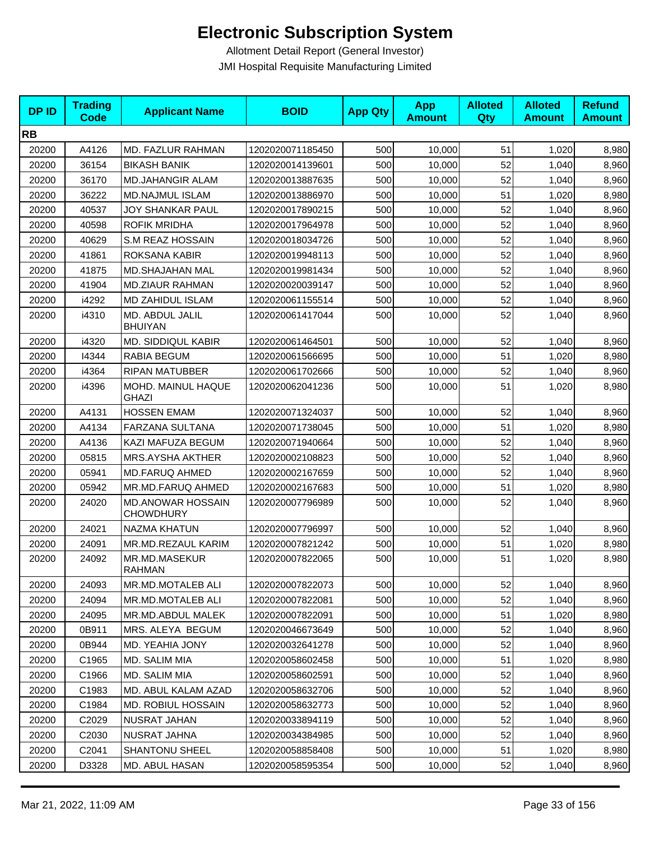| <b>DPID</b> | <b>Trading</b><br>Code | <b>Applicant Name</b>                        | <b>BOID</b>      | <b>App Qty</b> | <b>App</b><br><b>Amount</b> | <b>Alloted</b><br>Qty | <b>Alloted</b><br><b>Amount</b> | <b>Refund</b><br><b>Amount</b> |
|-------------|------------------------|----------------------------------------------|------------------|----------------|-----------------------------|-----------------------|---------------------------------|--------------------------------|
| <b>RB</b>   |                        |                                              |                  |                |                             |                       |                                 |                                |
| 20200       | A4126                  | MD. FAZLUR RAHMAN                            | 1202020071185450 | 500            | 10,000                      | 51                    | 1,020                           | 8,980                          |
| 20200       | 36154                  | <b>BIKASH BANIK</b>                          | 1202020014139601 | 500            | 10.000                      | 52                    | 1,040                           | 8,960                          |
| 20200       | 36170                  | <b>MD.JAHANGIR ALAM</b>                      | 1202020013887635 | 500            | 10,000                      | 52                    | 1,040                           | 8,960                          |
| 20200       | 36222                  | <b>MD.NAJMUL ISLAM</b>                       | 1202020013886970 | 500            | 10,000                      | 51                    | 1,020                           | 8,980                          |
| 20200       | 40537                  | JOY SHANKAR PAUL                             | 1202020017890215 | 500            | 10,000                      | 52                    | 1,040                           | 8,960                          |
| 20200       | 40598                  | <b>ROFIK MRIDHA</b>                          | 1202020017964978 | 500            | 10,000                      | 52                    | 1,040                           | 8,960                          |
| 20200       | 40629                  | S.M REAZ HOSSAIN                             | 1202020018034726 | 500            | 10,000                      | 52                    | 1,040                           | 8,960                          |
| 20200       | 41861                  | ROKSANA KABIR                                | 1202020019948113 | 500            | 10,000                      | 52                    | 1,040                           | 8,960                          |
| 20200       | 41875                  | MD.SHAJAHAN MAL                              | 1202020019981434 | 500            | 10,000                      | 52                    | 1,040                           | 8,960                          |
| 20200       | 41904                  | <b>MD.ZIAUR RAHMAN</b>                       | 1202020020039147 | 500            | 10,000                      | 52                    | 1,040                           | 8,960                          |
| 20200       | i4292                  | MD ZAHIDUL ISLAM                             | 1202020061155514 | 500            | 10,000                      | 52                    | 1,040                           | 8,960                          |
| 20200       | i4310                  | MD. ABDUL JALIL<br><b>BHUIYAN</b>            | 1202020061417044 | 500            | 10,000                      | 52                    | 1,040                           | 8,960                          |
| 20200       | i4320                  | MD. SIDDIQUL KABIR                           | 1202020061464501 | 500            | 10,000                      | 52                    | 1,040                           | 8,960                          |
| 20200       | 14344                  | RABIA BEGUM                                  | 1202020061566695 | 500            | 10,000                      | 51                    | 1,020                           | 8,980                          |
| 20200       | i4364                  | <b>RIPAN MATUBBER</b>                        | 1202020061702666 | 500            | 10,000                      | 52                    | 1,040                           | 8,960                          |
| 20200       | i4396                  | MOHD. MAINUL HAQUE<br>GHAZI                  | 1202020062041236 | 500            | 10,000                      | 51                    | 1,020                           | 8,980                          |
| 20200       | A4131                  | <b>HOSSEN EMAM</b>                           | 1202020071324037 | 500            | 10,000                      | 52                    | 1,040                           | 8,960                          |
| 20200       | A4134                  | FARZANA SULTANA                              | 1202020071738045 | 500            | 10,000                      | 51                    | 1,020                           | 8,980                          |
| 20200       | A4136                  | KAZI MAFUZA BEGUM                            | 1202020071940664 | 500            | 10,000                      | 52                    | 1,040                           | 8,960                          |
| 20200       | 05815                  | MRS.AYSHA AKTHER                             | 1202020002108823 | 500            | 10,000                      | 52                    | 1,040                           | 8,960                          |
| 20200       | 05941                  | <b>MD.FARUQ AHMED</b>                        | 1202020002167659 | 500            | 10,000                      | 52                    | 1,040                           | 8,960                          |
| 20200       | 05942                  | MR.MD.FARUQ AHMED                            | 1202020002167683 | 500            | 10,000                      | 51                    | 1,020                           | 8,980                          |
| 20200       | 24020                  | <b>MD.ANOWAR HOSSAIN</b><br><b>CHOWDHURY</b> | 1202020007796989 | 500            | 10,000                      | 52                    | 1,040                           | 8,960                          |
| 20200       | 24021                  | <b>NAZMA KHATUN</b>                          | 1202020007796997 | 500            | 10,000                      | 52                    | 1,040                           | 8,960                          |
| 20200       | 24091                  | MR.MD.REZAUL KARIM                           | 1202020007821242 | 500            | 10,000                      | 51                    | 1,020                           | 8,980                          |
| 20200       | 24092                  | MR.MD.MASEKUR<br>RAHMAN                      | 1202020007822065 | 500            | 10,000                      | 51                    | 1,020                           | 8,980                          |
| 20200       | 24093                  | MR.MD.MOTALEB ALI                            | 1202020007822073 | 500            | 10,000                      | 52                    | 1,040                           | 8,960                          |
| 20200       | 24094                  | MR.MD.MOTALEB ALI                            | 1202020007822081 | 500            | 10,000                      | 52                    | 1,040                           | 8,960                          |
| 20200       | 24095                  | MR.MD.ABDUL MALEK                            | 1202020007822091 | 500            | 10,000                      | 51                    | 1,020                           | 8,980                          |
| 20200       | 0B911                  | MRS. ALEYA BEGUM                             | 1202020046673649 | 500            | 10,000                      | 52                    | 1,040                           | 8,960                          |
| 20200       | 0B944                  | MD. YEAHIA JONY                              | 1202020032641278 | 500            | 10,000                      | 52                    | 1,040                           | 8,960                          |
| 20200       | C1965                  | MD. SALIM MIA                                | 1202020058602458 | 500            | 10,000                      | 51                    | 1,020                           | 8,980                          |
| 20200       | C1966                  | MD. SALIM MIA                                | 1202020058602591 | 500            | 10,000                      | 52                    | 1,040                           | 8,960                          |
| 20200       | C1983                  | MD. ABUL KALAM AZAD                          | 1202020058632706 | 500            | 10,000                      | 52                    | 1,040                           | 8,960                          |
| 20200       | C1984                  | <b>MD. ROBIUL HOSSAIN</b>                    | 1202020058632773 | 500            | 10,000                      | 52                    | 1,040                           | 8,960                          |
| 20200       | C2029                  | NUSRAT JAHAN                                 | 1202020033894119 | 500            | 10,000                      | 52                    | 1,040                           | 8,960                          |
| 20200       | C <sub>2030</sub>      | NUSRAT JAHNA                                 | 1202020034384985 | 500            | 10,000                      | 52                    | 1,040                           | 8,960                          |
| 20200       | C2041                  | SHANTONU SHEEL                               | 1202020058858408 | 500            | 10,000                      | 51                    | 1,020                           | 8,980                          |
| 20200       | D3328                  | MD. ABUL HASAN                               | 1202020058595354 | 500            | 10,000                      | 52                    | 1,040                           | 8,960                          |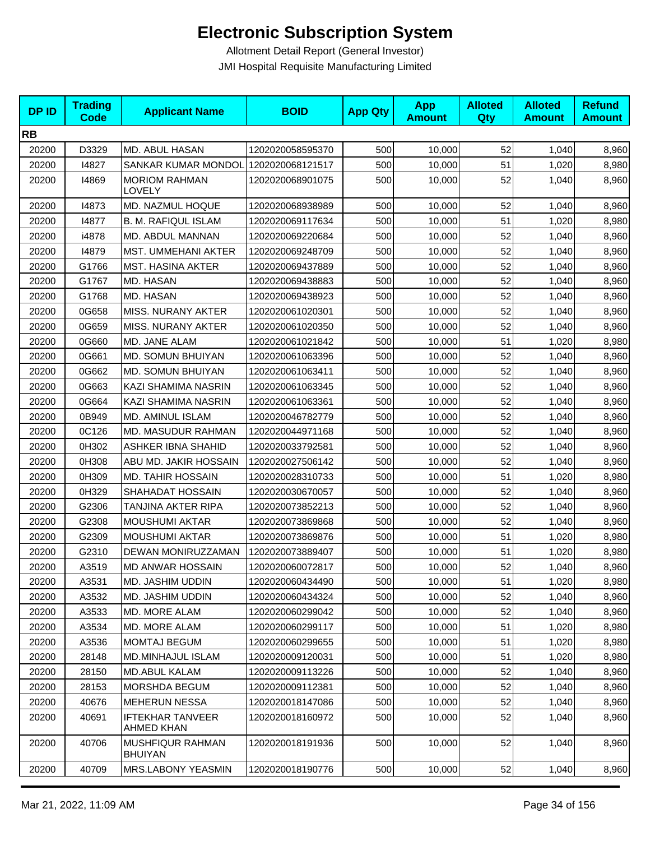| <b>DPID</b> | <b>Trading</b><br><b>Code</b> | <b>Applicant Name</b>                     | <b>BOID</b>      | <b>App Qty</b> | <b>App</b><br><b>Amount</b> | <b>Alloted</b><br><b>Qty</b> | <b>Alloted</b><br><b>Amount</b> | <b>Refund</b><br><b>Amount</b> |
|-------------|-------------------------------|-------------------------------------------|------------------|----------------|-----------------------------|------------------------------|---------------------------------|--------------------------------|
| <b>RB</b>   |                               |                                           |                  |                |                             |                              |                                 |                                |
| 20200       | D3329                         | MD. ABUL HASAN                            | 1202020058595370 | 500            | 10,000                      | 52                           | 1,040                           | 8,960                          |
| 20200       | 14827                         | SANKAR KUMAR MONDOL                       | 1202020068121517 | 500            | 10,000                      | 51                           | 1,020                           | 8,980                          |
| 20200       | 14869                         | <b>MORIOM RAHMAN</b><br>LOVELY            | 1202020068901075 | 500            | 10,000                      | 52                           | 1,040                           | 8,960                          |
| 20200       | 14873                         | MD. NAZMUL HOQUE                          | 1202020068938989 | 500            | 10,000                      | 52                           | 1,040                           | 8,960                          |
| 20200       | 14877                         | <b>B. M. RAFIQUL ISLAM</b>                | 1202020069117634 | 500            | 10,000                      | 51                           | 1,020                           | 8,980                          |
| 20200       | i4878                         | MD. ABDUL MANNAN                          | 1202020069220684 | 500            | 10,000                      | 52                           | 1,040                           | 8,960                          |
| 20200       | 14879                         | MST. UMMEHANI AKTER                       | 1202020069248709 | 500            | 10,000                      | 52                           | 1,040                           | 8,960                          |
| 20200       | G1766                         | <b>MST. HASINA AKTER</b>                  | 1202020069437889 | 500            | 10,000                      | 52                           | 1,040                           | 8,960                          |
| 20200       | G1767                         | MD. HASAN                                 | 1202020069438883 | 500            | 10,000                      | 52                           | 1,040                           | 8,960                          |
| 20200       | G1768                         | MD. HASAN                                 | 1202020069438923 | 500            | 10,000                      | 52                           | 1,040                           | 8,960                          |
| 20200       | 0G658                         | MISS. NURANY AKTER                        | 1202020061020301 | 500            | 10,000                      | 52                           | 1,040                           | 8,960                          |
| 20200       | 0G659                         | MISS. NURANY AKTER                        | 1202020061020350 | 500            | 10,000                      | 52                           | 1,040                           | 8,960                          |
| 20200       | 0G660                         | MD. JANE ALAM                             | 1202020061021842 | 500            | 10,000                      | 51                           | 1,020                           | 8,980                          |
| 20200       | 0G661                         | MD. SOMUN BHUIYAN                         | 1202020061063396 | 500            | 10,000                      | 52                           | 1,040                           | 8,960                          |
| 20200       | 0G662                         | MD. SOMUN BHUIYAN                         | 1202020061063411 | 500            | 10,000                      | 52                           | 1,040                           | 8,960                          |
| 20200       | 0G663                         | KAZI SHAMIMA NASRIN                       | 1202020061063345 | 500            | 10,000                      | 52                           | 1,040                           | 8,960                          |
| 20200       | 0G664                         | KAZI SHAMIMA NASRIN                       | 1202020061063361 | 500            | 10,000                      | 52                           | 1,040                           | 8,960                          |
| 20200       | 0B949                         | MD. AMINUL ISLAM                          | 1202020046782779 | 500            | 10,000                      | 52                           | 1,040                           | 8,960                          |
| 20200       | 0C126                         | MD. MASUDUR RAHMAN                        | 1202020044971168 | 500            | 10,000                      | 52                           | 1,040                           | 8,960                          |
| 20200       | 0H302                         | <b>ASHKER IBNA SHAHID</b>                 | 1202020033792581 | 500            | 10,000                      | 52                           | 1,040                           | 8,960                          |
| 20200       | 0H308                         | ABU MD. JAKIR HOSSAIN                     | 1202020027506142 | 500            | 10,000                      | 52                           | 1,040                           | 8,960                          |
| 20200       | 0H309                         | <b>MD. TAHIR HOSSAIN</b>                  | 1202020028310733 | 500            | 10,000                      | 51                           | 1,020                           | 8,980                          |
| 20200       | 0H329                         | SHAHADAT HOSSAIN                          | 1202020030670057 | 500            | 10,000                      | 52                           | 1,040                           | 8,960                          |
| 20200       | G2306                         | TANJINA AKTER RIPA                        | 1202020073852213 | 500            | 10,000                      | 52                           | 1,040                           | 8,960                          |
| 20200       | G2308                         | <b>MOUSHUMI AKTAR</b>                     | 1202020073869868 | 500            | 10,000                      | 52                           | 1,040                           | 8,960                          |
| 20200       | G2309                         | <b>MOUSHUMI AKTAR</b>                     | 1202020073869876 | 500            | 10,000                      | 51                           | 1,020                           | 8,980                          |
| 20200       | G2310                         | DEWAN MONIRUZZAMAN                        | 1202020073889407 | 500            | 10,000                      | 51                           | 1,020                           | 8,980                          |
| 20200       | A3519                         | <b>MD ANWAR HOSSAIN</b>                   | 1202020060072817 | 500            | 10,000                      | 52                           | 1,040                           | 8,960                          |
| 20200       | A3531                         | MD. JASHIM UDDIN                          | 1202020060434490 | 500            | 10,000                      | 51                           | 1,020                           | 8,980                          |
| 20200       | A3532                         | MD. JASHIM UDDIN                          | 1202020060434324 | 500            | 10,000                      | 52                           | 1,040                           | 8,960                          |
| 20200       | A3533                         | MD. MORE ALAM                             | 1202020060299042 | 500            | 10,000                      | 52                           | 1,040                           | 8,960                          |
| 20200       | A3534                         | MD. MORE ALAM                             | 1202020060299117 | 500            | 10,000                      | 51                           | 1,020                           | 8,980                          |
| 20200       | A3536                         | <b>MOMTAJ BEGUM</b>                       | 1202020060299655 | 500            | 10,000                      | 51                           | 1,020                           | 8,980                          |
| 20200       | 28148                         | <b>MD.MINHAJUL ISLAM</b>                  | 1202020009120031 | 500            | 10,000                      | 51                           | 1,020                           | 8,980                          |
| 20200       | 28150                         | <b>MD.ABUL KALAM</b>                      | 1202020009113226 | 500            | 10,000                      | 52                           | 1,040                           | 8,960                          |
| 20200       | 28153                         | MORSHDA BEGUM                             | 1202020009112381 | 500            | 10,000                      | 52                           | 1,040                           | 8,960                          |
| 20200       | 40676                         | <b>MEHERUN NESSA</b>                      | 1202020018147086 | 500            | 10,000                      | 52                           | 1,040                           | 8,960                          |
| 20200       | 40691                         | <b>IFTEKHAR TANVEER</b><br>AHMED KHAN     | 1202020018160972 | 500            | 10,000                      | 52                           | 1,040                           | 8,960                          |
| 20200       | 40706                         | <b>MUSHFIQUR RAHMAN</b><br><b>BHUIYAN</b> | 1202020018191936 | 500            | 10,000                      | 52                           | 1,040                           | 8,960                          |
| 20200       | 40709                         | MRS.LABONY YEASMIN                        | 1202020018190776 | 500            | 10,000                      | 52                           | 1,040                           | 8,960                          |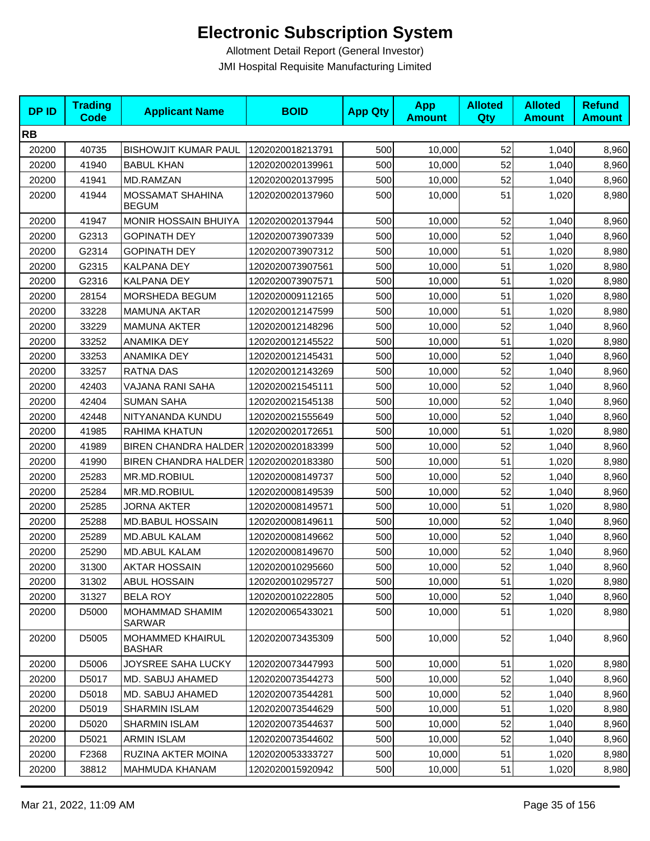| <b>DPID</b> | <b>Trading</b><br><b>Code</b> | <b>Applicant Name</b>                   | <b>BOID</b>      | <b>App Qty</b> | <b>App</b><br><b>Amount</b> | <b>Alloted</b><br>Qty | <b>Alloted</b><br><b>Amount</b> | <b>Refund</b><br><b>Amount</b> |
|-------------|-------------------------------|-----------------------------------------|------------------|----------------|-----------------------------|-----------------------|---------------------------------|--------------------------------|
| <b>RB</b>   |                               |                                         |                  |                |                             |                       |                                 |                                |
| 20200       | 40735                         | <b>BISHOWJIT KUMAR PAUL</b>             | 1202020018213791 | 500            | 10,000                      | 52                    | 1,040                           | 8,960                          |
| 20200       | 41940                         | <b>BABUL KHAN</b>                       | 1202020020139961 | 500            | 10,000                      | 52                    | 1,040                           | 8,960                          |
| 20200       | 41941                         | <b>MD.RAMZAN</b>                        | 1202020020137995 | 500            | 10,000                      | 52                    | 1,040                           | 8,960                          |
| 20200       | 41944                         | <b>MOSSAMAT SHAHINA</b><br><b>BEGUM</b> | 1202020020137960 | 500            | 10,000                      | 51                    | 1,020                           | 8,980                          |
| 20200       | 41947                         | <b>MONIR HOSSAIN BHUIYA</b>             | 1202020020137944 | 500            | 10,000                      | 52                    | 1,040                           | 8,960                          |
| 20200       | G2313                         | <b>GOPINATH DEY</b>                     | 1202020073907339 | 500            | 10,000                      | 52                    | 1,040                           | 8,960                          |
| 20200       | G2314                         | <b>GOPINATH DEY</b>                     | 1202020073907312 | 500            | 10,000                      | 51                    | 1,020                           | 8,980                          |
| 20200       | G2315                         | KALPANA DEY                             | 1202020073907561 | 500            | 10,000                      | 51                    | 1,020                           | 8,980                          |
| 20200       | G2316                         | KALPANA DEY                             | 1202020073907571 | 500            | 10,000                      | 51                    | 1,020                           | 8,980                          |
| 20200       | 28154                         | MORSHEDA BEGUM                          | 1202020009112165 | 500            | 10,000                      | 51                    | 1,020                           | 8,980                          |
| 20200       | 33228                         | <b>MAMUNA AKTAR</b>                     | 1202020012147599 | 500            | 10,000                      | 51                    | 1,020                           | 8,980                          |
| 20200       | 33229                         | <b>MAMUNA AKTER</b>                     | 1202020012148296 | 500            | 10,000                      | 52                    | 1,040                           | 8,960                          |
| 20200       | 33252                         | ANAMIKA DEY                             | 1202020012145522 | 500            | 10,000                      | 51                    | 1,020                           | 8,980                          |
| 20200       | 33253                         | <b>ANAMIKA DEY</b>                      | 1202020012145431 | 500            | 10,000                      | 52                    | 1,040                           | 8,960                          |
| 20200       | 33257                         | RATNA DAS                               | 1202020012143269 | 500            | 10,000                      | 52                    | 1,040                           | 8,960                          |
| 20200       | 42403                         | VAJANA RANI SAHA                        | 1202020021545111 | 500            | 10,000                      | 52                    | 1,040                           | 8,960                          |
| 20200       | 42404                         | <b>SUMAN SAHA</b>                       | 1202020021545138 | 500            | 10,000                      | 52                    | 1,040                           | 8,960                          |
| 20200       | 42448                         | NITYANANDA KUNDU                        | 1202020021555649 | 500            | 10,000                      | 52                    | 1,040                           | 8,960                          |
| 20200       | 41985                         | RAHIMA KHATUN                           | 1202020020172651 | 500            | 10,000                      | 51                    | 1,020                           | 8,980                          |
| 20200       | 41989                         | BIREN CHANDRA HALDER 1202020020183399   |                  | 500            | 10,000                      | 52                    | 1,040                           | 8,960                          |
| 20200       | 41990                         | BIREN CHANDRA HALDER 1202020020183380   |                  | 500            | 10,000                      | 51                    | 1,020                           | 8,980                          |
| 20200       | 25283                         | MR.MD.ROBIUL                            | 1202020008149737 | 500            | 10,000                      | 52                    | 1,040                           | 8,960                          |
| 20200       | 25284                         | MR.MD.ROBIUL                            | 1202020008149539 | 500            | 10,000                      | 52                    | 1,040                           | 8,960                          |
| 20200       | 25285                         | <b>JORNA AKTER</b>                      | 1202020008149571 | 500            | 10,000                      | 51                    | 1,020                           | 8,980                          |
| 20200       | 25288                         | <b>MD.BABUL HOSSAIN</b>                 | 1202020008149611 | 500            | 10,000                      | 52                    | 1,040                           | 8,960                          |
| 20200       | 25289                         | <b>MD.ABUL KALAM</b>                    | 1202020008149662 | 500            | 10,000                      | 52                    | 1,040                           | 8,960                          |
| 20200       | 25290                         | MD.ABUL KALAM                           | 1202020008149670 | 500            | 10,000                      | 52                    | 1,040                           | 8,960                          |
| 20200       | 31300                         | <b>AKTAR HOSSAIN</b>                    | 1202020010295660 | 500            | 10,000                      | 52                    | 1,040                           | 8,960                          |
| 20200       | 31302                         | ABUL HOSSAIN                            | 1202020010295727 | 500            | 10,000                      | 51                    | 1,020                           | 8,980                          |
| 20200       | 31327                         | <b>BELA ROY</b>                         | 1202020010222805 | 500            | 10,000                      | 52                    | 1,040                           | 8,960                          |
| 20200       | D5000                         | MOHAMMAD SHAMIM<br>SARWAR               | 1202020065433021 | 500            | 10,000                      | 51                    | 1,020                           | 8,980                          |
| 20200       | D5005                         | MOHAMMED KHAIRUL<br><b>BASHAR</b>       | 1202020073435309 | 500            | 10,000                      | 52                    | 1,040                           | 8,960                          |
| 20200       | D5006                         | JOYSREE SAHA LUCKY                      | 1202020073447993 | 500            | 10,000                      | 51                    | 1,020                           | 8,980                          |
| 20200       | D5017                         | MD. SABUJ AHAMED                        | 1202020073544273 | 500            | 10,000                      | 52                    | 1,040                           | 8,960                          |
| 20200       | D5018                         | MD. SABUJ AHAMED                        | 1202020073544281 | 500            | 10,000                      | 52                    | 1,040                           | 8,960                          |
| 20200       | D5019                         | <b>SHARMIN ISLAM</b>                    | 1202020073544629 | 500            | 10,000                      | 51                    | 1,020                           | 8,980                          |
| 20200       | D5020                         | <b>SHARMIN ISLAM</b>                    | 1202020073544637 | 500            | 10,000                      | 52                    | 1,040                           | 8,960                          |
| 20200       | D5021                         | <b>ARMIN ISLAM</b>                      | 1202020073544602 | 500            | 10,000                      | 52                    | 1,040                           | 8,960                          |
| 20200       | F2368                         | RUZINA AKTER MOINA                      | 1202020053333727 | 500            | 10,000                      | 51                    | 1,020                           | 8,980                          |
| 20200       | 38812                         | MAHMUDA KHANAM                          | 1202020015920942 | 500            | 10,000                      | 51                    | 1,020                           | 8,980                          |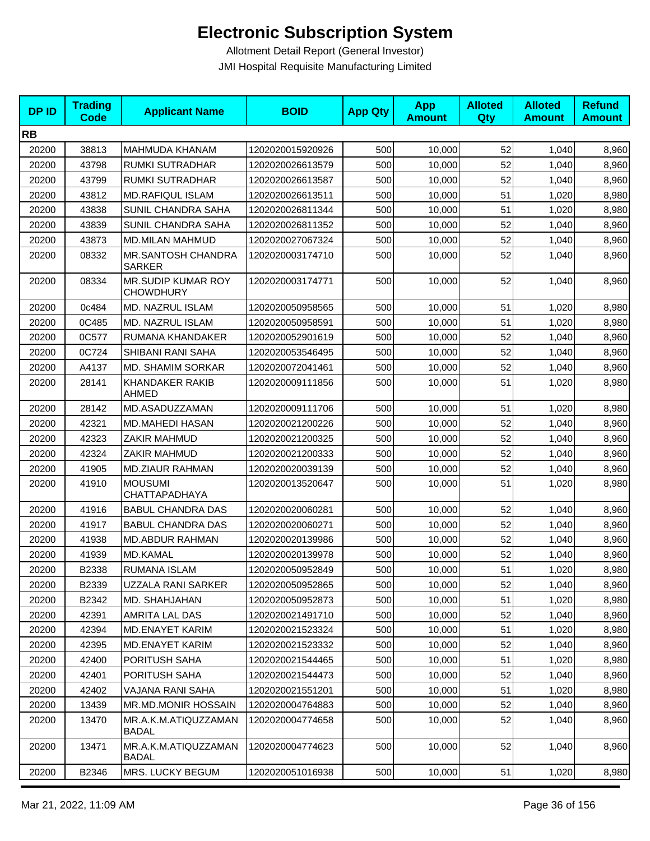| <b>DPID</b> | <b>Trading</b><br>Code | <b>Applicant Name</b>                         | <b>BOID</b>      | <b>App Qty</b> | <b>App</b><br><b>Amount</b> | <b>Alloted</b><br>Qty | <b>Alloted</b><br><b>Amount</b> | <b>Refund</b><br><b>Amount</b> |
|-------------|------------------------|-----------------------------------------------|------------------|----------------|-----------------------------|-----------------------|---------------------------------|--------------------------------|
| <b>RB</b>   |                        |                                               |                  |                |                             |                       |                                 |                                |
| 20200       | 38813                  | <b>MAHMUDA KHANAM</b>                         | 1202020015920926 | 500            | 10,000                      | 52                    | 1,040                           | 8,960                          |
| 20200       | 43798                  | RUMKI SUTRADHAR                               | 1202020026613579 | 500            | 10,000                      | 52                    | 1,040                           | 8,960                          |
| 20200       | 43799                  | RUMKI SUTRADHAR                               | 1202020026613587 | 500            | 10,000                      | 52                    | 1,040                           | 8,960                          |
| 20200       | 43812                  | <b>MD.RAFIQUL ISLAM</b>                       | 1202020026613511 | 500            | 10,000                      | 51                    | 1,020                           | 8,980                          |
| 20200       | 43838                  | SUNIL CHANDRA SAHA                            | 1202020026811344 | 500            | 10,000                      | 51                    | 1,020                           | 8,980                          |
| 20200       | 43839                  | SUNIL CHANDRA SAHA                            | 1202020026811352 | 500            | 10,000                      | 52                    | 1,040                           | 8,960                          |
| 20200       | 43873                  | <b>MD.MILAN MAHMUD</b>                        | 1202020027067324 | 500            | 10,000                      | 52                    | 1,040                           | 8,960                          |
| 20200       | 08332                  | MR.SANTOSH CHANDRA<br><b>SARKER</b>           | 1202020003174710 | 500            | 10,000                      | 52                    | 1,040                           | 8,960                          |
| 20200       | 08334                  | <b>MR.SUDIP KUMAR ROY</b><br><b>CHOWDHURY</b> | 1202020003174771 | 500            | 10,000                      | 52                    | 1,040                           | 8,960                          |
| 20200       | 0c484                  | MD. NAZRUL ISLAM                              | 1202020050958565 | 500            | 10,000                      | 51                    | 1,020                           | 8,980                          |
| 20200       | 0C485                  | MD. NAZRUL ISLAM                              | 1202020050958591 | 500            | 10,000                      | 51                    | 1,020                           | 8,980                          |
| 20200       | 0C577                  | RUMANA KHANDAKER                              | 1202020052901619 | 500            | 10,000                      | 52                    | 1,040                           | 8,960                          |
| 20200       | 0C724                  | SHIBANI RANI SAHA                             | 1202020053546495 | 500            | 10,000                      | 52                    | 1,040                           | 8,960                          |
| 20200       | A4137                  | <b>MD. SHAMIM SORKAR</b>                      | 1202020072041461 | 500            | 10,000                      | 52                    | 1,040                           | 8,960                          |
| 20200       | 28141                  | KHANDAKER RAKIB<br><b>AHMED</b>               | 1202020009111856 | 500            | 10,000                      | 51                    | 1,020                           | 8,980                          |
| 20200       | 28142                  | MD.ASADUZZAMAN                                | 1202020009111706 | 500            | 10,000                      | 51                    | 1,020                           | 8,980                          |
| 20200       | 42321                  | <b>MD.MAHEDI HASAN</b>                        | 1202020021200226 | 500            | 10,000                      | 52                    | 1,040                           | 8,960                          |
| 20200       | 42323                  | ZAKIR MAHMUD                                  | 1202020021200325 | 500            | 10,000                      | 52                    | 1,040                           | 8,960                          |
| 20200       | 42324                  | ZAKIR MAHMUD                                  | 1202020021200333 | 500            | 10,000                      | 52                    | 1,040                           | 8,960                          |
| 20200       | 41905                  | <b>MD.ZIAUR RAHMAN</b>                        | 1202020020039139 | 500            | 10,000                      | 52                    | 1,040                           | 8,960                          |
| 20200       | 41910                  | <b>MOUSUMI</b><br>CHATTAPADHAYA               | 1202020013520647 | 500            | 10,000                      | 51                    | 1,020                           | 8,980                          |
| 20200       | 41916                  | <b>BABUL CHANDRA DAS</b>                      | 1202020020060281 | 500            | 10,000                      | 52                    | 1,040                           | 8,960                          |
| 20200       | 41917                  | <b>BABUL CHANDRA DAS</b>                      | 1202020020060271 | 500            | 10,000                      | 52                    | 1,040                           | 8,960                          |
| 20200       | 41938                  | <b>MD.ABDUR RAHMAN</b>                        | 1202020020139986 | 500            | 10,000                      | 52                    | 1,040                           | 8,960                          |
| 20200       | 41939                  | MD.KAMAL                                      | 1202020020139978 | 500            | 10,000                      | 52                    | 1,040                           | 8,960                          |
| 20200       | B2338                  | RUMANA ISLAM                                  | 1202020050952849 | 500            | 10,000                      | 51                    | 1,020                           | 8,980                          |
| 20200       | B2339                  | UZZALA RANI SARKER                            | 1202020050952865 | 500            | 10,000                      | 52                    | 1,040                           | 8,960                          |
| 20200       | B2342                  | MD. SHAHJAHAN                                 | 1202020050952873 | 500            | 10,000                      | 51                    | 1,020                           | 8,980                          |
| 20200       | 42391                  | AMRITA LAL DAS                                | 1202020021491710 | 500            | 10,000                      | 52                    | 1,040                           | 8,960                          |
| 20200       | 42394                  | <b>MD.ENAYET KARIM</b>                        | 1202020021523324 | 500            | 10,000                      | 51                    | 1,020                           | 8,980                          |
| 20200       | 42395                  | MD.ENAYET KARIM                               | 1202020021523332 | 500            | 10,000                      | 52                    | 1,040                           | 8,960                          |
| 20200       | 42400                  | PORITUSH SAHA                                 | 1202020021544465 | 500            | 10,000                      | 51                    | 1,020                           | 8,980                          |
| 20200       | 42401                  | PORITUSH SAHA                                 | 1202020021544473 | 500            | 10,000                      | 52                    | 1,040                           | 8,960                          |
| 20200       | 42402                  | VAJANA RANI SAHA                              | 1202020021551201 | 500            | 10,000                      | 51                    | 1,020                           | 8,980                          |
| 20200       | 13439                  | MR.MD.MONIR HOSSAIN                           | 1202020004764883 | 500            | 10,000                      | 52                    | 1,040                           | 8,960                          |
| 20200       | 13470                  | MR.A.K.M.ATIQUZZAMAN<br><b>BADAL</b>          | 1202020004774658 | 500            | 10,000                      | 52                    | 1,040                           | 8,960                          |
| 20200       | 13471                  | MR.A.K.M.ATIQUZZAMAN<br><b>BADAL</b>          | 1202020004774623 | 500            | 10,000                      | 52                    | 1,040                           | 8,960                          |
| 20200       | B2346                  | MRS. LUCKY BEGUM                              | 1202020051016938 | 500            | 10,000                      | 51                    | 1,020                           | 8,980                          |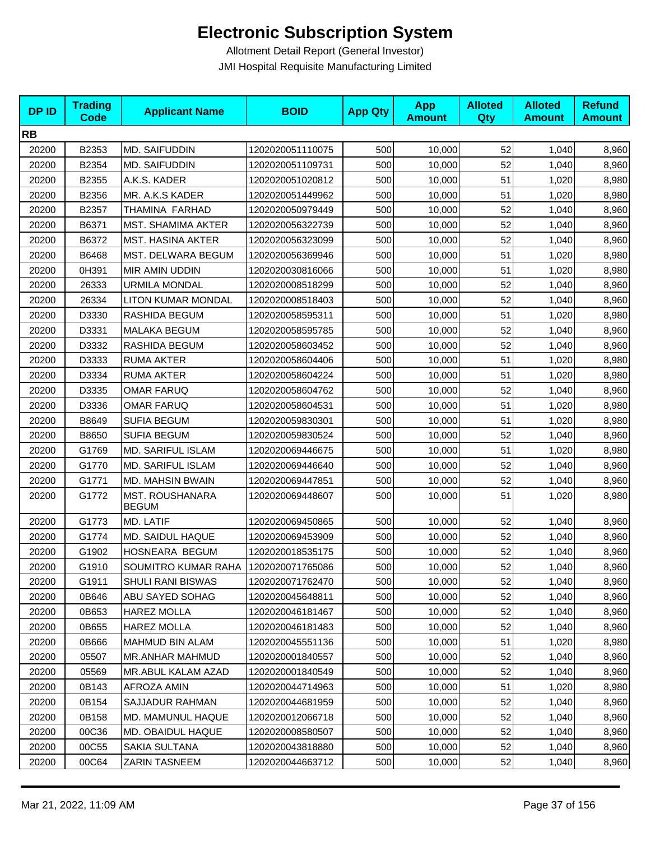| <b>DPID</b> | <b>Trading</b><br><b>Code</b> | <b>Applicant Name</b>           | <b>BOID</b>      | <b>App Qty</b> | <b>App</b><br><b>Amount</b> | <b>Alloted</b><br>Qty | <b>Alloted</b><br><b>Amount</b> | <b>Refund</b><br><b>Amount</b> |
|-------------|-------------------------------|---------------------------------|------------------|----------------|-----------------------------|-----------------------|---------------------------------|--------------------------------|
| <b>RB</b>   |                               |                                 |                  |                |                             |                       |                                 |                                |
| 20200       | B2353                         | MD. SAIFUDDIN                   | 1202020051110075 | 500            | 10,000                      | 52                    | 1,040                           | 8,960                          |
| 20200       | B2354                         | MD. SAIFUDDIN                   | 1202020051109731 | 500            | 10,000                      | 52                    | 1,040                           | 8,960                          |
| 20200       | B2355                         | A.K.S. KADER                    | 1202020051020812 | 500            | 10,000                      | 51                    | 1,020                           | 8,980                          |
| 20200       | B2356                         | MR. A.K.S KADER                 | 1202020051449962 | 500            | 10,000                      | 51                    | 1,020                           | 8,980                          |
| 20200       | B2357                         | THAMINA FARHAD                  | 1202020050979449 | 500            | 10,000                      | 52                    | 1,040                           | 8,960                          |
| 20200       | B6371                         | <b>MST. SHAMIMA AKTER</b>       | 1202020056322739 | 500            | 10,000                      | 52                    | 1,040                           | 8,960                          |
| 20200       | B6372                         | <b>MST. HASINA AKTER</b>        | 1202020056323099 | 500            | 10,000                      | 52                    | 1,040                           | 8,960                          |
| 20200       | B6468                         | MST. DELWARA BEGUM              | 1202020056369946 | 500            | 10,000                      | 51                    | 1,020                           | 8,980                          |
| 20200       | 0H391                         | MIR AMIN UDDIN                  | 1202020030816066 | 500            | 10,000                      | 51                    | 1,020                           | 8,980                          |
| 20200       | 26333                         | <b>URMILA MONDAL</b>            | 1202020008518299 | 500            | 10,000                      | 52                    | 1,040                           | 8,960                          |
| 20200       | 26334                         | LITON KUMAR MONDAL              | 1202020008518403 | 500            | 10,000                      | 52                    | 1,040                           | 8,960                          |
| 20200       | D3330                         | RASHIDA BEGUM                   | 1202020058595311 | 500            | 10,000                      | 51                    | 1,020                           | 8,980                          |
| 20200       | D3331                         | MALAKA BEGUM                    | 1202020058595785 | 500            | 10,000                      | 52                    | 1,040                           | 8,960                          |
| 20200       | D3332                         | <b>RASHIDA BEGUM</b>            | 1202020058603452 | 500            | 10,000                      | 52                    | 1,040                           | 8,960                          |
| 20200       | D3333                         | <b>RUMA AKTER</b>               | 1202020058604406 | 500            | 10,000                      | 51                    | 1,020                           | 8,980                          |
| 20200       | D3334                         | <b>RUMA AKTER</b>               | 1202020058604224 | 500            | 10,000                      | 51                    | 1,020                           | 8,980                          |
| 20200       | D3335                         | <b>OMAR FARUQ</b>               | 1202020058604762 | 500            | 10,000                      | 52                    | 1,040                           | 8,960                          |
| 20200       | D3336                         | <b>OMAR FARUQ</b>               | 1202020058604531 | 500            | 10,000                      | 51                    | 1,020                           | 8,980                          |
| 20200       | B8649                         | <b>SUFIA BEGUM</b>              | 1202020059830301 | 500            | 10,000                      | 51                    | 1,020                           | 8,980                          |
| 20200       | B8650                         | <b>SUFIA BEGUM</b>              | 1202020059830524 | 500            | 10,000                      | 52                    | 1,040                           | 8,960                          |
| 20200       | G1769                         | MD. SARIFUL ISLAM               | 1202020069446675 | 500            | 10,000                      | 51                    | 1,020                           | 8,980                          |
| 20200       | G1770                         | MD. SARIFUL ISLAM               | 1202020069446640 | 500            | 10,000                      | 52                    | 1,040                           | 8,960                          |
| 20200       | G1771                         | MD. MAHSIN BWAIN                | 1202020069447851 | 500            | 10,000                      | 52                    | 1,040                           | 8,960                          |
| 20200       | G1772                         | MST. ROUSHANARA<br><b>BEGUM</b> | 1202020069448607 | 500            | 10,000                      | 51                    | 1,020                           | 8,980                          |
| 20200       | G1773                         | MD. LATIF                       | 1202020069450865 | 500            | 10,000                      | 52                    | 1,040                           | 8,960                          |
| 20200       | G1774                         | MD. SAIDUL HAQUE                | 1202020069453909 | 500            | 10,000                      | 52                    | 1,040                           | 8,960                          |
| 20200       | G1902                         | HOSNEARA BEGUM                  | 1202020018535175 | 500            | 10,000                      | 52                    | 1,040                           | 8,960                          |
| 20200       | G1910                         | SOUMITRO KUMAR RAHA             | 1202020071765086 | 500            | 10,000                      | 52                    | 1,040                           | 8,960                          |
| 20200       | G1911                         | SHULI RANI BISWAS               | 1202020071762470 | 500            | 10,000                      | 52                    | 1,040                           | 8,960                          |
| 20200       | 0B646                         | ABU SAYED SOHAG                 | 1202020045648811 | 500            | 10,000                      | 52                    | 1,040                           | 8,960                          |
| 20200       | 0B653                         | <b>HAREZ MOLLA</b>              | 1202020046181467 | 500            | 10,000                      | 52                    | 1,040                           | 8,960                          |
| 20200       | 0B655                         | <b>HAREZ MOLLA</b>              | 1202020046181483 | 500            | 10,000                      | 52                    | 1,040                           | 8,960                          |
| 20200       | 0B666                         | MAHMUD BIN ALAM                 | 1202020045551136 | 500            | 10,000                      | 51                    | 1,020                           | 8,980                          |
| 20200       | 05507                         | <b>MR.ANHAR MAHMUD</b>          | 1202020001840557 | 500            | 10,000                      | 52                    | 1,040                           | 8,960                          |
| 20200       | 05569                         | MR.ABUL KALAM AZAD              | 1202020001840549 | 500            | 10,000                      | 52                    | 1,040                           | 8,960                          |
| 20200       | 0B143                         | AFROZA AMIN                     | 1202020044714963 | 500            | 10,000                      | 51                    | 1,020                           | 8,980                          |
| 20200       | 0B154                         | SAJJADUR RAHMAN                 | 1202020044681959 | 500            | 10,000                      | 52                    | 1,040                           | 8,960                          |
| 20200       | 0B158                         | MD. MAMUNUL HAQUE               | 1202020012066718 | 500            | 10,000                      | 52                    | 1,040                           | 8,960                          |
| 20200       | 00C36                         | MD. OBAIDUL HAQUE               | 1202020008580507 | 500            | 10,000                      | 52                    | 1,040                           | 8,960                          |
| 20200       | 00C55                         | SAKIA SULTANA                   | 1202020043818880 | 500            | 10,000                      | 52                    | 1,040                           | 8,960                          |
| 20200       | 00C64                         | <b>ZARIN TASNEEM</b>            | 1202020044663712 | 500            | 10,000                      | 52                    | 1,040                           | 8,960                          |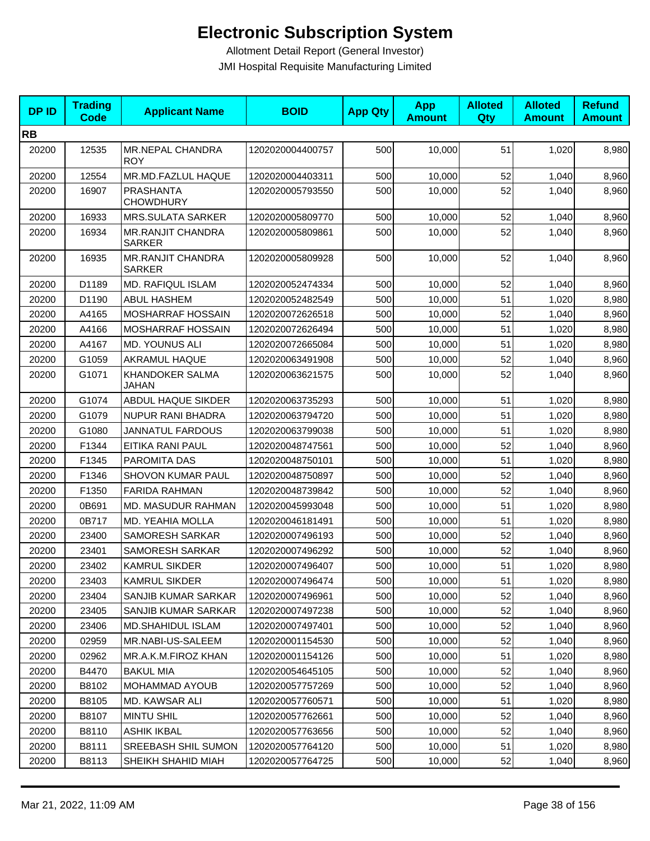| <b>DPID</b> | <b>Trading</b><br><b>Code</b> | <b>Applicant Name</b>                     | <b>BOID</b>      | <b>App Qty</b> | <b>App</b><br><b>Amount</b> | <b>Alloted</b><br>Qty | <b>Alloted</b><br><b>Amount</b> | <b>Refund</b><br><b>Amount</b> |
|-------------|-------------------------------|-------------------------------------------|------------------|----------------|-----------------------------|-----------------------|---------------------------------|--------------------------------|
| <b>RB</b>   |                               |                                           |                  |                |                             |                       |                                 |                                |
| 20200       | 12535                         | MR.NEPAL CHANDRA<br><b>ROY</b>            | 1202020004400757 | 500            | 10,000                      | 51                    | 1,020                           | 8,980                          |
| 20200       | 12554                         | MR.MD.FAZLUL HAQUE                        | 1202020004403311 | 500            | 10,000                      | 52                    | 1,040                           | 8,960                          |
| 20200       | 16907                         | <b>PRASHANTA</b><br><b>CHOWDHURY</b>      | 1202020005793550 | 500            | 10,000                      | 52                    | 1,040                           | 8,960                          |
| 20200       | 16933                         | <b>MRS.SULATA SARKER</b>                  | 1202020005809770 | 500            | 10,000                      | 52                    | 1,040                           | 8,960                          |
| 20200       | 16934                         | <b>MR.RANJIT CHANDRA</b><br><b>SARKER</b> | 1202020005809861 | 500            | 10,000                      | 52                    | 1,040                           | 8,960                          |
| 20200       | 16935                         | <b>MR.RANJIT CHANDRA</b><br><b>SARKER</b> | 1202020005809928 | 500            | 10,000                      | 52                    | 1,040                           | 8,960                          |
| 20200       | D1189                         | <b>MD. RAFIQUL ISLAM</b>                  | 1202020052474334 | 500            | 10,000                      | 52                    | 1,040                           | 8,960                          |
| 20200       | D1190                         | <b>ABUL HASHEM</b>                        | 1202020052482549 | 500            | 10,000                      | 51                    | 1,020                           | 8,980                          |
| 20200       | A4165                         | MOSHARRAF HOSSAIN                         | 1202020072626518 | 500            | 10,000                      | 52                    | 1,040                           | 8,960                          |
| 20200       | A4166                         | MOSHARRAF HOSSAIN                         | 1202020072626494 | 500            | 10,000                      | 51                    | 1,020                           | 8,980                          |
| 20200       | A4167                         | <b>MD. YOUNUS ALI</b>                     | 1202020072665084 | 500            | 10,000                      | 51                    | 1,020                           | 8,980                          |
| 20200       | G1059                         | <b>AKRAMUL HAQUE</b>                      | 1202020063491908 | 500            | 10,000                      | 52                    | 1,040                           | 8,960                          |
| 20200       | G1071                         | <b>KHANDOKER SALMA</b><br>JAHAN           | 1202020063621575 | 500            | 10,000                      | 52                    | 1,040                           | 8,960                          |
| 20200       | G1074                         | ABDUL HAQUE SIKDER                        | 1202020063735293 | 500            | 10,000                      | 51                    | 1,020                           | 8,980                          |
| 20200       | G1079                         | <b>NUPUR RANI BHADRA</b>                  | 1202020063794720 | 500            | 10,000                      | 51                    | 1,020                           | 8,980                          |
| 20200       | G1080                         | <b>JANNATUL FARDOUS</b>                   | 1202020063799038 | 500            | 10,000                      | 51                    | 1,020                           | 8,980                          |
| 20200       | F1344                         | EITIKA RANI PAUL                          | 1202020048747561 | 500            | 10,000                      | 52                    | 1,040                           | 8,960                          |
| 20200       | F1345                         | PAROMITA DAS                              | 1202020048750101 | 500            | 10,000                      | 51                    | 1,020                           | 8,980                          |
| 20200       | F1346                         | SHOVON KUMAR PAUL                         | 1202020048750897 | 500            | 10,000                      | 52                    | 1,040                           | 8,960                          |
| 20200       | F1350                         | <b>FARIDA RAHMAN</b>                      | 1202020048739842 | 500            | 10,000                      | 52                    | 1,040                           | 8,960                          |
| 20200       | 0B691                         | MD. MASUDUR RAHMAN                        | 1202020045993048 | 500            | 10,000                      | 51                    | 1,020                           | 8,980                          |
| 20200       | 0B717                         | MD. YEAHIA MOLLA                          | 1202020046181491 | 500            | 10,000                      | 51                    | 1,020                           | 8,980                          |
| 20200       | 23400                         | <b>SAMORESH SARKAR</b>                    | 1202020007496193 | 500            | 10,000                      | 52                    | 1,040                           | 8,960                          |
| 20200       | 23401                         | <b>SAMORESH SARKAR</b>                    | 1202020007496292 | 500            | 10,000                      | 52                    | 1,040                           | 8,960                          |
| 20200       | 23402                         | <b>KAMRUL SIKDER</b>                      | 1202020007496407 | 500            | 10,000                      | 51                    | 1,020                           | 8,980                          |
| 20200       | 23403                         | <b>KAMRUL SIKDER</b>                      | 1202020007496474 | 500            | 10,000                      | 51                    | 1,020                           | 8,980                          |
| 20200       | 23404                         | SANJIB KUMAR SARKAR                       | 1202020007496961 | 500            | 10,000                      | 52                    | 1,040                           | 8,960                          |
| 20200       | 23405                         | SANJIB KUMAR SARKAR                       | 1202020007497238 | 500            | 10,000                      | 52                    | 1,040                           | 8,960                          |
| 20200       | 23406                         | <b>MD.SHAHIDUL ISLAM</b>                  | 1202020007497401 | 500            | 10,000                      | 52                    | 1,040                           | 8,960                          |
| 20200       | 02959                         | MR.NABI-US-SALEEM                         | 1202020001154530 | 500            | 10.000                      | 52                    | 1,040                           | 8,960                          |
| 20200       | 02962                         | MR.A.K.M.FIROZ KHAN                       | 1202020001154126 | 500            | 10,000                      | 51                    | 1,020                           | 8,980                          |
| 20200       | B4470                         | <b>BAKUL MIA</b>                          | 1202020054645105 | 500            | 10,000                      | 52                    | 1,040                           | 8,960                          |
| 20200       | B8102                         | MOHAMMAD AYOUB                            | 1202020057757269 | 500            | 10,000                      | 52                    | 1,040                           | 8,960                          |
| 20200       | B8105                         | MD. KAWSAR ALI                            | 1202020057760571 | 500            | 10,000                      | 51                    | 1,020                           | 8,980                          |
| 20200       | B8107                         | <b>MINTU SHIL</b>                         | 1202020057762661 | 500            | 10,000                      | 52                    | 1,040                           | 8,960                          |
| 20200       | B8110                         | <b>ASHIK IKBAL</b>                        | 1202020057763656 | 500            | 10,000                      | 52                    | 1,040                           | 8,960                          |
| 20200       | B8111                         | SREEBASH SHIL SUMON                       | 1202020057764120 | 500            | 10,000                      | 51                    | 1,020                           | 8,980                          |
| 20200       | B8113                         | SHEIKH SHAHID MIAH                        | 1202020057764725 | 500            | 10,000                      | 52                    | 1,040                           | 8,960                          |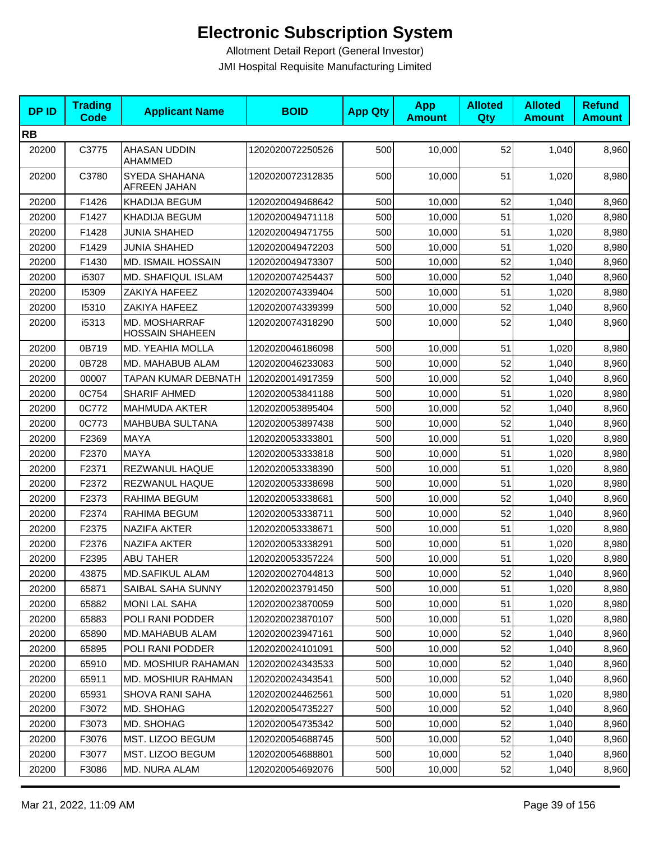| <b>DPID</b> | <b>Trading</b><br><b>Code</b> | <b>Applicant Name</b>                   | <b>BOID</b>      | <b>App Qty</b> | <b>App</b><br><b>Amount</b> | <b>Alloted</b><br>Qty | <b>Alloted</b><br><b>Amount</b> | <b>Refund</b><br><b>Amount</b> |
|-------------|-------------------------------|-----------------------------------------|------------------|----------------|-----------------------------|-----------------------|---------------------------------|--------------------------------|
| <b>RB</b>   |                               |                                         |                  |                |                             |                       |                                 |                                |
| 20200       | C3775                         | AHASAN UDDIN<br>AHAMMED                 | 1202020072250526 | 500            | 10,000                      | 52                    | 1,040                           | 8,960                          |
| 20200       | C3780                         | SYEDA SHAHANA<br>AFREEN JAHAN           | 1202020072312835 | 500            | 10,000                      | 51                    | 1,020                           | 8,980                          |
| 20200       | F1426                         | KHADIJA BEGUM                           | 1202020049468642 | 500            | 10,000                      | 52                    | 1,040                           | 8,960                          |
| 20200       | F1427                         | KHADIJA BEGUM                           | 1202020049471118 | 500            | 10,000                      | 51                    | 1,020                           | 8,980                          |
| 20200       | F1428                         | <b>JUNIA SHAHED</b>                     | 1202020049471755 | 500            | 10,000                      | 51                    | 1,020                           | 8,980                          |
| 20200       | F1429                         | <b>JUNIA SHAHED</b>                     | 1202020049472203 | 500            | 10,000                      | 51                    | 1,020                           | 8,980                          |
| 20200       | F1430                         | MD. ISMAIL HOSSAIN                      | 1202020049473307 | 500            | 10,000                      | 52                    | 1,040                           | 8,960                          |
| 20200       | i5307                         | MD. SHAFIQUL ISLAM                      | 1202020074254437 | 500            | 10,000                      | 52                    | 1,040                           | 8,960                          |
| 20200       | 15309                         | ZAKIYA HAFEEZ                           | 1202020074339404 | 500            | 10,000                      | 51                    | 1,020                           | 8,980                          |
| 20200       | 15310                         | ZAKIYA HAFEEZ                           | 1202020074339399 | 500            | 10,000                      | 52                    | 1,040                           | 8,960                          |
| 20200       | i5313                         | MD. MOSHARRAF<br><b>HOSSAIN SHAHEEN</b> | 1202020074318290 | 500            | 10,000                      | 52                    | 1,040                           | 8,960                          |
| 20200       | 0B719                         | MD. YEAHIA MOLLA                        | 1202020046186098 | 500            | 10,000                      | 51                    | 1,020                           | 8,980                          |
| 20200       | 0B728                         | MD. MAHABUB ALAM                        | 1202020046233083 | 500            | 10,000                      | 52                    | 1,040                           | 8,960                          |
| 20200       | 00007                         | <b>TAPAN KUMAR DEBNATH</b>              | 1202020014917359 | 500            | 10,000                      | 52                    | 1,040                           | 8,960                          |
| 20200       | 0C754                         | <b>SHARIF AHMED</b>                     | 1202020053841188 | 500            | 10,000                      | 51                    | 1,020                           | 8,980                          |
| 20200       | 0C772                         | <b>MAHMUDA AKTER</b>                    | 1202020053895404 | 500            | 10,000                      | 52                    | 1,040                           | 8,960                          |
| 20200       | 0C773                         | MAHBUBA SULTANA                         | 1202020053897438 | 500            | 10,000                      | 52                    | 1,040                           | 8,960                          |
| 20200       | F2369                         | <b>MAYA</b>                             | 1202020053333801 | 500            | 10,000                      | 51                    | 1,020                           | 8,980                          |
| 20200       | F2370                         | <b>MAYA</b>                             | 1202020053333818 | 500            | 10,000                      | 51                    | 1,020                           | 8,980                          |
| 20200       | F2371                         | REZWANUL HAQUE                          | 1202020053338390 | 500            | 10,000                      | 51                    | 1,020                           | 8,980                          |
| 20200       | F2372                         | REZWANUL HAQUE                          | 1202020053338698 | 500            | 10,000                      | 51                    | 1,020                           | 8,980                          |
| 20200       | F2373                         | RAHIMA BEGUM                            | 1202020053338681 | 500            | 10,000                      | 52                    | 1,040                           | 8,960                          |
| 20200       | F2374                         | RAHIMA BEGUM                            | 1202020053338711 | 500            | 10,000                      | 52                    | 1,040                           | 8,960                          |
| 20200       | F2375                         | <b>NAZIFA AKTER</b>                     | 1202020053338671 | 500            | 10,000                      | 51                    | 1,020                           | 8,980                          |
| 20200       | F2376                         | <b>NAZIFA AKTER</b>                     | 1202020053338291 | 500            | 10,000                      | 51                    | 1,020                           | 8,980                          |
| 20200       | F2395                         | <b>ABU TAHER</b>                        | 1202020053357224 | 500            | 10,000                      | 51                    | 1,020                           | 8,980                          |
| 20200       | 43875                         | MD.SAFIKUL ALAM                         | 1202020027044813 | 500            | 10,000                      | 52                    | 1,040                           | 8,960                          |
| 20200       | 65871                         | SAIBAL SAHA SUNNY                       | 1202020023791450 | 500            | 10,000                      | 51                    | 1,020                           | 8,980                          |
| 20200       | 65882                         | <b>MONI LAL SAHA</b>                    | 1202020023870059 | 500            | 10,000                      | 51                    | 1,020                           | 8,980                          |
| 20200       | 65883                         | POLI RANI PODDER                        | 1202020023870107 | 500            | 10,000                      | 51                    | 1,020                           | 8,980                          |
| 20200       | 65890                         | MD.MAHABUB ALAM                         | 1202020023947161 | 500            | 10,000                      | 52                    | 1,040                           | 8,960                          |
| 20200       | 65895                         | POLI RANI PODDER                        | 1202020024101091 | 500            | 10,000                      | 52                    | 1,040                           | 8,960                          |
| 20200       | 65910                         | MD. MOSHIUR RAHAMAN                     | 1202020024343533 | 500            | 10,000                      | 52                    | 1,040                           | 8,960                          |
| 20200       | 65911                         | <b>MD. MOSHIUR RAHMAN</b>               | 1202020024343541 | 500            | 10,000                      | 52                    | 1,040                           | 8,960                          |
| 20200       | 65931                         | <b>SHOVA RANI SAHA</b>                  | 1202020024462561 | 500            | 10,000                      | 51                    | 1,020                           | 8,980                          |
| 20200       | F3072                         | MD. SHOHAG                              | 1202020054735227 | 500            | 10,000                      | 52                    | 1,040                           | 8,960                          |
| 20200       | F3073                         | MD. SHOHAG                              | 1202020054735342 | 500            | 10,000                      | 52                    | 1,040                           | 8,960                          |
| 20200       | F3076                         | MST. LIZOO BEGUM                        | 1202020054688745 | 500            | 10,000                      | 52                    | 1,040                           | 8,960                          |
| 20200       | F3077                         | MST. LIZOO BEGUM                        | 1202020054688801 | 500            | 10,000                      | 52                    | 1,040                           | 8,960                          |
| 20200       | F3086                         | MD. NURA ALAM                           | 1202020054692076 | 500            | 10,000                      | 52                    | 1,040                           | 8,960                          |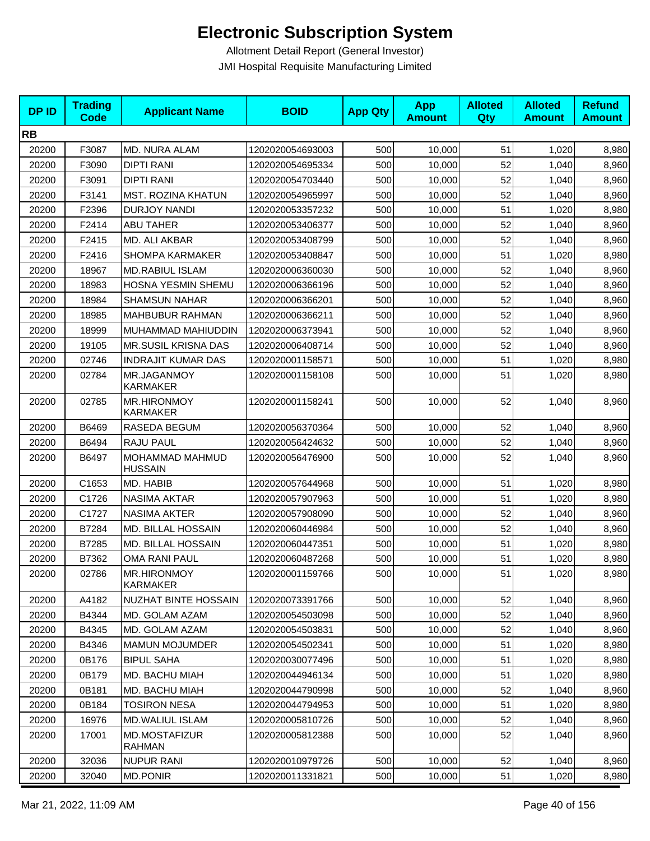| <b>DPID</b> | <b>Trading</b><br><b>Code</b> | <b>Applicant Name</b>             | <b>BOID</b>      | <b>App Qty</b> | <b>App</b><br><b>Amount</b> | <b>Alloted</b><br><b>Qty</b> | <b>Alloted</b><br><b>Amount</b> | <b>Refund</b><br><b>Amount</b> |
|-------------|-------------------------------|-----------------------------------|------------------|----------------|-----------------------------|------------------------------|---------------------------------|--------------------------------|
| <b>RB</b>   |                               |                                   |                  |                |                             |                              |                                 |                                |
| 20200       | F3087                         | MD. NURA ALAM                     | 1202020054693003 | 500            | 10,000                      | 51                           | 1,020                           | 8,980                          |
| 20200       | F3090                         | <b>DIPTI RANI</b>                 | 1202020054695334 | 500            | 10,000                      | 52                           | 1,040                           | 8,960                          |
| 20200       | F3091                         | <b>DIPTI RANI</b>                 | 1202020054703440 | 500            | 10,000                      | 52                           | 1,040                           | 8,960                          |
| 20200       | F3141                         | <b>MST. ROZINA KHATUN</b>         | 1202020054965997 | 500            | 10,000                      | 52                           | 1,040                           | 8,960                          |
| 20200       | F2396                         | <b>DURJOY NANDI</b>               | 1202020053357232 | 500            | 10,000                      | 51                           | 1,020                           | 8,980                          |
| 20200       | F2414                         | <b>ABU TAHER</b>                  | 1202020053406377 | 500            | 10,000                      | 52                           | 1,040                           | 8,960                          |
| 20200       | F2415                         | MD. ALI AKBAR                     | 1202020053408799 | 500            | 10,000                      | 52                           | 1,040                           | 8,960                          |
| 20200       | F2416                         | <b>SHOMPA KARMAKER</b>            | 1202020053408847 | 500            | 10,000                      | 51                           | 1,020                           | 8,980                          |
| 20200       | 18967                         | <b>MD.RABIUL ISLAM</b>            | 1202020006360030 | 500            | 10,000                      | 52                           | 1,040                           | 8,960                          |
| 20200       | 18983                         | HOSNA YESMIN SHEMU                | 1202020006366196 | 500            | 10,000                      | 52                           | 1,040                           | 8,960                          |
| 20200       | 18984                         | <b>SHAMSUN NAHAR</b>              | 1202020006366201 | 500            | 10,000                      | 52                           | 1,040                           | 8,960                          |
| 20200       | 18985                         | <b>MAHBUBUR RAHMAN</b>            | 1202020006366211 | 500            | 10,000                      | 52                           | 1,040                           | 8,960                          |
| 20200       | 18999                         | MUHAMMAD MAHIUDDIN                | 1202020006373941 | 500            | 10,000                      | 52                           | 1,040                           | 8,960                          |
| 20200       | 19105                         | <b>MR.SUSIL KRISNA DAS</b>        | 1202020006408714 | 500            | 10,000                      | 52                           | 1,040                           | 8,960                          |
| 20200       | 02746                         | <b>INDRAJIT KUMAR DAS</b>         | 1202020001158571 | 500            | 10,000                      | 51                           | 1,020                           | 8,980                          |
| 20200       | 02784                         | MR.JAGANMOY<br><b>KARMAKER</b>    | 1202020001158108 | 500            | 10,000                      | 51                           | 1,020                           | 8,980                          |
| 20200       | 02785                         | MR.HIRONMOY<br>KARMAKER           | 1202020001158241 | 500            | 10,000                      | 52                           | 1,040                           | 8,960                          |
| 20200       | B6469                         | RASEDA BEGUM                      | 1202020056370364 | 500            | 10,000                      | 52                           | 1,040                           | 8,960                          |
| 20200       | B6494                         | RAJU PAUL                         | 1202020056424632 | 500            | 10,000                      | 52                           | 1,040                           | 8,960                          |
| 20200       | B6497                         | MOHAMMAD MAHMUD<br><b>HUSSAIN</b> | 1202020056476900 | 500            | 10,000                      | 52                           | 1,040                           | 8,960                          |
| 20200       | C1653                         | MD. HABIB                         | 1202020057644968 | 500            | 10,000                      | 51                           | 1,020                           | 8,980                          |
| 20200       | C1726                         | <b>NASIMA AKTAR</b>               | 1202020057907963 | 500            | 10,000                      | 51                           | 1,020                           | 8,980                          |
| 20200       | C1727                         | <b>NASIMA AKTER</b>               | 1202020057908090 | 500            | 10,000                      | 52                           | 1,040                           | 8,960                          |
| 20200       | B7284                         | MD. BILLAL HOSSAIN                | 1202020060446984 | 500            | 10,000                      | 52                           | 1,040                           | 8,960                          |
| 20200       | B7285                         | MD. BILLAL HOSSAIN                | 1202020060447351 | 500            | 10,000                      | 51                           | 1,020                           | 8,980                          |
| 20200       | B7362                         | OMA RANI PAUL                     | 1202020060487268 | 500            | 10,000                      | 51                           | 1,020                           | 8,980                          |
| 20200       | 02786                         | MR.HIRONMOY<br>KARMAKER           | 1202020001159766 | 500            | 10,000                      | 51                           | 1,020                           | 8,980                          |
| 20200       | A4182                         | NUZHAT BINTE HOSSAIN              | 1202020073391766 | 500            | 10,000                      | 52                           | 1,040                           | 8,960                          |
| 20200       | B4344                         | MD. GOLAM AZAM                    | 1202020054503098 | 500            | 10,000                      | 52                           | 1,040                           | 8,960                          |
| 20200       | B4345                         | MD. GOLAM AZAM                    | 1202020054503831 | 500            | 10,000                      | 52                           | 1,040                           | 8,960                          |
| 20200       | B4346                         | <b>MAMUN MOJUMDER</b>             | 1202020054502341 | 500            | 10,000                      | 51                           | 1,020                           | 8,980                          |
| 20200       | 0B176                         | <b>BIPUL SAHA</b>                 | 1202020030077496 | 500            | 10,000                      | 51                           | 1,020                           | 8,980                          |
| 20200       | 0B179                         | MD. BACHU MIAH                    | 1202020044946134 | 500            | 10,000                      | 51                           | 1,020                           | 8,980                          |
| 20200       | 0B181                         | MD. BACHU MIAH                    | 1202020044790998 | 500            | 10,000                      | 52                           | 1,040                           | 8,960                          |
| 20200       | 0B184                         | <b>TOSIRON NESA</b>               | 1202020044794953 | 500            | 10,000                      | 51                           | 1,020                           | 8,980                          |
| 20200       | 16976                         | MD.WALIUL ISLAM                   | 1202020005810726 | 500            | 10,000                      | 52                           | 1,040                           | 8,960                          |
| 20200       | 17001                         | MD.MOSTAFIZUR<br>RAHMAN           | 1202020005812388 | 500            | 10,000                      | 52                           | 1,040                           | 8,960                          |
| 20200       | 32036                         | <b>NUPUR RANI</b>                 | 1202020010979726 | 500            | 10,000                      | 52                           | 1,040                           | 8,960                          |
| 20200       | 32040                         | <b>MD.PONIR</b>                   | 1202020011331821 | 500            | 10,000                      | 51                           | 1,020                           | 8,980                          |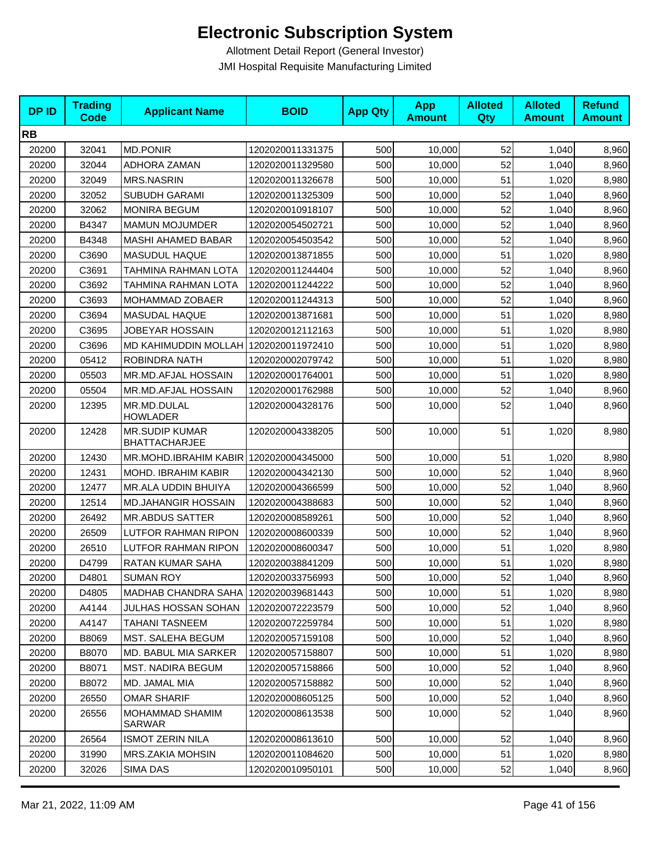| <b>DPID</b> | <b>Trading</b><br><b>Code</b> | <b>Applicant Name</b>                         | <b>BOID</b>      | <b>App Qty</b> | <b>App</b><br><b>Amount</b> | <b>Alloted</b><br>Qty | <b>Alloted</b><br><b>Amount</b> | <b>Refund</b><br><b>Amount</b> |
|-------------|-------------------------------|-----------------------------------------------|------------------|----------------|-----------------------------|-----------------------|---------------------------------|--------------------------------|
| <b>RB</b>   |                               |                                               |                  |                |                             |                       |                                 |                                |
| 20200       | 32041                         | <b>MD.PONIR</b>                               | 1202020011331375 | 500            | 10,000                      | 52                    | 1,040                           | 8,960                          |
| 20200       | 32044                         | ADHORA ZAMAN                                  | 1202020011329580 | 500            | 10,000                      | 52                    | 1,040                           | 8,960                          |
| 20200       | 32049                         | <b>MRS.NASRIN</b>                             | 1202020011326678 | 500            | 10,000                      | 51                    | 1,020                           | 8,980                          |
| 20200       | 32052                         | <b>SUBUDH GARAMI</b>                          | 1202020011325309 | 500            | 10,000                      | 52                    | 1,040                           | 8,960                          |
| 20200       | 32062                         | <b>MONIRA BEGUM</b>                           | 1202020010918107 | 500            | 10,000                      | 52                    | 1,040                           | 8,960                          |
| 20200       | B4347                         | <b>MAMUN MOJUMDER</b>                         | 1202020054502721 | 500            | 10,000                      | 52                    | 1,040                           | 8,960                          |
| 20200       | B4348                         | MASHI AHAMED BABAR                            | 1202020054503542 | 500            | 10,000                      | 52                    | 1,040                           | 8,960                          |
| 20200       | C3690                         | <b>MASUDUL HAQUE</b>                          | 1202020013871855 | 500            | 10,000                      | 51                    | 1,020                           | 8,980                          |
| 20200       | C3691                         | TAHMINA RAHMAN LOTA                           | 1202020011244404 | 500            | 10,000                      | 52                    | 1,040                           | 8,960                          |
| 20200       | C3692                         | TAHMINA RAHMAN LOTA                           | 1202020011244222 | 500            | 10,000                      | 52                    | 1,040                           | 8,960                          |
| 20200       | C3693                         | MOHAMMAD ZOBAER                               | 1202020011244313 | 500            | 10,000                      | 52                    | 1,040                           | 8,960                          |
| 20200       | C3694                         | <b>MASUDAL HAQUE</b>                          | 1202020013871681 | 500            | 10,000                      | 51                    | 1,020                           | 8,980                          |
| 20200       | C3695                         | <b>JOBEYAR HOSSAIN</b>                        | 1202020012112163 | 500            | 10,000                      | 51                    | 1,020                           | 8,980                          |
| 20200       | C3696                         | MD KAHIMUDDIN MOLLAH 1202020011972410         |                  | 500            | 10,000                      | 51                    | 1,020                           | 8,980                          |
| 20200       | 05412                         | ROBINDRA NATH                                 | 1202020002079742 | 500            | 10,000                      | 51                    | 1,020                           | 8,980                          |
| 20200       | 05503                         | MR.MD.AFJAL HOSSAIN                           | 1202020001764001 | 500            | 10,000                      | 51                    | 1,020                           | 8,980                          |
| 20200       | 05504                         | MR.MD.AFJAL HOSSAIN                           | 1202020001762988 | 500            | 10,000                      | 52                    | 1,040                           | 8,960                          |
| 20200       | 12395                         | MR.MD.DULAL<br><b>HOWLADER</b>                | 1202020004328176 | 500            | 10,000                      | 52                    | 1,040                           | 8,960                          |
| 20200       | 12428                         | <b>MR.SUDIP KUMAR</b><br><b>BHATTACHARJEE</b> | 1202020004338205 | 500            | 10,000                      | 51                    | 1,020                           | 8,980                          |
| 20200       | 12430                         | MR.MOHD.IBRAHIM KABIR   1202020004345000      |                  | 500            | 10,000                      | 51                    | 1,020                           | 8,980                          |
| 20200       | 12431                         | MOHD. IBRAHIM KABIR                           | 1202020004342130 | 500            | 10,000                      | 52                    | 1,040                           | 8,960                          |
| 20200       | 12477                         | MR.ALA UDDIN BHUIYA                           | 1202020004366599 | 500            | 10,000                      | 52                    | 1,040                           | 8,960                          |
| 20200       | 12514                         | MD.JAHANGIR HOSSAIN                           | 1202020004388683 | 500            | 10,000                      | 52                    | 1,040                           | 8,960                          |
| 20200       | 26492                         | <b>MR.ABDUS SATTER</b>                        | 1202020008589261 | 500            | 10,000                      | 52                    | 1,040                           | 8,960                          |
| 20200       | 26509                         | <b>LUTFOR RAHMAN RIPON</b>                    | 1202020008600339 | 500            | 10,000                      | 52                    | 1,040                           | 8,960                          |
| 20200       | 26510                         | <b>LUTFOR RAHMAN RIPON</b>                    | 1202020008600347 | 500            | 10,000                      | 51                    | 1,020                           | 8,980                          |
| 20200       | D4799                         | RATAN KUMAR SAHA                              | 1202020038841209 | 500            | 10,000                      | 51                    | 1,020                           | 8,980                          |
| 20200       | D4801                         | <b>SUMAN ROY</b>                              | 1202020033756993 | 500            | 10,000                      | 52                    | 1,040                           | 8,960                          |
| 20200       | D4805                         | MADHAB CHANDRA SAHA                           | 1202020039681443 | 500            | 10,000                      | 51                    | 1,020                           | 8,980                          |
| 20200       | A4144                         | JULHAS HOSSAN SOHAN                           | 1202020072223579 | 500            | 10,000                      | 52                    | 1,040                           | 8,960                          |
| 20200       | A4147                         | TAHANI TASNEEM                                | 1202020072259784 | 500            | 10,000                      | 51                    | 1,020                           | 8,980                          |
| 20200       | B8069                         | MST. SALEHA BEGUM                             | 1202020057159108 | 500            | 10,000                      | 52                    | 1,040                           | 8,960                          |
| 20200       | B8070                         | MD. BABUL MIA SARKER                          | 1202020057158807 | 500            | 10,000                      | 51                    | 1,020                           | 8,980                          |
| 20200       | B8071                         | <b>MST. NADIRA BEGUM</b>                      | 1202020057158866 | 500            | 10,000                      | 52                    | 1,040                           | 8,960                          |
| 20200       | B8072                         | MD. JAMAL MIA                                 | 1202020057158882 | 500            | 10,000                      | 52                    | 1,040                           | 8,960                          |
| 20200       | 26550                         | <b>OMAR SHARIF</b>                            | 1202020008605125 | 500            | 10,000                      | 52                    | 1,040                           | 8,960                          |
| 20200       | 26556                         | MOHAMMAD SHAMIM<br>SARWAR                     | 1202020008613538 | 500            | 10,000                      | 52                    | 1,040                           | 8,960                          |
| 20200       | 26564                         | <b>ISMOT ZERIN NILA</b>                       | 1202020008613610 | 500            | 10,000                      | 52                    | 1,040                           | 8,960                          |
| 20200       | 31990                         | MRS.ZAKIA MOHSIN                              | 1202020011084620 | 500            | 10,000                      | 51                    | 1,020                           | 8,980                          |
| 20200       | 32026                         | SIMA DAS                                      | 1202020010950101 | 500            | 10,000                      | 52                    | 1,040                           | 8,960                          |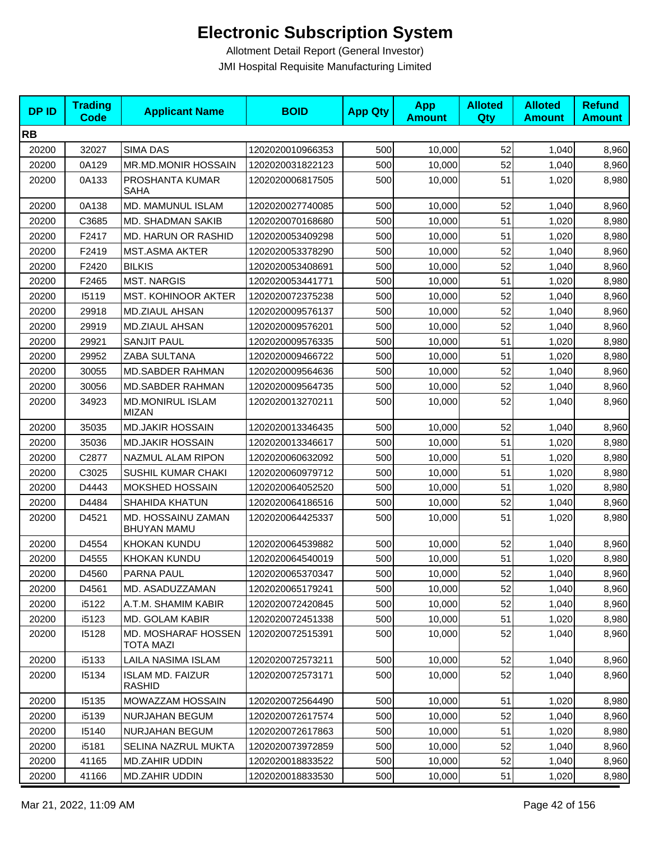| <b>DPID</b> | <b>Trading</b><br>Code | <b>Applicant Name</b>                    | <b>BOID</b>      | <b>App Qty</b> | <b>App</b><br><b>Amount</b> | <b>Alloted</b><br>Qty | <b>Alloted</b><br><b>Amount</b> | <b>Refund</b><br><b>Amount</b> |
|-------------|------------------------|------------------------------------------|------------------|----------------|-----------------------------|-----------------------|---------------------------------|--------------------------------|
| <b>RB</b>   |                        |                                          |                  |                |                             |                       |                                 |                                |
| 20200       | 32027                  | <b>SIMA DAS</b>                          | 1202020010966353 | 500            | 10,000                      | 52                    | 1,040                           | 8,960                          |
| 20200       | 0A129                  | MR.MD.MONIR HOSSAIN                      | 1202020031822123 | 500            | 10,000                      | 52                    | 1,040                           | 8,960                          |
| 20200       | 0A133                  | PROSHANTA KUMAR<br><b>SAHA</b>           | 1202020006817505 | 500            | 10,000                      | 51                    | 1,020                           | 8,980                          |
| 20200       | 0A138                  | MD. MAMUNUL ISLAM                        | 1202020027740085 | 500            | 10,000                      | 52                    | 1,040                           | 8,960                          |
| 20200       | C3685                  | MD. SHADMAN SAKIB                        | 1202020070168680 | 500            | 10,000                      | 51                    | 1,020                           | 8,980                          |
| 20200       | F2417                  | MD. HARUN OR RASHID                      | 1202020053409298 | 500            | 10,000                      | 51                    | 1,020                           | 8,980                          |
| 20200       | F2419                  | <b>MST.ASMA AKTER</b>                    | 1202020053378290 | 500            | 10,000                      | 52                    | 1,040                           | 8,960                          |
| 20200       | F2420                  | <b>BILKIS</b>                            | 1202020053408691 | 500            | 10,000                      | 52                    | 1,040                           | 8,960                          |
| 20200       | F2465                  | <b>MST. NARGIS</b>                       | 1202020053441771 | 500            | 10,000                      | 51                    | 1,020                           | 8,980                          |
| 20200       | 15119                  | <b>MST. KOHINOOR AKTER</b>               | 1202020072375238 | 500            | 10,000                      | 52                    | 1,040                           | 8,960                          |
| 20200       | 29918                  | MD.ZIAUL AHSAN                           | 1202020009576137 | 500            | 10,000                      | 52                    | 1,040                           | 8,960                          |
| 20200       | 29919                  | <b>MD.ZIAUL AHSAN</b>                    | 1202020009576201 | 500            | 10,000                      | 52                    | 1,040                           | 8,960                          |
| 20200       | 29921                  | <b>SANJIT PAUL</b>                       | 1202020009576335 | 500            | 10,000                      | 51                    | 1,020                           | 8,980                          |
| 20200       | 29952                  | ZABA SULTANA                             | 1202020009466722 | 500            | 10,000                      | 51                    | 1,020                           | 8,980                          |
| 20200       | 30055                  | <b>MD.SABDER RAHMAN</b>                  | 1202020009564636 | 500            | 10,000                      | 52                    | 1,040                           | 8,960                          |
| 20200       | 30056                  | <b>MD.SABDER RAHMAN</b>                  | 1202020009564735 | 500            | 10,000                      | 52                    | 1,040                           | 8,960                          |
| 20200       | 34923                  | MD.MONIRUL ISLAM<br><b>MIZAN</b>         | 1202020013270211 | 500            | 10,000                      | 52                    | 1,040                           | 8,960                          |
| 20200       | 35035                  | <b>MD.JAKIR HOSSAIN</b>                  | 1202020013346435 | 500            | 10,000                      | 52                    | 1,040                           | 8,960                          |
| 20200       | 35036                  | <b>MD.JAKIR HOSSAIN</b>                  | 1202020013346617 | 500            | 10,000                      | 51                    | 1,020                           | 8,980                          |
| 20200       | C2877                  | NAZMUL ALAM RIPON                        | 1202020060632092 | 500            | 10,000                      | 51                    | 1,020                           | 8,980                          |
| 20200       | C3025                  | SUSHIL KUMAR CHAKI                       | 1202020060979712 | 500            | 10,000                      | 51                    | 1,020                           | 8,980                          |
| 20200       | D4443                  | MOKSHED HOSSAIN                          | 1202020064052520 | 500            | 10,000                      | 51                    | 1,020                           | 8,980                          |
| 20200       | D4484                  | SHAHIDA KHATUN                           | 1202020064186516 | 500            | 10,000                      | 52                    | 1,040                           | 8,960                          |
| 20200       | D4521                  | MD. HOSSAINU ZAMAN<br><b>BHUYAN MAMU</b> | 1202020064425337 | 500            | 10,000                      | 51                    | 1,020                           | 8,980                          |
| 20200       | D4554                  | <b>KHOKAN KUNDU</b>                      | 1202020064539882 | 500            | 10,000                      | 52                    | 1,040                           | 8,960                          |
| 20200       | D4555                  | <b>KHOKAN KUNDU</b>                      | 1202020064540019 | 500            | 10,000                      | 51                    | 1,020                           | 8,980                          |
| 20200       | D4560                  | PARNA PAUL                               | 1202020065370347 | 500            | 10,000                      | 52                    | 1,040                           | 8,960                          |
| 20200       | D4561                  | MD. ASADUZZAMAN                          | 1202020065179241 | 500            | 10,000                      | 52                    | 1,040                           | 8,960                          |
| 20200       | i5122                  | A.T.M. SHAMIM KABIR                      | 1202020072420845 | 500            | 10,000                      | 52                    | 1,040                           | 8,960                          |
| 20200       | i5123                  | MD. GOLAM KABIR                          | 1202020072451338 | 500            | 10,000                      | 51                    | 1,020                           | 8,980                          |
| 20200       | 15128                  | MD. MOSHARAF HOSSEN<br>TOTA MAZI         | 1202020072515391 | 500            | 10,000                      | 52                    | 1,040                           | 8,960                          |
| 20200       | i5133                  | LAILA NASIMA ISLAM                       | 1202020072573211 | 500            | 10,000                      | 52                    | 1,040                           | 8,960                          |
| 20200       | 15134                  | <b>ISLAM MD. FAIZUR</b><br><b>RASHID</b> | 1202020072573171 | 500            | 10,000                      | 52                    | 1,040                           | 8,960                          |
| 20200       | 15135                  | MOWAZZAM HOSSAIN                         | 1202020072564490 | 500            | 10,000                      | 51                    | 1,020                           | 8,980                          |
| 20200       | i5139                  | NURJAHAN BEGUM                           | 1202020072617574 | 500            | 10,000                      | 52                    | 1,040                           | 8,960                          |
| 20200       | 15140                  | NURJAHAN BEGUM                           | 1202020072617863 | 500            | 10,000                      | 51                    | 1,020                           | 8,980                          |
| 20200       | i5181                  | SELINA NAZRUL MUKTA                      | 1202020073972859 | 500            | 10,000                      | 52                    | 1,040                           | 8,960                          |
| 20200       | 41165                  | <b>MD.ZAHIR UDDIN</b>                    | 1202020018833522 | 500            | 10,000                      | 52                    | 1,040                           | 8,960                          |
| 20200       | 41166                  | MD.ZAHIR UDDIN                           | 1202020018833530 | 500            | 10,000                      | 51                    | 1,020                           | 8,980                          |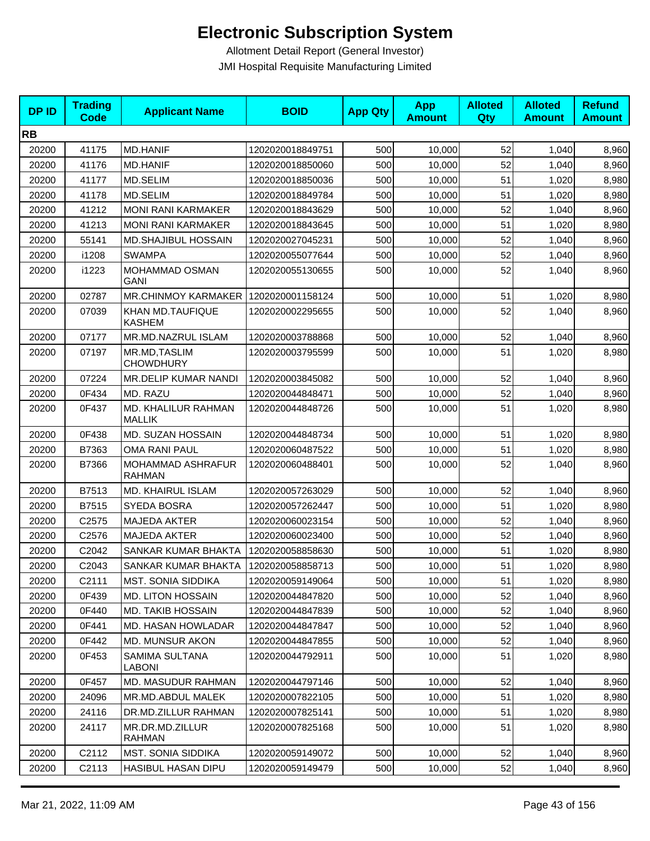| <b>DPID</b> | <b>Trading</b><br><b>Code</b> | <b>Applicant Name</b>                | <b>BOID</b>      | <b>App Qty</b> | <b>App</b><br><b>Amount</b> | <b>Alloted</b><br>Qty | <b>Alloted</b><br><b>Amount</b> | <b>Refund</b><br><b>Amount</b> |
|-------------|-------------------------------|--------------------------------------|------------------|----------------|-----------------------------|-----------------------|---------------------------------|--------------------------------|
| <b>RB</b>   |                               |                                      |                  |                |                             |                       |                                 |                                |
| 20200       | 41175                         | <b>MD.HANIF</b>                      | 1202020018849751 | 500            | 10,000                      | 52                    | 1,040                           | 8,960                          |
| 20200       | 41176                         | <b>MD.HANIF</b>                      | 1202020018850060 | 500            | 10,000                      | 52                    | 1,040                           | 8,960                          |
| 20200       | 41177                         | MD.SELIM                             | 1202020018850036 | 500            | 10,000                      | 51                    | 1,020                           | 8,980                          |
| 20200       | 41178                         | MD.SELIM                             | 1202020018849784 | 500            | 10,000                      | 51                    | 1,020                           | 8,980                          |
| 20200       | 41212                         | <b>MONI RANI KARMAKER</b>            | 1202020018843629 | 500            | 10,000                      | 52                    | 1,040                           | 8,960                          |
| 20200       | 41213                         | <b>MONI RANI KARMAKER</b>            | 1202020018843645 | 500            | 10,000                      | 51                    | 1,020                           | 8,980                          |
| 20200       | 55141                         | <b>MD.SHAJIBUL HOSSAIN</b>           | 1202020027045231 | 500            | 10,000                      | 52                    | 1,040                           | 8,960                          |
| 20200       | i1208                         | <b>SWAMPA</b>                        | 1202020055077644 | 500            | 10,000                      | 52                    | 1,040                           | 8,960                          |
| 20200       | i1223                         | MOHAMMAD OSMAN<br><b>GANI</b>        | 1202020055130655 | 500            | 10,000                      | 52                    | 1,040                           | 8,960                          |
| 20200       | 02787                         | MR.CHINMOY KARMAKER                  | 1202020001158124 | 500            | 10,000                      | 51                    | 1,020                           | 8,980                          |
| 20200       | 07039                         | KHAN MD.TAUFIQUE<br><b>KASHEM</b>    | 1202020002295655 | 500            | 10,000                      | 52                    | 1,040                           | 8,960                          |
| 20200       | 07177                         | MR.MD.NAZRUL ISLAM                   | 1202020003788868 | 500            | 10,000                      | 52                    | 1,040                           | 8,960                          |
| 20200       | 07197                         | MR.MD, TASLIM<br><b>CHOWDHURY</b>    | 1202020003795599 | 500            | 10,000                      | 51                    | 1,020                           | 8,980                          |
| 20200       | 07224                         | MR.DELIP KUMAR NANDI                 | 1202020003845082 | 500            | 10,000                      | 52                    | 1,040                           | 8,960                          |
| 20200       | 0F434                         | MD. RAZU                             | 1202020044848471 | 500            | 10,000                      | 52                    | 1,040                           | 8,960                          |
| 20200       | 0F437                         | MD. KHALILUR RAHMAN<br><b>MALLIK</b> | 1202020044848726 | 500            | 10,000                      | 51                    | 1,020                           | 8,980                          |
| 20200       | 0F438                         | MD. SUZAN HOSSAIN                    | 1202020044848734 | 500            | 10,000                      | 51                    | 1,020                           | 8,980                          |
| 20200       | B7363                         | <b>OMA RANI PAUL</b>                 | 1202020060487522 | 500            | 10,000                      | 51                    | 1,020                           | 8,980                          |
| 20200       | B7366                         | MOHAMMAD ASHRAFUR<br>RAHMAN          | 1202020060488401 | 500            | 10,000                      | 52                    | 1,040                           | 8,960                          |
| 20200       | B7513                         | MD. KHAIRUL ISLAM                    | 1202020057263029 | 500            | 10,000                      | 52                    | 1,040                           | 8,960                          |
| 20200       | B7515                         | SYEDA BOSRA                          | 1202020057262447 | 500            | 10,000                      | 51                    | 1,020                           | 8,980                          |
| 20200       | C2575                         | <b>MAJEDA AKTER</b>                  | 1202020060023154 | 500            | 10,000                      | 52                    | 1,040                           | 8,960                          |
| 20200       | C2576                         | <b>MAJEDA AKTER</b>                  | 1202020060023400 | 500            | 10,000                      | 52                    | 1,040                           | 8,960                          |
| 20200       | C2042                         | SANKAR KUMAR BHAKTA                  | 1202020058858630 | 500            | 10,000                      | 51                    | 1,020                           | 8,980                          |
| 20200       | C2043                         | SANKAR KUMAR BHAKTA                  | 1202020058858713 | 500            | 10,000                      | 51                    | 1,020                           | 8,980                          |
| 20200       | C2111                         | <b>MST. SONIA SIDDIKA</b>            | 1202020059149064 | 500            | 10,000                      | 51                    | 1,020                           | 8,980                          |
| 20200       | 0F439                         | <b>MD. LITON HOSSAIN</b>             | 1202020044847820 | 500            | 10,000                      | 52                    | 1,040                           | 8,960                          |
| 20200       | 0F440                         | <b>MD. TAKIB HOSSAIN</b>             | 1202020044847839 | 500            | 10,000                      | 52                    | 1,040                           | 8,960                          |
| 20200       | 0F441                         | MD. HASAN HOWLADAR                   | 1202020044847847 | 500            | 10,000                      | 52                    | 1,040                           | 8,960                          |
| 20200       | 0F442                         | <b>MD. MUNSUR AKON</b>               | 1202020044847855 | 500            | 10,000                      | 52                    | 1,040                           | 8,960                          |
| 20200       | 0F453                         | SAMIMA SULTANA<br><b>LABONI</b>      | 1202020044792911 | 500            | 10,000                      | 51                    | 1,020                           | 8,980                          |
| 20200       | 0F457                         | <b>MD. MASUDUR RAHMAN</b>            | 1202020044797146 | 500            | 10,000                      | 52                    | 1,040                           | 8,960                          |
| 20200       | 24096                         | MR.MD.ABDUL MALEK                    | 1202020007822105 | 500            | 10,000                      | 51                    | 1,020                           | 8,980                          |
| 20200       | 24116                         | DR.MD.ZILLUR RAHMAN                  | 1202020007825141 | 500            | 10,000                      | 51                    | 1,020                           | 8,980                          |
| 20200       | 24117                         | MR.DR.MD.ZILLUR<br>RAHMAN            | 1202020007825168 | 500            | 10,000                      | 51                    | 1,020                           | 8,980                          |
| 20200       | C2112                         | MST. SONIA SIDDIKA                   | 1202020059149072 | 500            | 10,000                      | 52                    | 1,040                           | 8,960                          |
| 20200       | C2113                         | <b>HASIBUL HASAN DIPU</b>            | 1202020059149479 | 500            | 10,000                      | 52                    | 1,040                           | 8,960                          |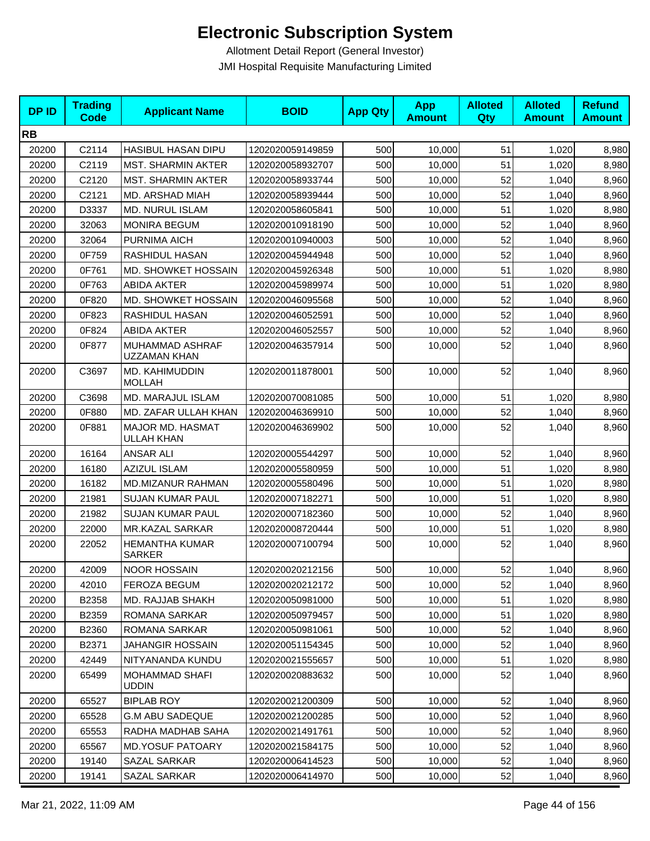| <b>DPID</b> | <b>Trading</b><br><b>Code</b> | <b>Applicant Name</b>                  | <b>BOID</b>      | <b>App Qty</b> | <b>App</b><br><b>Amount</b> | <b>Alloted</b><br>Qty | <b>Alloted</b><br><b>Amount</b> | <b>Refund</b><br><b>Amount</b> |
|-------------|-------------------------------|----------------------------------------|------------------|----------------|-----------------------------|-----------------------|---------------------------------|--------------------------------|
| <b>RB</b>   |                               |                                        |                  |                |                             |                       |                                 |                                |
| 20200       | C2114                         | HASIBUL HASAN DIPU                     | 1202020059149859 | 500            | 10,000                      | 51                    | 1,020                           | 8,980                          |
| 20200       | C2119                         | <b>MST. SHARMIN AKTER</b>              | 1202020058932707 | 500            | 10.000                      | 51                    | 1,020                           | 8,980                          |
| 20200       | C2120                         | <b>MST. SHARMIN AKTER</b>              | 1202020058933744 | 500            | 10,000                      | 52                    | 1,040                           | 8,960                          |
| 20200       | C2121                         | MD. ARSHAD MIAH                        | 1202020058939444 | 500            | 10,000                      | 52                    | 1,040                           | 8,960                          |
| 20200       | D3337                         | <b>MD. NURUL ISLAM</b>                 | 1202020058605841 | 500            | 10,000                      | 51                    | 1,020                           | 8,980                          |
| 20200       | 32063                         | <b>MONIRA BEGUM</b>                    | 1202020010918190 | 500            | 10,000                      | 52                    | 1,040                           | 8,960                          |
| 20200       | 32064                         | PURNIMA AICH                           | 1202020010940003 | 500            | 10,000                      | 52                    | 1,040                           | 8,960                          |
| 20200       | 0F759                         | <b>RASHIDUL HASAN</b>                  | 1202020045944948 | 500            | 10,000                      | 52                    | 1,040                           | 8,960                          |
| 20200       | 0F761                         | MD. SHOWKET HOSSAIN                    | 1202020045926348 | 500            | 10,000                      | 51                    | 1,020                           | 8,980                          |
| 20200       | 0F763                         | <b>ABIDA AKTER</b>                     | 1202020045989974 | 500            | 10,000                      | 51                    | 1,020                           | 8,980                          |
| 20200       | 0F820                         | MD. SHOWKET HOSSAIN                    | 1202020046095568 | 500            | 10,000                      | 52                    | 1,040                           | 8,960                          |
| 20200       | 0F823                         | RASHIDUL HASAN                         | 1202020046052591 | 500            | 10,000                      | 52                    | 1,040                           | 8,960                          |
| 20200       | 0F824                         | <b>ABIDA AKTER</b>                     | 1202020046052557 | 500            | 10,000                      | 52                    | 1,040                           | 8,960                          |
| 20200       | 0F877                         | MUHAMMAD ASHRAF<br>UZZAMAN KHAN        | 1202020046357914 | 500            | 10,000                      | 52                    | 1,040                           | 8,960                          |
| 20200       | C3697                         | MD. KAHIMUDDIN<br><b>MOLLAH</b>        | 1202020011878001 | 500            | 10,000                      | 52                    | 1,040                           | 8,960                          |
| 20200       | C3698                         | MD. MARAJUL ISLAM                      | 1202020070081085 | 500            | 10,000                      | 51                    | 1,020                           | 8,980                          |
| 20200       | 0F880                         | MD. ZAFAR ULLAH KHAN                   | 1202020046369910 | 500            | 10,000                      | 52                    | 1,040                           | 8,960                          |
| 20200       | 0F881                         | MAJOR MD. HASMAT<br>ULLAH KHAN         | 1202020046369902 | 500            | 10,000                      | 52                    | 1,040                           | 8,960                          |
| 20200       | 16164                         | <b>ANSAR ALI</b>                       | 1202020005544297 | 500            | 10,000                      | 52                    | 1,040                           | 8,960                          |
| 20200       | 16180                         | <b>AZIZUL ISLAM</b>                    | 1202020005580959 | 500            | 10,000                      | 51                    | 1,020                           | 8,980                          |
| 20200       | 16182                         | <b>MD.MIZANUR RAHMAN</b>               | 1202020005580496 | 500            | 10,000                      | 51                    | 1,020                           | 8,980                          |
| 20200       | 21981                         | <b>SUJAN KUMAR PAUL</b>                | 1202020007182271 | 500            | 10,000                      | 51                    | 1,020                           | 8,980                          |
| 20200       | 21982                         | <b>SUJAN KUMAR PAUL</b>                | 1202020007182360 | 500            | 10,000                      | 52                    | 1,040                           | 8,960                          |
| 20200       | 22000                         | MR.KAZAL SARKAR                        | 1202020008720444 | 500            | 10,000                      | 51                    | 1,020                           | 8,980                          |
| 20200       | 22052                         | <b>HEMANTHA KUMAR</b><br><b>SARKER</b> | 1202020007100794 | 500            | 10,000                      | 52                    | 1,040                           | 8,960                          |
| 20200       | 42009                         | NOOR HOSSAIN                           | 1202020020212156 | 500            | 10,000                      | 52                    | 1,040                           | 8,960                          |
| 20200       | 42010                         | FEROZA BEGUM                           | 1202020020212172 | 500            | 10,000                      | 52                    | 1,040                           | 8,960                          |
| 20200       | B2358                         | MD. RAJJAB SHAKH                       | 1202020050981000 | 500            | 10,000                      | 51                    | 1,020                           | 8,980                          |
| 20200       | B2359                         | ROMANA SARKAR                          | 1202020050979457 | 500            | 10,000                      | 51                    | 1,020                           | 8,980                          |
| 20200       | B2360                         | ROMANA SARKAR                          | 1202020050981061 | 500            | 10.000                      | 52                    | 1,040                           | 8,960                          |
| 20200       | B2371                         | JAHANGIR HOSSAIN                       | 1202020051154345 | 500            | 10,000                      | 52                    | 1,040                           | 8,960                          |
| 20200       | 42449                         | NITYANANDA KUNDU                       | 1202020021555657 | 500            | 10,000                      | 51                    | 1,020                           | 8,980                          |
| 20200       | 65499                         | MOHAMMAD SHAFI<br><b>UDDIN</b>         | 1202020020883632 | 500            | 10,000                      | 52                    | 1,040                           | 8,960                          |
| 20200       | 65527                         | <b>BIPLAB ROY</b>                      | 1202020021200309 | 500            | 10,000                      | 52                    | 1,040                           | 8,960                          |
| 20200       | 65528                         | <b>G.M ABU SADEQUE</b>                 | 1202020021200285 | 500            | 10,000                      | 52                    | 1,040                           | 8,960                          |
| 20200       | 65553                         | RADHA MADHAB SAHA                      | 1202020021491761 | 500            | 10,000                      | 52                    | 1,040                           | 8,960                          |
| 20200       | 65567                         | <b>MD.YOSUF PATOARY</b>                | 1202020021584175 | 500            | 10,000                      | 52                    | 1,040                           | 8,960                          |
| 20200       | 19140                         | SAZAL SARKAR                           | 1202020006414523 | 500            | 10,000                      | 52                    | 1,040                           | 8,960                          |
| 20200       | 19141                         | SAZAL SARKAR                           | 1202020006414970 | 500            | 10,000                      | 52                    | 1,040                           | 8,960                          |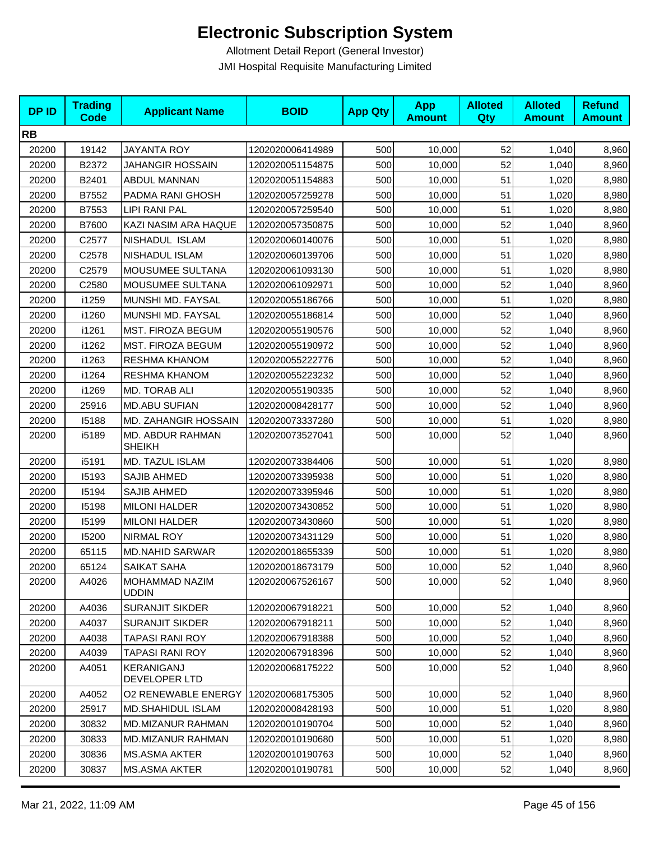| <b>DPID</b> | <b>Trading</b><br><b>Code</b> | <b>Applicant Name</b>             | <b>BOID</b>      | <b>App Qty</b> | <b>App</b><br><b>Amount</b> | <b>Alloted</b><br>Qty | <b>Alloted</b><br><b>Amount</b> | <b>Refund</b><br><b>Amount</b> |
|-------------|-------------------------------|-----------------------------------|------------------|----------------|-----------------------------|-----------------------|---------------------------------|--------------------------------|
| <b>RB</b>   |                               |                                   |                  |                |                             |                       |                                 |                                |
| 20200       | 19142                         | <b>JAYANTA ROY</b>                | 1202020006414989 | 500            | 10,000                      | 52                    | 1,040                           | 8,960                          |
| 20200       | B2372                         | <b>JAHANGIR HOSSAIN</b>           | 1202020051154875 | 500            | 10,000                      | 52                    | 1,040                           | 8,960                          |
| 20200       | B2401                         | <b>ABDUL MANNAN</b>               | 1202020051154883 | 500            | 10,000                      | 51                    | 1,020                           | 8,980                          |
| 20200       | B7552                         | PADMA RANI GHOSH                  | 1202020057259278 | 500            | 10,000                      | 51                    | 1,020                           | 8,980                          |
| 20200       | B7553                         | <b>LIPI RANI PAL</b>              | 1202020057259540 | 500            | 10,000                      | 51                    | 1,020                           | 8,980                          |
| 20200       | B7600                         | KAZI NASIM ARA HAQUE              | 1202020057350875 | 500            | 10,000                      | 52                    | 1,040                           | 8,960                          |
| 20200       | C2577                         | NISHADUL ISLAM                    | 1202020060140076 | 500            | 10,000                      | 51                    | 1,020                           | 8,980                          |
| 20200       | C2578                         | NISHADUL ISLAM                    | 1202020060139706 | 500            | 10,000                      | 51                    | 1,020                           | 8,980                          |
| 20200       | C2579                         | MOUSUMEE SULTANA                  | 1202020061093130 | 500            | 10,000                      | 51                    | 1,020                           | 8,980                          |
| 20200       | C2580                         | MOUSUMEE SULTANA                  | 1202020061092971 | 500            | 10,000                      | 52                    | 1,040                           | 8,960                          |
| 20200       | i1259                         | MUNSHI MD. FAYSAL                 | 1202020055186766 | 500            | 10,000                      | 51                    | 1,020                           | 8,980                          |
| 20200       | i1260                         | MUNSHI MD. FAYSAL                 | 1202020055186814 | 500            | 10,000                      | 52                    | 1,040                           | 8,960                          |
| 20200       | i1261                         | MST. FIROZA BEGUM                 | 1202020055190576 | 500            | 10,000                      | 52                    | 1,040                           | 8,960                          |
| 20200       | i1262                         | MST. FIROZA BEGUM                 | 1202020055190972 | 500            | 10,000                      | 52                    | 1,040                           | 8,960                          |
| 20200       | i1263                         | RESHMA KHANOM                     | 1202020055222776 | 500            | 10,000                      | 52                    | 1,040                           | 8,960                          |
| 20200       | i1264                         | RESHMA KHANOM                     | 1202020055223232 | 500            | 10,000                      | 52                    | 1,040                           | 8,960                          |
| 20200       | i1269                         | MD. TORAB ALI                     | 1202020055190335 | 500            | 10,000                      | 52                    | 1,040                           | 8,960                          |
| 20200       | 25916                         | <b>MD.ABU SUFIAN</b>              | 1202020008428177 | 500            | 10,000                      | 52                    | 1,040                           | 8,960                          |
| 20200       | 15188                         | MD. ZAHANGIR HOSSAIN              | 1202020073337280 | 500            | 10,000                      | 51                    | 1,020                           | 8,980                          |
| 20200       | i5189                         | MD. ABDUR RAHMAN<br><b>SHEIKH</b> | 1202020073527041 | 500            | 10,000                      | 52                    | 1,040                           | 8,960                          |
| 20200       | i5191                         | MD. TAZUL ISLAM                   | 1202020073384406 | 500            | 10,000                      | 51                    | 1,020                           | 8,980                          |
| 20200       | 15193                         | <b>SAJIB AHMED</b>                | 1202020073395938 | 500            | 10,000                      | 51                    | 1,020                           | 8,980                          |
| 20200       | 15194                         | SAJIB AHMED                       | 1202020073395946 | 500            | 10,000                      | 51                    | 1,020                           | 8,980                          |
| 20200       | 15198                         | <b>MILONI HALDER</b>              | 1202020073430852 | 500            | 10,000                      | 51                    | 1,020                           | 8,980                          |
| 20200       | 15199                         | <b>MILONI HALDER</b>              | 1202020073430860 | 500            | 10,000                      | 51                    | 1,020                           | 8,980                          |
| 20200       | 15200                         | NIRMAL ROY                        | 1202020073431129 | 500            | 10,000                      | 51                    | 1,020                           | 8,980                          |
| 20200       | 65115                         | <b>MD.NAHID SARWAR</b>            | 1202020018655339 | 500            | 10,000                      | 51                    | 1,020                           | 8,980                          |
| 20200       | 65124                         | SAIKAT SAHA                       | 1202020018673179 | 500            | 10,000                      | 52                    | 1,040                           | 8,960                          |
| 20200       | A4026                         | MOHAMMAD NAZIM<br><b>UDDIN</b>    | 1202020067526167 | 500            | 10,000                      | 52                    | 1,040                           | 8,960                          |
| 20200       | A4036                         | <b>SURANJIT SIKDER</b>            | 1202020067918221 | 500            | 10,000                      | 52                    | 1,040                           | 8,960                          |
| 20200       | A4037                         | <b>SURANJIT SIKDER</b>            | 1202020067918211 | 500            | 10,000                      | 52                    | 1,040                           | 8,960                          |
| 20200       | A4038                         | <b>TAPASI RANI ROY</b>            | 1202020067918388 | 500            | 10,000                      | 52                    | 1,040                           | 8,960                          |
| 20200       | A4039                         | <b>TAPASI RANI ROY</b>            | 1202020067918396 | 500            | 10,000                      | 52                    | 1,040                           | 8,960                          |
| 20200       | A4051                         | KERANIGANJ<br>DEVELOPER LTD       | 1202020068175222 | 500            | 10,000                      | 52                    | 1,040                           | 8,960                          |
| 20200       | A4052                         | <b>O2 RENEWABLE ENERGY</b>        | 1202020068175305 | 500            | 10,000                      | 52                    | 1,040                           | 8,960                          |
| 20200       | 25917                         | MD.SHAHIDUL ISLAM                 | 1202020008428193 | 500            | 10,000                      | 51                    | 1,020                           | 8,980                          |
| 20200       | 30832                         | MD.MIZANUR RAHMAN                 | 1202020010190704 | 500            | 10,000                      | 52                    | 1,040                           | 8,960                          |
| 20200       | 30833                         | MD.MIZANUR RAHMAN                 | 1202020010190680 | 500            | 10,000                      | 51                    | 1,020                           | 8,980                          |
| 20200       | 30836                         | MS.ASMA AKTER                     | 1202020010190763 | 500            | 10,000                      | 52                    | 1,040                           | 8,960                          |
| 20200       | 30837                         | <b>MS.ASMA AKTER</b>              | 1202020010190781 | 500            | 10,000                      | 52                    | 1,040                           | 8,960                          |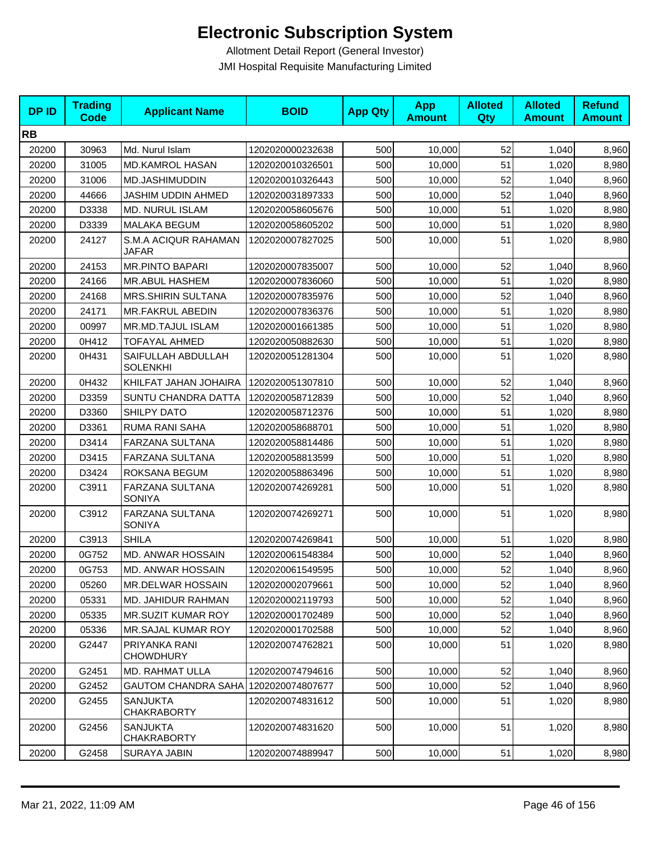| <b>DPID</b> | <b>Trading</b><br><b>Code</b> | <b>Applicant Name</b>                 | <b>BOID</b>      | <b>App Qty</b> | <b>App</b><br><b>Amount</b> | <b>Alloted</b><br>Qty | <b>Alloted</b><br><b>Amount</b> | <b>Refund</b><br><b>Amount</b> |
|-------------|-------------------------------|---------------------------------------|------------------|----------------|-----------------------------|-----------------------|---------------------------------|--------------------------------|
| <b>RB</b>   |                               |                                       |                  |                |                             |                       |                                 |                                |
| 20200       | 30963                         | Md. Nurul Islam                       | 1202020000232638 | 500            | 10,000                      | 52                    | 1,040                           | 8,960                          |
| 20200       | 31005                         | <b>MD.KAMROL HASAN</b>                | 1202020010326501 | 500            | 10,000                      | 51                    | 1,020                           | 8,980                          |
| 20200       | 31006                         | MD.JASHIMUDDIN                        | 1202020010326443 | 500            | 10,000                      | 52                    | 1,040                           | 8,960                          |
| 20200       | 44666                         | JASHIM UDDIN AHMED                    | 1202020031897333 | 500            | 10,000                      | 52                    | 1,040                           | 8,960                          |
| 20200       | D3338                         | MD. NURUL ISLAM                       | 1202020058605676 | 500            | 10,000                      | 51                    | 1,020                           | 8,980                          |
| 20200       | D3339                         | <b>MALAKA BEGUM</b>                   | 1202020058605202 | 500            | 10,000                      | 51                    | 1,020                           | 8,980                          |
| 20200       | 24127                         | S.M.A ACIQUR RAHAMAN<br>JAFAR         | 1202020007827025 | 500            | 10,000                      | 51                    | 1,020                           | 8,980                          |
| 20200       | 24153                         | <b>MR.PINTO BAPARI</b>                | 1202020007835007 | 500            | 10,000                      | 52                    | 1,040                           | 8,960                          |
| 20200       | 24166                         | <b>MR.ABUL HASHEM</b>                 | 1202020007836060 | 500            | 10,000                      | 51                    | 1,020                           | 8,980                          |
| 20200       | 24168                         | <b>MRS.SHIRIN SULTANA</b>             | 1202020007835976 | 500            | 10,000                      | 52                    | 1,040                           | 8,960                          |
| 20200       | 24171                         | MR.FAKRUL ABEDIN                      | 1202020007836376 | 500            | 10,000                      | 51                    | 1,020                           | 8,980                          |
| 20200       | 00997                         | MR.MD.TAJUL ISLAM                     | 1202020001661385 | 500            | 10,000                      | 51                    | 1,020                           | 8,980                          |
| 20200       | 0H412                         | <b>TOFAYAL AHMED</b>                  | 1202020050882630 | 500            | 10,000                      | 51                    | 1,020                           | 8,980                          |
| 20200       | 0H431                         | SAIFULLAH ABDULLAH<br><b>SOLENKHI</b> | 1202020051281304 | 500            | 10,000                      | 51                    | 1,020                           | 8,980                          |
| 20200       | 0H432                         | KHILFAT JAHAN JOHAIRA                 | 1202020051307810 | 500            | 10,000                      | 52                    | 1,040                           | 8,960                          |
| 20200       | D3359                         | <b>SUNTU CHANDRA DATTA</b>            | 1202020058712839 | 500            | 10,000                      | 52                    | 1,040                           | 8,960                          |
| 20200       | D3360                         | SHILPY DATO                           | 1202020058712376 | 500            | 10,000                      | 51                    | 1,020                           | 8,980                          |
| 20200       | D3361                         | RUMA RANI SAHA                        | 1202020058688701 | 500            | 10,000                      | 51                    | 1,020                           | 8,980                          |
| 20200       | D3414                         | FARZANA SULTANA                       | 1202020058814486 | 500            | 10,000                      | 51                    | 1,020                           | 8,980                          |
| 20200       | D3415                         | FARZANA SULTANA                       | 1202020058813599 | 500            | 10,000                      | 51                    | 1,020                           | 8,980                          |
| 20200       | D3424                         | ROKSANA BEGUM                         | 1202020058863496 | 500            | 10,000                      | 51                    | 1,020                           | 8,980                          |
| 20200       | C3911                         | FARZANA SULTANA<br><b>SONIYA</b>      | 1202020074269281 | 500            | 10,000                      | 51                    | 1,020                           | 8,980                          |
| 20200       | C3912                         | FARZANA SULTANA<br><b>SONIYA</b>      | 1202020074269271 | 500            | 10,000                      | 51                    | 1,020                           | 8,980                          |
| 20200       | C3913                         | <b>SHILA</b>                          | 1202020074269841 | 500            | 10,000                      | 51                    | 1,020                           | 8,980                          |
| 20200       | 0G752                         | MD. ANWAR HOSSAIN                     | 1202020061548384 | 500            | 10,000                      | 52                    | 1,040                           | 8,960                          |
| 20200       | 0G753                         | MD. ANWAR HOSSAIN                     | 1202020061549595 | 500            | 10,000                      | 52                    | 1,040                           | 8,960                          |
| 20200       | 05260                         | <b>MR.DELWAR HOSSAIN</b>              | 1202020002079661 | 500            | 10,000                      | 52                    | 1,040                           | 8,960                          |
| 20200       | 05331                         | <b>MD. JAHIDUR RAHMAN</b>             | 1202020002119793 | 500            | 10,000                      | 52                    | 1,040                           | 8,960                          |
| 20200       | 05335                         | <b>MR.SUZIT KUMAR ROY</b>             | 1202020001702489 | 500            | 10,000                      | 52                    | 1,040                           | 8,960                          |
| 20200       | 05336                         | MR.SAJAL KUMAR ROY                    | 1202020001702588 | 500            | 10,000                      | 52                    | 1,040                           | 8,960                          |
| 20200       | G2447                         | PRIYANKA RANI<br><b>CHOWDHURY</b>     | 1202020074762821 | 500            | 10,000                      | 51                    | 1,020                           | 8,980                          |
| 20200       | G2451                         | <b>MD. RAHMAT ULLA</b>                | 1202020074794616 | 500            | 10,000                      | 52                    | 1,040                           | 8,960                          |
| 20200       | G2452                         | GAUTOM CHANDRA SAHA 1202020074807677  |                  | 500            | 10,000                      | 52                    | 1,040                           | 8,960                          |
| 20200       | G2455                         | <b>SANJUKTA</b><br><b>CHAKRABORTY</b> | 1202020074831612 | 500            | 10,000                      | 51                    | 1,020                           | 8,980                          |
| 20200       | G2456                         | <b>SANJUKTA</b><br><b>CHAKRABORTY</b> | 1202020074831620 | 500            | 10,000                      | 51                    | 1,020                           | 8,980                          |
| 20200       | G2458                         | SURAYA JABIN                          | 1202020074889947 | 500            | 10,000                      | 51                    | 1,020                           | 8,980                          |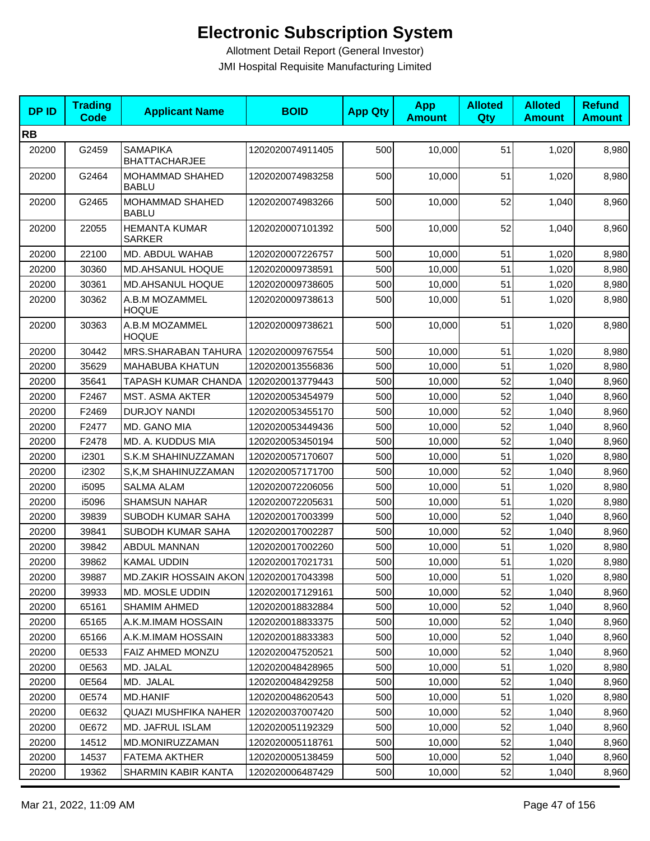| <b>DPID</b> | <b>Trading</b><br><b>Code</b> | <b>Applicant Name</b>                   | <b>BOID</b>      | <b>App Qty</b> | <b>App</b><br><b>Amount</b> | <b>Alloted</b><br>Qty | <b>Alloted</b><br><b>Amount</b> | <b>Refund</b><br><b>Amount</b> |
|-------------|-------------------------------|-----------------------------------------|------------------|----------------|-----------------------------|-----------------------|---------------------------------|--------------------------------|
| <b>RB</b>   |                               |                                         |                  |                |                             |                       |                                 |                                |
| 20200       | G2459                         | <b>SAMAPIKA</b><br><b>BHATTACHARJEE</b> | 1202020074911405 | 500            | 10,000                      | 51                    | 1,020                           | 8,980                          |
| 20200       | G2464                         | MOHAMMAD SHAHED<br><b>BABLU</b>         | 1202020074983258 | 500            | 10,000                      | 51                    | 1,020                           | 8,980                          |
| 20200       | G2465                         | MOHAMMAD SHAHED<br><b>BABLU</b>         | 1202020074983266 | 500            | 10,000                      | 52                    | 1,040                           | 8,960                          |
| 20200       | 22055                         | <b>HEMANTA KUMAR</b><br><b>SARKER</b>   | 1202020007101392 | 500            | 10,000                      | 52                    | 1,040                           | 8,960                          |
| 20200       | 22100                         | MD. ABDUL WAHAB                         | 1202020007226757 | 500            | 10,000                      | 51                    | 1,020                           | 8,980                          |
| 20200       | 30360                         | MD.AHSANUL HOQUE                        | 1202020009738591 | 500            | 10,000                      | 51                    | 1,020                           | 8,980                          |
| 20200       | 30361                         | MD.AHSANUL HOQUE                        | 1202020009738605 | 500            | 10,000                      | 51                    | 1,020                           | 8,980                          |
| 20200       | 30362                         | A.B.M MOZAMMEL<br><b>HOQUE</b>          | 1202020009738613 | 500            | 10,000                      | 51                    | 1,020                           | 8,980                          |
| 20200       | 30363                         | A.B.M MOZAMMEL<br><b>HOQUE</b>          | 1202020009738621 | 500            | 10,000                      | 51                    | 1,020                           | 8,980                          |
| 20200       | 30442                         | MRS.SHARABAN TAHURA                     | 1202020009767554 | 500            | 10,000                      | 51                    | 1,020                           | 8,980                          |
| 20200       | 35629                         | <b>MAHABUBA KHATUN</b>                  | 1202020013556836 | 500            | 10.000                      | 51                    | 1,020                           | 8,980                          |
| 20200       | 35641                         | <b>TAPASH KUMAR CHANDA</b>              | 1202020013779443 | 500            | 10,000                      | 52                    | 1,040                           | 8,960                          |
| 20200       | F2467                         | <b>MST. ASMA AKTER</b>                  | 1202020053454979 | 500            | 10,000                      | 52                    | 1,040                           | 8,960                          |
| 20200       | F2469                         | DURJOY NANDI                            | 1202020053455170 | 500            | 10,000                      | 52                    | 1,040                           | 8,960                          |
| 20200       | F2477                         | MD. GANO MIA                            | 1202020053449436 | 500            | 10,000                      | 52                    | 1,040                           | 8,960                          |
| 20200       | F2478                         | MD. A. KUDDUS MIA                       | 1202020053450194 | 500            | 10,000                      | 52                    | 1,040                           | 8,960                          |
| 20200       | i2301                         | S.K.M SHAHINUZZAMAN                     | 1202020057170607 | 500            | 10,000                      | 51                    | 1,020                           | 8,980                          |
| 20200       | i2302                         | S,K,M SHAHINUZZAMAN                     | 1202020057171700 | 500            | 10,000                      | 52                    | 1,040                           | 8,960                          |
| 20200       | i5095                         | <b>SALMA ALAM</b>                       | 1202020072206056 | 500            | 10,000                      | 51                    | 1,020                           | 8,980                          |
| 20200       | i5096                         | <b>SHAMSUN NAHAR</b>                    | 1202020072205631 | 500            | 10,000                      | 51                    | 1,020                           | 8,980                          |
| 20200       | 39839                         | SUBODH KUMAR SAHA                       | 1202020017003399 | 500            | 10,000                      | 52                    | 1,040                           | 8,960                          |
| 20200       | 39841                         | SUBODH KUMAR SAHA                       | 1202020017002287 | 500            | 10,000                      | 52                    | 1,040                           | 8,960                          |
| 20200       | 39842                         | ABDUL MANNAN                            | 1202020017002260 | 500            | 10,000                      | 51                    | 1,020                           | 8,980                          |
| 20200       | 39862                         | KAMAL UDDIN                             | 1202020017021731 | 500            | 10,000                      | 51                    | 1,020                           | 8,980                          |
| 20200       | 39887                         | MD.ZAKIR HOSSAIN AKON 1202020017043398  |                  | 500            | 10,000                      | 51                    | 1,020                           | 8,980                          |
| 20200       | 39933                         | MD. MOSLE UDDIN                         | 1202020017129161 | 500            | 10,000                      | 52                    | 1,040                           | 8,960                          |
| 20200       | 65161                         | <b>SHAMIM AHMED</b>                     | 1202020018832884 | 500            | 10,000                      | 52                    | 1,040                           | 8,960                          |
| 20200       | 65165                         | A.K.M.IMAM HOSSAIN                      | 1202020018833375 | 500            | 10,000                      | 52                    | 1,040                           | 8,960                          |
| 20200       | 65166                         | A.K.M.IMAM HOSSAIN                      | 1202020018833383 | 500            | 10,000                      | 52                    | 1,040                           | 8,960                          |
| 20200       | 0E533                         | <b>FAIZ AHMED MONZU</b>                 | 1202020047520521 | 500            | 10,000                      | 52                    | 1,040                           | 8,960                          |
| 20200       | 0E563                         | MD. JALAL                               | 1202020048428965 | 500            | 10,000                      | 51                    | 1,020                           | 8,980                          |
| 20200       | 0E564                         | MD. JALAL                               | 1202020048429258 | 500            | 10,000                      | 52                    | 1,040                           | 8,960                          |
| 20200       | 0E574                         | <b>MD.HANIF</b>                         | 1202020048620543 | 500            | 10,000                      | 51                    | 1,020                           | 8,980                          |
| 20200       | 0E632                         | <b>QUAZI MUSHFIKA NAHER</b>             | 1202020037007420 | 500            | 10,000                      | 52                    | 1,040                           | 8,960                          |
| 20200       | 0E672                         | MD. JAFRUL ISLAM                        | 1202020051192329 | 500            | 10,000                      | 52                    | 1,040                           | 8,960                          |
| 20200       | 14512                         | MD.MONIRUZZAMAN                         | 1202020005118761 | 500            | 10,000                      | 52                    | 1,040                           | 8,960                          |
| 20200       | 14537                         | FATEMA AKTHER                           | 1202020005138459 | 500            | 10,000                      | 52                    | 1,040                           | 8,960                          |
| 20200       | 19362                         | SHARMIN KABIR KANTA                     | 1202020006487429 | 500            | 10,000                      | 52                    | 1,040                           | 8,960                          |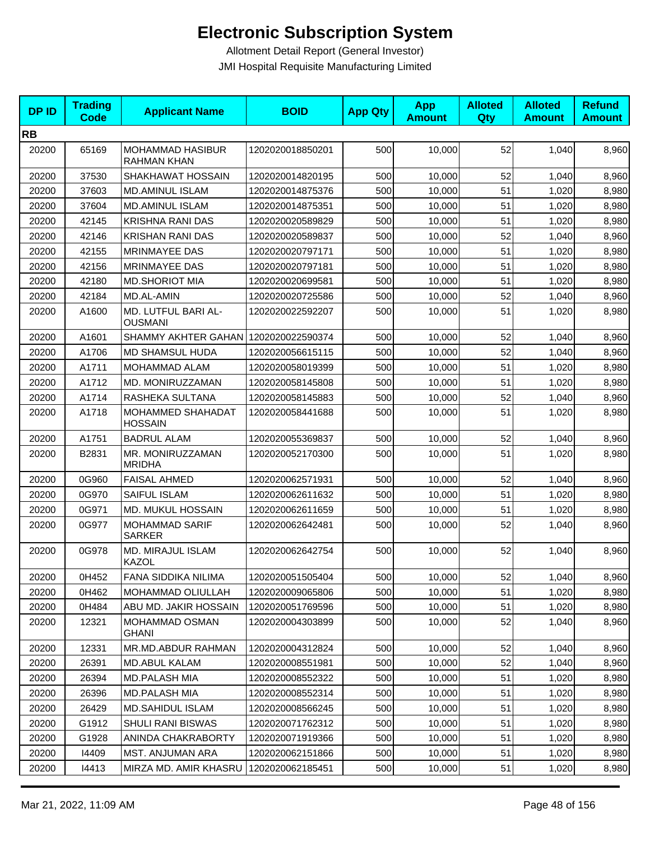| <b>DPID</b> | <b>Trading</b><br><b>Code</b> | <b>Applicant Name</b>                         | <b>BOID</b>      | <b>App Qty</b> | <b>App</b><br><b>Amount</b> | <b>Alloted</b><br>Qty | <b>Alloted</b><br><b>Amount</b> | <b>Refund</b><br><b>Amount</b> |
|-------------|-------------------------------|-----------------------------------------------|------------------|----------------|-----------------------------|-----------------------|---------------------------------|--------------------------------|
| <b>RB</b>   |                               |                                               |                  |                |                             |                       |                                 |                                |
| 20200       | 65169                         | <b>MOHAMMAD HASIBUR</b><br><b>RAHMAN KHAN</b> | 1202020018850201 | 500            | 10,000                      | 52                    | 1,040                           | 8,960                          |
| 20200       | 37530                         | SHAKHAWAT HOSSAIN                             | 1202020014820195 | 500            | 10,000                      | 52                    | 1,040                           | 8,960                          |
| 20200       | 37603                         | <b>MD.AMINUL ISLAM</b>                        | 1202020014875376 | 500            | 10,000                      | 51                    | 1,020                           | 8,980                          |
| 20200       | 37604                         | <b>MD.AMINUL ISLAM</b>                        | 1202020014875351 | 500            | 10,000                      | 51                    | 1,020                           | 8,980                          |
| 20200       | 42145                         | <b>KRISHNA RANI DAS</b>                       | 1202020020589829 | 500            | 10,000                      | 51                    | 1,020                           | 8,980                          |
| 20200       | 42146                         | <b>KRISHAN RANI DAS</b>                       | 1202020020589837 | 500            | 10,000                      | 52                    | 1,040                           | 8,960                          |
| 20200       | 42155                         | <b>MRINMAYEE DAS</b>                          | 1202020020797171 | 500            | 10.000                      | 51                    | 1,020                           | 8,980                          |
| 20200       | 42156                         | <b>MRINMAYEE DAS</b>                          | 1202020020797181 | 500            | 10,000                      | 51                    | 1,020                           | 8,980                          |
| 20200       | 42180                         | <b>MD.SHORIOT MIA</b>                         | 1202020020699581 | 500            | 10,000                      | 51                    | 1,020                           | 8,980                          |
| 20200       | 42184                         | MD.AL-AMIN                                    | 1202020020725586 | 500            | 10,000                      | 52                    | 1,040                           | 8,960                          |
| 20200       | A1600                         | MD. LUTFUL BARI AL-<br><b>OUSMANI</b>         | 1202020022592207 | 500            | 10,000                      | 51                    | 1,020                           | 8,980                          |
| 20200       | A1601                         | SHAMMY AKHTER GAHAN 1202020022590374          |                  | 500            | 10,000                      | 52                    | 1,040                           | 8,960                          |
| 20200       | A1706                         | <b>MD SHAMSUL HUDA</b>                        | 1202020056615115 | 500            | 10,000                      | 52                    | 1,040                           | 8,960                          |
| 20200       | A1711                         | MOHAMMAD ALAM                                 | 1202020058019399 | 500            | 10,000                      | 51                    | 1,020                           | 8,980                          |
| 20200       | A1712                         | MD. MONIRUZZAMAN                              | 1202020058145808 | 500            | 10,000                      | 51                    | 1,020                           | 8,980                          |
| 20200       | A1714                         | RASHEKA SULTANA                               | 1202020058145883 | 500            | 10,000                      | 52                    | 1,040                           | 8,960                          |
| 20200       | A1718                         | MOHAMMED SHAHADAT<br><b>HOSSAIN</b>           | 1202020058441688 | 500            | 10,000                      | 51                    | 1,020                           | 8,980                          |
| 20200       | A1751                         | <b>BADRUL ALAM</b>                            | 1202020055369837 | 500            | 10,000                      | 52                    | 1,040                           | 8,960                          |
| 20200       | B2831                         | MR. MONIRUZZAMAN<br><b>MRIDHA</b>             | 1202020052170300 | 500            | 10,000                      | 51                    | 1,020                           | 8,980                          |
| 20200       | 0G960                         | <b>FAISAL AHMED</b>                           | 1202020062571931 | 500            | 10,000                      | 52                    | 1,040                           | 8,960                          |
| 20200       | 0G970                         | SAIFUL ISLAM                                  | 1202020062611632 | 500            | 10,000                      | 51                    | 1,020                           | 8,980                          |
| 20200       | 0G971                         | MD. MUKUL HOSSAIN                             | 1202020062611659 | 500            | 10,000                      | 51                    | 1,020                           | 8,980                          |
| 20200       | 0G977                         | <b>MOHAMMAD SARIF</b><br><b>SARKER</b>        | 1202020062642481 | 500            | 10,000                      | 52                    | 1,040                           | 8,960                          |
| 20200       | 0G978                         | MD. MIRAJUL ISLAM<br>KAZOL                    | 1202020062642754 | 500            | 10,000                      | 52                    | 1,040                           | 8,960                          |
| 20200       | 0H452                         | FANA SIDDIKA NILIMA                           | 1202020051505404 | 500            | 10,000                      | 52                    | 1,040                           | 8,960                          |
| 20200       | 0H462                         | MOHAMMAD OLIULLAH                             | 1202020009065806 | 500            | 10,000                      | 51                    | 1,020                           | 8,980                          |
| 20200       | 0H484                         | ABU MD. JAKIR HOSSAIN                         | 1202020051769596 | 500            | 10,000                      | 51                    | 1,020                           | 8,980                          |
| 20200       | 12321                         | MOHAMMAD OSMAN<br>GHANI                       | 1202020004303899 | 500            | 10,000                      | 52                    | 1,040                           | 8,960                          |
| 20200       | 12331                         | MR.MD.ABDUR RAHMAN                            | 1202020004312824 | 500            | 10,000                      | 52                    | 1,040                           | 8,960                          |
| 20200       | 26391                         | MD.ABUL KALAM                                 | 1202020008551981 | 500            | 10,000                      | 52                    | 1,040                           | 8,960                          |
| 20200       | 26394                         | MD.PALASH MIA                                 | 1202020008552322 | 500            | 10,000                      | 51                    | 1,020                           | 8,980                          |
| 20200       | 26396                         | <b>MD.PALASH MIA</b>                          | 1202020008552314 | 500            | 10,000                      | 51                    | 1,020                           | 8,980                          |
| 20200       | 26429                         | <b>MD.SAHIDUL ISLAM</b>                       | 1202020008566245 | 500            | 10,000                      | 51                    | 1,020                           | 8,980                          |
| 20200       | G1912                         | <b>SHULI RANI BISWAS</b>                      | 1202020071762312 | 500            | 10,000                      | 51                    | 1,020                           | 8,980                          |
| 20200       | G1928                         | ANINDA CHAKRABORTY                            | 1202020071919366 | 500            | 10,000                      | 51                    | 1,020                           | 8,980                          |
| 20200       | 14409                         | MST. ANJUMAN ARA                              | 1202020062151866 | 500            | 10,000                      | 51                    | 1,020                           | 8,980                          |
| 20200       | 14413                         | MIRZA MD. AMIR KHASRU                         | 1202020062185451 | 500            | 10,000                      | 51                    | 1,020                           | 8,980                          |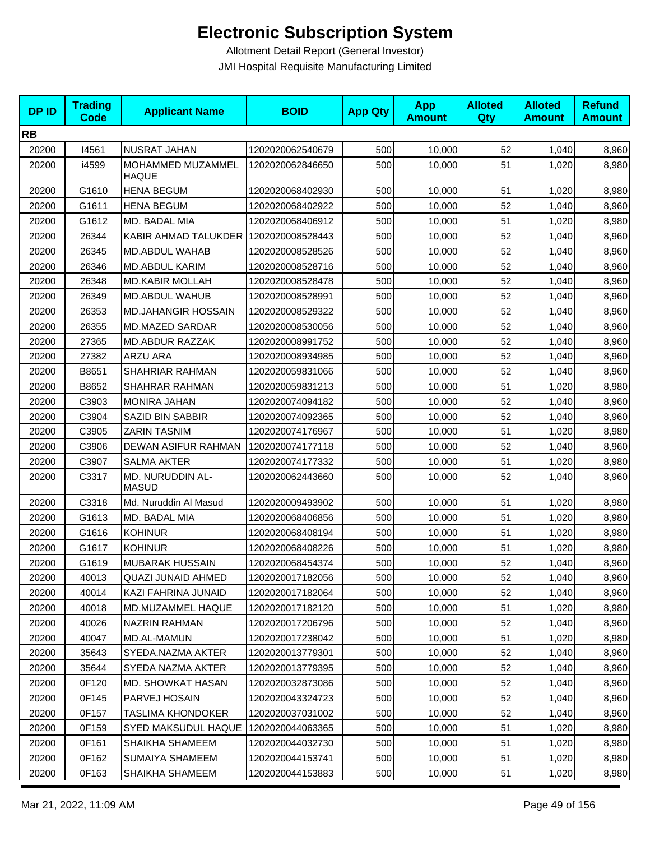| <b>DPID</b> | <b>Trading</b><br><b>Code</b> | <b>Applicant Name</b>                 | <b>BOID</b>      | <b>App Qty</b> | <b>App</b><br><b>Amount</b> | <b>Alloted</b><br>Qty | <b>Alloted</b><br><b>Amount</b> | <b>Refund</b><br><b>Amount</b> |
|-------------|-------------------------------|---------------------------------------|------------------|----------------|-----------------------------|-----------------------|---------------------------------|--------------------------------|
| <b>RB</b>   |                               |                                       |                  |                |                             |                       |                                 |                                |
| 20200       | 14561                         | <b>NUSRAT JAHAN</b>                   | 1202020062540679 | 500            | 10,000                      | 52                    | 1,040                           | 8,960                          |
| 20200       | i4599                         | MOHAMMED MUZAMMEL<br><b>HAQUE</b>     | 1202020062846650 | 500            | 10,000                      | 51                    | 1,020                           | 8,980                          |
| 20200       | G1610                         | <b>HENA BEGUM</b>                     | 1202020068402930 | 500            | 10,000                      | 51                    | 1,020                           | 8,980                          |
| 20200       | G1611                         | <b>HENA BEGUM</b>                     | 1202020068402922 | 500            | 10,000                      | 52                    | 1,040                           | 8,960                          |
| 20200       | G1612                         | MD. BADAL MIA                         | 1202020068406912 | 500            | 10,000                      | 51                    | 1,020                           | 8,980                          |
| 20200       | 26344                         | KABIR AHMAD TALUKDER 1202020008528443 |                  | 500            | 10,000                      | 52                    | 1,040                           | 8,960                          |
| 20200       | 26345                         | MD.ABDUL WAHAB                        | 1202020008528526 | 500            | 10,000                      | 52                    | 1,040                           | 8,960                          |
| 20200       | 26346                         | MD.ABDUL KARIM                        | 1202020008528716 | 500            | 10,000                      | 52                    | 1,040                           | 8,960                          |
| 20200       | 26348                         | <b>MD.KABIR MOLLAH</b>                | 1202020008528478 | 500            | 10,000                      | 52                    | 1,040                           | 8,960                          |
| 20200       | 26349                         | MD.ABDUL WAHUB                        | 1202020008528991 | 500            | 10,000                      | 52                    | 1,040                           | 8,960                          |
| 20200       | 26353                         | MD.JAHANGIR HOSSAIN                   | 1202020008529322 | 500            | 10,000                      | 52                    | 1,040                           | 8,960                          |
| 20200       | 26355                         | MD.MAZED SARDAR                       | 1202020008530056 | 500            | 10,000                      | 52                    | 1,040                           | 8,960                          |
| 20200       | 27365                         | <b>MD.ABDUR RAZZAK</b>                | 1202020008991752 | 500            | 10,000                      | 52                    | 1,040                           | 8,960                          |
| 20200       | 27382                         | <b>ARZU ARA</b>                       | 1202020008934985 | 500            | 10,000                      | 52                    | 1,040                           | 8,960                          |
| 20200       | B8651                         | SHAHRIAR RAHMAN                       | 1202020059831066 | 500            | 10,000                      | 52                    | 1,040                           | 8,960                          |
| 20200       | B8652                         | SHAHRAR RAHMAN                        | 1202020059831213 | 500            | 10,000                      | 51                    | 1,020                           | 8,980                          |
| 20200       | C3903                         | <b>MONIRA JAHAN</b>                   | 1202020074094182 | 500            | 10,000                      | 52                    | 1,040                           | 8,960                          |
| 20200       | C3904                         | SAZID BIN SABBIR                      | 1202020074092365 | 500            | 10,000                      | 52                    | 1,040                           | 8,960                          |
| 20200       | C3905                         | <b>ZARIN TASNIM</b>                   | 1202020074176967 | 500            | 10,000                      | 51                    | 1,020                           | 8,980                          |
| 20200       | C3906                         | DEWAN ASIFUR RAHMAN                   | 1202020074177118 | 500            | 10,000                      | 52                    | 1,040                           | 8,960                          |
| 20200       | C3907                         | <b>SALMA AKTER</b>                    | 1202020074177332 | 500            | 10,000                      | 51                    | 1,020                           | 8,980                          |
| 20200       | C3317                         | MD. NURUDDIN AL-<br><b>MASUD</b>      | 1202020062443660 | 500            | 10,000                      | 52                    | 1,040                           | 8,960                          |
| 20200       | C3318                         | Md. Nuruddin Al Masud                 | 1202020009493902 | 500            | 10,000                      | 51                    | 1,020                           | 8,980                          |
| 20200       | G1613                         | MD. BADAL MIA                         | 1202020068406856 | 500            | 10,000                      | 51                    | 1,020                           | 8,980                          |
| 20200       | G1616                         | <b>KOHINUR</b>                        | 1202020068408194 | 500            | 10,000                      | 51                    | 1,020                           | 8,980                          |
| 20200       | G1617                         | <b>KOHINUR</b>                        | 1202020068408226 | 500            | 10,000                      | 51                    | 1,020                           | 8,980                          |
| 20200       | G1619                         | <b>MUBARAK HUSSAIN</b>                | 1202020068454374 | 500            | 10,000                      | 52                    | 1,040                           | 8,960                          |
| 20200       | 40013                         | QUAZI JUNAID AHMED                    | 1202020017182056 | 500            | 10,000                      | 52                    | 1,040                           | 8,960                          |
| 20200       | 40014                         | KAZI FAHRINA JUNAID                   | 1202020017182064 | 500            | 10,000                      | 52                    | 1,040                           | 8,960                          |
| 20200       | 40018                         | MD.MUZAMMEL HAQUE                     | 1202020017182120 | 500            | 10,000                      | 51                    | 1,020                           | 8,980                          |
| 20200       | 40026                         | NAZRIN RAHMAN                         | 1202020017206796 | 500            | 10,000                      | 52                    | 1,040                           | 8,960                          |
| 20200       | 40047                         | MD.AL-MAMUN                           | 1202020017238042 | 500            | 10,000                      | 51                    | 1,020                           | 8,980                          |
| 20200       | 35643                         | SYEDA.NAZMA AKTER                     | 1202020013779301 | 500            | 10,000                      | 52                    | 1,040                           | 8,960                          |
| 20200       | 35644                         | SYEDA NAZMA AKTER                     | 1202020013779395 | 500            | 10,000                      | 52                    | 1,040                           | 8,960                          |
| 20200       | 0F120                         | <b>MD. SHOWKAT HASAN</b>              | 1202020032873086 | 500            | 10,000                      | 52                    | 1,040                           | 8,960                          |
| 20200       | 0F145                         | PARVEJ HOSAIN                         | 1202020043324723 | 500            | 10,000                      | 52                    | 1,040                           | 8,960                          |
| 20200       | 0F157                         | TASLIMA KHONDOKER                     | 1202020037031002 | 500            | 10,000                      | 52                    | 1,040                           | 8,960                          |
| 20200       | 0F159                         | SYED MAKSUDUL HAQUE                   | 1202020044063365 | 500            | 10,000                      | 51                    | 1,020                           | 8,980                          |
| 20200       | 0F161                         | SHAIKHA SHAMEEM                       | 1202020044032730 | 500            | 10,000                      | 51                    | 1,020                           | 8,980                          |
| 20200       | 0F162                         | SUMAIYA SHAMEEM                       | 1202020044153741 | 500            | 10,000                      | 51                    | 1,020                           | 8,980                          |
| 20200       | 0F163                         | SHAIKHA SHAMEEM                       | 1202020044153883 | 500            | 10,000                      | 51                    | 1,020                           | 8,980                          |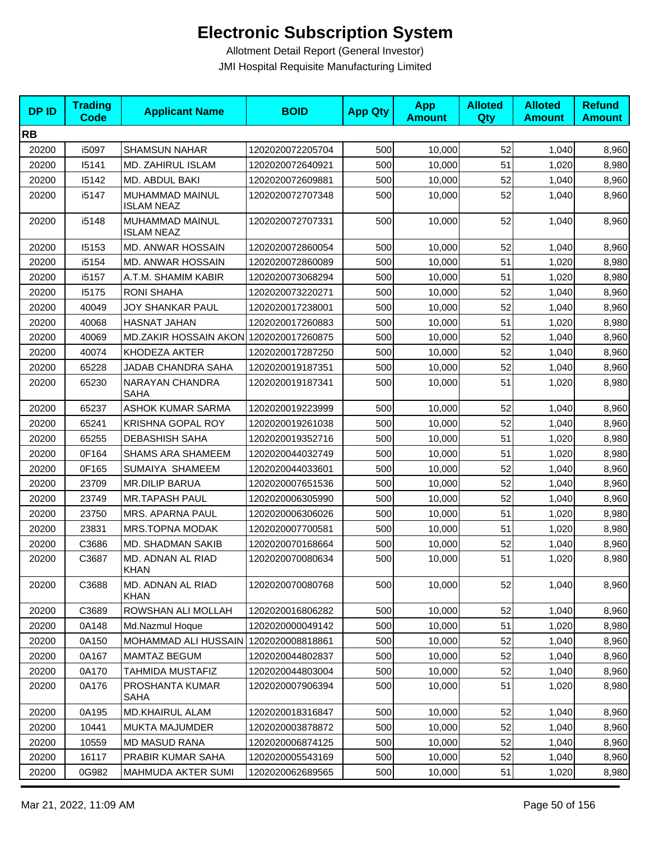| <b>DPID</b> | <b>Trading</b><br><b>Code</b> | <b>Applicant Name</b>                  | <b>BOID</b>      | <b>App Qty</b> | <b>App</b><br><b>Amount</b> | <b>Alloted</b><br><b>Qty</b> | <b>Alloted</b><br><b>Amount</b> | <b>Refund</b><br><b>Amount</b> |
|-------------|-------------------------------|----------------------------------------|------------------|----------------|-----------------------------|------------------------------|---------------------------------|--------------------------------|
| <b>RB</b>   |                               |                                        |                  |                |                             |                              |                                 |                                |
| 20200       | i5097                         | <b>SHAMSUN NAHAR</b>                   | 1202020072205704 | 500            | 10,000                      | 52                           | 1,040                           | 8,960                          |
| 20200       | 15141                         | MD. ZAHIRUL ISLAM                      | 1202020072640921 | 500            | 10,000                      | 51                           | 1,020                           | 8,980                          |
| 20200       | 15142                         | MD. ABDUL BAKI                         | 1202020072609881 | 500            | 10,000                      | 52                           | 1,040                           | 8,960                          |
| 20200       | i5147                         | MUHAMMAD MAINUL<br><b>ISLAM NEAZ</b>   | 1202020072707348 | 500            | 10,000                      | 52                           | 1,040                           | 8,960                          |
| 20200       | i5148                         | MUHAMMAD MAINUL<br><b>ISLAM NEAZ</b>   | 1202020072707331 | 500            | 10,000                      | 52                           | 1,040                           | 8,960                          |
| 20200       | 15153                         | MD. ANWAR HOSSAIN                      | 1202020072860054 | 500            | 10,000                      | 52                           | 1,040                           | 8,960                          |
| 20200       | i5154                         | MD. ANWAR HOSSAIN                      | 1202020072860089 | 500            | 10,000                      | 51                           | 1,020                           | 8,980                          |
| 20200       | i5157                         | A.T.M. SHAMIM KABIR                    | 1202020073068294 | 500            | 10,000                      | 51                           | 1,020                           | 8,980                          |
| 20200       | 15175                         | <b>RONI SHAHA</b>                      | 1202020073220271 | 500            | 10,000                      | 52                           | 1,040                           | 8,960                          |
| 20200       | 40049                         | JOY SHANKAR PAUL                       | 1202020017238001 | 500            | 10,000                      | 52                           | 1,040                           | 8,960                          |
| 20200       | 40068                         | HASNAT JAHAN                           | 1202020017260883 | 500            | 10,000                      | 51                           | 1,020                           | 8,980                          |
| 20200       | 40069                         | MD.ZAKIR HOSSAIN AKON 1202020017260875 |                  | 500            | 10,000                      | 52                           | 1,040                           | 8,960                          |
| 20200       | 40074                         | KHODEZA AKTER                          | 1202020017287250 | 500            | 10,000                      | 52                           | 1,040                           | 8,960                          |
| 20200       | 65228                         | JADAB CHANDRA SAHA                     | 1202020019187351 | 500            | 10,000                      | 52                           | 1,040                           | 8,960                          |
| 20200       | 65230                         | NARAYAN CHANDRA<br><b>SAHA</b>         | 1202020019187341 | 500            | 10,000                      | 51                           | 1,020                           | 8,980                          |
| 20200       | 65237                         | <b>ASHOK KUMAR SARMA</b>               | 1202020019223999 | 500            | 10,000                      | 52                           | 1,040                           | 8,960                          |
| 20200       | 65241                         | <b>KRISHNA GOPAL ROY</b>               | 1202020019261038 | 500            | 10,000                      | 52                           | 1,040                           | 8,960                          |
| 20200       | 65255                         | <b>DEBASHISH SAHA</b>                  | 1202020019352716 | 500            | 10,000                      | 51                           | 1,020                           | 8,980                          |
| 20200       | 0F164                         | <b>SHAMS ARA SHAMEEM</b>               | 1202020044032749 | 500            | 10,000                      | 51                           | 1,020                           | 8,980                          |
| 20200       | 0F165                         | SUMAIYA SHAMEEM                        | 1202020044033601 | 500            | 10,000                      | 52                           | 1,040                           | 8,960                          |
| 20200       | 23709                         | <b>MR.DILIP BARUA</b>                  | 1202020007651536 | 500            | 10,000                      | 52                           | 1,040                           | 8,960                          |
| 20200       | 23749                         | <b>MR.TAPASH PAUL</b>                  | 1202020006305990 | 500            | 10,000                      | 52                           | 1,040                           | 8,960                          |
| 20200       | 23750                         | MRS. APARNA PAUL                       | 1202020006306026 | 500            | 10,000                      | 51                           | 1,020                           | 8,980                          |
| 20200       | 23831                         | MRS.TOPNA MODAK                        | 1202020007700581 | 500            | 10,000                      | 51                           | 1,020                           | 8,980                          |
| 20200       | C3686                         | MD. SHADMAN SAKIB                      | 1202020070168664 | 500            | 10,000                      | 52                           | 1,040                           | 8,960                          |
| 20200       | C3687                         | MD. ADNAN AL RIAD<br><b>KHAN</b>       | 1202020070080634 | 500            | 10,000                      | 51                           | 1,020                           | 8,980                          |
| 20200       | C3688                         | MD. ADNAN AL RIAD<br><b>KHAN</b>       | 1202020070080768 | 500            | 10,000                      | 52                           | 1,040                           | 8,960                          |
| 20200       | C3689                         | ROWSHAN ALI MOLLAH                     | 1202020016806282 | 500            | 10,000                      | 52                           | 1,040                           | 8,960                          |
| 20200       | 0A148                         | Md.Nazmul Hoque                        | 1202020000049142 | 500            | 10,000                      | 51                           | 1,020                           | 8,980                          |
| 20200       | 0A150                         | MOHAMMAD ALI HUSSAIN                   | 1202020008818861 | 500            | 10,000                      | 52                           | 1,040                           | 8,960                          |
| 20200       | 0A167                         | <b>MAMTAZ BEGUM</b>                    | 1202020044802837 | 500            | 10,000                      | 52                           | 1,040                           | 8,960                          |
| 20200       | 0A170                         | <b>TAHMIDA MUSTAFIZ</b>                | 1202020044803004 | 500            | 10,000                      | 52                           | 1,040                           | 8,960                          |
| 20200       | 0A176                         | PROSHANTA KUMAR<br><b>SAHA</b>         | 1202020007906394 | 500            | 10,000                      | 51                           | 1,020                           | 8,980                          |
| 20200       | 0A195                         | MD.KHAIRUL ALAM                        | 1202020018316847 | 500            | 10,000                      | 52                           | 1,040                           | 8,960                          |
| 20200       | 10441                         | MUKTA MAJUMDER                         | 1202020003878872 | 500            | 10,000                      | 52                           | 1,040                           | 8,960                          |
| 20200       | 10559                         | MD MASUD RANA                          | 1202020006874125 | 500            | 10,000                      | 52                           | 1,040                           | 8,960                          |
| 20200       | 16117                         | PRABIR KUMAR SAHA                      | 1202020005543169 | 500            | 10,000                      | 52                           | 1,040                           | 8,960                          |
| 20200       | 0G982                         | MAHMUDA AKTER SUMI                     | 1202020062689565 | 500            | 10,000                      | 51                           | 1,020                           | 8,980                          |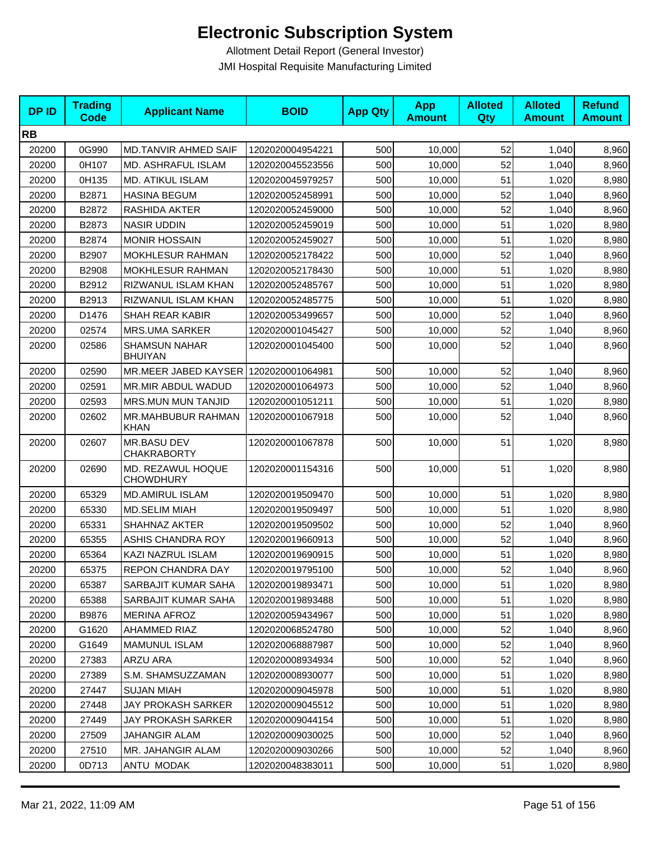| <b>DPID</b> | <b>Trading</b><br>Code | <b>Applicant Name</b>                  | <b>BOID</b>      | <b>App Qty</b> | <b>App</b><br><b>Amount</b> | <b>Alloted</b><br>Qty | <b>Alloted</b><br><b>Amount</b> | <b>Refund</b><br><b>Amount</b> |
|-------------|------------------------|----------------------------------------|------------------|----------------|-----------------------------|-----------------------|---------------------------------|--------------------------------|
| <b>RB</b>   |                        |                                        |                  |                |                             |                       |                                 |                                |
| 20200       | 0G990                  | <b>MD.TANVIR AHMED SAIF</b>            | 1202020004954221 | 500            | 10,000                      | 52                    | 1,040                           | 8,960                          |
| 20200       | 0H107                  | MD. ASHRAFUL ISLAM                     | 1202020045523556 | 500            | 10,000                      | 52                    | 1,040                           | 8,960                          |
| 20200       | 0H135                  | MD. ATIKUL ISLAM                       | 1202020045979257 | 500            | 10,000                      | 51                    | 1,020                           | 8,980                          |
| 20200       | B2871                  | <b>HASINA BEGUM</b>                    | 1202020052458991 | 500            | 10,000                      | 52                    | 1,040                           | 8,960                          |
| 20200       | B2872                  | RASHIDA AKTER                          | 1202020052459000 | 500            | 10,000                      | 52                    | 1,040                           | 8,960                          |
| 20200       | B2873                  | <b>NASIR UDDIN</b>                     | 1202020052459019 | 500            | 10,000                      | 51                    | 1,020                           | 8,980                          |
| 20200       | B2874                  | <b>MONIR HOSSAIN</b>                   | 1202020052459027 | 500            | 10,000                      | 51                    | 1,020                           | 8,980                          |
| 20200       | B2907                  | <b>MOKHLESUR RAHMAN</b>                | 1202020052178422 | 500            | 10,000                      | 52                    | 1,040                           | 8,960                          |
| 20200       | B2908                  | MOKHLESUR RAHMAN                       | 1202020052178430 | 500            | 10,000                      | 51                    | 1,020                           | 8,980                          |
| 20200       | B2912                  | RIZWANUL ISLAM KHAN                    | 1202020052485767 | 500            | 10,000                      | 51                    | 1,020                           | 8,980                          |
| 20200       | B2913                  | RIZWANUL ISLAM KHAN                    | 1202020052485775 | 500            | 10,000                      | 51                    | 1,020                           | 8,980                          |
| 20200       | D1476                  | SHAH REAR KABIR                        | 1202020053499657 | 500            | 10,000                      | 52                    | 1,040                           | 8,960                          |
| 20200       | 02574                  | <b>MRS.UMA SARKER</b>                  | 1202020001045427 | 500            | 10,000                      | 52                    | 1,040                           | 8,960                          |
| 20200       | 02586                  | <b>SHAMSUN NAHAR</b><br><b>BHUIYAN</b> | 1202020001045400 | 500            | 10,000                      | 52                    | 1,040                           | 8,960                          |
| 20200       | 02590                  | MR.MEER JABED KAYSER 1202020001064981  |                  | 500            | 10,000                      | 52                    | 1,040                           | 8,960                          |
| 20200       | 02591                  | MR.MIR ABDUL WADUD                     | 1202020001064973 | 500            | 10,000                      | 52                    | 1,040                           | 8,960                          |
| 20200       | 02593                  | MRS.MUN MUN TANJID                     | 1202020001051211 | 500            | 10,000                      | 51                    | 1,020                           | 8,980                          |
| 20200       | 02602                  | MR.MAHBUBUR RAHMAN<br><b>KHAN</b>      | 1202020001067918 | 500            | 10,000                      | 52                    | 1,040                           | 8,960                          |
| 20200       | 02607                  | MR.BASU DEV<br><b>CHAKRABORTY</b>      | 1202020001067878 | 500            | 10,000                      | 51                    | 1,020                           | 8,980                          |
| 20200       | 02690                  | MD. REZAWUL HOQUE<br><b>CHOWDHURY</b>  | 1202020001154316 | 500            | 10,000                      | 51                    | 1,020                           | 8,980                          |
| 20200       | 65329                  | <b>MD.AMIRUL ISLAM</b>                 | 1202020019509470 | 500            | 10,000                      | 51                    | 1,020                           | 8,980                          |
| 20200       | 65330                  | <b>MD.SELIM MIAH</b>                   | 1202020019509497 | 500            | 10,000                      | 51                    | 1,020                           | 8,980                          |
| 20200       | 65331                  | <b>SHAHNAZ AKTER</b>                   | 1202020019509502 | 500            | 10,000                      | 52                    | 1,040                           | 8,960                          |
| 20200       | 65355                  | ASHIS CHANDRA ROY                      | 1202020019660913 | 500            | 10,000                      | 52                    | 1,040                           | 8,960                          |
| 20200       | 65364                  | KAZI NAZRUL ISLAM                      | 1202020019690915 | 500            | 10,000                      | 51                    | 1,020                           | 8,980                          |
| 20200       | 65375                  | REPON CHANDRA DAY                      | 1202020019795100 | 500            | 10,000                      | 52                    | 1,040                           | 8,960                          |
| 20200       | 65387                  | SARBAJIT KUMAR SAHA                    | 1202020019893471 | 500            | 10,000                      | 51                    | 1,020                           | 8,980                          |
| 20200       | 65388                  | SARBAJIT KUMAR SAHA                    | 1202020019893488 | 500            | 10,000                      | 51                    | 1,020                           | 8,980                          |
| 20200       | B9876                  | <b>MERINA AFROZ</b>                    | 1202020059434967 | 500            | 10,000                      | 51                    | 1,020                           | 8,980                          |
| 20200       | G1620                  | <b>AHAMMED RIAZ</b>                    | 1202020068524780 | 500            | 10,000                      | 52                    | 1,040                           | 8,960                          |
| 20200       | G1649                  | <b>MAMUNUL ISLAM</b>                   | 1202020068887987 | 500            | 10,000                      | 52                    | 1,040                           | 8,960                          |
| 20200       | 27383                  | ARZU ARA                               | 1202020008934934 | 500            | 10,000                      | 52                    | 1,040                           | 8,960                          |
| 20200       | 27389                  | S.M. SHAMSUZZAMAN                      | 1202020008930077 | 500            | 10,000                      | 51                    | 1,020                           | 8,980                          |
| 20200       | 27447                  | SUJAN MIAH                             | 1202020009045978 | 500            | 10,000                      | 51                    | 1,020                           | 8,980                          |
| 20200       | 27448                  | JAY PROKASH SARKER                     | 1202020009045512 | 500            | 10,000                      | 51                    | 1,020                           | 8,980                          |
| 20200       | 27449                  | JAY PROKASH SARKER                     | 1202020009044154 | 500            | 10,000                      | 51                    | 1,020                           | 8,980                          |
| 20200       | 27509                  | JAHANGIR ALAM                          | 1202020009030025 | 500            | 10,000                      | 52                    | 1,040                           | 8,960                          |
| 20200       | 27510                  | MR. JAHANGIR ALAM                      | 1202020009030266 | 500            | 10,000                      | 52                    | 1,040                           | 8,960                          |
| 20200       | 0D713                  | ANTU MODAK                             | 1202020048383011 | 500            | 10,000                      | 51                    | 1,020                           | 8,980                          |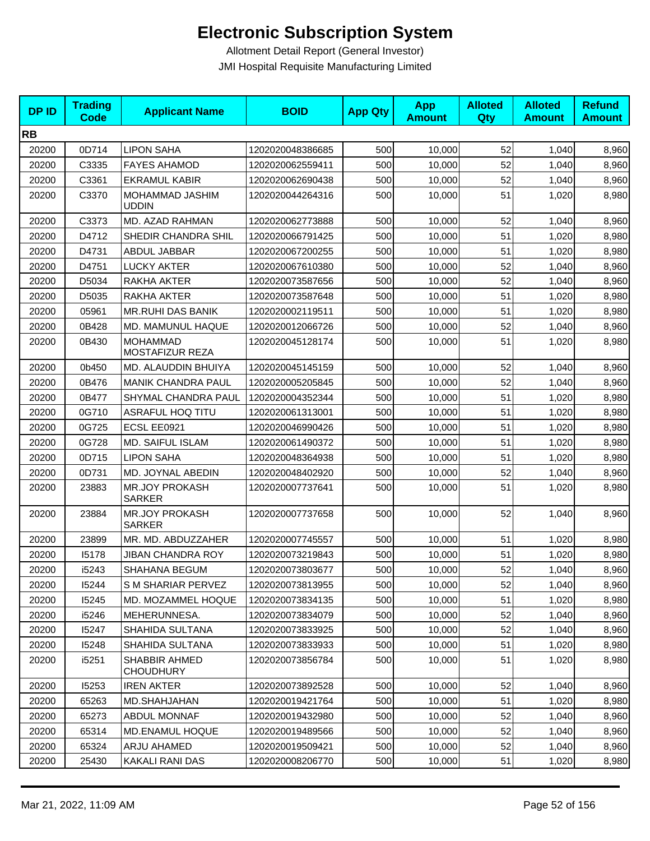| <b>DPID</b> | <b>Trading</b><br>Code | <b>Applicant Name</b>                    | <b>BOID</b>      | <b>App Qty</b> | <b>App</b><br><b>Amount</b> | <b>Alloted</b><br>Qty | <b>Alloted</b><br><b>Amount</b> | <b>Refund</b><br><b>Amount</b> |
|-------------|------------------------|------------------------------------------|------------------|----------------|-----------------------------|-----------------------|---------------------------------|--------------------------------|
| <b>RB</b>   |                        |                                          |                  |                |                             |                       |                                 |                                |
| 20200       | 0D714                  | <b>LIPON SAHA</b>                        | 1202020048386685 | 500            | 10,000                      | 52                    | 1,040                           | 8,960                          |
| 20200       | C3335                  | <b>FAYES AHAMOD</b>                      | 1202020062559411 | 500            | 10,000                      | 52                    | 1,040                           | 8,960                          |
| 20200       | C3361                  | <b>EKRAMUL KABIR</b>                     | 1202020062690438 | 500            | 10,000                      | 52                    | 1,040                           | 8,960                          |
| 20200       | C3370                  | MOHAMMAD JASHIM<br>uddin                 | 1202020044264316 | 500            | 10,000                      | 51                    | 1,020                           | 8,980                          |
| 20200       | C3373                  | MD. AZAD RAHMAN                          | 1202020062773888 | 500            | 10,000                      | 52                    | 1,040                           | 8,960                          |
| 20200       | D4712                  | SHEDIR CHANDRA SHIL                      | 1202020066791425 | 500            | 10,000                      | 51                    | 1,020                           | 8,980                          |
| 20200       | D4731                  | ABDUL JABBAR                             | 1202020067200255 | 500            | 10,000                      | 51                    | 1,020                           | 8,980                          |
| 20200       | D4751                  | <b>LUCKY AKTER</b>                       | 1202020067610380 | 500            | 10,000                      | 52                    | 1,040                           | 8,960                          |
| 20200       | D5034                  | RAKHA AKTER                              | 1202020073587656 | 500            | 10,000                      | 52                    | 1,040                           | 8,960                          |
| 20200       | D5035                  | RAKHA AKTER                              | 1202020073587648 | 500            | 10,000                      | 51                    | 1,020                           | 8,980                          |
| 20200       | 05961                  | <b>MR.RUHI DAS BANIK</b>                 | 1202020002119511 | 500            | 10,000                      | 51                    | 1,020                           | 8,980                          |
| 20200       | 0B428                  | MD. MAMUNUL HAQUE                        | 1202020012066726 | 500            | 10,000                      | 52                    | 1,040                           | 8,960                          |
| 20200       | 0B430                  | <b>MOHAMMAD</b><br>MOSTAFIZUR REZA       | 1202020045128174 | 500            | 10,000                      | 51                    | 1,020                           | 8,980                          |
| 20200       | 0b450                  | MD. ALAUDDIN BHUIYA                      | 1202020045145159 | 500            | 10,000                      | 52                    | 1,040                           | 8,960                          |
| 20200       | 0B476                  | <b>MANIK CHANDRA PAUL</b>                | 1202020005205845 | 500            | 10,000                      | 52                    | 1,040                           | 8,960                          |
| 20200       | 0B477                  | SHYMAL CHANDRA PAUL                      | 1202020004352344 | 500            | 10,000                      | 51                    | 1,020                           | 8,980                          |
| 20200       | 0G710                  | <b>ASRAFUL HOQ TITU</b>                  | 1202020061313001 | 500            | 10,000                      | 51                    | 1,020                           | 8,980                          |
| 20200       | 0G725                  | ECSL EE0921                              | 1202020046990426 | 500            | 10,000                      | 51                    | 1,020                           | 8,980                          |
| 20200       | 0G728                  | MD. SAIFUL ISLAM                         | 1202020061490372 | 500            | 10,000                      | 51                    | 1,020                           | 8,980                          |
| 20200       | 0D715                  | <b>LIPON SAHA</b>                        | 1202020048364938 | 500            | 10,000                      | 51                    | 1,020                           | 8,980                          |
| 20200       | 0D731                  | MD. JOYNAL ABEDIN                        | 1202020048402920 | 500            | 10,000                      | 52                    | 1,040                           | 8,960                          |
| 20200       | 23883                  | <b>MR.JOY PROKASH</b><br><b>SARKER</b>   | 1202020007737641 | 500            | 10,000                      | 51                    | 1,020                           | 8,980                          |
| 20200       | 23884                  | <b>MR.JOY PROKASH</b><br><b>SARKER</b>   | 1202020007737658 | 500            | 10,000                      | 52                    | 1,040                           | 8,960                          |
| 20200       | 23899                  | MR. MD. ABDUZZAHER                       | 1202020007745557 | 500            | 10,000                      | 51                    | 1,020                           | 8,980                          |
| 20200       | 15178                  | <b>JIBAN CHANDRA ROY</b>                 | 1202020073219843 | 500            | 10,000                      | 51                    | 1,020                           | 8,980                          |
| 20200       | i5243                  | SHAHANA BEGUM                            | 1202020073803677 | 500            | 10,000                      | 52                    | 1.040                           | 8,960                          |
| 20200       | 15244                  | S M SHARIAR PERVEZ                       | 1202020073813955 | 500            | 10,000                      | 52                    | 1,040                           | 8,960                          |
| 20200       | 15245                  | MD. MOZAMMEL HOQUE                       | 1202020073834135 | 500            | 10,000                      | 51                    | 1,020                           | 8,980                          |
| 20200       | i5246                  | MEHERUNNESA.                             | 1202020073834079 | 500            | 10,000                      | 52                    | 1,040                           | 8,960                          |
| 20200       | 15247                  | SHAHIDA SULTANA                          | 1202020073833925 | 500            | 10,000                      | 52                    | 1,040                           | 8,960                          |
| 20200       | 15248                  | SHAHIDA SULTANA                          | 1202020073833933 | 500            | 10,000                      | 51                    | 1,020                           | 8,980                          |
| 20200       | i5251                  | <b>SHABBIR AHMED</b><br><b>CHOUDHURY</b> | 1202020073856784 | 500            | 10,000                      | 51                    | 1,020                           | 8,980                          |
| 20200       | 15253                  | <b>IREN AKTER</b>                        | 1202020073892528 | 500            | 10.000                      | 52                    | 1,040                           | 8,960                          |
| 20200       | 65263                  | MD.SHAHJAHAN                             | 1202020019421764 | 500            | 10,000                      | 51                    | 1,020                           | 8,980                          |
| 20200       | 65273                  | <b>ABDUL MONNAF</b>                      | 1202020019432980 | 500            | 10,000                      | 52                    | 1,040                           | 8,960                          |
| 20200       | 65314                  | MD.ENAMUL HOQUE                          | 1202020019489566 | 500            | 10,000                      | 52                    | 1,040                           | 8,960                          |
| 20200       | 65324                  | ARJU AHAMED                              | 1202020019509421 | 500            | 10,000                      | 52                    | 1,040                           | 8,960                          |
| 20200       | 25430                  | KAKALI RANI DAS                          | 1202020008206770 | 500            | 10,000                      | 51                    | 1,020                           | 8,980                          |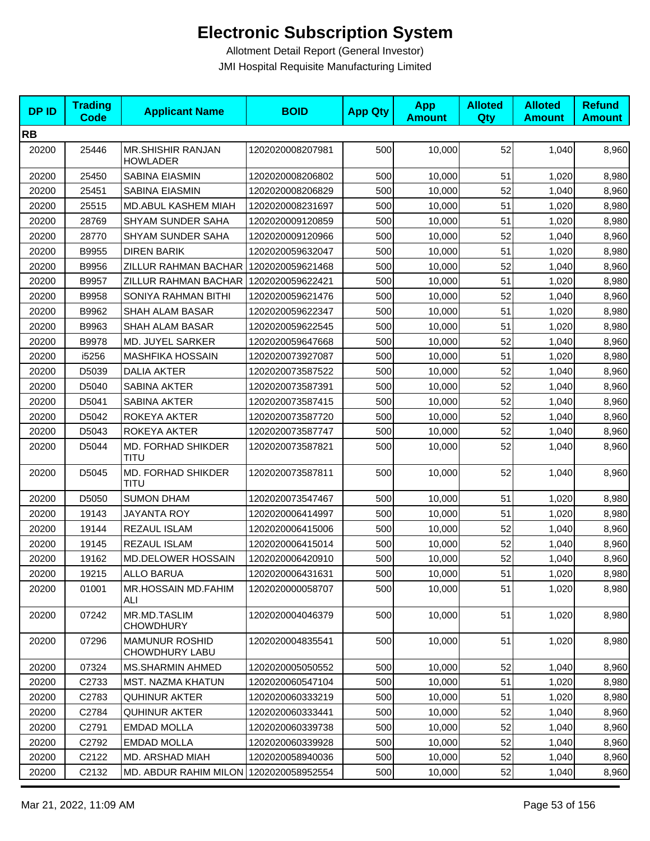| <b>DPID</b> | <b>Trading</b><br><b>Code</b> | <b>Applicant Name</b>                       | <b>BOID</b>      | <b>App Qty</b> | <b>App</b><br><b>Amount</b> | <b>Alloted</b><br>Qty | <b>Alloted</b><br><b>Amount</b> | <b>Refund</b><br><b>Amount</b> |
|-------------|-------------------------------|---------------------------------------------|------------------|----------------|-----------------------------|-----------------------|---------------------------------|--------------------------------|
| <b>RB</b>   |                               |                                             |                  |                |                             |                       |                                 |                                |
| 20200       | 25446                         | <b>MR.SHISHIR RANJAN</b><br><b>HOWLADER</b> | 1202020008207981 | 500            | 10,000                      | 52                    | 1,040                           | 8,960                          |
| 20200       | 25450                         | SABINA EIASMIN                              | 1202020008206802 | 500            | 10,000                      | 51                    | 1,020                           | 8,980                          |
| 20200       | 25451                         | SABINA EIASMIN                              | 1202020008206829 | 500            | 10,000                      | 52                    | 1,040                           | 8,960                          |
| 20200       | 25515                         | MD.ABUL KASHEM MIAH                         | 1202020008231697 | 500            | 10,000                      | 51                    | 1,020                           | 8,980                          |
| 20200       | 28769                         | SHYAM SUNDER SAHA                           | 1202020009120859 | 500            | 10,000                      | 51                    | 1,020                           | 8,980                          |
| 20200       | 28770                         | SHYAM SUNDER SAHA                           | 1202020009120966 | 500            | 10,000                      | 52                    | 1,040                           | 8,960                          |
| 20200       | B9955                         | <b>DIREN BARIK</b>                          | 1202020059632047 | 500            | 10,000                      | 51                    | 1,020                           | 8,980                          |
| 20200       | B9956                         | ZILLUR RAHMAN BACHAR                        | 1202020059621468 | 500            | 10,000                      | 52                    | 1,040                           | 8,960                          |
| 20200       | B9957                         | ZILLUR RAHMAN BACHAR   1202020059622421     |                  | 500            | 10,000                      | 51                    | 1,020                           | 8,980                          |
| 20200       | B9958                         | SONIYA RAHMAN BITHI                         | 1202020059621476 | 500            | 10,000                      | 52                    | 1,040                           | 8,960                          |
| 20200       | B9962                         | SHAH ALAM BASAR                             | 1202020059622347 | 500            | 10,000                      | 51                    | 1,020                           | 8,980                          |
| 20200       | B9963                         | SHAH ALAM BASAR                             | 1202020059622545 | 500            | 10,000                      | 51                    | 1,020                           | 8,980                          |
| 20200       | B9978                         | MD. JUYEL SARKER                            | 1202020059647668 | 500            | 10,000                      | 52                    | 1,040                           | 8,960                          |
| 20200       | i5256                         | <b>MASHFIKA HOSSAIN</b>                     | 1202020073927087 | 500            | 10,000                      | 51                    | 1,020                           | 8,980                          |
| 20200       | D5039                         | <b>DALIA AKTER</b>                          | 1202020073587522 | 500            | 10,000                      | 52                    | 1,040                           | 8,960                          |
| 20200       | D5040                         | SABINA AKTER                                | 1202020073587391 | 500            | 10,000                      | 52                    | 1,040                           | 8,960                          |
| 20200       | D5041                         | SABINA AKTER                                | 1202020073587415 | 500            | 10,000                      | 52                    | 1,040                           | 8,960                          |
| 20200       | D5042                         | ROKEYA AKTER                                | 1202020073587720 | 500            | 10,000                      | 52                    | 1,040                           | 8,960                          |
| 20200       | D5043                         | ROKEYA AKTER                                | 1202020073587747 | 500            | 10,000                      | 52                    | 1,040                           | 8,960                          |
| 20200       | D5044                         | MD. FORHAD SHIKDER<br><b>TITU</b>           | 1202020073587821 | 500            | 10,000                      | 52                    | 1,040                           | 8,960                          |
| 20200       | D5045                         | MD. FORHAD SHIKDER<br>TITU                  | 1202020073587811 | 500            | 10,000                      | 52                    | 1,040                           | 8,960                          |
| 20200       | D5050                         | <b>SUMON DHAM</b>                           | 1202020073547467 | 500            | 10,000                      | 51                    | 1,020                           | 8,980                          |
| 20200       | 19143                         | <b>JAYANTA ROY</b>                          | 1202020006414997 | 500            | 10,000                      | 51                    | 1,020                           | 8,980                          |
| 20200       | 19144                         | REZAUL ISLAM                                | 1202020006415006 | 500            | 10,000                      | 52                    | 1,040                           | 8,960                          |
| 20200       | 19145                         | REZAUL ISLAM                                | 1202020006415014 | 500            | 10,000                      | 52                    | 1,040                           | 8,960                          |
| 20200       | 19162                         | MD.DELOWER HOSSAIN                          | 1202020006420910 | 500            | 10,000                      | 52                    | 1,040                           | 8,960                          |
| 20200       | 19215                         | ALLO BARUA                                  | 1202020006431631 | 500            | 10,000                      | 51                    | 1,020                           | 8,980                          |
| 20200       | 01001                         | <b>MR.HOSSAIN MD.FAHIM</b><br>ALI           | 1202020000058707 | 500            | 10,000                      | 51                    | 1,020                           | 8,980                          |
| 20200       | 07242                         | MR.MD.TASLIM<br><b>CHOWDHURY</b>            | 1202020004046379 | 500            | 10,000                      | 51                    | 1,020                           | 8,980                          |
| 20200       | 07296                         | <b>MAMUNUR ROSHID</b><br>CHOWDHURY LABU     | 1202020004835541 | 500            | 10,000                      | 51                    | 1,020                           | 8,980                          |
| 20200       | 07324                         | <b>MS.SHARMIN AHMED</b>                     | 1202020005050552 | 500            | 10,000                      | 52                    | 1,040                           | 8,960                          |
| 20200       | C2733                         | <b>MST. NAZMA KHATUN</b>                    | 1202020060547104 | 500            | 10,000                      | 51                    | 1,020                           | 8,980                          |
| 20200       | C <sub>2783</sub>             | <b>QUHINUR AKTER</b>                        | 1202020060333219 | 500            | 10,000                      | 51                    | 1,020                           | 8,980                          |
| 20200       | C2784                         | <b>QUHINUR AKTER</b>                        | 1202020060333441 | 500            | 10,000                      | 52                    | 1,040                           | 8,960                          |
| 20200       | C2791                         | <b>EMDAD MOLLA</b>                          | 1202020060339738 | 500            | 10,000                      | 52                    | 1,040                           | 8,960                          |
| 20200       | C <sub>2792</sub>             | <b>EMDAD MOLLA</b>                          | 1202020060339928 | 500            | 10,000                      | 52                    | 1,040                           | 8,960                          |
| 20200       | C2122                         | MD. ARSHAD MIAH                             | 1202020058940036 | 500            | 10,000                      | 52                    | 1,040                           | 8,960                          |
| 20200       | C2132                         | MD. ABDUR RAHIM MILON   1202020058952554    |                  | 500            | 10,000                      | 52                    | 1,040                           | 8,960                          |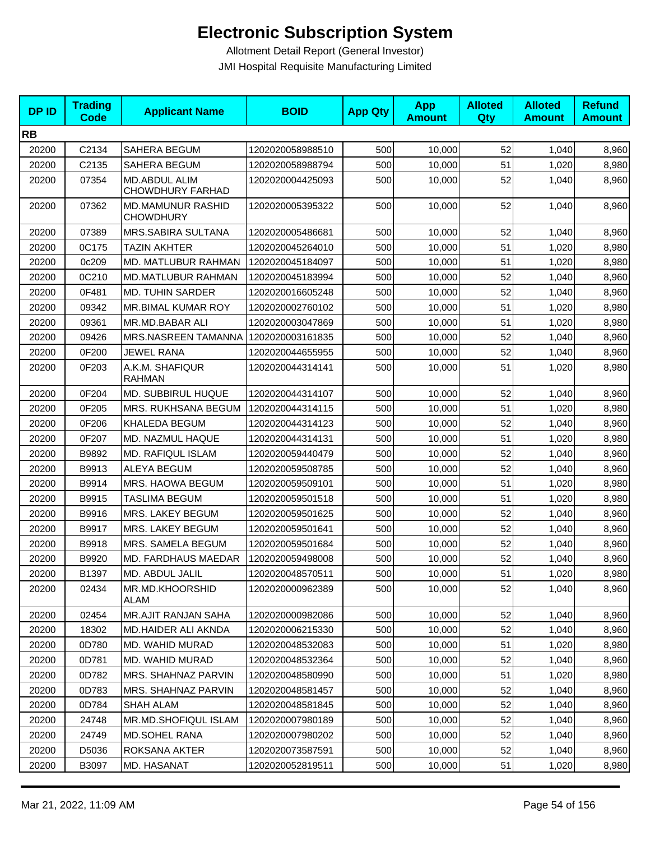| <b>DPID</b> | <b>Trading</b><br><b>Code</b> | <b>Applicant Name</b>                        | <b>BOID</b>      | <b>App Qty</b> | <b>App</b><br><b>Amount</b> | <b>Alloted</b><br>Qty | <b>Alloted</b><br><b>Amount</b> | <b>Refund</b><br><b>Amount</b> |
|-------------|-------------------------------|----------------------------------------------|------------------|----------------|-----------------------------|-----------------------|---------------------------------|--------------------------------|
| <b>RB</b>   |                               |                                              |                  |                |                             |                       |                                 |                                |
| 20200       | C2134                         | <b>SAHERA BEGUM</b>                          | 1202020058988510 | 500            | 10,000                      | 52                    | 1,040                           | 8,960                          |
| 20200       | C2135                         | SAHERA BEGUM                                 | 1202020058988794 | 500            | 10,000                      | 51                    | 1,020                           | 8,980                          |
| 20200       | 07354                         | MD.ABDUL ALIM<br>CHOWDHURY FARHAD            | 1202020004425093 | 500            | 10,000                      | 52                    | 1,040                           | 8,960                          |
| 20200       | 07362                         | <b>MD.MAMUNUR RASHID</b><br><b>CHOWDHURY</b> | 1202020005395322 | 500            | 10,000                      | 52                    | 1,040                           | 8,960                          |
| 20200       | 07389                         | MRS.SABIRA SULTANA                           | 1202020005486681 | 500            | 10,000                      | 52                    | 1.040                           | 8,960                          |
| 20200       | 0C175                         | <b>TAZIN AKHTER</b>                          | 1202020045264010 | 500            | 10,000                      | 51                    | 1,020                           | 8,980                          |
| 20200       | 0c209                         | MD. MATLUBUR RAHMAN                          | 1202020045184097 | 500            | 10,000                      | 51                    | 1,020                           | 8,980                          |
| 20200       | 0C210                         | MD.MATLUBUR RAHMAN                           | 1202020045183994 | 500            | 10,000                      | 52                    | 1,040                           | 8,960                          |
| 20200       | 0F481                         | <b>MD. TUHIN SARDER</b>                      | 1202020016605248 | 500            | 10,000                      | 52                    | 1,040                           | 8,960                          |
| 20200       | 09342                         | MR.BIMAL KUMAR ROY                           | 1202020002760102 | 500            | 10,000                      | 51                    | 1,020                           | 8,980                          |
| 20200       | 09361                         | MR.MD.BABAR ALI                              | 1202020003047869 | 500            | 10,000                      | 51                    | 1,020                           | 8,980                          |
| 20200       | 09426                         | MRS.NASREEN TAMANNA                          | 1202020003161835 | 500            | 10,000                      | 52                    | 1,040                           | 8,960                          |
| 20200       | 0F200                         | JEWEL RANA                                   | 1202020044655955 | 500            | 10,000                      | 52                    | 1,040                           | 8,960                          |
| 20200       | 0F203                         | A.K.M. SHAFIQUR<br><b>RAHMAN</b>             | 1202020044314141 | 500            | 10,000                      | 51                    | 1,020                           | 8,980                          |
| 20200       | 0F204                         | MD. SUBBIRUL HUQUE                           | 1202020044314107 | 500            | 10,000                      | 52                    | 1,040                           | 8,960                          |
| 20200       | 0F205                         | MRS. RUKHSANA BEGUM                          | 1202020044314115 | 500            | 10,000                      | 51                    | 1,020                           | 8,980                          |
| 20200       | 0F206                         | KHALEDA BEGUM                                | 1202020044314123 | 500            | 10,000                      | 52                    | 1,040                           | 8,960                          |
| 20200       | 0F207                         | MD. NAZMUL HAQUE                             | 1202020044314131 | 500            | 10,000                      | 51                    | 1,020                           | 8,980                          |
| 20200       | B9892                         | <b>MD. RAFIQUL ISLAM</b>                     | 1202020059440479 | 500            | 10,000                      | 52                    | 1,040                           | 8,960                          |
| 20200       | B9913                         | <b>ALEYA BEGUM</b>                           | 1202020059508785 | 500            | 10,000                      | 52                    | 1,040                           | 8,960                          |
| 20200       | B9914                         | MRS. HAOWA BEGUM                             | 1202020059509101 | 500            | 10,000                      | 51                    | 1,020                           | 8,980                          |
| 20200       | B9915                         | TASLIMA BEGUM                                | 1202020059501518 | 500            | 10,000                      | 51                    | 1,020                           | 8,980                          |
| 20200       | B9916                         | MRS. LAKEY BEGUM                             | 1202020059501625 | 500            | 10,000                      | 52                    | 1,040                           | 8,960                          |
| 20200       | B9917                         | MRS. LAKEY BEGUM                             | 1202020059501641 | 500            | 10,000                      | 52                    | 1,040                           | 8,960                          |
| 20200       | B9918                         | MRS. SAMELA BEGUM                            | 1202020059501684 | 500            | 10,000                      | 52                    | 1,040                           | 8,960                          |
| 20200       | B9920                         | MD. FARDHAUS MAEDAR                          | 1202020059498008 | 500            | 10,000                      | 52                    | 1,040                           | 8,960                          |
| 20200       | B1397                         | MD. ABDUL JALIL                              | 1202020048570511 | 500            | 10,000                      | 51                    | 1,020                           | 8,980                          |
| 20200       | 02434                         | MR.MD.KHOORSHID<br>ALAM                      | 1202020000962389 | 500            | 10,000                      | 52                    | 1,040                           | 8,960                          |
| 20200       | 02454                         | MR.AJIT RANJAN SAHA                          | 1202020000982086 | 500            | 10,000                      | 52                    | 1,040                           | 8,960                          |
| 20200       | 18302                         | MD.HAIDER ALI AKNDA                          | 1202020006215330 | 500            | 10,000                      | 52                    | 1,040                           | 8,960                          |
| 20200       | 0D780                         | MD. WAHID MURAD                              | 1202020048532083 | 500            | 10,000                      | 51                    | 1,020                           | 8,980                          |
| 20200       | 0D781                         | MD. WAHID MURAD                              | 1202020048532364 | 500            | 10,000                      | 52                    | 1,040                           | 8,960                          |
| 20200       | 0D782                         | MRS. SHAHNAZ PARVIN                          | 1202020048580990 | 500            | 10,000                      | 51                    | 1,020                           | 8,980                          |
| 20200       | 0D783                         | MRS. SHAHNAZ PARVIN                          | 1202020048581457 | 500            | 10,000                      | 52                    | 1,040                           | 8,960                          |
| 20200       | 0D784                         | SHAH ALAM                                    | 1202020048581845 | 500            | 10.000                      | 52                    | 1,040                           | 8,960                          |
| 20200       | 24748                         | MR.MD.SHOFIQUL ISLAM                         | 1202020007980189 | 500            | 10,000                      | 52                    | 1,040                           | 8,960                          |
| 20200       | 24749                         | MD.SOHEL RANA                                | 1202020007980202 | 500            | 10,000                      | 52                    | 1,040                           | 8,960                          |
| 20200       | D5036                         | ROKSANA AKTER                                | 1202020073587591 | 500            | 10,000                      | 52                    | 1,040                           | 8,960                          |
| 20200       | B3097                         | MD. HASANAT                                  | 1202020052819511 | 500            | 10,000                      | 51                    | 1,020                           | 8,980                          |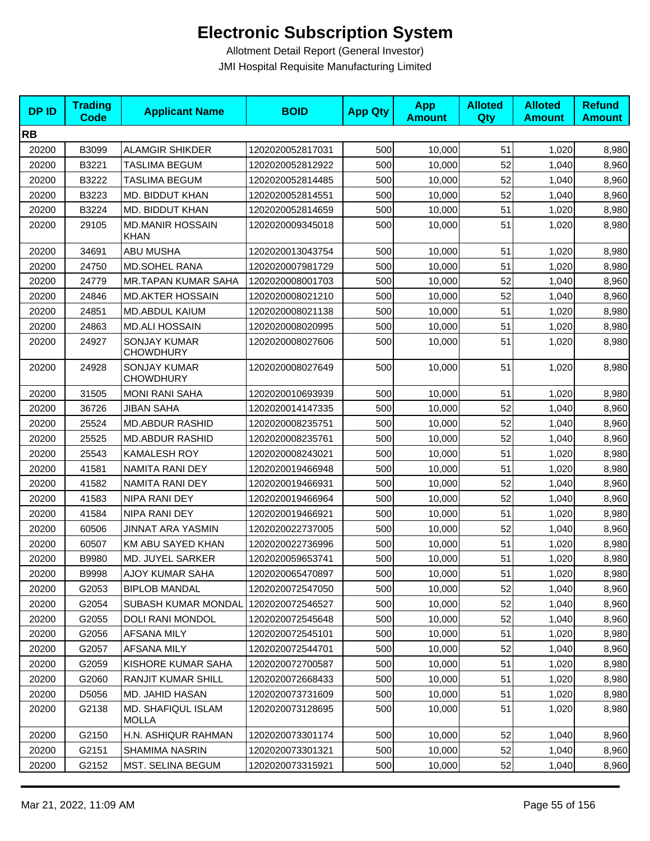| <b>DPID</b> | <b>Trading</b><br><b>Code</b> | <b>Applicant Name</b>                   | <b>BOID</b>      | <b>App Qty</b> | <b>App</b><br><b>Amount</b> | <b>Alloted</b><br>Qty | <b>Alloted</b><br><b>Amount</b> | <b>Refund</b><br><b>Amount</b> |
|-------------|-------------------------------|-----------------------------------------|------------------|----------------|-----------------------------|-----------------------|---------------------------------|--------------------------------|
| <b>RB</b>   |                               |                                         |                  |                |                             |                       |                                 |                                |
| 20200       | B3099                         | <b>ALAMGIR SHIKDER</b>                  | 1202020052817031 | 500            | 10,000                      | 51                    | 1,020                           | 8,980                          |
| 20200       | B3221                         | <b>TASLIMA BEGUM</b>                    | 1202020052812922 | 500            | 10,000                      | 52                    | 1,040                           | 8,960                          |
| 20200       | B3222                         | TASLIMA BEGUM                           | 1202020052814485 | 500            | 10,000                      | 52                    | 1,040                           | 8,960                          |
| 20200       | B3223                         | MD. BIDDUT KHAN                         | 1202020052814551 | 500            | 10,000                      | 52                    | 1,040                           | 8,960                          |
| 20200       | B3224                         | MD. BIDDUT KHAN                         | 1202020052814659 | 500            | 10,000                      | 51                    | 1,020                           | 8,980                          |
| 20200       | 29105                         | <b>MD.MANIR HOSSAIN</b><br><b>KHAN</b>  | 1202020009345018 | 500            | 10,000                      | 51                    | 1,020                           | 8,980                          |
| 20200       | 34691                         | <b>ABU MUSHA</b>                        | 1202020013043754 | 500            | 10,000                      | 51                    | 1,020                           | 8,980                          |
| 20200       | 24750                         | MD.SOHEL RANA                           | 1202020007981729 | 500            | 10,000                      | 51                    | 1,020                           | 8,980                          |
| 20200       | 24779                         | <b>MR.TAPAN KUMAR SAHA</b>              | 1202020008001703 | 500            | 10,000                      | 52                    | 1,040                           | 8,960                          |
| 20200       | 24846                         | <b>MD.AKTER HOSSAIN</b>                 | 1202020008021210 | 500            | 10,000                      | 52                    | 1,040                           | 8,960                          |
| 20200       | 24851                         | MD.ABDUL KAIUM                          | 1202020008021138 | 500            | 10,000                      | 51                    | 1,020                           | 8,980                          |
| 20200       | 24863                         | <b>MD.ALI HOSSAIN</b>                   | 1202020008020995 | 500            | 10,000                      | 51                    | 1,020                           | 8,980                          |
| 20200       | 24927                         | <b>SONJAY KUMAR</b><br><b>CHOWDHURY</b> | 1202020008027606 | 500            | 10,000                      | 51                    | 1,020                           | 8,980                          |
| 20200       | 24928                         | <b>SONJAY KUMAR</b><br><b>CHOWDHURY</b> | 1202020008027649 | 500            | 10,000                      | 51                    | 1,020                           | 8,980                          |
| 20200       | 31505                         | <b>MONI RANI SAHA</b>                   | 1202020010693939 | 500            | 10,000                      | 51                    | 1,020                           | 8,980                          |
| 20200       | 36726                         | <b>JIBAN SAHA</b>                       | 1202020014147335 | 500            | 10,000                      | 52                    | 1,040                           | 8,960                          |
| 20200       | 25524                         | <b>MD.ABDUR RASHID</b>                  | 1202020008235751 | 500            | 10,000                      | 52                    | 1,040                           | 8,960                          |
| 20200       | 25525                         | <b>MD.ABDUR RASHID</b>                  | 1202020008235761 | 500            | 10,000                      | 52                    | 1,040                           | 8,960                          |
| 20200       | 25543                         | <b>KAMALESH ROY</b>                     | 1202020008243021 | 500            | 10,000                      | 51                    | 1,020                           | 8,980                          |
| 20200       | 41581                         | NAMITA RANI DEY                         | 1202020019466948 | 500            | 10,000                      | 51                    | 1,020                           | 8,980                          |
| 20200       | 41582                         | NAMITA RANI DEY                         | 1202020019466931 | 500            | 10,000                      | 52                    | 1,040                           | 8,960                          |
| 20200       | 41583                         | NIPA RANI DEY                           | 1202020019466964 | 500            | 10,000                      | 52                    | 1,040                           | 8,960                          |
| 20200       | 41584                         | NIPA RANI DEY                           | 1202020019466921 | 500            | 10,000                      | 51                    | 1,020                           | 8,980                          |
| 20200       | 60506                         | <b>JINNAT ARA YASMIN</b>                | 1202020022737005 | 500            | 10,000                      | 52                    | 1,040                           | 8,960                          |
| 20200       | 60507                         | KM ABU SAYED KHAN                       | 1202020022736996 | 500            | 10,000                      | 51                    | 1,020                           | 8,980                          |
| 20200       | B9980                         | MD. JUYEL SARKER                        | 1202020059653741 | 500            | 10,000                      | 51                    | 1,020                           | 8,980                          |
| 20200       | B9998                         | AJOY KUMAR SAHA                         | 1202020065470897 | 500            | 10,000                      | 51                    | 1,020                           | 8,980                          |
| 20200       | G2053                         | <b>BIPLOB MANDAL</b>                    | 1202020072547050 | 500            | 10,000                      | 52                    | 1,040                           | 8,960                          |
| 20200       | G2054                         | SUBASH KUMAR MONDAL                     | 1202020072546527 | 500            | 10,000                      | 52                    | 1,040                           | 8,960                          |
| 20200       | G2055                         | DOLI RANI MONDOL                        | 1202020072545648 | 500            | 10,000                      | 52                    | 1,040                           | 8,960                          |
| 20200       | G2056                         | AFSANA MILY                             | 1202020072545101 | 500            | 10,000                      | 51                    | 1,020                           | 8,980                          |
| 20200       | G2057                         | AFSANA MILY                             | 1202020072544701 | 500            | 10,000                      | 52                    | 1,040                           | 8,960                          |
| 20200       | G2059                         | KISHORE KUMAR SAHA                      | 1202020072700587 | 500            | 10,000                      | 51                    | 1,020                           | 8,980                          |
| 20200       | G2060                         | <b>RANJIT KUMAR SHILL</b>               | 1202020072668433 | 500            | 10,000                      | 51                    | 1,020                           | 8,980                          |
| 20200       | D5056                         | MD. JAHID HASAN                         | 1202020073731609 | 500            | 10,000                      | 51                    | 1,020                           | 8,980                          |
| 20200       | G2138                         | MD. SHAFIQUL ISLAM<br><b>MOLLA</b>      | 1202020073128695 | 500            | 10,000                      | 51                    | 1,020                           | 8,980                          |
| 20200       | G2150                         | H.N. ASHIQUR RAHMAN                     | 1202020073301174 | 500            | 10,000                      | 52                    | 1,040                           | 8,960                          |
| 20200       | G2151                         | SHAMIMA NASRIN                          | 1202020073301321 | 500            | 10,000                      | 52                    | 1,040                           | 8,960                          |
| 20200       | G2152                         | MST. SELINA BEGUM                       | 1202020073315921 | 500            | 10,000                      | 52                    | 1,040                           | 8,960                          |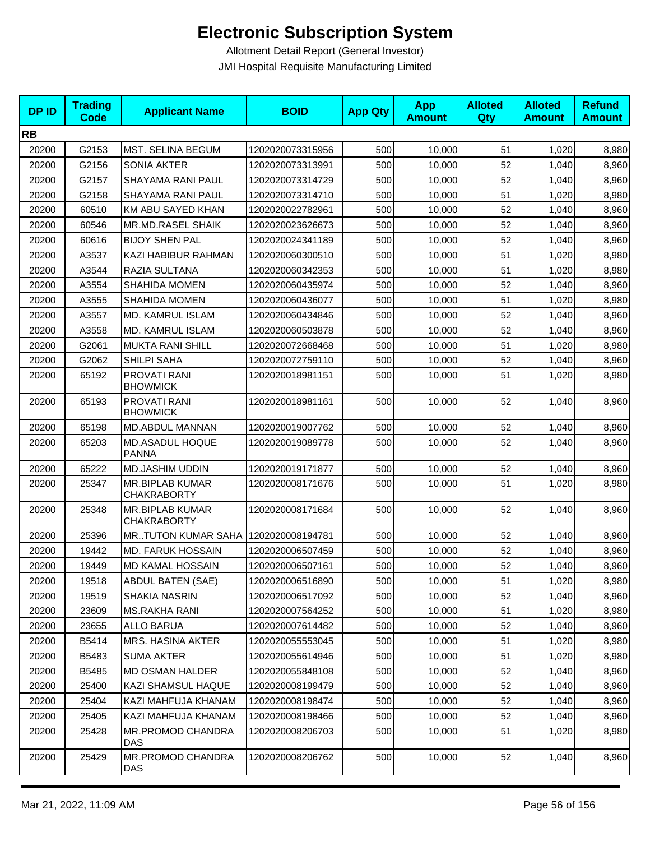| <b>DPID</b> | <b>Trading</b><br><b>Code</b> | <b>Applicant Name</b>                        | <b>BOID</b>      | <b>App Qty</b> | <b>App</b><br><b>Amount</b> | <b>Alloted</b><br>Qty | <b>Alloted</b><br><b>Amount</b> | <b>Refund</b><br><b>Amount</b> |
|-------------|-------------------------------|----------------------------------------------|------------------|----------------|-----------------------------|-----------------------|---------------------------------|--------------------------------|
| <b>RB</b>   |                               |                                              |                  |                |                             |                       |                                 |                                |
| 20200       | G2153                         | <b>MST. SELINA BEGUM</b>                     | 1202020073315956 | 500            | 10,000                      | 51                    | 1,020                           | 8,980                          |
| 20200       | G2156                         | <b>SONIA AKTER</b>                           | 1202020073313991 | 500            | 10,000                      | 52                    | 1,040                           | 8,960                          |
| 20200       | G2157                         | SHAYAMA RANI PAUL                            | 1202020073314729 | 500            | 10,000                      | 52                    | 1,040                           | 8,960                          |
| 20200       | G2158                         | SHAYAMA RANI PAUL                            | 1202020073314710 | 500            | 10,000                      | 51                    | 1,020                           | 8,980                          |
| 20200       | 60510                         | KM ABU SAYED KHAN                            | 1202020022782961 | 500            | 10,000                      | 52                    | 1,040                           | 8,960                          |
| 20200       | 60546                         | <b>MR.MD.RASEL SHAIK</b>                     | 1202020023626673 | 500            | 10,000                      | 52                    | 1,040                           | 8,960                          |
| 20200       | 60616                         | <b>BIJOY SHEN PAL</b>                        | 1202020024341189 | 500            | 10,000                      | 52                    | 1,040                           | 8,960                          |
| 20200       | A3537                         | KAZI HABIBUR RAHMAN                          | 1202020060300510 | 500            | 10,000                      | 51                    | 1,020                           | 8,980                          |
| 20200       | A3544                         | <b>RAZIA SULTANA</b>                         | 1202020060342353 | 500            | 10,000                      | 51                    | 1,020                           | 8,980                          |
| 20200       | A3554                         | <b>SHAHIDA MOMEN</b>                         | 1202020060435974 | 500            | 10,000                      | 52                    | 1,040                           | 8,960                          |
| 20200       | A3555                         | <b>SHAHIDA MOMEN</b>                         | 1202020060436077 | 500            | 10,000                      | 51                    | 1,020                           | 8,980                          |
| 20200       | A3557                         | MD. KAMRUL ISLAM                             | 1202020060434846 | 500            | 10,000                      | 52                    | 1,040                           | 8,960                          |
| 20200       | A3558                         | MD. KAMRUL ISLAM                             | 1202020060503878 | 500            | 10,000                      | 52                    | 1,040                           | 8,960                          |
| 20200       | G2061                         | <b>MUKTA RANI SHILL</b>                      | 1202020072668468 | 500            | 10,000                      | 51                    | 1,020                           | 8,980                          |
| 20200       | G2062                         | SHILPI SAHA                                  | 1202020072759110 | 500            | 10,000                      | 52                    | 1,040                           | 8,960                          |
| 20200       | 65192                         | PROVATI RANI<br><b>BHOWMICK</b>              | 1202020018981151 | 500            | 10,000                      | 51                    | 1,020                           | 8,980                          |
| 20200       | 65193                         | PROVATI RANI<br><b>BHOWMICK</b>              | 1202020018981161 | 500            | 10,000                      | 52                    | 1,040                           | 8,960                          |
| 20200       | 65198                         | MD.ABDUL MANNAN                              | 1202020019007762 | 500            | 10,000                      | 52                    | 1,040                           | 8,960                          |
| 20200       | 65203                         | MD.ASADUL HOQUE<br><b>PANNA</b>              | 1202020019089778 | 500            | 10,000                      | 52                    | 1,040                           | 8,960                          |
| 20200       | 65222                         | <b>MD.JASHIM UDDIN</b>                       | 1202020019171877 | 500            | 10,000                      | 52                    | 1,040                           | 8,960                          |
| 20200       | 25347                         | <b>MR.BIPLAB KUMAR</b><br><b>CHAKRABORTY</b> | 1202020008171676 | 500            | 10,000                      | 51                    | 1,020                           | 8,980                          |
| 20200       | 25348                         | <b>MR.BIPLAB KUMAR</b><br><b>CHAKRABORTY</b> | 1202020008171684 | 500            | 10,000                      | 52                    | 1,040                           | 8,960                          |
| 20200       | 25396                         | <b>MRTUTON KUMAR SAHA</b>                    | 1202020008194781 | 500            | 10,000                      | 52                    | 1,040                           | 8,960                          |
| 20200       | 19442                         | <b>MD. FARUK HOSSAIN</b>                     | 1202020006507459 | 500            | 10,000                      | 52                    | 1,040                           | 8,960                          |
| 20200       | 19449                         | MD KAMAL HOSSAIN                             | 1202020006507161 | 500            | 10,000                      | 52                    | 1,040                           | 8,960                          |
| 20200       | 19518                         | ABDUL BATEN (SAE)                            | 1202020006516890 | 500            | 10,000                      | 51                    | 1,020                           | 8,980                          |
| 20200       | 19519                         | SHAKIA NASRIN                                | 1202020006517092 | 500            | 10,000                      | 52                    | 1,040                           | 8,960                          |
| 20200       | 23609                         | MS.RAKHA RANI                                | 1202020007564252 | 500            | 10,000                      | 51                    | 1,020                           | 8,980                          |
| 20200       | 23655                         | <b>ALLO BARUA</b>                            | 1202020007614482 | 500            | 10,000                      | 52                    | 1,040                           | 8,960                          |
| 20200       | B5414                         | <b>MRS. HASINA AKTER</b>                     | 1202020055553045 | 500            | 10,000                      | 51                    | 1,020                           | 8,980                          |
| 20200       | B5483                         | <b>SUMA AKTER</b>                            | 1202020055614946 | 500            | 10,000                      | 51                    | 1,020                           | 8,980                          |
| 20200       | B5485                         | MD OSMAN HALDER                              | 1202020055848108 | 500            | 10,000                      | 52                    | 1,040                           | 8,960                          |
| 20200       | 25400                         | KAZI SHAMSUL HAQUE                           | 1202020008199479 | 500            | 10,000                      | 52                    | 1,040                           | 8,960                          |
| 20200       | 25404                         | KAZI MAHFUJA KHANAM                          | 1202020008198474 | 500            | 10,000                      | 52                    | 1,040                           | 8,960                          |
| 20200       | 25405                         | KAZI MAHFUJA KHANAM                          | 1202020008198466 | 500            | 10,000                      | 52                    | 1,040                           | 8,960                          |
| 20200       | 25428                         | <b>MR.PROMOD CHANDRA</b><br><b>DAS</b>       | 1202020008206703 | 500            | 10,000                      | 51                    | 1,020                           | 8,980                          |
| 20200       | 25429                         | MR.PROMOD CHANDRA<br>DAS                     | 1202020008206762 | 500            | 10,000                      | 52                    | 1,040                           | 8,960                          |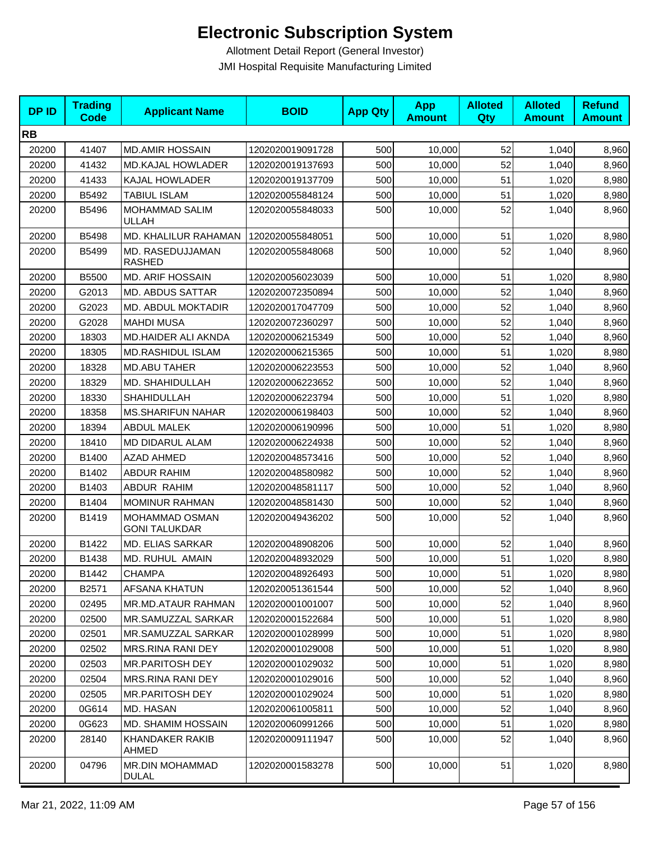| <b>DPID</b> | <b>Trading</b><br><b>Code</b> | <b>Applicant Name</b>                  | <b>BOID</b>      | <b>App Qty</b> | <b>App</b><br><b>Amount</b> | <b>Alloted</b><br>Qty | <b>Alloted</b><br><b>Amount</b> | <b>Refund</b><br><b>Amount</b> |
|-------------|-------------------------------|----------------------------------------|------------------|----------------|-----------------------------|-----------------------|---------------------------------|--------------------------------|
| <b>RB</b>   |                               |                                        |                  |                |                             |                       |                                 |                                |
| 20200       | 41407                         | <b>MD.AMIR HOSSAIN</b>                 | 1202020019091728 | 500            | 10,000                      | 52                    | 1,040                           | 8,960                          |
| 20200       | 41432                         | <b>MD.KAJAL HOWLADER</b>               | 1202020019137693 | 500            | 10,000                      | 52                    | 1,040                           | 8,960                          |
| 20200       | 41433                         | KAJAL HOWLADER                         | 1202020019137709 | 500            | 10,000                      | 51                    | 1,020                           | 8,980                          |
| 20200       | B5492                         | TABIUL ISLAM                           | 1202020055848124 | 500            | 10,000                      | 51                    | 1,020                           | 8,980                          |
| 20200       | B5496                         | MOHAMMAD SALIM<br><b>ULLAH</b>         | 1202020055848033 | 500            | 10,000                      | 52                    | 1,040                           | 8,960                          |
| 20200       | B5498                         | MD. KHALILUR RAHAMAN                   | 1202020055848051 | 500            | 10,000                      | 51                    | 1,020                           | 8,980                          |
| 20200       | B5499                         | MD. RASEDUJJAMAN<br><b>RASHED</b>      | 1202020055848068 | 500            | 10,000                      | 52                    | 1,040                           | 8,960                          |
| 20200       | B5500                         | <b>MD. ARIF HOSSAIN</b>                | 1202020056023039 | 500            | 10,000                      | 51                    | 1,020                           | 8,980                          |
| 20200       | G2013                         | <b>MD. ABDUS SATTAR</b>                | 1202020072350894 | 500            | 10,000                      | 52                    | 1,040                           | 8,960                          |
| 20200       | G2023                         | <b>MD. ABDUL MOKTADIR</b>              | 1202020017047709 | 500            | 10,000                      | 52                    | 1,040                           | 8,960                          |
| 20200       | G2028                         | <b>MAHDI MUSA</b>                      | 1202020072360297 | 500            | 10,000                      | 52                    | 1,040                           | 8,960                          |
| 20200       | 18303                         | MD.HAIDER ALI AKNDA                    | 1202020006215349 | 500            | 10,000                      | 52                    | 1,040                           | 8,960                          |
| 20200       | 18305                         | <b>MD.RASHIDUL ISLAM</b>               | 1202020006215365 | 500            | 10,000                      | 51                    | 1,020                           | 8,980                          |
| 20200       | 18328                         | <b>MD.ABU TAHER</b>                    | 1202020006223553 | 500            | 10.000                      | 52                    | 1,040                           | 8,960                          |
| 20200       | 18329                         | MD. SHAHIDULLAH                        | 1202020006223652 | 500            | 10.000                      | 52                    | 1,040                           | 8,960                          |
| 20200       | 18330                         | <b>SHAHIDULLAH</b>                     | 1202020006223794 | 500            | 10,000                      | 51                    | 1,020                           | 8,980                          |
| 20200       | 18358                         | <b>MS.SHARIFUN NAHAR</b>               | 1202020006198403 | 500            | 10,000                      | 52                    | 1,040                           | 8,960                          |
| 20200       | 18394                         | <b>ABDUL MALEK</b>                     | 1202020006190996 | 500            | 10,000                      | 51                    | 1,020                           | 8,980                          |
| 20200       | 18410                         | MD DIDARUL ALAM                        | 1202020006224938 | 500            | 10,000                      | 52                    | 1,040                           | 8,960                          |
| 20200       | B1400                         | <b>AZAD AHMED</b>                      | 1202020048573416 | 500            | 10,000                      | 52                    | 1,040                           | 8,960                          |
| 20200       | B1402                         | <b>ABDUR RAHIM</b>                     | 1202020048580982 | 500            | 10,000                      | 52                    | 1,040                           | 8,960                          |
| 20200       | B1403                         | ABDUR RAHIM                            | 1202020048581117 | 500            | 10,000                      | 52                    | 1,040                           | 8,960                          |
| 20200       | B1404                         | MOMINUR RAHMAN                         | 1202020048581430 | 500            | 10,000                      | 52                    | 1,040                           | 8,960                          |
| 20200       | B1419                         | MOHAMMAD OSMAN<br><b>GONI TALUKDAR</b> | 1202020049436202 | 500            | 10,000                      | 52                    | 1,040                           | 8,960                          |
| 20200       | B1422                         | <b>MD. ELIAS SARKAR</b>                | 1202020048908206 | 500            | 10,000                      | 52                    | 1,040                           | 8,960                          |
| 20200       | B1438                         | MD. RUHUL AMAIN                        | 1202020048932029 | 500            | 10,000                      | 51                    | 1,020                           | 8,980                          |
| 20200       | B1442                         | <b>CHAMPA</b>                          | 1202020048926493 | 500            | 10,000                      | 51                    | 1,020                           | 8,980                          |
| 20200       | B2571                         | AFSANA KHATUN                          | 1202020051361544 | 500            | 10,000                      | 52                    | 1,040                           | 8,960                          |
| 20200       | 02495                         | MR.MD.ATAUR RAHMAN                     | 1202020001001007 | 500            | 10,000                      | 52                    | 1,040                           | 8,960                          |
| 20200       | 02500                         | MR.SAMUZZAL SARKAR                     | 1202020001522684 | 500            | 10,000                      | 51                    | 1,020                           | 8,980                          |
| 20200       | 02501                         | MR.SAMUZZAL SARKAR                     | 1202020001028999 | 500            | 10,000                      | 51                    | 1,020                           | 8,980                          |
| 20200       | 02502                         | MRS.RINA RANI DEY                      | 1202020001029008 | 500            | 10,000                      | 51                    | 1,020                           | 8,980                          |
| 20200       | 02503                         | MR.PARITOSH DEY                        | 1202020001029032 | 500            | 10,000                      | 51                    | 1,020                           | 8,980                          |
| 20200       | 02504                         | <b>MRS.RINA RANI DEY</b>               | 1202020001029016 | 500            | 10,000                      | 52                    | 1,040                           | 8,960                          |
| 20200       | 02505                         | MR.PARITOSH DEY                        | 1202020001029024 | 500            | 10,000                      | 51                    | 1,020                           | 8,980                          |
| 20200       | 0G614                         | MD. HASAN                              | 1202020061005811 | 500            | 10,000                      | 52                    | 1,040                           | 8,960                          |
| 20200       | 0G623                         | <b>MD. SHAMIM HOSSAIN</b>              | 1202020060991266 | 500            | 10,000                      | 51                    | 1,020                           | 8,980                          |
| 20200       | 28140                         | <b>KHANDAKER RAKIB</b><br>AHMED        | 1202020009111947 | 500            | 10,000                      | 52                    | 1,040                           | 8,960                          |
| 20200       | 04796                         | <b>MR.DIN MOHAMMAD</b><br><b>DULAL</b> | 1202020001583278 | 500            | 10,000                      | 51                    | 1,020                           | 8,980                          |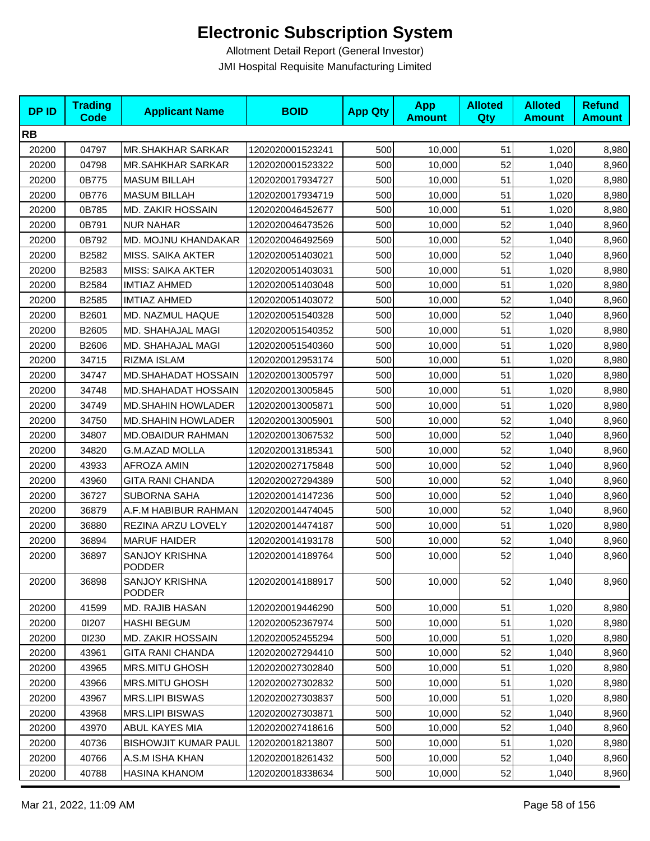| <b>DPID</b> | <b>Trading</b><br><b>Code</b> | <b>Applicant Name</b>                  | <b>BOID</b>      | <b>App Qty</b> | <b>App</b><br><b>Amount</b> | <b>Alloted</b><br><b>Qty</b> | <b>Alloted</b><br><b>Amount</b> | <b>Refund</b><br><b>Amount</b> |
|-------------|-------------------------------|----------------------------------------|------------------|----------------|-----------------------------|------------------------------|---------------------------------|--------------------------------|
| <b>RB</b>   |                               |                                        |                  |                |                             |                              |                                 |                                |
| 20200       | 04797                         | <b>MR.SHAKHAR SARKAR</b>               | 1202020001523241 | 500            | 10,000                      | 51                           | 1,020                           | 8,980                          |
| 20200       | 04798                         | <b>MR.SAHKHAR SARKAR</b>               | 1202020001523322 | 500            | 10,000                      | 52                           | 1,040                           | 8,960                          |
| 20200       | 0B775                         | <b>MASUM BILLAH</b>                    | 1202020017934727 | 500            | 10,000                      | 51                           | 1,020                           | 8,980                          |
| 20200       | 0B776                         | <b>MASUM BILLAH</b>                    | 1202020017934719 | 500            | 10,000                      | 51                           | 1,020                           | 8,980                          |
| 20200       | 0B785                         | MD. ZAKIR HOSSAIN                      | 1202020046452677 | 500            | 10,000                      | 51                           | 1,020                           | 8,980                          |
| 20200       | 0B791                         | <b>NUR NAHAR</b>                       | 1202020046473526 | 500            | 10,000                      | 52                           | 1,040                           | 8,960                          |
| 20200       | 0B792                         | MD. MOJNU KHANDAKAR                    | 1202020046492569 | 500            | 10,000                      | 52                           | 1,040                           | 8,960                          |
| 20200       | B2582                         | <b>MISS. SAIKA AKTER</b>               | 1202020051403021 | 500            | 10,000                      | 52                           | 1,040                           | 8,960                          |
| 20200       | B2583                         | <b>MISS: SAIKA AKTER</b>               | 1202020051403031 | 500            | 10,000                      | 51                           | 1,020                           | 8,980                          |
| 20200       | B2584                         | <b>IMTIAZ AHMED</b>                    | 1202020051403048 | 500            | 10,000                      | 51                           | 1,020                           | 8,980                          |
| 20200       | B2585                         | <b>IMTIAZ AHMED</b>                    | 1202020051403072 | 500            | 10,000                      | 52                           | 1,040                           | 8,960                          |
| 20200       | B2601                         | MD. NAZMUL HAQUE                       | 1202020051540328 | 500            | 10,000                      | 52                           | 1,040                           | 8,960                          |
| 20200       | B2605                         | MD. SHAHAJAL MAGI                      | 1202020051540352 | 500            | 10,000                      | 51                           | 1,020                           | 8,980                          |
| 20200       | B2606                         | MD. SHAHAJAL MAGI                      | 1202020051540360 | 500            | 10,000                      | 51                           | 1,020                           | 8,980                          |
| 20200       | 34715                         | RIZMA ISLAM                            | 1202020012953174 | 500            | 10,000                      | 51                           | 1,020                           | 8,980                          |
| 20200       | 34747                         | <b>MD.SHAHADAT HOSSAIN</b>             | 1202020013005797 | 500            | 10,000                      | 51                           | 1,020                           | 8,980                          |
| 20200       | 34748                         | MD.SHAHADAT HOSSAIN                    | 1202020013005845 | 500            | 10,000                      | 51                           | 1,020                           | 8,980                          |
| 20200       | 34749                         | <b>MD.SHAHIN HOWLADER</b>              | 1202020013005871 | 500            | 10,000                      | 51                           | 1,020                           | 8,980                          |
| 20200       | 34750                         | <b>MD.SHAHIN HOWLADER</b>              | 1202020013005901 | 500            | 10,000                      | 52                           | 1,040                           | 8,960                          |
| 20200       | 34807                         | <b>MD.OBAIDUR RAHMAN</b>               | 1202020013067532 | 500            | 10,000                      | 52                           | 1,040                           | 8,960                          |
| 20200       | 34820                         | <b>G.M.AZAD MOLLA</b>                  | 1202020013185341 | 500            | 10,000                      | 52                           | 1,040                           | 8,960                          |
| 20200       | 43933                         | AFROZA AMIN                            | 1202020027175848 | 500            | 10,000                      | 52                           | 1,040                           | 8,960                          |
| 20200       | 43960                         | <b>GITA RANI CHANDA</b>                | 1202020027294389 | 500            | 10,000                      | 52                           | 1,040                           | 8,960                          |
| 20200       | 36727                         | <b>SUBORNA SAHA</b>                    | 1202020014147236 | 500            | 10,000                      | 52                           | 1,040                           | 8,960                          |
| 20200       | 36879                         | A.F.M HABIBUR RAHMAN                   | 1202020014474045 | 500            | 10,000                      | 52                           | 1,040                           | 8,960                          |
| 20200       | 36880                         | REZINA ARZU LOVELY                     | 1202020014474187 | 500            | 10,000                      | 51                           | 1,020                           | 8,980                          |
| 20200       | 36894                         | <b>MARUF HAIDER</b>                    | 1202020014193178 | 500            | 10,000                      | 52                           | 1,040                           | 8,960                          |
| 20200       | 36897                         | SANJOY KRISHNA<br><b>PODDER</b>        | 1202020014189764 | 500            | 10,000                      | 52                           | 1,040                           | 8,960                          |
| 20200       | 36898                         | <b>SANJOY KRISHNA</b><br><b>PODDER</b> | 1202020014188917 | 500            | 10,000                      | 52                           | 1,040                           | 8,960                          |
| 20200       | 41599                         | MD. RAJIB HASAN                        | 1202020019446290 | 500            | 10,000                      | 51                           | 1,020                           | 8,980                          |
| 20200       | 01207                         | <b>HASHI BEGUM</b>                     | 1202020052367974 | 500            | 10,000                      | 51                           | 1,020                           | 8,980                          |
| 20200       | 01230                         | <b>MD. ZAKIR HOSSAIN</b>               | 1202020052455294 | 500            | 10,000                      | 51                           | 1,020                           | 8,980                          |
| 20200       | 43961                         | <b>GITA RANI CHANDA</b>                | 1202020027294410 | 500            | 10,000                      | 52                           | 1,040                           | 8,960                          |
| 20200       | 43965                         | <b>MRS.MITU GHOSH</b>                  | 1202020027302840 | 500            | 10,000                      | 51                           | 1,020                           | 8,980                          |
| 20200       | 43966                         | MRS.MITU GHOSH                         | 1202020027302832 | 500            | 10,000                      | 51                           | 1,020                           | 8,980                          |
| 20200       | 43967                         | <b>MRS.LIPI BISWAS</b>                 | 1202020027303837 | 500            | 10,000                      | 51                           | 1,020                           | 8,980                          |
| 20200       | 43968                         | <b>MRS.LIPI BISWAS</b>                 | 1202020027303871 | 500            | 10,000                      | 52                           | 1,040                           | 8,960                          |
| 20200       | 43970                         | ABUL KAYES MIA                         | 1202020027418616 | 500            | 10,000                      | 52                           | 1,040                           | 8,960                          |
| 20200       | 40736                         | <b>BISHOWJIT KUMAR PAUL</b>            | 1202020018213807 | 500            | 10,000                      | 51                           | 1,020                           | 8,980                          |
| 20200       | 40766                         | A.S.M ISHA KHAN                        | 1202020018261432 | 500            | 10,000                      | 52                           | 1,040                           | 8,960                          |
| 20200       | 40788                         | HASINA KHANOM                          | 1202020018338634 | 500            | 10,000                      | 52                           | 1,040                           | 8,960                          |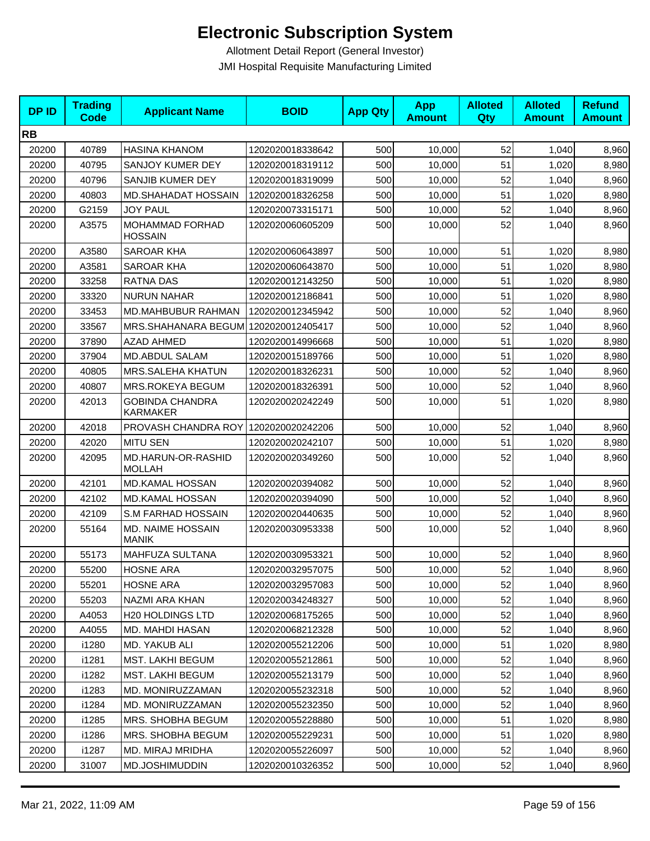| <b>DPID</b> | <b>Trading</b><br>Code | <b>Applicant Name</b>                  | <b>BOID</b>      | <b>App Qty</b> | <b>App</b><br><b>Amount</b> | <b>Alloted</b><br>Qty | <b>Alloted</b><br><b>Amount</b> | <b>Refund</b><br><b>Amount</b> |
|-------------|------------------------|----------------------------------------|------------------|----------------|-----------------------------|-----------------------|---------------------------------|--------------------------------|
| <b>RB</b>   |                        |                                        |                  |                |                             |                       |                                 |                                |
| 20200       | 40789                  | <b>HASINA KHANOM</b>                   | 1202020018338642 | 500            | 10,000                      | 52                    | 1,040                           | 8,960                          |
| 20200       | 40795                  | SANJOY KUMER DEY                       | 1202020018319112 | 500            | 10,000                      | 51                    | 1,020                           | 8,980                          |
| 20200       | 40796                  | SANJIB KUMER DEY                       | 1202020018319099 | 500            | 10,000                      | 52                    | 1,040                           | 8,960                          |
| 20200       | 40803                  | <b>MD.SHAHADAT HOSSAIN</b>             | 1202020018326258 | 500            | 10,000                      | 51                    | 1,020                           | 8,980                          |
| 20200       | G2159                  | <b>JOY PAUL</b>                        | 1202020073315171 | 500            | 10,000                      | 52                    | 1,040                           | 8,960                          |
| 20200       | A3575                  | MOHAMMAD FORHAD<br>HOSSAIN             | 1202020060605209 | 500            | 10,000                      | 52                    | 1,040                           | 8,960                          |
| 20200       | A3580                  | SAROAR KHA                             | 1202020060643897 | 500            | 10,000                      | 51                    | 1,020                           | 8,980                          |
| 20200       | A3581                  | SAROAR KHA                             | 1202020060643870 | 500            | 10,000                      | 51                    | 1,020                           | 8,980                          |
| 20200       | 33258                  | <b>RATNA DAS</b>                       | 1202020012143250 | 500            | 10,000                      | 51                    | 1,020                           | 8,980                          |
| 20200       | 33320                  | <b>NURUN NAHAR</b>                     | 1202020012186841 | 500            | 10,000                      | 51                    | 1,020                           | 8,980                          |
| 20200       | 33453                  | MD.MAHBUBUR RAHMAN                     | 1202020012345942 | 500            | 10,000                      | 52                    | 1,040                           | 8,960                          |
| 20200       | 33567                  | MRS.SHAHANARA BEGUM 1202020012405417   |                  | 500            | 10,000                      | 52                    | 1,040                           | 8,960                          |
| 20200       | 37890                  | AZAD AHMED                             | 1202020014996668 | 500            | 10,000                      | 51                    | 1,020                           | 8,980                          |
| 20200       | 37904                  | MD.ABDUL SALAM                         | 1202020015189766 | 500            | 10,000                      | 51                    | 1,020                           | 8,980                          |
| 20200       | 40805                  | MRS.SALEHA KHATUN                      | 1202020018326231 | 500            | 10,000                      | 52                    | 1,040                           | 8,960                          |
| 20200       | 40807                  | MRS.ROKEYA BEGUM                       | 1202020018326391 | 500            | 10,000                      | 52                    | 1,040                           | 8,960                          |
| 20200       | 42013                  | <b>GOBINDA CHANDRA</b><br>KARMAKER     | 1202020020242249 | 500            | 10,000                      | 51                    | 1,020                           | 8,980                          |
| 20200       | 42018                  | PROVASH CHANDRA ROY   1202020020242206 |                  | 500            | 10,000                      | 52                    | 1,040                           | 8,960                          |
| 20200       | 42020                  | MITU SEN                               | 1202020020242107 | 500            | 10,000                      | 51                    | 1,020                           | 8,980                          |
| 20200       | 42095                  | MD.HARUN-OR-RASHID<br><b>MOLLAH</b>    | 1202020020349260 | 500            | 10,000                      | 52                    | 1,040                           | 8,960                          |
| 20200       | 42101                  | <b>MD.KAMAL HOSSAN</b>                 | 1202020020394082 | 500            | 10,000                      | 52                    | 1,040                           | 8,960                          |
| 20200       | 42102                  | <b>MD.KAMAL HOSSAN</b>                 | 1202020020394090 | 500            | 10,000                      | 52                    | 1,040                           | 8,960                          |
| 20200       | 42109                  | S.M FARHAD HOSSAIN                     | 1202020020440635 | 500            | 10,000                      | 52                    | 1,040                           | 8,960                          |
| 20200       | 55164                  | MD. NAIME HOSSAIN<br><b>MANIK</b>      | 1202020030953338 | 500            | 10,000                      | 52                    | 1,040                           | 8,960                          |
| 20200       | 55173                  | MAHFUZA SULTANA                        | 1202020030953321 | 500            | 10,000                      | 52                    | 1,040                           | 8,960                          |
| 20200       | 55200                  | <b>HOSNE ARA</b>                       | 1202020032957075 | 500            | 10,000                      | 52                    | 1,040                           | 8,960                          |
| 20200       | 55201                  | <b>HOSNE ARA</b>                       | 1202020032957083 | 500            | 10,000                      | 52                    | 1,040                           | 8,960                          |
| 20200       | 55203                  | NAZMI ARA KHAN                         | 1202020034248327 | 500            | 10,000                      | 52                    | 1,040                           | 8,960                          |
| 20200       | A4053                  | <b>H20 HOLDINGS LTD</b>                | 1202020068175265 | 500            | 10,000                      | 52                    | 1,040                           | 8,960                          |
| 20200       | A4055                  | MD. MAHDI HASAN                        | 1202020068212328 | 500            | 10,000                      | 52                    | 1,040                           | 8,960                          |
| 20200       | i1280                  | MD. YAKUB ALI                          | 1202020055212206 | 500            | 10,000                      | 51                    | 1,020                           | 8,980                          |
| 20200       | i1281                  | MST. LAKHI BEGUM                       | 1202020055212861 | 500            | 10,000                      | 52                    | 1,040                           | 8,960                          |
| 20200       | i1282                  | MST. LAKHI BEGUM                       | 1202020055213179 | 500            | 10,000                      | 52                    | 1,040                           | 8,960                          |
| 20200       | i1283                  | MD. MONIRUZZAMAN                       | 1202020055232318 | 500            | 10,000                      | 52                    | 1,040                           | 8,960                          |
| 20200       | i1284                  | MD. MONIRUZZAMAN                       | 1202020055232350 | 500            | 10.000                      | 52                    | 1,040                           | 8,960                          |
| 20200       | i1285                  | MRS. SHOBHA BEGUM                      | 1202020055228880 | 500            | 10,000                      | 51                    | 1,020                           | 8,980                          |
| 20200       | i1286                  | MRS. SHOBHA BEGUM                      | 1202020055229231 | 500            | 10,000                      | 51                    | 1,020                           | 8,980                          |
| 20200       | i1287                  | MD. MIRAJ MRIDHA                       | 1202020055226097 | 500            | 10,000                      | 52                    | 1,040                           | 8,960                          |
| 20200       | 31007                  | MD.JOSHIMUDDIN                         | 1202020010326352 | 500            | 10,000                      | 52                    | 1,040                           | 8,960                          |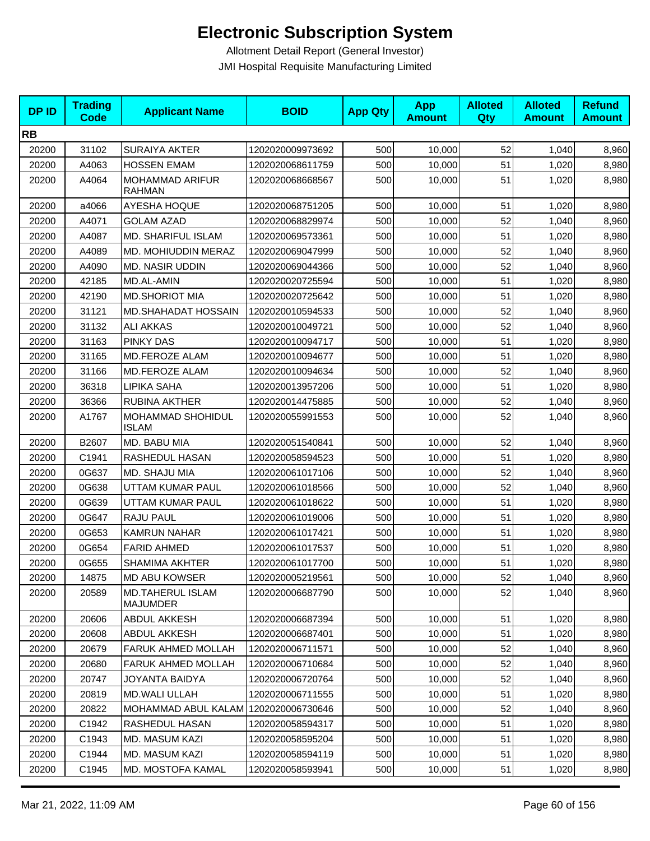| <b>DPID</b> | <b>Trading</b><br><b>Code</b> | <b>Applicant Name</b>                      | <b>BOID</b>      | <b>App Qty</b> | <b>App</b><br><b>Amount</b> | <b>Alloted</b><br>Qty | <b>Alloted</b><br><b>Amount</b> | <b>Refund</b><br><b>Amount</b> |
|-------------|-------------------------------|--------------------------------------------|------------------|----------------|-----------------------------|-----------------------|---------------------------------|--------------------------------|
| <b>RB</b>   |                               |                                            |                  |                |                             |                       |                                 |                                |
| 20200       | 31102                         | <b>SURAIYA AKTER</b>                       | 1202020009973692 | 500            | 10,000                      | 52                    | 1,040                           | 8,960                          |
| 20200       | A4063                         | <b>HOSSEN EMAM</b>                         | 1202020068611759 | 500            | 10,000                      | 51                    | 1,020                           | 8,980                          |
| 20200       | A4064                         | MOHAMMAD ARIFUR<br><b>RAHMAN</b>           | 1202020068668567 | 500            | 10,000                      | 51                    | 1,020                           | 8,980                          |
| 20200       | a4066                         | <b>AYESHA HOQUE</b>                        | 1202020068751205 | 500            | 10,000                      | 51                    | 1,020                           | 8,980                          |
| 20200       | A4071                         | <b>GOLAM AZAD</b>                          | 1202020068829974 | 500            | 10,000                      | 52                    | 1,040                           | 8,960                          |
| 20200       | A4087                         | MD. SHARIFUL ISLAM                         | 1202020069573361 | 500            | 10,000                      | 51                    | 1,020                           | 8,980                          |
| 20200       | A4089                         | MD. MOHIUDDIN MERAZ                        | 1202020069047999 | 500            | 10,000                      | 52                    | 1,040                           | 8,960                          |
| 20200       | A4090                         | <b>MD. NASIR UDDIN</b>                     | 1202020069044366 | 500            | 10,000                      | 52                    | 1,040                           | 8,960                          |
| 20200       | 42185                         | MD.AL-AMIN                                 | 1202020020725594 | 500            | 10,000                      | 51                    | 1,020                           | 8,980                          |
| 20200       | 42190                         | <b>MD.SHORIOT MIA</b>                      | 1202020020725642 | 500            | 10,000                      | 51                    | 1,020                           | 8,980                          |
| 20200       | 31121                         | MD.SHAHADAT HOSSAIN                        | 1202020010594533 | 500            | 10,000                      | 52                    | 1,040                           | 8,960                          |
| 20200       | 31132                         | <b>ALI AKKAS</b>                           | 1202020010049721 | 500            | 10,000                      | 52                    | 1,040                           | 8,960                          |
| 20200       | 31163                         | <b>PINKY DAS</b>                           | 1202020010094717 | 500            | 10,000                      | 51                    | 1,020                           | 8,980                          |
| 20200       | 31165                         | MD.FEROZE ALAM                             | 1202020010094677 | 500            | 10,000                      | 51                    | 1,020                           | 8,980                          |
| 20200       | 31166                         | MD.FEROZE ALAM                             | 1202020010094634 | 500            | 10,000                      | 52                    | 1,040                           | 8,960                          |
| 20200       | 36318                         | LIPIKA SAHA                                | 1202020013957206 | 500            | 10,000                      | 51                    | 1,020                           | 8,980                          |
| 20200       | 36366                         | RUBINA AKTHER                              | 1202020014475885 | 500            | 10,000                      | 52                    | 1,040                           | 8,960                          |
| 20200       | A1767                         | MOHAMMAD SHOHIDUL<br><b>ISLAM</b>          | 1202020055991553 | 500            | 10,000                      | 52                    | 1,040                           | 8,960                          |
| 20200       | B2607                         | MD. BABU MIA                               | 1202020051540841 | 500            | 10,000                      | 52                    | 1,040                           | 8,960                          |
| 20200       | C1941                         | RASHEDUL HASAN                             | 1202020058594523 | 500            | 10,000                      | 51                    | 1,020                           | 8,980                          |
| 20200       | 0G637                         | MD. SHAJU MIA                              | 1202020061017106 | 500            | 10,000                      | 52                    | 1,040                           | 8,960                          |
| 20200       | 0G638                         | UTTAM KUMAR PAUL                           | 1202020061018566 | 500            | 10,000                      | 52                    | 1,040                           | 8,960                          |
| 20200       | 0G639                         | UTTAM KUMAR PAUL                           | 1202020061018622 | 500            | 10,000                      | 51                    | 1,020                           | 8,980                          |
| 20200       | 0G647                         | RAJU PAUL                                  | 1202020061019006 | 500            | 10,000                      | 51                    | 1,020                           | 8,980                          |
| 20200       | 0G653                         | <b>KAMRUN NAHAR</b>                        | 1202020061017421 | 500            | 10,000                      | 51                    | 1,020                           | 8,980                          |
| 20200       | 0G654                         | <b>FARID AHMED</b>                         | 1202020061017537 | 500            | 10,000                      | 51                    | 1,020                           | 8,980                          |
| 20200       | 0G655                         | <b>SHAMIMA AKHTER</b>                      | 1202020061017700 | 500            | 10,000                      | 51                    | 1,020                           | 8,980                          |
| 20200       | 14875                         | MD ABU KOWSER                              | 1202020005219561 | 500            | 10,000                      | 52                    | 1,040                           | 8,960                          |
| 20200       | 20589                         | <b>MD.TAHERUL ISLAM</b><br><b>MAJUMDER</b> | 1202020006687790 | 500            | 10,000                      | 52                    | 1,040                           | 8,960                          |
| 20200       | 20606                         | ABDUL AKKESH                               | 1202020006687394 | 500            | 10,000                      | 51                    | 1,020                           | 8,980                          |
| 20200       | 20608                         | <b>ABDUL AKKESH</b>                        | 1202020006687401 | 500            | 10,000                      | 51                    | 1,020                           | 8,980                          |
| 20200       | 20679                         | FARUK AHMED MOLLAH                         | 1202020006711571 | 500            | 10,000                      | 52                    | 1,040                           | 8,960                          |
| 20200       | 20680                         | <b>FARUK AHMED MOLLAH</b>                  | 1202020006710684 | 500            | 10,000                      | 52                    | 1,040                           | 8,960                          |
| 20200       | 20747                         | JOYANTA BAIDYA                             | 1202020006720764 | 500            | 10.000                      | 52                    | 1,040                           | 8,960                          |
| 20200       | 20819                         | MD.WALI ULLAH                              | 1202020006711555 | 500            | 10,000                      | 51                    | 1,020                           | 8,980                          |
| 20200       | 20822                         | MOHAMMAD ABUL KALAM 1202020006730646       |                  | 500            | 10,000                      | 52                    | 1,040                           | 8,960                          |
| 20200       | C1942                         | RASHEDUL HASAN                             | 1202020058594317 | 500            | 10,000                      | 51                    | 1,020                           | 8,980                          |
| 20200       | C1943                         | MD. MASUM KAZI                             | 1202020058595204 | 500            | 10,000                      | 51                    | 1,020                           | 8,980                          |
| 20200       | C1944                         | MD. MASUM KAZI                             | 1202020058594119 | 500            | 10,000                      | 51                    | 1,020                           | 8,980                          |
| 20200       | C1945                         | MD. MOSTOFA KAMAL                          | 1202020058593941 | 500            | 10,000                      | 51                    | 1,020                           | 8,980                          |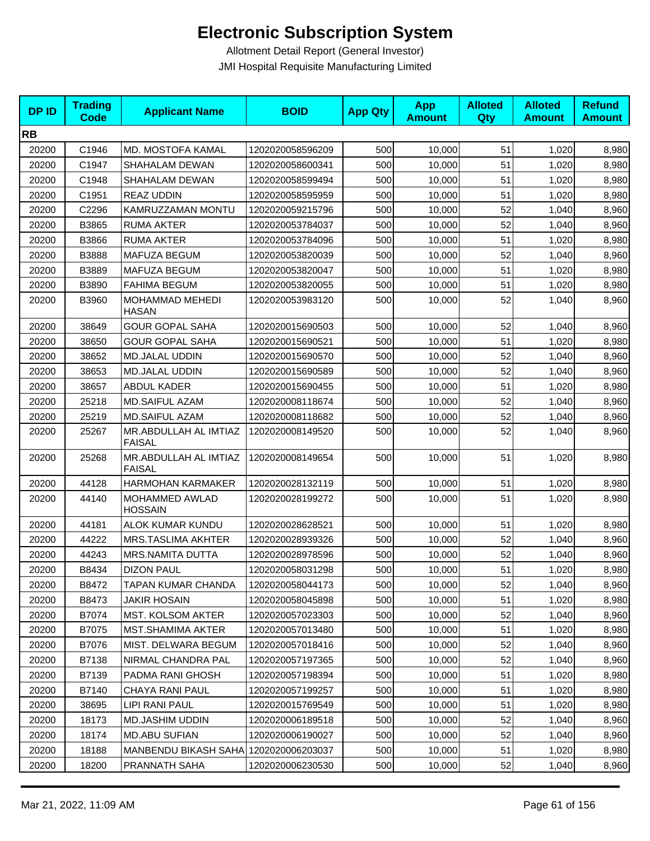| <b>DPID</b> | <b>Trading</b><br><b>Code</b> | <b>Applicant Name</b>                  | <b>BOID</b>      | <b>App Qty</b> | <b>App</b><br><b>Amount</b> | <b>Alloted</b><br><b>Qty</b> | <b>Alloted</b><br><b>Amount</b> | <b>Refund</b><br><b>Amount</b> |
|-------------|-------------------------------|----------------------------------------|------------------|----------------|-----------------------------|------------------------------|---------------------------------|--------------------------------|
| <b>RB</b>   |                               |                                        |                  |                |                             |                              |                                 |                                |
| 20200       | C1946                         | MD. MOSTOFA KAMAL                      | 1202020058596209 | 500            | 10,000                      | 51                           | 1,020                           | 8,980                          |
| 20200       | C1947                         | SHAHALAM DEWAN                         | 1202020058600341 | 500            | 10,000                      | 51                           | 1,020                           | 8,980                          |
| 20200       | C1948                         | SHAHALAM DEWAN                         | 1202020058599494 | 500            | 10,000                      | 51                           | 1,020                           | 8,980                          |
| 20200       | C1951                         | <b>REAZ UDDIN</b>                      | 1202020058595959 | 500            | 10,000                      | 51                           | 1,020                           | 8,980                          |
| 20200       | C2296                         | KAMRUZZAMAN MONTU                      | 1202020059215796 | 500            | 10,000                      | 52                           | 1,040                           | 8,960                          |
| 20200       | B3865                         | <b>RUMA AKTER</b>                      | 1202020053784037 | 500            | 10,000                      | 52                           | 1,040                           | 8,960                          |
| 20200       | B3866                         | <b>RUMA AKTER</b>                      | 1202020053784096 | 500            | 10,000                      | 51                           | 1,020                           | 8,980                          |
| 20200       | B3888                         | MAFUZA BEGUM                           | 1202020053820039 | 500            | 10,000                      | 52                           | 1,040                           | 8,960                          |
| 20200       | B3889                         | MAFUZA BEGUM                           | 1202020053820047 | 500            | 10,000                      | 51                           | 1,020                           | 8,980                          |
| 20200       | B3890                         | <b>FAHIMA BEGUM</b>                    | 1202020053820055 | 500            | 10,000                      | 51                           | 1,020                           | 8,980                          |
| 20200       | B3960                         | MOHAMMAD MEHEDI<br><b>HASAN</b>        | 1202020053983120 | 500            | 10,000                      | 52                           | 1,040                           | 8,960                          |
| 20200       | 38649                         | <b>GOUR GOPAL SAHA</b>                 | 1202020015690503 | 500            | 10,000                      | 52                           | 1,040                           | 8,960                          |
| 20200       | 38650                         | <b>GOUR GOPAL SAHA</b>                 | 1202020015690521 | 500            | 10,000                      | 51                           | 1,020                           | 8,980                          |
| 20200       | 38652                         | <b>MD.JALAL UDDIN</b>                  | 1202020015690570 | 500            | 10,000                      | 52                           | 1,040                           | 8,960                          |
| 20200       | 38653                         | <b>MD.JALAL UDDIN</b>                  | 1202020015690589 | 500            | 10,000                      | 52                           | 1,040                           | 8,960                          |
| 20200       | 38657                         | ABDUL KADER                            | 1202020015690455 | 500            | 10,000                      | 51                           | 1,020                           | 8,980                          |
| 20200       | 25218                         | MD.SAIFUL AZAM                         | 1202020008118674 | 500            | 10,000                      | 52                           | 1,040                           | 8,960                          |
| 20200       | 25219                         | <b>MD.SAIFUL AZAM</b>                  | 1202020008118682 | 500            | 10,000                      | 52                           | 1,040                           | 8,960                          |
| 20200       | 25267                         | MR.ABDULLAH AL IMTIAZ<br><b>FAISAL</b> | 1202020008149520 | 500            | 10,000                      | 52                           | 1,040                           | 8,960                          |
| 20200       | 25268                         | MR.ABDULLAH AL IMTIAZ<br><b>FAISAL</b> | 1202020008149654 | 500            | 10,000                      | 51                           | 1,020                           | 8,980                          |
| 20200       | 44128                         | HARMOHAN KARMAKER                      | 1202020028132119 | 500            | 10,000                      | 51                           | 1,020                           | 8,980                          |
| 20200       | 44140                         | MOHAMMED AWLAD<br><b>HOSSAIN</b>       | 1202020028199272 | 500            | 10,000                      | 51                           | 1,020                           | 8,980                          |
| 20200       | 44181                         | ALOK KUMAR KUNDU                       | 1202020028628521 | 500            | 10,000                      | 51                           | 1,020                           | 8,980                          |
| 20200       | 44222                         | MRS.TASLIMA AKHTER                     | 1202020028939326 | 500            | 10,000                      | 52                           | 1,040                           | 8,960                          |
| 20200       | 44243                         | MRS.NAMITA DUTTA                       | 1202020028978596 | 500            | 10,000                      | 52                           | 1,040                           | 8,960                          |
| 20200       | B8434                         | <b>DIZON PAUL</b>                      | 1202020058031298 | 500            | 10,000                      | 51                           | 1,020                           | 8,980                          |
| 20200       | B8472                         | TAPAN KUMAR CHANDA                     | 1202020058044173 | 500            | 10,000                      | 52                           | 1,040                           | 8,960                          |
| 20200       | B8473                         | JAKIR HOSAIN                           | 1202020058045898 | 500            | 10,000                      | 51                           | 1,020                           | 8,980                          |
| 20200       | B7074                         | MST. KOLSOM AKTER                      | 1202020057023303 | 500            | 10,000                      | 52                           | 1,040                           | 8,960                          |
| 20200       | B7075                         | <b>MST.SHAMIMA AKTER</b>               | 1202020057013480 | 500            | 10,000                      | 51                           | 1,020                           | 8,980                          |
| 20200       | B7076                         | <b>MIST. DELWARA BEGUM</b>             | 1202020057018416 | 500            | 10,000                      | 52                           | 1,040                           | 8,960                          |
| 20200       | B7138                         | NIRMAL CHANDRA PAL                     | 1202020057197365 | 500            | 10,000                      | 52                           | 1,040                           | 8,960                          |
| 20200       | B7139                         | PADMA RANI GHOSH                       | 1202020057198394 | 500            | 10,000                      | 51                           | 1,020                           | 8,980                          |
| 20200       | B7140                         | <b>CHAYA RANI PAUL</b>                 | 1202020057199257 | 500            | 10,000                      | 51                           | 1,020                           | 8,980                          |
| 20200       | 38695                         | LIPI RANI PAUL                         | 1202020015769549 | 500            | 10,000                      | 51                           | 1,020                           | 8,980                          |
| 20200       | 18173                         | MD.JASHIM UDDIN                        | 1202020006189518 | 500            | 10,000                      | 52                           | 1,040                           | 8,960                          |
| 20200       | 18174                         | <b>MD.ABU SUFIAN</b>                   | 1202020006190027 | 500            | 10,000                      | 52                           | 1,040                           | 8,960                          |
| 20200       | 18188                         | MANBENDU BIKASH SAHA 1202020006203037  |                  | 500            | 10,000                      | 51                           | 1,020                           | 8,980                          |
| 20200       | 18200                         | PRANNATH SAHA                          | 1202020006230530 | 500            | 10,000                      | 52                           | 1,040                           | 8,960                          |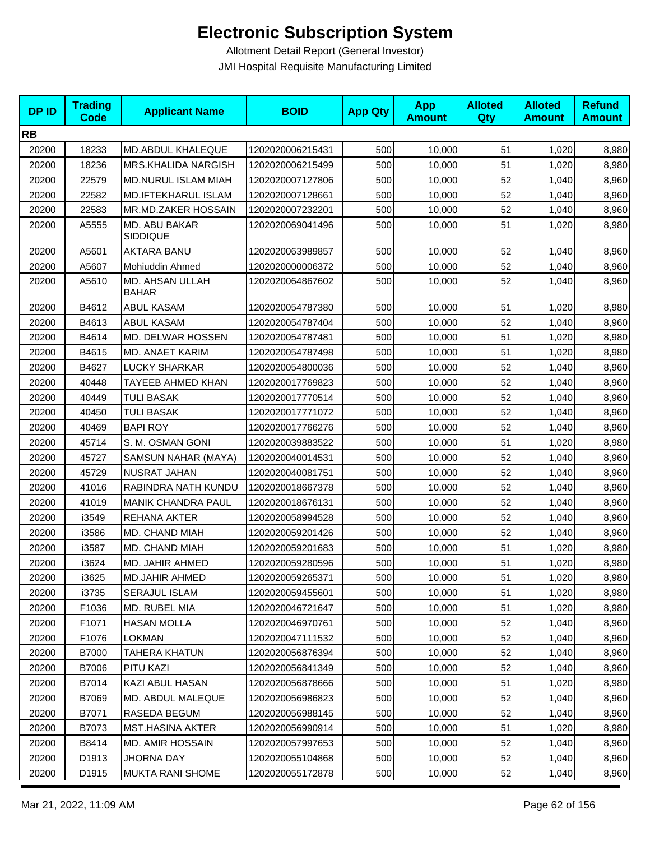| <b>DPID</b> | <b>Trading</b><br><b>Code</b> | <b>Applicant Name</b>           | <b>BOID</b>      | <b>App Qty</b> | <b>App</b><br><b>Amount</b> | <b>Alloted</b><br>Qty | <b>Alloted</b><br><b>Amount</b> | <b>Refund</b><br><b>Amount</b> |
|-------------|-------------------------------|---------------------------------|------------------|----------------|-----------------------------|-----------------------|---------------------------------|--------------------------------|
| <b>RB</b>   |                               |                                 |                  |                |                             |                       |                                 |                                |
| 20200       | 18233                         | MD.ABDUL KHALEQUE               | 1202020006215431 | 500            | 10,000                      | 51                    | 1,020                           | 8,980                          |
| 20200       | 18236                         | MRS.KHALIDA NARGISH             | 1202020006215499 | 500            | 10,000                      | 51                    | 1,020                           | 8,980                          |
| 20200       | 22579                         | MD.NURUL ISLAM MIAH             | 1202020007127806 | 500            | 10,000                      | 52                    | 1,040                           | 8,960                          |
| 20200       | 22582                         | MD.IFTEKHARUL ISLAM             | 1202020007128661 | 500            | 10,000                      | 52                    | 1,040                           | 8,960                          |
| 20200       | 22583                         | MR.MD.ZAKER HOSSAIN             | 1202020007232201 | 500            | 10,000                      | 52                    | 1,040                           | 8,960                          |
| 20200       | A5555                         | MD. ABU BAKAR<br>SIDDIQUE       | 1202020069041496 | 500            | 10,000                      | 51                    | 1,020                           | 8,980                          |
| 20200       | A5601                         | <b>AKTARA BANU</b>              | 1202020063989857 | 500            | 10,000                      | 52                    | 1,040                           | 8,960                          |
| 20200       | A5607                         | Mohiuddin Ahmed                 | 1202020000006372 | 500            | 10,000                      | 52                    | 1,040                           | 8,960                          |
| 20200       | A5610                         | MD. AHSAN ULLAH<br><b>BAHAR</b> | 1202020064867602 | 500            | 10,000                      | 52                    | 1,040                           | 8,960                          |
| 20200       | B4612                         | <b>ABUL KASAM</b>               | 1202020054787380 | 500            | 10,000                      | 51                    | 1,020                           | 8,980                          |
| 20200       | B4613                         | <b>ABUL KASAM</b>               | 1202020054787404 | 500            | 10,000                      | 52                    | 1,040                           | 8,960                          |
| 20200       | B4614                         | MD. DELWAR HOSSEN               | 1202020054787481 | 500            | 10,000                      | 51                    | 1,020                           | 8,980                          |
| 20200       | B4615                         | MD. ANAET KARIM                 | 1202020054787498 | 500            | 10,000                      | 51                    | 1,020                           | 8,980                          |
| 20200       | B4627                         | <b>LUCKY SHARKAR</b>            | 1202020054800036 | 500            | 10,000                      | 52                    | 1,040                           | 8,960                          |
| 20200       | 40448                         | TAYEEB AHMED KHAN               | 1202020017769823 | 500            | 10,000                      | 52                    | 1,040                           | 8,960                          |
| 20200       | 40449                         | <b>TULI BASAK</b>               | 1202020017770514 | 500            | 10,000                      | 52                    | 1,040                           | 8,960                          |
| 20200       | 40450                         | <b>TULI BASAK</b>               | 1202020017771072 | 500            | 10,000                      | 52                    | 1,040                           | 8,960                          |
| 20200       | 40469                         | <b>BAPI ROY</b>                 | 1202020017766276 | 500            | 10,000                      | 52                    | 1,040                           | 8,960                          |
| 20200       | 45714                         | S. M. OSMAN GONI                | 1202020039883522 | 500            | 10,000                      | 51                    | 1,020                           | 8,980                          |
| 20200       | 45727                         | SAMSUN NAHAR (MAYA)             | 1202020040014531 | 500            | 10,000                      | 52                    | 1,040                           | 8,960                          |
| 20200       | 45729                         | NUSRAT JAHAN                    | 1202020040081751 | 500            | 10,000                      | 52                    | 1,040                           | 8,960                          |
| 20200       | 41016                         | RABINDRA NATH KUNDU             | 1202020018667378 | 500            | 10,000                      | 52                    | 1,040                           | 8,960                          |
| 20200       | 41019                         | <b>MANIK CHANDRA PAUL</b>       | 1202020018676131 | 500            | 10,000                      | 52                    | 1,040                           | 8,960                          |
| 20200       | i3549                         | REHANA AKTER                    | 1202020058994528 | 500            | 10,000                      | 52                    | 1,040                           | 8,960                          |
| 20200       | i3586                         | MD. CHAND MIAH                  | 1202020059201426 | 500            | 10,000                      | 52                    | 1,040                           | 8,960                          |
| 20200       | i3587                         | MD. CHAND MIAH                  | 1202020059201683 | 500            | 10,000                      | 51                    | 1,020                           | 8,980                          |
| 20200       | i3624                         | MD. JAHIR AHMED                 | 1202020059280596 | 500            | 10,000                      | 51                    | 1,020                           | 8,980                          |
| 20200       | i3625                         | <b>MD.JAHIR AHMED</b>           | 1202020059265371 | 500            | 10,000                      | 51                    | 1,020                           | 8,980                          |
| 20200       | i3735                         | <b>SERAJUL ISLAM</b>            | 1202020059455601 | 500            | 10,000                      | 51                    | 1,020                           | 8,980                          |
| 20200       | F1036                         | MD. RUBEL MIA                   | 1202020046721647 | 500            | 10,000                      | 51                    | 1,020                           | 8,980                          |
| 20200       | F1071                         | <b>HASAN MOLLA</b>              | 1202020046970761 | 500            | 10,000                      | 52                    | 1,040                           | 8,960                          |
| 20200       | F1076                         | LOKMAN                          | 1202020047111532 | 500            | 10,000                      | 52                    | 1,040                           | 8,960                          |
| 20200       | B7000                         | TAHERA KHATUN                   | 1202020056876394 | 500            | 10,000                      | 52                    | 1,040                           | 8,960                          |
| 20200       | B7006                         | PITU KAZI                       | 1202020056841349 | 500            | 10,000                      | 52                    | 1,040                           | 8,960                          |
| 20200       | B7014                         | KAZI ABUL HASAN                 | 1202020056878666 | 500            | 10,000                      | 51                    | 1,020                           | 8,980                          |
| 20200       | B7069                         | MD. ABDUL MALEQUE               | 1202020056986823 | 500            | 10,000                      | 52                    | 1,040                           | 8,960                          |
| 20200       | B7071                         | RASEDA BEGUM                    | 1202020056988145 | 500            | 10,000                      | 52                    | 1,040                           | 8,960                          |
| 20200       | B7073                         | MST.HASINA AKTER                | 1202020056990914 | 500            | 10,000                      | 51                    | 1,020                           | 8,980                          |
| 20200       | B8414                         | <b>MD. AMIR HOSSAIN</b>         | 1202020057997653 | 500            | 10,000                      | 52                    | 1,040                           | 8,960                          |
| 20200       | D1913                         | <b>JHORNA DAY</b>               | 1202020055104868 | 500            | 10,000                      | 52                    | 1,040                           | 8,960                          |
| 20200       | D1915                         | MUKTA RANI SHOME                | 1202020055172878 | 500            | 10,000                      | 52                    | 1,040                           | 8,960                          |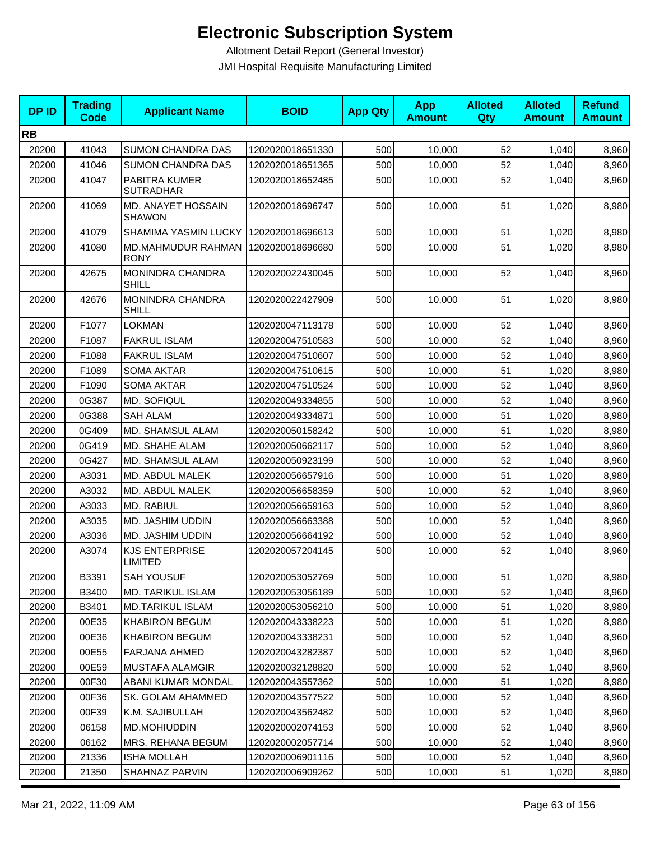| <b>DPID</b> | <b>Trading</b><br><b>Code</b> | <b>Applicant Name</b>                   | <b>BOID</b>      | <b>App Qty</b> | <b>App</b><br><b>Amount</b> | <b>Alloted</b><br>Qty | <b>Alloted</b><br><b>Amount</b> | <b>Refund</b><br><b>Amount</b> |
|-------------|-------------------------------|-----------------------------------------|------------------|----------------|-----------------------------|-----------------------|---------------------------------|--------------------------------|
| <b>RB</b>   |                               |                                         |                  |                |                             |                       |                                 |                                |
| 20200       | 41043                         | <b>SUMON CHANDRA DAS</b>                | 1202020018651330 | 500            | 10,000                      | 52                    | 1,040                           | 8,960                          |
| 20200       | 41046                         | <b>SUMON CHANDRA DAS</b>                | 1202020018651365 | 500            | 10,000                      | 52                    | 1,040                           | 8,960                          |
| 20200       | 41047                         | PABITRA KUMER<br><b>SUTRADHAR</b>       | 1202020018652485 | 500            | 10,000                      | 52                    | 1,040                           | 8,960                          |
| 20200       | 41069                         | MD. ANAYET HOSSAIN<br><b>SHAWON</b>     | 1202020018696747 | 500            | 10,000                      | 51                    | 1,020                           | 8,980                          |
| 20200       | 41079                         | SHAMIMA YASMIN LUCKY                    | 1202020018696613 | 500            | 10,000                      | 51                    | 1,020                           | 8,980                          |
| 20200       | 41080                         | MD.MAHMUDUR RAHMAN<br><b>RONY</b>       | 1202020018696680 | 500            | 10.000                      | 51                    | 1,020                           | 8,980                          |
| 20200       | 42675                         | MONINDRA CHANDRA<br><b>SHILL</b>        | 1202020022430045 | 500            | 10,000                      | 52                    | 1,040                           | 8,960                          |
| 20200       | 42676                         | MONINDRA CHANDRA<br><b>SHILL</b>        | 1202020022427909 | 500            | 10,000                      | 51                    | 1,020                           | 8,980                          |
| 20200       | F1077                         | <b>LOKMAN</b>                           | 1202020047113178 | 500            | 10,000                      | 52                    | 1,040                           | 8,960                          |
| 20200       | F1087                         | <b>FAKRUL ISLAM</b>                     | 1202020047510583 | 500            | 10,000                      | 52                    | 1,040                           | 8,960                          |
| 20200       | F1088                         | <b>FAKRUL ISLAM</b>                     | 1202020047510607 | 500            | 10,000                      | 52                    | 1,040                           | 8,960                          |
| 20200       | F1089                         | <b>SOMA AKTAR</b>                       | 1202020047510615 | 500            | 10,000                      | 51                    | 1,020                           | 8,980                          |
| 20200       | F1090                         | <b>SOMA AKTAR</b>                       | 1202020047510524 | 500            | 10,000                      | 52                    | 1,040                           | 8,960                          |
| 20200       | 0G387                         | <b>MD. SOFIQUL</b>                      | 1202020049334855 | 500            | 10,000                      | 52                    | 1,040                           | 8,960                          |
| 20200       | 0G388                         | <b>SAH ALAM</b>                         | 1202020049334871 | 500            | 10,000                      | 51                    | 1,020                           | 8,980                          |
| 20200       | 0G409                         | MD. SHAMSUL ALAM                        | 1202020050158242 | 500            | 10,000                      | 51                    | 1,020                           | 8,980                          |
| 20200       | 0G419                         | MD. SHAHE ALAM                          | 1202020050662117 | 500            | 10,000                      | 52                    | 1,040                           | 8,960                          |
| 20200       | 0G427                         | <b>MD. SHAMSUL ALAM</b>                 | 1202020050923199 | 500            | 10,000                      | 52                    | 1,040                           | 8,960                          |
| 20200       | A3031                         | MD. ABDUL MALEK                         | 1202020056657916 | 500            | 10,000                      | 51                    | 1,020                           | 8,980                          |
| 20200       | A3032                         | MD. ABDUL MALEK                         | 1202020056658359 | 500            | 10,000                      | 52                    | 1,040                           | 8,960                          |
| 20200       | A3033                         | MD. RABIUL                              | 1202020056659163 | 500            | 10,000                      | 52                    | 1,040                           | 8,960                          |
| 20200       | A3035                         | MD. JASHIM UDDIN                        | 1202020056663388 | 500            | 10,000                      | 52                    | 1,040                           | 8,960                          |
| 20200       | A3036                         | MD. JASHIM UDDIN                        | 1202020056664192 | 500            | 10,000                      | 52                    | 1,040                           | 8,960                          |
| 20200       | A3074                         | <b>KJS ENTERPRISE</b><br><b>LIMITED</b> | 1202020057204145 | 500            | 10,000                      | 52                    | 1,040                           | 8,960                          |
| 20200       | B3391                         | <b>SAH YOUSUF</b>                       | 1202020053052769 | 500            | 10,000                      | 51                    | 1,020                           | 8,980                          |
| 20200       | B3400                         | <b>MD. TARIKUL ISLAM</b>                | 1202020053056189 | 500            | 10,000                      | 52                    | 1,040                           | 8,960                          |
| 20200       | B3401                         | <b>MD.TARIKUL ISLAM</b>                 | 1202020053056210 | 500            | 10,000                      | 51                    | 1,020                           | 8,980                          |
| 20200       | 00E35                         | <b>KHABIRON BEGUM</b>                   | 1202020043338223 | 500            | 10,000                      | 51                    | 1,020                           | 8,980                          |
| 20200       | 00E36                         | <b>KHABIRON BEGUM</b>                   | 1202020043338231 | 500            | 10,000                      | 52                    | 1,040                           | 8,960                          |
| 20200       | 00E55                         | FARJANA AHMED                           | 1202020043282387 | 500            | 10,000                      | 52                    | 1,040                           | 8,960                          |
| 20200       | 00E59                         | MUSTAFA ALAMGIR                         | 1202020032128820 | 500            | 10,000                      | 52                    | 1,040                           | 8,960                          |
| 20200       | 00F30                         | ABANI KUMAR MONDAL                      | 1202020043557362 | 500            | 10,000                      | 51                    | 1,020                           | 8,980                          |
| 20200       | 00F36                         | SK. GOLAM AHAMMED                       | 1202020043577522 | 500            | 10,000                      | 52                    | 1,040                           | 8,960                          |
| 20200       | 00F39                         | K.M. SAJIBULLAH                         | 1202020043562482 | 500            | 10,000                      | 52                    | 1,040                           | 8,960                          |
| 20200       | 06158                         | MD.MOHIUDDIN                            | 1202020002074153 | 500            | 10,000                      | 52                    | 1,040                           | 8,960                          |
| 20200       | 06162                         | MRS. REHANA BEGUM                       | 1202020002057714 | 500            | 10,000                      | 52                    | 1,040                           | 8,960                          |
| 20200       | 21336                         | <b>ISHA MOLLAH</b>                      | 1202020006901116 | 500            | 10,000                      | 52                    | 1,040                           | 8,960                          |
| 20200       | 21350                         | SHAHNAZ PARVIN                          | 1202020006909262 | 500            | 10,000                      | 51                    | 1,020                           | 8,980                          |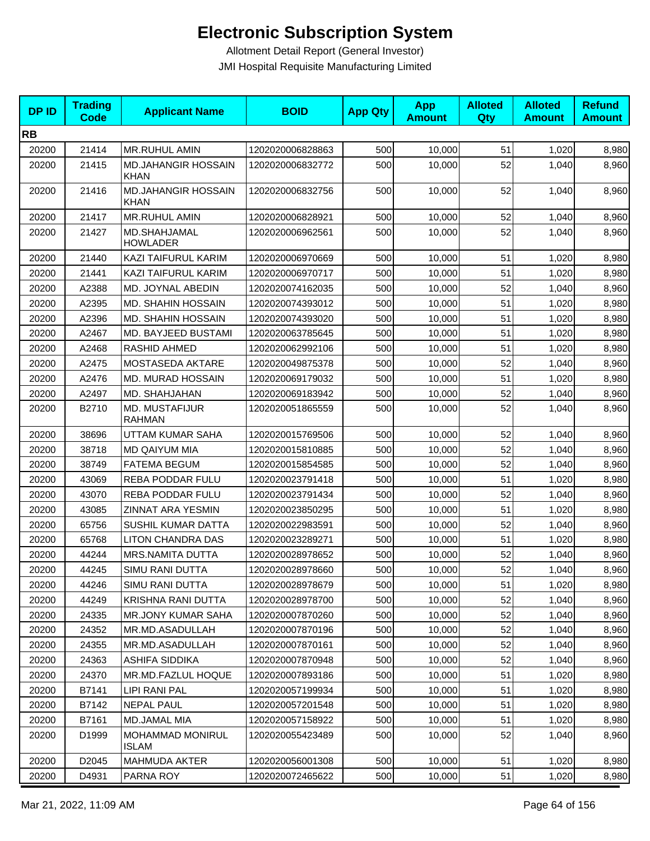| <b>DPID</b> | <b>Trading</b><br>Code | <b>Applicant Name</b>                     | <b>BOID</b>      | <b>App Qty</b> | <b>App</b><br><b>Amount</b> | <b>Alloted</b><br>Qty | <b>Alloted</b><br><b>Amount</b> | <b>Refund</b><br><b>Amount</b> |
|-------------|------------------------|-------------------------------------------|------------------|----------------|-----------------------------|-----------------------|---------------------------------|--------------------------------|
| <b>RB</b>   |                        |                                           |                  |                |                             |                       |                                 |                                |
| 20200       | 21414                  | <b>MR.RUHUL AMIN</b>                      | 1202020006828863 | 500            | 10,000                      | 51                    | 1,020                           | 8,980                          |
| 20200       | 21415                  | MD.JAHANGIR HOSSAIN<br><b>KHAN</b>        | 1202020006832772 | 500            | 10,000                      | 52                    | 1,040                           | 8,960                          |
| 20200       | 21416                  | <b>MD.JAHANGIR HOSSAIN</b><br><b>KHAN</b> | 1202020006832756 | 500            | 10,000                      | 52                    | 1,040                           | 8,960                          |
| 20200       | 21417                  | MR.RUHUL AMIN                             | 1202020006828921 | 500            | 10,000                      | 52                    | 1,040                           | 8,960                          |
| 20200       | 21427                  | MD.SHAHJAMAL<br><b>HOWLADER</b>           | 1202020006962561 | 500            | 10,000                      | 52                    | 1,040                           | 8,960                          |
| 20200       | 21440                  | KAZI TAIFURUL KARIM                       | 1202020006970669 | 500            | 10,000                      | 51                    | 1,020                           | 8,980                          |
| 20200       | 21441                  | KAZI TAIFURUL KARIM                       | 1202020006970717 | 500            | 10,000                      | 51                    | 1,020                           | 8,980                          |
| 20200       | A2388                  | MD. JOYNAL ABEDIN                         | 1202020074162035 | 500            | 10,000                      | 52                    | 1,040                           | 8,960                          |
| 20200       | A2395                  | MD. SHAHIN HOSSAIN                        | 1202020074393012 | 500            | 10,000                      | 51                    | 1,020                           | 8,980                          |
| 20200       | A2396                  | <b>MD. SHAHIN HOSSAIN</b>                 | 1202020074393020 | 500            | 10,000                      | 51                    | 1,020                           | 8,980                          |
| 20200       | A2467                  | MD. BAYJEED BUSTAMI                       | 1202020063785645 | 500            | 10,000                      | 51                    | 1,020                           | 8,980                          |
| 20200       | A2468                  | RASHID AHMED                              | 1202020062992106 | 500            | 10,000                      | 51                    | 1,020                           | 8,980                          |
| 20200       | A2475                  | MOSTASEDA AKTARE                          | 1202020049875378 | 500            | 10,000                      | 52                    | 1,040                           | 8,960                          |
| 20200       | A2476                  | MD. MURAD HOSSAIN                         | 1202020069179032 | 500            | 10,000                      | 51                    | 1,020                           | 8,980                          |
| 20200       | A2497                  | MD. SHAHJAHAN                             | 1202020069183942 | 500            | 10,000                      | 52                    | 1,040                           | 8,960                          |
| 20200       | B2710                  | MD. MUSTAFIJUR<br><b>RAHMAN</b>           | 1202020051865559 | 500            | 10,000                      | 52                    | 1,040                           | 8,960                          |
| 20200       | 38696                  | UTTAM KUMAR SAHA                          | 1202020015769506 | 500            | 10,000                      | 52                    | 1,040                           | 8,960                          |
| 20200       | 38718                  | <b>MD QAIYUM MIA</b>                      | 1202020015810885 | 500            | 10,000                      | 52                    | 1,040                           | 8,960                          |
| 20200       | 38749                  | <b>FATEMA BEGUM</b>                       | 1202020015854585 | 500            | 10,000                      | 52                    | 1,040                           | 8,960                          |
| 20200       | 43069                  | <b>REBA PODDAR FULU</b>                   | 1202020023791418 | 500            | 10,000                      | 51                    | 1,020                           | 8,980                          |
| 20200       | 43070                  | <b>REBA PODDAR FULU</b>                   | 1202020023791434 | 500            | 10,000                      | 52                    | 1,040                           | 8,960                          |
| 20200       | 43085                  | ZINNAT ARA YESMIN                         | 1202020023850295 | 500            | 10,000                      | 51                    | 1,020                           | 8,980                          |
| 20200       | 65756                  | <b>SUSHIL KUMAR DATTA</b>                 | 1202020022983591 | 500            | 10,000                      | 52                    | 1,040                           | 8,960                          |
| 20200       | 65768                  | LITON CHANDRA DAS                         | 1202020023289271 | 500            | 10,000                      | 51                    | 1,020                           | 8,980                          |
| 20200       | 44244                  | MRS.NAMITA DUTTA                          | 1202020028978652 | 500            | 10,000                      | 52                    | 1,040                           | 8,960                          |
| 20200       | 44245                  | SIMU RANI DUTTA                           | 1202020028978660 | 500            | 10,000                      | 52                    | 1,040                           | 8,960                          |
| 20200       | 44246                  | SIMU RANI DUTTA                           | 1202020028978679 | 500            | 10,000                      | 51                    | 1,020                           | 8,980                          |
| 20200       | 44249                  | KRISHNA RANI DUTTA                        | 1202020028978700 | 500            | 10,000                      | 52                    | 1,040                           | 8,960                          |
| 20200       | 24335                  | <b>MR.JONY KUMAR SAHA</b>                 | 1202020007870260 | 500            | 10,000                      | 52                    | 1,040                           | 8,960                          |
| 20200       | 24352                  | MR.MD.ASADULLAH                           | 1202020007870196 | 500            | 10,000                      | 52                    | 1,040                           | 8,960                          |
| 20200       | 24355                  | MR.MD.ASADULLAH                           | 1202020007870161 | 500            | 10,000                      | 52                    | 1,040                           | 8,960                          |
| 20200       | 24363                  | ASHIFA SIDDIKA                            | 1202020007870948 | 500            | 10,000                      | 52                    | 1,040                           | 8,960                          |
| 20200       | 24370                  | MR.MD.FAZLUL HOQUE                        | 1202020007893186 | 500            | 10,000                      | 51                    | 1,020                           | 8,980                          |
| 20200       | B7141                  | LIPI RANI PAL                             | 1202020057199934 | 500            | 10,000                      | 51                    | 1,020                           | 8,980                          |
| 20200       | B7142                  | <b>NEPAL PAUL</b>                         | 1202020057201548 | 500            | 10,000                      | 51                    | 1,020                           | 8,980                          |
| 20200       | B7161                  | MD.JAMAL MIA                              | 1202020057158922 | 500            | 10,000                      | 51                    | 1,020                           | 8,980                          |
| 20200       | D1999                  | MOHAMMAD MONIRUL<br><b>ISLAM</b>          | 1202020055423489 | 500            | 10,000                      | 52                    | 1,040                           | 8,960                          |
| 20200       | D2045                  | <b>MAHMUDA AKTER</b>                      | 1202020056001308 | 500            | 10,000                      | 51                    | 1,020                           | 8,980                          |
| 20200       | D4931                  | PARNA ROY                                 | 1202020072465622 | 500            | 10,000                      | 51                    | 1,020                           | 8,980                          |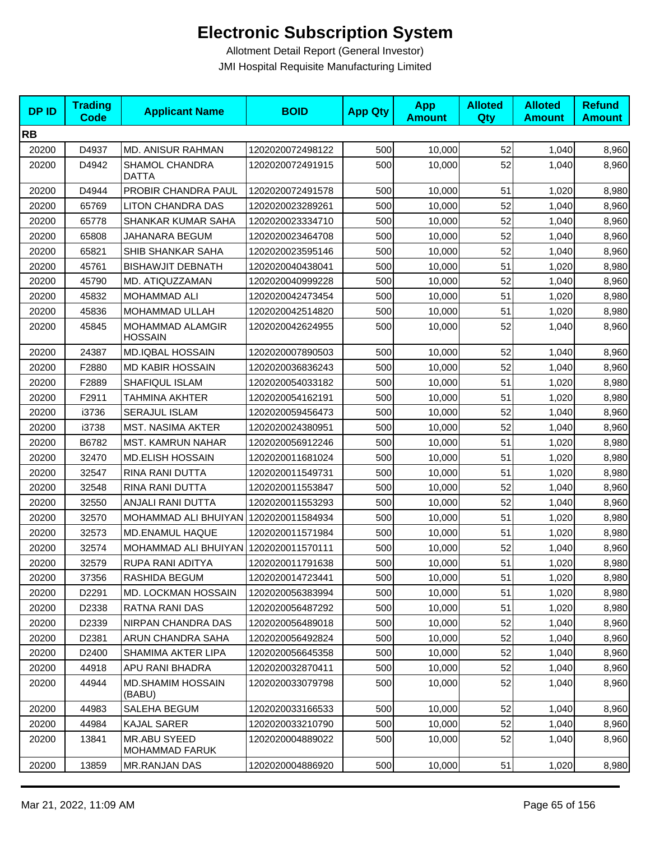| <b>DPID</b> | <b>Trading</b><br><b>Code</b> | <b>Applicant Name</b>                 | <b>BOID</b>      | <b>App Qty</b> | <b>App</b><br><b>Amount</b> | <b>Alloted</b><br>Qty | <b>Alloted</b><br><b>Amount</b> | <b>Refund</b><br><b>Amount</b> |
|-------------|-------------------------------|---------------------------------------|------------------|----------------|-----------------------------|-----------------------|---------------------------------|--------------------------------|
| <b>RB</b>   |                               |                                       |                  |                |                             |                       |                                 |                                |
| 20200       | D4937                         | <b>MD. ANISUR RAHMAN</b>              | 1202020072498122 | 500            | 10,000                      | 52                    | 1,040                           | 8,960                          |
| 20200       | D4942                         | SHAMOL CHANDRA<br><b>DATTA</b>        | 1202020072491915 | 500            | 10,000                      | 52                    | 1,040                           | 8,960                          |
| 20200       | D4944                         | PROBIR CHANDRA PAUL                   | 1202020072491578 | 500            | 10,000                      | 51                    | 1,020                           | 8,980                          |
| 20200       | 65769                         | <b>LITON CHANDRA DAS</b>              | 1202020023289261 | 500            | 10,000                      | 52                    | 1,040                           | 8,960                          |
| 20200       | 65778                         | <b>SHANKAR KUMAR SAHA</b>             | 1202020023334710 | 500            | 10,000                      | 52                    | 1,040                           | 8,960                          |
| 20200       | 65808                         | JAHANARA BEGUM                        | 1202020023464708 | 500            | 10,000                      | 52                    | 1,040                           | 8,960                          |
| 20200       | 65821                         | SHIB SHANKAR SAHA                     | 1202020023595146 | 500            | 10,000                      | 52                    | 1,040                           | 8,960                          |
| 20200       | 45761                         | <b>BISHAWJIT DEBNATH</b>              | 1202020040438041 | 500            | 10,000                      | 51                    | 1,020                           | 8,980                          |
| 20200       | 45790                         | MD. ATIQUZZAMAN                       | 1202020040999228 | 500            | 10,000                      | 52                    | 1,040                           | 8,960                          |
| 20200       | 45832                         | MOHAMMAD ALI                          | 1202020042473454 | 500            | 10,000                      | 51                    | 1,020                           | 8,980                          |
| 20200       | 45836                         | MOHAMMAD ULLAH                        | 1202020042514820 | 500            | 10,000                      | 51                    | 1,020                           | 8,980                          |
| 20200       | 45845                         | MOHAMMAD ALAMGIR<br><b>HOSSAIN</b>    | 1202020042624955 | 500            | 10,000                      | 52                    | 1,040                           | 8,960                          |
| 20200       | 24387                         | <b>MD.IQBAL HOSSAIN</b>               | 1202020007890503 | 500            | 10,000                      | 52                    | 1,040                           | 8,960                          |
| 20200       | F2880                         | <b>MD KABIR HOSSAIN</b>               | 1202020036836243 | 500            | 10,000                      | 52                    | 1,040                           | 8,960                          |
| 20200       | F2889                         | <b>SHAFIQUL ISLAM</b>                 | 1202020054033182 | 500            | 10,000                      | 51                    | 1,020                           | 8,980                          |
| 20200       | F2911                         | TAHMINA AKHTER                        | 1202020054162191 | 500            | 10,000                      | 51                    | 1,020                           | 8,980                          |
| 20200       | i3736                         | SERAJUL ISLAM                         | 1202020059456473 | 500            | 10,000                      | 52                    | 1,040                           | 8,960                          |
| 20200       | i3738                         | MST. NASIMA AKTER                     | 1202020024380951 | 500            | 10,000                      | 52                    | 1,040                           | 8,960                          |
| 20200       | B6782                         | <b>MST. KAMRUN NAHAR</b>              | 1202020056912246 | 500            | 10,000                      | 51                    | 1,020                           | 8,980                          |
| 20200       | 32470                         | <b>MD.ELISH HOSSAIN</b>               | 1202020011681024 | 500            | 10,000                      | 51                    | 1,020                           | 8,980                          |
| 20200       | 32547                         | RINA RANI DUTTA                       | 1202020011549731 | 500            | 10,000                      | 51                    | 1,020                           | 8,980                          |
| 20200       | 32548                         | RINA RANI DUTTA                       | 1202020011553847 | 500            | 10,000                      | 52                    | 1,040                           | 8,960                          |
| 20200       | 32550                         | ANJALI RANI DUTTA                     | 1202020011553293 | 500            | 10,000                      | 52                    | 1,040                           | 8,960                          |
| 20200       | 32570                         | MOHAMMAD ALI BHUIYAN                  | 1202020011584934 | 500            | 10,000                      | 51                    | 1,020                           | 8,980                          |
| 20200       | 32573                         | MD.ENAMUL HAQUE                       | 1202020011571984 | 500            | 10,000                      | 51                    | 1,020                           | 8,980                          |
| 20200       | 32574                         | MOHAMMAD ALI BHUIYAN 1202020011570111 |                  | 500            | 10,000                      | 52                    | 1,040                           | 8,960                          |
| 20200       | 32579                         | RUPA RANI ADITYA                      | 1202020011791638 | 500            | 10,000                      | 51                    | 1,020                           | 8,980                          |
| 20200       | 37356                         | <b>RASHIDA BEGUM</b>                  | 1202020014723441 | 500            | 10,000                      | 51                    | 1,020                           | 8,980                          |
| 20200       | D2291                         | MD. LOCKMAN HOSSAIN                   | 1202020056383994 | 500            | 10,000                      | 51                    | 1,020                           | 8,980                          |
| 20200       | D2338                         | RATNA RANI DAS                        | 1202020056487292 | 500            | 10,000                      | 51                    | 1,020                           | 8,980                          |
| 20200       | D2339                         | NIRPAN CHANDRA DAS                    | 1202020056489018 | 500            | 10,000                      | 52                    | 1,040                           | 8,960                          |
| 20200       | D2381                         | ARUN CHANDRA SAHA                     | 1202020056492824 | 500            | 10,000                      | 52                    | 1,040                           | 8,960                          |
| 20200       | D2400                         | <b>SHAMIMA AKTER LIPA</b>             | 1202020056645358 | 500            | 10,000                      | 52                    | 1,040                           | 8,960                          |
| 20200       | 44918                         | <b>APU RANI BHADRA</b>                | 1202020032870411 | 500            | 10,000                      | 52                    | 1,040                           | 8,960                          |
| 20200       | 44944                         | <b>MD.SHAMIM HOSSAIN</b><br>(BABU)    | 1202020033079798 | 500            | 10,000                      | 52                    | 1,040                           | 8,960                          |
| 20200       | 44983                         | SALEHA BEGUM                          | 1202020033166533 | 500            | 10,000                      | 52                    | 1,040                           | 8,960                          |
| 20200       | 44984                         | <b>KAJAL SARER</b>                    | 1202020033210790 | 500            | 10,000                      | 52                    | 1,040                           | 8,960                          |
| 20200       | 13841                         | MR.ABU SYEED<br><b>MOHAMMAD FARUK</b> | 1202020004889022 | 500            | 10,000                      | 52                    | 1,040                           | 8,960                          |
| 20200       | 13859                         | MR.RANJAN DAS                         | 1202020004886920 | 500            | 10,000                      | 51                    | 1,020                           | 8,980                          |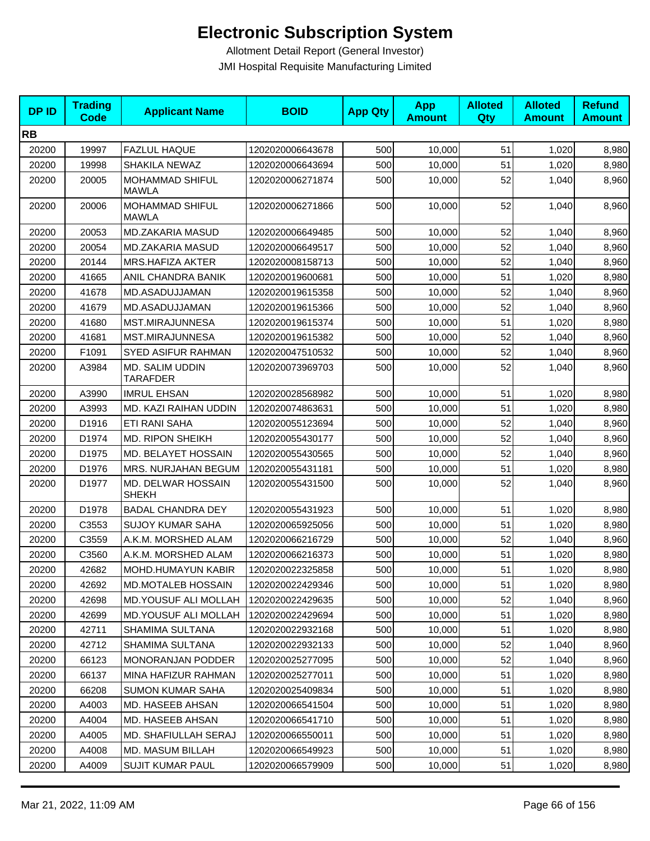| <b>DPID</b> | <b>Trading</b><br><b>Code</b> | <b>Applicant Name</b>                  | <b>BOID</b>      | <b>App Qty</b> | <b>App</b><br><b>Amount</b> | <b>Alloted</b><br><b>Qty</b> | <b>Alloted</b><br><b>Amount</b> | <b>Refund</b><br><b>Amount</b> |
|-------------|-------------------------------|----------------------------------------|------------------|----------------|-----------------------------|------------------------------|---------------------------------|--------------------------------|
| <b>RB</b>   |                               |                                        |                  |                |                             |                              |                                 |                                |
| 20200       | 19997                         | <b>FAZLUL HAQUE</b>                    | 1202020006643678 | 500            | 10,000                      | 51                           | 1,020                           | 8,980                          |
| 20200       | 19998                         | SHAKILA NEWAZ                          | 1202020006643694 | 500            | 10,000                      | 51                           | 1,020                           | 8,980                          |
| 20200       | 20005                         | MOHAMMAD SHIFUL<br><b>MAWLA</b>        | 1202020006271874 | 500            | 10,000                      | 52                           | 1,040                           | 8,960                          |
| 20200       | 20006                         | <b>MOHAMMAD SHIFUL</b><br><b>MAWLA</b> | 1202020006271866 | 500            | 10,000                      | 52                           | 1,040                           | 8,960                          |
| 20200       | 20053                         | MD.ZAKARIA MASUD                       | 1202020006649485 | 500            | 10,000                      | 52                           | 1,040                           | 8,960                          |
| 20200       | 20054                         | MD.ZAKARIA MASUD                       | 1202020006649517 | 500            | 10,000                      | 52                           | 1,040                           | 8,960                          |
| 20200       | 20144                         | <b>MRS.HAFIZA AKTER</b>                | 1202020008158713 | 500            | 10,000                      | 52                           | 1,040                           | 8,960                          |
| 20200       | 41665                         | ANIL CHANDRA BANIK                     | 1202020019600681 | 500            | 10,000                      | 51                           | 1,020                           | 8,980                          |
| 20200       | 41678                         | MD.ASADUJJAMAN                         | 1202020019615358 | 500            | 10,000                      | 52                           | 1,040                           | 8,960                          |
| 20200       | 41679                         | MD.ASADUJJAMAN                         | 1202020019615366 | 500            | 10,000                      | 52                           | 1,040                           | 8,960                          |
| 20200       | 41680                         | MST.MIRAJUNNESA                        | 1202020019615374 | 500            | 10,000                      | 51                           | 1,020                           | 8,980                          |
| 20200       | 41681                         | MST.MIRAJUNNESA                        | 1202020019615382 | 500            | 10,000                      | 52                           | 1,040                           | 8,960                          |
| 20200       | F1091                         | <b>SYED ASIFUR RAHMAN</b>              | 1202020047510532 | 500            | 10,000                      | 52                           | 1,040                           | 8,960                          |
| 20200       | A3984                         | MD. SALIM UDDIN<br><b>TARAFDER</b>     | 1202020073969703 | 500            | 10,000                      | 52                           | 1,040                           | 8,960                          |
| 20200       | A3990                         | <b>IMRUL EHSAN</b>                     | 1202020028568982 | 500            | 10,000                      | 51                           | 1,020                           | 8,980                          |
| 20200       | A3993                         | MD. KAZI RAIHAN UDDIN                  | 1202020074863631 | 500            | 10,000                      | 51                           | 1,020                           | 8,980                          |
| 20200       | D1916                         | ETI RANI SAHA                          | 1202020055123694 | 500            | 10,000                      | 52                           | 1,040                           | 8,960                          |
| 20200       | D1974                         | <b>MD. RIPON SHEIKH</b>                | 1202020055430177 | 500            | 10,000                      | 52                           | 1,040                           | 8,960                          |
| 20200       | D1975                         | MD. BELAYET HOSSAIN                    | 1202020055430565 | 500            | 10,000                      | 52                           | 1,040                           | 8,960                          |
| 20200       | D1976                         | MRS. NURJAHAN BEGUM                    | 1202020055431181 | 500            | 10,000                      | 51                           | 1,020                           | 8,980                          |
| 20200       | D1977                         | MD. DELWAR HOSSAIN<br><b>SHEKH</b>     | 1202020055431500 | 500            | 10,000                      | 52                           | 1,040                           | 8,960                          |
| 20200       | D1978                         | <b>BADAL CHANDRA DEY</b>               | 1202020055431923 | 500            | 10,000                      | 51                           | 1,020                           | 8,980                          |
| 20200       | C3553                         | <b>SUJOY KUMAR SAHA</b>                | 1202020065925056 | 500            | 10,000                      | 51                           | 1,020                           | 8,980                          |
| 20200       | C3559                         | A.K.M. MORSHED ALAM                    | 1202020066216729 | 500            | 10,000                      | 52                           | 1,040                           | 8,960                          |
| 20200       | C3560                         | A.K.M. MORSHED ALAM                    | 1202020066216373 | 500            | 10,000                      | 51                           | 1,020                           | 8,980                          |
| 20200       | 42682                         | MOHD.HUMAYUN KABIR                     | 1202020022325858 | 500            | 10,000                      | 51                           | 1,020                           | 8,980                          |
| 20200       | 42692                         | <b>MD.MOTALEB HOSSAIN</b>              | 1202020022429346 | 500            | 10,000                      | 51                           | 1,020                           | 8,980                          |
| 20200       | 42698                         | <b>MD.YOUSUF ALI MOLLAH</b>            | 1202020022429635 | 500            | 10,000                      | 52                           | 1,040                           | 8,960                          |
| 20200       | 42699                         | <b>MD.YOUSUF ALI MOLLAH</b>            | 1202020022429694 | 500            | 10,000                      | 51                           | 1,020                           | 8,980                          |
| 20200       | 42711                         | <b>SHAMIMA SULTANA</b>                 | 1202020022932168 | 500            | 10,000                      | 51                           | 1,020                           | 8,980                          |
| 20200       | 42712                         | SHAMIMA SULTANA                        | 1202020022932133 | 500            | 10,000                      | 52                           | 1,040                           | 8,960                          |
| 20200       | 66123                         | MONORANJAN PODDER                      | 1202020025277095 | 500            | 10,000                      | 52                           | 1,040                           | 8,960                          |
| 20200       | 66137                         | MINA HAFIZUR RAHMAN                    | 1202020025277011 | 500            | 10,000                      | 51                           | 1,020                           | 8,980                          |
| 20200       | 66208                         | <b>SUMON KUMAR SAHA</b>                | 1202020025409834 | 500            | 10,000                      | 51                           | 1,020                           | 8,980                          |
| 20200       | A4003                         | MD. HASEEB AHSAN                       | 1202020066541504 | 500            | 10,000                      | 51                           | 1,020                           | 8,980                          |
| 20200       | A4004                         | MD. HASEEB AHSAN                       | 1202020066541710 | 500            | 10,000                      | 51                           | 1,020                           | 8,980                          |
| 20200       | A4005                         | <b>MD. SHAFIULLAH SERAJ</b>            | 1202020066550011 | 500            | 10,000                      | 51                           | 1,020                           | 8,980                          |
| 20200       | A4008                         | MD. MASUM BILLAH                       | 1202020066549923 | 500            | 10,000                      | 51                           | 1,020                           | 8,980                          |
| 20200       | A4009                         | <b>SUJIT KUMAR PAUL</b>                | 1202020066579909 | 500            | 10,000                      | 51                           | 1,020                           | 8,980                          |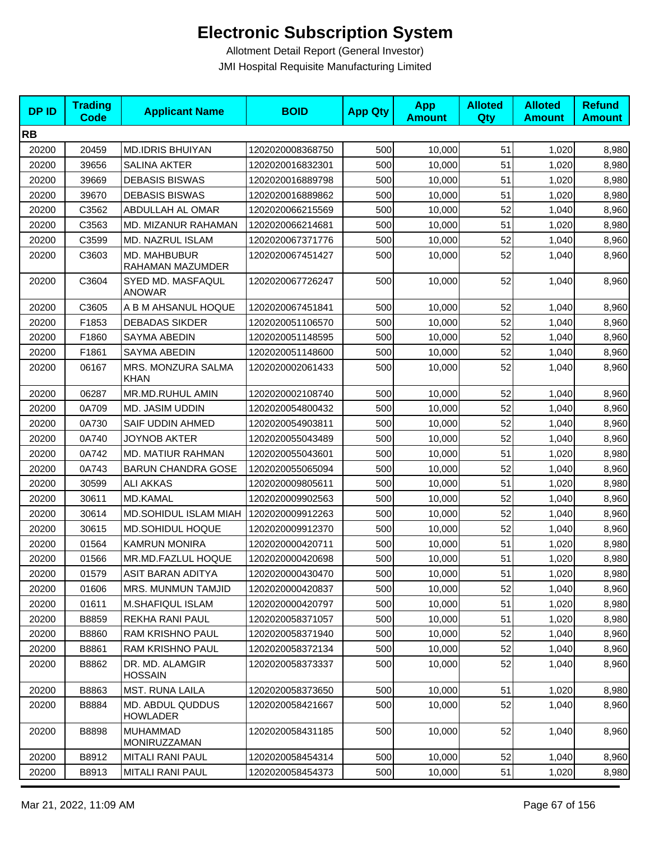| <b>DPID</b> | <b>Trading</b><br><b>Code</b> | <b>Applicant Name</b>               | <b>BOID</b>      | <b>App Qty</b> | <b>App</b><br><b>Amount</b> | <b>Alloted</b><br>Qty | <b>Alloted</b><br><b>Amount</b> | <b>Refund</b><br><b>Amount</b> |
|-------------|-------------------------------|-------------------------------------|------------------|----------------|-----------------------------|-----------------------|---------------------------------|--------------------------------|
| <b>RB</b>   |                               |                                     |                  |                |                             |                       |                                 |                                |
| 20200       | 20459                         | <b>MD.IDRIS BHUIYAN</b>             | 1202020008368750 | 500            | 10,000                      | 51                    | 1,020                           | 8,980                          |
| 20200       | 39656                         | <b>SALINA AKTER</b>                 | 1202020016832301 | 500            | 10,000                      | 51                    | 1,020                           | 8,980                          |
| 20200       | 39669                         | <b>DEBASIS BISWAS</b>               | 1202020016889798 | 500            | 10,000                      | 51                    | 1,020                           | 8,980                          |
| 20200       | 39670                         | <b>DEBASIS BISWAS</b>               | 1202020016889862 | 500            | 10,000                      | 51                    | 1,020                           | 8,980                          |
| 20200       | C3562                         | ABDULLAH AL OMAR                    | 1202020066215569 | 500            | 10,000                      | 52                    | 1,040                           | 8,960                          |
| 20200       | C3563                         | MD. MIZANUR RAHAMAN                 | 1202020066214681 | 500            | 10,000                      | 51                    | 1,020                           | 8,980                          |
| 20200       | C3599                         | MD. NAZRUL ISLAM                    | 1202020067371776 | 500            | 10,000                      | 52                    | 1,040                           | 8,960                          |
| 20200       | C3603                         | MD. MAHBUBUR<br>RAHAMAN MAZUMDER    | 1202020067451427 | 500            | 10,000                      | 52                    | 1,040                           | 8,960                          |
| 20200       | C3604                         | SYED MD. MASFAQUL<br><b>ANOWAR</b>  | 1202020067726247 | 500            | 10,000                      | 52                    | 1,040                           | 8,960                          |
| 20200       | C3605                         | A B M AHSANUL HOQUE                 | 1202020067451841 | 500            | 10,000                      | 52                    | 1,040                           | 8,960                          |
| 20200       | F1853                         | <b>DEBADAS SIKDER</b>               | 1202020051106570 | 500            | 10,000                      | 52                    | 1,040                           | 8,960                          |
| 20200       | F1860                         | SAYMA ABEDIN                        | 1202020051148595 | 500            | 10,000                      | 52                    | 1,040                           | 8,960                          |
| 20200       | F1861                         | SAYMA ABEDIN                        | 1202020051148600 | 500            | 10,000                      | 52                    | 1,040                           | 8,960                          |
| 20200       | 06167                         | MRS. MONZURA SALMA<br>KHAN          | 1202020002061433 | 500            | 10,000                      | 52                    | 1,040                           | 8,960                          |
| 20200       | 06287                         | MR.MD.RUHUL AMIN                    | 1202020002108740 | 500            | 10,000                      | 52                    | 1,040                           | 8,960                          |
| 20200       | 0A709                         | MD. JASIM UDDIN                     | 1202020054800432 | 500            | 10,000                      | 52                    | 1,040                           | 8,960                          |
| 20200       | 0A730                         | SAIF UDDIN AHMED                    | 1202020054903811 | 500            | 10,000                      | 52                    | 1,040                           | 8,960                          |
| 20200       | 0A740                         | <b>JOYNOB AKTER</b>                 | 1202020055043489 | 500            | 10,000                      | 52                    | 1,040                           | 8,960                          |
| 20200       | 0A742                         | MD. MATIUR RAHMAN                   | 1202020055043601 | 500            | 10,000                      | 51                    | 1,020                           | 8,980                          |
| 20200       | 0A743                         | <b>BARUN CHANDRA GOSE</b>           | 1202020055065094 | 500            | 10,000                      | 52                    | 1,040                           | 8,960                          |
| 20200       | 30599                         | <b>ALI AKKAS</b>                    | 1202020009805611 | 500            | 10,000                      | 51                    | 1,020                           | 8,980                          |
| 20200       | 30611                         | <b>MD.KAMAL</b>                     | 1202020009902563 | 500            | 10,000                      | 52                    | 1,040                           | 8,960                          |
| 20200       | 30614                         | MD.SOHIDUL ISLAM MIAH               | 1202020009912263 | 500            | 10,000                      | 52                    | 1,040                           | 8,960                          |
| 20200       | 30615                         | MD.SOHIDUL HOQUE                    | 1202020009912370 | 500            | 10,000                      | 52                    | 1,040                           | 8,960                          |
| 20200       | 01564                         | <b>KAMRUN MONIRA</b>                | 1202020000420711 | 500            | 10,000                      | 51                    | 1,020                           | 8,980                          |
| 20200       | 01566                         | MR.MD.FAZLUL HOQUE                  | 1202020000420698 | 500            | 10,000                      | 51                    | 1,020                           | 8,980                          |
| 20200       | 01579                         | ASIT BARAN ADITYA                   | 1202020000430470 | 500            | 10,000                      | 51                    | 1,020                           | 8,980                          |
| 20200       | 01606                         | MRS. MUNMUN TAMJID                  | 1202020000420837 | 500            | 10,000                      | 52                    | 1,040                           | 8,960                          |
| 20200       | 01611                         | <b>M.SHAFIQUL ISLAM</b>             | 1202020000420797 | 500            | 10,000                      | 51                    | 1,020                           | 8,980                          |
| 20200       | B8859                         | <b>REKHA RANI PAUL</b>              | 1202020058371057 | 500            | 10,000                      | 51                    | 1,020                           | 8,980                          |
| 20200       | B8860                         | RAM KRISHNO PAUL                    | 1202020058371940 | 500            | 10,000                      | 52                    | 1,040                           | 8,960                          |
| 20200       | B8861                         | <b>RAM KRISHNO PAUL</b>             | 1202020058372134 | 500            | 10,000                      | 52                    | 1,040                           | 8,960                          |
| 20200       | B8862                         | DR. MD. ALAMGIR<br><b>HOSSAIN</b>   | 1202020058373337 | 500            | 10,000                      | 52                    | 1,040                           | 8,960                          |
| 20200       | B8863                         | MST. RUNA LAILA                     | 1202020058373650 | 500            | 10,000                      | 51                    | 1,020                           | 8,980                          |
| 20200       | B8884                         | MD. ABDUL QUDDUS<br><b>HOWLADER</b> | 1202020058421667 | 500            | 10,000                      | 52                    | 1,040                           | 8,960                          |
| 20200       | B8898                         | <b>MUHAMMAD</b><br>MONIRUZZAMAN     | 1202020058431185 | 500            | 10,000                      | 52                    | 1,040                           | 8,960                          |
| 20200       | B8912                         | <b>MITALI RANI PAUL</b>             | 1202020058454314 | 500            | 10,000                      | 52                    | 1,040                           | 8,960                          |
| 20200       | B8913                         | MITALI RANI PAUL                    | 1202020058454373 | 500            | 10,000                      | 51                    | 1,020                           | 8,980                          |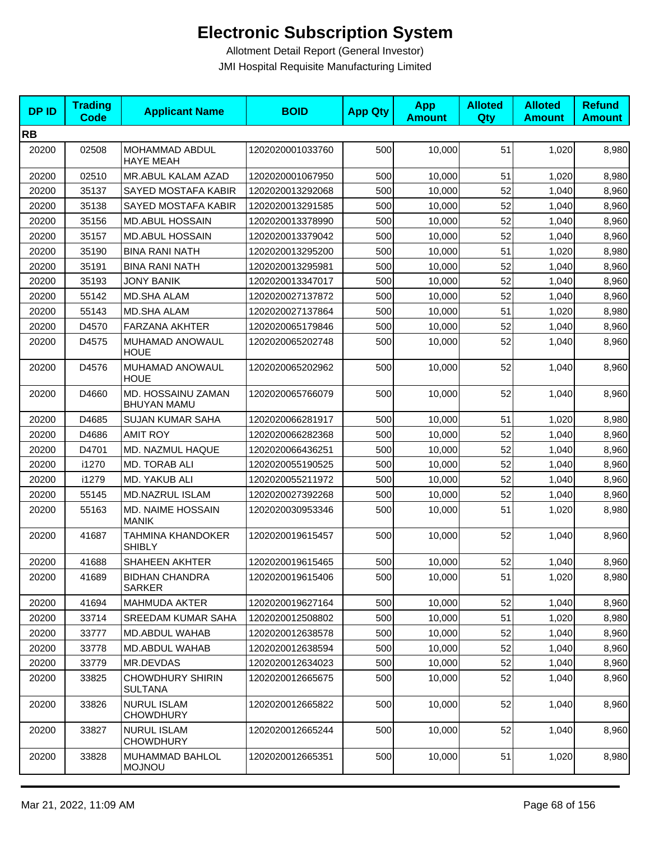| <b>DPID</b> | <b>Trading</b><br><b>Code</b> | <b>Applicant Name</b>                     | <b>BOID</b>      | <b>App Qty</b> | <b>App</b><br><b>Amount</b> | <b>Alloted</b><br>Qty | <b>Alloted</b><br><b>Amount</b> | <b>Refund</b><br><b>Amount</b> |
|-------------|-------------------------------|-------------------------------------------|------------------|----------------|-----------------------------|-----------------------|---------------------------------|--------------------------------|
| <b>RB</b>   |                               |                                           |                  |                |                             |                       |                                 |                                |
| 20200       | 02508                         | MOHAMMAD ABDUL<br><b>HAYE MEAH</b>        | 1202020001033760 | 500            | 10,000                      | 51                    | 1,020                           | 8,980                          |
| 20200       | 02510                         | MR.ABUL KALAM AZAD                        | 1202020001067950 | 500            | 10,000                      | 51                    | 1,020                           | 8,980                          |
| 20200       | 35137                         | SAYED MOSTAFA KABIR                       | 1202020013292068 | 500            | 10,000                      | 52                    | 1,040                           | 8,960                          |
| 20200       | 35138                         | SAYED MOSTAFA KABIR                       | 1202020013291585 | 500            | 10,000                      | 52                    | 1,040                           | 8,960                          |
| 20200       | 35156                         | <b>MD.ABUL HOSSAIN</b>                    | 1202020013378990 | 500            | 10,000                      | 52                    | 1,040                           | 8,960                          |
| 20200       | 35157                         | <b>MD.ABUL HOSSAIN</b>                    | 1202020013379042 | 500            | 10,000                      | 52                    | 1,040                           | 8,960                          |
| 20200       | 35190                         | <b>BINA RANI NATH</b>                     | 1202020013295200 | 500            | 10,000                      | 51                    | 1,020                           | 8,980                          |
| 20200       | 35191                         | <b>BINA RANI NATH</b>                     | 1202020013295981 | 500            | 10,000                      | 52                    | 1,040                           | 8,960                          |
| 20200       | 35193                         | <b>JONY BANIK</b>                         | 1202020013347017 | 500            | 10,000                      | 52                    | 1,040                           | 8,960                          |
| 20200       | 55142                         | <b>MD.SHA ALAM</b>                        | 1202020027137872 | 500            | 10,000                      | 52                    | 1,040                           | 8,960                          |
| 20200       | 55143                         | MD.SHA ALAM                               | 1202020027137864 | 500            | 10,000                      | 51                    | 1,020                           | 8,980                          |
| 20200       | D4570                         | <b>FARZANA AKHTER</b>                     | 1202020065179846 | 500            | 10,000                      | 52                    | 1,040                           | 8,960                          |
| 20200       | D4575                         | MUHAMAD ANOWAUL<br><b>HOUE</b>            | 1202020065202748 | 500            | 10,000                      | 52                    | 1,040                           | 8,960                          |
| 20200       | D4576                         | MUHAMAD ANOWAUL<br><b>HOUE</b>            | 1202020065202962 | 500            | 10,000                      | 52                    | 1,040                           | 8,960                          |
| 20200       | D4660                         | MD. HOSSAINU ZAMAN<br><b>BHUYAN MAMU</b>  | 1202020065766079 | 500            | 10,000                      | 52                    | 1,040                           | 8,960                          |
| 20200       | D4685                         | <b>SUJAN KUMAR SAHA</b>                   | 1202020066281917 | 500            | 10,000                      | 51                    | 1,020                           | 8,980                          |
| 20200       | D4686                         | <b>AMIT ROY</b>                           | 1202020066282368 | 500            | 10,000                      | 52                    | 1,040                           | 8,960                          |
| 20200       | D4701                         | MD. NAZMUL HAQUE                          | 1202020066436251 | 500            | 10,000                      | 52                    | 1,040                           | 8,960                          |
| 20200       | i1270                         | MD. TORAB ALI                             | 1202020055190525 | 500            | 10,000                      | 52                    | 1,040                           | 8,960                          |
| 20200       | i1279                         | MD. YAKUB ALI                             | 1202020055211972 | 500            | 10,000                      | 52                    | 1,040                           | 8,960                          |
| 20200       | 55145                         | MD.NAZRUL ISLAM                           | 1202020027392268 | 500            | 10,000                      | 52                    | 1,040                           | 8,960                          |
| 20200       | 55163                         | MD. NAIME HOSSAIN<br><b>MANIK</b>         | 1202020030953346 | 500            | 10,000                      | 51                    | 1,020                           | 8,980                          |
| 20200       | 41687                         | <b>TAHMINA KHANDOKER</b><br><b>SHIBLY</b> | 1202020019615457 | 500            | 10,000                      | 52                    | 1,040                           | 8,960                          |
| 20200       | 41688                         | SHAHEEN AKHTER                            | 1202020019615465 | 500            | 10,000                      | 52                    | 1,040                           | 8,960                          |
| 20200       | 41689                         | <b>BIDHAN CHANDRA</b><br><b>SARKER</b>    | 1202020019615406 | 500            | 10,000                      | 51                    | 1,020                           | 8,980                          |
| 20200       | 41694                         | <b>MAHMUDA AKTER</b>                      | 1202020019627164 | 500            | 10,000                      | 52                    | 1,040                           | 8,960                          |
| 20200       | 33714                         | <b>SREEDAM KUMAR SAHA</b>                 | 1202020012508802 | 500            | 10,000                      | 51                    | 1,020                           | 8,980                          |
| 20200       | 33777                         | MD.ABDUL WAHAB                            | 1202020012638578 | 500            | 10,000                      | 52                    | 1,040                           | 8,960                          |
| 20200       | 33778                         | MD.ABDUL WAHAB                            | 1202020012638594 | 500            | 10,000                      | 52                    | 1,040                           | 8,960                          |
| 20200       | 33779                         | MR.DEVDAS                                 | 1202020012634023 | 500            | 10,000                      | 52                    | 1,040                           | 8,960                          |
| 20200       | 33825                         | <b>CHOWDHURY SHIRIN</b><br><b>SULTANA</b> | 1202020012665675 | 500            | 10,000                      | 52                    | 1,040                           | 8,960                          |
| 20200       | 33826                         | <b>NURUL ISLAM</b><br><b>CHOWDHURY</b>    | 1202020012665822 | 500            | 10,000                      | 52                    | 1,040                           | 8,960                          |
| 20200       | 33827                         | <b>NURUL ISLAM</b><br><b>CHOWDHURY</b>    | 1202020012665244 | 500            | 10,000                      | 52                    | 1,040                           | 8,960                          |
| 20200       | 33828                         | MUHAMMAD BAHLOL<br><b>MOJNOU</b>          | 1202020012665351 | 500            | 10,000                      | 51                    | 1,020                           | 8,980                          |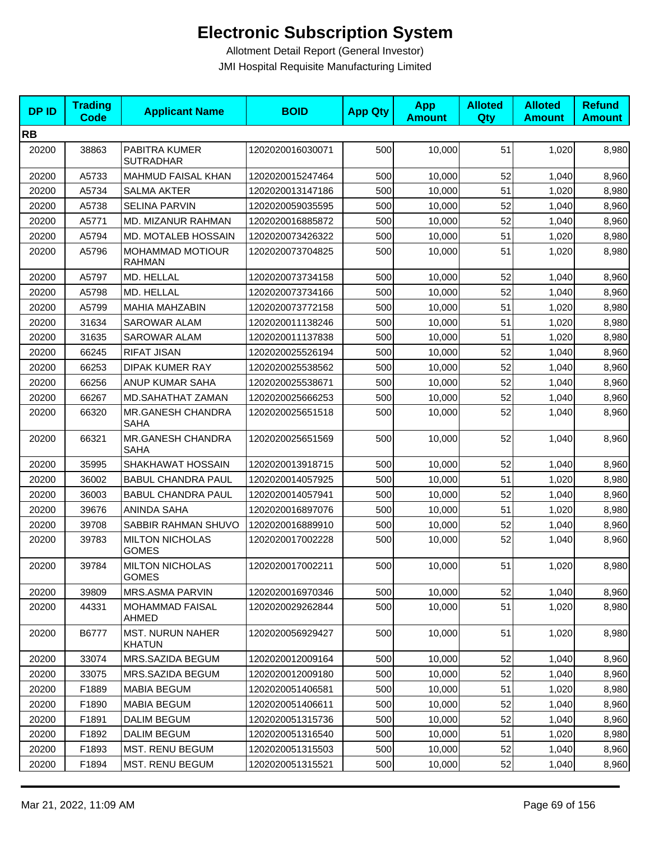| <b>DPID</b> | <b>Trading</b><br><b>Code</b> | <b>Applicant Name</b>                    | <b>BOID</b>      | <b>App Qty</b> | <b>App</b><br><b>Amount</b> | <b>Alloted</b><br>Qty | <b>Alloted</b><br><b>Amount</b> | <b>Refund</b><br><b>Amount</b> |
|-------------|-------------------------------|------------------------------------------|------------------|----------------|-----------------------------|-----------------------|---------------------------------|--------------------------------|
| <b>RB</b>   |                               |                                          |                  |                |                             |                       |                                 |                                |
| 20200       | 38863                         | PABITRA KUMER<br><b>SUTRADHAR</b>        | 1202020016030071 | 500            | 10,000                      | 51                    | 1,020                           | 8,980                          |
| 20200       | A5733                         | MAHMUD FAISAL KHAN                       | 1202020015247464 | 500            | 10,000                      | 52                    | 1,040                           | 8,960                          |
| 20200       | A5734                         | <b>SALMA AKTER</b>                       | 1202020013147186 | 500            | 10,000                      | 51                    | 1,020                           | 8,980                          |
| 20200       | A5738                         | <b>SELINA PARVIN</b>                     | 1202020059035595 | 500            | 10,000                      | 52                    | 1,040                           | 8,960                          |
| 20200       | A5771                         | MD. MIZANUR RAHMAN                       | 1202020016885872 | 500            | 10,000                      | 52                    | 1.040                           | 8,960                          |
| 20200       | A5794                         | MD. MOTALEB HOSSAIN                      | 1202020073426322 | 500            | 10,000                      | 51                    | 1,020                           | 8,980                          |
| 20200       | A5796                         | MOHAMMAD MOTIOUR<br><b>RAHMAN</b>        | 1202020073704825 | 500            | 10,000                      | 51                    | 1,020                           | 8,980                          |
| 20200       | A5797                         | MD. HELLAL                               | 1202020073734158 | 500            | 10,000                      | 52                    | 1,040                           | 8,960                          |
| 20200       | A5798                         | MD. HELLAL                               | 1202020073734166 | 500            | 10,000                      | 52                    | 1,040                           | 8,960                          |
| 20200       | A5799                         | <b>MAHIA MAHZABIN</b>                    | 1202020073772158 | 500            | 10,000                      | 51                    | 1,020                           | 8,980                          |
| 20200       | 31634                         | <b>SAROWAR ALAM</b>                      | 1202020011138246 | 500            | 10,000                      | 51                    | 1,020                           | 8,980                          |
| 20200       | 31635                         | <b>SAROWAR ALAM</b>                      | 1202020011137838 | 500            | 10,000                      | 51                    | 1,020                           | 8,980                          |
| 20200       | 66245                         | <b>RIFAT JISAN</b>                       | 1202020025526194 | 500            | 10,000                      | 52                    | 1,040                           | 8,960                          |
| 20200       | 66253                         | DIPAK KUMER RAY                          | 1202020025538562 | 500            | 10,000                      | 52                    | 1,040                           | 8,960                          |
| 20200       | 66256                         | ANUP KUMAR SAHA                          | 1202020025538671 | 500            | 10,000                      | 52                    | 1,040                           | 8,960                          |
| 20200       | 66267                         | MD.SAHATHAT ZAMAN                        | 1202020025666253 | 500            | 10,000                      | 52                    | 1,040                           | 8,960                          |
| 20200       | 66320                         | MR.GANESH CHANDRA<br>SAHA                | 1202020025651518 | 500            | 10,000                      | 52                    | 1,040                           | 8,960                          |
| 20200       | 66321                         | MR.GANESH CHANDRA<br>SAHA                | 1202020025651569 | 500            | 10,000                      | 52                    | 1,040                           | 8,960                          |
| 20200       | 35995                         | SHAKHAWAT HOSSAIN                        | 1202020013918715 | 500            | 10,000                      | 52                    | 1,040                           | 8,960                          |
| 20200       | 36002                         | <b>BABUL CHANDRA PAUL</b>                | 1202020014057925 | 500            | 10,000                      | 51                    | 1,020                           | 8,980                          |
| 20200       | 36003                         | <b>BABUL CHANDRA PAUL</b>                | 1202020014057941 | 500            | 10,000                      | 52                    | 1,040                           | 8,960                          |
| 20200       | 39676                         | <b>ANINDA SAHA</b>                       | 1202020016897076 | 500            | 10,000                      | 51                    | 1,020                           | 8,980                          |
| 20200       | 39708                         | SABBIR RAHMAN SHUVO                      | 1202020016889910 | 500            | 10,000                      | 52                    | 1,040                           | 8,960                          |
| 20200       | 39783                         | <b>MILTON NICHOLAS</b><br><b>GOMES</b>   | 1202020017002228 | 500            | 10,000                      | 52                    | 1,040                           | 8,960                          |
| 20200       | 39784                         | <b>MILTON NICHOLAS</b><br><b>GOMES</b>   | 1202020017002211 | 500            | 10,000                      | 51                    | 1,020                           | 8,980                          |
| 20200       | 39809                         | MRS.ASMA PARVIN                          | 1202020016970346 | 500            | 10,000                      | 52                    | 1,040                           | 8,960                          |
| 20200       | 44331                         | <b>MOHAMMAD FAISAL</b><br>AHMED          | 1202020029262844 | 500            | 10,000                      | 51                    | 1,020                           | 8,980                          |
| 20200       | B6777                         | <b>MST. NURUN NAHER</b><br><b>KHATUN</b> | 1202020056929427 | 500            | 10,000                      | 51                    | 1,020                           | 8,980                          |
| 20200       | 33074                         | MRS.SAZIDA BEGUM                         | 1202020012009164 | 500            | 10,000                      | 52                    | 1,040                           | 8,960                          |
| 20200       | 33075                         | MRS.SAZIDA BEGUM                         | 1202020012009180 | 500            | 10,000                      | 52                    | 1,040                           | 8,960                          |
| 20200       | F1889                         | <b>MABIA BEGUM</b>                       | 1202020051406581 | 500            | 10,000                      | 51                    | 1,020                           | 8,980                          |
| 20200       | F1890                         | <b>MABIA BEGUM</b>                       | 1202020051406611 | 500            | 10,000                      | 52                    | 1,040                           | 8,960                          |
| 20200       | F1891                         | <b>DALIM BEGUM</b>                       | 1202020051315736 | 500            | 10,000                      | 52                    | 1,040                           | 8,960                          |
| 20200       | F1892                         | <b>DALIM BEGUM</b>                       | 1202020051316540 | 500            | 10,000                      | 51                    | 1,020                           | 8,980                          |
| 20200       | F1893                         | MST. RENU BEGUM                          | 1202020051315503 | 500            | 10,000                      | 52                    | 1,040                           | 8,960                          |
| 20200       | F1894                         | MST. RENU BEGUM                          | 1202020051315521 | 500            | 10,000                      | 52                    | 1,040                           | 8,960                          |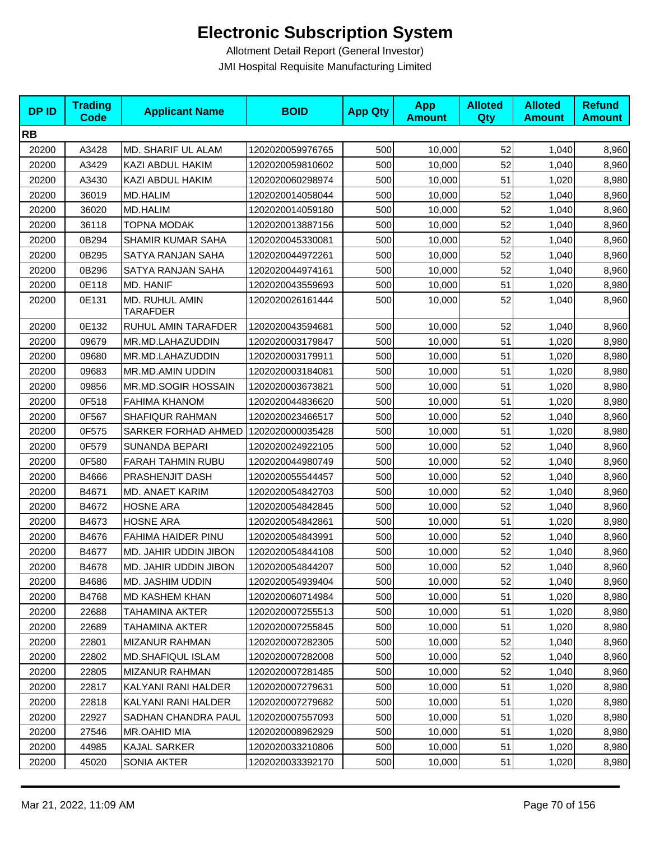| <b>DPID</b> | <b>Trading</b><br><b>Code</b> | <b>Applicant Name</b>             | <b>BOID</b>      | <b>App Qty</b> | <b>App</b><br><b>Amount</b> | <b>Alloted</b><br>Qty | <b>Alloted</b><br><b>Amount</b> | <b>Refund</b><br><b>Amount</b> |
|-------------|-------------------------------|-----------------------------------|------------------|----------------|-----------------------------|-----------------------|---------------------------------|--------------------------------|
| <b>RB</b>   |                               |                                   |                  |                |                             |                       |                                 |                                |
| 20200       | A3428                         | MD. SHARIF UL ALAM                | 1202020059976765 | 500            | 10,000                      | 52                    | 1,040                           | 8,960                          |
| 20200       | A3429                         | KAZI ABDUL HAKIM                  | 1202020059810602 | 500            | 10,000                      | 52                    | 1,040                           | 8,960                          |
| 20200       | A3430                         | KAZI ABDUL HAKIM                  | 1202020060298974 | 500            | 10,000                      | 51                    | 1,020                           | 8,980                          |
| 20200       | 36019                         | <b>MD.HALIM</b>                   | 1202020014058044 | 500            | 10,000                      | 52                    | 1,040                           | 8,960                          |
| 20200       | 36020                         | <b>MD.HALIM</b>                   | 1202020014059180 | 500            | 10,000                      | 52                    | 1,040                           | 8,960                          |
| 20200       | 36118                         | TOPNA MODAK                       | 1202020013887156 | 500            | 10,000                      | 52                    | 1,040                           | 8,960                          |
| 20200       | 0B294                         | SHAMIR KUMAR SAHA                 | 1202020045330081 | 500            | 10,000                      | 52                    | 1,040                           | 8,960                          |
| 20200       | 0B295                         | SATYA RANJAN SAHA                 | 1202020044972261 | 500            | 10,000                      | 52                    | 1,040                           | 8,960                          |
| 20200       | 0B296                         | SATYA RANJAN SAHA                 | 1202020044974161 | 500            | 10,000                      | 52                    | 1,040                           | 8,960                          |
| 20200       | 0E118                         | MD. HANIF                         | 1202020043559693 | 500            | 10,000                      | 51                    | 1,020                           | 8,980                          |
| 20200       | 0E131                         | MD. RUHUL AMIN<br><b>TARAFDER</b> | 1202020026161444 | 500            | 10,000                      | 52                    | 1,040                           | 8,960                          |
| 20200       | 0E132                         | RUHUL AMIN TARAFDER               | 1202020043594681 | 500            | 10,000                      | 52                    | 1,040                           | 8,960                          |
| 20200       | 09679                         | MR.MD.LAHAZUDDIN                  | 1202020003179847 | 500            | 10,000                      | 51                    | 1,020                           | 8,980                          |
| 20200       | 09680                         | MR.MD.LAHAZUDDIN                  | 1202020003179911 | 500            | 10,000                      | 51                    | 1,020                           | 8,980                          |
| 20200       | 09683                         | MR.MD.AMIN UDDIN                  | 1202020003184081 | 500            | 10,000                      | 51                    | 1,020                           | 8,980                          |
| 20200       | 09856                         | MR.MD.SOGIR HOSSAIN               | 1202020003673821 | 500            | 10,000                      | 51                    | 1,020                           | 8,980                          |
| 20200       | 0F518                         | <b>FAHIMA KHANOM</b>              | 1202020044836620 | 500            | 10,000                      | 51                    | 1,020                           | 8,980                          |
| 20200       | 0F567                         | SHAFIQUR RAHMAN                   | 1202020023466517 | 500            | 10,000                      | 52                    | 1,040                           | 8,960                          |
| 20200       | 0F575                         | SARKER FORHAD AHMED               | 1202020000035428 | 500            | 10,000                      | 51                    | 1,020                           | 8,980                          |
| 20200       | 0F579                         | <b>SUNANDA BEPARI</b>             | 1202020024922105 | 500            | 10,000                      | 52                    | 1,040                           | 8,960                          |
| 20200       | 0F580                         | FARAH TAHMIN RUBU                 | 1202020044980749 | 500            | 10,000                      | 52                    | 1,040                           | 8,960                          |
| 20200       | B4666                         | PRASHENJIT DASH                   | 1202020055544457 | 500            | 10,000                      | 52                    | 1,040                           | 8,960                          |
| 20200       | B4671                         | MD. ANAET KARIM                   | 1202020054842703 | 500            | 10,000                      | 52                    | 1,040                           | 8,960                          |
| 20200       | B4672                         | <b>HOSNE ARA</b>                  | 1202020054842845 | 500            | 10,000                      | 52                    | 1,040                           | 8,960                          |
| 20200       | B4673                         | <b>HOSNE ARA</b>                  | 1202020054842861 | 500            | 10,000                      | 51                    | 1,020                           | 8,980                          |
| 20200       | B4676                         | FAHIMA HAIDER PINU                | 1202020054843991 | 500            | 10,000                      | 52                    | 1,040                           | 8,960                          |
| 20200       | B4677                         | MD. JAHIR UDDIN JIBON             | 1202020054844108 | 500            | 10,000                      | 52                    | 1,040                           | 8,960                          |
| 20200       | B4678                         | MD. JAHIR UDDIN JIBON             | 1202020054844207 | 500            | 10,000                      | 52                    | 1,040                           | 8,960                          |
| 20200       | B4686                         | MD. JASHIM UDDIN                  | 1202020054939404 | 500            | 10,000                      | 52                    | 1,040                           | 8,960                          |
| 20200       | B4768                         | <b>MD KASHEM KHAN</b>             | 1202020060714984 | 500            | 10,000                      | 51                    | 1,020                           | 8,980                          |
| 20200       | 22688                         | TAHAMINA AKTER                    | 1202020007255513 | 500            | 10,000                      | 51                    | 1,020                           | 8,980                          |
| 20200       | 22689                         | TAHAMINA AKTER                    | 1202020007255845 | 500            | 10,000                      | 51                    | 1,020                           | 8,980                          |
| 20200       | 22801                         | <b>MIZANUR RAHMAN</b>             | 1202020007282305 | 500            | 10,000                      | 52                    | 1,040                           | 8,960                          |
| 20200       | 22802                         | <b>MD.SHAFIQUL ISLAM</b>          | 1202020007282008 | 500            | 10,000                      | 52                    | 1,040                           | 8,960                          |
| 20200       | 22805                         | <b>MIZANUR RAHMAN</b>             | 1202020007281485 | 500            | 10,000                      | 52                    | 1,040                           | 8,960                          |
| 20200       | 22817                         | KALYANI RANI HALDER               | 1202020007279631 | 500            | 10,000                      | 51                    | 1,020                           | 8,980                          |
| 20200       | 22818                         | KALYANI RANI HALDER               | 1202020007279682 | 500            | 10,000                      | 51                    | 1,020                           | 8,980                          |
| 20200       | 22927                         | <b>SADHAN CHANDRA PAUL</b>        | 1202020007557093 | 500            | 10,000                      | 51                    | 1,020                           | 8,980                          |
| 20200       | 27546                         | MR.OAHID MIA                      | 1202020008962929 | 500            | 10,000                      | 51                    | 1,020                           | 8,980                          |
| 20200       | 44985                         | <b>KAJAL SARKER</b>               | 1202020033210806 | 500            | 10,000                      | 51                    | 1,020                           | 8,980                          |
| 20200       | 45020                         | SONIA AKTER                       | 1202020033392170 | 500            | 10,000                      | 51                    | 1,020                           | 8,980                          |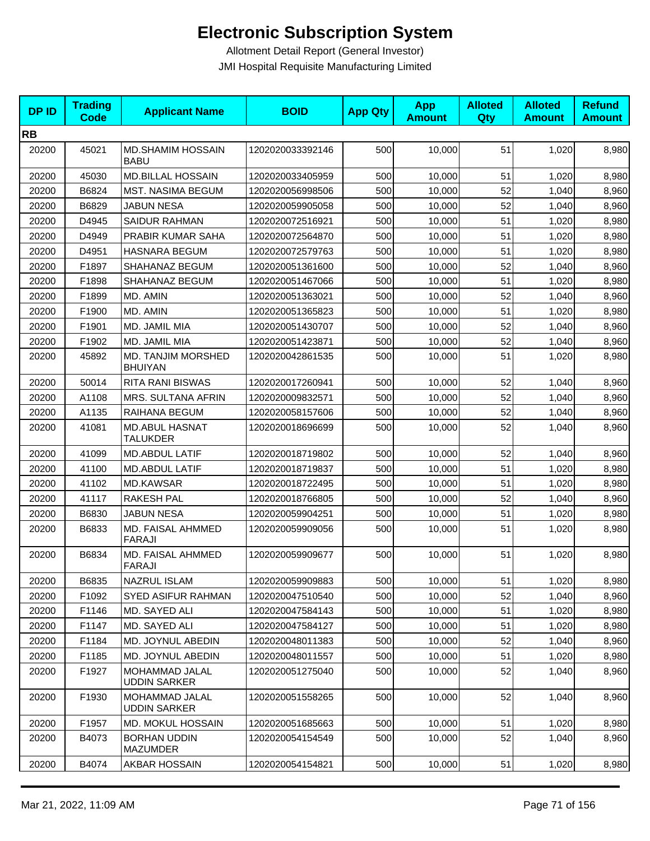| <b>DPID</b> | <b>Trading</b><br><b>Code</b> | <b>Applicant Name</b>                    | <b>BOID</b>      | <b>App Qty</b> | <b>App</b><br><b>Amount</b> | <b>Alloted</b><br>Qty | <b>Alloted</b><br><b>Amount</b> | <b>Refund</b><br><b>Amount</b> |
|-------------|-------------------------------|------------------------------------------|------------------|----------------|-----------------------------|-----------------------|---------------------------------|--------------------------------|
| <b>RB</b>   |                               |                                          |                  |                |                             |                       |                                 |                                |
| 20200       | 45021                         | <b>MD.SHAMIM HOSSAIN</b><br><b>BABU</b>  | 1202020033392146 | 500            | 10,000                      | 51                    | 1,020                           | 8,980                          |
| 20200       | 45030                         | <b>MD.BILLAL HOSSAIN</b>                 | 1202020033405959 | 500            | 10,000                      | 51                    | 1,020                           | 8,980                          |
| 20200       | B6824                         | <b>MST. NASIMA BEGUM</b>                 | 1202020056998506 | 500            | 10,000                      | 52                    | 1,040                           | 8,960                          |
| 20200       | B6829                         | JABUN NESA                               | 1202020059905058 | 500            | 10,000                      | 52                    | 1,040                           | 8,960                          |
| 20200       | D4945                         | <b>SAIDUR RAHMAN</b>                     | 1202020072516921 | 500            | 10,000                      | 51                    | 1,020                           | 8,980                          |
| 20200       | D4949                         | PRABIR KUMAR SAHA                        | 1202020072564870 | 500            | 10,000                      | 51                    | 1,020                           | 8,980                          |
| 20200       | D4951                         | <b>HASNARA BEGUM</b>                     | 1202020072579763 | 500            | 10,000                      | 51                    | 1,020                           | 8,980                          |
| 20200       | F1897                         | SHAHANAZ BEGUM                           | 1202020051361600 | 500            | 10,000                      | 52                    | 1,040                           | 8,960                          |
| 20200       | F1898                         | SHAHANAZ BEGUM                           | 1202020051467066 | 500            | 10,000                      | 51                    | 1,020                           | 8,980                          |
| 20200       | F1899                         | MD. AMIN                                 | 1202020051363021 | 500            | 10,000                      | 52                    | 1,040                           | 8,960                          |
| 20200       | F1900                         | MD. AMIN                                 | 1202020051365823 | 500            | 10,000                      | 51                    | 1,020                           | 8,980                          |
| 20200       | F1901                         | MD. JAMIL MIA                            | 1202020051430707 | 500            | 10,000                      | 52                    | 1,040                           | 8,960                          |
| 20200       | F1902                         | MD. JAMIL MIA                            | 1202020051423871 | 500            | 10,000                      | 52                    | 1,040                           | 8,960                          |
| 20200       | 45892                         | MD. TANJIM MORSHED<br><b>BHUIYAN</b>     | 1202020042861535 | 500            | 10,000                      | 51                    | 1,020                           | 8,980                          |
| 20200       | 50014                         | <b>RITA RANI BISWAS</b>                  | 1202020017260941 | 500            | 10,000                      | 52                    | 1,040                           | 8,960                          |
| 20200       | A1108                         | <b>MRS. SULTANA AFRIN</b>                | 1202020009832571 | 500            | 10,000                      | 52                    | 1,040                           | 8,960                          |
| 20200       | A1135                         | RAIHANA BEGUM                            | 1202020058157606 | 500            | 10,000                      | 52                    | 1,040                           | 8,960                          |
| 20200       | 41081                         | <b>MD.ABUL HASNAT</b><br><b>TALUKDER</b> | 1202020018696699 | 500            | 10,000                      | 52                    | 1,040                           | 8,960                          |
| 20200       | 41099                         | <b>MD.ABDUL LATIF</b>                    | 1202020018719802 | 500            | 10,000                      | 52                    | 1,040                           | 8,960                          |
| 20200       | 41100                         | <b>MD.ABDUL LATIF</b>                    | 1202020018719837 | 500            | 10,000                      | 51                    | 1,020                           | 8,980                          |
| 20200       | 41102                         | <b>MD.KAWSAR</b>                         | 1202020018722495 | 500            | 10,000                      | 51                    | 1,020                           | 8,980                          |
| 20200       | 41117                         | RAKESH PAL                               | 1202020018766805 | 500            | 10,000                      | 52                    | 1,040                           | 8,960                          |
| 20200       | B6830                         | <b>JABUN NESA</b>                        | 1202020059904251 | 500            | 10,000                      | 51                    | 1,020                           | 8,980                          |
| 20200       | B6833                         | MD. FAISAL AHMMED<br>FARAJI              | 1202020059909056 | 500            | 10,000                      | 51                    | 1,020                           | 8,980                          |
| 20200       | B6834                         | MD. FAISAL AHMMED<br>FARAJI              | 1202020059909677 | 500            | 10,000                      | 51                    | 1,020                           | 8,980                          |
| 20200       | B6835                         | <b>NAZRUL ISLAM</b>                      | 1202020059909883 | 500            | 10,000                      | 51                    | 1,020                           | 8,980                          |
| 20200       | F1092                         | <b>SYED ASIFUR RAHMAN</b>                | 1202020047510540 | 500            | 10,000                      | 52                    | 1,040                           | 8,960                          |
| 20200       | F1146                         | MD. SAYED ALI                            | 1202020047584143 | 500            | 10,000                      | 51                    | 1,020                           | 8,980                          |
| 20200       | F1147                         | MD. SAYED ALI                            | 1202020047584127 | 500            | 10,000                      | 51                    | 1,020                           | 8,980                          |
| 20200       | F1184                         | MD. JOYNUL ABEDIN                        | 1202020048011383 | 500            | 10,000                      | 52                    | 1,040                           | 8,960                          |
| 20200       | F1185                         | MD. JOYNUL ABEDIN                        | 1202020048011557 | 500            | 10,000                      | 51                    | 1,020                           | 8,980                          |
| 20200       | F1927                         | MOHAMMAD JALAL<br><b>UDDIN SARKER</b>    | 1202020051275040 | 500            | 10,000                      | 52                    | 1,040                           | 8,960                          |
| 20200       | F1930                         | MOHAMMAD JALAL<br><b>UDDIN SARKER</b>    | 1202020051558265 | 500            | 10,000                      | 52                    | 1,040                           | 8,960                          |
| 20200       | F1957                         | MD. MOKUL HOSSAIN                        | 1202020051685663 | 500            | 10,000                      | 51                    | 1,020                           | 8,980                          |
| 20200       | B4073                         | <b>BORHAN UDDIN</b><br><b>MAZUMDER</b>   | 1202020054154549 | 500            | 10,000                      | 52                    | 1,040                           | 8,960                          |
| 20200       | B4074                         | AKBAR HOSSAIN                            | 1202020054154821 | 500            | 10,000                      | 51                    | 1,020                           | 8,980                          |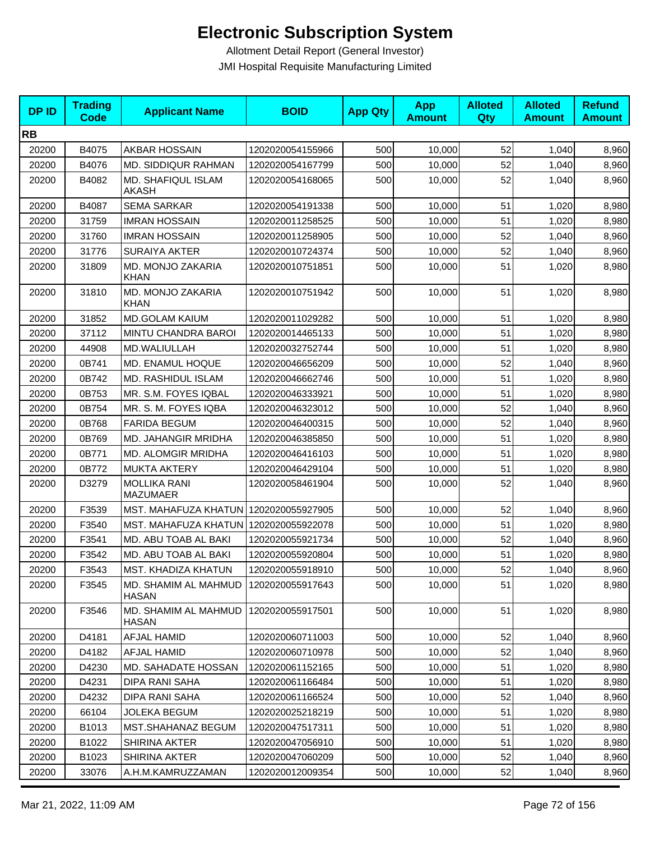| <b>DPID</b> | <b>Trading</b><br><b>Code</b> | <b>Applicant Name</b>                   | <b>BOID</b>      | <b>App Qty</b> | <b>App</b><br><b>Amount</b> | <b>Alloted</b><br>Qty | <b>Alloted</b><br><b>Amount</b> | <b>Refund</b><br><b>Amount</b> |
|-------------|-------------------------------|-----------------------------------------|------------------|----------------|-----------------------------|-----------------------|---------------------------------|--------------------------------|
| <b>RB</b>   |                               |                                         |                  |                |                             |                       |                                 |                                |
| 20200       | B4075                         | AKBAR HOSSAIN                           | 1202020054155966 | 500            | 10,000                      | 52                    | 1,040                           | 8,960                          |
| 20200       | B4076                         | MD. SIDDIQUR RAHMAN                     | 1202020054167799 | 500            | 10,000                      | 52                    | 1,040                           | 8,960                          |
| 20200       | B4082                         | MD. SHAFIQUL ISLAM<br>AKASH             | 1202020054168065 | 500            | 10,000                      | 52                    | 1,040                           | 8,960                          |
| 20200       | B4087                         | <b>SEMA SARKAR</b>                      | 1202020054191338 | 500            | 10,000                      | 51                    | 1,020                           | 8,980                          |
| 20200       | 31759                         | <b>IMRAN HOSSAIN</b>                    | 1202020011258525 | 500            | 10,000                      | 51                    | 1,020                           | 8,980                          |
| 20200       | 31760                         | <b>IMRAN HOSSAIN</b>                    | 1202020011258905 | 500            | 10,000                      | 52                    | 1,040                           | 8,960                          |
| 20200       | 31776                         | <b>SURAIYA AKTER</b>                    | 1202020010724374 | 500            | 10,000                      | 52                    | 1,040                           | 8,960                          |
| 20200       | 31809                         | MD. MONJO ZAKARIA<br>KHAN               | 1202020010751851 | 500            | 10,000                      | 51                    | 1,020                           | 8,980                          |
| 20200       | 31810                         | MD. MONJO ZAKARIA<br><b>KHAN</b>        | 1202020010751942 | 500            | 10,000                      | 51                    | 1,020                           | 8,980                          |
| 20200       | 31852                         | <b>MD.GOLAM KAIUM</b>                   | 1202020011029282 | 500            | 10,000                      | 51                    | 1,020                           | 8,980                          |
| 20200       | 37112                         | <b>MINTU CHANDRA BAROI</b>              | 1202020014465133 | 500            | 10,000                      | 51                    | 1,020                           | 8,980                          |
| 20200       | 44908                         | MD.WALIULLAH                            | 1202020032752744 | 500            | 10,000                      | 51                    | 1,020                           | 8,980                          |
| 20200       | 0B741                         | MD. ENAMUL HOQUE                        | 1202020046656209 | 500            | 10,000                      | 52                    | 1,040                           | 8,960                          |
| 20200       | 0B742                         | MD. RASHIDUL ISLAM                      | 1202020046662746 | 500            | 10,000                      | 51                    | 1,020                           | 8,980                          |
| 20200       | 0B753                         | MR. S.M. FOYES IQBAL                    | 1202020046333921 | 500            | 10,000                      | 51                    | 1,020                           | 8,980                          |
| 20200       | 0B754                         | MR. S. M. FOYES IQBA                    | 1202020046323012 | 500            | 10,000                      | 52                    | 1,040                           | 8,960                          |
| 20200       | 0B768                         | <b>FARIDA BEGUM</b>                     | 1202020046400315 | 500            | 10,000                      | 52                    | 1,040                           | 8,960                          |
| 20200       | 0B769                         | MD. JAHANGIR MRIDHA                     | 1202020046385850 | 500            | 10,000                      | 51                    | 1,020                           | 8,980                          |
| 20200       | 0B771                         | MD. ALOMGIR MRIDHA                      | 1202020046416103 | 500            | 10,000                      | 51                    | 1,020                           | 8,980                          |
| 20200       | 0B772                         | <b>MUKTA AKTERY</b>                     | 1202020046429104 | 500            | 10,000                      | 51                    | 1,020                           | 8,980                          |
| 20200       | D3279                         | <b>MOLLIKA RANI</b><br><b>MAZUMAER</b>  | 1202020058461904 | 500            | 10,000                      | 52                    | 1,040                           | 8,960                          |
| 20200       | F3539                         | MST. MAHAFUZA KHATUN   1202020055927905 |                  | 500            | 10,000                      | 52                    | 1,040                           | 8,960                          |
| 20200       | F3540                         | MST. MAHAFUZA KHATUN   1202020055922078 |                  | 500            | 10,000                      | 51                    | 1,020                           | 8,980                          |
| 20200       | F3541                         | MD. ABU TOAB AL BAKI                    | 1202020055921734 | 500            | 10,000                      | 52                    | 1,040                           | 8,960                          |
| 20200       | F3542                         | MD. ABU TOAB AL BAKI                    | 1202020055920804 | 500            | 10,000                      | 51                    | 1,020                           | 8,980                          |
| 20200       | F3543                         | MST. KHADIZA KHATUN                     | 1202020055918910 | 500            | 10,000                      | 52                    | 1,040                           | 8,960                          |
| 20200       | F3545                         | MD. SHAMIM AL MAHMUD<br>HASAN           | 1202020055917643 | 500            | 10,000                      | 51                    | 1,020                           | 8,980                          |
| 20200       | F3546                         | MD. SHAMIM AL MAHMUD<br><b>HASAN</b>    | 1202020055917501 | 500            | 10,000                      | 51                    | 1,020                           | 8,980                          |
| 20200       | D4181                         | <b>AFJAL HAMID</b>                      | 1202020060711003 | 500            | 10,000                      | 52                    | 1,040                           | 8,960                          |
| 20200       | D4182                         | AFJAL HAMID                             | 1202020060710978 | 500            | 10,000                      | 52                    | 1,040                           | 8,960                          |
| 20200       | D4230                         | <b>MD. SAHADATE HOSSAN</b>              | 1202020061152165 | 500            | 10,000                      | 51                    | 1,020                           | 8,980                          |
| 20200       | D4231                         | DIPA RANI SAHA                          | 1202020061166484 | 500            | 10,000                      | 51                    | 1,020                           | 8,980                          |
| 20200       | D4232                         | <b>DIPA RANI SAHA</b>                   | 1202020061166524 | 500            | 10,000                      | 52                    | 1,040                           | 8,960                          |
| 20200       | 66104                         | <b>JOLEKA BEGUM</b>                     | 1202020025218219 | 500            | 10,000                      | 51                    | 1,020                           | 8,980                          |
| 20200       | B1013                         | MST.SHAHANAZ BEGUM                      | 1202020047517311 | 500            | 10,000                      | 51                    | 1,020                           | 8,980                          |
| 20200       | B1022                         | SHIRINA AKTER                           | 1202020047056910 | 500            | 10,000                      | 51                    | 1,020                           | 8,980                          |
| 20200       | B1023                         | SHIRINA AKTER                           | 1202020047060209 | 500            | 10,000                      | 52                    | 1,040                           | 8,960                          |
| 20200       | 33076                         | A.H.M.KAMRUZZAMAN                       | 1202020012009354 | 500            | 10,000                      | 52                    | 1,040                           | 8,960                          |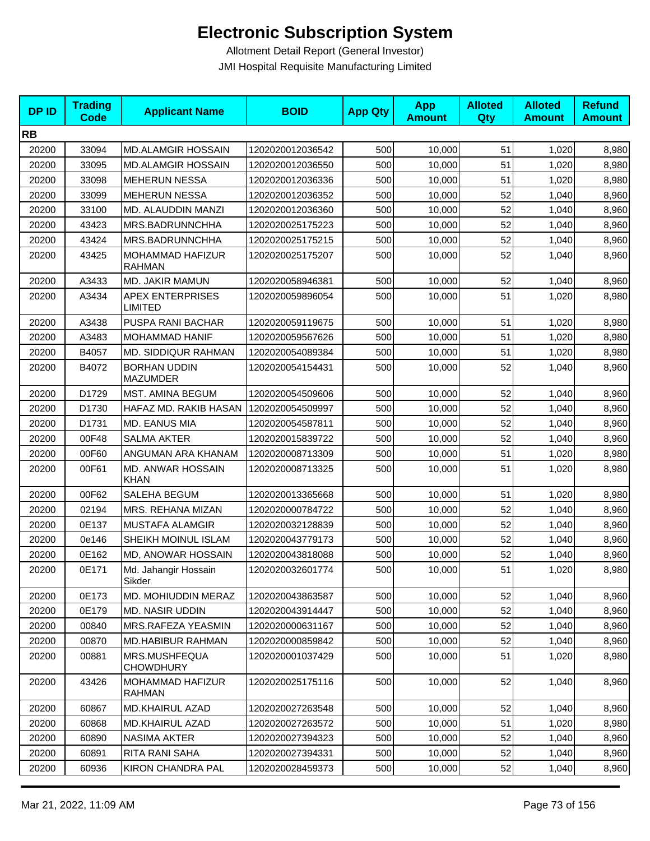| <b>DPID</b> | <b>Trading</b><br><b>Code</b> | <b>Applicant Name</b>                     | <b>BOID</b>      | <b>App Qty</b> | <b>App</b><br><b>Amount</b> | <b>Alloted</b><br>Qty | <b>Alloted</b><br><b>Amount</b> | <b>Refund</b><br><b>Amount</b> |
|-------------|-------------------------------|-------------------------------------------|------------------|----------------|-----------------------------|-----------------------|---------------------------------|--------------------------------|
| <b>RB</b>   |                               |                                           |                  |                |                             |                       |                                 |                                |
| 20200       | 33094                         | <b>MD.ALAMGIR HOSSAIN</b>                 | 1202020012036542 | 500            | 10,000                      | 51                    | 1,020                           | 8,980                          |
| 20200       | 33095                         | <b>MD.ALAMGIR HOSSAIN</b>                 | 1202020012036550 | 500            | 10,000                      | 51                    | 1,020                           | 8,980                          |
| 20200       | 33098                         | <b>MEHERUN NESSA</b>                      | 1202020012036336 | 500            | 10,000                      | 51                    | 1,020                           | 8,980                          |
| 20200       | 33099                         | <b>MEHERUN NESSA</b>                      | 1202020012036352 | 500            | 10,000                      | 52                    | 1,040                           | 8,960                          |
| 20200       | 33100                         | MD. ALAUDDIN MANZI                        | 1202020012036360 | 500            | 10,000                      | 52                    | 1,040                           | 8,960                          |
| 20200       | 43423                         | MRS.BADRUNNCHHA                           | 1202020025175223 | 500            | 10,000                      | 52                    | 1,040                           | 8,960                          |
| 20200       | 43424                         | MRS.BADRUNNCHHA                           | 1202020025175215 | 500            | 10,000                      | 52                    | 1,040                           | 8,960                          |
| 20200       | 43425                         | MOHAMMAD HAFIZUR<br><b>RAHMAN</b>         | 1202020025175207 | 500            | 10,000                      | 52                    | 1,040                           | 8,960                          |
| 20200       | A3433                         | MD. JAKIR MAMUN                           | 1202020058946381 | 500            | 10,000                      | 52                    | 1,040                           | 8,960                          |
| 20200       | A3434                         | <b>APEX ENTERPRISES</b><br><b>LIMITED</b> | 1202020059896054 | 500            | 10,000                      | 51                    | 1,020                           | 8,980                          |
| 20200       | A3438                         | PUSPA RANI BACHAR                         | 1202020059119675 | 500            | 10.000                      | 51                    | 1,020                           | 8,980                          |
| 20200       | A3483                         | MOHAMMAD HANIF                            | 1202020059567626 | 500            | 10,000                      | 51                    | 1,020                           | 8,980                          |
| 20200       | B4057                         | MD. SIDDIQUR RAHMAN                       | 1202020054089384 | 500            | 10,000                      | 51                    | 1,020                           | 8,980                          |
| 20200       | B4072                         | <b>BORHAN UDDIN</b><br><b>MAZUMDER</b>    | 1202020054154431 | 500            | 10,000                      | 52                    | 1,040                           | 8,960                          |
| 20200       | D1729                         | MST. AMINA BEGUM                          | 1202020054509606 | 500            | 10,000                      | 52                    | 1,040                           | 8,960                          |
| 20200       | D1730                         | HAFAZ MD. RAKIB HASAN                     | 1202020054509997 | 500            | 10,000                      | 52                    | 1,040                           | 8,960                          |
| 20200       | D1731                         | MD. EANUS MIA                             | 1202020054587811 | 500            | 10,000                      | 52                    | 1,040                           | 8,960                          |
| 20200       | 00F48                         | <b>SALMA AKTER</b>                        | 1202020015839722 | 500            | 10,000                      | 52                    | 1,040                           | 8,960                          |
| 20200       | 00F60                         | ANGUMAN ARA KHANAM                        | 1202020008713309 | 500            | 10,000                      | 51                    | 1,020                           | 8,980                          |
| 20200       | 00F61                         | MD. ANWAR HOSSAIN<br><b>KHAN</b>          | 1202020008713325 | 500            | 10,000                      | 51                    | 1,020                           | 8,980                          |
| 20200       | 00F62                         | SALEHA BEGUM                              | 1202020013365668 | 500            | 10,000                      | 51                    | 1,020                           | 8,980                          |
| 20200       | 02194                         | MRS. REHANA MIZAN                         | 1202020000784722 | 500            | 10,000                      | 52                    | 1,040                           | 8,960                          |
| 20200       | 0E137                         | <b>MUSTAFA ALAMGIR</b>                    | 1202020032128839 | 500            | 10,000                      | 52                    | 1,040                           | 8,960                          |
| 20200       | 0e146                         | SHEIKH MOINUL ISLAM                       | 1202020043779173 | 500            | 10,000                      | 52                    | 1,040                           | 8,960                          |
| 20200       | 0E162                         | MD, ANOWAR HOSSAIN                        | 1202020043818088 | 500            | 10,000                      | 52                    | 1,040                           | 8,960                          |
| 20200       | 0E171                         | Md. Jahangir Hossain<br>Sikder            | 1202020032601774 | 500            | 10,000                      | 51                    | 1,020                           | 8,980                          |
| 20200       | 0E173                         | MD. MOHIUDDIN MERAZ                       | 1202020043863587 | 500            | 10,000                      | 52                    | 1,040                           | 8,960                          |
| 20200       | 0E179                         | <b>MD. NASIR UDDIN</b>                    | 1202020043914447 | 500            | 10,000                      | 52                    | 1,040                           | 8,960                          |
| 20200       | 00840                         | MRS.RAFEZA YEASMIN                        | 1202020000631167 | 500            | 10,000                      | 52                    | 1,040                           | 8,960                          |
| 20200       | 00870                         | <b>MD.HABIBUR RAHMAN</b>                  | 1202020000859842 | 500            | 10,000                      | 52                    | 1,040                           | 8,960                          |
| 20200       | 00881                         | MRS.MUSHFEQUA<br><b>CHOWDHURY</b>         | 1202020001037429 | 500            | 10,000                      | 51                    | 1,020                           | 8,980                          |
| 20200       | 43426                         | MOHAMMAD HAFIZUR<br><b>RAHMAN</b>         | 1202020025175116 | 500            | 10,000                      | 52                    | 1,040                           | 8,960                          |
| 20200       | 60867                         | <b>MD.KHAIRUL AZAD</b>                    | 1202020027263548 | 500            | 10,000                      | 52                    | 1,040                           | 8,960                          |
| 20200       | 60868                         | <b>MD.KHAIRUL AZAD</b>                    | 1202020027263572 | 500            | 10,000                      | 51                    | 1,020                           | 8,980                          |
| 20200       | 60890                         | NASIMA AKTER                              | 1202020027394323 | 500            | 10,000                      | 52                    | 1,040                           | 8,960                          |
| 20200       | 60891                         | RITA RANI SAHA                            | 1202020027394331 | 500            | 10,000                      | 52                    | 1,040                           | 8,960                          |
| 20200       | 60936                         | <b>KIRON CHANDRA PAL</b>                  | 1202020028459373 | 500            | 10,000                      | 52                    | 1,040                           | 8,960                          |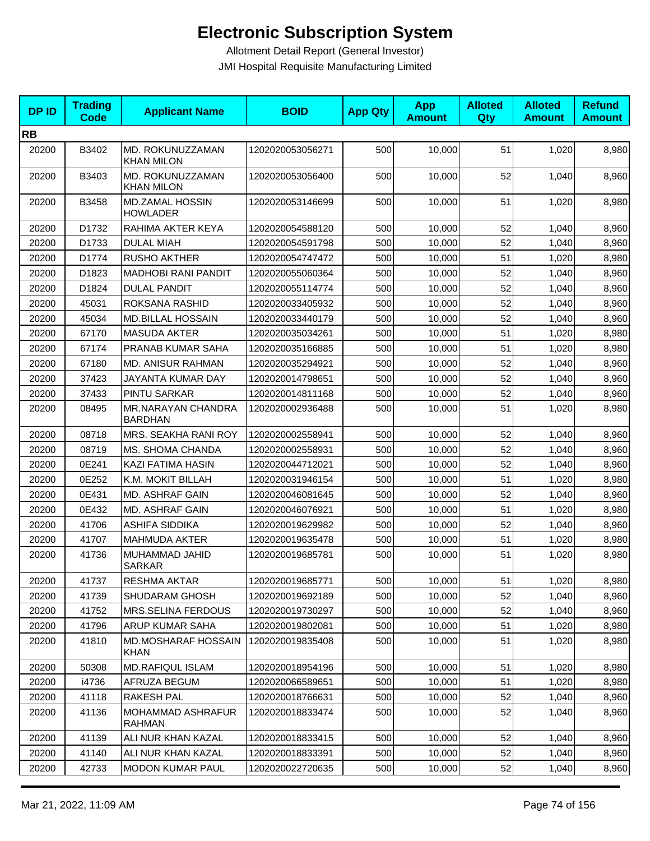| <b>DPID</b> | <b>Trading</b><br><b>Code</b> | <b>Applicant Name</b>                     | <b>BOID</b>      | <b>App Qty</b> | <b>App</b><br><b>Amount</b> | <b>Alloted</b><br><b>Qty</b> | <b>Alloted</b><br><b>Amount</b> | <b>Refund</b><br><b>Amount</b> |
|-------------|-------------------------------|-------------------------------------------|------------------|----------------|-----------------------------|------------------------------|---------------------------------|--------------------------------|
| <b>RB</b>   |                               |                                           |                  |                |                             |                              |                                 |                                |
| 20200       | B3402                         | MD. ROKUNUZZAMAN<br><b>KHAN MILON</b>     | 1202020053056271 | 500            | 10,000                      | 51                           | 1,020                           | 8,980                          |
| 20200       | B3403                         | MD. ROKUNUZZAMAN<br><b>KHAN MILON</b>     | 1202020053056400 | 500            | 10,000                      | 52                           | 1,040                           | 8,960                          |
| 20200       | B3458                         | MD.ZAMAL HOSSIN<br><b>HOWLADER</b>        | 1202020053146699 | 500            | 10,000                      | 51                           | 1,020                           | 8,980                          |
| 20200       | D1732                         | RAHIMA AKTER KEYA                         | 1202020054588120 | 500            | 10,000                      | 52                           | 1,040                           | 8,960                          |
| 20200       | D1733                         | <b>DULAL MIAH</b>                         | 1202020054591798 | 500            | 10,000                      | 52                           | 1,040                           | 8,960                          |
| 20200       | D1774                         | <b>RUSHO AKTHER</b>                       | 1202020054747472 | 500            | 10,000                      | 51                           | 1,020                           | 8,980                          |
| 20200       | D1823                         | <b>MADHOBI RANI PANDIT</b>                | 1202020055060364 | 500            | 10,000                      | 52                           | 1,040                           | 8,960                          |
| 20200       | D1824                         | <b>DULAL PANDIT</b>                       | 1202020055114774 | 500            | 10,000                      | 52                           | 1,040                           | 8,960                          |
| 20200       | 45031                         | ROKSANA RASHID                            | 1202020033405932 | 500            | 10,000                      | 52                           | 1,040                           | 8,960                          |
| 20200       | 45034                         | <b>MD.BILLAL HOSSAIN</b>                  | 1202020033440179 | 500            | 10,000                      | 52                           | 1,040                           | 8,960                          |
| 20200       | 67170                         | <b>MASUDA AKTER</b>                       | 1202020035034261 | 500            | 10,000                      | 51                           | 1,020                           | 8,980                          |
| 20200       | 67174                         | PRANAB KUMAR SAHA                         | 1202020035166885 | 500            | 10,000                      | 51                           | 1,020                           | 8,980                          |
| 20200       | 67180                         | MD. ANISUR RAHMAN                         | 1202020035294921 | 500            | 10,000                      | 52                           | 1,040                           | 8,960                          |
| 20200       | 37423                         | JAYANTA KUMAR DAY                         | 1202020014798651 | 500            | 10,000                      | 52                           | 1,040                           | 8,960                          |
| 20200       | 37433                         | PINTU SARKAR                              | 1202020014811168 | 500            | 10,000                      | 52                           | 1,040                           | 8,960                          |
| 20200       | 08495                         | MR.NARAYAN CHANDRA<br><b>BARDHAN</b>      | 1202020002936488 | 500            | 10,000                      | 51                           | 1,020                           | 8,980                          |
| 20200       | 08718                         | MRS. SEAKHA RANI ROY                      | 1202020002558941 | 500            | 10,000                      | 52                           | 1,040                           | 8,960                          |
| 20200       | 08719                         | MS. SHOMA CHANDA                          | 1202020002558931 | 500            | 10,000                      | 52                           | 1,040                           | 8,960                          |
| 20200       | 0E241                         | KAZI FATIMA HASIN                         | 1202020044712021 | 500            | 10,000                      | 52                           | 1,040                           | 8,960                          |
| 20200       | 0E252                         | K.M. MOKIT BILLAH                         | 1202020031946154 | 500            | 10,000                      | 51                           | 1,020                           | 8,980                          |
| 20200       | 0E431                         | <b>MD. ASHRAF GAIN</b>                    | 1202020046081645 | 500            | 10,000                      | 52                           | 1,040                           | 8,960                          |
| 20200       | 0E432                         | MD. ASHRAF GAIN                           | 1202020046076921 | 500            | 10,000                      | 51                           | 1,020                           | 8,980                          |
| 20200       | 41706                         | <b>ASHIFA SIDDIKA</b>                     | 1202020019629982 | 500            | 10,000                      | 52                           | 1,040                           | 8,960                          |
| 20200       | 41707                         | <b>MAHMUDA AKTER</b>                      | 1202020019635478 | 500            | 10,000                      | 51                           | 1,020                           | 8,980                          |
| 20200       | 41736                         | MUHAMMAD JAHID<br><b>SARKAR</b>           | 1202020019685781 | 500            | 10,000                      | 51                           | 1,020                           | 8,980                          |
| 20200       | 41737                         | <b>RESHMA AKTAR</b>                       | 1202020019685771 | 500            | 10,000                      | 51                           | 1,020                           | 8,980                          |
| 20200       | 41739                         | SHUDARAM GHOSH                            | 1202020019692189 | 500            | 10,000                      | 52                           | 1,040                           | 8,960                          |
| 20200       | 41752                         | MRS.SELINA FERDOUS                        | 1202020019730297 | 500            | 10,000                      | 52                           | 1,040                           | 8,960                          |
| 20200       | 41796                         | <b>ARUP KUMAR SAHA</b>                    | 1202020019802081 | 500            | 10,000                      | 51                           | 1,020                           | 8,980                          |
| 20200       | 41810                         | <b>MD.MOSHARAF HOSSAIN</b><br><b>KHAN</b> | 1202020019835408 | 500            | 10,000                      | 51                           | 1,020                           | 8,980                          |
| 20200       | 50308                         | <b>MD.RAFIQUL ISLAM</b>                   | 1202020018954196 | 500            | 10,000                      | 51                           | 1,020                           | 8,980                          |
| 20200       | i4736                         | AFRUZA BEGUM                              | 1202020066589651 | 500            | 10,000                      | 51                           | 1,020                           | 8,980                          |
| 20200       | 41118                         | RAKESH PAL                                | 1202020018766631 | 500            | 10,000                      | 52                           | 1,040                           | 8,960                          |
| 20200       | 41136                         | MOHAMMAD ASHRAFUR<br><b>RAHMAN</b>        | 1202020018833474 | 500            | 10,000                      | 52                           | 1,040                           | 8,960                          |
| 20200       | 41139                         | ALI NUR KHAN KAZAL                        | 1202020018833415 | 500            | 10,000                      | 52                           | 1,040                           | 8,960                          |
| 20200       | 41140                         | ALI NUR KHAN KAZAL                        | 1202020018833391 | 500            | 10,000                      | 52                           | 1,040                           | 8,960                          |
| 20200       | 42733                         | <b>MODON KUMAR PAUL</b>                   | 1202020022720635 | 500            | 10,000                      | 52                           | 1,040                           | 8,960                          |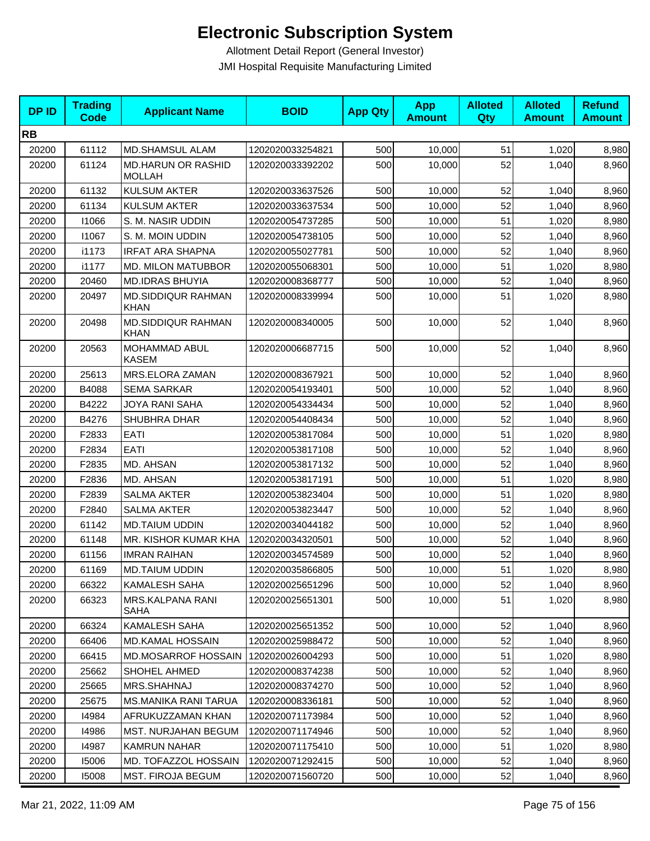| <b>DPID</b> | <b>Trading</b><br>Code | <b>Applicant Name</b>                      | <b>BOID</b>      | <b>App Qty</b> | <b>App</b><br><b>Amount</b> | <b>Alloted</b><br>Qty | <b>Alloted</b><br><b>Amount</b> | <b>Refund</b><br><b>Amount</b> |
|-------------|------------------------|--------------------------------------------|------------------|----------------|-----------------------------|-----------------------|---------------------------------|--------------------------------|
| <b>RB</b>   |                        |                                            |                  |                |                             |                       |                                 |                                |
| 20200       | 61112                  | <b>MD.SHAMSUL ALAM</b>                     | 1202020033254821 | 500            | 10,000                      | 51                    | 1,020                           | 8,980                          |
| 20200       | 61124                  | <b>MD.HARUN OR RASHID</b><br><b>MOLLAH</b> | 1202020033392202 | 500            | 10,000                      | 52                    | 1,040                           | 8,960                          |
| 20200       | 61132                  | <b>KULSUM AKTER</b>                        | 1202020033637526 | 500            | 10,000                      | 52                    | 1,040                           | 8,960                          |
| 20200       | 61134                  | <b>KULSUM AKTER</b>                        | 1202020033637534 | 500            | 10,000                      | 52                    | 1,040                           | 8,960                          |
| 20200       | 11066                  | S. M. NASIR UDDIN                          | 1202020054737285 | 500            | 10,000                      | 51                    | 1,020                           | 8,980                          |
| 20200       | 11067                  | S. M. MOIN UDDIN                           | 1202020054738105 | 500            | 10,000                      | 52                    | 1,040                           | 8,960                          |
| 20200       | i1173                  | <b>IRFAT ARA SHAPNA</b>                    | 1202020055027781 | 500            | 10.000                      | 52                    | 1,040                           | 8,960                          |
| 20200       | i1177                  | MD. MILON MATUBBOR                         | 1202020055068301 | 500            | 10,000                      | 51                    | 1,020                           | 8,980                          |
| 20200       | 20460                  | <b>MD.IDRAS BHUYIA</b>                     | 1202020008368777 | 500            | 10,000                      | 52                    | 1,040                           | 8,960                          |
| 20200       | 20497                  | <b>MD.SIDDIQUR RAHMAN</b><br><b>KHAN</b>   | 1202020008339994 | 500            | 10,000                      | 51                    | 1,020                           | 8,980                          |
| 20200       | 20498                  | <b>MD.SIDDIQUR RAHMAN</b><br><b>KHAN</b>   | 1202020008340005 | 500            | 10,000                      | 52                    | 1,040                           | 8,960                          |
| 20200       | 20563                  | MOHAMMAD ABUL<br><b>KASEM</b>              | 1202020006687715 | 500            | 10,000                      | 52                    | 1,040                           | 8,960                          |
| 20200       | 25613                  | MRS.ELORA ZAMAN                            | 1202020008367921 | 500            | 10,000                      | 52                    | 1,040                           | 8,960                          |
| 20200       | B4088                  | <b>SEMA SARKAR</b>                         | 1202020054193401 | 500            | 10,000                      | 52                    | 1,040                           | 8,960                          |
| 20200       | B4222                  | JOYA RANI SAHA                             | 1202020054334434 | 500            | 10,000                      | 52                    | 1,040                           | 8,960                          |
| 20200       | B4276                  | <b>SHUBHRA DHAR</b>                        | 1202020054408434 | 500            | 10,000                      | 52                    | 1,040                           | 8,960                          |
| 20200       | F2833                  | <b>EATI</b>                                | 1202020053817084 | 500            | 10,000                      | 51                    | 1,020                           | 8,980                          |
| 20200       | F2834                  | <b>EATI</b>                                | 1202020053817108 | 500            | 10,000                      | 52                    | 1,040                           | 8,960                          |
| 20200       | F2835                  | MD. AHSAN                                  | 1202020053817132 | 500            | 10,000                      | 52                    | 1,040                           | 8,960                          |
| 20200       | F2836                  | MD. AHSAN                                  | 1202020053817191 | 500            | 10,000                      | 51                    | 1,020                           | 8,980                          |
| 20200       | F2839                  | <b>SALMA AKTER</b>                         | 1202020053823404 | 500            | 10,000                      | 51                    | 1,020                           | 8,980                          |
| 20200       | F2840                  | <b>SALMA AKTER</b>                         | 1202020053823447 | 500            | 10,000                      | 52                    | 1,040                           | 8,960                          |
| 20200       | 61142                  | <b>MD.TAIUM UDDIN</b>                      | 1202020034044182 | 500            | 10,000                      | 52                    | 1,040                           | 8,960                          |
| 20200       | 61148                  | MR. KISHOR KUMAR KHA                       | 1202020034320501 | 500            | 10,000                      | 52                    | 1,040                           | 8,960                          |
| 20200       | 61156                  | <b>IMRAN RAIHAN</b>                        | 1202020034574589 | 500            | 10,000                      | 52                    | 1,040                           | 8,960                          |
| 20200       | 61169                  | <b>MD.TAIUM UDDIN</b>                      | 1202020035866805 | 500            | 10,000                      | 51                    | 1,020                           | 8,980                          |
| 20200       | 66322                  | <b>KAMALESH SAHA</b>                       | 1202020025651296 | 500            | 10,000                      | 52                    | 1,040                           | 8,960                          |
| 20200       | 66323                  | MRS.KALPANA RANI<br>SAHA                   | 1202020025651301 | 500            | 10,000                      | 51                    | 1,020                           | 8,980                          |
| 20200       | 66324                  | KAMALESH SAHA                              | 1202020025651352 | 500            | 10,000                      | 52                    | 1,040                           | 8,960                          |
| 20200       | 66406                  | <b>MD.KAMAL HOSSAIN</b>                    | 1202020025988472 | 500            | 10,000                      | 52                    | 1,040                           | 8,960                          |
| 20200       | 66415                  | <b>MD.MOSARROF HOSSAIN</b>                 | 1202020026004293 | 500            | 10,000                      | 51                    | 1,020                           | 8,980                          |
| 20200       | 25662                  | SHOHEL AHMED                               | 1202020008374238 | 500            | 10,000                      | 52                    | 1,040                           | 8,960                          |
| 20200       | 25665                  | MRS.SHAHNAJ                                | 1202020008374270 | 500            | 10,000                      | 52                    | 1,040                           | 8,960                          |
| 20200       | 25675                  | MS.MANIKA RANI TARUA                       | 1202020008336181 | 500            | 10,000                      | 52                    | 1,040                           | 8,960                          |
| 20200       | 14984                  | AFRUKUZZAMAN KHAN                          | 1202020071173984 | 500            | 10,000                      | 52                    | 1,040                           | 8,960                          |
| 20200       | 14986                  | <b>MST. NURJAHAN BEGUM</b>                 | 1202020071174946 | 500            | 10,000                      | 52                    | 1,040                           | 8,960                          |
| 20200       | 14987                  | <b>KAMRUN NAHAR</b>                        | 1202020071175410 | 500            | 10,000                      | 51                    | 1,020                           | 8,980                          |
| 20200       | 15006                  | MD. TOFAZZOL HOSSAIN                       | 1202020071292415 | 500            | 10,000                      | 52                    | 1,040                           | 8,960                          |
| 20200       | 15008                  | MST. FIROJA BEGUM                          | 1202020071560720 | 500            | 10,000                      | 52                    | 1,040                           | 8,960                          |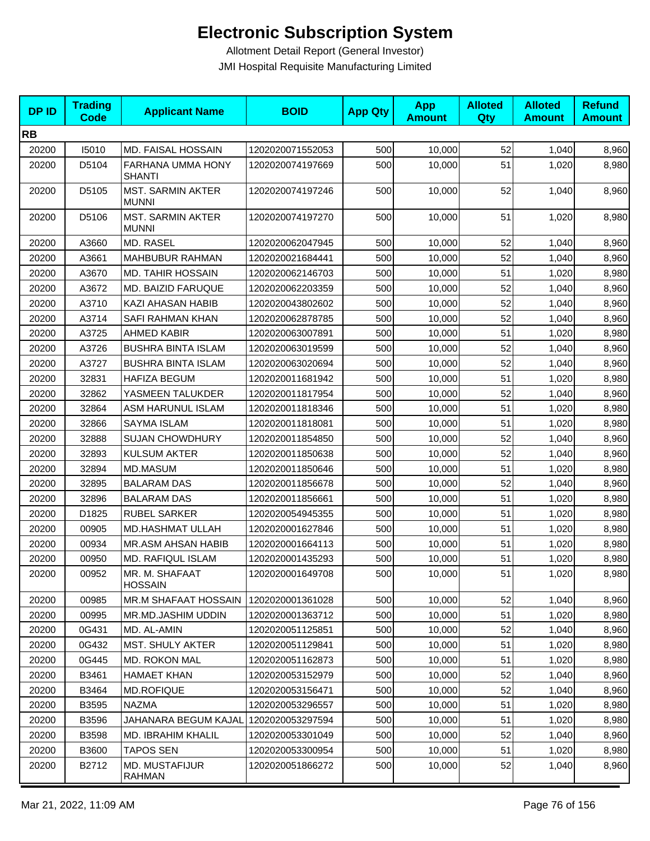| <b>DPID</b> | <b>Trading</b><br><b>Code</b> | <b>Applicant Name</b>                    | <b>BOID</b>      | <b>App Qty</b> | <b>App</b><br><b>Amount</b> | <b>Alloted</b><br>Qty | <b>Alloted</b><br><b>Amount</b> | <b>Refund</b><br><b>Amount</b> |
|-------------|-------------------------------|------------------------------------------|------------------|----------------|-----------------------------|-----------------------|---------------------------------|--------------------------------|
| <b>RB</b>   |                               |                                          |                  |                |                             |                       |                                 |                                |
| 20200       | 15010                         | MD. FAISAL HOSSAIN                       | 1202020071552053 | 500            | 10,000                      | 52                    | 1,040                           | 8,960                          |
| 20200       | D5104                         | FARHANA UMMA HONY<br><b>SHANTI</b>       | 1202020074197669 | 500            | 10,000                      | 51                    | 1,020                           | 8,980                          |
| 20200       | D5105                         | <b>MST. SARMIN AKTER</b><br><b>MUNNI</b> | 1202020074197246 | 500            | 10,000                      | 52                    | 1,040                           | 8,960                          |
| 20200       | D5106                         | MST. SARMIN AKTER<br><b>MUNNI</b>        | 1202020074197270 | 500            | 10,000                      | 51                    | 1,020                           | 8,980                          |
| 20200       | A3660                         | MD. RASEL                                | 1202020062047945 | 500            | 10,000                      | 52                    | 1,040                           | 8,960                          |
| 20200       | A3661                         | <b>MAHBUBUR RAHMAN</b>                   | 1202020021684441 | 500            | 10,000                      | 52                    | 1,040                           | 8,960                          |
| 20200       | A3670                         | <b>MD. TAHIR HOSSAIN</b>                 | 1202020062146703 | 500            | 10,000                      | 51                    | 1,020                           | 8,980                          |
| 20200       | A3672                         | MD. BAIZID FARUQUE                       | 1202020062203359 | 500            | 10,000                      | 52                    | 1,040                           | 8,960                          |
| 20200       | A3710                         | KAZI AHASAN HABIB                        | 1202020043802602 | 500            | 10,000                      | 52                    | 1,040                           | 8,960                          |
| 20200       | A3714                         | SAFI RAHMAN KHAN                         | 1202020062878785 | 500            | 10,000                      | 52                    | 1,040                           | 8,960                          |
| 20200       | A3725                         | <b>AHMED KABIR</b>                       | 1202020063007891 | 500            | 10,000                      | 51                    | 1,020                           | 8,980                          |
| 20200       | A3726                         | <b>BUSHRA BINTA ISLAM</b>                | 1202020063019599 | 500            | 10,000                      | 52                    | 1,040                           | 8,960                          |
| 20200       | A3727                         | <b>BUSHRA BINTA ISLAM</b>                | 1202020063020694 | 500            | 10,000                      | 52                    | 1,040                           | 8,960                          |
| 20200       | 32831                         | <b>HAFIZA BEGUM</b>                      | 1202020011681942 | 500            | 10,000                      | 51                    | 1,020                           | 8,980                          |
| 20200       | 32862                         | YASMEEN TALUKDER                         | 1202020011817954 | 500            | 10,000                      | 52                    | 1,040                           | 8,960                          |
| 20200       | 32864                         | ASM HARUNUL ISLAM                        | 1202020011818346 | 500            | 10,000                      | 51                    | 1,020                           | 8,980                          |
| 20200       | 32866                         | SAYMA ISLAM                              | 1202020011818081 | 500            | 10,000                      | 51                    | 1,020                           | 8,980                          |
| 20200       | 32888                         | <b>SUJAN CHOWDHURY</b>                   | 1202020011854850 | 500            | 10,000                      | 52                    | 1,040                           | 8,960                          |
| 20200       | 32893                         | <b>KULSUM AKTER</b>                      | 1202020011850638 | 500            | 10,000                      | 52                    | 1,040                           | 8,960                          |
| 20200       | 32894                         | MD.MASUM                                 | 1202020011850646 | 500            | 10,000                      | 51                    | 1,020                           | 8,980                          |
| 20200       | 32895                         | <b>BALARAM DAS</b>                       | 1202020011856678 | 500            | 10,000                      | 52                    | 1,040                           | 8,960                          |
| 20200       | 32896                         | <b>BALARAM DAS</b>                       | 1202020011856661 | 500            | 10,000                      | 51                    | 1,020                           | 8,980                          |
| 20200       | D1825                         | <b>RUBEL SARKER</b>                      | 1202020054945355 | 500            | 10,000                      | 51                    | 1,020                           | 8,980                          |
| 20200       | 00905                         | <b>MD.HASHMAT ULLAH</b>                  | 1202020001627846 | 500            | 10,000                      | 51                    | 1,020                           | 8,980                          |
| 20200       | 00934                         | MR.ASM AHSAN HABIB                       | 1202020001664113 | 500            | 10,000                      | 51                    | 1,020                           | 8,980                          |
| 20200       | 00950                         | MD. RAFIQUL ISLAM                        | 1202020001435293 | 500            | 10,000                      | 51                    | 1,020                           | 8,980                          |
| 20200       | 00952                         | MR. M. SHAFAAT<br><b>HOSSAIN</b>         | 1202020001649708 | 500            | 10,000                      | 51                    | 1,020                           | 8,980                          |
| 20200       | 00985                         | MR.M SHAFAAT HOSSAIN                     | 1202020001361028 | 500            | 10,000                      | 52                    | 1,040                           | 8,960                          |
| 20200       | 00995                         | MR.MD.JASHIM UDDIN                       | 1202020001363712 | 500            | 10,000                      | 51                    | 1,020                           | 8,980                          |
| 20200       | 0G431                         | MD. AL-AMIN                              | 1202020051125851 | 500            | 10,000                      | 52                    | 1,040                           | 8,960                          |
| 20200       | 0G432                         | <b>MST. SHULY AKTER</b>                  | 1202020051129841 | 500            | 10,000                      | 51                    | 1,020                           | 8,980                          |
| 20200       | 0G445                         | <b>MD. ROKON MAL</b>                     | 1202020051162873 | 500            | 10.000                      | 51                    | 1,020                           | 8,980                          |
| 20200       | B3461                         | <b>HAMAET KHAN</b>                       | 1202020053152979 | 500            | 10,000                      | 52                    | 1,040                           | 8,960                          |
| 20200       | B3464                         | <b>MD.ROFIQUE</b>                        | 1202020053156471 | 500            | 10,000                      | 52                    | 1,040                           | 8,960                          |
| 20200       | B3595                         | <b>NAZMA</b>                             | 1202020053296557 | 500            | 10,000                      | 51                    | 1,020                           | 8,980                          |
| 20200       | B3596                         | JAHANARA BEGUM KAJAL                     | 1202020053297594 | 500            | 10,000                      | 51                    | 1,020                           | 8,980                          |
| 20200       | B3598                         | <b>MD. IBRAHIM KHALIL</b>                | 1202020053301049 | 500            | 10,000                      | 52                    | 1,040                           | 8,960                          |
| 20200       | B3600                         | <b>TAPOS SEN</b>                         | 1202020053300954 | 500            | 10,000                      | 51                    | 1,020                           | 8,980                          |
| 20200       | B2712                         | MD. MUSTAFIJUR<br><b>RAHMAN</b>          | 1202020051866272 | 500            | 10,000                      | 52                    | 1,040                           | 8,960                          |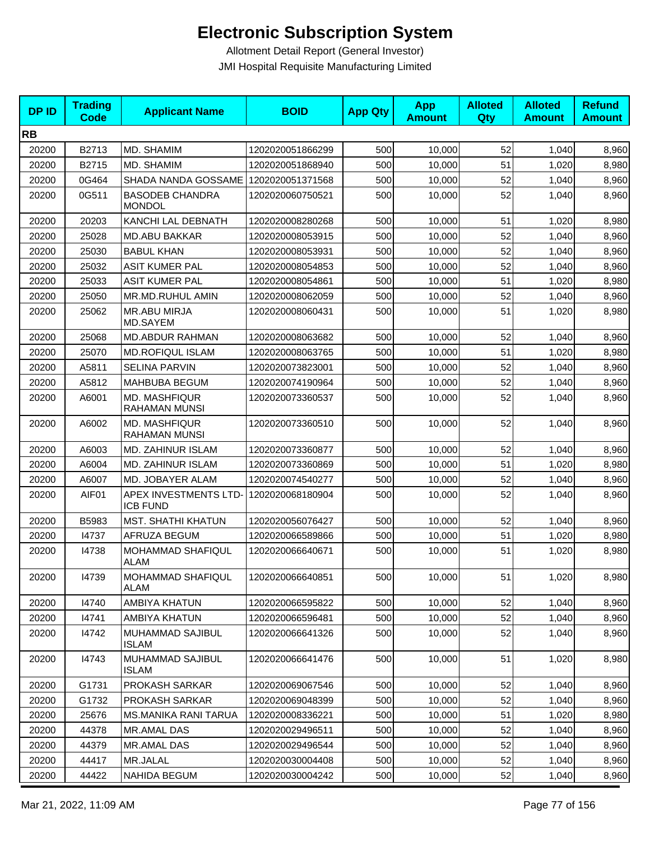| <b>DPID</b> | <b>Trading</b><br><b>Code</b> | <b>Applicant Name</b>                          | <b>BOID</b>      | <b>App Qty</b> | <b>App</b><br><b>Amount</b> | <b>Alloted</b><br>Qty | <b>Alloted</b><br><b>Amount</b> | <b>Refund</b><br><b>Amount</b> |
|-------------|-------------------------------|------------------------------------------------|------------------|----------------|-----------------------------|-----------------------|---------------------------------|--------------------------------|
| <b>RB</b>   |                               |                                                |                  |                |                             |                       |                                 |                                |
| 20200       | B2713                         | MD. SHAMIM                                     | 1202020051866299 | 500            | 10,000                      | 52                    | 1,040                           | 8,960                          |
| 20200       | B2715                         | MD. SHAMIM                                     | 1202020051868940 | 500            | 10,000                      | 51                    | 1,020                           | 8,980                          |
| 20200       | 0G464                         | SHADA NANDA GOSSAME   1202020051371568         |                  | 500            | 10,000                      | 52                    | 1,040                           | 8,960                          |
| 20200       | 0G511                         | <b>BASODEB CHANDRA</b><br><b>MONDOL</b>        | 1202020060750521 | 500            | 10,000                      | 52                    | 1,040                           | 8,960                          |
| 20200       | 20203                         | KANCHI LAL DEBNATH                             | 1202020008280268 | 500            | 10,000                      | 51                    | 1,020                           | 8,980                          |
| 20200       | 25028                         | <b>MD.ABU BAKKAR</b>                           | 1202020008053915 | 500            | 10,000                      | 52                    | 1,040                           | 8,960                          |
| 20200       | 25030                         | <b>BABUL KHAN</b>                              | 1202020008053931 | 500            | 10,000                      | 52                    | 1,040                           | 8,960                          |
| 20200       | 25032                         | <b>ASIT KUMER PAL</b>                          | 1202020008054853 | 500            | 10,000                      | 52                    | 1,040                           | 8,960                          |
| 20200       | 25033                         | <b>ASIT KUMER PAL</b>                          | 1202020008054861 | 500            | 10,000                      | 51                    | 1,020                           | 8,980                          |
| 20200       | 25050                         | MR.MD.RUHUL AMIN                               | 1202020008062059 | 500            | 10,000                      | 52                    | 1,040                           | 8,960                          |
| 20200       | 25062                         | MR.ABU MIRJA<br>MD.SAYEM                       | 1202020008060431 | 500            | 10,000                      | 51                    | 1,020                           | 8,980                          |
| 20200       | 25068                         | <b>MD.ABDUR RAHMAN</b>                         | 1202020008063682 | 500            | 10,000                      | 52                    | 1,040                           | 8,960                          |
| 20200       | 25070                         | <b>MD.ROFIQUL ISLAM</b>                        | 1202020008063765 | 500            | 10,000                      | 51                    | 1,020                           | 8,980                          |
| 20200       | A5811                         | <b>SELINA PARVIN</b>                           | 1202020073823001 | 500            | 10,000                      | 52                    | 1,040                           | 8,960                          |
| 20200       | A5812                         | MAHBUBA BEGUM                                  | 1202020074190964 | 500            | 10,000                      | 52                    | 1,040                           | 8,960                          |
| 20200       | A6001                         | <b>MD. MASHFIQUR</b><br>RAHAMAN MUNSI          | 1202020073360537 | 500            | 10,000                      | 52                    | 1,040                           | 8,960                          |
| 20200       | A6002                         | <b>MD. MASHFIQUR</b><br>RAHAMAN MUNSI          | 1202020073360510 | 500            | 10,000                      | 52                    | 1,040                           | 8,960                          |
| 20200       | A6003                         | <b>MD. ZAHINUR ISLAM</b>                       | 1202020073360877 | 500            | 10,000                      | 52                    | 1,040                           | 8,960                          |
| 20200       | A6004                         | MD. ZAHINUR ISLAM                              | 1202020073360869 | 500            | 10,000                      | 51                    | 1,020                           | 8,980                          |
| 20200       | A6007                         | MD. JOBAYER ALAM                               | 1202020074540277 | 500            | 10,000                      | 52                    | 1,040                           | 8,960                          |
| 20200       | AIF01                         | <b>APEX INVESTMENTS LTD</b><br><b>ICB FUND</b> | 1202020068180904 | 500            | 10,000                      | 52                    | 1,040                           | 8,960                          |
| 20200       | B5983                         | <b>MST. SHATHI KHATUN</b>                      | 1202020056076427 | 500            | 10,000                      | 52                    | 1,040                           | 8,960                          |
| 20200       | 14737                         | AFRUZA BEGUM                                   | 1202020066589866 | 500            | 10,000                      | 51                    | 1,020                           | 8,980                          |
| 20200       | 14738                         | MOHAMMAD SHAFIQUL<br><b>ALAM</b>               | 1202020066640671 | 500            | 10,000                      | 51                    | 1,020                           | 8,980                          |
| 20200       | 14739                         | MOHAMMAD SHAFIQUL<br>ALAM                      | 1202020066640851 | 500            | 10,000                      | 51                    | 1,020                           | 8,980                          |
| 20200       | 14740                         | AMBIYA KHATUN                                  | 1202020066595822 | 500            | 10,000                      | 52                    | 1,040                           | 8,960                          |
| 20200       | 14741                         | AMBIYA KHATUN                                  | 1202020066596481 | 500            | 10,000                      | 52                    | 1,040                           | 8,960                          |
| 20200       | 14742                         | MUHAMMAD SAJIBUL<br><b>ISLAM</b>               | 1202020066641326 | 500            | 10,000                      | 52                    | 1,040                           | 8,960                          |
| 20200       | 14743                         | MUHAMMAD SAJIBUL<br><b>ISLAM</b>               | 1202020066641476 | 500            | 10,000                      | 51                    | 1,020                           | 8,980                          |
| 20200       | G1731                         | PROKASH SARKAR                                 | 1202020069067546 | 500            | 10,000                      | 52                    | 1,040                           | 8,960                          |
| 20200       | G1732                         | PROKASH SARKAR                                 | 1202020069048399 | 500            | 10,000                      | 52                    | 1,040                           | 8,960                          |
| 20200       | 25676                         | MS.MANIKA RANI TARUA                           | 1202020008336221 | 500            | 10,000                      | 51                    | 1,020                           | 8,980                          |
| 20200       | 44378                         | MR.AMAL DAS                                    | 1202020029496511 | 500            | 10,000                      | 52                    | 1,040                           | 8,960                          |
| 20200       | 44379                         | MR.AMAL DAS                                    | 1202020029496544 | 500            | 10,000                      | 52                    | 1,040                           | 8,960                          |
| 20200       | 44417                         | MR.JALAL                                       | 1202020030004408 | 500            | 10,000                      | 52                    | 1,040                           | 8,960                          |
| 20200       | 44422                         | NAHIDA BEGUM                                   | 1202020030004242 | 500            | 10,000                      | 52                    | 1,040                           | 8,960                          |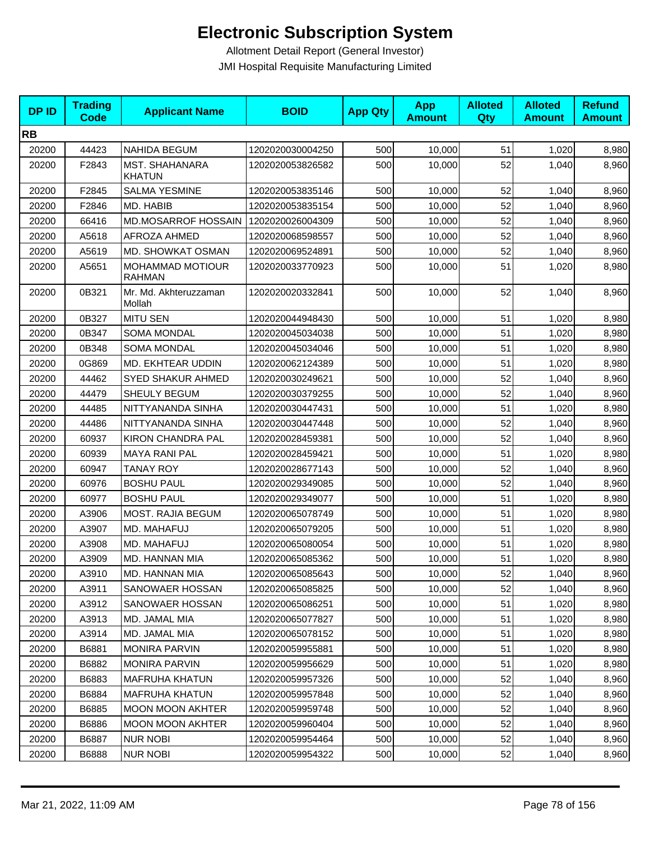| <b>DPID</b> | <b>Trading</b><br><b>Code</b> | <b>Applicant Name</b>                    | <b>BOID</b>      | <b>App Qty</b> | <b>App</b><br><b>Amount</b> | <b>Alloted</b><br><b>Qty</b> | <b>Alloted</b><br><b>Amount</b> | <b>Refund</b><br><b>Amount</b> |
|-------------|-------------------------------|------------------------------------------|------------------|----------------|-----------------------------|------------------------------|---------------------------------|--------------------------------|
| <b>RB</b>   |                               |                                          |                  |                |                             |                              |                                 |                                |
| 20200       | 44423                         | <b>NAHIDA BEGUM</b>                      | 1202020030004250 | 500            | 10,000                      | 51                           | 1,020                           | 8,980                          |
| 20200       | F2843                         | MST. SHAHANARA<br><b>KHATUN</b>          | 1202020053826582 | 500            | 10,000                      | 52                           | 1,040                           | 8,960                          |
| 20200       | F2845                         | <b>SALMA YESMINE</b>                     | 1202020053835146 | 500            | 10,000                      | 52                           | 1,040                           | 8,960                          |
| 20200       | F2846                         | MD. HABIB                                | 1202020053835154 | 500            | 10,000                      | 52                           | 1,040                           | 8,960                          |
| 20200       | 66416                         | MD.MOSARROF HOSSAIN                      | 1202020026004309 | 500            | 10,000                      | 52                           | 1,040                           | 8,960                          |
| 20200       | A5618                         | AFROZA AHMED                             | 1202020068598557 | 500            | 10,000                      | 52                           | 1,040                           | 8,960                          |
| 20200       | A5619                         | MD. SHOWKAT OSMAN                        | 1202020069524891 | 500            | 10,000                      | 52                           | 1,040                           | 8,960                          |
| 20200       | A5651                         | <b>MOHAMMAD MOTIOUR</b><br><b>RAHMAN</b> | 1202020033770923 | 500            | 10,000                      | 51                           | 1,020                           | 8,980                          |
| 20200       | 0B321                         | Mr. Md. Akhteruzzaman<br>Mollah          | 1202020020332841 | 500            | 10,000                      | 52                           | 1,040                           | 8,960                          |
| 20200       | 0B327                         | <b>MITU SEN</b>                          | 1202020044948430 | 500            | 10,000                      | 51                           | 1,020                           | 8,980                          |
| 20200       | 0B347                         | <b>SOMA MONDAL</b>                       | 1202020045034038 | 500            | 10,000                      | 51                           | 1,020                           | 8,980                          |
| 20200       | 0B348                         | <b>SOMA MONDAL</b>                       | 1202020045034046 | 500            | 10,000                      | 51                           | 1,020                           | 8,980                          |
| 20200       | 0G869                         | MD. EKHTEAR UDDIN                        | 1202020062124389 | 500            | 10,000                      | 51                           | 1,020                           | 8,980                          |
| 20200       | 44462                         | <b>SYED SHAKUR AHMED</b>                 | 1202020030249621 | 500            | 10,000                      | 52                           | 1,040                           | 8,960                          |
| 20200       | 44479                         | SHEULY BEGUM                             | 1202020030379255 | 500            | 10,000                      | 52                           | 1,040                           | 8,960                          |
| 20200       | 44485                         | NITTYANANDA SINHA                        | 1202020030447431 | 500            | 10,000                      | 51                           | 1,020                           | 8,980                          |
| 20200       | 44486                         | NITTYANANDA SINHA                        | 1202020030447448 | 500            | 10,000                      | 52                           | 1,040                           | 8,960                          |
| 20200       | 60937                         | <b>KIRON CHANDRA PAL</b>                 | 1202020028459381 | 500            | 10,000                      | 52                           | 1,040                           | 8,960                          |
| 20200       | 60939                         | <b>MAYA RANI PAL</b>                     | 1202020028459421 | 500            | 10,000                      | 51                           | 1,020                           | 8,980                          |
| 20200       | 60947                         | <b>TANAY ROY</b>                         | 1202020028677143 | 500            | 10,000                      | 52                           | 1,040                           | 8,960                          |
| 20200       | 60976                         | <b>BOSHU PAUL</b>                        | 1202020029349085 | 500            | 10,000                      | 52                           | 1,040                           | 8,960                          |
| 20200       | 60977                         | <b>BOSHU PAUL</b>                        | 1202020029349077 | 500            | 10,000                      | 51                           | 1,020                           | 8,980                          |
| 20200       | A3906                         | <b>MOST. RAJIA BEGUM</b>                 | 1202020065078749 | 500            | 10,000                      | 51                           | 1,020                           | 8,980                          |
| 20200       | A3907                         | MD. MAHAFUJ                              | 1202020065079205 | 500            | 10,000                      | 51                           | 1,020                           | 8,980                          |
| 20200       | A3908                         | MD. MAHAFUJ                              | 1202020065080054 | 500            | 10,000                      | 51                           | 1,020                           | 8,980                          |
| 20200       | A3909                         | MD. HANNAN MIA                           | 1202020065085362 | 500            | 10,000                      | 51                           | 1,020                           | 8,980                          |
| 20200       | A3910                         | MD. HANNAN MIA                           | 1202020065085643 | 500            | 10,000                      | 52                           | 1,040                           | 8,960                          |
| 20200       | A3911                         | SANOWAER HOSSAN                          | 1202020065085825 | 500            | 10,000                      | 52                           | 1,040                           | 8,960                          |
| 20200       | A3912                         | SANOWAER HOSSAN                          | 1202020065086251 | 500            | 10,000                      | 51                           | 1,020                           | 8,980                          |
| 20200       | A3913                         | MD. JAMAL MIA                            | 1202020065077827 | 500            | 10,000                      | 51                           | 1,020                           | 8,980                          |
| 20200       | A3914                         | MD. JAMAL MIA                            | 1202020065078152 | 500            | 10,000                      | 51                           | 1,020                           | 8,980                          |
| 20200       | B6881                         | <b>MONIRA PARVIN</b>                     | 1202020059955881 | 500            | 10,000                      | 51                           | 1,020                           | 8,980                          |
| 20200       | B6882                         | <b>MONIRA PARVIN</b>                     | 1202020059956629 | 500            | 10,000                      | 51                           | 1,020                           | 8,980                          |
| 20200       | B6883                         | <b>MAFRUHA KHATUN</b>                    | 1202020059957326 | 500            | 10,000                      | 52                           | 1,040                           | 8,960                          |
| 20200       | B6884                         | <b>MAFRUHA KHATUN</b>                    | 1202020059957848 | 500            | 10,000                      | 52                           | 1,040                           | 8,960                          |
| 20200       | B6885                         | <b>MOON MOON AKHTER</b>                  | 1202020059959748 | 500            | 10,000                      | 52                           | 1,040                           | 8,960                          |
| 20200       | B6886                         | <b>MOON MOON AKHTER</b>                  | 1202020059960404 | 500            | 10,000                      | 52                           | 1,040                           | 8,960                          |
| 20200       | B6887                         | <b>NUR NOBI</b>                          | 1202020059954464 | 500            | 10,000                      | 52                           | 1,040                           | 8,960                          |
| 20200       | B6888                         | <b>NUR NOBI</b>                          | 1202020059954322 | 500            | 10,000                      | 52                           | 1,040                           | 8,960                          |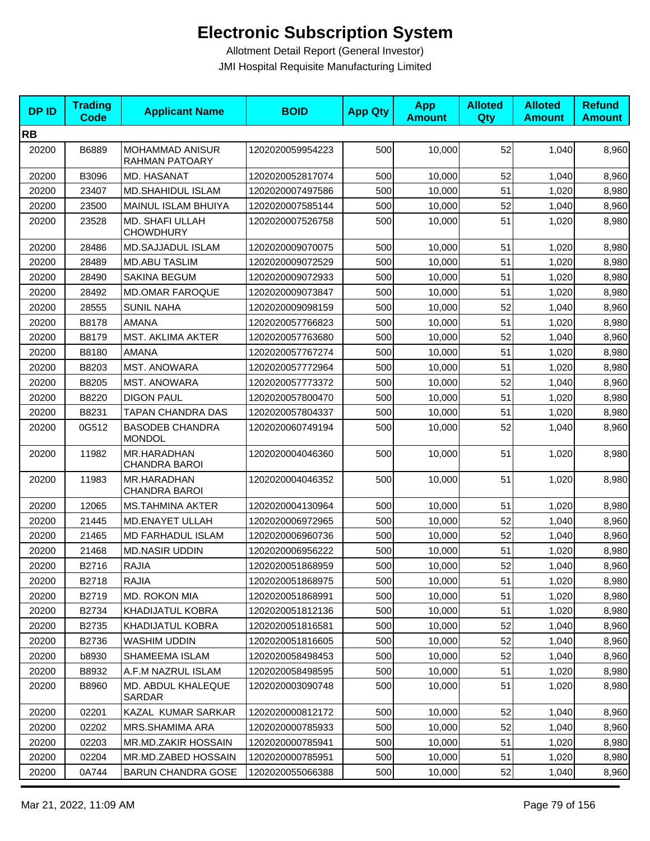| <b>DPID</b> | <b>Trading</b><br><b>Code</b> | <b>Applicant Name</b>                    | <b>BOID</b>      | <b>App Qty</b> | <b>App</b><br><b>Amount</b> | <b>Alloted</b><br>Qty | <b>Alloted</b><br><b>Amount</b> | <b>Refund</b><br><b>Amount</b> |
|-------------|-------------------------------|------------------------------------------|------------------|----------------|-----------------------------|-----------------------|---------------------------------|--------------------------------|
| <b>RB</b>   |                               |                                          |                  |                |                             |                       |                                 |                                |
| 20200       | B6889                         | MOHAMMAD ANISUR<br><b>RAHMAN PATOARY</b> | 1202020059954223 | 500            | 10,000                      | 52                    | 1,040                           | 8,960                          |
| 20200       | B3096                         | MD. HASANAT                              | 1202020052817074 | 500            | 10,000                      | 52                    | 1,040                           | 8,960                          |
| 20200       | 23407                         | MD.SHAHIDUL ISLAM                        | 1202020007497586 | 500            | 10,000                      | 51                    | 1,020                           | 8,980                          |
| 20200       | 23500                         | MAINUL ISLAM BHUIYA                      | 1202020007585144 | 500            | 10,000                      | 52                    | 1,040                           | 8,960                          |
| 20200       | 23528                         | MD. SHAFI ULLAH<br><b>CHOWDHURY</b>      | 1202020007526758 | 500            | 10,000                      | 51                    | 1,020                           | 8,980                          |
| 20200       | 28486                         | MD.SAJJADUL ISLAM                        | 1202020009070075 | 500            | 10,000                      | 51                    | 1,020                           | 8,980                          |
| 20200       | 28489                         | <b>MD.ABU TASLIM</b>                     | 1202020009072529 | 500            | 10,000                      | 51                    | 1,020                           | 8,980                          |
| 20200       | 28490                         | SAKINA BEGUM                             | 1202020009072933 | 500            | 10,000                      | 51                    | 1,020                           | 8,980                          |
| 20200       | 28492                         | <b>MD.OMAR FAROQUE</b>                   | 1202020009073847 | 500            | 10,000                      | 51                    | 1,020                           | 8,980                          |
| 20200       | 28555                         | <b>SUNIL NAHA</b>                        | 1202020009098159 | 500            | 10,000                      | 52                    | 1,040                           | 8,960                          |
| 20200       | B8178                         | <b>AMANA</b>                             | 1202020057766823 | 500            | 10,000                      | 51                    | 1,020                           | 8,980                          |
| 20200       | B8179                         | <b>MST. AKLIMA AKTER</b>                 | 1202020057763680 | 500            | 10,000                      | 52                    | 1,040                           | 8,960                          |
| 20200       | B8180                         | <b>AMANA</b>                             | 1202020057767274 | 500            | 10,000                      | 51                    | 1,020                           | 8,980                          |
| 20200       | B8203                         | <b>MST. ANOWARA</b>                      | 1202020057772964 | 500            | 10,000                      | 51                    | 1,020                           | 8,980                          |
| 20200       | B8205                         | <b>MST. ANOWARA</b>                      | 1202020057773372 | 500            | 10,000                      | 52                    | 1,040                           | 8,960                          |
| 20200       | B8220                         | <b>DIGON PAUL</b>                        | 1202020057800470 | 500            | 10,000                      | 51                    | 1,020                           | 8,980                          |
| 20200       | B8231                         | TAPAN CHANDRA DAS                        | 1202020057804337 | 500            | 10,000                      | 51                    | 1,020                           | 8,980                          |
| 20200       | 0G512                         | <b>BASODEB CHANDRA</b><br><b>MONDOL</b>  | 1202020060749194 | 500            | 10,000                      | 52                    | 1,040                           | 8,960                          |
| 20200       | 11982                         | MR.HARADHAN<br><b>CHANDRA BAROI</b>      | 1202020004046360 | 500            | 10,000                      | 51                    | 1,020                           | 8,980                          |
| 20200       | 11983                         | MR.HARADHAN<br><b>CHANDRA BAROI</b>      | 1202020004046352 | 500            | 10,000                      | 51                    | 1,020                           | 8,980                          |
| 20200       | 12065                         | <b>MS.TAHMINA AKTER</b>                  | 1202020004130964 | 500            | 10,000                      | 51                    | 1,020                           | 8,980                          |
| 20200       | 21445                         | MD.ENAYET ULLAH                          | 1202020006972965 | 500            | 10,000                      | 52                    | 1,040                           | 8,960                          |
| 20200       | 21465                         | <b>MD FARHADUL ISLAM</b>                 | 1202020006960736 | 500            | 10,000                      | 52                    | 1,040                           | 8,960                          |
| 20200       | 21468                         | <b>MD.NASIR UDDIN</b>                    | 1202020006956222 | 500            | 10,000                      | 51                    | 1,020                           | 8,980                          |
| 20200       | B2716                         | <b>RAJIA</b>                             | 1202020051868959 | 500            | 10,000                      | 52                    | 1,040                           | 8,960                          |
| 20200       | B2718                         | <b>RAJIA</b>                             | 1202020051868975 | 500            | 10,000                      | 51                    | 1,020                           | 8,980                          |
| 20200       | B2719                         | MD. ROKON MIA                            | 1202020051868991 | 500            | 10,000                      | 51                    | 1,020                           | 8,980                          |
| 20200       | B2734                         | KHADIJATUL KOBRA                         | 1202020051812136 | 500            | 10,000                      | 51                    | 1,020                           | 8,980                          |
| 20200       | B2735                         | KHADIJATUL KOBRA                         | 1202020051816581 | 500            | 10,000                      | 52                    | 1,040                           | 8,960                          |
| 20200       | B2736                         | WASHIM UDDIN                             | 1202020051816605 | 500            | 10,000                      | 52                    | 1,040                           | 8,960                          |
| 20200       | b8930                         | SHAMEEMA ISLAM                           | 1202020058498453 | 500            | 10,000                      | 52                    | 1,040                           | 8,960                          |
| 20200       | B8932                         | A.F.M NAZRUL ISLAM                       | 1202020058498595 | 500            | 10,000                      | 51                    | 1,020                           | 8,980                          |
| 20200       | B8960                         | MD. ABDUL KHALEQUE<br>SARDAR             | 1202020003090748 | 500            | 10,000                      | 51                    | 1,020                           | 8,980                          |
| 20200       | 02201                         | KAZAL KUMAR SARKAR                       | 1202020000812172 | 500            | 10,000                      | 52                    | 1,040                           | 8,960                          |
| 20200       | 02202                         | MRS.SHAMIMA ARA                          | 1202020000785933 | 500            | 10,000                      | 52                    | 1,040                           | 8,960                          |
| 20200       | 02203                         | MR.MD.ZAKIR HOSSAIN                      | 1202020000785941 | 500            | 10,000                      | 51                    | 1,020                           | 8,980                          |
| 20200       | 02204                         | MR.MD.ZABED HOSSAIN                      | 1202020000785951 | 500            | 10,000                      | 51                    | 1,020                           | 8,980                          |
| 20200       | 0A744                         | <b>BARUN CHANDRA GOSE</b>                | 1202020055066388 | 500            | 10,000                      | 52                    | 1,040                           | 8,960                          |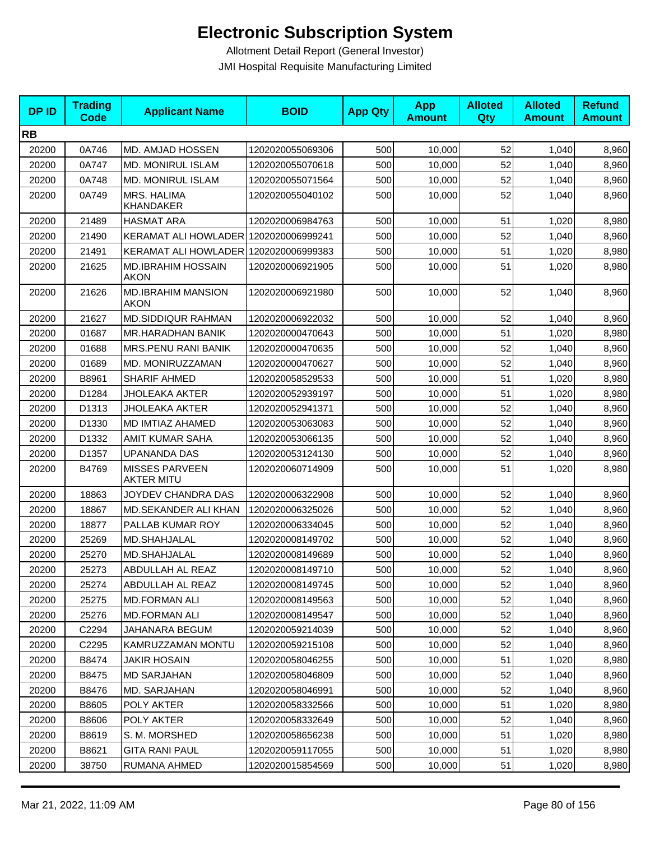| <b>DPID</b> | <b>Trading</b><br>Code | <b>Applicant Name</b>                      | <b>BOID</b>      | <b>App Qty</b> | <b>App</b><br><b>Amount</b> | <b>Alloted</b><br>Qty | <b>Alloted</b><br><b>Amount</b> | <b>Refund</b><br><b>Amount</b> |
|-------------|------------------------|--------------------------------------------|------------------|----------------|-----------------------------|-----------------------|---------------------------------|--------------------------------|
| <b>RB</b>   |                        |                                            |                  |                |                             |                       |                                 |                                |
| 20200       | 0A746                  | MD. AMJAD HOSSEN                           | 1202020055069306 | 500            | 10,000                      | 52                    | 1,040                           | 8,960                          |
| 20200       | 0A747                  | MD. MONIRUL ISLAM                          | 1202020055070618 | 500            | 10,000                      | 52                    | 1,040                           | 8,960                          |
| 20200       | 0A748                  | <b>MD. MONIRUL ISLAM</b>                   | 1202020055071564 | 500            | 10,000                      | 52                    | 1,040                           | 8,960                          |
| 20200       | 0A749                  | MRS. HALIMA<br>KHANDAKER                   | 1202020055040102 | 500            | 10,000                      | 52                    | 1,040                           | 8,960                          |
| 20200       | 21489                  | <b>HASMAT ARA</b>                          | 1202020006984763 | 500            | 10,000                      | 51                    | 1,020                           | 8,980                          |
| 20200       | 21490                  | KERAMAT ALI HOWLADER 1202020006999241      |                  | 500            | 10,000                      | 52                    | 1,040                           | 8,960                          |
| 20200       | 21491                  | KERAMAT ALI HOWLADER 1202020006999383      |                  | 500            | 10,000                      | 51                    | 1,020                           | 8,980                          |
| 20200       | 21625                  | <b>MD.IBRAHIM HOSSAIN</b><br>AKON          | 1202020006921905 | 500            | 10,000                      | 51                    | 1,020                           | 8,980                          |
| 20200       | 21626                  | <b>MD.IBRAHIM MANSION</b><br><b>AKON</b>   | 1202020006921980 | 500            | 10,000                      | 52                    | 1,040                           | 8,960                          |
| 20200       | 21627                  | <b>MD.SIDDIQUR RAHMAN</b>                  | 1202020006922032 | 500            | 10,000                      | 52                    | 1,040                           | 8,960                          |
| 20200       | 01687                  | MR.HARADHAN BANIK                          | 1202020000470643 | 500            | 10,000                      | 51                    | 1,020                           | 8,980                          |
| 20200       | 01688                  | MRS.PENU RANI BANIK                        | 1202020000470635 | 500            | 10,000                      | 52                    | 1,040                           | 8,960                          |
| 20200       | 01689                  | MD. MONIRUZZAMAN                           | 1202020000470627 | 500            | 10,000                      | 52                    | 1,040                           | 8,960                          |
| 20200       | B8961                  | SHARIF AHMED                               | 1202020058529533 | 500            | 10,000                      | 51                    | 1,020                           | 8,980                          |
| 20200       | D1284                  | <b>JHOLEAKA AKTER</b>                      | 1202020052939197 | 500            | 10,000                      | 51                    | 1,020                           | 8,980                          |
| 20200       | D1313                  | <b>JHOLEAKA AKTER</b>                      | 1202020052941371 | 500            | 10,000                      | 52                    | 1,040                           | 8,960                          |
| 20200       | D1330                  | MD IMTIAZ AHAMED                           | 1202020053063083 | 500            | 10,000                      | 52                    | 1,040                           | 8,960                          |
| 20200       | D1332                  | AMIT KUMAR SAHA                            | 1202020053066135 | 500            | 10,000                      | 52                    | 1,040                           | 8,960                          |
| 20200       | D1357                  | <b>UPANANDA DAS</b>                        | 1202020053124130 | 500            | 10,000                      | 52                    | 1,040                           | 8,960                          |
| 20200       | B4769                  | <b>MISSES PARVEEN</b><br><b>AKTER MITU</b> | 1202020060714909 | 500            | 10,000                      | 51                    | 1,020                           | 8,980                          |
| 20200       | 18863                  | JOYDEV CHANDRA DAS                         | 1202020006322908 | 500            | 10,000                      | 52                    | 1,040                           | 8,960                          |
| 20200       | 18867                  | MD.SEKANDER ALI KHAN                       | 1202020006325026 | 500            | 10,000                      | 52                    | 1,040                           | 8,960                          |
| 20200       | 18877                  | PALLAB KUMAR ROY                           | 1202020006334045 | 500            | 10,000                      | 52                    | 1,040                           | 8,960                          |
| 20200       | 25269                  | MD.SHAHJALAL                               | 1202020008149702 | 500            | 10,000                      | 52                    | 1,040                           | 8,960                          |
| 20200       | 25270                  | MD.SHAHJALAL                               | 1202020008149689 | 500            | 10,000                      | 52                    | 1,040                           | 8,960                          |
| 20200       | 25273                  | ABDULLAH AL REAZ                           | 1202020008149710 | 500            | 10,000                      | 52                    | 1.040                           | 8,960                          |
| 20200       | 25274                  | ABDULLAH AL REAZ                           | 1202020008149745 | 500            | 10,000                      | 52                    | 1,040                           | 8,960                          |
| 20200       | 25275                  | <b>MD.FORMAN ALI</b>                       | 1202020008149563 | 500            | 10,000                      | 52                    | 1,040                           | 8,960                          |
| 20200       | 25276                  | <b>MD.FORMAN ALI</b>                       | 1202020008149547 | 500            | 10,000                      | 52                    | 1,040                           | 8,960                          |
| 20200       | C2294                  | JAHANARA BEGUM                             | 1202020059214039 | 500            | 10,000                      | 52                    | 1,040                           | 8,960                          |
| 20200       | C <sub>2295</sub>      | KAMRUZZAMAN MONTU                          | 1202020059215108 | 500            | 10,000                      | 52                    | 1,040                           | 8,960                          |
| 20200       | B8474                  | JAKIR HOSAIN                               | 1202020058046255 | 500            | 10,000                      | 51                    | 1,020                           | 8,980                          |
| 20200       | B8475                  | <b>MD SARJAHAN</b>                         | 1202020058046809 | 500            | 10,000                      | 52                    | 1,040                           | 8,960                          |
| 20200       | B8476                  | MD. SARJAHAN                               | 1202020058046991 | 500            | 10,000                      | 52                    | 1,040                           | 8,960                          |
| 20200       | B8605                  | POLY AKTER                                 | 1202020058332566 | 500            | 10.000                      | 51                    | 1,020                           | 8,980                          |
| 20200       | B8606                  | POLY AKTER                                 | 1202020058332649 | 500            | 10,000                      | 52                    | 1,040                           | 8,960                          |
| 20200       | B8619                  | S. M. MORSHED                              | 1202020058656238 | 500            | 10,000                      | 51                    | 1,020                           | 8,980                          |
| 20200       | B8621                  | <b>GITA RANI PAUL</b>                      | 1202020059117055 | 500            | 10,000                      | 51                    | 1,020                           | 8,980                          |
| 20200       | 38750                  | RUMANA AHMED                               | 1202020015854569 | 500            | 10,000                      | 51                    | 1,020                           | 8,980                          |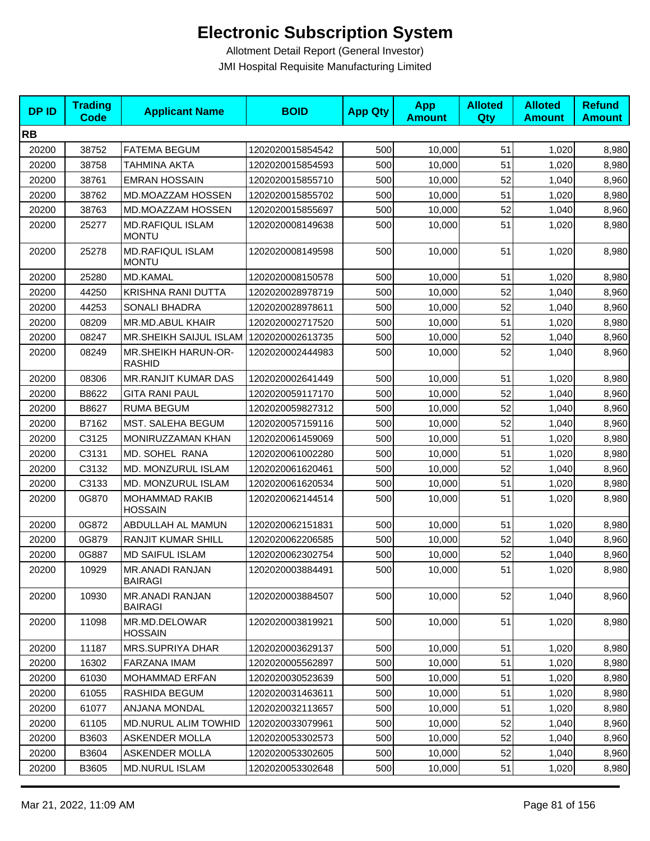| <b>DPID</b> | <b>Trading</b><br><b>Code</b> | <b>Applicant Name</b>                    | <b>BOID</b>      | <b>App Qty</b> | <b>App</b><br><b>Amount</b> | <b>Alloted</b><br>Qty | <b>Alloted</b><br><b>Amount</b> | <b>Refund</b><br><b>Amount</b> |
|-------------|-------------------------------|------------------------------------------|------------------|----------------|-----------------------------|-----------------------|---------------------------------|--------------------------------|
| <b>RB</b>   |                               |                                          |                  |                |                             |                       |                                 |                                |
| 20200       | 38752                         | <b>FATEMA BEGUM</b>                      | 1202020015854542 | 500            | 10,000                      | 51                    | 1,020                           | 8,980                          |
| 20200       | 38758                         | <b>TAHMINA AKTA</b>                      | 1202020015854593 | 500            | 10,000                      | 51                    | 1,020                           | 8,980                          |
| 20200       | 38761                         | <b>EMRAN HOSSAIN</b>                     | 1202020015855710 | 500            | 10,000                      | 52                    | 1,040                           | 8,960                          |
| 20200       | 38762                         | MD.MOAZZAM HOSSEN                        | 1202020015855702 | 500            | 10,000                      | 51                    | 1,020                           | 8,980                          |
| 20200       | 38763                         | MD.MOAZZAM HOSSEN                        | 1202020015855697 | 500            | 10,000                      | 52                    | 1,040                           | 8,960                          |
| 20200       | 25277                         | <b>MD.RAFIQUL ISLAM</b><br><b>MONTU</b>  | 1202020008149638 | 500            | 10,000                      | 51                    | 1,020                           | 8,980                          |
| 20200       | 25278                         | <b>MD.RAFIQUL ISLAM</b><br><b>MONTU</b>  | 1202020008149598 | 500            | 10,000                      | 51                    | 1,020                           | 8,980                          |
| 20200       | 25280                         | <b>MD.KAMAL</b>                          | 1202020008150578 | 500            | 10,000                      | 51                    | 1,020                           | 8,980                          |
| 20200       | 44250                         | KRISHNA RANI DUTTA                       | 1202020028978719 | 500            | 10,000                      | 52                    | 1,040                           | 8,960                          |
| 20200       | 44253                         | <b>SONALI BHADRA</b>                     | 1202020028978611 | 500            | 10,000                      | 52                    | 1,040                           | 8,960                          |
| 20200       | 08209                         | MR.MD.ABUL KHAIR                         | 1202020002717520 | 500            | 10,000                      | 51                    | 1,020                           | 8,980                          |
| 20200       | 08247                         | MR.SHEIKH SAIJUL ISLAM 1202020002613735  |                  | 500            | 10,000                      | 52                    | 1,040                           | 8,960                          |
| 20200       | 08249                         | MR.SHEIKH HARUN-OR-<br><b>RASHID</b>     | 1202020002444983 | 500            | 10,000                      | 52                    | 1,040                           | 8,960                          |
| 20200       | 08306                         | <b>MR.RANJIT KUMAR DAS</b>               | 1202020002641449 | 500            | 10,000                      | 51                    | 1,020                           | 8,980                          |
| 20200       | B8622                         | <b>GITA RANI PAUL</b>                    | 1202020059117170 | 500            | 10,000                      | 52                    | 1,040                           | 8,960                          |
| 20200       | B8627                         | <b>RUMA BEGUM</b>                        | 1202020059827312 | 500            | 10,000                      | 52                    | 1,040                           | 8,960                          |
| 20200       | B7162                         | MST. SALEHA BEGUM                        | 1202020057159116 | 500            | 10,000                      | 52                    | 1,040                           | 8,960                          |
| 20200       | C3125                         | MONIRUZZAMAN KHAN                        | 1202020061459069 | 500            | 10,000                      | 51                    | 1,020                           | 8,980                          |
| 20200       | C3131                         | MD. SOHEL RANA                           | 1202020061002280 | 500            | 10,000                      | 51                    | 1,020                           | 8,980                          |
| 20200       | C3132                         | MD. MONZURUL ISLAM                       | 1202020061620461 | 500            | 10,000                      | 52                    | 1,040                           | 8,960                          |
| 20200       | C3133                         | MD. MONZURUL ISLAM                       | 1202020061620534 | 500            | 10,000                      | 51                    | 1,020                           | 8,980                          |
| 20200       | 0G870                         | <b>MOHAMMAD RAKIB</b><br><b>HOSSAIN</b>  | 1202020062144514 | 500            | 10,000                      | 51                    | 1,020                           | 8,980                          |
| 20200       | 0G872                         | ABDULLAH AL MAMUN                        | 1202020062151831 | 500            | 10,000                      | 51                    | 1,020                           | 8,980                          |
| 20200       | 0G879                         | RANJIT KUMAR SHILL                       | 1202020062206585 | 500            | 10,000                      | 52                    | 1,040                           | 8,960                          |
| 20200       | 0G887                         | <b>MD SAIFUL ISLAM</b>                   | 1202020062302754 | 500            | 10,000                      | 52                    | 1,040                           | 8,960                          |
| 20200       | 10929                         | MR.ANADI RANJAN<br><b>BAIRAGI</b>        | 1202020003884491 | 500            | 10,000                      | 51                    | 1,020                           | 8,980                          |
| 20200       | 10930                         | <b>MR.ANADI RANJAN</b><br><b>BAIRAGI</b> | 1202020003884507 | 500            | 10,000                      | 52                    | 1,040                           | 8,960                          |
| 20200       | 11098                         | MR.MD.DELOWAR<br><b>HOSSAIN</b>          | 1202020003819921 | 500            | 10,000                      | 51                    | 1,020                           | 8,980                          |
| 20200       | 11187                         | <b>MRS.SUPRIYA DHAR</b>                  | 1202020003629137 | 500            | 10,000                      | 51                    | 1,020                           | 8,980                          |
| 20200       | 16302                         | FARZANA IMAM                             | 1202020005562897 | 500            | 10,000                      | 51                    | 1,020                           | 8,980                          |
| 20200       | 61030                         | <b>MOHAMMAD ERFAN</b>                    | 1202020030523639 | 500            | 10,000                      | 51                    | 1,020                           | 8,980                          |
| 20200       | 61055                         | RASHIDA BEGUM                            | 1202020031463611 | 500            | 10,000                      | 51                    | 1,020                           | 8,980                          |
| 20200       | 61077                         | ANJANA MONDAL                            | 1202020032113657 | 500            | 10,000                      | 51                    | 1,020                           | 8,980                          |
| 20200       | 61105                         | <b>MD.NURUL ALIM TOWHID</b>              | 1202020033079961 | 500            | 10,000                      | 52                    | 1,040                           | 8,960                          |
| 20200       | B3603                         | <b>ASKENDER MOLLA</b>                    | 1202020053302573 | 500            | 10,000                      | 52                    | 1,040                           | 8,960                          |
| 20200       | B3604                         | <b>ASKENDER MOLLA</b>                    | 1202020053302605 | 500            | 10,000                      | 52                    | 1,040                           | 8,960                          |
| 20200       | B3605                         | <b>MD.NURUL ISLAM</b>                    | 1202020053302648 | 500            | 10,000                      | 51                    | 1,020                           | 8,980                          |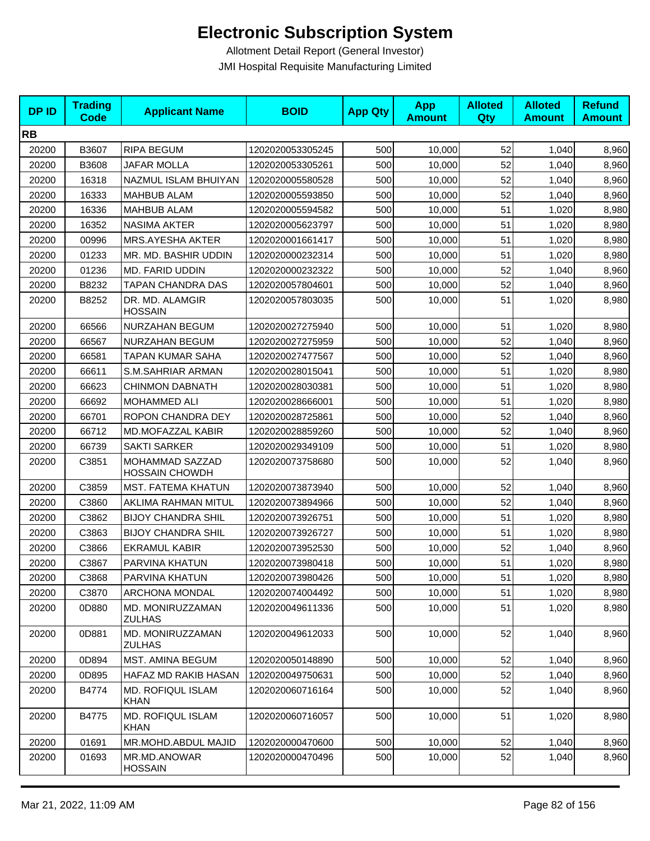| <b>DPID</b> | <b>Trading</b><br><b>Code</b> | <b>Applicant Name</b>                    | <b>BOID</b>      | <b>App Qty</b> | <b>App</b><br><b>Amount</b> | <b>Alloted</b><br>Qty | <b>Alloted</b><br><b>Amount</b> | <b>Refund</b><br><b>Amount</b> |
|-------------|-------------------------------|------------------------------------------|------------------|----------------|-----------------------------|-----------------------|---------------------------------|--------------------------------|
| <b>RB</b>   |                               |                                          |                  |                |                             |                       |                                 |                                |
| 20200       | B3607                         | <b>RIPA BEGUM</b>                        | 1202020053305245 | 500            | 10,000                      | 52                    | 1,040                           | 8,960                          |
| 20200       | B3608                         | <b>JAFAR MOLLA</b>                       | 1202020053305261 | 500            | 10,000                      | 52                    | 1,040                           | 8,960                          |
| 20200       | 16318                         | NAZMUL ISLAM BHUIYAN                     | 1202020005580528 | 500            | 10,000                      | 52                    | 1,040                           | 8,960                          |
| 20200       | 16333                         | <b>MAHBUB ALAM</b>                       | 1202020005593850 | 500            | 10,000                      | 52                    | 1,040                           | 8,960                          |
| 20200       | 16336                         | <b>MAHBUB ALAM</b>                       | 1202020005594582 | 500            | 10,000                      | 51                    | 1,020                           | 8,980                          |
| 20200       | 16352                         | <b>NASIMA AKTER</b>                      | 1202020005623797 | 500            | 10,000                      | 51                    | 1,020                           | 8,980                          |
| 20200       | 00996                         | <b>MRS.AYESHA AKTER</b>                  | 1202020001661417 | 500            | 10,000                      | 51                    | 1,020                           | 8,980                          |
| 20200       | 01233                         | MR. MD. BASHIR UDDIN                     | 1202020000232314 | 500            | 10,000                      | 51                    | 1,020                           | 8,980                          |
| 20200       | 01236                         | MD. FARID UDDIN                          | 1202020000232322 | 500            | 10,000                      | 52                    | 1,040                           | 8,960                          |
| 20200       | B8232                         | TAPAN CHANDRA DAS                        | 1202020057804601 | 500            | 10,000                      | 52                    | 1,040                           | 8,960                          |
| 20200       | B8252                         | DR. MD. ALAMGIR<br><b>HOSSAIN</b>        | 1202020057803035 | 500            | 10,000                      | 51                    | 1,020                           | 8,980                          |
| 20200       | 66566                         | NURZAHAN BEGUM                           | 1202020027275940 | 500            | 10,000                      | 51                    | 1,020                           | 8,980                          |
| 20200       | 66567                         | NURZAHAN BEGUM                           | 1202020027275959 | 500            | 10,000                      | 52                    | 1,040                           | 8,960                          |
| 20200       | 66581                         | TAPAN KUMAR SAHA                         | 1202020027477567 | 500            | 10,000                      | 52                    | 1,040                           | 8,960                          |
| 20200       | 66611                         | S.M.SAHRIAR ARMAN                        | 1202020028015041 | 500            | 10,000                      | 51                    | 1,020                           | 8,980                          |
| 20200       | 66623                         | <b>CHINMON DABNATH</b>                   | 1202020028030381 | 500            | 10,000                      | 51                    | 1,020                           | 8,980                          |
| 20200       | 66692                         | MOHAMMED ALI                             | 1202020028666001 | 500            | 10,000                      | 51                    | 1,020                           | 8,980                          |
| 20200       | 66701                         | ROPON CHANDRA DEY                        | 1202020028725861 | 500            | 10,000                      | 52                    | 1,040                           | 8,960                          |
| 20200       | 66712                         | MD.MOFAZZAL KABIR                        | 1202020028859260 | 500            | 10,000                      | 52                    | 1,040                           | 8,960                          |
| 20200       | 66739                         | <b>SAKTI SARKER</b>                      | 1202020029349109 | 500            | 10,000                      | 51                    | 1,020                           | 8,980                          |
| 20200       | C3851                         | MOHAMMAD SAZZAD<br><b>HOSSAIN CHOWDH</b> | 1202020073758680 | 500            | 10,000                      | 52                    | 1,040                           | 8,960                          |
| 20200       | C3859                         | MST. FATEMA KHATUN                       | 1202020073873940 | 500            | 10,000                      | 52                    | 1,040                           | 8,960                          |
| 20200       | C3860                         | AKLIMA RAHMAN MITUL                      | 1202020073894966 | 500            | 10,000                      | 52                    | 1,040                           | 8,960                          |
| 20200       | C3862                         | <b>BIJOY CHANDRA SHIL</b>                | 1202020073926751 | 500            | 10,000                      | 51                    | 1,020                           | 8,980                          |
| 20200       | C3863                         | <b>BIJOY CHANDRA SHIL</b>                | 1202020073926727 | 500            | 10,000                      | 51                    | 1,020                           | 8,980                          |
| 20200       | C3866                         | <b>EKRAMUL KABIR</b>                     | 1202020073952530 | 500            | 10,000                      | 52                    | 1,040                           | 8,960                          |
| 20200       | C3867                         | PARVINA KHATUN                           | 1202020073980418 | 500            | 10,000                      | 51                    | 1,020                           | 8,980                          |
| 20200       | C3868                         | PARVINA KHATUN                           | 1202020073980426 | 500            | 10,000                      | 51                    | 1,020                           | 8,980                          |
| 20200       | C3870                         | <b>ARCHONA MONDAL</b>                    | 1202020074004492 | 500            | 10,000                      | 51                    | 1,020                           | 8,980                          |
| 20200       | 0D880                         | <b>MD. MONIRUZZAMAN</b><br><b>ZULHAS</b> | 1202020049611336 | 500            | 10,000                      | 51                    | 1,020                           | 8,980                          |
| 20200       | 0D881                         | MD. MONIRUZZAMAN<br>ZULHAS               | 1202020049612033 | 500            | 10,000                      | 52                    | 1,040                           | 8,960                          |
| 20200       | 0D894                         | MST. AMINA BEGUM                         | 1202020050148890 | 500            | 10,000                      | 52                    | 1,040                           | 8,960                          |
| 20200       | 0D895                         | HAFAZ MD RAKIB HASAN                     | 1202020049750631 | 500            | 10,000                      | 52                    | 1,040                           | 8,960                          |
| 20200       | B4774                         | <b>MD. ROFIQUL ISLAM</b><br><b>KHAN</b>  | 1202020060716164 | 500            | 10,000                      | 52                    | 1,040                           | 8,960                          |
| 20200       | B4775                         | <b>MD. ROFIQUL ISLAM</b><br><b>KHAN</b>  | 1202020060716057 | 500            | 10,000                      | 51                    | 1,020                           | 8,980                          |
| 20200       | 01691                         | MR.MOHD.ABDUL MAJID                      | 1202020000470600 | 500            | 10,000                      | 52                    | 1,040                           | 8,960                          |
| 20200       | 01693                         | MR.MD.ANOWAR<br><b>HOSSAIN</b>           | 1202020000470496 | 500            | 10,000                      | 52                    | 1,040                           | 8,960                          |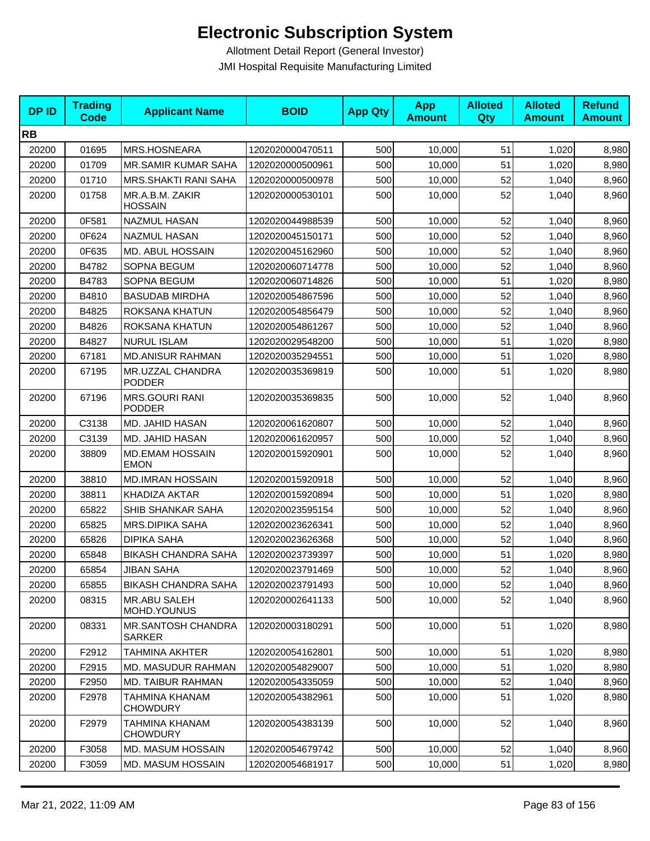| <b>DPID</b> | <b>Trading</b><br><b>Code</b> | <b>Applicant Name</b>                  | <b>BOID</b>      | <b>App Qty</b> | <b>App</b><br><b>Amount</b> | <b>Alloted</b><br>Qty | <b>Alloted</b><br><b>Amount</b> | <b>Refund</b><br><b>Amount</b> |
|-------------|-------------------------------|----------------------------------------|------------------|----------------|-----------------------------|-----------------------|---------------------------------|--------------------------------|
| <b>RB</b>   |                               |                                        |                  |                |                             |                       |                                 |                                |
| 20200       | 01695                         | MRS.HOSNEARA                           | 1202020000470511 | 500            | 10,000                      | 51                    | 1,020                           | 8,980                          |
| 20200       | 01709                         | MR.SAMIR KUMAR SAHA                    | 1202020000500961 | 500            | 10,000                      | 51                    | 1,020                           | 8,980                          |
| 20200       | 01710                         | <b>MRS.SHAKTI RANI SAHA</b>            | 1202020000500978 | 500            | 10,000                      | 52                    | 1,040                           | 8,960                          |
| 20200       | 01758                         | MR.A.B.M. ZAKIR<br><b>HOSSAIN</b>      | 1202020000530101 | 500            | 10,000                      | 52                    | 1,040                           | 8,960                          |
| 20200       | 0F581                         | <b>NAZMUL HASAN</b>                    | 1202020044988539 | 500            | 10,000                      | 52                    | 1,040                           | 8,960                          |
| 20200       | 0F624                         | <b>NAZMUL HASAN</b>                    | 1202020045150171 | 500            | 10,000                      | 52                    | 1,040                           | 8,960                          |
| 20200       | 0F635                         | MD. ABUL HOSSAIN                       | 1202020045162960 | 500            | 10,000                      | 52                    | 1,040                           | 8,960                          |
| 20200       | B4782                         | SOPNA BEGUM                            | 1202020060714778 | 500            | 10,000                      | 52                    | 1,040                           | 8,960                          |
| 20200       | B4783                         | SOPNA BEGUM                            | 1202020060714826 | 500            | 10,000                      | 51                    | 1,020                           | 8,980                          |
| 20200       | B4810                         | <b>BASUDAB MIRDHA</b>                  | 1202020054867596 | 500            | 10,000                      | 52                    | 1,040                           | 8,960                          |
| 20200       | B4825                         | ROKSANA KHATUN                         | 1202020054856479 | 500            | 10,000                      | 52                    | 1,040                           | 8,960                          |
| 20200       | B4826                         | ROKSANA KHATUN                         | 1202020054861267 | 500            | 10,000                      | 52                    | 1,040                           | 8,960                          |
| 20200       | B4827                         | <b>NURUL ISLAM</b>                     | 1202020029548200 | 500            | 10,000                      | 51                    | 1,020                           | 8,980                          |
| 20200       | 67181                         | <b>MD.ANISUR RAHMAN</b>                | 1202020035294551 | 500            | 10,000                      | 51                    | 1,020                           | 8,980                          |
| 20200       | 67195                         | MR.UZZAL CHANDRA<br><b>PODDER</b>      | 1202020035369819 | 500            | 10,000                      | 51                    | 1,020                           | 8,980                          |
| 20200       | 67196                         | <b>MRS.GOURI RANI</b><br><b>PODDER</b> | 1202020035369835 | 500            | 10,000                      | 52                    | 1,040                           | 8,960                          |
| 20200       | C3138                         | MD. JAHID HASAN                        | 1202020061620807 | 500            | 10,000                      | 52                    | 1,040                           | 8,960                          |
| 20200       | C3139                         | MD. JAHID HASAN                        | 1202020061620957 | 500            | 10,000                      | 52                    | 1,040                           | 8,960                          |
| 20200       | 38809                         | <b>MD.EMAM HOSSAIN</b><br><b>EMON</b>  | 1202020015920901 | 500            | 10,000                      | 52                    | 1,040                           | 8,960                          |
| 20200       | 38810                         | <b>MD.IMRAN HOSSAIN</b>                | 1202020015920918 | 500            | 10,000                      | 52                    | 1,040                           | 8,960                          |
| 20200       | 38811                         | KHADIZA AKTAR                          | 1202020015920894 | 500            | 10,000                      | 51                    | 1,020                           | 8,980                          |
| 20200       | 65822                         | SHIB SHANKAR SAHA                      | 1202020023595154 | 500            | 10,000                      | 52                    | 1,040                           | 8,960                          |
| 20200       | 65825                         | <b>MRS.DIPIKA SAHA</b>                 | 1202020023626341 | 500            | 10,000                      | 52                    | 1,040                           | 8,960                          |
| 20200       | 65826                         | <b>DIPIKA SAHA</b>                     | 1202020023626368 | 500            | 10,000                      | 52                    | 1,040                           | 8,960                          |
| 20200       | 65848                         | <b>BIKASH CHANDRA SAHA</b>             | 1202020023739397 | 500            | 10,000                      | 51                    | 1,020                           | 8,980                          |
| 20200       | 65854                         | <b>JIBAN SAHA</b>                      | 1202020023791469 | 500            | 10,000                      | 52                    | 1,040                           | 8,960                          |
| 20200       | 65855                         | <b>BIKASH CHANDRA SAHA</b>             | 1202020023791493 | 500            | 10,000                      | 52                    | 1,040                           | 8,960                          |
| 20200       | 08315                         | <b>MR.ABU SALEH</b><br>MOHD.YOUNUS     | 1202020002641133 | 500            | 10,000                      | 52                    | 1,040                           | 8,960                          |
| 20200       | 08331                         | MR.SANTOSH CHANDRA<br><b>SARKER</b>    | 1202020003180291 | 500            | 10,000                      | 51                    | 1,020                           | 8,980                          |
| 20200       | F2912                         | TAHMINA AKHTER                         | 1202020054162801 | 500            | 10,000                      | 51                    | 1,020                           | 8,980                          |
| 20200       | F2915                         | MD. MASUDUR RAHMAN                     | 1202020054829007 | 500            | 10,000                      | 51                    | 1,020                           | 8,980                          |
| 20200       | F2950                         | <b>MD. TAIBUR RAHMAN</b>               | 1202020054335059 | 500            | 10,000                      | 52                    | 1,040                           | 8,960                          |
| 20200       | F2978                         | TAHMINA KHANAM<br><b>CHOWDURY</b>      | 1202020054382961 | 500            | 10,000                      | 51                    | 1,020                           | 8,980                          |
| 20200       | F2979                         | TAHMINA KHANAM<br><b>CHOWDURY</b>      | 1202020054383139 | 500            | 10,000                      | 52                    | 1,040                           | 8,960                          |
| 20200       | F3058                         | MD. MASUM HOSSAIN                      | 1202020054679742 | 500            | 10,000                      | 52                    | 1,040                           | 8,960                          |
| 20200       | F3059                         | MD. MASUM HOSSAIN                      | 1202020054681917 | 500            | 10,000                      | 51                    | 1,020                           | 8,980                          |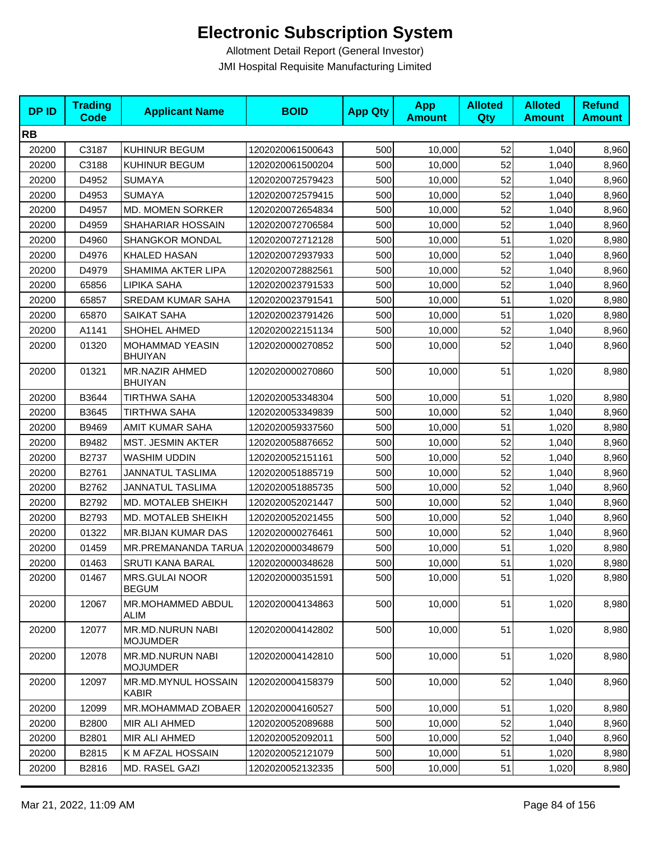| <b>DPID</b> | <b>Trading</b><br><b>Code</b> | <b>Applicant Name</b>                 | <b>BOID</b>      | <b>App Qty</b> | <b>App</b><br><b>Amount</b> | <b>Alloted</b><br>Qty | <b>Alloted</b><br><b>Amount</b> | <b>Refund</b><br><b>Amount</b> |
|-------------|-------------------------------|---------------------------------------|------------------|----------------|-----------------------------|-----------------------|---------------------------------|--------------------------------|
| <b>RB</b>   |                               |                                       |                  |                |                             |                       |                                 |                                |
| 20200       | C3187                         | KUHINUR BEGUM                         | 1202020061500643 | 500            | 10,000                      | 52                    | 1,040                           | 8,960                          |
| 20200       | C3188                         | KUHINUR BEGUM                         | 1202020061500204 | 500            | 10,000                      | 52                    | 1,040                           | 8,960                          |
| 20200       | D4952                         | <b>SUMAYA</b>                         | 1202020072579423 | 500            | 10,000                      | 52                    | 1,040                           | 8,960                          |
| 20200       | D4953                         | <b>SUMAYA</b>                         | 1202020072579415 | 500            | 10,000                      | 52                    | 1,040                           | 8,960                          |
| 20200       | D4957                         | MD. MOMEN SORKER                      | 1202020072654834 | 500            | 10,000                      | 52                    | 1,040                           | 8,960                          |
| 20200       | D4959                         | SHAHARIAR HOSSAIN                     | 1202020072706584 | 500            | 10,000                      | 52                    | 1,040                           | 8,960                          |
| 20200       | D4960                         | SHANGKOR MONDAL                       | 1202020072712128 | 500            | 10,000                      | 51                    | 1,020                           | 8,980                          |
| 20200       | D4976                         | <b>KHALED HASAN</b>                   | 1202020072937933 | 500            | 10,000                      | 52                    | 1,040                           | 8,960                          |
| 20200       | D4979                         | SHAMIMA AKTER LIPA                    | 1202020072882561 | 500            | 10,000                      | 52                    | 1,040                           | 8,960                          |
| 20200       | 65856                         | LIPIKA SAHA                           | 1202020023791533 | 500            | 10,000                      | 52                    | 1,040                           | 8,960                          |
| 20200       | 65857                         | <b>SREDAM KUMAR SAHA</b>              | 1202020023791541 | 500            | 10,000                      | 51                    | 1,020                           | 8,980                          |
| 20200       | 65870                         | SAIKAT SAHA                           | 1202020023791426 | 500            | 10,000                      | 51                    | 1,020                           | 8,980                          |
| 20200       | A1141                         | SHOHEL AHMED                          | 1202020022151134 | 500            | 10,000                      | 52                    | 1,040                           | 8,960                          |
| 20200       | 01320                         | MOHAMMAD YEASIN<br><b>BHUIYAN</b>     | 1202020000270852 | 500            | 10,000                      | 52                    | 1,040                           | 8,960                          |
| 20200       | 01321                         | MR.NAZIR AHMED<br><b>BHUIYAN</b>      | 1202020000270860 | 500            | 10,000                      | 51                    | 1,020                           | 8,980                          |
| 20200       | B3644                         | <b>TIRTHWA SAHA</b>                   | 1202020053348304 | 500            | 10,000                      | 51                    | 1,020                           | 8,980                          |
| 20200       | B3645                         | <b>TIRTHWA SAHA</b>                   | 1202020053349839 | 500            | 10,000                      | 52                    | 1,040                           | 8,960                          |
| 20200       | B9469                         | <b>AMIT KUMAR SAHA</b>                | 1202020059337560 | 500            | 10,000                      | 51                    | 1,020                           | 8,980                          |
| 20200       | B9482                         | MST. JESMIN AKTER                     | 1202020058876652 | 500            | 10,000                      | 52                    | 1,040                           | 8,960                          |
| 20200       | B2737                         | <b>WASHIM UDDIN</b>                   | 1202020052151161 | 500            | 10,000                      | 52                    | 1,040                           | 8,960                          |
| 20200       | B2761                         | JANNATUL TASLIMA                      | 1202020051885719 | 500            | 10,000                      | 52                    | 1,040                           | 8,960                          |
| 20200       | B2762                         | <b>JANNATUL TASLIMA</b>               | 1202020051885735 | 500            | 10,000                      | 52                    | 1,040                           | 8,960                          |
| 20200       | B2792                         | MD. MOTALEB SHEIKH                    | 1202020052021447 | 500            | 10,000                      | 52                    | 1,040                           | 8,960                          |
| 20200       | B2793                         | MD. MOTALEB SHEIKH                    | 1202020052021455 | 500            | 10,000                      | 52                    | 1,040                           | 8,960                          |
| 20200       | 01322                         | MR.BIJAN KUMAR DAS                    | 1202020000276461 | 500            | 10,000                      | 52                    | 1,040                           | 8,960                          |
| 20200       | 01459                         | MR.PREMANANDA TARUA                   | 1202020000348679 | 500            | 10,000                      | 51                    | 1,020                           | 8,980                          |
| 20200       | 01463                         | <b>SRUTI KANA BARAL</b>               | 1202020000348628 | 500            | 10,000                      | 51                    | 1,020                           | 8,980                          |
| 20200       | 01467                         | <b>MRS.GULAI NOOR</b><br><b>BEGUM</b> | 1202020000351591 | 500            | 10,000                      | 51                    | 1,020                           | 8,980                          |
| 20200       | 12067                         | MR.MOHAMMED ABDUL<br><b>ALIM</b>      | 1202020004134863 | 500            | 10,000                      | 51                    | 1,020                           | 8,980                          |
| 20200       | 12077                         | MR.MD.NURUN NABI<br><b>MOJUMDER</b>   | 1202020004142802 | 500            | 10,000                      | 51                    | 1,020                           | 8,980                          |
| 20200       | 12078                         | MR.MD.NURUN NABI<br><b>MOJUMDER</b>   | 1202020004142810 | 500            | 10,000                      | 51                    | 1,020                           | 8,980                          |
| 20200       | 12097                         | MR.MD.MYNUL HOSSAIN<br><b>KABIR</b>   | 1202020004158379 | 500            | 10,000                      | 52                    | 1,040                           | 8,960                          |
| 20200       | 12099                         | MR.MOHAMMAD ZOBAER                    | 1202020004160527 | 500            | 10,000                      | 51                    | 1,020                           | 8,980                          |
| 20200       | B2800                         | MIR ALI AHMED                         | 1202020052089688 | 500            | 10,000                      | 52                    | 1,040                           | 8,960                          |
| 20200       | B2801                         | MIR ALI AHMED                         | 1202020052092011 | 500            | 10,000                      | 52                    | 1,040                           | 8,960                          |
| 20200       | B2815                         | K M AFZAL HOSSAIN                     | 1202020052121079 | 500            | 10,000                      | 51                    | 1,020                           | 8,980                          |
| 20200       | B2816                         | MD. RASEL GAZI                        | 1202020052132335 | 500            | 10,000                      | 51                    | 1,020                           | 8,980                          |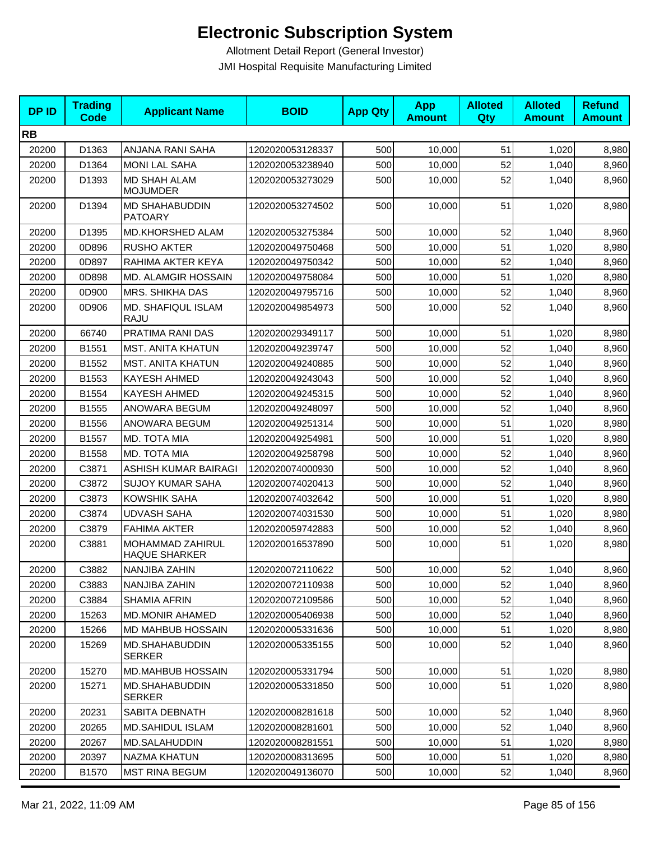| <b>DPID</b> | <b>Trading</b><br>Code | <b>Applicant Name</b>                    | <b>BOID</b>      | <b>App Qty</b> | <b>App</b><br><b>Amount</b> | <b>Alloted</b><br>Qty | <b>Alloted</b><br><b>Amount</b> | <b>Refund</b><br><b>Amount</b> |
|-------------|------------------------|------------------------------------------|------------------|----------------|-----------------------------|-----------------------|---------------------------------|--------------------------------|
| <b>RB</b>   |                        |                                          |                  |                |                             |                       |                                 |                                |
| 20200       | D1363                  | ANJANA RANI SAHA                         | 1202020053128337 | 500            | 10,000                      | 51                    | 1,020                           | 8,980                          |
| 20200       | D1364                  | <b>MONI LAL SAHA</b>                     | 1202020053238940 | 500            | 10,000                      | 52                    | 1,040                           | 8,960                          |
| 20200       | D1393                  | <b>MD SHAH ALAM</b><br><b>MOJUMDER</b>   | 1202020053273029 | 500            | 10,000                      | 52                    | 1,040                           | 8,960                          |
| 20200       | D1394                  | <b>MD SHAHABUDDIN</b><br><b>PATOARY</b>  | 1202020053274502 | 500            | 10,000                      | 51                    | 1,020                           | 8,980                          |
| 20200       | D1395                  | MD.KHORSHED ALAM                         | 1202020053275384 | 500            | 10,000                      | 52                    | 1,040                           | 8,960                          |
| 20200       | 0D896                  | <b>RUSHO AKTER</b>                       | 1202020049750468 | 500            | 10,000                      | 51                    | 1,020                           | 8,980                          |
| 20200       | 0D897                  | RAHIMA AKTER KEYA                        | 1202020049750342 | 500            | 10,000                      | 52                    | 1,040                           | 8,960                          |
| 20200       | 0D898                  | <b>MD. ALAMGIR HOSSAIN</b>               | 1202020049758084 | 500            | 10,000                      | 51                    | 1,020                           | 8,980                          |
| 20200       | 0D900                  | <b>MRS. SHIKHA DAS</b>                   | 1202020049795716 | 500            | 10,000                      | 52                    | 1,040                           | 8,960                          |
| 20200       | 0D906                  | MD. SHAFIQUL ISLAM<br>RAJU               | 1202020049854973 | 500            | 10,000                      | 52                    | 1,040                           | 8,960                          |
| 20200       | 66740                  | PRATIMA RANI DAS                         | 1202020029349117 | 500            | 10,000                      | 51                    | 1,020                           | 8,980                          |
| 20200       | B1551                  | <b>MST. ANITA KHATUN</b>                 | 1202020049239747 | 500            | 10,000                      | 52                    | 1,040                           | 8,960                          |
| 20200       | B1552                  | <b>MST. ANITA KHATUN</b>                 | 1202020049240885 | 500            | 10,000                      | 52                    | 1,040                           | 8,960                          |
| 20200       | B1553                  | KAYESH AHMED                             | 1202020049243043 | 500            | 10,000                      | 52                    | 1,040                           | 8,960                          |
| 20200       | B1554                  | <b>KAYESH AHMED</b>                      | 1202020049245315 | 500            | 10,000                      | 52                    | 1,040                           | 8,960                          |
| 20200       | B1555                  | ANOWARA BEGUM                            | 1202020049248097 | 500            | 10,000                      | 52                    | 1,040                           | 8,960                          |
| 20200       | B1556                  | ANOWARA BEGUM                            | 1202020049251314 | 500            | 10,000                      | 51                    | 1,020                           | 8,980                          |
| 20200       | B1557                  | MD. TOTA MIA                             | 1202020049254981 | 500            | 10,000                      | 51                    | 1,020                           | 8,980                          |
| 20200       | B1558                  | MD. TOTA MIA                             | 1202020049258798 | 500            | 10,000                      | 52                    | 1,040                           | 8,960                          |
| 20200       | C3871                  | ASHISH KUMAR BAIRAGI                     | 1202020074000930 | 500            | 10,000                      | 52                    | 1,040                           | 8,960                          |
| 20200       | C3872                  | <b>SUJOY KUMAR SAHA</b>                  | 1202020074020413 | 500            | 10,000                      | 52                    | 1,040                           | 8,960                          |
| 20200       | C3873                  | KOWSHIK SAHA                             | 1202020074032642 | 500            | 10,000                      | 51                    | 1,020                           | 8,980                          |
| 20200       | C3874                  | <b>UDVASH SAHA</b>                       | 1202020074031530 | 500            | 10,000                      | 51                    | 1,020                           | 8,980                          |
| 20200       | C3879                  | <b>FAHIMA AKTER</b>                      | 1202020059742883 | 500            | 10,000                      | 52                    | 1,040                           | 8,960                          |
| 20200       | C3881                  | MOHAMMAD ZAHIRUL<br><b>HAQUE SHARKER</b> | 1202020016537890 | 500            | 10,000                      | 51                    | 1,020                           | 8,980                          |
| 20200       | C3882                  | NANJIBA ZAHIN                            | 1202020072110622 | 500            | 10,000                      | 52                    | 1,040                           | 8,960                          |
| 20200       | C3883                  | NANJIBA ZAHIN                            | 1202020072110938 | 500            | 10,000                      | 52                    | 1,040                           | 8,960                          |
| 20200       | C3884                  | <b>SHAMIA AFRIN</b>                      | 1202020072109586 | 500            | 10,000                      | 52                    | 1,040                           | 8,960                          |
| 20200       | 15263                  | <b>MD.MONIR AHAMED</b>                   | 1202020005406938 | 500            | 10,000                      | 52                    | 1,040                           | 8,960                          |
| 20200       | 15266                  | MD MAHBUB HOSSAIN                        | 1202020005331636 | 500            | 10,000                      | 51                    | 1,020                           | 8,980                          |
| 20200       | 15269                  | <b>MD.SHAHABUDDIN</b><br><b>SERKER</b>   | 1202020005335155 | 500            | 10,000                      | 52                    | 1,040                           | 8,960                          |
| 20200       | 15270                  | MD.MAHBUB HOSSAIN                        | 1202020005331794 | 500            | 10,000                      | 51                    | 1,020                           | 8,980                          |
| 20200       | 15271                  | MD.SHAHABUDDIN<br><b>SERKER</b>          | 1202020005331850 | 500            | 10,000                      | 51                    | 1,020                           | 8,980                          |
| 20200       | 20231                  | SABITA DEBNATH                           | 1202020008281618 | 500            | 10,000                      | 52                    | 1,040                           | 8,960                          |
| 20200       | 20265                  | <b>MD.SAHIDUL ISLAM</b>                  | 1202020008281601 | 500            | 10,000                      | 52                    | 1,040                           | 8,960                          |
| 20200       | 20267                  | MD.SALAHUDDIN                            | 1202020008281551 | 500            | 10,000                      | 51                    | 1,020                           | 8,980                          |
| 20200       | 20397                  | NAZMA KHATUN                             | 1202020008313695 | 500            | 10,000                      | 51                    | 1,020                           | 8,980                          |
| 20200       | B1570                  | <b>MST RINA BEGUM</b>                    | 1202020049136070 | 500            | 10,000                      | 52                    | 1,040                           | 8,960                          |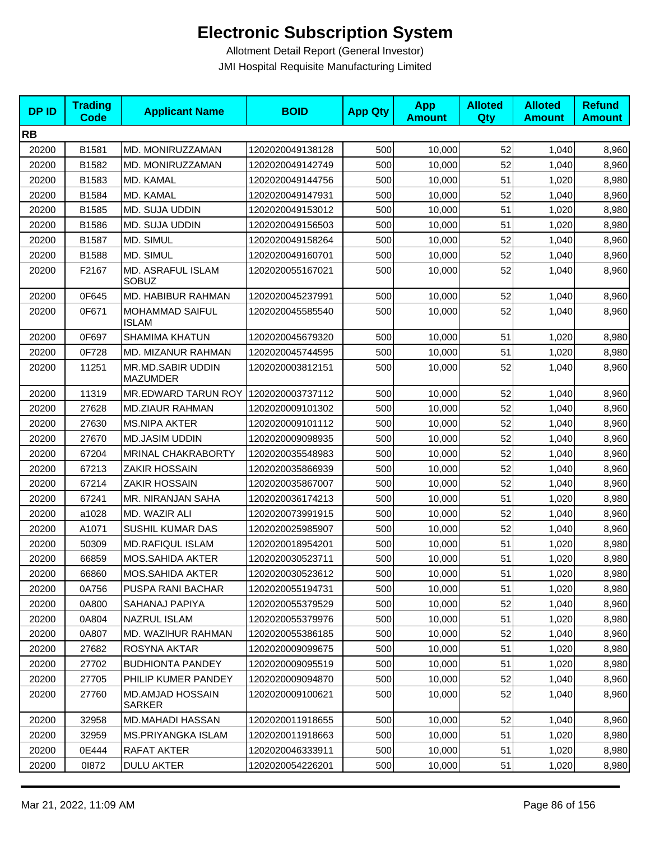| <b>DPID</b> | <b>Trading</b><br><b>Code</b> | <b>Applicant Name</b>                    | <b>BOID</b>      | <b>App Qty</b> | <b>App</b><br><b>Amount</b> | <b>Alloted</b><br><b>Qty</b> | <b>Alloted</b><br><b>Amount</b> | <b>Refund</b><br><b>Amount</b> |
|-------------|-------------------------------|------------------------------------------|------------------|----------------|-----------------------------|------------------------------|---------------------------------|--------------------------------|
| <b>RB</b>   |                               |                                          |                  |                |                             |                              |                                 |                                |
| 20200       | B1581                         | MD. MONIRUZZAMAN                         | 1202020049138128 | 500            | 10,000                      | 52                           | 1,040                           | 8,960                          |
| 20200       | B1582                         | MD. MONIRUZZAMAN                         | 1202020049142749 | 500            | 10,000                      | 52                           | 1,040                           | 8,960                          |
| 20200       | B1583                         | MD. KAMAL                                | 1202020049144756 | 500            | 10,000                      | 51                           | 1,020                           | 8,980                          |
| 20200       | B1584                         | MD. KAMAL                                | 1202020049147931 | 500            | 10,000                      | 52                           | 1,040                           | 8,960                          |
| 20200       | B1585                         | MD. SUJA UDDIN                           | 1202020049153012 | 500            | 10,000                      | 51                           | 1,020                           | 8,980                          |
| 20200       | B1586                         | MD. SUJA UDDIN                           | 1202020049156503 | 500            | 10,000                      | 51                           | 1,020                           | 8,980                          |
| 20200       | B1587                         | MD. SIMUL                                | 1202020049158264 | 500            | 10,000                      | 52                           | 1,040                           | 8,960                          |
| 20200       | B1588                         | MD. SIMUL                                | 1202020049160701 | 500            | 10,000                      | 52                           | 1,040                           | 8,960                          |
| 20200       | F2167                         | MD. ASRAFUL ISLAM<br><b>SOBUZ</b>        | 1202020055167021 | 500            | 10,000                      | 52                           | 1,040                           | 8,960                          |
| 20200       | 0F645                         | MD. HABIBUR RAHMAN                       | 1202020045237991 | 500            | 10,000                      | 52                           | 1,040                           | 8,960                          |
| 20200       | 0F671                         | <b>MOHAMMAD SAIFUL</b><br><b>ISLAM</b>   | 1202020045585540 | 500            | 10,000                      | 52                           | 1,040                           | 8,960                          |
| 20200       | 0F697                         | <b>SHAMIMA KHATUN</b>                    | 1202020045679320 | 500            | 10,000                      | 51                           | 1,020                           | 8,980                          |
| 20200       | 0F728                         | MD. MIZANUR RAHMAN                       | 1202020045744595 | 500            | 10,000                      | 51                           | 1,020                           | 8,980                          |
| 20200       | 11251                         | MR.MD.SABIR UDDIN<br><b>MAZUMDER</b>     | 1202020003812151 | 500            | 10,000                      | 52                           | 1,040                           | 8,960                          |
| 20200       | 11319                         | MR.EDWARD TARUN ROY                      | 1202020003737112 | 500            | 10,000                      | 52                           | 1,040                           | 8,960                          |
| 20200       | 27628                         | <b>MD.ZIAUR RAHMAN</b>                   | 1202020009101302 | 500            | 10,000                      | 52                           | 1,040                           | 8,960                          |
| 20200       | 27630                         | <b>MS.NIPA AKTER</b>                     | 1202020009101112 | 500            | 10,000                      | 52                           | 1,040                           | 8,960                          |
| 20200       | 27670                         | <b>MD.JASIM UDDIN</b>                    | 1202020009098935 | 500            | 10,000                      | 52                           | 1,040                           | 8,960                          |
| 20200       | 67204                         | MRINAL CHAKRABORTY                       | 1202020035548983 | 500            | 10,000                      | 52                           | 1,040                           | 8,960                          |
| 20200       | 67213                         | <b>ZAKIR HOSSAIN</b>                     | 1202020035866939 | 500            | 10,000                      | 52                           | 1,040                           | 8,960                          |
| 20200       | 67214                         | <b>ZAKIR HOSSAIN</b>                     | 1202020035867007 | 500            | 10,000                      | 52                           | 1,040                           | 8,960                          |
| 20200       | 67241                         | MR. NIRANJAN SAHA                        | 1202020036174213 | 500            | 10,000                      | 51                           | 1,020                           | 8,980                          |
| 20200       | a1028                         | MD. WAZIR ALI                            | 1202020073991915 | 500            | 10,000                      | 52                           | 1,040                           | 8,960                          |
| 20200       | A1071                         | SUSHIL KUMAR DAS                         | 1202020025985907 | 500            | 10,000                      | 52                           | 1,040                           | 8,960                          |
| 20200       | 50309                         | <b>MD.RAFIQUL ISLAM</b>                  | 1202020018954201 | 500            | 10,000                      | 51                           | 1,020                           | 8,980                          |
| 20200       | 66859                         | MOS.SAHIDA AKTER                         | 1202020030523711 | 500            | 10,000                      | 51                           | 1,020                           | 8,980                          |
| 20200       | 66860                         | MOS.SAHIDA AKTER                         | 1202020030523612 | 500            | 10,000                      | 51                           | 1,020                           | 8,980                          |
| 20200       | 0A756                         | <b>PUSPA RANI BACHAR</b>                 | 1202020055194731 | 500            | 10,000                      | 51                           | 1,020                           | 8,980                          |
| 20200       | 0A800                         | SAHANAJ PAPIYA                           | 1202020055379529 | 500            | 10,000                      | 52                           | 1,040                           | 8,960                          |
| 20200       | 0A804                         | <b>NAZRUL ISLAM</b>                      | 1202020055379976 | 500            | 10,000                      | 51                           | 1,020                           | 8,980                          |
| 20200       | 0A807                         | MD. WAZIHUR RAHMAN                       | 1202020055386185 | 500            | 10,000                      | 52                           | 1,040                           | 8,960                          |
| 20200       | 27682                         | ROSYNA AKTAR                             | 1202020009099675 | 500            | 10,000                      | 51                           | 1,020                           | 8,980                          |
| 20200       | 27702                         | <b>BUDHIONTA PANDEY</b>                  | 1202020009095519 | 500            | 10,000                      | 51                           | 1,020                           | 8,980                          |
| 20200       | 27705                         | PHILIP KUMER PANDEY                      | 1202020009094870 | 500            | 10,000                      | 52                           | 1,040                           | 8,960                          |
| 20200       | 27760                         | <b>MD.AMJAD HOSSAIN</b><br><b>SARKER</b> | 1202020009100621 | 500            | 10.000                      | 52                           | 1,040                           | 8,960                          |
| 20200       | 32958                         | MD.MAHADI HASSAN                         | 1202020011918655 | 500            | 10,000                      | 52                           | 1,040                           | 8,960                          |
| 20200       | 32959                         | <b>MS.PRIYANGKA ISLAM</b>                | 1202020011918663 | 500            | 10,000                      | 51                           | 1,020                           | 8,980                          |
| 20200       | 0E444                         | RAFAT AKTER                              | 1202020046333911 | 500            | 10,000                      | 51                           | 1,020                           | 8,980                          |
| 20200       | 01872                         | <b>DULU AKTER</b>                        | 1202020054226201 | 500            | 10,000                      | 51                           | 1,020                           | 8,980                          |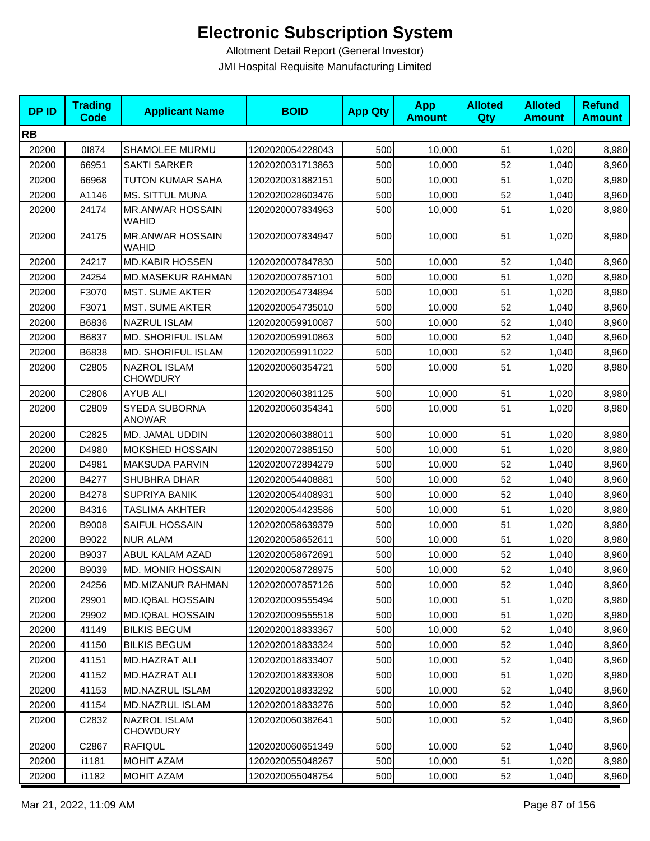| <b>DPID</b> | <b>Trading</b><br><b>Code</b> | <b>Applicant Name</b>                   | <b>BOID</b>      | <b>App Qty</b> | <b>App</b><br><b>Amount</b> | <b>Alloted</b><br>Qty | <b>Alloted</b><br><b>Amount</b> | <b>Refund</b><br><b>Amount</b> |
|-------------|-------------------------------|-----------------------------------------|------------------|----------------|-----------------------------|-----------------------|---------------------------------|--------------------------------|
| <b>RB</b>   |                               |                                         |                  |                |                             |                       |                                 |                                |
| 20200       | 01874                         | SHAMOLEE MURMU                          | 1202020054228043 | 500            | 10,000                      | 51                    | 1,020                           | 8,980                          |
| 20200       | 66951                         | <b>SAKTI SARKER</b>                     | 1202020031713863 | 500            | 10,000                      | 52                    | 1,040                           | 8,960                          |
| 20200       | 66968                         | <b>TUTON KUMAR SAHA</b>                 | 1202020031882151 | 500            | 10,000                      | 51                    | 1,020                           | 8,980                          |
| 20200       | A1146                         | <b>MS. SITTUL MUNA</b>                  | 1202020028603476 | 500            | 10,000                      | 52                    | 1,040                           | 8,960                          |
| 20200       | 24174                         | <b>MR.ANWAR HOSSAIN</b><br>WAHID        | 1202020007834963 | 500            | 10,000                      | 51                    | 1,020                           | 8,980                          |
| 20200       | 24175                         | <b>MR.ANWAR HOSSAIN</b><br><b>WAHID</b> | 1202020007834947 | 500            | 10,000                      | 51                    | 1,020                           | 8,980                          |
| 20200       | 24217                         | <b>MD.KABIR HOSSEN</b>                  | 1202020007847830 | 500            | 10,000                      | 52                    | 1,040                           | 8,960                          |
| 20200       | 24254                         | <b>MD.MASEKUR RAHMAN</b>                | 1202020007857101 | 500            | 10,000                      | 51                    | 1,020                           | 8,980                          |
| 20200       | F3070                         | <b>MST. SUME AKTER</b>                  | 1202020054734894 | 500            | 10,000                      | 51                    | 1,020                           | 8,980                          |
| 20200       | F3071                         | <b>MST. SUME AKTER</b>                  | 1202020054735010 | 500            | 10,000                      | 52                    | 1,040                           | 8,960                          |
| 20200       | B6836                         | <b>NAZRUL ISLAM</b>                     | 1202020059910087 | 500            | 10,000                      | 52                    | 1,040                           | 8,960                          |
| 20200       | B6837                         | MD. SHORIFUL ISLAM                      | 1202020059910863 | 500            | 10,000                      | 52                    | 1,040                           | 8,960                          |
| 20200       | B6838                         | <b>MD. SHORIFUL ISLAM</b>               | 1202020059911022 | 500            | 10,000                      | 52                    | 1,040                           | 8,960                          |
| 20200       | C2805                         | <b>NAZROL ISLAM</b><br><b>CHOWDURY</b>  | 1202020060354721 | 500            | 10,000                      | 51                    | 1,020                           | 8,980                          |
| 20200       | C2806                         | <b>AYUB ALI</b>                         | 1202020060381125 | 500            | 10,000                      | 51                    | 1,020                           | 8,980                          |
| 20200       | C2809                         | SYEDA SUBORNA<br><b>ANOWAR</b>          | 1202020060354341 | 500            | 10,000                      | 51                    | 1,020                           | 8,980                          |
| 20200       | C2825                         | MD. JAMAL UDDIN                         | 1202020060388011 | 500            | 10,000                      | 51                    | 1,020                           | 8,980                          |
| 20200       | D4980                         | <b>MOKSHED HOSSAIN</b>                  | 1202020072885150 | 500            | 10,000                      | 51                    | 1,020                           | 8,980                          |
| 20200       | D4981                         | MAKSUDA PARVIN                          | 1202020072894279 | 500            | 10,000                      | 52                    | 1,040                           | 8,960                          |
| 20200       | B4277                         | SHUBHRA DHAR                            | 1202020054408881 | 500            | 10,000                      | 52                    | 1,040                           | 8,960                          |
| 20200       | B4278                         | <b>SUPRIYA BANIK</b>                    | 1202020054408931 | 500            | 10,000                      | 52                    | 1,040                           | 8,960                          |
| 20200       | B4316                         | TASLIMA AKHTER                          | 1202020054423586 | 500            | 10,000                      | 51                    | 1,020                           | 8,980                          |
| 20200       | B9008                         | SAIFUL HOSSAIN                          | 1202020058639379 | 500            | 10,000                      | 51                    | 1,020                           | 8,980                          |
| 20200       | B9022                         | <b>NUR ALAM</b>                         | 1202020058652611 | 500            | 10,000                      | 51                    | 1,020                           | 8,980                          |
| 20200       | B9037                         | ABUL KALAM AZAD                         | 1202020058672691 | 500            | 10,000                      | 52                    | 1,040                           | 8,960                          |
| 20200       | B9039                         | MD. MONIR HOSSAIN                       | 1202020058728975 | 500            | 10,000                      | 52                    | 1,040                           | 8,960                          |
| 20200       | 24256                         | <b>MD.MIZANUR RAHMAN</b>                | 1202020007857126 | 500            | 10,000                      | 52                    | 1,040                           | 8,960                          |
| 20200       | 29901                         | <b>MD.IQBAL HOSSAIN</b>                 | 1202020009555494 | 500            | 10,000                      | 51                    | 1,020                           | 8,980                          |
| 20200       | 29902                         | <b>MD.IQBAL HOSSAIN</b>                 | 1202020009555518 | 500            | 10,000                      | 51                    | 1,020                           | 8,980                          |
| 20200       | 41149                         | <b>BILKIS BEGUM</b>                     | 1202020018833367 | 500            | 10,000                      | 52                    | 1,040                           | 8,960                          |
| 20200       | 41150                         | <b>BILKIS BEGUM</b>                     | 1202020018833324 | 500            | 10,000                      | 52                    | 1,040                           | 8,960                          |
| 20200       | 41151                         | MD.HAZRAT ALI                           | 1202020018833407 | 500            | 10,000                      | 52                    | 1,040                           | 8,960                          |
| 20200       | 41152                         | MD.HAZRAT ALI                           | 1202020018833308 | 500            | 10,000                      | 51                    | 1,020                           | 8,980                          |
| 20200       | 41153                         | MD.NAZRUL ISLAM                         | 1202020018833292 | 500            | 10,000                      | 52                    | 1,040                           | 8,960                          |
| 20200       | 41154                         | MD.NAZRUL ISLAM                         | 1202020018833276 | 500            | 10,000                      | 52                    | 1,040                           | 8,960                          |
| 20200       | C <sub>2832</sub>             | NAZROL ISLAM<br><b>CHOWDURY</b>         | 1202020060382641 | 500            | 10,000                      | 52                    | 1,040                           | 8,960                          |
| 20200       | C2867                         | <b>RAFIQUL</b>                          | 1202020060651349 | 500            | 10,000                      | 52                    | 1,040                           | 8,960                          |
| 20200       | i1181                         | MOHIT AZAM                              | 1202020055048267 | 500            | 10,000                      | 51                    | 1,020                           | 8,980                          |
| 20200       | i1182                         | MOHIT AZAM                              | 1202020055048754 | 500            | 10,000                      | 52                    | 1,040                           | 8,960                          |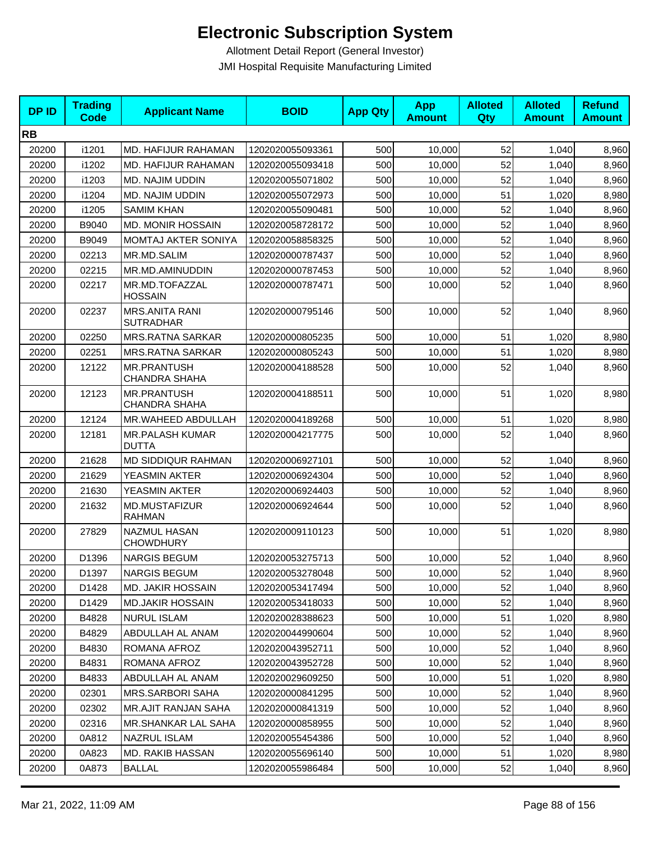| <b>DPID</b> | <b>Trading</b><br><b>Code</b> | <b>Applicant Name</b>                      | <b>BOID</b>      | <b>App Qty</b> | <b>App</b><br><b>Amount</b> | <b>Alloted</b><br>Qty | <b>Alloted</b><br><b>Amount</b> | <b>Refund</b><br><b>Amount</b> |
|-------------|-------------------------------|--------------------------------------------|------------------|----------------|-----------------------------|-----------------------|---------------------------------|--------------------------------|
| <b>RB</b>   |                               |                                            |                  |                |                             |                       |                                 |                                |
| 20200       | i1201                         | MD. HAFIJUR RAHAMAN                        | 1202020055093361 | 500            | 10,000                      | 52                    | 1,040                           | 8,960                          |
| 20200       | i1202                         | MD. HAFIJUR RAHAMAN                        | 1202020055093418 | 500            | 10,000                      | 52                    | 1,040                           | 8,960                          |
| 20200       | i1203                         | MD. NAJIM UDDIN                            | 1202020055071802 | 500            | 10,000                      | 52                    | 1,040                           | 8,960                          |
| 20200       | i1204                         | <b>MD. NAJIM UDDIN</b>                     | 1202020055072973 | 500            | 10,000                      | 51                    | 1,020                           | 8,980                          |
| 20200       | i1205                         | <b>SAMIM KHAN</b>                          | 1202020055090481 | 500            | 10,000                      | 52                    | 1,040                           | 8,960                          |
| 20200       | B9040                         | <b>MD. MONIR HOSSAIN</b>                   | 1202020058728172 | 500            | 10.000                      | 52                    | 1,040                           | 8,960                          |
| 20200       | B9049                         | MOMTAJ AKTER SONIYA                        | 1202020058858325 | 500            | 10,000                      | 52                    | 1,040                           | 8,960                          |
| 20200       | 02213                         | MR.MD.SALIM                                | 1202020000787437 | 500            | 10,000                      | 52                    | 1,040                           | 8,960                          |
| 20200       | 02215                         | MR.MD.AMINUDDIN                            | 1202020000787453 | 500            | 10,000                      | 52                    | 1,040                           | 8,960                          |
| 20200       | 02217                         | MR.MD.TOFAZZAL<br><b>HOSSAIN</b>           | 1202020000787471 | 500            | 10,000                      | 52                    | 1,040                           | 8,960                          |
| 20200       | 02237                         | <b>MRS.ANITA RANI</b><br><b>SUTRADHAR</b>  | 1202020000795146 | 500            | 10,000                      | 52                    | 1,040                           | 8,960                          |
| 20200       | 02250                         | <b>MRS.RATNA SARKAR</b>                    | 1202020000805235 | 500            | 10,000                      | 51                    | 1,020                           | 8,980                          |
| 20200       | 02251                         | <b>MRS.RATNA SARKAR</b>                    | 1202020000805243 | 500            | 10,000                      | 51                    | 1,020                           | 8,980                          |
| 20200       | 12122                         | <b>MR.PRANTUSH</b><br><b>CHANDRA SHAHA</b> | 1202020004188528 | 500            | 10,000                      | 52                    | 1,040                           | 8,960                          |
| 20200       | 12123                         | MR.PRANTUSH<br><b>CHANDRA SHAHA</b>        | 1202020004188511 | 500            | 10,000                      | 51                    | 1,020                           | 8,980                          |
| 20200       | 12124                         | MR.WAHEED ABDULLAH                         | 1202020004189268 | 500            | 10,000                      | 51                    | 1,020                           | 8,980                          |
| 20200       | 12181                         | MR.PALASH KUMAR<br><b>DUTTA</b>            | 1202020004217775 | 500            | 10,000                      | 52                    | 1,040                           | 8,960                          |
| 20200       | 21628                         | <b>MD SIDDIQUR RAHMAN</b>                  | 1202020006927101 | 500            | 10,000                      | 52                    | 1,040                           | 8,960                          |
| 20200       | 21629                         | YEASMIN AKTER                              | 1202020006924304 | 500            | 10,000                      | 52                    | 1,040                           | 8,960                          |
| 20200       | 21630                         | YEASMIN AKTER                              | 1202020006924403 | 500            | 10,000                      | 52                    | 1,040                           | 8,960                          |
| 20200       | 21632                         | MD.MUSTAFIZUR<br><b>RAHMAN</b>             | 1202020006924644 | 500            | 10,000                      | 52                    | 1,040                           | 8,960                          |
| 20200       | 27829                         | NAZMUL HASAN<br><b>CHOWDHURY</b>           | 1202020009110123 | 500            | 10,000                      | 51                    | 1,020                           | 8,980                          |
| 20200       | D1396                         | <b>NARGIS BEGUM</b>                        | 1202020053275713 | 500            | 10,000                      | 52                    | 1,040                           | 8,960                          |
| 20200       | D1397                         | NARGIS BEGUM                               | 1202020053278048 | 500            | 10,000                      | 52                    | 1,040                           | 8,960                          |
| 20200       | D1428                         | <b>MD. JAKIR HOSSAIN</b>                   | 1202020053417494 | 500            | 10,000                      | 52                    | 1,040                           | 8,960                          |
| 20200       | D1429                         | <b>MD.JAKIR HOSSAIN</b>                    | 1202020053418033 | 500            | 10,000                      | 52                    | 1,040                           | 8,960                          |
| 20200       | B4828                         | <b>NURUL ISLAM</b>                         | 1202020028388623 | 500            | 10,000                      | 51                    | 1,020                           | 8,980                          |
| 20200       | B4829                         | ABDULLAH AL ANAM                           | 1202020044990604 | 500            | 10,000                      | 52                    | 1,040                           | 8,960                          |
| 20200       | B4830                         | ROMANA AFROZ                               | 1202020043952711 | 500            | 10,000                      | 52                    | 1,040                           | 8,960                          |
| 20200       | B4831                         | ROMANA AFROZ                               | 1202020043952728 | 500            | 10,000                      | 52                    | 1,040                           | 8,960                          |
| 20200       | B4833                         | ABDULLAH AL ANAM                           | 1202020029609250 | 500            | 10,000                      | 51                    | 1,020                           | 8,980                          |
| 20200       | 02301                         | <b>MRS.SARBORI SAHA</b>                    | 1202020000841295 | 500            | 10,000                      | 52                    | 1,040                           | 8,960                          |
| 20200       | 02302                         | <b>MR.AJIT RANJAN SAHA</b>                 | 1202020000841319 | 500            | 10,000                      | 52                    | 1,040                           | 8,960                          |
| 20200       | 02316                         | <b>MR.SHANKAR LAL SAHA</b>                 | 1202020000858955 | 500            | 10,000                      | 52                    | 1,040                           | 8,960                          |
| 20200       | 0A812                         | NAZRUL ISLAM                               | 1202020055454386 | 500            | 10,000                      | 52                    | 1,040                           | 8,960                          |
| 20200       | 0A823                         | MD. RAKIB HASSAN                           | 1202020055696140 | 500            | 10,000                      | 51                    | 1,020                           | 8,980                          |
| 20200       | 0A873                         | <b>BALLAL</b>                              | 1202020055986484 | 500            | 10,000                      | 52                    | 1,040                           | 8,960                          |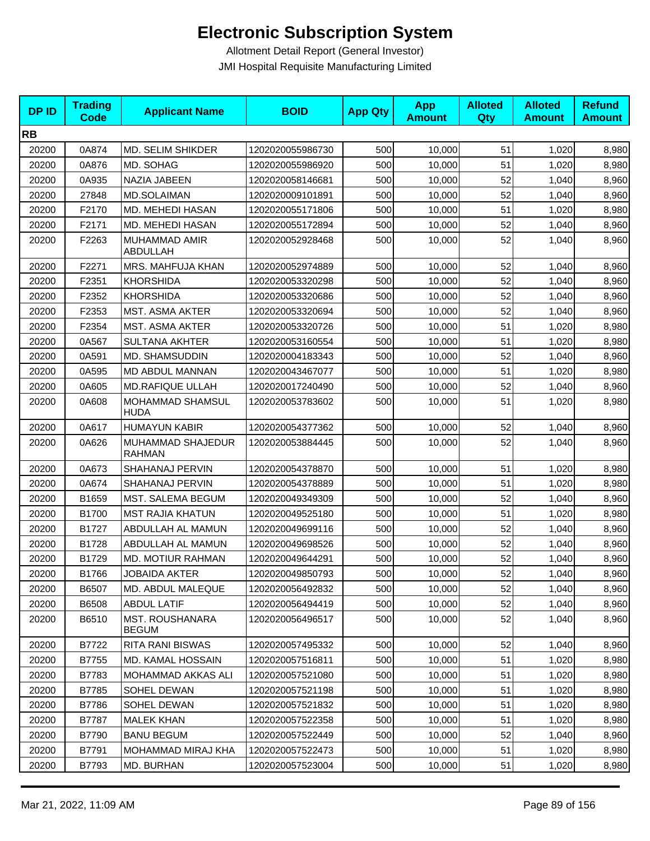| <b>DPID</b> | <b>Trading</b><br><b>Code</b> | <b>Applicant Name</b>                  | <b>BOID</b>      | <b>App Qty</b> | <b>App</b><br><b>Amount</b> | <b>Alloted</b><br><b>Qty</b> | <b>Alloted</b><br><b>Amount</b> | <b>Refund</b><br><b>Amount</b> |
|-------------|-------------------------------|----------------------------------------|------------------|----------------|-----------------------------|------------------------------|---------------------------------|--------------------------------|
| <b>RB</b>   |                               |                                        |                  |                |                             |                              |                                 |                                |
| 20200       | 0A874                         | MD. SELIM SHIKDER                      | 1202020055986730 | 500            | 10,000                      | 51                           | 1,020                           | 8,980                          |
| 20200       | 0A876                         | MD. SOHAG                              | 1202020055986920 | 500            | 10,000                      | 51                           | 1,020                           | 8,980                          |
| 20200       | 0A935                         | NAZIA JABEEN                           | 1202020058146681 | 500            | 10,000                      | 52                           | 1,040                           | 8,960                          |
| 20200       | 27848                         | MD.SOLAIMAN                            | 1202020009101891 | 500            | 10,000                      | 52                           | 1,040                           | 8,960                          |
| 20200       | F2170                         | MD. MEHEDI HASAN                       | 1202020055171806 | 500            | 10,000                      | 51                           | 1,020                           | 8,980                          |
| 20200       | F2171                         | MD. MEHEDI HASAN                       | 1202020055172894 | 500            | 10,000                      | 52                           | 1,040                           | 8,960                          |
| 20200       | F2263                         | MUHAMMAD AMIR<br>ABDULLAH              | 1202020052928468 | 500            | 10,000                      | 52                           | 1,040                           | 8,960                          |
| 20200       | F2271                         | MRS. MAHFUJA KHAN                      | 1202020052974889 | 500            | 10,000                      | 52                           | 1,040                           | 8,960                          |
| 20200       | F2351                         | <b>KHORSHIDA</b>                       | 1202020053320298 | 500            | 10,000                      | 52                           | 1,040                           | 8,960                          |
| 20200       | F2352                         | <b>KHORSHIDA</b>                       | 1202020053320686 | 500            | 10,000                      | 52                           | 1,040                           | 8,960                          |
| 20200       | F2353                         | <b>MST. ASMA AKTER</b>                 | 1202020053320694 | 500            | 10,000                      | 52                           | 1,040                           | 8,960                          |
| 20200       | F2354                         | <b>MST. ASMA AKTER</b>                 | 1202020053320726 | 500            | 10,000                      | 51                           | 1,020                           | 8,980                          |
| 20200       | 0A567                         | <b>SULTANA AKHTER</b>                  | 1202020053160554 | 500            | 10,000                      | 51                           | 1,020                           | 8,980                          |
| 20200       | 0A591                         | MD. SHAMSUDDIN                         | 1202020004183343 | 500            | 10,000                      | 52                           | 1,040                           | 8,960                          |
| 20200       | 0A595                         | MD ABDUL MANNAN                        | 1202020043467077 | 500            | 10,000                      | 51                           | 1,020                           | 8,980                          |
| 20200       | 0A605                         | <b>MD.RAFIQUE ULLAH</b>                | 1202020017240490 | 500            | 10,000                      | 52                           | 1,040                           | 8,960                          |
| 20200       | 0A608                         | MOHAMMAD SHAMSUL<br><b>HUDA</b>        | 1202020053783602 | 500            | 10,000                      | 51                           | 1,020                           | 8,980                          |
| 20200       | 0A617                         | <b>HUMAYUN KABIR</b>                   | 1202020054377362 | 500            | 10,000                      | 52                           | 1,040                           | 8,960                          |
| 20200       | 0A626                         | MUHAMMAD SHAJEDUR<br><b>RAHMAN</b>     | 1202020053884445 | 500            | 10,000                      | 52                           | 1,040                           | 8,960                          |
| 20200       | 0A673                         | SHAHANAJ PERVIN                        | 1202020054378870 | 500            | 10,000                      | 51                           | 1,020                           | 8,980                          |
| 20200       | 0A674                         | SHAHANAJ PERVIN                        | 1202020054378889 | 500            | 10,000                      | 51                           | 1,020                           | 8,980                          |
| 20200       | B1659                         | MST. SALEMA BEGUM                      | 1202020049349309 | 500            | 10,000                      | 52                           | 1,040                           | 8,960                          |
| 20200       | B1700                         | <b>MST RAJIA KHATUN</b>                | 1202020049525180 | 500            | 10,000                      | 51                           | 1,020                           | 8,980                          |
| 20200       | B1727                         | ABDULLAH AL MAMUN                      | 1202020049699116 | 500            | 10,000                      | 52                           | 1,040                           | 8,960                          |
| 20200       | B1728                         | ABDULLAH AL MAMUN                      | 1202020049698526 | 500            | 10,000                      | 52                           | 1,040                           | 8,960                          |
| 20200       | B1729                         | MD. MOTIUR RAHMAN                      | 1202020049644291 | 500            | 10,000                      | 52                           | 1,040                           | 8,960                          |
| 20200       | B1766                         | <b>JOBAIDA AKTER</b>                   | 1202020049850793 | 500            | 10,000                      | 52                           | 1,040                           | 8,960                          |
| 20200       | B6507                         | MD. ABDUL MALEQUE                      | 1202020056492832 | 500            | 10,000                      | 52                           | 1,040                           | 8,960                          |
| 20200       | B6508                         | <b>ABDUL LATIF</b>                     | 1202020056494419 | 500            | 10,000                      | 52                           | 1,040                           | 8,960                          |
| 20200       | B6510                         | <b>MST. ROUSHANARA</b><br><b>BEGUM</b> | 1202020056496517 | 500            | 10,000                      | 52                           | 1,040                           | 8,960                          |
| 20200       | B7722                         | RITA RANI BISWAS                       | 1202020057495332 | 500            | 10,000                      | 52                           | 1,040                           | 8,960                          |
| 20200       | B7755                         | MD. KAMAL HOSSAIN                      | 1202020057516811 | 500            | 10,000                      | 51                           | 1,020                           | 8,980                          |
| 20200       | B7783                         | MOHAMMAD AKKAS ALI                     | 1202020057521080 | 500            | 10,000                      | 51                           | 1,020                           | 8,980                          |
| 20200       | B7785                         | SOHEL DEWAN                            | 1202020057521198 | 500            | 10,000                      | 51                           | 1,020                           | 8,980                          |
| 20200       | B7786                         | SOHEL DEWAN                            | 1202020057521832 | 500            | 10,000                      | 51                           | 1,020                           | 8,980                          |
| 20200       | B7787                         | <b>MALEK KHAN</b>                      | 1202020057522358 | 500            | 10,000                      | 51                           | 1,020                           | 8,980                          |
| 20200       | B7790                         | <b>BANU BEGUM</b>                      | 1202020057522449 | 500            | 10,000                      | 52                           | 1,040                           | 8,960                          |
| 20200       | B7791                         | MOHAMMAD MIRAJ KHA                     | 1202020057522473 | 500            | 10,000                      | 51                           | 1,020                           | 8,980                          |
| 20200       | B7793                         | MD. BURHAN                             | 1202020057523004 | 500            | 10,000                      | 51                           | 1,020                           | 8,980                          |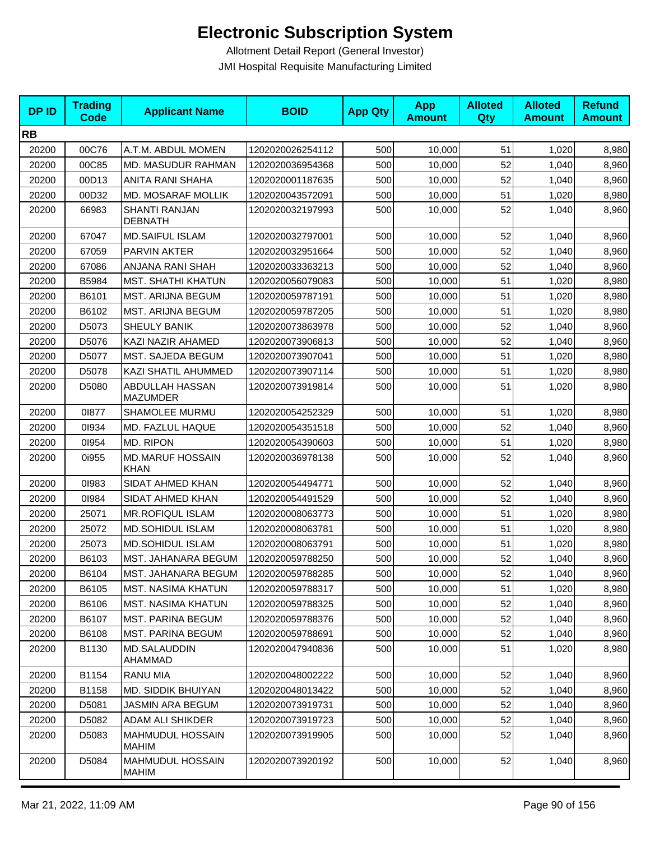| <b>DPID</b> | <b>Trading</b><br><b>Code</b> | <b>Applicant Name</b>                  | <b>BOID</b>      | <b>App Qty</b> | <b>App</b><br><b>Amount</b> | <b>Alloted</b><br>Qty | <b>Alloted</b><br><b>Amount</b> | <b>Refund</b><br><b>Amount</b> |
|-------------|-------------------------------|----------------------------------------|------------------|----------------|-----------------------------|-----------------------|---------------------------------|--------------------------------|
| <b>RB</b>   |                               |                                        |                  |                |                             |                       |                                 |                                |
| 20200       | 00C76                         | A.T.M. ABDUL MOMEN                     | 1202020026254112 | 500            | 10,000                      | 51                    | 1,020                           | 8,980                          |
| 20200       | 00C85                         | MD. MASUDUR RAHMAN                     | 1202020036954368 | 500            | 10,000                      | 52                    | 1,040                           | 8,960                          |
| 20200       | 00D13                         | ANITA RANI SHAHA                       | 1202020001187635 | 500            | 10,000                      | 52                    | 1,040                           | 8,960                          |
| 20200       | 00D32                         | MD. MOSARAF MOLLIK                     | 1202020043572091 | 500            | 10,000                      | 51                    | 1,020                           | 8,980                          |
| 20200       | 66983                         | <b>SHANTI RANJAN</b><br><b>DEBNATH</b> | 1202020032197993 | 500            | 10,000                      | 52                    | 1,040                           | 8,960                          |
| 20200       | 67047                         | <b>MD.SAIFUL ISLAM</b>                 | 1202020032797001 | 500            | 10,000                      | 52                    | 1,040                           | 8,960                          |
| 20200       | 67059                         | PARVIN AKTER                           | 1202020032951664 | 500            | 10,000                      | 52                    | 1,040                           | 8,960                          |
| 20200       | 67086                         | ANJANA RANI SHAH                       | 1202020033363213 | 500            | 10,000                      | 52                    | 1,040                           | 8,960                          |
| 20200       | B5984                         | <b>MST. SHATHI KHATUN</b>              | 1202020056079083 | 500            | 10,000                      | 51                    | 1,020                           | 8,980                          |
| 20200       | B6101                         | MST. ARIJNA BEGUM                      | 1202020059787191 | 500            | 10,000                      | 51                    | 1,020                           | 8,980                          |
| 20200       | B6102                         | MST. ARIJNA BEGUM                      | 1202020059787205 | 500            | 10,000                      | 51                    | 1,020                           | 8,980                          |
| 20200       | D5073                         | <b>SHEULY BANIK</b>                    | 1202020073863978 | 500            | 10,000                      | 52                    | 1,040                           | 8,960                          |
| 20200       | D5076                         | KAZI NAZIR AHAMED                      | 1202020073906813 | 500            | 10,000                      | 52                    | 1,040                           | 8,960                          |
| 20200       | D5077                         | MST. SAJEDA BEGUM                      | 1202020073907041 | 500            | 10,000                      | 51                    | 1,020                           | 8,980                          |
| 20200       | D5078                         | KAZI SHATIL AHUMMED                    | 1202020073907114 | 500            | 10,000                      | 51                    | 1,020                           | 8,980                          |
| 20200       | D5080                         | ABDULLAH HASSAN<br><b>MAZUMDER</b>     | 1202020073919814 | 500            | 10,000                      | 51                    | 1,020                           | 8,980                          |
| 20200       | 01877                         | SHAMOLEE MURMU                         | 1202020054252329 | 500            | 10,000                      | 51                    | 1,020                           | 8,980                          |
| 20200       | 01934                         | MD. FAZLUL HAQUE                       | 1202020054351518 | 500            | 10,000                      | 52                    | 1,040                           | 8,960                          |
| 20200       | 01954                         | MD. RIPON                              | 1202020054390603 | 500            | 10,000                      | 51                    | 1,020                           | 8,980                          |
| 20200       | 0i955                         | <b>MD.MARUF HOSSAIN</b><br>KHAN        | 1202020036978138 | 500            | 10,000                      | 52                    | 1,040                           | 8,960                          |
| 20200       | 01983                         | SIDAT AHMED KHAN                       | 1202020054494771 | 500            | 10,000                      | 52                    | 1,040                           | 8,960                          |
| 20200       | 01984                         | SIDAT AHMED KHAN                       | 1202020054491529 | 500            | 10,000                      | 52                    | 1,040                           | 8,960                          |
| 20200       | 25071                         | <b>MR.ROFIQUL ISLAM</b>                | 1202020008063773 | 500            | 10,000                      | 51                    | 1,020                           | 8,980                          |
| 20200       | 25072                         | <b>MD.SOHIDUL ISLAM</b>                | 1202020008063781 | 500            | 10,000                      | 51                    | 1,020                           | 8,980                          |
| 20200       | 25073                         | <b>MD.SOHIDUL ISLAM</b>                | 1202020008063791 | 500            | 10,000                      | 51                    | 1,020                           | 8,980                          |
| 20200       | B6103                         | MST. JAHANARA BEGUM                    | 1202020059788250 | 500            | 10,000                      | 52                    | 1,040                           | 8,960                          |
| 20200       | B6104                         | MST. JAHANARA BEGUM                    | 1202020059788285 | 500            | 10,000                      | 52                    | 1,040                           | 8,960                          |
| 20200       | B6105                         | <b>MST. NASIMA KHATUN</b>              | 1202020059788317 | 500            | 10,000                      | 51                    | 1,020                           | 8,980                          |
| 20200       | B6106                         | <b>MST. NASIMA KHATUN</b>              | 1202020059788325 | 500            | 10,000                      | 52                    | 1,040                           | 8,960                          |
| 20200       | B6107                         | <b>MST. PARINA BEGUM</b>               | 1202020059788376 | 500            | 10,000                      | 52                    | 1,040                           | 8,960                          |
| 20200       | B6108                         | <b>MST. PARINA BEGUM</b>               | 1202020059788691 | 500            | 10,000                      | 52                    | 1,040                           | 8,960                          |
| 20200       | B1130                         | MD.SALAUDDIN<br>AHAMMAD                | 1202020047940836 | 500            | 10,000                      | 51                    | 1,020                           | 8,980                          |
| 20200       | B1154                         | <b>RANU MIA</b>                        | 1202020048002222 | 500            | 10,000                      | 52                    | 1,040                           | 8,960                          |
| 20200       | B1158                         | MD. SIDDIK BHUIYAN                     | 1202020048013422 | 500            | 10,000                      | 52                    | 1,040                           | 8,960                          |
| 20200       | D5081                         | <b>JASMIN ARA BEGUM</b>                | 1202020073919731 | 500            | 10,000                      | 52                    | 1,040                           | 8,960                          |
| 20200       | D5082                         | <b>ADAM ALI SHIKDER</b>                | 1202020073919723 | 500            | 10,000                      | 52                    | 1,040                           | 8,960                          |
| 20200       | D5083                         | MAHMUDUL HOSSAIN<br>MAHIM              | 1202020073919905 | 500            | 10,000                      | 52                    | 1,040                           | 8,960                          |
| 20200       | D5084                         | <b>MAHMUDUL HOSSAIN</b><br>MAHIM       | 1202020073920192 | 500            | 10,000                      | 52                    | 1,040                           | 8,960                          |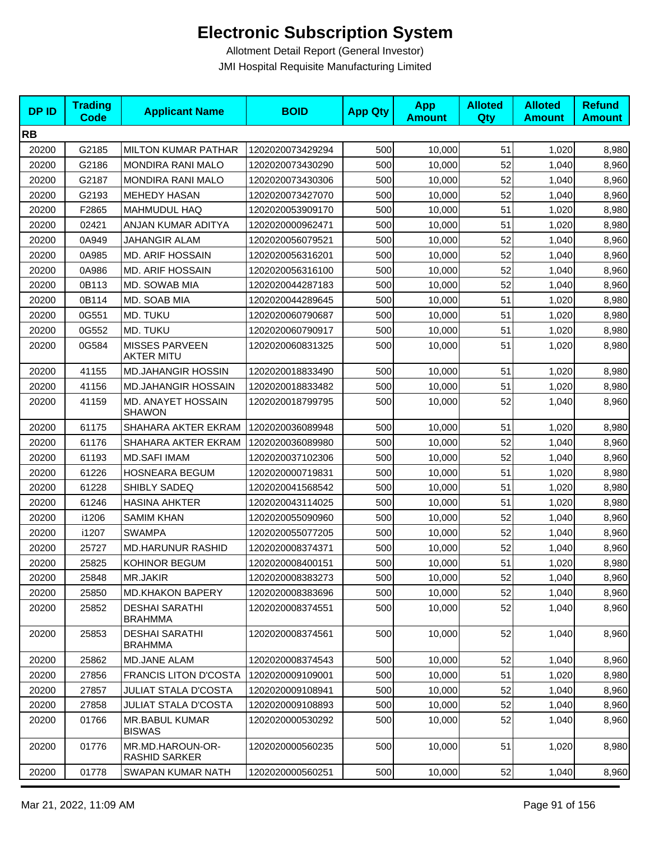| <b>DPID</b> | <b>Trading</b><br><b>Code</b> | <b>Applicant Name</b>                      | <b>BOID</b>      | <b>App Qty</b> | <b>App</b><br><b>Amount</b> | <b>Alloted</b><br>Qty | <b>Alloted</b><br><b>Amount</b> | <b>Refund</b><br><b>Amount</b> |
|-------------|-------------------------------|--------------------------------------------|------------------|----------------|-----------------------------|-----------------------|---------------------------------|--------------------------------|
| <b>RB</b>   |                               |                                            |                  |                |                             |                       |                                 |                                |
| 20200       | G2185                         | <b>MILTON KUMAR PATHAR</b>                 | 1202020073429294 | 500            | 10,000                      | 51                    | 1,020                           | 8,980                          |
| 20200       | G2186                         | <b>MONDIRA RANI MALO</b>                   | 1202020073430290 | 500            | 10,000                      | 52                    | 1,040                           | 8,960                          |
| 20200       | G2187                         | <b>MONDIRA RANI MALO</b>                   | 1202020073430306 | 500            | 10,000                      | 52                    | 1,040                           | 8,960                          |
| 20200       | G2193                         | <b>MEHEDY HASAN</b>                        | 1202020073427070 | 500            | 10,000                      | 52                    | 1,040                           | 8,960                          |
| 20200       | F2865                         | <b>MAHMUDUL HAQ</b>                        | 1202020053909170 | 500            | 10,000                      | 51                    | 1,020                           | 8,980                          |
| 20200       | 02421                         | ANJAN KUMAR ADITYA                         | 1202020000962471 | 500            | 10,000                      | 51                    | 1,020                           | 8,980                          |
| 20200       | 0A949                         | <b>JAHANGIR ALAM</b>                       | 1202020056079521 | 500            | 10,000                      | 52                    | 1,040                           | 8,960                          |
| 20200       | 0A985                         | <b>MD. ARIF HOSSAIN</b>                    | 1202020056316201 | 500            | 10,000                      | 52                    | 1,040                           | 8,960                          |
| 20200       | 0A986                         | <b>MD. ARIF HOSSAIN</b>                    | 1202020056316100 | 500            | 10,000                      | 52                    | 1,040                           | 8,960                          |
| 20200       | 0B113                         | MD. SOWAB MIA                              | 1202020044287183 | 500            | 10,000                      | 52                    | 1,040                           | 8,960                          |
| 20200       | 0B114                         | MD. SOAB MIA                               | 1202020044289645 | 500            | 10,000                      | 51                    | 1,020                           | 8,980                          |
| 20200       | 0G551                         | MD. TUKU                                   | 1202020060790687 | 500            | 10,000                      | 51                    | 1,020                           | 8,980                          |
| 20200       | 0G552                         | MD. TUKU                                   | 1202020060790917 | 500            | 10,000                      | 51                    | 1,020                           | 8,980                          |
| 20200       | 0G584                         | <b>MISSES PARVEEN</b><br><b>AKTER MITU</b> | 1202020060831325 | 500            | 10,000                      | 51                    | 1,020                           | 8,980                          |
| 20200       | 41155                         | <b>MD.JAHANGIR HOSSIN</b>                  | 1202020018833490 | 500            | 10,000                      | 51                    | 1,020                           | 8,980                          |
| 20200       | 41156                         | <b>MD.JAHANGIR HOSSAIN</b>                 | 1202020018833482 | 500            | 10,000                      | 51                    | 1,020                           | 8,980                          |
| 20200       | 41159                         | MD. ANAYET HOSSAIN<br><b>SHAWON</b>        | 1202020018799795 | 500            | 10,000                      | 52                    | 1,040                           | 8,960                          |
| 20200       | 61175                         | SHAHARA AKTER EKRAM                        | 1202020036089948 | 500            | 10,000                      | 51                    | 1,020                           | 8,980                          |
| 20200       | 61176                         | SHAHARA AKTER EKRAM                        | 1202020036089980 | 500            | 10,000                      | 52                    | 1,040                           | 8,960                          |
| 20200       | 61193                         | <b>MD.SAFI IMAM</b>                        | 1202020037102306 | 500            | 10,000                      | 52                    | 1,040                           | 8,960                          |
| 20200       | 61226                         | <b>HOSNEARA BEGUM</b>                      | 1202020000719831 | 500            | 10,000                      | 51                    | 1,020                           | 8,980                          |
| 20200       | 61228                         | SHIBLY SADEQ                               | 1202020041568542 | 500            | 10,000                      | 51                    | 1,020                           | 8,980                          |
| 20200       | 61246                         | <b>HASINA AHKTER</b>                       | 1202020043114025 | 500            | 10,000                      | 51                    | 1,020                           | 8,980                          |
| 20200       | i1206                         | <b>SAMIM KHAN</b>                          | 1202020055090960 | 500            | 10,000                      | 52                    | 1,040                           | 8,960                          |
| 20200       | i1207                         | <b>SWAMPA</b>                              | 1202020055077205 | 500            | 10,000                      | 52                    | 1,040                           | 8,960                          |
| 20200       | 25727                         | <b>MD.HARUNUR RASHID</b>                   | 1202020008374371 | 500            | 10,000                      | 52                    | 1,040                           | 8,960                          |
| 20200       | 25825                         | KOHINOR BEGUM                              | 1202020008400151 | 500            | 10,000                      | 51                    | 1,020                           | 8,980                          |
| 20200       | 25848                         | <b>MR.JAKIR</b>                            | 1202020008383273 | 500            | 10,000                      | 52                    | 1,040                           | 8,960                          |
| 20200       | 25850                         | <b>MD.KHAKON BAPERY</b>                    | 1202020008383696 | 500            | 10,000                      | 52                    | 1,040                           | 8,960                          |
| 20200       | 25852                         | <b>DESHAI SARATHI</b><br><b>BRAHMMA</b>    | 1202020008374551 | 500            | 10,000                      | 52                    | 1,040                           | 8,960                          |
| 20200       | 25853                         | <b>DESHAI SARATHI</b><br><b>BRAHMMA</b>    | 1202020008374561 | 500            | 10,000                      | 52                    | 1,040                           | 8,960                          |
| 20200       | 25862                         | MD.JANE ALAM                               | 1202020008374543 | 500            | 10,000                      | 52                    | 1,040                           | 8,960                          |
| 20200       | 27856                         | <b>FRANCIS LITON D'COSTA</b>               | 1202020009109001 | 500            | 10,000                      | 51                    | 1,020                           | 8,980                          |
| 20200       | 27857                         | <b>JULIAT STALA D'COSTA</b>                | 1202020009108941 | 500            | 10,000                      | 52                    | 1,040                           | 8,960                          |
| 20200       | 27858                         | <b>JULIAT STALA D'COSTA</b>                | 1202020009108893 | 500            | 10,000                      | 52                    | 1,040                           | 8,960                          |
| 20200       | 01766                         | <b>MR.BABUL KUMAR</b><br><b>BISWAS</b>     | 1202020000530292 | 500            | 10,000                      | 52                    | 1,040                           | 8,960                          |
| 20200       | 01776                         | MR.MD.HAROUN-OR-<br>RASHID SARKER          | 1202020000560235 | 500            | 10,000                      | 51                    | 1,020                           | 8,980                          |
| 20200       | 01778                         | SWAPAN KUMAR NATH                          | 1202020000560251 | 500            | 10,000                      | 52                    | 1,040                           | 8,960                          |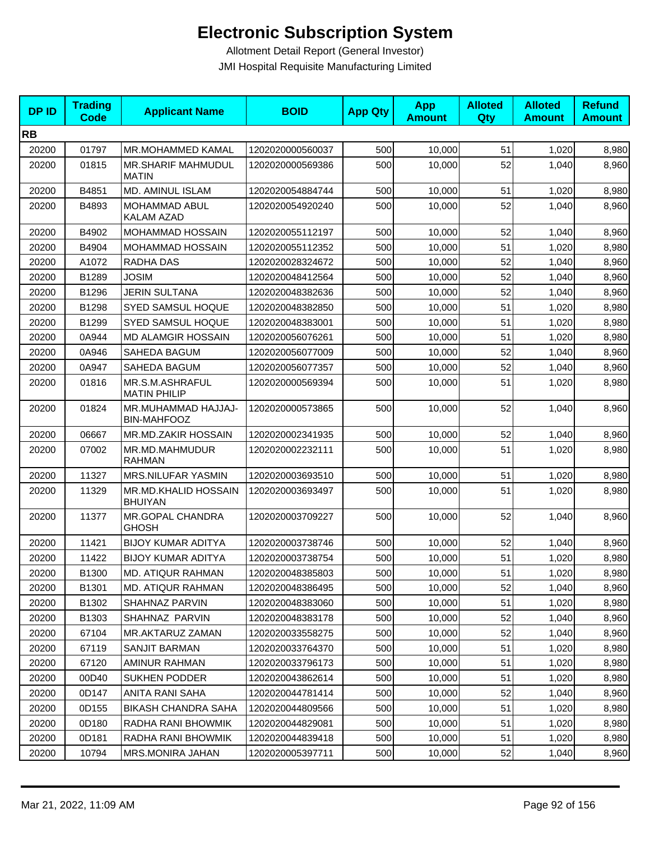| <b>DPID</b> | <b>Trading</b><br><b>Code</b> | <b>Applicant Name</b>                     | <b>BOID</b>      | <b>App Qty</b> | <b>App</b><br><b>Amount</b> | <b>Alloted</b><br>Qty | <b>Alloted</b><br><b>Amount</b> | <b>Refund</b><br><b>Amount</b> |
|-------------|-------------------------------|-------------------------------------------|------------------|----------------|-----------------------------|-----------------------|---------------------------------|--------------------------------|
| <b>RB</b>   |                               |                                           |                  |                |                             |                       |                                 |                                |
| 20200       | 01797                         | <b>MR.MOHAMMED KAMAL</b>                  | 1202020000560037 | 500            | 10,000                      | 51                    | 1,020                           | 8,980                          |
| 20200       | 01815                         | MR.SHARIF MAHMUDUL<br><b>MATIN</b>        | 1202020000569386 | 500            | 10,000                      | 52                    | 1,040                           | 8,960                          |
| 20200       | B4851                         | <b>MD. AMINUL ISLAM</b>                   | 1202020054884744 | 500            | 10,000                      | 51                    | 1,020                           | 8,980                          |
| 20200       | B4893                         | <b>MOHAMMAD ABUL</b><br><b>KALAM AZAD</b> | 1202020054920240 | 500            | 10,000                      | 52                    | 1,040                           | 8,960                          |
| 20200       | B4902                         | MOHAMMAD HOSSAIN                          | 1202020055112197 | 500            | 10,000                      | 52                    | 1,040                           | 8,960                          |
| 20200       | B4904                         | MOHAMMAD HOSSAIN                          | 1202020055112352 | 500            | 10,000                      | 51                    | 1,020                           | 8,980                          |
| 20200       | A1072                         | RADHA DAS                                 | 1202020028324672 | 500            | 10,000                      | 52                    | 1,040                           | 8,960                          |
| 20200       | B1289                         | <b>JOSIM</b>                              | 1202020048412564 | 500            | 10,000                      | 52                    | 1,040                           | 8,960                          |
| 20200       | B1296                         | <b>JERIN SULTANA</b>                      | 1202020048382636 | 500            | 10,000                      | 52                    | 1,040                           | 8,960                          |
| 20200       | B1298                         | <b>SYED SAMSUL HOQUE</b>                  | 1202020048382850 | 500            | 10,000                      | 51                    | 1,020                           | 8,980                          |
| 20200       | B1299                         | SYED SAMSUL HOQUE                         | 1202020048383001 | 500            | 10,000                      | 51                    | 1,020                           | 8,980                          |
| 20200       | 0A944                         | MD ALAMGIR HOSSAIN                        | 1202020056076261 | 500            | 10,000                      | 51                    | 1,020                           | 8,980                          |
| 20200       | 0A946                         | SAHEDA BAGUM                              | 1202020056077009 | 500            | 10,000                      | 52                    | 1,040                           | 8,960                          |
| 20200       | 0A947                         | SAHEDA BAGUM                              | 1202020056077357 | 500            | 10,000                      | 52                    | 1,040                           | 8,960                          |
| 20200       | 01816                         | MR.S.M.ASHRAFUL<br><b>MATIN PHILIP</b>    | 1202020000569394 | 500            | 10,000                      | 51                    | 1,020                           | 8,980                          |
| 20200       | 01824                         | MR.MUHAMMAD HAJJAJ-<br><b>BIN-MAHFOOZ</b> | 1202020000573865 | 500            | 10,000                      | 52                    | 1,040                           | 8,960                          |
| 20200       | 06667                         | MR.MD.ZAKIR HOSSAIN                       | 1202020002341935 | 500            | 10,000                      | 52                    | 1,040                           | 8,960                          |
| 20200       | 07002                         | MR.MD.MAHMUDUR<br><b>RAHMAN</b>           | 1202020002232111 | 500            | 10,000                      | 51                    | 1,020                           | 8,980                          |
| 20200       | 11327                         | MRS.NILUFAR YASMIN                        | 1202020003693510 | 500            | 10,000                      | 51                    | 1,020                           | 8,980                          |
| 20200       | 11329                         | MR.MD.KHALID HOSSAIN<br><b>BHUIYAN</b>    | 1202020003693497 | 500            | 10,000                      | 51                    | 1,020                           | 8,980                          |
| 20200       | 11377                         | MR.GOPAL CHANDRA<br><b>GHOSH</b>          | 1202020003709227 | 500            | 10,000                      | 52                    | 1,040                           | 8,960                          |
| 20200       | 11421                         | <b>BIJOY KUMAR ADITYA</b>                 | 1202020003738746 | 500            | 10,000                      | 52                    | 1,040                           | 8,960                          |
| 20200       | 11422                         | <b>BIJOY KUMAR ADITYA</b>                 | 1202020003738754 | 500            | 10,000                      | 51                    | 1,020                           | 8,980                          |
| 20200       | B1300                         | MD. ATIQUR RAHMAN                         | 1202020048385803 | 500            | 10,000                      | 51                    | 1,020                           | 8,980                          |
| 20200       | B1301                         | <b>MD. ATIQUR RAHMAN</b>                  | 1202020048386495 | 500            | 10,000                      | 52                    | 1,040                           | 8,960                          |
| 20200       | B1302                         | SHAHNAZ PARVIN                            | 1202020048383060 | 500            | 10,000                      | 51                    | 1,020                           | 8,980                          |
| 20200       | B1303                         | SHAHNAZ PARVIN                            | 1202020048383178 | 500            | 10,000                      | 52                    | 1,040                           | 8,960                          |
| 20200       | 67104                         | <b>MR.AKTARUZ ZAMAN</b>                   | 1202020033558275 | 500            | 10,000                      | 52                    | 1,040                           | 8,960                          |
| 20200       | 67119                         | <b>SANJIT BARMAN</b>                      | 1202020033764370 | 500            | 10,000                      | 51                    | 1,020                           | 8,980                          |
| 20200       | 67120                         | AMINUR RAHMAN                             | 1202020033796173 | 500            | 10,000                      | 51                    | 1,020                           | 8,980                          |
| 20200       | 00D40                         | <b>SUKHEN PODDER</b>                      | 1202020043862614 | 500            | 10.000                      | 51                    | 1,020                           | 8,980                          |
| 20200       | 0D147                         | ANITA RANI SAHA                           | 1202020044781414 | 500            | 10,000                      | 52                    | 1,040                           | 8,960                          |
| 20200       | 0D155                         | <b>BIKASH CHANDRA SAHA</b>                | 1202020044809566 | 500            | 10,000                      | 51                    | 1,020                           | 8,980                          |
| 20200       | 0D180                         | RADHA RANI BHOWMIK                        | 1202020044829081 | 500            | 10,000                      | 51                    | 1,020                           | 8,980                          |
| 20200       | 0D181                         | RADHA RANI BHOWMIK                        | 1202020044839418 | 500            | 10,000                      | 51                    | 1,020                           | 8,980                          |
| 20200       | 10794                         | <b>MRS.MONIRA JAHAN</b>                   | 1202020005397711 | 500            | 10,000                      | 52                    | 1,040                           | 8,960                          |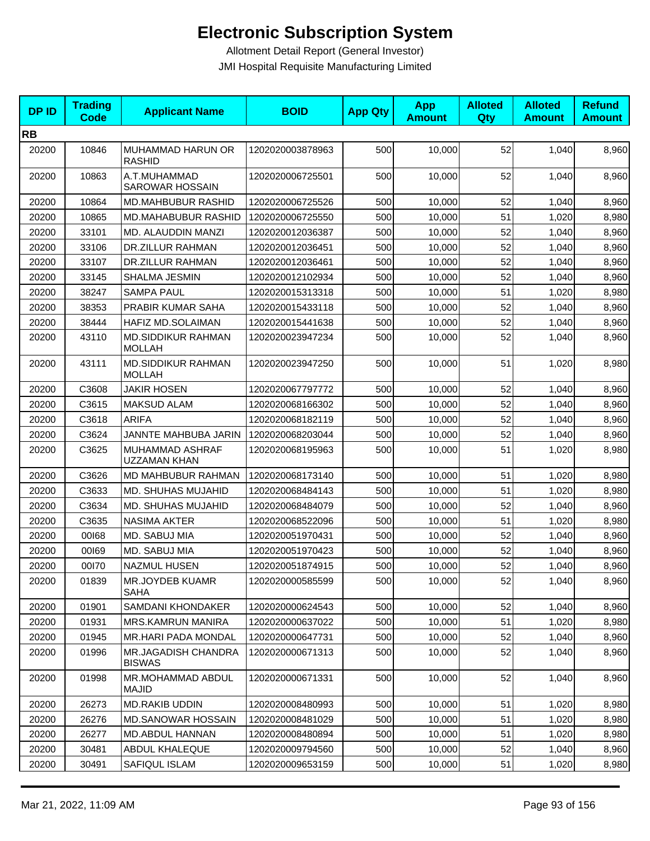| <b>DPID</b> | <b>Trading</b><br><b>Code</b> | <b>Applicant Name</b>                      | <b>BOID</b>      | <b>App Qty</b> | <b>App</b><br><b>Amount</b> | <b>Alloted</b><br>Qty | <b>Alloted</b><br><b>Amount</b> | <b>Refund</b><br><b>Amount</b> |
|-------------|-------------------------------|--------------------------------------------|------------------|----------------|-----------------------------|-----------------------|---------------------------------|--------------------------------|
| <b>RB</b>   |                               |                                            |                  |                |                             |                       |                                 |                                |
| 20200       | 10846                         | MUHAMMAD HARUN OR<br><b>RASHID</b>         | 1202020003878963 | 500            | 10,000                      | 52                    | 1,040                           | 8,960                          |
| 20200       | 10863                         | A.T.MUHAMMAD<br><b>SAROWAR HOSSAIN</b>     | 1202020006725501 | 500            | 10,000                      | 52                    | 1,040                           | 8,960                          |
| 20200       | 10864                         | MD.MAHBUBUR RASHID                         | 1202020006725526 | 500            | 10,000                      | 52                    | 1,040                           | 8,960                          |
| 20200       | 10865                         | <b>MD.MAHABUBUR RASHID</b>                 | 1202020006725550 | 500            | 10,000                      | 51                    | 1,020                           | 8,980                          |
| 20200       | 33101                         | MD. ALAUDDIN MANZI                         | 1202020012036387 | 500            | 10,000                      | 52                    | 1,040                           | 8,960                          |
| 20200       | 33106                         | <b>DR.ZILLUR RAHMAN</b>                    | 1202020012036451 | 500            | 10,000                      | 52                    | 1,040                           | 8,960                          |
| 20200       | 33107                         | DR.ZILLUR RAHMAN                           | 1202020012036461 | 500            | 10,000                      | 52                    | 1,040                           | 8,960                          |
| 20200       | 33145                         | SHALMA JESMIN                              | 1202020012102934 | 500            | 10,000                      | 52                    | 1,040                           | 8,960                          |
| 20200       | 38247                         | <b>SAMPA PAUL</b>                          | 1202020015313318 | 500            | 10,000                      | 51                    | 1,020                           | 8,980                          |
| 20200       | 38353                         | PRABIR KUMAR SAHA                          | 1202020015433118 | 500            | 10,000                      | 52                    | 1,040                           | 8,960                          |
| 20200       | 38444                         | HAFIZ MD.SOLAIMAN                          | 1202020015441638 | 500            | 10,000                      | 52                    | 1,040                           | 8,960                          |
| 20200       | 43110                         | <b>MD.SIDDIKUR RAHMAN</b><br><b>MOLLAH</b> | 1202020023947234 | 500            | 10,000                      | 52                    | 1,040                           | 8,960                          |
| 20200       | 43111                         | <b>MD.SIDDIKUR RAHMAN</b><br><b>MOLLAH</b> | 1202020023947250 | 500            | 10,000                      | 51                    | 1,020                           | 8,980                          |
| 20200       | C3608                         | JAKIR HOSEN                                | 1202020067797772 | 500            | 10,000                      | 52                    | 1,040                           | 8,960                          |
| 20200       | C3615                         | <b>MAKSUD ALAM</b>                         | 1202020068166302 | 500            | 10,000                      | 52                    | 1,040                           | 8,960                          |
| 20200       | C3618                         | <b>ARIFA</b>                               | 1202020068182119 | 500            | 10,000                      | 52                    | 1,040                           | 8,960                          |
| 20200       | C3624                         | JANNTE MAHBUBA JARIN                       | 1202020068203044 | 500            | 10,000                      | 52                    | 1,040                           | 8,960                          |
| 20200       | C3625                         | MUHAMMAD ASHRAF<br>UZZAMAN KHAN            | 1202020068195963 | 500            | 10,000                      | 51                    | 1,020                           | 8,980                          |
| 20200       | C3626                         | MD MAHBUBUR RAHMAN                         | 1202020068173140 | 500            | 10,000                      | 51                    | 1,020                           | 8,980                          |
| 20200       | C3633                         | MD. SHUHAS MUJAHID                         | 1202020068484143 | 500            | 10,000                      | 51                    | 1,020                           | 8,980                          |
| 20200       | C3634                         | MD. SHUHAS MUJAHID                         | 1202020068484079 | 500            | 10,000                      | 52                    | 1,040                           | 8,960                          |
| 20200       | C3635                         | <b>NASIMA AKTER</b>                        | 1202020068522096 | 500            | 10,000                      | 51                    | 1,020                           | 8,980                          |
| 20200       | 00168                         | MD. SABUJ MIA                              | 1202020051970431 | 500            | 10,000                      | 52                    | 1,040                           | 8,960                          |
| 20200       | 00169                         | MD. SABUJ MIA                              | 1202020051970423 | 500            | 10,000                      | 52                    | 1,040                           | 8,960                          |
| 20200       | 00170                         | <b>NAZMUL HUSEN</b>                        | 1202020051874915 | 500            | 10,000                      | 52                    | 1,040                           | 8,960                          |
| 20200       | 01839                         | MR.JOYDEB KUAMR<br><b>SAHA</b>             | 1202020000585599 | 500            | 10,000                      | 52                    | 1,040                           | 8,960                          |
| 20200       | 01901                         | SAMDANI KHONDAKER                          | 1202020000624543 | 500            | 10,000                      | 52                    | 1,040                           | 8,960                          |
| 20200       | 01931                         | <b>MRS.KAMRUN MANIRA</b>                   | 1202020000637022 | 500            | 10,000                      | 51                    | 1,020                           | 8,980                          |
| 20200       | 01945                         | <b>MR.HARI PADA MONDAL</b>                 | 1202020000647731 | 500            | 10,000                      | 52                    | 1,040                           | 8,960                          |
| 20200       | 01996                         | MR.JAGADISH CHANDRA<br><b>BISWAS</b>       | 1202020000671313 | 500            | 10,000                      | 52                    | 1,040                           | 8,960                          |
| 20200       | 01998                         | MR.MOHAMMAD ABDUL<br><b>MAJID</b>          | 1202020000671331 | 500            | 10,000                      | 52                    | 1,040                           | 8,960                          |
| 20200       | 26273                         | <b>MD.RAKIB UDDIN</b>                      | 1202020008480993 | 500            | 10,000                      | 51                    | 1,020                           | 8,980                          |
| 20200       | 26276                         | <b>MD.SANOWAR HOSSAIN</b>                  | 1202020008481029 | 500            | 10,000                      | 51                    | 1,020                           | 8,980                          |
| 20200       | 26277                         | MD.ABDUL HANNAN                            | 1202020008480894 | 500            | 10,000                      | 51                    | 1,020                           | 8,980                          |
| 20200       | 30481                         | ABDUL KHALEQUE                             | 1202020009794560 | 500            | 10,000                      | 52                    | 1,040                           | 8,960                          |
| 20200       | 30491                         | SAFIQUL ISLAM                              | 1202020009653159 | 500            | 10,000                      | 51                    | 1,020                           | 8,980                          |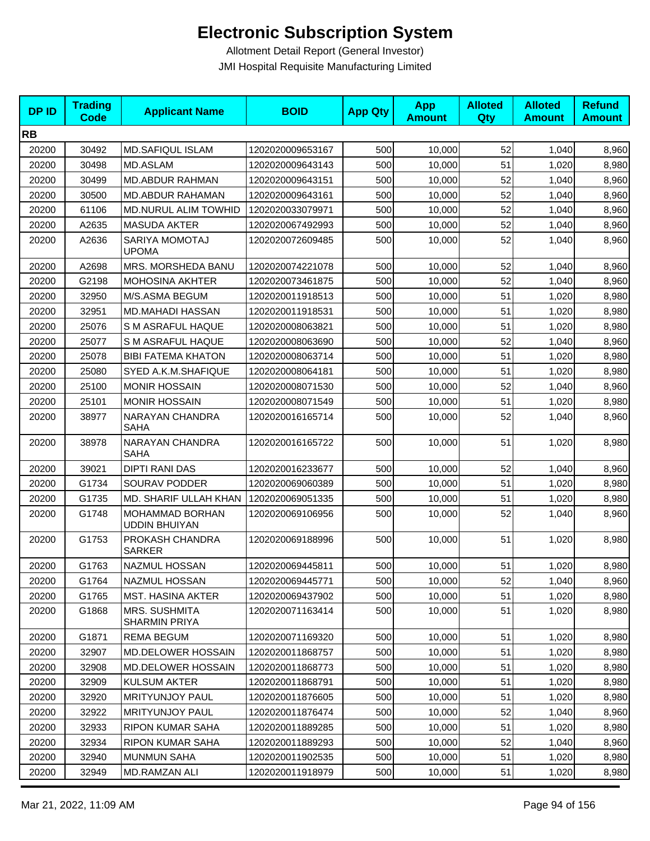| <b>DPID</b> | <b>Trading</b><br>Code | <b>Applicant Name</b>                   | <b>BOID</b>      | <b>App Qty</b> | <b>App</b><br><b>Amount</b> | <b>Alloted</b><br>Qty | <b>Alloted</b><br><b>Amount</b> | <b>Refund</b><br><b>Amount</b> |
|-------------|------------------------|-----------------------------------------|------------------|----------------|-----------------------------|-----------------------|---------------------------------|--------------------------------|
| <b>RB</b>   |                        |                                         |                  |                |                             |                       |                                 |                                |
| 20200       | 30492                  | <b>MD.SAFIQUL ISLAM</b>                 | 1202020009653167 | 500            | 10,000                      | 52                    | 1,040                           | 8,960                          |
| 20200       | 30498                  | MD.ASLAM                                | 1202020009643143 | 500            | 10,000                      | 51                    | 1,020                           | 8,980                          |
| 20200       | 30499                  | <b>MD.ABDUR RAHMAN</b>                  | 1202020009643151 | 500            | 10,000                      | 52                    | 1,040                           | 8,960                          |
| 20200       | 30500                  | <b>MD.ABDUR RAHAMAN</b>                 | 1202020009643161 | 500            | 10,000                      | 52                    | 1,040                           | 8,960                          |
| 20200       | 61106                  | <b>MD.NURUL ALIM TOWHID</b>             | 1202020033079971 | 500            | 10,000                      | 52                    | 1,040                           | 8,960                          |
| 20200       | A2635                  | <b>MASUDA AKTER</b>                     | 1202020067492993 | 500            | 10,000                      | 52                    | 1,040                           | 8,960                          |
| 20200       | A2636                  | SARIYA MOMOTAJ<br><b>UPOMA</b>          | 1202020072609485 | 500            | 10,000                      | 52                    | 1,040                           | 8,960                          |
| 20200       | A2698                  | MRS. MORSHEDA BANU                      | 1202020074221078 | 500            | 10,000                      | 52                    | 1,040                           | 8,960                          |
| 20200       | G2198                  | <b>MOHOSINA AKHTER</b>                  | 1202020073461875 | 500            | 10,000                      | 52                    | 1,040                           | 8,960                          |
| 20200       | 32950                  | M/S.ASMA BEGUM                          | 1202020011918513 | 500            | 10,000                      | 51                    | 1,020                           | 8,980                          |
| 20200       | 32951                  | MD.MAHADI HASSAN                        | 1202020011918531 | 500            | 10,000                      | 51                    | 1,020                           | 8,980                          |
| 20200       | 25076                  | S M ASRAFUL HAQUE                       | 1202020008063821 | 500            | 10,000                      | 51                    | 1,020                           | 8,980                          |
| 20200       | 25077                  | S M ASRAFUL HAQUE                       | 1202020008063690 | 500            | 10,000                      | 52                    | 1,040                           | 8,960                          |
| 20200       | 25078                  | <b>BIBI FATEMA KHATON</b>               | 1202020008063714 | 500            | 10,000                      | 51                    | 1,020                           | 8,980                          |
| 20200       | 25080                  | SYED A.K.M.SHAFIQUE                     | 1202020008064181 | 500            | 10,000                      | 51                    | 1,020                           | 8,980                          |
| 20200       | 25100                  | <b>MONIR HOSSAIN</b>                    | 1202020008071530 | 500            | 10,000                      | 52                    | 1,040                           | 8,960                          |
| 20200       | 25101                  | <b>MONIR HOSSAIN</b>                    | 1202020008071549 | 500            | 10,000                      | 51                    | 1,020                           | 8,980                          |
| 20200       | 38977                  | NARAYAN CHANDRA<br>SAHA                 | 1202020016165714 | 500            | 10,000                      | 52                    | 1,040                           | 8,960                          |
| 20200       | 38978                  | NARAYAN CHANDRA<br>SAHA                 | 1202020016165722 | 500            | 10,000                      | 51                    | 1,020                           | 8,980                          |
| 20200       | 39021                  | DIPTI RANI DAS                          | 1202020016233677 | 500            | 10,000                      | 52                    | 1,040                           | 8,960                          |
| 20200       | G1734                  | SOURAV PODDER                           | 1202020069060389 | 500            | 10,000                      | 51                    | 1,020                           | 8,980                          |
| 20200       | G1735                  | MD. SHARIF ULLAH KHAN                   | 1202020069051335 | 500            | 10,000                      | 51                    | 1,020                           | 8,980                          |
| 20200       | G1748                  | MOHAMMAD BORHAN<br><b>UDDIN BHUIYAN</b> | 1202020069106956 | 500            | 10,000                      | 52                    | 1,040                           | 8,960                          |
| 20200       | G1753                  | PROKASH CHANDRA<br><b>SARKER</b>        | 1202020069188996 | 500            | 10,000                      | 51                    | 1,020                           | 8,980                          |
| 20200       | G1763                  | <b>NAZMUL HOSSAN</b>                    | 1202020069445811 | 500            | 10,000                      | 51                    | 1,020                           | 8,980                          |
| 20200       | G1764                  | NAZMUL HOSSAN                           | 1202020069445771 | 500            | 10,000                      | 52                    | 1,040                           | 8,960                          |
| 20200       | G1765                  | MST. HASINA AKTER                       | 1202020069437902 | 500            | 10,000                      | 51                    | 1,020                           | 8,980                          |
| 20200       | G1868                  | <b>MRS. SUSHMITA</b><br>SHARMIN PRIYA   | 1202020071163414 | 500            | 10,000                      | 51                    | 1,020                           | 8,980                          |
| 20200       | G1871                  | REMA BEGUM                              | 1202020071169320 | 500            | 10,000                      | 51                    | 1,020                           | 8,980                          |
| 20200       | 32907                  | MD.DELOWER HOSSAIN                      | 1202020011868757 | 500            | 10,000                      | 51                    | 1,020                           | 8,980                          |
| 20200       | 32908                  | MD.DELOWER HOSSAIN                      | 1202020011868773 | 500            | 10,000                      | 51                    | 1,020                           | 8,980                          |
| 20200       | 32909                  | <b>KULSUM AKTER</b>                     | 1202020011868791 | 500            | 10,000                      | 51                    | 1,020                           | 8,980                          |
| 20200       | 32920                  | <b>MRITYUNJOY PAUL</b>                  | 1202020011876605 | 500            | 10,000                      | 51                    | 1,020                           | 8,980                          |
| 20200       | 32922                  | <b>MRITYUNJOY PAUL</b>                  | 1202020011876474 | 500            | 10,000                      | 52                    | 1,040                           | 8,960                          |
| 20200       | 32933                  | RIPON KUMAR SAHA                        | 1202020011889285 | 500            | 10,000                      | 51                    | 1,020                           | 8,980                          |
| 20200       | 32934                  | RIPON KUMAR SAHA                        | 1202020011889293 | 500            | 10,000                      | 52                    | 1,040                           | 8,960                          |
| 20200       | 32940                  | <b>MUNMUN SAHA</b>                      | 1202020011902535 | 500            | 10,000                      | 51                    | 1,020                           | 8,980                          |
| 20200       | 32949                  | MD.RAMZAN ALI                           | 1202020011918979 | 500            | 10,000                      | 51                    | 1,020                           | 8,980                          |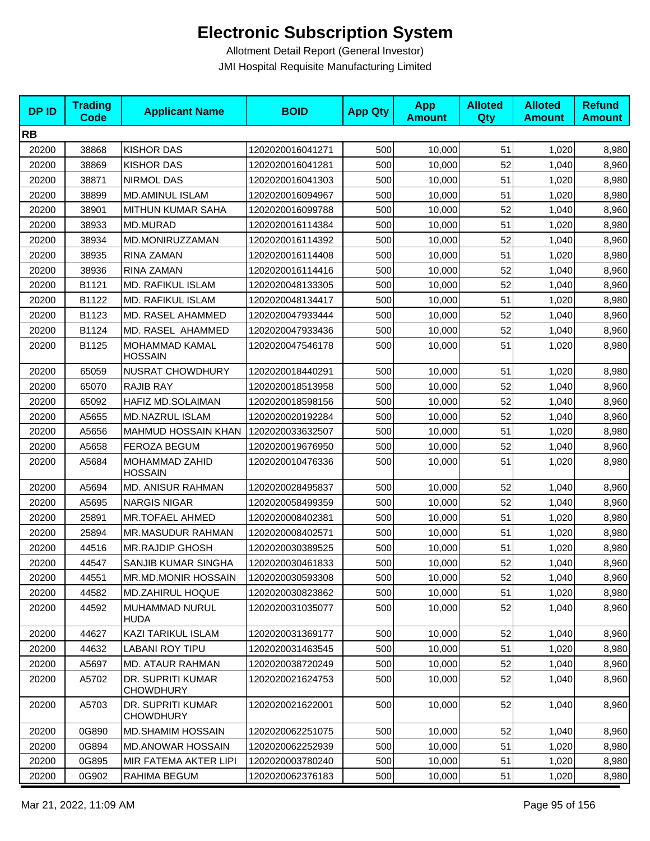| <b>DPID</b> | <b>Trading</b><br><b>Code</b> | <b>Applicant Name</b>                 | <b>BOID</b>      | <b>App Qty</b> | <b>App</b><br><b>Amount</b> | <b>Alloted</b><br>Qty | <b>Alloted</b><br><b>Amount</b> | <b>Refund</b><br><b>Amount</b> |
|-------------|-------------------------------|---------------------------------------|------------------|----------------|-----------------------------|-----------------------|---------------------------------|--------------------------------|
| <b>RB</b>   |                               |                                       |                  |                |                             |                       |                                 |                                |
| 20200       | 38868                         | <b>KISHOR DAS</b>                     | 1202020016041271 | 500            | 10,000                      | 51                    | 1,020                           | 8,980                          |
| 20200       | 38869                         | <b>KISHOR DAS</b>                     | 1202020016041281 | 500            | 10,000                      | 52                    | 1,040                           | 8,960                          |
| 20200       | 38871                         | <b>NIRMOL DAS</b>                     | 1202020016041303 | 500            | 10,000                      | 51                    | 1,020                           | 8,980                          |
| 20200       | 38899                         | <b>MD.AMINUL ISLAM</b>                | 1202020016094967 | 500            | 10,000                      | 51                    | 1,020                           | 8,980                          |
| 20200       | 38901                         | MITHUN KUMAR SAHA                     | 1202020016099788 | 500            | 10,000                      | 52                    | 1,040                           | 8,960                          |
| 20200       | 38933                         | MD.MURAD                              | 1202020016114384 | 500            | 10,000                      | 51                    | 1,020                           | 8,980                          |
| 20200       | 38934                         | MD.MONIRUZZAMAN                       | 1202020016114392 | 500            | 10,000                      | 52                    | 1,040                           | 8,960                          |
| 20200       | 38935                         | RINA ZAMAN                            | 1202020016114408 | 500            | 10,000                      | 51                    | 1,020                           | 8,980                          |
| 20200       | 38936                         | RINA ZAMAN                            | 1202020016114416 | 500            | 10,000                      | 52                    | 1,040                           | 8,960                          |
| 20200       | B1121                         | MD. RAFIKUL ISLAM                     | 1202020048133305 | 500            | 10,000                      | 52                    | 1,040                           | 8,960                          |
| 20200       | B1122                         | MD. RAFIKUL ISLAM                     | 1202020048134417 | 500            | 10,000                      | 51                    | 1,020                           | 8,980                          |
| 20200       | B1123                         | MD. RASEL AHAMMED                     | 1202020047933444 | 500            | 10,000                      | 52                    | 1,040                           | 8,960                          |
| 20200       | B1124                         | MD. RASEL AHAMMED                     | 1202020047933436 | 500            | 10,000                      | 52                    | 1,040                           | 8,960                          |
| 20200       | B1125                         | MOHAMMAD KAMAL<br><b>HOSSAIN</b>      | 1202020047546178 | 500            | 10,000                      | 51                    | 1,020                           | 8,980                          |
| 20200       | 65059                         | <b>NUSRAT CHOWDHURY</b>               | 1202020018440291 | 500            | 10,000                      | 51                    | 1,020                           | 8,980                          |
| 20200       | 65070                         | <b>RAJIB RAY</b>                      | 1202020018513958 | 500            | 10,000                      | 52                    | 1,040                           | 8,960                          |
| 20200       | 65092                         | HAFIZ MD.SOLAIMAN                     | 1202020018598156 | 500            | 10,000                      | 52                    | 1,040                           | 8,960                          |
| 20200       | A5655                         | MD.NAZRUL ISLAM                       | 1202020020192284 | 500            | 10,000                      | 52                    | 1,040                           | 8,960                          |
| 20200       | A5656                         | <b>MAHMUD HOSSAIN KHAN</b>            | 1202020033632507 | 500            | 10,000                      | 51                    | 1,020                           | 8,980                          |
| 20200       | A5658                         | <b>FEROZA BEGUM</b>                   | 1202020019676950 | 500            | 10,000                      | 52                    | 1,040                           | 8,960                          |
| 20200       | A5684                         | MOHAMMAD ZAHID<br><b>HOSSAIN</b>      | 1202020010476336 | 500            | 10,000                      | 51                    | 1,020                           | 8,980                          |
| 20200       | A5694                         | <b>MD. ANISUR RAHMAN</b>              | 1202020028495837 | 500            | 10,000                      | 52                    | 1,040                           | 8,960                          |
| 20200       | A5695                         | <b>NARGIS NIGAR</b>                   | 1202020058499359 | 500            | 10,000                      | 52                    | 1,040                           | 8,960                          |
| 20200       | 25891                         | <b>MR.TOFAEL AHMED</b>                | 1202020008402381 | 500            | 10,000                      | 51                    | 1,020                           | 8,980                          |
| 20200       | 25894                         | MR.MASUDUR RAHMAN                     | 1202020008402571 | 500            | 10,000                      | 51                    | 1,020                           | 8,980                          |
| 20200       | 44516                         | <b>MR.RAJDIP GHOSH</b>                | 1202020030389525 | 500            | 10,000                      | 51                    | 1,020                           | 8,980                          |
| 20200       | 44547                         | SANJIB KUMAR SINGHA                   | 1202020030461833 | 500            | 10,000                      | 52                    | 1,040                           | 8,960                          |
| 20200       | 44551                         | MR.MD.MONIR HOSSAIN                   | 1202020030593308 | 500            | 10,000                      | 52                    | 1,040                           | 8,960                          |
| 20200       | 44582                         | MD.ZAHIRUL HOQUE                      | 1202020030823862 | 500            | 10,000                      | 51                    | 1,020                           | 8,980                          |
| 20200       | 44592                         | MUHAMMAD NURUL<br><b>HUDA</b>         | 1202020031035077 | 500            | 10,000                      | 52                    | 1,040                           | 8,960                          |
| 20200       | 44627                         | KAZI TARIKUL ISLAM                    | 1202020031369177 | 500            | 10,000                      | 52                    | 1,040                           | 8,960                          |
| 20200       | 44632                         | <b>LABANI ROY TIPU</b>                | 1202020031463545 | 500            | 10,000                      | 51                    | 1,020                           | 8,980                          |
| 20200       | A5697                         | MD. ATAUR RAHMAN                      | 1202020038720249 | 500            | 10,000                      | 52                    | 1,040                           | 8,960                          |
| 20200       | A5702                         | DR. SUPRITI KUMAR<br><b>CHOWDHURY</b> | 1202020021624753 | 500            | 10,000                      | 52                    | 1,040                           | 8,960                          |
| 20200       | A5703                         | DR. SUPRITI KUMAR<br><b>CHOWDHURY</b> | 1202020021622001 | 500            | 10,000                      | 52                    | 1,040                           | 8,960                          |
| 20200       | 0G890                         | <b>MD.SHAMIM HOSSAIN</b>              | 1202020062251075 | 500            | 10,000                      | 52                    | 1,040                           | 8,960                          |
| 20200       | 0G894                         | <b>MD.ANOWAR HOSSAIN</b>              | 1202020062252939 | 500            | 10,000                      | 51                    | 1,020                           | 8,980                          |
| 20200       | 0G895                         | MIR FATEMA AKTER LIPI                 | 1202020003780240 | 500            | 10,000                      | 51                    | 1,020                           | 8,980                          |
| 20200       | 0G902                         | RAHIMA BEGUM                          | 1202020062376183 | 500            | 10,000                      | 51                    | 1,020                           | 8,980                          |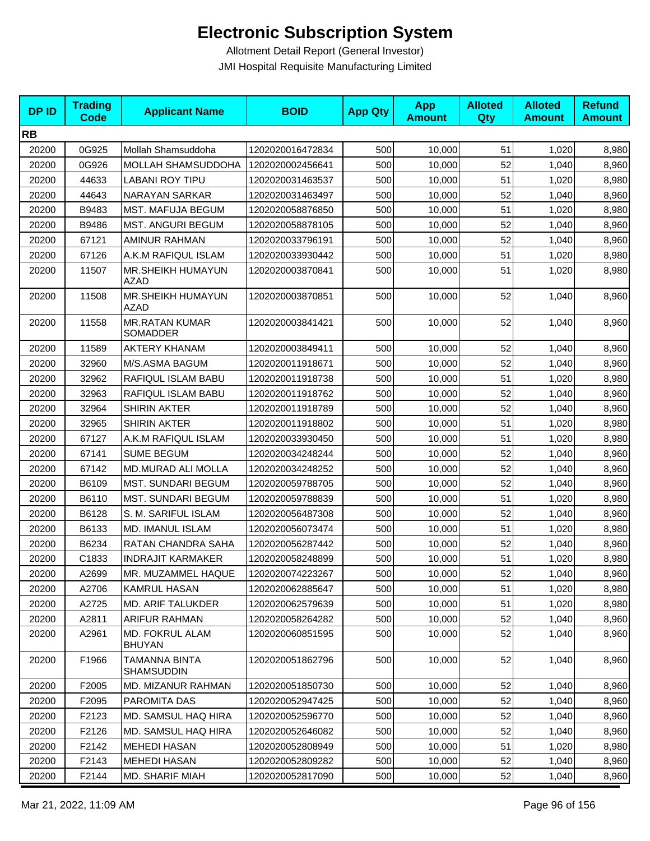| <b>DPID</b> | <b>Trading</b><br><b>Code</b> | <b>Applicant Name</b>                     | <b>BOID</b>      | <b>App Qty</b> | <b>App</b><br><b>Amount</b> | <b>Alloted</b><br>Qty | <b>Alloted</b><br><b>Amount</b> | <b>Refund</b><br><b>Amount</b> |
|-------------|-------------------------------|-------------------------------------------|------------------|----------------|-----------------------------|-----------------------|---------------------------------|--------------------------------|
| <b>RB</b>   |                               |                                           |                  |                |                             |                       |                                 |                                |
| 20200       | 0G925                         | Mollah Shamsuddoha                        | 1202020016472834 | 500            | 10,000                      | 51                    | 1,020                           | 8,980                          |
| 20200       | 0G926                         | MOLLAH SHAMSUDDOHA                        | 1202020002456641 | 500            | 10,000                      | 52                    | 1,040                           | 8,960                          |
| 20200       | 44633                         | LABANI ROY TIPU                           | 1202020031463537 | 500            | 10,000                      | 51                    | 1,020                           | 8,980                          |
| 20200       | 44643                         | <b>NARAYAN SARKAR</b>                     | 1202020031463497 | 500            | 10,000                      | 52                    | 1,040                           | 8,960                          |
| 20200       | B9483                         | MST. MAFUJA BEGUM                         | 1202020058876850 | 500            | 10,000                      | 51                    | 1,020                           | 8,980                          |
| 20200       | B9486                         | <b>MST. ANGURI BEGUM</b>                  | 1202020058878105 | 500            | 10,000                      | 52                    | 1,040                           | 8,960                          |
| 20200       | 67121                         | AMINUR RAHMAN                             | 1202020033796191 | 500            | 10,000                      | 52                    | 1,040                           | 8,960                          |
| 20200       | 67126                         | A.K.M RAFIQUL ISLAM                       | 1202020033930442 | 500            | 10,000                      | 51                    | 1,020                           | 8,980                          |
| 20200       | 11507                         | MR.SHEIKH HUMAYUN<br>AZAD                 | 1202020003870841 | 500            | 10,000                      | 51                    | 1,020                           | 8,980                          |
| 20200       | 11508                         | MR.SHEIKH HUMAYUN<br>AZAD                 | 1202020003870851 | 500            | 10,000                      | 52                    | 1,040                           | 8,960                          |
| 20200       | 11558                         | <b>MR.RATAN KUMAR</b><br>SOMADDER         | 1202020003841421 | 500            | 10,000                      | 52                    | 1,040                           | 8,960                          |
| 20200       | 11589                         | <b>AKTERY KHANAM</b>                      | 1202020003849411 | 500            | 10,000                      | 52                    | 1,040                           | 8,960                          |
| 20200       | 32960                         | M/S.ASMA BAGUM                            | 1202020011918671 | 500            | 10,000                      | 52                    | 1,040                           | 8,960                          |
| 20200       | 32962                         | RAFIQUL ISLAM BABU                        | 1202020011918738 | 500            | 10,000                      | 51                    | 1,020                           | 8,980                          |
| 20200       | 32963                         | RAFIQUL ISLAM BABU                        | 1202020011918762 | 500            | 10,000                      | 52                    | 1,040                           | 8,960                          |
| 20200       | 32964                         | <b>SHIRIN AKTER</b>                       | 1202020011918789 | 500            | 10,000                      | 52                    | 1,040                           | 8,960                          |
| 20200       | 32965                         | <b>SHIRIN AKTER</b>                       | 1202020011918802 | 500            | 10,000                      | 51                    | 1,020                           | 8,980                          |
| 20200       | 67127                         | A.K.M RAFIQUL ISLAM                       | 1202020033930450 | 500            | 10,000                      | 51                    | 1,020                           | 8,980                          |
| 20200       | 67141                         | <b>SUME BEGUM</b>                         | 1202020034248244 | 500            | 10,000                      | 52                    | 1,040                           | 8,960                          |
| 20200       | 67142                         | MD.MURAD ALI MOLLA                        | 1202020034248252 | 500            | 10,000                      | 52                    | 1,040                           | 8,960                          |
| 20200       | B6109                         | <b>MST. SUNDARI BEGUM</b>                 | 1202020059788705 | 500            | 10,000                      | 52                    | 1,040                           | 8,960                          |
| 20200       | B6110                         | <b>MST. SUNDARI BEGUM</b>                 | 1202020059788839 | 500            | 10,000                      | 51                    | 1,020                           | 8,980                          |
| 20200       | B6128                         | S. M. SARIFUL ISLAM                       | 1202020056487308 | 500            | 10,000                      | 52                    | 1,040                           | 8,960                          |
| 20200       | B6133                         | MD. IMANUL ISLAM                          | 1202020056073474 | 500            | 10,000                      | 51                    | 1,020                           | 8,980                          |
| 20200       | B6234                         | RATAN CHANDRA SAHA                        | 1202020056287442 | 500            | 10,000                      | 52                    | 1,040                           | 8,960                          |
| 20200       | C1833                         | <b>INDRAJIT KARMAKER</b>                  | 1202020058248899 | 500            | 10,000                      | 51                    | 1,020                           | 8,980                          |
| 20200       | A2699                         | MR. MUZAMMEL HAQUE                        | 1202020074223267 | 500            | 10,000                      | 52                    | 1,040                           | 8,960                          |
| 20200       | A2706                         | KAMRUL HASAN                              | 1202020062885647 | 500            | 10,000                      | 51                    | 1,020                           | 8,980                          |
| 20200       | A2725                         | <b>MD. ARIF TALUKDER</b>                  | 1202020062579639 | 500            | 10,000                      | 51                    | 1,020                           | 8,980                          |
| 20200       | A2811                         | ARIFUR RAHMAN                             | 1202020058264282 | 500            | 10,000                      | 52                    | 1,040                           | 8,960                          |
| 20200       | A2961                         | MD. FOKRUL ALAM<br><b>BHUYAN</b>          | 1202020060851595 | 500            | 10,000                      | 52                    | 1,040                           | 8,960                          |
| 20200       | F1966                         | <b>TAMANNA BINTA</b><br><b>SHAMSUDDIN</b> | 1202020051862796 | 500            | 10,000                      | 52                    | 1,040                           | 8,960                          |
| 20200       | F2005                         | MD. MIZANUR RAHMAN                        | 1202020051850730 | 500            | 10,000                      | 52                    | 1,040                           | 8,960                          |
| 20200       | F2095                         | PAROMITA DAS                              | 1202020052947425 | 500            | 10,000                      | 52                    | 1,040                           | 8,960                          |
| 20200       | F2123                         | MD. SAMSUL HAQ HIRA                       | 1202020052596770 | 500            | 10,000                      | 52                    | 1,040                           | 8,960                          |
| 20200       | F2126                         | MD. SAMSUL HAQ HIRA                       | 1202020052646082 | 500            | 10,000                      | 52                    | 1,040                           | 8,960                          |
| 20200       | F2142                         | <b>MEHEDI HASAN</b>                       | 1202020052808949 | 500            | 10,000                      | 51                    | 1,020                           | 8,980                          |
| 20200       | F2143                         | <b>MEHEDI HASAN</b>                       | 1202020052809282 | 500            | 10,000                      | 52                    | 1,040                           | 8,960                          |
| 20200       | F2144                         | MD. SHARIF MIAH                           | 1202020052817090 | 500            | 10,000                      | 52                    | 1,040                           | 8,960                          |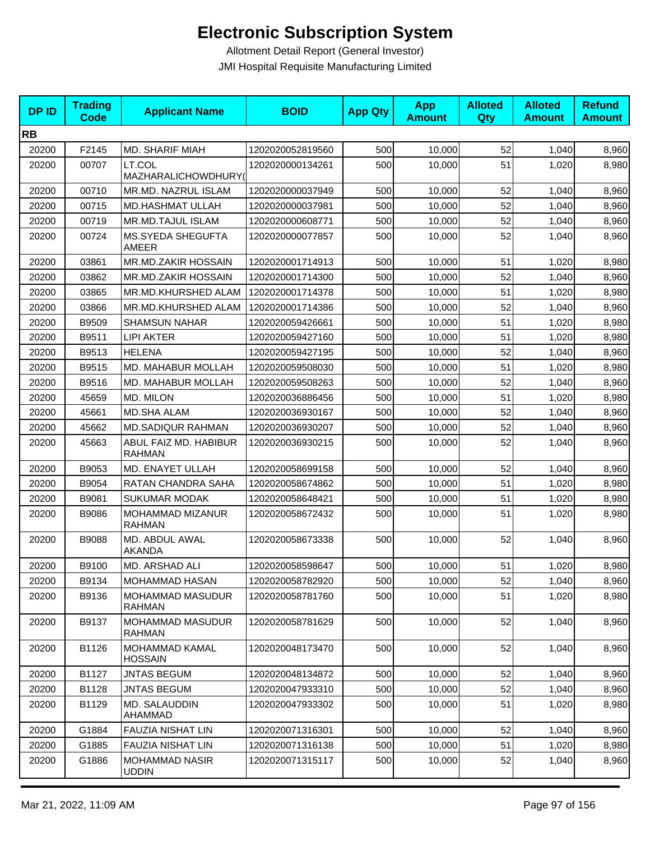| <b>DPID</b> | <b>Trading</b><br>Code | <b>Applicant Name</b>                    | <b>BOID</b>      | <b>App Qty</b> | <b>App</b><br><b>Amount</b> | <b>Alloted</b><br>Qty | <b>Alloted</b><br><b>Amount</b> | <b>Refund</b><br><b>Amount</b> |
|-------------|------------------------|------------------------------------------|------------------|----------------|-----------------------------|-----------------------|---------------------------------|--------------------------------|
| <b>RB</b>   |                        |                                          |                  |                |                             |                       |                                 |                                |
| 20200       | F2145                  | <b>MD. SHARIF MIAH</b>                   | 1202020052819560 | 500            | 10,000                      | 52                    | 1,040                           | 8,960                          |
| 20200       | 00707                  | LT.COL<br>MAZHARALICHOWDHURY(            | 1202020000134261 | 500            | 10,000                      | 51                    | 1,020                           | 8,980                          |
| 20200       | 00710                  | MR.MD. NAZRUL ISLAM                      | 1202020000037949 | 500            | 10,000                      | 52                    | 1,040                           | 8,960                          |
| 20200       | 00715                  | <b>MD.HASHMAT ULLAH</b>                  | 1202020000037981 | 500            | 10,000                      | 52                    | 1,040                           | 8,960                          |
| 20200       | 00719                  | MR.MD.TAJUL ISLAM                        | 1202020000608771 | 500            | 10,000                      | 52                    | 1,040                           | 8,960                          |
| 20200       | 00724                  | MS.SYEDA SHEGUFTA<br><b>AMEER</b>        | 1202020000077857 | 500            | 10,000                      | 52                    | 1,040                           | 8,960                          |
| 20200       | 03861                  | MR.MD.ZAKIR HOSSAIN                      | 1202020001714913 | 500            | 10,000                      | 51                    | 1,020                           | 8,980                          |
| 20200       | 03862                  | MR.MD.ZAKIR HOSSAIN                      | 1202020001714300 | 500            | 10,000                      | 52                    | 1,040                           | 8,960                          |
| 20200       | 03865                  | MR.MD.KHURSHED ALAM                      | 1202020001714378 | 500            | 10,000                      | 51                    | 1,020                           | 8,980                          |
| 20200       | 03866                  | MR.MD.KHURSHED ALAM                      | 1202020001714386 | 500            | 10,000                      | 52                    | 1,040                           | 8,960                          |
| 20200       | B9509                  | <b>SHAMSUN NAHAR</b>                     | 1202020059426661 | 500            | 10,000                      | 51                    | 1,020                           | 8,980                          |
| 20200       | B9511                  | <b>LIPI AKTER</b>                        | 1202020059427160 | 500            | 10,000                      | 51                    | 1,020                           | 8,980                          |
| 20200       | B9513                  | <b>HELENA</b>                            | 1202020059427195 | 500            | 10,000                      | 52                    | 1,040                           | 8,960                          |
| 20200       | B9515                  | MD. MAHABUR MOLLAH                       | 1202020059508030 | 500            | 10,000                      | 51                    | 1,020                           | 8,980                          |
| 20200       | B9516                  | MD. MAHABUR MOLLAH                       | 1202020059508263 | 500            | 10,000                      | 52                    | 1,040                           | 8,960                          |
| 20200       | 45659                  | MD. MILON                                | 1202020036886456 | 500            | 10,000                      | 51                    | 1,020                           | 8,980                          |
| 20200       | 45661                  | <b>MD.SHA ALAM</b>                       | 1202020036930167 | 500            | 10,000                      | 52                    | 1,040                           | 8,960                          |
| 20200       | 45662                  | <b>MD.SADIQUR RAHMAN</b>                 | 1202020036930207 | 500            | 10,000                      | 52                    | 1,040                           | 8,960                          |
| 20200       | 45663                  | ABUL FAIZ MD. HABIBUR<br><b>RAHMAN</b>   | 1202020036930215 | 500            | 10,000                      | 52                    | 1,040                           | 8,960                          |
| 20200       | B9053                  | MD. ENAYET ULLAH                         | 1202020058699158 | 500            | 10,000                      | 52                    | 1,040                           | 8,960                          |
| 20200       | B9054                  | RATAN CHANDRA SAHA                       | 1202020058674862 | 500            | 10,000                      | 51                    | 1,020                           | 8,980                          |
| 20200       | B9081                  | <b>SUKUMAR MODAK</b>                     | 1202020058648421 | 500            | 10,000                      | 51                    | 1,020                           | 8,980                          |
| 20200       | B9086                  | MOHAMMAD MIZANUR<br><b>RAHMAN</b>        | 1202020058672432 | 500            | 10,000                      | 51                    | 1,020                           | 8,980                          |
| 20200       | B9088                  | MD. ABDUL AWAL<br><b>AKANDA</b>          | 1202020058673338 | 500            | 10,000                      | 52                    | 1,040                           | 8,960                          |
| 20200       | B9100                  | MD. ARSHAD ALI                           | 1202020058598647 | 500            | 10,000                      | 51                    | 1,020                           | 8,980                          |
| 20200       | B9134                  | <b>MOHAMMAD HASAN</b>                    | 1202020058782920 | 500            | 10,000                      | 52                    | 1,040                           | 8,960                          |
| 20200       | B9136                  | MOHAMMAD MASUDUR<br><b>RAHMAN</b>        | 1202020058781760 | 500            | 10,000                      | 51                    | 1,020                           | 8,980                          |
| 20200       | B9137                  | <b>MOHAMMAD MASUDUR</b><br><b>RAHMAN</b> | 1202020058781629 | 500            | 10,000                      | 52                    | 1,040                           | 8,960                          |
| 20200       | B1126                  | MOHAMMAD KAMAL<br><b>HOSSAIN</b>         | 1202020048173470 | 500            | 10,000                      | 52                    | 1,040                           | 8,960                          |
| 20200       | B1127                  | <b>JNTAS BEGUM</b>                       | 1202020048134872 | 500            | 10,000                      | 52                    | 1,040                           | 8,960                          |
| 20200       | B1128                  | <b>JNTAS BEGUM</b>                       | 1202020047933310 | 500            | 10,000                      | 52                    | 1,040                           | 8,960                          |
| 20200       | B1129                  | MD. SALAUDDIN<br>AHAMMAD                 | 1202020047933302 | 500            | 10,000                      | 51                    | 1,020                           | 8,980                          |
| 20200       | G1884                  | <b>FAUZIA NISHAT LIN</b>                 | 1202020071316301 | 500            | 10,000                      | 52                    | 1,040                           | 8,960                          |
| 20200       | G1885                  | <b>FAUZIA NISHAT LIN</b>                 | 1202020071316138 | 500            | 10,000                      | 51                    | 1,020                           | 8,980                          |
| 20200       | G1886                  | <b>MOHAMMAD NASIR</b><br><b>UDDIN</b>    | 1202020071315117 | 500            | 10,000                      | 52                    | 1,040                           | 8,960                          |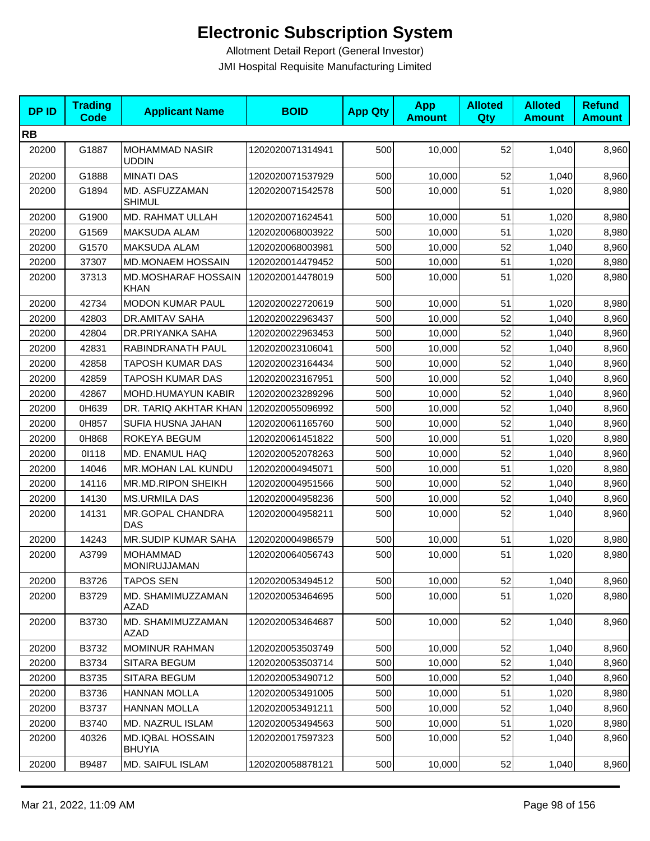| <b>DPID</b> | <b>Trading</b><br>Code | <b>Applicant Name</b>                     | <b>BOID</b>      | <b>App Qty</b> | <b>App</b><br><b>Amount</b> | <b>Alloted</b><br>Qty | <b>Alloted</b><br><b>Amount</b> | <b>Refund</b><br><b>Amount</b> |
|-------------|------------------------|-------------------------------------------|------------------|----------------|-----------------------------|-----------------------|---------------------------------|--------------------------------|
| <b>RB</b>   |                        |                                           |                  |                |                             |                       |                                 |                                |
| 20200       | G1887                  | <b>MOHAMMAD NASIR</b><br><b>UDDIN</b>     | 1202020071314941 | 500            | 10,000                      | 52                    | 1,040                           | 8,960                          |
| 20200       | G1888                  | <b>MINATI DAS</b>                         | 1202020071537929 | 500            | 10,000                      | 52                    | 1,040                           | 8,960                          |
| 20200       | G1894                  | MD. ASFUZZAMAN<br><b>SHIMUL</b>           | 1202020071542578 | 500            | 10,000                      | 51                    | 1,020                           | 8,980                          |
| 20200       | G1900                  | MD. RAHMAT ULLAH                          | 1202020071624541 | 500            | 10,000                      | 51                    | 1,020                           | 8,980                          |
| 20200       | G1569                  | MAKSUDA ALAM                              | 1202020068003922 | 500            | 10,000                      | 51                    | 1,020                           | 8,980                          |
| 20200       | G1570                  | <b>MAKSUDA ALAM</b>                       | 1202020068003981 | 500            | 10,000                      | 52                    | 1,040                           | 8,960                          |
| 20200       | 37307                  | MD.MONAEM HOSSAIN                         | 1202020014479452 | 500            | 10,000                      | 51                    | 1,020                           | 8,980                          |
| 20200       | 37313                  | <b>MD.MOSHARAF HOSSAIN</b><br><b>KHAN</b> | 1202020014478019 | 500            | 10,000                      | 51                    | 1,020                           | 8,980                          |
| 20200       | 42734                  | <b>MODON KUMAR PAUL</b>                   | 1202020022720619 | 500            | 10,000                      | 51                    | 1,020                           | 8,980                          |
| 20200       | 42803                  | DR.AMITAV SAHA                            | 1202020022963437 | 500            | 10,000                      | 52                    | 1,040                           | 8,960                          |
| 20200       | 42804                  | DR.PRIYANKA SAHA                          | 1202020022963453 | 500            | 10,000                      | 52                    | 1,040                           | 8,960                          |
| 20200       | 42831                  | RABINDRANATH PAUL                         | 1202020023106041 | 500            | 10,000                      | 52                    | 1,040                           | 8,960                          |
| 20200       | 42858                  | TAPOSH KUMAR DAS                          | 1202020023164434 | 500            | 10,000                      | 52                    | 1,040                           | 8,960                          |
| 20200       | 42859                  | <b>TAPOSH KUMAR DAS</b>                   | 1202020023167951 | 500            | 10,000                      | 52                    | 1,040                           | 8,960                          |
| 20200       | 42867                  | MOHD.HUMAYUN KABIR                        | 1202020023289296 | 500            | 10,000                      | 52                    | 1,040                           | 8,960                          |
| 20200       | 0H639                  | DR. TARIQ AKHTAR KHAN                     | 1202020055096992 | 500            | 10,000                      | 52                    | 1,040                           | 8,960                          |
| 20200       | 0H857                  | SUFIA HUSNA JAHAN                         | 1202020061165760 | 500            | 10,000                      | 52                    | 1,040                           | 8,960                          |
| 20200       | 0H868                  | ROKEYA BEGUM                              | 1202020061451822 | 500            | 10,000                      | 51                    | 1,020                           | 8,980                          |
| 20200       | 01118                  | MD. ENAMUL HAQ                            | 1202020052078263 | 500            | 10,000                      | 52                    | 1,040                           | 8,960                          |
| 20200       | 14046                  | MR.MOHAN LAL KUNDU                        | 1202020004945071 | 500            | 10,000                      | 51                    | 1,020                           | 8,980                          |
| 20200       | 14116                  | MR.MD.RIPON SHEIKH                        | 1202020004951566 | 500            | 10,000                      | 52                    | 1,040                           | 8,960                          |
| 20200       | 14130                  | <b>MS.URMILA DAS</b>                      | 1202020004958236 | 500            | 10,000                      | 52                    | 1,040                           | 8,960                          |
| 20200       | 14131                  | MR.GOPAL CHANDRA<br>DAS                   | 1202020004958211 | 500            | 10,000                      | 52                    | 1,040                           | 8,960                          |
| 20200       | 14243                  | <b>MR.SUDIP KUMAR SAHA</b>                | 1202020004986579 | 500            | 10,000                      | 51                    | 1,020                           | 8,980                          |
| 20200       | A3799                  | <b>MOHAMMAD</b><br>MONIRUJJAMAN           | 1202020064056743 | 500            | 10,000                      | 51                    | 1,020                           | 8,980                          |
| 20200       | B3726                  | <b>TAPOS SEN</b>                          | 1202020053494512 | 500            | 10,000                      | 52                    | 1,040                           | 8,960                          |
| 20200       | B3729                  | MD. SHAMIMUZZAMAN<br>AZAD                 | 1202020053464695 | 500            | 10,000                      | 51                    | 1,020                           | 8,980                          |
| 20200       | B3730                  | MD. SHAMIMUZZAMAN<br>AZAD                 | 1202020053464687 | 500            | 10,000                      | 52                    | 1,040                           | 8,960                          |
| 20200       | B3732                  | <b>MOMINUR RAHMAN</b>                     | 1202020053503749 | 500            | 10,000                      | 52                    | 1,040                           | 8,960                          |
| 20200       | B3734                  | SITARA BEGUM                              | 1202020053503714 | 500            | 10,000                      | 52                    | 1,040                           | 8,960                          |
| 20200       | B3735                  | <b>SITARA BEGUM</b>                       | 1202020053490712 | 500            | 10,000                      | 52                    | 1,040                           | 8,960                          |
| 20200       | B3736                  | <b>HANNAN MOLLA</b>                       | 1202020053491005 | 500            | 10,000                      | 51                    | 1,020                           | 8,980                          |
| 20200       | B3737                  | <b>HANNAN MOLLA</b>                       | 1202020053491211 | 500            | 10,000                      | 52                    | 1,040                           | 8,960                          |
| 20200       | B3740                  | MD. NAZRUL ISLAM                          | 1202020053494563 | 500            | 10,000                      | 51                    | 1,020                           | 8,980                          |
| 20200       | 40326                  | MD.IQBAL HOSSAIN<br><b>BHUYIA</b>         | 1202020017597323 | 500            | 10,000                      | 52                    | 1,040                           | 8,960                          |
| 20200       | B9487                  | MD. SAIFUL ISLAM                          | 1202020058878121 | 500            | 10,000                      | 52                    | 1,040                           | 8,960                          |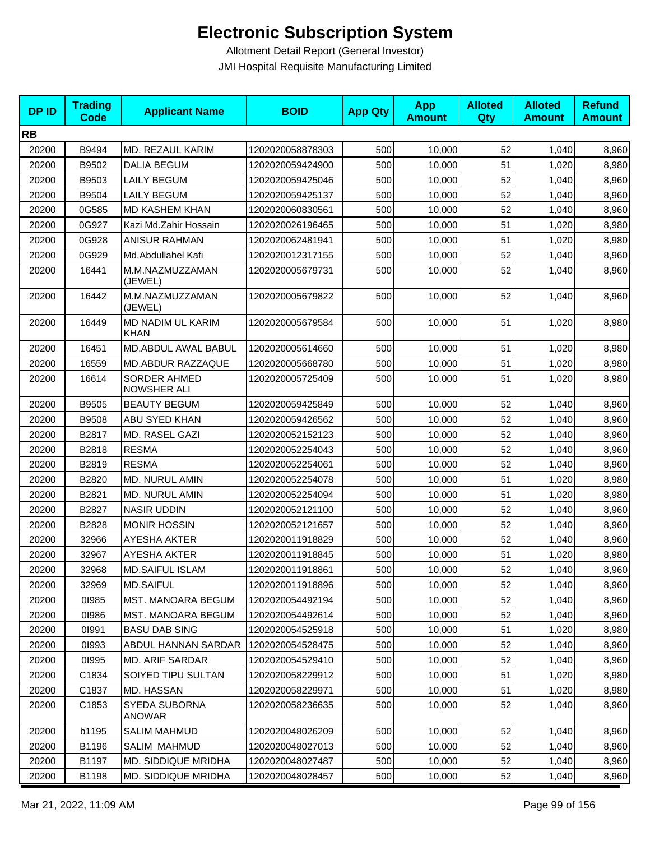| <b>DPID</b> | <b>Trading</b><br><b>Code</b> | <b>Applicant Name</b>            | <b>BOID</b>      | <b>App Qty</b> | <b>App</b><br><b>Amount</b> | <b>Alloted</b><br>Qty | <b>Alloted</b><br><b>Amount</b> | <b>Refund</b><br><b>Amount</b> |
|-------------|-------------------------------|----------------------------------|------------------|----------------|-----------------------------|-----------------------|---------------------------------|--------------------------------|
| <b>RB</b>   |                               |                                  |                  |                |                             |                       |                                 |                                |
| 20200       | B9494                         | MD. REZAUL KARIM                 | 1202020058878303 | 500            | 10,000                      | 52                    | 1,040                           | 8,960                          |
| 20200       | B9502                         | <b>DALIA BEGUM</b>               | 1202020059424900 | 500            | 10,000                      | 51                    | 1,020                           | 8,980                          |
| 20200       | B9503                         | <b>LAILY BEGUM</b>               | 1202020059425046 | 500            | 10,000                      | 52                    | 1,040                           | 8,960                          |
| 20200       | B9504                         | <b>LAILY BEGUM</b>               | 1202020059425137 | 500            | 10,000                      | 52                    | 1,040                           | 8,960                          |
| 20200       | 0G585                         | MD KASHEM KHAN                   | 1202020060830561 | 500            | 10,000                      | 52                    | 1,040                           | 8,960                          |
| 20200       | 0G927                         | Kazi Md.Zahir Hossain            | 1202020026196465 | 500            | 10,000                      | 51                    | 1,020                           | 8,980                          |
| 20200       | 0G928                         | <b>ANISUR RAHMAN</b>             | 1202020062481941 | 500            | 10,000                      | 51                    | 1,020                           | 8,980                          |
| 20200       | 0G929                         | Md.Abdullahel Kafi               | 1202020012317155 | 500            | 10,000                      | 52                    | 1,040                           | 8,960                          |
| 20200       | 16441                         | M.M.NAZMUZZAMAN<br>(JEWEL)       | 1202020005679731 | 500            | 10,000                      | 52                    | 1,040                           | 8,960                          |
| 20200       | 16442                         | M.M.NAZMUZZAMAN<br>(JEWEL)       | 1202020005679822 | 500            | 10,000                      | 52                    | 1,040                           | 8,960                          |
| 20200       | 16449                         | MD NADIM UL KARIM<br><b>KHAN</b> | 1202020005679584 | 500            | 10,000                      | 51                    | 1,020                           | 8,980                          |
| 20200       | 16451                         | MD.ABDUL AWAL BABUL              | 1202020005614660 | 500            | 10,000                      | 51                    | 1,020                           | 8,980                          |
| 20200       | 16559                         | MD.ABDUR RAZZAQUE                | 1202020005668780 | 500            | 10,000                      | 51                    | 1,020                           | 8,980                          |
| 20200       | 16614                         | SORDER AHMED<br>NOWSHER ALI      | 1202020005725409 | 500            | 10,000                      | 51                    | 1,020                           | 8,980                          |
| 20200       | B9505                         | <b>BEAUTY BEGUM</b>              | 1202020059425849 | 500            | 10,000                      | 52                    | 1,040                           | 8,960                          |
| 20200       | B9508                         | ABU SYED KHAN                    | 1202020059426562 | 500            | 10,000                      | 52                    | 1,040                           | 8,960                          |
| 20200       | B2817                         | MD. RASEL GAZI                   | 1202020052152123 | 500            | 10,000                      | 52                    | 1,040                           | 8,960                          |
| 20200       | B2818                         | <b>RESMA</b>                     | 1202020052254043 | 500            | 10,000                      | 52                    | 1,040                           | 8,960                          |
| 20200       | B2819                         | <b>RESMA</b>                     | 1202020052254061 | 500            | 10,000                      | 52                    | 1,040                           | 8,960                          |
| 20200       | B2820                         | MD. NURUL AMIN                   | 1202020052254078 | 500            | 10,000                      | 51                    | 1,020                           | 8,980                          |
| 20200       | B2821                         | <b>MD. NURUL AMIN</b>            | 1202020052254094 | 500            | 10,000                      | 51                    | 1,020                           | 8,980                          |
| 20200       | B2827                         | <b>NASIR UDDIN</b>               | 1202020052121100 | 500            | 10,000                      | 52                    | 1,040                           | 8,960                          |
| 20200       | B2828                         | <b>MONIR HOSSIN</b>              | 1202020052121657 | 500            | 10,000                      | 52                    | 1,040                           | 8,960                          |
| 20200       | 32966                         | AYESHA AKTER                     | 1202020011918829 | 500            | 10,000                      | 52                    | 1,040                           | 8,960                          |
| 20200       | 32967                         | AYESHA AKTER                     | 1202020011918845 | 500            | 10,000                      | 51                    | 1,020                           | 8,980                          |
| 20200       | 32968                         | <b>MD.SAIFUL ISLAM</b>           | 1202020011918861 | 500            | 10,000                      | 52                    | 1,040                           | 8,960                          |
| 20200       | 32969                         | <b>MD.SAIFUL</b>                 | 1202020011918896 | 500            | 10,000                      | 52                    | 1,040                           | 8,960                          |
| 20200       | 01985                         | MST. MANOARA BEGUM               | 1202020054492194 | 500            | 10,000                      | 52                    | 1,040                           | 8,960                          |
| 20200       | 01986                         | <b>MST. MANOARA BEGUM</b>        | 1202020054492614 | 500            | 10,000                      | 52                    | 1,040                           | 8,960                          |
| 20200       | 01991                         | <b>BASU DAB SING</b>             | 1202020054525918 | 500            | 10,000                      | 51                    | 1,020                           | 8,980                          |
| 20200       | 01993                         | ABDUL HANNAN SARDAR              | 1202020054528475 | 500            | 10,000                      | 52                    | 1,040                           | 8,960                          |
| 20200       | 01995                         | <b>MD. ARIF SARDAR</b>           | 1202020054529410 | 500            | 10,000                      | 52                    | 1,040                           | 8,960                          |
| 20200       | C1834                         | SOIYED TIPU SULTAN               | 1202020058229912 | 500            | 10,000                      | 51                    | 1,020                           | 8,980                          |
| 20200       | C1837                         | MD. HASSAN                       | 1202020058229971 | 500            | 10,000                      | 51                    | 1,020                           | 8,980                          |
| 20200       | C1853                         | SYEDA SUBORNA<br>ANOWAR          | 1202020058236635 | 500            | 10,000                      | 52                    | 1,040                           | 8,960                          |
| 20200       | b1195                         | <b>SALIM MAHMUD</b>              | 1202020048026209 | 500            | 10,000                      | 52                    | 1,040                           | 8,960                          |
| 20200       | B1196                         | SALIM MAHMUD                     | 1202020048027013 | 500            | 10,000                      | 52                    | 1,040                           | 8,960                          |
| 20200       | B1197                         | MD. SIDDIQUE MRIDHA              | 1202020048027487 | 500            | 10,000                      | 52                    | 1,040                           | 8,960                          |
| 20200       | B1198                         | <b>MD. SIDDIQUE MRIDHA</b>       | 1202020048028457 | 500            | 10,000                      | 52                    | 1,040                           | 8,960                          |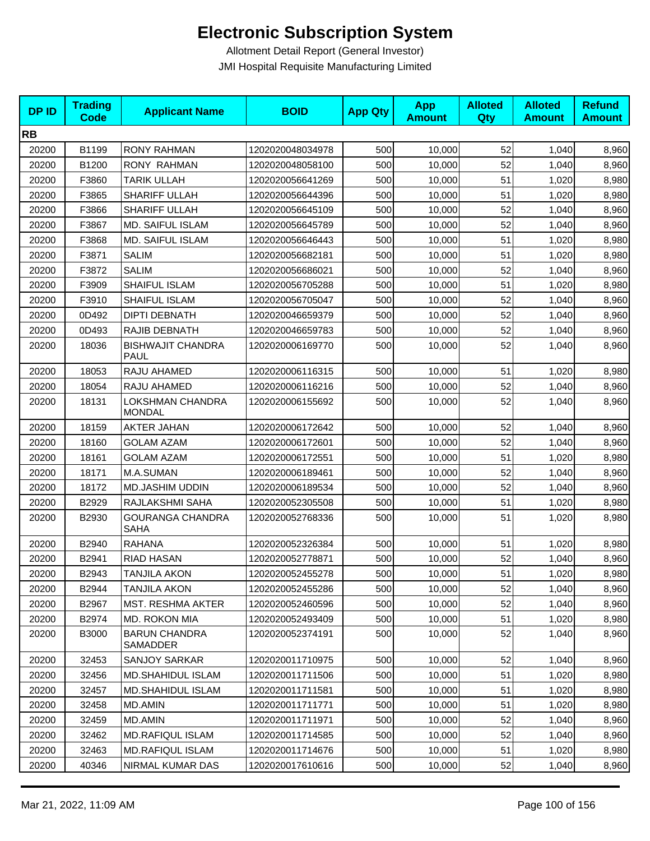| <b>DPID</b> | <b>Trading</b><br><b>Code</b> | <b>Applicant Name</b>                  | <b>BOID</b>      | <b>App Qty</b> | <b>App</b><br><b>Amount</b> | <b>Alloted</b><br>Qty | <b>Alloted</b><br><b>Amount</b> | <b>Refund</b><br><b>Amount</b> |
|-------------|-------------------------------|----------------------------------------|------------------|----------------|-----------------------------|-----------------------|---------------------------------|--------------------------------|
| <b>RB</b>   |                               |                                        |                  |                |                             |                       |                                 |                                |
| 20200       | B1199                         | <b>RONY RAHMAN</b>                     | 1202020048034978 | 500            | 10,000                      | 52                    | 1,040                           | 8,960                          |
| 20200       | B1200                         | <b>RONY RAHMAN</b>                     | 1202020048058100 | 500            | 10,000                      | 52                    | 1,040                           | 8,960                          |
| 20200       | F3860                         | <b>TARIK ULLAH</b>                     | 1202020056641269 | 500            | 10,000                      | 51                    | 1,020                           | 8,980                          |
| 20200       | F3865                         | SHARIFF ULLAH                          | 1202020056644396 | 500            | 10,000                      | 51                    | 1,020                           | 8,980                          |
| 20200       | F3866                         | SHARIFF ULLAH                          | 1202020056645109 | 500            | 10,000                      | 52                    | 1,040                           | 8,960                          |
| 20200       | F3867                         | MD. SAIFUL ISLAM                       | 1202020056645789 | 500            | 10,000                      | 52                    | 1,040                           | 8,960                          |
| 20200       | F3868                         | <b>MD. SAIFUL ISLAM</b>                | 1202020056646443 | 500            | 10,000                      | 51                    | 1,020                           | 8,980                          |
| 20200       | F3871                         | <b>SALIM</b>                           | 1202020056682181 | 500            | 10,000                      | 51                    | 1,020                           | 8,980                          |
| 20200       | F3872                         | <b>SALIM</b>                           | 1202020056686021 | 500            | 10,000                      | 52                    | 1,040                           | 8,960                          |
| 20200       | F3909                         | SHAIFUL ISLAM                          | 1202020056705288 | 500            | 10,000                      | 51                    | 1,020                           | 8,980                          |
| 20200       | F3910                         | SHAIFUL ISLAM                          | 1202020056705047 | 500            | 10,000                      | 52                    | 1,040                           | 8,960                          |
| 20200       | 0D492                         | <b>DIPTI DEBNATH</b>                   | 1202020046659379 | 500            | 10,000                      | 52                    | 1,040                           | 8,960                          |
| 20200       | 0D493                         | RAJIB DEBNATH                          | 1202020046659783 | 500            | 10,000                      | 52                    | 1,040                           | 8,960                          |
| 20200       | 18036                         | <b>BISHWAJIT CHANDRA</b><br>PAUL       | 1202020006169770 | 500            | 10,000                      | 52                    | 1,040                           | 8,960                          |
| 20200       | 18053                         | RAJU AHAMED                            | 1202020006116315 | 500            | 10,000                      | 51                    | 1,020                           | 8,980                          |
| 20200       | 18054                         | RAJU AHAMED                            | 1202020006116216 | 500            | 10,000                      | 52                    | 1,040                           | 8,960                          |
| 20200       | 18131                         | LOKSHMAN CHANDRA<br><b>MONDAL</b>      | 1202020006155692 | 500            | 10,000                      | 52                    | 1,040                           | 8,960                          |
| 20200       | 18159                         | <b>AKTER JAHAN</b>                     | 1202020006172642 | 500            | 10,000                      | 52                    | 1,040                           | 8,960                          |
| 20200       | 18160                         | <b>GOLAM AZAM</b>                      | 1202020006172601 | 500            | 10,000                      | 52                    | 1,040                           | 8,960                          |
| 20200       | 18161                         | <b>GOLAM AZAM</b>                      | 1202020006172551 | 500            | 10,000                      | 51                    | 1,020                           | 8,980                          |
| 20200       | 18171                         | M.A.SUMAN                              | 1202020006189461 | 500            | 10,000                      | 52                    | 1,040                           | 8,960                          |
| 20200       | 18172                         | <b>MD.JASHIM UDDIN</b>                 | 1202020006189534 | 500            | 10,000                      | 52                    | 1,040                           | 8,960                          |
| 20200       | B2929                         | RAJLAKSHMI SAHA                        | 1202020052305508 | 500            | 10,000                      | 51                    | 1,020                           | 8,980                          |
| 20200       | B2930                         | <b>GOURANGA CHANDRA</b><br><b>SAHA</b> | 1202020052768336 | 500            | 10,000                      | 51                    | 1,020                           | 8,980                          |
| 20200       | B2940                         | <b>RAHANA</b>                          | 1202020052326384 | 500            | 10,000                      | 51                    | 1,020                           | 8,980                          |
| 20200       | B2941                         | <b>RIAD HASAN</b>                      | 1202020052778871 | 500            | 10,000                      | 52                    | 1,040                           | 8,960                          |
| 20200       | B2943                         | <b>TANJILA AKON</b>                    | 1202020052455278 | 500            | 10,000                      | 51                    | 1,020                           | 8,980                          |
| 20200       | B2944                         | TANJILA AKON                           | 1202020052455286 | 500            | 10,000                      | 52                    | 1,040                           | 8,960                          |
| 20200       | B2967                         | MST. RESHMA AKTER                      | 1202020052460596 | 500            | 10,000                      | 52                    | 1,040                           | 8,960                          |
| 20200       | B2974                         | MD. ROKON MIA                          | 1202020052493409 | 500            | 10,000                      | 51                    | 1,020                           | 8,980                          |
| 20200       | <b>B3000</b>                  | <b>BARUN CHANDRA</b><br>SAMADDER       | 1202020052374191 | 500            | 10,000                      | 52                    | 1,040                           | 8,960                          |
| 20200       | 32453                         | SANJOY SARKAR                          | 1202020011710975 | 500            | 10,000                      | 52                    | 1,040                           | 8,960                          |
| 20200       | 32456                         | MD.SHAHIDUL ISLAM                      | 1202020011711506 | 500            | 10,000                      | 51                    | 1,020                           | 8,980                          |
| 20200       | 32457                         | MD.SHAHIDUL ISLAM                      | 1202020011711581 | 500            | 10,000                      | 51                    | 1,020                           | 8,980                          |
| 20200       | 32458                         | MD.AMIN                                | 1202020011711771 | 500            | 10,000                      | 51                    | 1,020                           | 8,980                          |
| 20200       | 32459                         | MD.AMIN                                | 1202020011711971 | 500            | 10,000                      | 52                    | 1,040                           | 8,960                          |
| 20200       | 32462                         | MD.RAFIQUL ISLAM                       | 1202020011714585 | 500            | 10,000                      | 52                    | 1,040                           | 8,960                          |
| 20200       | 32463                         | MD.RAFIQUL ISLAM                       | 1202020011714676 | 500            | 10,000                      | 51                    | 1,020                           | 8,980                          |
| 20200       | 40346                         | NIRMAL KUMAR DAS                       | 1202020017610616 | 500            | 10,000                      | 52                    | 1,040                           | 8,960                          |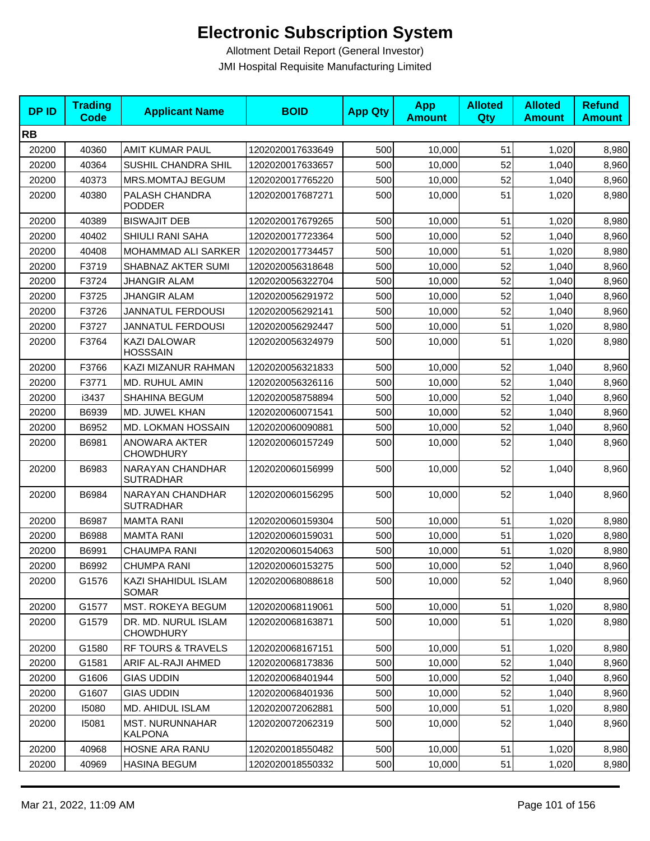| <b>DPID</b> | <b>Trading</b><br>Code | <b>Applicant Name</b>                    | <b>BOID</b>      | <b>App Qty</b> | <b>App</b><br><b>Amount</b> | <b>Alloted</b><br>Qty | <b>Alloted</b><br><b>Amount</b> | <b>Refund</b><br><b>Amount</b> |
|-------------|------------------------|------------------------------------------|------------------|----------------|-----------------------------|-----------------------|---------------------------------|--------------------------------|
| <b>RB</b>   |                        |                                          |                  |                |                             |                       |                                 |                                |
| 20200       | 40360                  | AMIT KUMAR PAUL                          | 1202020017633649 | 500            | 10,000                      | 51                    | 1,020                           | 8,980                          |
| 20200       | 40364                  | SUSHIL CHANDRA SHIL                      | 1202020017633657 | 500            | 10,000                      | 52                    | 1,040                           | 8,960                          |
| 20200       | 40373                  | MRS.MOMTAJ BEGUM                         | 1202020017765220 | 500            | 10,000                      | 52                    | 1,040                           | 8,960                          |
| 20200       | 40380                  | PALASH CHANDRA<br><b>PODDER</b>          | 1202020017687271 | 500            | 10,000                      | 51                    | 1,020                           | 8,980                          |
| 20200       | 40389                  | <b>BISWAJIT DEB</b>                      | 1202020017679265 | 500            | 10.000                      | 51                    | 1,020                           | 8,980                          |
| 20200       | 40402                  | SHIULI RANI SAHA                         | 1202020017723364 | 500            | 10,000                      | 52                    | 1,040                           | 8,960                          |
| 20200       | 40408                  | MOHAMMAD ALI SARKER                      | 1202020017734457 | 500            | 10,000                      | 51                    | 1,020                           | 8,980                          |
| 20200       | F3719                  | SHABNAZ AKTER SUMI                       | 1202020056318648 | 500            | 10,000                      | 52                    | 1,040                           | 8,960                          |
| 20200       | F3724                  | <b>JHANGIR ALAM</b>                      | 1202020056322704 | 500            | 10,000                      | 52                    | 1,040                           | 8,960                          |
| 20200       | F3725                  | JHANGIR ALAM                             | 1202020056291972 | 500            | 10,000                      | 52                    | 1,040                           | 8,960                          |
| 20200       | F3726                  | <b>JANNATUL FERDOUSI</b>                 | 1202020056292141 | 500            | 10,000                      | 52                    | 1,040                           | 8,960                          |
| 20200       | F3727                  | <b>JANNATUL FERDOUSI</b>                 | 1202020056292447 | 500            | 10,000                      | 51                    | 1,020                           | 8,980                          |
| 20200       | F3764                  | KAZI DALOWAR<br><b>HOSSSAIN</b>          | 1202020056324979 | 500            | 10,000                      | 51                    | 1,020                           | 8,980                          |
| 20200       | F3766                  | KAZI MIZANUR RAHMAN                      | 1202020056321833 | 500            | 10,000                      | 52                    | 1,040                           | 8,960                          |
| 20200       | F3771                  | MD. RUHUL AMIN                           | 1202020056326116 | 500            | 10,000                      | 52                    | 1,040                           | 8,960                          |
| 20200       | i3437                  | SHAHINA BEGUM                            | 1202020058758894 | 500            | 10,000                      | 52                    | 1,040                           | 8,960                          |
| 20200       | B6939                  | MD. JUWEL KHAN                           | 1202020060071541 | 500            | 10,000                      | 52                    | 1,040                           | 8,960                          |
| 20200       | B6952                  | MD. LOKMAN HOSSAIN                       | 1202020060090881 | 500            | 10,000                      | 52                    | 1,040                           | 8,960                          |
| 20200       | B6981                  | ANOWARA AKTER<br><b>CHOWDHURY</b>        | 1202020060157249 | 500            | 10,000                      | 52                    | 1,040                           | 8,960                          |
| 20200       | B6983                  | NARAYAN CHANDHAR<br><b>SUTRADHAR</b>     | 1202020060156999 | 500            | 10,000                      | 52                    | 1,040                           | 8,960                          |
| 20200       | B6984                  | NARAYAN CHANDHAR<br><b>SUTRADHAR</b>     | 1202020060156295 | 500            | 10,000                      | 52                    | 1,040                           | 8,960                          |
| 20200       | B6987                  | <b>MAMTA RANI</b>                        | 1202020060159304 | 500            | 10,000                      | 51                    | 1,020                           | 8,980                          |
| 20200       | B6988                  | <b>MAMTA RANI</b>                        | 1202020060159031 | 500            | 10,000                      | 51                    | 1,020                           | 8,980                          |
| 20200       | B6991                  | <b>CHAUMPA RANI</b>                      | 1202020060154063 | 500            | 10,000                      | 51                    | 1,020                           | 8,980                          |
| 20200       | B6992                  | <b>CHUMPA RANI</b>                       | 1202020060153275 | 500            | 10,000                      | 52                    | 1,040                           | 8,960                          |
| 20200       | G1576                  | KAZI SHAHIDUL ISLAM<br><b>SOMAR</b>      | 1202020068088618 | 500            | 10,000                      | 52                    | 1,040                           | 8,960                          |
| 20200       | G1577                  | <b>MST. ROKEYA BEGUM</b>                 | 1202020068119061 | 500            | 10,000                      | 51                    | 1,020                           | 8,980                          |
| 20200       | G1579                  | DR. MD. NURUL ISLAM<br><b>CHOWDHURY</b>  | 1202020068163871 | 500            | 10,000                      | 51                    | 1,020                           | 8,980                          |
| 20200       | G1580                  | RF TOURS & TRAVELS                       | 1202020068167151 | 500            | 10,000                      | 51                    | 1,020                           | 8,980                          |
| 20200       | G1581                  | ARIF AL-RAJI AHMED                       | 1202020068173836 | 500            | 10,000                      | 52                    | 1,040                           | 8,960                          |
| 20200       | G1606                  | <b>GIAS UDDIN</b>                        | 1202020068401944 | 500            | 10,000                      | 52                    | 1,040                           | 8,960                          |
| 20200       | G1607                  | <b>GIAS UDDIN</b>                        | 1202020068401936 | 500            | 10,000                      | 52                    | 1,040                           | 8,960                          |
| 20200       | 15080                  | MD. AHIDUL ISLAM                         | 1202020072062881 | 500            | 10,000                      | 51                    | 1,020                           | 8,980                          |
| 20200       | 15081                  | <b>MST. NURUNNAHAR</b><br><b>KALPONA</b> | 1202020072062319 | 500            | 10,000                      | 52                    | 1,040                           | 8,960                          |
| 20200       | 40968                  | HOSNE ARA RANU                           | 1202020018550482 | 500            | 10,000                      | 51                    | 1,020                           | 8,980                          |
| 20200       | 40969                  | <b>HASINA BEGUM</b>                      | 1202020018550332 | 500            | 10,000                      | 51                    | 1,020                           | 8,980                          |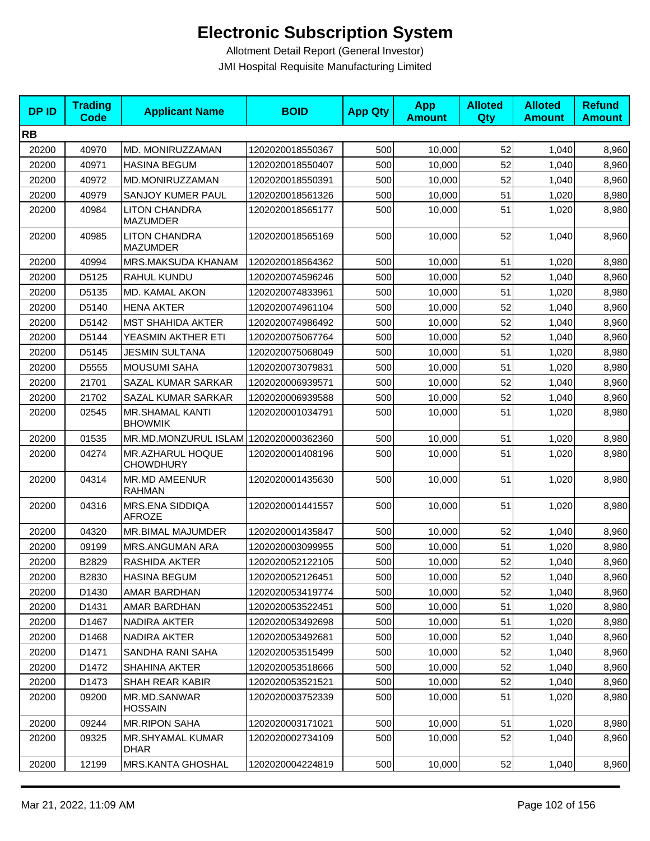| <b>DPID</b> | <b>Trading</b><br><b>Code</b> | <b>Applicant Name</b>                    | <b>BOID</b>      | <b>App Qty</b> | <b>App</b><br><b>Amount</b> | <b>Alloted</b><br>Qty | <b>Alloted</b><br><b>Amount</b> | <b>Refund</b><br><b>Amount</b> |
|-------------|-------------------------------|------------------------------------------|------------------|----------------|-----------------------------|-----------------------|---------------------------------|--------------------------------|
| <b>RB</b>   |                               |                                          |                  |                |                             |                       |                                 |                                |
| 20200       | 40970                         | MD. MONIRUZZAMAN                         | 1202020018550367 | 500            | 10,000                      | 52                    | 1,040                           | 8,960                          |
| 20200       | 40971                         | <b>HASINA BEGUM</b>                      | 1202020018550407 | 500            | 10,000                      | 52                    | 1,040                           | 8,960                          |
| 20200       | 40972                         | MD.MONIRUZZAMAN                          | 1202020018550391 | 500            | 10,000                      | 52                    | 1,040                           | 8,960                          |
| 20200       | 40979                         | SANJOY KUMER PAUL                        | 1202020018561326 | 500            | 10,000                      | 51                    | 1,020                           | 8,980                          |
| 20200       | 40984                         | <b>LITON CHANDRA</b><br><b>MAZUMDER</b>  | 1202020018565177 | 500            | 10,000                      | 51                    | 1,020                           | 8,980                          |
| 20200       | 40985                         | <b>LITON CHANDRA</b><br><b>MAZUMDER</b>  | 1202020018565169 | 500            | 10,000                      | 52                    | 1,040                           | 8,960                          |
| 20200       | 40994                         | MRS.MAKSUDA KHANAM                       | 1202020018564362 | 500            | 10,000                      | 51                    | 1,020                           | 8,980                          |
| 20200       | D5125                         | RAHUL KUNDU                              | 1202020074596246 | 500            | 10,000                      | 52                    | 1,040                           | 8,960                          |
| 20200       | D5135                         | MD. KAMAL AKON                           | 1202020074833961 | 500            | 10,000                      | 51                    | 1,020                           | 8,980                          |
| 20200       | D5140                         | <b>HENA AKTER</b>                        | 1202020074961104 | 500            | 10,000                      | 52                    | 1,040                           | 8,960                          |
| 20200       | D5142                         | <b>MST SHAHIDA AKTER</b>                 | 1202020074986492 | 500            | 10,000                      | 52                    | 1,040                           | 8,960                          |
| 20200       | D5144                         | YEASMIN AKTHER ETI                       | 1202020075067764 | 500            | 10,000                      | 52                    | 1,040                           | 8,960                          |
| 20200       | D5145                         | JESMIN SULTANA                           | 1202020075068049 | 500            | 10,000                      | 51                    | 1,020                           | 8,980                          |
| 20200       | D5555                         | <b>MOUSUMI SAHA</b>                      | 1202020073079831 | 500            | 10,000                      | 51                    | 1,020                           | 8,980                          |
| 20200       | 21701                         | SAZAL KUMAR SARKAR                       | 1202020006939571 | 500            | 10,000                      | 52                    | 1,040                           | 8,960                          |
| 20200       | 21702                         | SAZAL KUMAR SARKAR                       | 1202020006939588 | 500            | 10,000                      | 52                    | 1,040                           | 8,960                          |
| 20200       | 02545                         | <b>MR.SHAMAL KANTI</b><br><b>BHOWMIK</b> | 1202020001034791 | 500            | 10,000                      | 51                    | 1,020                           | 8,980                          |
| 20200       | 01535                         | MR.MD.MONZURUL ISLAM 1202020000362360    |                  | 500            | 10,000                      | 51                    | 1,020                           | 8,980                          |
| 20200       | 04274                         | MR.AZHARUL HOQUE<br><b>CHOWDHURY</b>     | 1202020001408196 | 500            | 10,000                      | 51                    | 1,020                           | 8,980                          |
| 20200       | 04314                         | <b>MR.MD AMEENUR</b><br><b>RAHMAN</b>    | 1202020001435630 | 500            | 10,000                      | 51                    | 1,020                           | 8,980                          |
| 20200       | 04316                         | MRS.ENA SIDDIQA<br><b>AFROZE</b>         | 1202020001441557 | 500            | 10,000                      | 51                    | 1,020                           | 8,980                          |
| 20200       | 04320                         | MR.BIMAL MAJUMDER                        | 1202020001435847 | 500            | 10,000                      | 52                    | 1,040                           | 8,960                          |
| 20200       | 09199                         | MRS.ANGUMAN ARA                          | 1202020003099955 | 500            | 10,000                      | 51                    | 1,020                           | 8,980                          |
| 20200       | B2829                         | RASHIDA AKTER                            | 1202020052122105 | 500            | 10,000                      | 52                    | 1,040                           | 8,960                          |
| 20200       | B2830                         | <b>HASINA BEGUM</b>                      | 1202020052126451 | 500            | 10,000                      | 52                    | 1,040                           | 8,960                          |
| 20200       | D1430                         | AMAR BARDHAN                             | 1202020053419774 | 500            | 10,000                      | 52                    | 1,040                           | 8,960                          |
| 20200       | D1431                         | AMAR BARDHAN                             | 1202020053522451 | 500            | 10,000                      | 51                    | 1,020                           | 8,980                          |
| 20200       | D1467                         | NADIRA AKTER                             | 1202020053492698 | 500            | 10,000                      | 51                    | 1,020                           | 8,980                          |
| 20200       | D1468                         | NADIRA AKTER                             | 1202020053492681 | 500            | 10,000                      | 52                    | 1,040                           | 8,960                          |
| 20200       | D1471                         | SANDHA RANI SAHA                         | 1202020053515499 | 500            | 10,000                      | 52                    | 1,040                           | 8,960                          |
| 20200       | D1472                         | <b>SHAHINA AKTER</b>                     | 1202020053518666 | 500            | 10,000                      | 52                    | 1,040                           | 8,960                          |
| 20200       | D1473                         | <b>SHAH REAR KABIR</b>                   | 1202020053521521 | 500            | 10,000                      | 52                    | 1,040                           | 8,960                          |
| 20200       | 09200                         | MR.MD.SANWAR<br><b>HOSSAIN</b>           | 1202020003752339 | 500            | 10,000                      | 51                    | 1,020                           | 8,980                          |
| 20200       | 09244                         | <b>MR.RIPON SAHA</b>                     | 1202020003171021 | 500            | 10,000                      | 51                    | 1,020                           | 8,980                          |
| 20200       | 09325                         | MR.SHYAMAL KUMAR<br><b>DHAR</b>          | 1202020002734109 | 500            | 10,000                      | 52                    | 1,040                           | 8,960                          |
| 20200       | 12199                         | MRS.KANTA GHOSHAL                        | 1202020004224819 | 500            | 10,000                      | 52                    | 1,040                           | 8,960                          |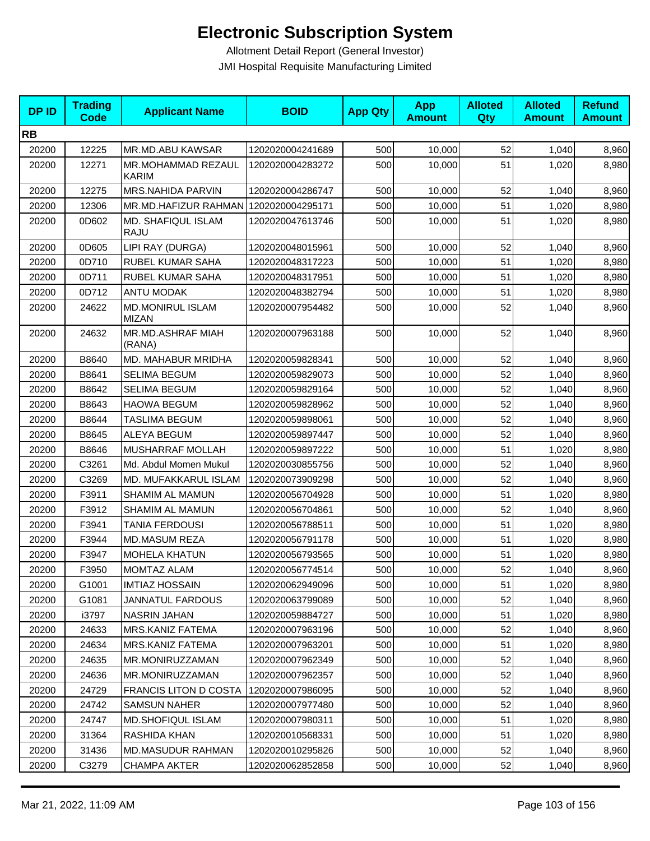| <b>DPID</b> | <b>Trading</b><br>Code | <b>Applicant Name</b>                   | <b>BOID</b>      | <b>App Qty</b> | <b>App</b><br><b>Amount</b> | <b>Alloted</b><br>Qty | <b>Alloted</b><br><b>Amount</b> | <b>Refund</b><br><b>Amount</b> |
|-------------|------------------------|-----------------------------------------|------------------|----------------|-----------------------------|-----------------------|---------------------------------|--------------------------------|
| <b>RB</b>   |                        |                                         |                  |                |                             |                       |                                 |                                |
| 20200       | 12225                  | MR.MD.ABU KAWSAR                        | 1202020004241689 | 500            | 10,000                      | 52                    | 1,040                           | 8,960                          |
| 20200       | 12271                  | MR.MOHAMMAD REZAUL<br><b>KARIM</b>      | 1202020004283272 | 500            | 10,000                      | 51                    | 1,020                           | 8,980                          |
| 20200       | 12275                  | MRS.NAHIDA PARVIN                       | 1202020004286747 | 500            | 10,000                      | 52                    | 1,040                           | 8,960                          |
| 20200       | 12306                  | MR.MD.HAFIZUR RAHMAN                    | 1202020004295171 | 500            | 10,000                      | 51                    | 1,020                           | 8,980                          |
| 20200       | 0D602                  | MD. SHAFIQUL ISLAM<br><b>RAJU</b>       | 1202020047613746 | 500            | 10,000                      | 51                    | 1,020                           | 8,980                          |
| 20200       | 0D605                  | LIPI RAY (DURGA)                        | 1202020048015961 | 500            | 10,000                      | 52                    | 1,040                           | 8,960                          |
| 20200       | 0D710                  | RUBEL KUMAR SAHA                        | 1202020048317223 | 500            | 10,000                      | 51                    | 1,020                           | 8,980                          |
| 20200       | 0D711                  | RUBEL KUMAR SAHA                        | 1202020048317951 | 500            | 10,000                      | 51                    | 1,020                           | 8,980                          |
| 20200       | 0D712                  | <b>ANTU MODAK</b>                       | 1202020048382794 | 500            | 10,000                      | 51                    | 1,020                           | 8,980                          |
| 20200       | 24622                  | <b>MD.MONIRUL ISLAM</b><br><b>MIZAN</b> | 1202020007954482 | 500            | 10,000                      | 52                    | 1,040                           | 8,960                          |
| 20200       | 24632                  | MR.MD.ASHRAF MIAH<br>(RANA)             | 1202020007963188 | 500            | 10,000                      | 52                    | 1,040                           | 8,960                          |
| 20200       | B8640                  | MD. MAHABUR MRIDHA                      | 1202020059828341 | 500            | 10,000                      | 52                    | 1,040                           | 8,960                          |
| 20200       | B8641                  | <b>SELIMA BEGUM</b>                     | 1202020059829073 | 500            | 10,000                      | 52                    | 1,040                           | 8,960                          |
| 20200       | B8642                  | <b>SELIMA BEGUM</b>                     | 1202020059829164 | 500            | 10,000                      | 52                    | 1,040                           | 8,960                          |
| 20200       | B8643                  | <b>HAOWA BEGUM</b>                      | 1202020059828962 | 500            | 10,000                      | 52                    | 1,040                           | 8,960                          |
| 20200       | B8644                  | TASLIMA BEGUM                           | 1202020059898061 | 500            | 10,000                      | 52                    | 1,040                           | 8,960                          |
| 20200       | B8645                  | <b>ALEYA BEGUM</b>                      | 1202020059897447 | 500            | 10,000                      | 52                    | 1,040                           | 8,960                          |
| 20200       | B8646                  | MUSHARRAF MOLLAH                        | 1202020059897222 | 500            | 10,000                      | 51                    | 1,020                           | 8,980                          |
| 20200       | C3261                  | Md. Abdul Momen Mukul                   | 1202020030855756 | 500            | 10,000                      | 52                    | 1,040                           | 8,960                          |
| 20200       | C3269                  | MD. MUFAKKARUL ISLAM                    | 1202020073909298 | 500            | 10,000                      | 52                    | 1,040                           | 8,960                          |
| 20200       | F3911                  | <b>SHAMIM AL MAMUN</b>                  | 1202020056704928 | 500            | 10,000                      | 51                    | 1,020                           | 8,980                          |
| 20200       | F3912                  | SHAMIM AL MAMUN                         | 1202020056704861 | 500            | 10,000                      | 52                    | 1,040                           | 8,960                          |
| 20200       | F3941                  | <b>TANIA FERDOUSI</b>                   | 1202020056788511 | 500            | 10,000                      | 51                    | 1,020                           | 8,980                          |
| 20200       | F3944                  | <b>MD.MASUM REZA</b>                    | 1202020056791178 | 500            | 10,000                      | 51                    | 1,020                           | 8,980                          |
| 20200       | F3947                  | <b>MOHELA KHATUN</b>                    | 1202020056793565 | 500            | 10,000                      | 51                    | 1,020                           | 8,980                          |
| 20200       | F3950                  | MOMTAZ ALAM                             | 1202020056774514 | 500            | 10,000                      | 52                    | 1,040                           | 8,960                          |
| 20200       | G1001                  | <b>IMTIAZ HOSSAIN</b>                   | 1202020062949096 | 500            | 10,000                      | 51                    | 1,020                           | 8,980                          |
| 20200       | G1081                  | <b>JANNATUL FARDOUS</b>                 | 1202020063799089 | 500            | 10,000                      | 52                    | 1,040                           | 8,960                          |
| 20200       | i3797                  | NASRIN JAHAN                            | 1202020059884727 | 500            | 10,000                      | 51                    | 1,020                           | 8,980                          |
| 20200       | 24633                  | MRS.KANIZ FATEMA                        | 1202020007963196 | 500            | 10,000                      | 52                    | 1,040                           | 8,960                          |
| 20200       | 24634                  | <b>MRS.KANIZ FATEMA</b>                 | 1202020007963201 | 500            | 10,000                      | 51                    | 1,020                           | 8,980                          |
| 20200       | 24635                  | MR.MONIRUZZAMAN                         | 1202020007962349 | 500            | 10,000                      | 52                    | 1,040                           | 8,960                          |
| 20200       | 24636                  | MR.MONIRUZZAMAN                         | 1202020007962357 | 500            | 10,000                      | 52                    | 1,040                           | 8,960                          |
| 20200       | 24729                  | FRANCIS LITON D COSTA                   | 1202020007986095 | 500            | 10,000                      | 52                    | 1,040                           | 8,960                          |
| 20200       | 24742                  | <b>SAMSUN NAHER</b>                     | 1202020007977480 | 500            | 10,000                      | 52                    | 1,040                           | 8,960                          |
| 20200       | 24747                  | <b>MD.SHOFIQUL ISLAM</b>                | 1202020007980311 | 500            | 10,000                      | 51                    | 1,020                           | 8,980                          |
| 20200       | 31364                  | RASHIDA KHAN                            | 1202020010568331 | 500            | 10,000                      | 51                    | 1,020                           | 8,980                          |
| 20200       | 31436                  | MD.MASUDUR RAHMAN                       | 1202020010295826 | 500            | 10,000                      | 52                    | 1,040                           | 8,960                          |
| 20200       | C3279                  | <b>CHAMPA AKTER</b>                     | 1202020062852858 | 500            | 10,000                      | 52                    | 1,040                           | 8,960                          |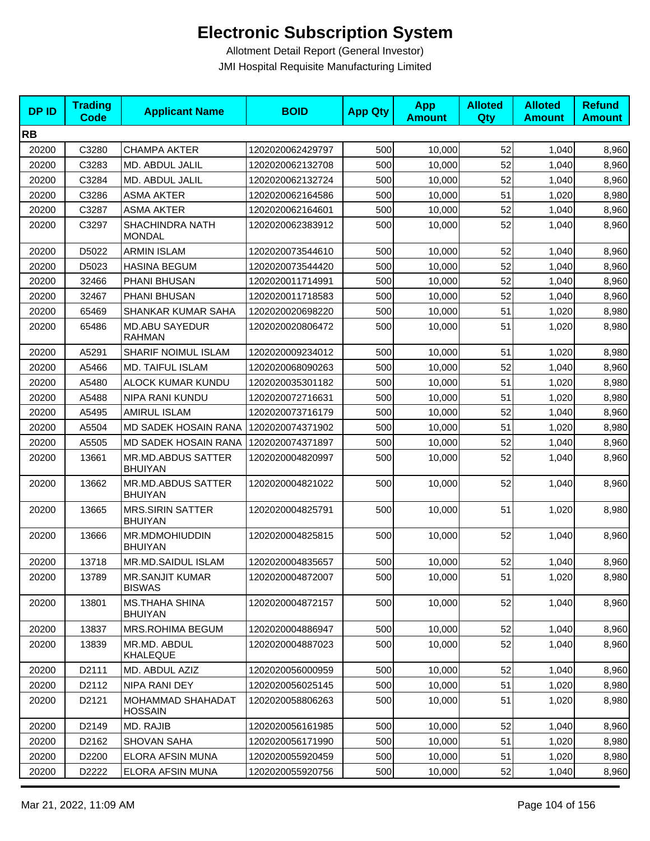| <b>DPID</b> | <b>Trading</b><br>Code | <b>Applicant Name</b>                     | <b>BOID</b>      | <b>App Qty</b> | <b>App</b><br><b>Amount</b> | <b>Alloted</b><br>Qty | <b>Alloted</b><br><b>Amount</b> | <b>Refund</b><br><b>Amount</b> |
|-------------|------------------------|-------------------------------------------|------------------|----------------|-----------------------------|-----------------------|---------------------------------|--------------------------------|
| <b>RB</b>   |                        |                                           |                  |                |                             |                       |                                 |                                |
| 20200       | C3280                  | <b>CHAMPA AKTER</b>                       | 1202020062429797 | 500            | 10,000                      | 52                    | 1,040                           | 8,960                          |
| 20200       | C3283                  | MD. ABDUL JALIL                           | 1202020062132708 | 500            | 10,000                      | 52                    | 1,040                           | 8,960                          |
| 20200       | C3284                  | MD. ABDUL JALIL                           | 1202020062132724 | 500            | 10,000                      | 52                    | 1,040                           | 8,960                          |
| 20200       | C3286                  | <b>ASMA AKTER</b>                         | 1202020062164586 | 500            | 10,000                      | 51                    | 1,020                           | 8,980                          |
| 20200       | C3287                  | <b>ASMA AKTER</b>                         | 1202020062164601 | 500            | 10,000                      | 52                    | 1,040                           | 8,960                          |
| 20200       | C3297                  | <b>SHACHINDRA NATH</b><br><b>MONDAL</b>   | 1202020062383912 | 500            | 10,000                      | 52                    | 1,040                           | 8,960                          |
| 20200       | D5022                  | <b>ARMIN ISLAM</b>                        | 1202020073544610 | 500            | 10,000                      | 52                    | 1,040                           | 8,960                          |
| 20200       | D5023                  | <b>HASINA BEGUM</b>                       | 1202020073544420 | 500            | 10,000                      | 52                    | 1,040                           | 8,960                          |
| 20200       | 32466                  | PHANI BHUSAN                              | 1202020011714991 | 500            | 10,000                      | 52                    | 1,040                           | 8,960                          |
| 20200       | 32467                  | PHANI BHUSAN                              | 1202020011718583 | 500            | 10,000                      | 52                    | 1,040                           | 8,960                          |
| 20200       | 65469                  | SHANKAR KUMAR SAHA                        | 1202020020698220 | 500            | 10,000                      | 51                    | 1,020                           | 8,980                          |
| 20200       | 65486                  | <b>MD.ABU SAYEDUR</b><br><b>RAHMAN</b>    | 1202020020806472 | 500            | 10,000                      | 51                    | 1,020                           | 8,980                          |
| 20200       | A5291                  | SHARIF NOIMUL ISLAM                       | 1202020009234012 | 500            | 10,000                      | 51                    | 1,020                           | 8,980                          |
| 20200       | A5466                  | MD. TAIFUL ISLAM                          | 1202020068090263 | 500            | 10,000                      | 52                    | 1,040                           | 8,960                          |
| 20200       | A5480                  | ALOCK KUMAR KUNDU                         | 1202020035301182 | 500            | 10,000                      | 51                    | 1,020                           | 8,980                          |
| 20200       | A5488                  | NIPA RANI KUNDU                           | 1202020072716631 | 500            | 10,000                      | 51                    | 1,020                           | 8,980                          |
| 20200       | A5495                  | <b>AMIRUL ISLAM</b>                       | 1202020073716179 | 500            | 10,000                      | 52                    | 1,040                           | 8,960                          |
| 20200       | A5504                  | MD SADEK HOSAIN RANA                      | 1202020074371902 | 500            | 10,000                      | 51                    | 1,020                           | 8,980                          |
| 20200       | A5505                  | MD SADEK HOSAIN RANA                      | 1202020074371897 | 500            | 10,000                      | 52                    | 1,040                           | 8,960                          |
| 20200       | 13661                  | MR.MD.ABDUS SATTER<br><b>BHUIYAN</b>      | 1202020004820997 | 500            | 10,000                      | 52                    | 1,040                           | 8,960                          |
| 20200       | 13662                  | MR.MD.ABDUS SATTER<br><b>BHUIYAN</b>      | 1202020004821022 | 500            | 10,000                      | 52                    | 1,040                           | 8,960                          |
| 20200       | 13665                  | <b>MRS.SIRIN SATTER</b><br><b>BHUIYAN</b> | 1202020004825791 | 500            | 10,000                      | 51                    | 1,020                           | 8,980                          |
| 20200       | 13666                  | MR.MDMOHIUDDIN<br><b>BHUIYAN</b>          | 1202020004825815 | 500            | 10,000                      | 52                    | 1,040                           | 8,960                          |
| 20200       | 13718                  | MR.MD.SAIDUL ISLAM                        | 1202020004835657 | 500            | 10,000                      | 52                    | 1,040                           | 8,960                          |
| 20200       | 13789                  | <b>MR.SANJIT KUMAR</b><br><b>BISWAS</b>   | 1202020004872007 | 500            | 10,000                      | 51                    | 1,020                           | 8,980                          |
| 20200       | 13801                  | <b>MS.THAHA SHINA</b><br><b>BHUIYAN</b>   | 1202020004872157 | 500            | 10,000                      | 52                    | 1,040                           | 8,960                          |
| 20200       | 13837                  | MRS.ROHIMA BEGUM                          | 1202020004886947 | 500            | 10,000                      | 52                    | 1,040                           | 8,960                          |
| 20200       | 13839                  | MR.MD. ABDUL<br><b>KHALEQUE</b>           | 1202020004887023 | 500            | 10,000                      | 52                    | 1,040                           | 8,960                          |
| 20200       | D2111                  | MD. ABDUL AZIZ                            | 1202020056000959 | 500            | 10,000                      | 52                    | 1,040                           | 8,960                          |
| 20200       | D2112                  | NIPA RANI DEY                             | 1202020056025145 | 500            | 10,000                      | 51                    | 1,020                           | 8,980                          |
| 20200       | D2121                  | MOHAMMAD SHAHADAT<br><b>HOSSAIN</b>       | 1202020058806263 | 500            | 10,000                      | 51                    | 1,020                           | 8,980                          |
| 20200       | D2149                  | MD. RAJIB                                 | 1202020056161985 | 500            | 10,000                      | 52                    | 1,040                           | 8,960                          |
| 20200       | D2162                  | SHOVAN SAHA                               | 1202020056171990 | 500            | 10,000                      | 51                    | 1,020                           | 8,980                          |
| 20200       | D2200                  | ELORA AFSIN MUNA                          | 1202020055920459 | 500            | 10,000                      | 51                    | 1,020                           | 8,980                          |
| 20200       | D2222                  | ELORA AFSIN MUNA                          | 1202020055920756 | 500            | 10,000                      | 52                    | 1,040                           | 8,960                          |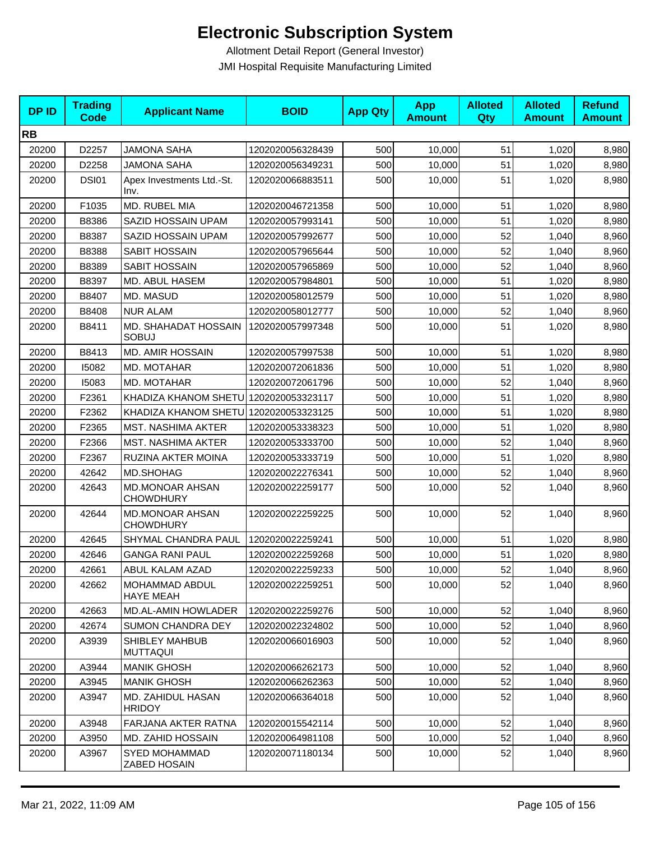| <b>DPID</b> | <b>Trading</b><br><b>Code</b> | <b>Applicant Name</b>                      | <b>BOID</b>      | <b>App Qty</b> | <b>App</b><br><b>Amount</b> | <b>Alloted</b><br>Qty | <b>Alloted</b><br><b>Amount</b> | <b>Refund</b><br><b>Amount</b> |
|-------------|-------------------------------|--------------------------------------------|------------------|----------------|-----------------------------|-----------------------|---------------------------------|--------------------------------|
| <b>RB</b>   |                               |                                            |                  |                |                             |                       |                                 |                                |
| 20200       | D2257                         | <b>JAMONA SAHA</b>                         | 1202020056328439 | 500            | 10,000                      | 51                    | 1,020                           | 8,980                          |
| 20200       | D2258                         | <b>JAMONA SAHA</b>                         | 1202020056349231 | 500            | 10,000                      | 51                    | 1,020                           | 8,980                          |
| 20200       | <b>DSI01</b>                  | Apex Investments Ltd.-St.<br>Inv.          | 1202020066883511 | 500            | 10,000                      | 51                    | 1,020                           | 8,980                          |
| 20200       | F1035                         | MD. RUBEL MIA                              | 1202020046721358 | 500            | 10,000                      | 51                    | 1,020                           | 8,980                          |
| 20200       | B8386                         | SAZID HOSSAIN UPAM                         | 1202020057993141 | 500            | 10,000                      | 51                    | 1,020                           | 8,980                          |
| 20200       | B8387                         | SAZID HOSSAIN UPAM                         | 1202020057992677 | 500            | 10,000                      | 52                    | 1,040                           | 8,960                          |
| 20200       | B8388                         | <b>SABIT HOSSAIN</b>                       | 1202020057965644 | 500            | 10,000                      | 52                    | 1,040                           | 8,960                          |
| 20200       | B8389                         | SABIT HOSSAIN                              | 1202020057965869 | 500            | 10,000                      | 52                    | 1,040                           | 8,960                          |
| 20200       | B8397                         | MD. ABUL HASEM                             | 1202020057984801 | 500            | 10,000                      | 51                    | 1,020                           | 8,980                          |
| 20200       | B8407                         | MD. MASUD                                  | 1202020058012579 | 500            | 10,000                      | 51                    | 1,020                           | 8,980                          |
| 20200       | B8408                         | <b>NUR ALAM</b>                            | 1202020058012777 | 500            | 10,000                      | 52                    | 1,040                           | 8,960                          |
| 20200       | B8411                         | MD. SHAHADAT HOSSAIN<br><b>SOBUJ</b>       | 1202020057997348 | 500            | 10,000                      | 51                    | 1,020                           | 8,980                          |
| 20200       | B8413                         | <b>MD. AMIR HOSSAIN</b>                    | 1202020057997538 | 500            | 10,000                      | 51                    | 1,020                           | 8,980                          |
| 20200       | 15082                         | MD. MOTAHAR                                | 1202020072061836 | 500            | 10,000                      | 51                    | 1,020                           | 8,980                          |
| 20200       | 15083                         | MD. MOTAHAR                                | 1202020072061796 | 500            | 10,000                      | 52                    | 1,040                           | 8,960                          |
| 20200       | F2361                         | KHADIZA KHANOM SHETU 1202020053323117      |                  | 500            | 10.000                      | 51                    | 1,020                           | 8,980                          |
| 20200       | F2362                         | KHADIZA KHANOM SHETU                       | 1202020053323125 | 500            | 10,000                      | 51                    | 1,020                           | 8,980                          |
| 20200       | F2365                         | <b>MST. NASHIMA AKTER</b>                  | 1202020053338323 | 500            | 10,000                      | 51                    | 1,020                           | 8,980                          |
| 20200       | F2366                         | <b>MST. NASHIMA AKTER</b>                  | 1202020053333700 | 500            | 10,000                      | 52                    | 1,040                           | 8,960                          |
| 20200       | F2367                         | RUZINA AKTER MOINA                         | 1202020053333719 | 500            | 10,000                      | 51                    | 1,020                           | 8,980                          |
| 20200       | 42642                         | <b>MD.SHOHAG</b>                           | 1202020022276341 | 500            | 10,000                      | 52                    | 1,040                           | 8,960                          |
| 20200       | 42643                         | <b>MD.MONOAR AHSAN</b><br><b>CHOWDHURY</b> | 1202020022259177 | 500            | 10,000                      | 52                    | 1,040                           | 8,960                          |
| 20200       | 42644                         | <b>MD.MONOAR AHSAN</b><br><b>CHOWDHURY</b> | 1202020022259225 | 500            | 10,000                      | 52                    | 1,040                           | 8,960                          |
| 20200       | 42645                         | SHYMAL CHANDRA PAUL                        | 1202020022259241 | 500            | 10,000                      | 51                    | 1,020                           | 8,980                          |
| 20200       | 42646                         | <b>GANGA RANI PAUL</b>                     | 1202020022259268 | 500            | 10,000                      | 51                    | 1,020                           | 8,980                          |
| 20200       | 42661                         | ABUL KALAM AZAD                            | 1202020022259233 | 500            | 10,000                      | 52                    | 1,040                           | 8,960                          |
| 20200       | 42662                         | MOHAMMAD ABDUL<br><b>HAYE MEAH</b>         | 1202020022259251 | 500            | 10,000                      | 52                    | 1,040                           | 8,960                          |
| 20200       | 42663                         | MD.AL-AMIN HOWLADER                        | 1202020022259276 | 500            | 10,000                      | 52                    | 1,040                           | 8,960                          |
| 20200       | 42674                         | <b>SUMON CHANDRA DEY</b>                   | 1202020022324802 | 500            | 10,000                      | 52                    | 1,040                           | 8,960                          |
| 20200       | A3939                         | SHIBLEY MAHBUB<br>MUTTAQUI                 | 1202020066016903 | 500            | 10,000                      | 52                    | 1,040                           | 8,960                          |
| 20200       | A3944                         | <b>MANIK GHOSH</b>                         | 1202020066262173 | 500            | 10,000                      | 52                    | 1,040                           | 8,960                          |
| 20200       | A3945                         | <b>MANIK GHOSH</b>                         | 1202020066262363 | 500            | 10,000                      | 52                    | 1,040                           | 8,960                          |
| 20200       | A3947                         | MD. ZAHIDUL HASAN<br><b>HRIDOY</b>         | 1202020066364018 | 500            | 10,000                      | 52                    | 1,040                           | 8,960                          |
| 20200       | A3948                         | FARJANA AKTER RATNA                        | 1202020015542114 | 500            | 10,000                      | 52                    | 1,040                           | 8,960                          |
| 20200       | A3950                         | MD. ZAHID HOSSAIN                          | 1202020064981108 | 500            | 10,000                      | 52                    | 1,040                           | 8,960                          |
| 20200       | A3967                         | <b>SYED MOHAMMAD</b><br>ZABED HOSAIN       | 1202020071180134 | 500            | 10,000                      | 52                    | 1,040                           | 8,960                          |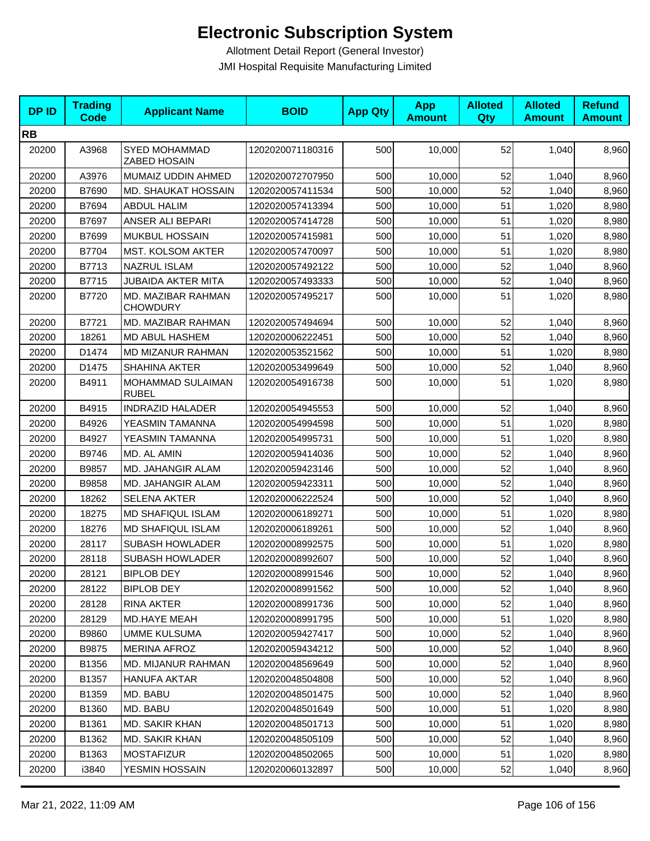| <b>DPID</b> | <b>Trading</b><br><b>Code</b> | <b>Applicant Name</b>                 | <b>BOID</b>      | <b>App Qty</b> | <b>App</b><br><b>Amount</b> | <b>Alloted</b><br>Qty | <b>Alloted</b><br><b>Amount</b> | <b>Refund</b><br><b>Amount</b> |
|-------------|-------------------------------|---------------------------------------|------------------|----------------|-----------------------------|-----------------------|---------------------------------|--------------------------------|
| <b>RB</b>   |                               |                                       |                  |                |                             |                       |                                 |                                |
| 20200       | A3968                         | SYED MOHAMMAD<br>ZABED HOSAIN         | 1202020071180316 | 500            | 10,000                      | 52                    | 1,040                           | 8,960                          |
| 20200       | A3976                         | MUMAIZ UDDIN AHMED                    | 1202020072707950 | 500            | 10,000                      | 52                    | 1,040                           | 8,960                          |
| 20200       | B7690                         | MD. SHAUKAT HOSSAIN                   | 1202020057411534 | 500            | 10,000                      | 52                    | 1,040                           | 8,960                          |
| 20200       | B7694                         | <b>ABDUL HALIM</b>                    | 1202020057413394 | 500            | 10.000                      | 51                    | 1,020                           | 8,980                          |
| 20200       | B7697                         | ANSER ALI BEPARI                      | 1202020057414728 | 500            | 10,000                      | 51                    | 1,020                           | 8,980                          |
| 20200       | B7699                         | MUKBUL HOSSAIN                        | 1202020057415981 | 500            | 10,000                      | 51                    | 1,020                           | 8,980                          |
| 20200       | B7704                         | <b>MST. KOLSOM AKTER</b>              | 1202020057470097 | 500            | 10,000                      | 51                    | 1,020                           | 8,980                          |
| 20200       | B7713                         | <b>NAZRUL ISLAM</b>                   | 1202020057492122 | 500            | 10,000                      | 52                    | 1,040                           | 8,960                          |
| 20200       | B7715                         | <b>JUBAIDA AKTER MITA</b>             | 1202020057493333 | 500            | 10,000                      | 52                    | 1,040                           | 8,960                          |
| 20200       | B7720                         | MD. MAZIBAR RAHMAN<br><b>CHOWDURY</b> | 1202020057495217 | 500            | 10,000                      | 51                    | 1,020                           | 8,980                          |
| 20200       | B7721                         | MD. MAZIBAR RAHMAN                    | 1202020057494694 | 500            | 10,000                      | 52                    | 1,040                           | 8,960                          |
| 20200       | 18261                         | MD ABUL HASHEM                        | 1202020006222451 | 500            | 10,000                      | 52                    | 1,040                           | 8,960                          |
| 20200       | D1474                         | MD MIZANUR RAHMAN                     | 1202020053521562 | 500            | 10,000                      | 51                    | 1,020                           | 8,980                          |
| 20200       | D1475                         | SHAHINA AKTER                         | 1202020053499649 | 500            | 10,000                      | 52                    | 1,040                           | 8,960                          |
| 20200       | B4911                         | MOHAMMAD SULAIMAN<br><b>RUBEL</b>     | 1202020054916738 | 500            | 10,000                      | 51                    | 1,020                           | 8,980                          |
| 20200       | B4915                         | <b>INDRAZID HALADER</b>               | 1202020054945553 | 500            | 10,000                      | 52                    | 1,040                           | 8,960                          |
| 20200       | B4926                         | YEASMIN TAMANNA                       | 1202020054994598 | 500            | 10,000                      | 51                    | 1,020                           | 8,980                          |
| 20200       | B4927                         | YEASMIN TAMANNA                       | 1202020054995731 | 500            | 10,000                      | 51                    | 1,020                           | 8,980                          |
| 20200       | B9746                         | MD. AL AMIN                           | 1202020059414036 | 500            | 10,000                      | 52                    | 1,040                           | 8,960                          |
| 20200       | B9857                         | MD. JAHANGIR ALAM                     | 1202020059423146 | 500            | 10,000                      | 52                    | 1,040                           | 8,960                          |
| 20200       | B9858                         | MD. JAHANGIR ALAM                     | 1202020059423311 | 500            | 10,000                      | 52                    | 1,040                           | 8,960                          |
| 20200       | 18262                         | <b>SELENA AKTER</b>                   | 1202020006222524 | 500            | 10,000                      | 52                    | 1,040                           | 8,960                          |
| 20200       | 18275                         | <b>MD SHAFIQUL ISLAM</b>              | 1202020006189271 | 500            | 10,000                      | 51                    | 1,020                           | 8,980                          |
| 20200       | 18276                         | <b>MD SHAFIQUL ISLAM</b>              | 1202020006189261 | 500            | 10,000                      | 52                    | 1,040                           | 8,960                          |
| 20200       | 28117                         | <b>SUBASH HOWLADER</b>                | 1202020008992575 | 500            | 10,000                      | 51                    | 1,020                           | 8,980                          |
| 20200       | 28118                         | <b>SUBASH HOWLADER</b>                | 1202020008992607 | 500            | 10,000                      | 52                    | 1,040                           | 8,960                          |
| 20200       | 28121                         | BIPLOB DEY                            | 1202020008991546 | 500            | 10,000                      | 52                    | 1,040                           | 8,960                          |
| 20200       | 28122                         | <b>BIPLOB DEY</b>                     | 1202020008991562 | 500            | 10,000                      | 52                    | 1,040                           | 8,960                          |
| 20200       | 28128                         | RINA AKTER                            | 1202020008991736 | 500            | 10,000                      | 52                    | 1,040                           | 8,960                          |
| 20200       | 28129                         | <b>MD.HAYE MEAH</b>                   | 1202020008991795 | 500            | 10,000                      | 51                    | 1,020                           | 8,980                          |
| 20200       | B9860                         | UMME KULSUMA                          | 1202020059427417 | 500            | 10,000                      | 52                    | 1,040                           | 8,960                          |
| 20200       | B9875                         | <b>MERINA AFROZ</b>                   | 1202020059434212 | 500            | 10,000                      | 52                    | 1,040                           | 8,960                          |
| 20200       | B1356                         | MD. MIJANUR RAHMAN                    | 1202020048569649 | 500            | 10,000                      | 52                    | 1,040                           | 8,960                          |
| 20200       | B1357                         | <b>HANUFA AKTAR</b>                   | 1202020048504808 | 500            | 10,000                      | 52                    | 1,040                           | 8,960                          |
| 20200       | B1359                         | MD. BABU                              | 1202020048501475 | 500            | 10,000                      | 52                    | 1,040                           | 8,960                          |
| 20200       | B1360                         | MD. BABU                              | 1202020048501649 | 500            | 10,000                      | 51                    | 1,020                           | 8,980                          |
| 20200       | B1361                         | MD. SAKIR KHAN                        | 1202020048501713 | 500            | 10,000                      | 51                    | 1,020                           | 8,980                          |
| 20200       | B1362                         | MD. SAKIR KHAN                        | 1202020048505109 | 500            | 10,000                      | 52                    | 1,040                           | 8,960                          |
| 20200       | B1363                         | <b>MOSTAFIZUR</b>                     | 1202020048502065 | 500            | 10,000                      | 51                    | 1,020                           | 8,980                          |
| 20200       | i3840                         | YESMIN HOSSAIN                        | 1202020060132897 | 500            | 10,000                      | 52                    | 1,040                           | 8,960                          |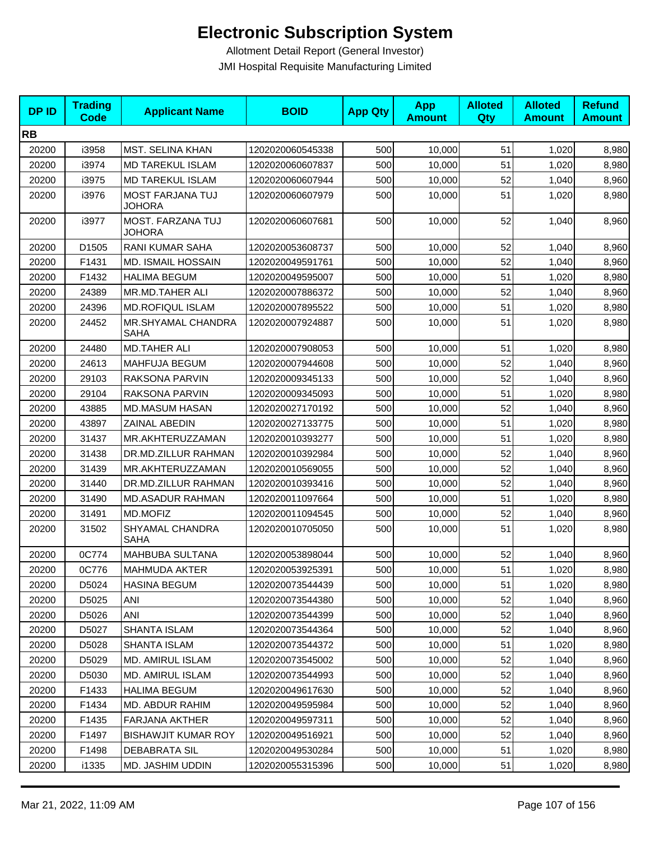| <b>DPID</b> | <b>Trading</b><br><b>Code</b> | <b>Applicant Name</b>             | <b>BOID</b>      | <b>App Qty</b> | <b>App</b><br><b>Amount</b> | <b>Alloted</b><br>Qty | <b>Alloted</b><br><b>Amount</b> | <b>Refund</b><br><b>Amount</b> |
|-------------|-------------------------------|-----------------------------------|------------------|----------------|-----------------------------|-----------------------|---------------------------------|--------------------------------|
| <b>RB</b>   |                               |                                   |                  |                |                             |                       |                                 |                                |
| 20200       | i3958                         | <b>MST. SELINA KHAN</b>           | 1202020060545338 | 500            | 10,000                      | 51                    | 1,020                           | 8,980                          |
| 20200       | i3974                         | <b>MD TAREKUL ISLAM</b>           | 1202020060607837 | 500            | 10,000                      | 51                    | 1,020                           | 8,980                          |
| 20200       | i3975                         | <b>MD TAREKUL ISLAM</b>           | 1202020060607944 | 500            | 10,000                      | 52                    | 1,040                           | 8,960                          |
| 20200       | i3976                         | MOST FARJANA TUJ<br><b>JOHORA</b> | 1202020060607979 | 500            | 10,000                      | 51                    | 1,020                           | 8,980                          |
| 20200       | i3977                         | MOST. FARZANA TUJ<br>JOHORA       | 1202020060607681 | 500            | 10,000                      | 52                    | 1,040                           | 8,960                          |
| 20200       | D1505                         | RANI KUMAR SAHA                   | 1202020053608737 | 500            | 10,000                      | 52                    | 1,040                           | 8,960                          |
| 20200       | F1431                         | <b>MD. ISMAIL HOSSAIN</b>         | 1202020049591761 | 500            | 10,000                      | 52                    | 1,040                           | 8,960                          |
| 20200       | F1432                         | <b>HALIMA BEGUM</b>               | 1202020049595007 | 500            | 10,000                      | 51                    | 1,020                           | 8,980                          |
| 20200       | 24389                         | MR.MD.TAHER ALI                   | 1202020007886372 | 500            | 10,000                      | 52                    | 1,040                           | 8,960                          |
| 20200       | 24396                         | <b>MD.ROFIQUL ISLAM</b>           | 1202020007895522 | 500            | 10,000                      | 51                    | 1,020                           | 8,980                          |
| 20200       | 24452                         | <b>MR.SHYAMAL CHANDRA</b><br>SAHA | 1202020007924887 | 500            | 10,000                      | 51                    | 1,020                           | 8,980                          |
| 20200       | 24480                         | <b>MD.TAHER ALI</b>               | 1202020007908053 | 500            | 10,000                      | 51                    | 1,020                           | 8,980                          |
| 20200       | 24613                         | MAHFUJA BEGUM                     | 1202020007944608 | 500            | 10,000                      | 52                    | 1,040                           | 8,960                          |
| 20200       | 29103                         | RAKSONA PARVIN                    | 1202020009345133 | 500            | 10,000                      | 52                    | 1,040                           | 8,960                          |
| 20200       | 29104                         | RAKSONA PARVIN                    | 1202020009345093 | 500            | 10,000                      | 51                    | 1,020                           | 8,980                          |
| 20200       | 43885                         | <b>MD.MASUM HASAN</b>             | 1202020027170192 | 500            | 10,000                      | 52                    | 1,040                           | 8,960                          |
| 20200       | 43897                         | ZAINAL ABEDIN                     | 1202020027133775 | 500            | 10,000                      | 51                    | 1,020                           | 8,980                          |
| 20200       | 31437                         | MR.AKHTERUZZAMAN                  | 1202020010393277 | 500            | 10,000                      | 51                    | 1,020                           | 8,980                          |
| 20200       | 31438                         | DR.MD.ZILLUR RAHMAN               | 1202020010392984 | 500            | 10,000                      | 52                    | 1,040                           | 8,960                          |
| 20200       | 31439                         | MR.AKHTERUZZAMAN                  | 1202020010569055 | 500            | 10,000                      | 52                    | 1,040                           | 8,960                          |
| 20200       | 31440                         | DR.MD.ZILLUR RAHMAN               | 1202020010393416 | 500            | 10,000                      | 52                    | 1,040                           | 8,960                          |
| 20200       | 31490                         | <b>MD.ASADUR RAHMAN</b>           | 1202020011097664 | 500            | 10,000                      | 51                    | 1,020                           | 8,980                          |
| 20200       | 31491                         | MD.MOFIZ                          | 1202020011094545 | 500            | 10,000                      | 52                    | 1,040                           | 8,960                          |
| 20200       | 31502                         | SHYAMAL CHANDRA<br>SAHA           | 1202020010705050 | 500            | 10,000                      | 51                    | 1,020                           | 8,980                          |
| 20200       | 0C774                         | MAHBUBA SULTANA                   | 1202020053898044 | 500            | 10,000                      | 52                    | 1,040                           | 8,960                          |
| 20200       | 0C776                         | MAHMUDA AKTER                     | 1202020053925391 | 500            | 10,000                      | 51                    | 1,020                           | 8,980                          |
| 20200       | D5024                         | <b>HASINA BEGUM</b>               | 1202020073544439 | 500            | 10,000                      | 51                    | 1,020                           | 8,980                          |
| 20200       | D5025                         | ANI                               | 1202020073544380 | 500            | 10,000                      | 52                    | 1,040                           | 8,960                          |
| 20200       | D5026                         | ANI                               | 1202020073544399 | 500            | 10,000                      | 52                    | 1,040                           | 8,960                          |
| 20200       | D5027                         | SHANTA ISLAM                      | 1202020073544364 | 500            | 10,000                      | 52                    | 1,040                           | 8,960                          |
| 20200       | D5028                         | SHANTA ISLAM                      | 1202020073544372 | 500            | 10,000                      | 51                    | 1,020                           | 8,980                          |
| 20200       | D5029                         | MD. AMIRUL ISLAM                  | 1202020073545002 | 500            | 10,000                      | 52                    | 1,040                           | 8,960                          |
| 20200       | D5030                         | MD. AMIRUL ISLAM                  | 1202020073544993 | 500            | 10,000                      | 52                    | 1,040                           | 8,960                          |
| 20200       | F1433                         | <b>HALIMA BEGUM</b>               | 1202020049617630 | 500            | 10,000                      | 52                    | 1,040                           | 8,960                          |
| 20200       | F1434                         | MD. ABDUR RAHIM                   | 1202020049595984 | 500            | 10,000                      | 52                    | 1,040                           | 8,960                          |
| 20200       | F1435                         | <b>FARJANA AKTHER</b>             | 1202020049597311 | 500            | 10,000                      | 52                    | 1,040                           | 8,960                          |
| 20200       | F1497                         | <b>BISHAWJIT KUMAR ROY</b>        | 1202020049516921 | 500            | 10,000                      | 52                    | 1,040                           | 8,960                          |
| 20200       | F1498                         | DEBABRATA SIL                     | 1202020049530284 | 500            | 10,000                      | 51                    | 1,020                           | 8,980                          |
| 20200       | i1335                         | MD. JASHIM UDDIN                  | 1202020055315396 | 500            | 10,000                      | 51                    | 1,020                           | 8,980                          |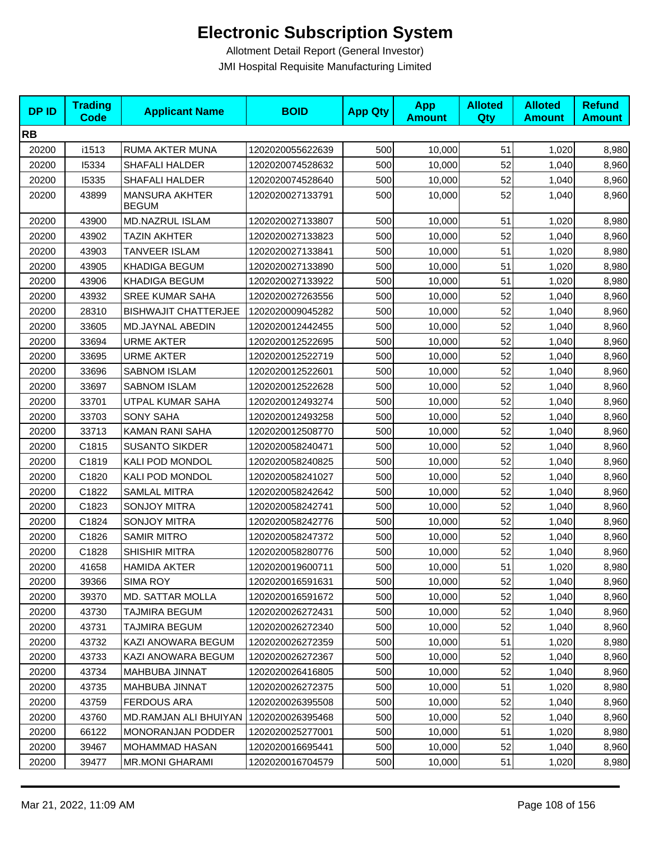| <b>DPID</b> | <b>Trading</b><br><b>Code</b> | <b>Applicant Name</b>                 | <b>BOID</b>      | <b>App Qty</b> | <b>App</b><br><b>Amount</b> | <b>Alloted</b><br>Qty | <b>Alloted</b><br><b>Amount</b> | <b>Refund</b><br><b>Amount</b> |
|-------------|-------------------------------|---------------------------------------|------------------|----------------|-----------------------------|-----------------------|---------------------------------|--------------------------------|
| <b>RB</b>   |                               |                                       |                  |                |                             |                       |                                 |                                |
| 20200       | i1513                         | RUMA AKTER MUNA                       | 1202020055622639 | 500            | 10,000                      | 51                    | 1,020                           | 8,980                          |
| 20200       | 15334                         | <b>SHAFALI HALDER</b>                 | 1202020074528632 | 500            | 10,000                      | 52                    | 1,040                           | 8,960                          |
| 20200       | 15335                         | <b>SHAFALI HALDER</b>                 | 1202020074528640 | 500            | 10,000                      | 52                    | 1,040                           | 8,960                          |
| 20200       | 43899                         | <b>MANSURA AKHTER</b><br><b>BEGUM</b> | 1202020027133791 | 500            | 10,000                      | 52                    | 1,040                           | 8,960                          |
| 20200       | 43900                         | MD.NAZRUL ISLAM                       | 1202020027133807 | 500            | 10,000                      | 51                    | 1,020                           | 8,980                          |
| 20200       | 43902                         | <b>TAZIN AKHTER</b>                   | 1202020027133823 | 500            | 10,000                      | 52                    | 1,040                           | 8,960                          |
| 20200       | 43903                         | <b>TANVEER ISLAM</b>                  | 1202020027133841 | 500            | 10,000                      | 51                    | 1,020                           | 8,980                          |
| 20200       | 43905                         | KHADIGA BEGUM                         | 1202020027133890 | 500            | 10,000                      | 51                    | 1,020                           | 8,980                          |
| 20200       | 43906                         | <b>KHADIGA BEGUM</b>                  | 1202020027133922 | 500            | 10,000                      | 51                    | 1,020                           | 8,980                          |
| 20200       | 43932                         | <b>SREE KUMAR SAHA</b>                | 1202020027263556 | 500            | 10,000                      | 52                    | 1,040                           | 8,960                          |
| 20200       | 28310                         | <b>BISHWAJIT CHATTERJEE</b>           | 1202020009045282 | 500            | 10,000                      | 52                    | 1,040                           | 8,960                          |
| 20200       | 33605                         | MD.JAYNAL ABEDIN                      | 1202020012442455 | 500            | 10,000                      | 52                    | 1,040                           | 8,960                          |
| 20200       | 33694                         | <b>URME AKTER</b>                     | 1202020012522695 | 500            | 10,000                      | 52                    | 1,040                           | 8,960                          |
| 20200       | 33695                         | <b>URME AKTER</b>                     | 1202020012522719 | 500            | 10,000                      | 52                    | 1,040                           | 8,960                          |
| 20200       | 33696                         | <b>SABNOM ISLAM</b>                   | 1202020012522601 | 500            | 10,000                      | 52                    | 1,040                           | 8,960                          |
| 20200       | 33697                         | <b>SABNOM ISLAM</b>                   | 1202020012522628 | 500            | 10,000                      | 52                    | 1,040                           | 8,960                          |
| 20200       | 33701                         | UTPAL KUMAR SAHA                      | 1202020012493274 | 500            | 10,000                      | 52                    | 1,040                           | 8,960                          |
| 20200       | 33703                         | <b>SONY SAHA</b>                      | 1202020012493258 | 500            | 10,000                      | 52                    | 1,040                           | 8,960                          |
| 20200       | 33713                         | KAMAN RANI SAHA                       | 1202020012508770 | 500            | 10,000                      | 52                    | 1,040                           | 8,960                          |
| 20200       | C1815                         | <b>SUSANTO SIKDER</b>                 | 1202020058240471 | 500            | 10,000                      | 52                    | 1,040                           | 8,960                          |
| 20200       | C1819                         | KALI POD MONDOL                       | 1202020058240825 | 500            | 10,000                      | 52                    | 1,040                           | 8,960                          |
| 20200       | C1820                         | KALI POD MONDOL                       | 1202020058241027 | 500            | 10,000                      | 52                    | 1,040                           | 8,960                          |
| 20200       | C1822                         | <b>SAMLAL MITRA</b>                   | 1202020058242642 | 500            | 10,000                      | 52                    | 1,040                           | 8,960                          |
| 20200       | C1823                         | <b>SONJOY MITRA</b>                   | 1202020058242741 | 500            | 10,000                      | 52                    | 1,040                           | 8,960                          |
| 20200       | C1824                         | <b>SONJOY MITRA</b>                   | 1202020058242776 | 500            | 10,000                      | 52                    | 1,040                           | 8,960                          |
| 20200       | C1826                         | <b>SAMIR MITRO</b>                    | 1202020058247372 | 500            | 10,000                      | 52                    | 1,040                           | 8,960                          |
| 20200       | C1828                         | SHISHIR MITRA                         | 1202020058280776 | 500            | 10,000                      | 52                    | 1,040                           | 8,960                          |
| 20200       | 41658                         | <b>HAMIDA AKTER</b>                   | 1202020019600711 | 500            | 10,000                      | 51                    | 1,020                           | 8,980                          |
| 20200       | 39366                         | <b>SIMA ROY</b>                       | 1202020016591631 | 500            | 10,000                      | 52                    | 1,040                           | 8,960                          |
| 20200       | 39370                         | <b>MD. SATTAR MOLLA</b>               | 1202020016591672 | 500            | 10,000                      | 52                    | 1,040                           | 8,960                          |
| 20200       | 43730                         | TAJMIRA BEGUM                         | 1202020026272431 | 500            | 10,000                      | 52                    | 1,040                           | 8,960                          |
| 20200       | 43731                         | TAJMIRA BEGUM                         | 1202020026272340 | 500            | 10,000                      | 52                    | 1,040                           | 8,960                          |
| 20200       | 43732                         | KAZI ANOWARA BEGUM                    | 1202020026272359 | 500            | 10,000                      | 51                    | 1,020                           | 8,980                          |
| 20200       | 43733                         | KAZI ANOWARA BEGUM                    | 1202020026272367 | 500            | 10,000                      | 52                    | 1,040                           | 8,960                          |
| 20200       | 43734                         | MAHBUBA JINNAT                        | 1202020026416805 | 500            | 10,000                      | 52                    | 1,040                           | 8,960                          |
| 20200       | 43735                         | MAHBUBA JINNAT                        | 1202020026272375 | 500            | 10,000                      | 51                    | 1,020                           | 8,980                          |
| 20200       | 43759                         | <b>FERDOUS ARA</b>                    | 1202020026395508 | 500            | 10,000                      | 52                    | 1,040                           | 8,960                          |
| 20200       | 43760                         | MD.RAMJAN ALI BHUIYAN                 | 1202020026395468 | 500            | 10,000                      | 52                    | 1,040                           | 8,960                          |
| 20200       | 66122                         | <b>MONORANJAN PODDER</b>              | 1202020025277001 | 500            | 10,000                      | 51                    | 1,020                           | 8,980                          |
| 20200       | 39467                         | MOHAMMAD HASAN                        | 1202020016695441 | 500            | 10,000                      | 52                    | 1,040                           | 8,960                          |
| 20200       | 39477                         | <b>MR.MONI GHARAMI</b>                | 1202020016704579 | 500            | 10,000                      | 51                    | 1,020                           | 8,980                          |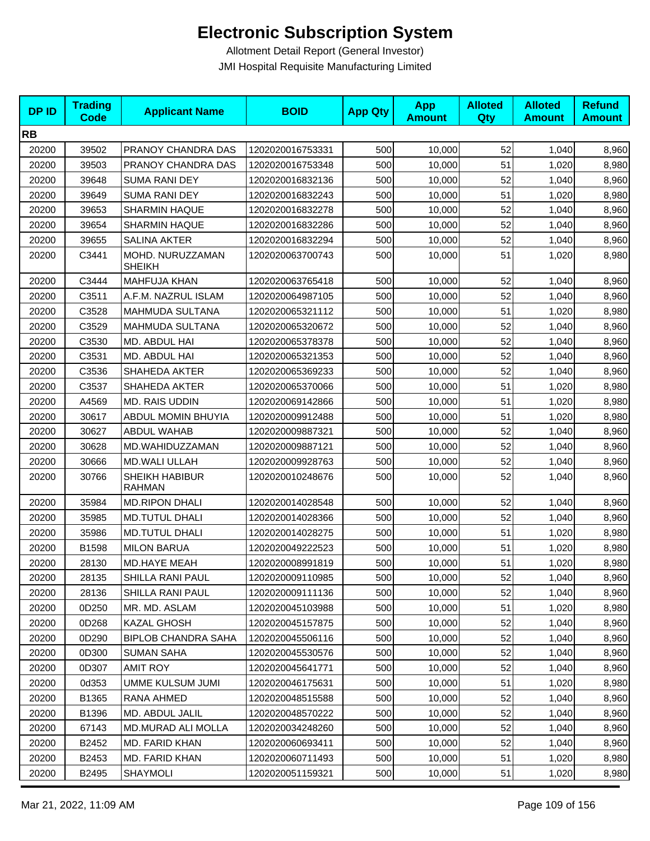| <b>DPID</b> | <b>Trading</b><br><b>Code</b> | <b>Applicant Name</b>             | <b>BOID</b>      | <b>App Qty</b> | <b>App</b><br><b>Amount</b> | <b>Alloted</b><br>Qty | <b>Alloted</b><br><b>Amount</b> | <b>Refund</b><br><b>Amount</b> |
|-------------|-------------------------------|-----------------------------------|------------------|----------------|-----------------------------|-----------------------|---------------------------------|--------------------------------|
| <b>RB</b>   |                               |                                   |                  |                |                             |                       |                                 |                                |
| 20200       | 39502                         | PRANOY CHANDRA DAS                | 1202020016753331 | 500            | 10,000                      | 52                    | 1,040                           | 8,960                          |
| 20200       | 39503                         | PRANOY CHANDRA DAS                | 1202020016753348 | 500            | 10,000                      | 51                    | 1,020                           | 8,980                          |
| 20200       | 39648                         | <b>SUMA RANI DEY</b>              | 1202020016832136 | 500            | 10,000                      | 52                    | 1,040                           | 8,960                          |
| 20200       | 39649                         | <b>SUMA RANI DEY</b>              | 1202020016832243 | 500            | 10,000                      | 51                    | 1,020                           | 8,980                          |
| 20200       | 39653                         | <b>SHARMIN HAQUE</b>              | 1202020016832278 | 500            | 10,000                      | 52                    | 1,040                           | 8,960                          |
| 20200       | 39654                         | <b>SHARMIN HAQUE</b>              | 1202020016832286 | 500            | 10,000                      | 52                    | 1,040                           | 8,960                          |
| 20200       | 39655                         | <b>SALINA AKTER</b>               | 1202020016832294 | 500            | 10,000                      | 52                    | 1,040                           | 8,960                          |
| 20200       | C3441                         | MOHD. NURUZZAMAN<br><b>SHEIKH</b> | 1202020063700743 | 500            | 10,000                      | 51                    | 1,020                           | 8,980                          |
| 20200       | C3444                         | <b>MAHFUJA KHAN</b>               | 1202020063765418 | 500            | 10,000                      | 52                    | 1,040                           | 8,960                          |
| 20200       | C3511                         | A.F.M. NAZRUL ISLAM               | 1202020064987105 | 500            | 10,000                      | 52                    | 1,040                           | 8,960                          |
| 20200       | C3528                         | MAHMUDA SULTANA                   | 1202020065321112 | 500            | 10,000                      | 51                    | 1,020                           | 8,980                          |
| 20200       | C3529                         | MAHMUDA SULTANA                   | 1202020065320672 | 500            | 10,000                      | 52                    | 1,040                           | 8,960                          |
| 20200       | C3530                         | MD. ABDUL HAI                     | 1202020065378378 | 500            | 10,000                      | 52                    | 1,040                           | 8,960                          |
| 20200       | C3531                         | MD. ABDUL HAI                     | 1202020065321353 | 500            | 10,000                      | 52                    | 1,040                           | 8,960                          |
| 20200       | C3536                         | <b>SHAHEDA AKTER</b>              | 1202020065369233 | 500            | 10,000                      | 52                    | 1,040                           | 8,960                          |
| 20200       | C3537                         | <b>SHAHEDA AKTER</b>              | 1202020065370066 | 500            | 10,000                      | 51                    | 1,020                           | 8,980                          |
| 20200       | A4569                         | MD. RAIS UDDIN                    | 1202020069142866 | 500            | 10,000                      | 51                    | 1,020                           | 8,980                          |
| 20200       | 30617                         | ABDUL MOMIN BHUYIA                | 1202020009912488 | 500            | 10,000                      | 51                    | 1,020                           | 8,980                          |
| 20200       | 30627                         | <b>ABDUL WAHAB</b>                | 1202020009887321 | 500            | 10,000                      | 52                    | 1,040                           | 8,960                          |
| 20200       | 30628                         | MD.WAHIDUZZAMAN                   | 1202020009887121 | 500            | 10,000                      | 52                    | 1,040                           | 8,960                          |
| 20200       | 30666                         | <b>MD.WALI ULLAH</b>              | 1202020009928763 | 500            | 10,000                      | 52                    | 1,040                           | 8,960                          |
| 20200       | 30766                         | SHEIKH HABIBUR<br><b>RAHMAN</b>   | 1202020010248676 | 500            | 10,000                      | 52                    | 1,040                           | 8,960                          |
| 20200       | 35984                         | <b>MD.RIPON DHALI</b>             | 1202020014028548 | 500            | 10,000                      | 52                    | 1,040                           | 8,960                          |
| 20200       | 35985                         | <b>MD.TUTUL DHALI</b>             | 1202020014028366 | 500            | 10,000                      | 52                    | 1,040                           | 8,960                          |
| 20200       | 35986                         | <b>MD.TUTUL DHALI</b>             | 1202020014028275 | 500            | 10,000                      | 51                    | 1,020                           | 8,980                          |
| 20200       | B1598                         | <b>MILON BARUA</b>                | 1202020049222523 | 500            | 10,000                      | 51                    | 1,020                           | 8,980                          |
| 20200       | 28130                         | MD.HAYE MEAH                      | 1202020008991819 | 500            | 10,000                      | 51                    | 1,020                           | 8,980                          |
| 20200       | 28135                         | SHILLA RANI PAUL                  | 1202020009110985 | 500            | 10,000                      | 52                    | 1,040                           | 8,960                          |
| 20200       | 28136                         | SHILLA RANI PAUL                  | 1202020009111136 | 500            | 10,000                      | 52                    | 1,040                           | 8,960                          |
| 20200       | 0D250                         | MR. MD. ASLAM                     | 1202020045103988 | 500            | 10,000                      | 51                    | 1,020                           | 8,980                          |
| 20200       | 0D268                         | KAZAL GHOSH                       | 1202020045157875 | 500            | 10,000                      | 52                    | 1,040                           | 8,960                          |
| 20200       | 0D290                         | <b>BIPLOB CHANDRA SAHA</b>        | 1202020045506116 | 500            | 10,000                      | 52                    | 1,040                           | 8,960                          |
| 20200       | 0D300                         | <b>SUMAN SAHA</b>                 | 1202020045530576 | 500            | 10,000                      | 52                    | 1,040                           | 8,960                          |
| 20200       | 0D307                         | <b>AMIT ROY</b>                   | 1202020045641771 | 500            | 10,000                      | 52                    | 1,040                           | 8,960                          |
| 20200       | 0d353                         | <b>UMME KULSUM JUMI</b>           | 1202020046175631 | 500            | 10,000                      | 51                    | 1,020                           | 8,980                          |
| 20200       | B1365                         | RANA AHMED                        | 1202020048515588 | 500            | 10,000                      | 52                    | 1,040                           | 8,960                          |
| 20200       | B1396                         | MD. ABDUL JALIL                   | 1202020048570222 | 500            | 10,000                      | 52                    | 1,040                           | 8,960                          |
| 20200       | 67143                         | MD.MURAD ALI MOLLA                | 1202020034248260 | 500            | 10,000                      | 52                    | 1,040                           | 8,960                          |
| 20200       | B2452                         | MD. FARID KHAN                    | 1202020060693411 | 500            | 10,000                      | 52                    | 1,040                           | 8,960                          |
| 20200       | B2453                         | MD. FARID KHAN                    | 1202020060711493 | 500            | 10,000                      | 51                    | 1,020                           | 8,980                          |
| 20200       | B2495                         | SHAYMOLI                          | 1202020051159321 | 500            | 10,000                      | 51                    | 1,020                           | 8,980                          |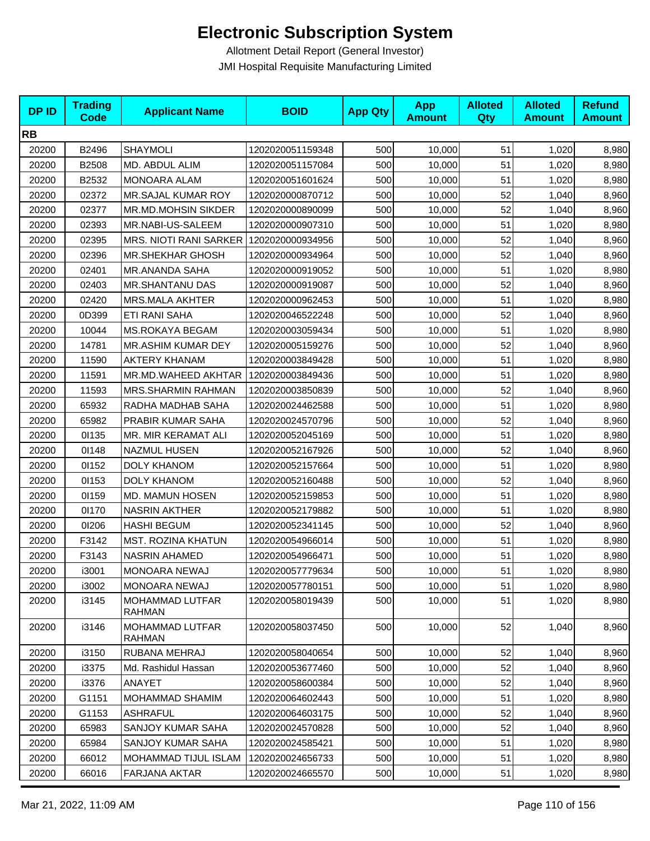| <b>DPID</b> | <b>Trading</b><br><b>Code</b> | <b>Applicant Name</b>                   | <b>BOID</b>      | <b>App Qty</b> | <b>App</b><br><b>Amount</b> | <b>Alloted</b><br>Qty | <b>Alloted</b><br><b>Amount</b> | <b>Refund</b><br><b>Amount</b> |
|-------------|-------------------------------|-----------------------------------------|------------------|----------------|-----------------------------|-----------------------|---------------------------------|--------------------------------|
| <b>RB</b>   |                               |                                         |                  |                |                             |                       |                                 |                                |
| 20200       | B2496                         | <b>SHAYMOLI</b>                         | 1202020051159348 | 500            | 10,000                      | 51                    | 1,020                           | 8,980                          |
| 20200       | B2508                         | MD. ABDUL ALIM                          | 1202020051157084 | 500            | 10,000                      | 51                    | 1,020                           | 8,980                          |
| 20200       | B2532                         | <b>MONOARA ALAM</b>                     | 1202020051601624 | 500            | 10,000                      | 51                    | 1,020                           | 8,980                          |
| 20200       | 02372                         | MR.SAJAL KUMAR ROY                      | 1202020000870712 | 500            | 10,000                      | 52                    | 1,040                           | 8,960                          |
| 20200       | 02377                         | MR.MD.MOHSIN SIKDER                     | 1202020000890099 | 500            | 10,000                      | 52                    | 1,040                           | 8,960                          |
| 20200       | 02393                         | MR.NABI-US-SALEEM                       | 1202020000907310 | 500            | 10,000                      | 51                    | 1,020                           | 8,980                          |
| 20200       | 02395                         | MRS. NIOTI RANI SARKER 1202020000934956 |                  | 500            | 10,000                      | 52                    | 1,040                           | 8,960                          |
| 20200       | 02396                         | <b>MR.SHEKHAR GHOSH</b>                 | 1202020000934964 | 500            | 10,000                      | 52                    | 1,040                           | 8,960                          |
| 20200       | 02401                         | <b>MR.ANANDA SAHA</b>                   | 1202020000919052 | 500            | 10,000                      | 51                    | 1,020                           | 8,980                          |
| 20200       | 02403                         | <b>MR.SHANTANU DAS</b>                  | 1202020000919087 | 500            | 10,000                      | 52                    | 1,040                           | 8,960                          |
| 20200       | 02420                         | MRS.MALA AKHTER                         | 1202020000962453 | 500            | 10,000                      | 51                    | 1,020                           | 8,980                          |
| 20200       | 0D399                         | ETI RANI SAHA                           | 1202020046522248 | 500            | 10,000                      | 52                    | 1,040                           | 8,960                          |
| 20200       | 10044                         | <b>MS.ROKAYA BEGAM</b>                  | 1202020003059434 | 500            | 10,000                      | 51                    | 1,020                           | 8,980                          |
| 20200       | 14781                         | <b>MR.ASHIM KUMAR DEY</b>               | 1202020005159276 | 500            | 10,000                      | 52                    | 1,040                           | 8,960                          |
| 20200       | 11590                         | <b>AKTERY KHANAM</b>                    | 1202020003849428 | 500            | 10,000                      | 51                    | 1,020                           | 8,980                          |
| 20200       | 11591                         | MR.MD.WAHEED AKHTAR                     | 1202020003849436 | 500            | 10,000                      | 51                    | 1,020                           | 8,980                          |
| 20200       | 11593                         | <b>MRS.SHARMIN RAHMAN</b>               | 1202020003850839 | 500            | 10,000                      | 52                    | 1,040                           | 8,960                          |
| 20200       | 65932                         | RADHA MADHAB SAHA                       | 1202020024462588 | 500            | 10,000                      | 51                    | 1,020                           | 8,980                          |
| 20200       | 65982                         | PRABIR KUMAR SAHA                       | 1202020024570796 | 500            | 10,000                      | 52                    | 1,040                           | 8,960                          |
| 20200       | 01135                         | MR. MIR KERAMAT ALI                     | 1202020052045169 | 500            | 10,000                      | 51                    | 1,020                           | 8,980                          |
| 20200       | 01148                         | <b>NAZMUL HUSEN</b>                     | 1202020052167926 | 500            | 10,000                      | 52                    | 1,040                           | 8,960                          |
| 20200       | 01152                         | DOLY KHANOM                             | 1202020052157664 | 500            | 10,000                      | 51                    | 1,020                           | 8,980                          |
| 20200       | 01153                         | <b>DOLY KHANOM</b>                      | 1202020052160488 | 500            | 10,000                      | 52                    | 1,040                           | 8,960                          |
| 20200       | 01159                         | MD. MAMUN HOSEN                         | 1202020052159853 | 500            | 10,000                      | 51                    | 1,020                           | 8,980                          |
| 20200       | 01170                         | <b>NASRIN AKTHER</b>                    | 1202020052179882 | 500            | 10,000                      | 51                    | 1,020                           | 8,980                          |
| 20200       | 01206                         | <b>HASHI BEGUM</b>                      | 1202020052341145 | 500            | 10,000                      | 52                    | 1,040                           | 8,960                          |
| 20200       | F3142                         | <b>MST. ROZINA KHATUN</b>               | 1202020054966014 | 500            | 10,000                      | 51                    | 1,020                           | 8,980                          |
| 20200       | F3143                         | NASRIN AHAMED                           | 1202020054966471 | 500            | 10,000                      | 51                    | 1,020                           | 8,980                          |
| 20200       | i3001                         | MONOARA NEWAJ                           | 1202020057779634 | 500            | 10,000                      | 51                    | 1,020                           | 8,980                          |
| 20200       | i3002                         | <b>MONOARA NEWAJ</b>                    | 1202020057780151 | 500            | 10,000                      | 51                    | 1,020                           | 8,980                          |
| 20200       | i3145                         | <b>MOHAMMAD LUTFAR</b><br><b>RAHMAN</b> | 1202020058019439 | 500            | 10,000                      | 51                    | 1,020                           | 8,980                          |
| 20200       | i3146                         | MOHAMMAD LUTFAR<br>RAHMAN               | 1202020058037450 | 500            | 10,000                      | 52                    | 1,040                           | 8,960                          |
| 20200       | i3150                         | RUBANA MEHRAJ                           | 1202020058040654 | 500            | 10,000                      | 52                    | 1,040                           | 8,960                          |
| 20200       | i3375                         | Md. Rashidul Hassan                     | 1202020053677460 | 500            | 10,000                      | 52                    | 1,040                           | 8,960                          |
| 20200       | i3376                         | ANAYET                                  | 1202020058600384 | 500            | 10,000                      | 52                    | 1,040                           | 8,960                          |
| 20200       | G1151                         | MOHAMMAD SHAMIM                         | 1202020064602443 | 500            | 10,000                      | 51                    | 1,020                           | 8,980                          |
| 20200       | G1153                         | ASHRAFUL                                | 1202020064603175 | 500            | 10,000                      | 52                    | 1,040                           | 8,960                          |
| 20200       | 65983                         | SANJOY KUMAR SAHA                       | 1202020024570828 | 500            | 10,000                      | 52                    | 1,040                           | 8,960                          |
| 20200       | 65984                         | SANJOY KUMAR SAHA                       | 1202020024585421 | 500            | 10,000                      | 51                    | 1,020                           | 8,980                          |
| 20200       | 66012                         | MOHAMMAD TIJUL ISLAM                    | 1202020024656733 | 500            | 10,000                      | 51                    | 1,020                           | 8,980                          |
| 20200       | 66016                         | FARJANA AKTAR                           | 1202020024665570 | 500            | 10,000                      | 51                    | 1,020                           | 8,980                          |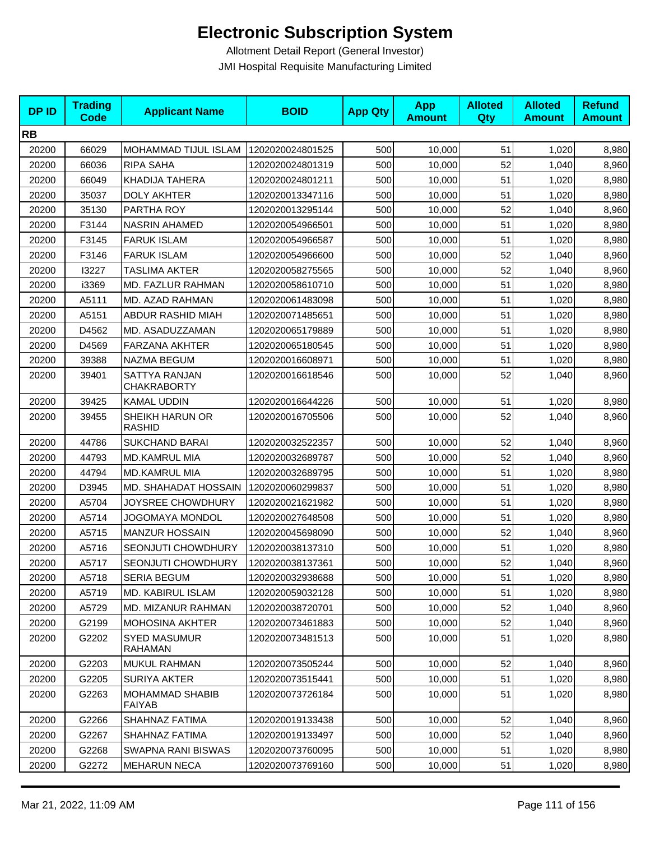| <b>DPID</b> | <b>Trading</b><br><b>Code</b> | <b>Applicant Name</b>               | <b>BOID</b>      | <b>App Qty</b> | <b>App</b><br><b>Amount</b> | <b>Alloted</b><br><b>Qty</b> | <b>Alloted</b><br><b>Amount</b> | <b>Refund</b><br><b>Amount</b> |
|-------------|-------------------------------|-------------------------------------|------------------|----------------|-----------------------------|------------------------------|---------------------------------|--------------------------------|
| <b>RB</b>   |                               |                                     |                  |                |                             |                              |                                 |                                |
| 20200       | 66029                         | MOHAMMAD TIJUL ISLAM                | 1202020024801525 | 500            | 10,000                      | 51                           | 1,020                           | 8,980                          |
| 20200       | 66036                         | RIPA SAHA                           | 1202020024801319 | 500            | 10,000                      | 52                           | 1,040                           | 8,960                          |
| 20200       | 66049                         | KHADIJA TAHERA                      | 1202020024801211 | 500            | 10,000                      | 51                           | 1,020                           | 8,980                          |
| 20200       | 35037                         | <b>DOLY AKHTER</b>                  | 1202020013347116 | 500            | 10,000                      | 51                           | 1,020                           | 8,980                          |
| 20200       | 35130                         | PARTHA ROY                          | 1202020013295144 | 500            | 10,000                      | 52                           | 1,040                           | 8,960                          |
| 20200       | F3144                         | <b>NASRIN AHAMED</b>                | 1202020054966501 | 500            | 10,000                      | 51                           | 1,020                           | 8,980                          |
| 20200       | F3145                         | <b>FARUK ISLAM</b>                  | 1202020054966587 | 500            | 10,000                      | 51                           | 1,020                           | 8,980                          |
| 20200       | F3146                         | <b>FARUK ISLAM</b>                  | 1202020054966600 | 500            | 10,000                      | 52                           | 1,040                           | 8,960                          |
| 20200       | 13227                         | <b>TASLIMA AKTER</b>                | 1202020058275565 | 500            | 10,000                      | 52                           | 1,040                           | 8,960                          |
| 20200       | i3369                         | MD. FAZLUR RAHMAN                   | 1202020058610710 | 500            | 10,000                      | 51                           | 1,020                           | 8,980                          |
| 20200       | A5111                         | MD. AZAD RAHMAN                     | 1202020061483098 | 500            | 10,000                      | 51                           | 1,020                           | 8,980                          |
| 20200       | A5151                         | <b>ABDUR RASHID MIAH</b>            | 1202020071485651 | 500            | 10,000                      | 51                           | 1,020                           | 8,980                          |
| 20200       | D4562                         | MD. ASADUZZAMAN                     | 1202020065179889 | 500            | 10,000                      | 51                           | 1,020                           | 8,980                          |
| 20200       | D4569                         | <b>FARZANA AKHTER</b>               | 1202020065180545 | 500            | 10,000                      | 51                           | 1,020                           | 8,980                          |
| 20200       | 39388                         | NAZMA BEGUM                         | 1202020016608971 | 500            | 10,000                      | 51                           | 1,020                           | 8,980                          |
| 20200       | 39401                         | SATTYA RANJAN<br><b>CHAKRABORTY</b> | 1202020016618546 | 500            | 10,000                      | 52                           | 1,040                           | 8,960                          |
| 20200       | 39425                         | KAMAL UDDIN                         | 1202020016644226 | 500            | 10,000                      | 51                           | 1,020                           | 8,980                          |
| 20200       | 39455                         | SHEIKH HARUN OR<br>RASHID           | 1202020016705506 | 500            | 10,000                      | 52                           | 1,040                           | 8,960                          |
| 20200       | 44786                         | <b>SUKCHAND BARAI</b>               | 1202020032522357 | 500            | 10,000                      | 52                           | 1,040                           | 8,960                          |
| 20200       | 44793                         | <b>MD.KAMRUL MIA</b>                | 1202020032689787 | 500            | 10,000                      | 52                           | 1,040                           | 8,960                          |
| 20200       | 44794                         | MD.KAMRUL MIA                       | 1202020032689795 | 500            | 10,000                      | 51                           | 1,020                           | 8,980                          |
| 20200       | D3945                         | MD. SHAHADAT HOSSAIN                | 1202020060299837 | 500            | 10,000                      | 51                           | 1,020                           | 8,980                          |
| 20200       | A5704                         | JOYSREE CHOWDHURY                   | 1202020021621982 | 500            | 10,000                      | 51                           | 1,020                           | 8,980                          |
| 20200       | A5714                         | JOGOMAYA MONDOL                     | 1202020027648508 | 500            | 10,000                      | 51                           | 1,020                           | 8,980                          |
| 20200       | A5715                         | <b>MANZUR HOSSAIN</b>               | 1202020045698090 | 500            | 10,000                      | 52                           | 1,040                           | 8,960                          |
| 20200       | A5716                         | SEONJUTI CHOWDHURY                  | 1202020038137310 | 500            | 10,000                      | 51                           | 1,020                           | 8,980                          |
| 20200       | A5717                         | <b>SEONJUTI CHOWDHURY</b>           | 1202020038137361 | 500            | 10,000                      | 52                           | 1,040                           | 8,960                          |
| 20200       | A5718                         | SERIA BEGUM                         | 1202020032938688 | 500            | 10,000                      | 51                           | 1,020                           | 8,980                          |
| 20200       | A5719                         | MD. KABIRUL ISLAM                   | 1202020059032128 | 500            | 10,000                      | 51                           | 1,020                           | 8,980                          |
| 20200       | A5729                         | <b>MD. MIZANUR RAHMAN</b>           | 1202020038720701 | 500            | 10,000                      | 52                           | 1,040                           | 8,960                          |
| 20200       | G2199                         | <b>MOHOSINA AKHTER</b>              | 1202020073461883 | 500            | 10,000                      | 52                           | 1,040                           | 8,960                          |
| 20200       | G2202                         | <b>SYED MASUMUR</b><br>RAHAMAN      | 1202020073481513 | 500            | 10,000                      | 51                           | 1,020                           | 8,980                          |
| 20200       | G2203                         | MUKUL RAHMAN                        | 1202020073505244 | 500            | 10,000                      | 52                           | 1,040                           | 8,960                          |
| 20200       | G2205                         | <b>SURIYA AKTER</b>                 | 1202020073515441 | 500            | 10,000                      | 51                           | 1,020                           | 8,980                          |
| 20200       | G2263                         | MOHAMMAD SHABIB<br><b>FAIYAB</b>    | 1202020073726184 | 500            | 10,000                      | 51                           | 1,020                           | 8,980                          |
| 20200       | G2266                         | SHAHNAZ FATIMA                      | 1202020019133438 | 500            | 10,000                      | 52                           | 1,040                           | 8,960                          |
| 20200       | G2267                         | SHAHNAZ FATIMA                      | 1202020019133497 | 500            | 10,000                      | 52                           | 1,040                           | 8,960                          |
| 20200       | G2268                         | SWAPNA RANI BISWAS                  | 1202020073760095 | 500            | 10,000                      | 51                           | 1,020                           | 8,980                          |
| 20200       | G2272                         | <b>MEHARUN NECA</b>                 | 1202020073769160 | 500            | 10,000                      | 51                           | 1,020                           | 8,980                          |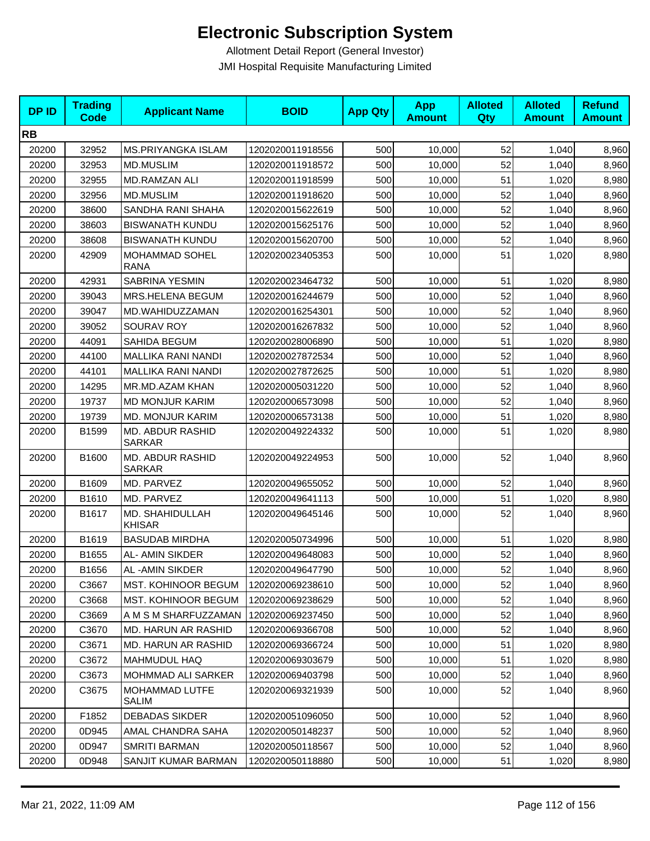| <b>DPID</b> | <b>Trading</b><br><b>Code</b> | <b>Applicant Name</b>                 | <b>BOID</b>      | <b>App Qty</b> | <b>App</b><br><b>Amount</b> | <b>Alloted</b><br>Qty | <b>Alloted</b><br><b>Amount</b> | <b>Refund</b><br><b>Amount</b> |
|-------------|-------------------------------|---------------------------------------|------------------|----------------|-----------------------------|-----------------------|---------------------------------|--------------------------------|
| <b>RB</b>   |                               |                                       |                  |                |                             |                       |                                 |                                |
| 20200       | 32952                         | <b>MS.PRIYANGKA ISLAM</b>             | 1202020011918556 | 500            | 10,000                      | 52                    | 1,040                           | 8,960                          |
| 20200       | 32953                         | <b>MD.MUSLIM</b>                      | 1202020011918572 | 500            | 10,000                      | 52                    | 1,040                           | 8,960                          |
| 20200       | 32955                         | MD.RAMZAN ALI                         | 1202020011918599 | 500            | 10,000                      | 51                    | 1,020                           | 8,980                          |
| 20200       | 32956                         | <b>MD.MUSLIM</b>                      | 1202020011918620 | 500            | 10,000                      | 52                    | 1,040                           | 8,960                          |
| 20200       | 38600                         | SANDHA RANI SHAHA                     | 1202020015622619 | 500            | 10,000                      | 52                    | 1,040                           | 8,960                          |
| 20200       | 38603                         | <b>BISWANATH KUNDU</b>                | 1202020015625176 | 500            | 10,000                      | 52                    | 1,040                           | 8,960                          |
| 20200       | 38608                         | <b>BISWANATH KUNDU</b>                | 1202020015620700 | 500            | 10,000                      | 52                    | 1,040                           | 8,960                          |
| 20200       | 42909                         | <b>MOHAMMAD SOHEL</b><br><b>RANA</b>  | 1202020023405353 | 500            | 10,000                      | 51                    | 1,020                           | 8,980                          |
| 20200       | 42931                         | SABRINA YESMIN                        | 1202020023464732 | 500            | 10,000                      | 51                    | 1,020                           | 8,980                          |
| 20200       | 39043                         | MRS.HELENA BEGUM                      | 1202020016244679 | 500            | 10,000                      | 52                    | 1,040                           | 8,960                          |
| 20200       | 39047                         | MD.WAHIDUZZAMAN                       | 1202020016254301 | 500            | 10,000                      | 52                    | 1,040                           | 8,960                          |
| 20200       | 39052                         | SOURAV ROY                            | 1202020016267832 | 500            | 10,000                      | 52                    | 1,040                           | 8,960                          |
| 20200       | 44091                         | SAHIDA BEGUM                          | 1202020028006890 | 500            | 10,000                      | 51                    | 1,020                           | 8,980                          |
| 20200       | 44100                         | <b>MALLIKA RANI NANDI</b>             | 1202020027872534 | 500            | 10,000                      | 52                    | 1,040                           | 8,960                          |
| 20200       | 44101                         | <b>MALLIKA RANI NANDI</b>             | 1202020027872625 | 500            | 10,000                      | 51                    | 1,020                           | 8,980                          |
| 20200       | 14295                         | MR.MD.AZAM KHAN                       | 1202020005031220 | 500            | 10,000                      | 52                    | 1,040                           | 8,960                          |
| 20200       | 19737                         | <b>MD MONJUR KARIM</b>                | 1202020006573098 | 500            | 10,000                      | 52                    | 1,040                           | 8,960                          |
| 20200       | 19739                         | MD. MONJUR KARIM                      | 1202020006573138 | 500            | 10,000                      | 51                    | 1,020                           | 8,980                          |
| 20200       | B1599                         | MD. ABDUR RASHID<br><b>SARKAR</b>     | 1202020049224332 | 500            | 10,000                      | 51                    | 1,020                           | 8,980                          |
| 20200       | B1600                         | MD. ABDUR RASHID<br><b>SARKAR</b>     | 1202020049224953 | 500            | 10,000                      | 52                    | 1,040                           | 8,960                          |
| 20200       | B1609                         | MD. PARVEZ                            | 1202020049655052 | 500            | 10,000                      | 52                    | 1,040                           | 8,960                          |
| 20200       | B1610                         | MD. PARVEZ                            | 1202020049641113 | 500            | 10,000                      | 51                    | 1,020                           | 8,980                          |
| 20200       | B1617                         | MD. SHAHIDULLAH<br><b>KHISAR</b>      | 1202020049645146 | 500            | 10,000                      | 52                    | 1,040                           | 8,960                          |
| 20200       | B1619                         | <b>BASUDAB MIRDHA</b>                 | 1202020050734996 | 500            | 10,000                      | 51                    | 1,020                           | 8,980                          |
| 20200       | B1655                         | AL- AMIN SIKDER                       | 1202020049648083 | 500            | 10,000                      | 52                    | 1,040                           | 8,960                          |
| 20200       | B1656                         | AL-AMIN SIKDER                        | 1202020049647790 | 500            | 10,000                      | 52                    | 1,040                           | 8,960                          |
| 20200       | C3667                         | MST. KOHINOOR BEGUM                   | 1202020069238610 | 500            | 10,000                      | 52                    | 1,040                           | 8,960                          |
| 20200       | C3668                         | MST. KOHINOOR BEGUM                   | 1202020069238629 | 500            | 10,000                      | 52                    | 1,040                           | 8,960                          |
| 20200       | C3669                         | A M S M SHARFUZZAMAN                  | 1202020069237450 | 500            | 10,000                      | 52                    | 1,040                           | 8,960                          |
| 20200       | C3670                         | MD. HARUN AR RASHID                   | 1202020069366708 | 500            | 10,000                      | 52                    | 1,040                           | 8,960                          |
| 20200       | C3671                         | MD. HARUN AR RASHID                   | 1202020069366724 | 500            | 10,000                      | 51                    | 1,020                           | 8,980                          |
| 20200       | C3672                         | <b>MAHMUDUL HAQ</b>                   | 1202020069303679 | 500            | 10,000                      | 51                    | 1,020                           | 8,980                          |
| 20200       | C3673                         | MOHMMAD ALI SARKER                    | 1202020069403798 | 500            | 10,000                      | 52                    | 1,040                           | 8,960                          |
| 20200       | C3675                         | <b>MOHAMMAD LUTFE</b><br><b>SALIM</b> | 1202020069321939 | 500            | 10,000                      | 52                    | 1,040                           | 8,960                          |
| 20200       | F1852                         | <b>DEBADAS SIKDER</b>                 | 1202020051096050 | 500            | 10,000                      | 52                    | 1,040                           | 8,960                          |
| 20200       | 0D945                         | AMAL CHANDRA SAHA                     | 1202020050148237 | 500            | 10,000                      | 52                    | 1,040                           | 8,960                          |
| 20200       | 0D947                         | SMRITI BARMAN                         | 1202020050118567 | 500            | 10,000                      | 52                    | 1,040                           | 8,960                          |
| 20200       | 0D948                         | SANJIT KUMAR BARMAN                   | 1202020050118880 | 500            | 10,000                      | 51                    | 1,020                           | 8,980                          |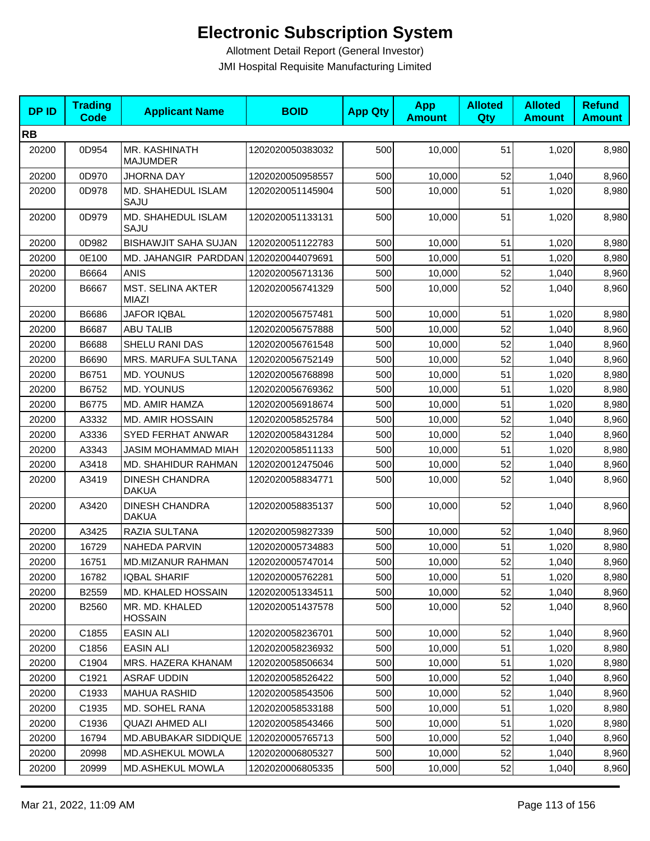| <b>DPID</b> | <b>Trading</b><br><b>Code</b> | <b>Applicant Name</b>                    | <b>BOID</b>      | <b>App Qty</b> | <b>App</b><br><b>Amount</b> | <b>Alloted</b><br>Qty | <b>Alloted</b><br><b>Amount</b> | <b>Refund</b><br><b>Amount</b> |
|-------------|-------------------------------|------------------------------------------|------------------|----------------|-----------------------------|-----------------------|---------------------------------|--------------------------------|
| <b>RB</b>   |                               |                                          |                  |                |                             |                       |                                 |                                |
| 20200       | 0D954                         | MR. KASHINATH<br><b>MAJUMDER</b>         | 1202020050383032 | 500            | 10,000                      | 51                    | 1,020                           | 8,980                          |
| 20200       | 0D970                         | <b>JHORNA DAY</b>                        | 1202020050958557 | 500            | 10,000                      | 52                    | 1,040                           | 8,960                          |
| 20200       | 0D978                         | MD. SHAHEDUL ISLAM<br>SAJU               | 1202020051145904 | 500            | 10,000                      | 51                    | 1,020                           | 8,980                          |
| 20200       | 0D979                         | MD. SHAHEDUL ISLAM<br>SAJU               | 1202020051133131 | 500            | 10,000                      | 51                    | 1,020                           | 8,980                          |
| 20200       | 0D982                         | <b>BISHAWJIT SAHA SUJAN</b>              | 1202020051122783 | 500            | 10,000                      | 51                    | 1,020                           | 8,980                          |
| 20200       | 0E100                         | MD. JAHANGIR PARDDAN                     | 1202020044079691 | 500            | 10,000                      | 51                    | 1,020                           | 8,980                          |
| 20200       | B6664                         | <b>ANIS</b>                              | 1202020056713136 | 500            | 10,000                      | 52                    | 1,040                           | 8,960                          |
| 20200       | B6667                         | <b>MST. SELINA AKTER</b><br><b>MIAZI</b> | 1202020056741329 | 500            | 10,000                      | 52                    | 1,040                           | 8,960                          |
| 20200       | B6686                         | <b>JAFOR IQBAL</b>                       | 1202020056757481 | 500            | 10,000                      | 51                    | 1,020                           | 8,980                          |
| 20200       | B6687                         | <b>ABU TALIB</b>                         | 1202020056757888 | 500            | 10,000                      | 52                    | 1,040                           | 8,960                          |
| 20200       | B6688                         | SHELU RANI DAS                           | 1202020056761548 | 500            | 10,000                      | 52                    | 1,040                           | 8,960                          |
| 20200       | B6690                         | MRS. MARUFA SULTANA                      | 1202020056752149 | 500            | 10,000                      | 52                    | 1,040                           | 8,960                          |
| 20200       | B6751                         | <b>MD. YOUNUS</b>                        | 1202020056768898 | 500            | 10,000                      | 51                    | 1,020                           | 8,980                          |
| 20200       | B6752                         | <b>MD. YOUNUS</b>                        | 1202020056769362 | 500            | 10,000                      | 51                    | 1,020                           | 8,980                          |
| 20200       | B6775                         | MD. AMIR HAMZA                           | 1202020056918674 | 500            | 10,000                      | 51                    | 1,020                           | 8,980                          |
| 20200       | A3332                         | <b>MD. AMIR HOSSAIN</b>                  | 1202020058525784 | 500            | 10,000                      | 52                    | 1,040                           | 8,960                          |
| 20200       | A3336                         | SYED FERHAT ANWAR                        | 1202020058431284 | 500            | 10,000                      | 52                    | 1,040                           | 8,960                          |
| 20200       | A3343                         | JASIM MOHAMMAD MIAH                      | 1202020058511133 | 500            | 10,000                      | 51                    | 1,020                           | 8,980                          |
| 20200       | A3418                         | MD. SHAHIDUR RAHMAN                      | 1202020012475046 | 500            | 10,000                      | 52                    | 1,040                           | 8,960                          |
| 20200       | A3419                         | <b>DINESH CHANDRA</b><br><b>DAKUA</b>    | 1202020058834771 | 500            | 10,000                      | 52                    | 1,040                           | 8,960                          |
| 20200       | A3420                         | <b>DINESH CHANDRA</b><br><b>DAKUA</b>    | 1202020058835137 | 500            | 10,000                      | 52                    | 1,040                           | 8,960                          |
| 20200       | A3425                         | RAZIA SULTANA                            | 1202020059827339 | 500            | 10,000                      | 52                    | 1,040                           | 8,960                          |
| 20200       | 16729                         | <b>NAHEDA PARVIN</b>                     | 1202020005734883 | 500            | 10,000                      | 51                    | 1,020                           | 8,980                          |
| 20200       | 16751                         | <b>MD.MIZANUR RAHMAN</b>                 | 1202020005747014 | 500            | 10,000                      | 52                    | 1,040                           | 8,960                          |
| 20200       | 16782                         | <b>IQBAL SHARIF</b>                      | 1202020005762281 | 500            | 10,000                      | 51                    | 1,020                           | 8,980                          |
| 20200       | B2559                         | MD. KHALED HOSSAIN                       | 1202020051334511 | 500            | 10,000                      | 52                    | 1,040                           | 8,960                          |
| 20200       | B2560                         | MR. MD. KHALED<br><b>HOSSAIN</b>         | 1202020051437578 | 500            | 10,000                      | 52                    | 1,040                           | 8,960                          |
| 20200       | C1855                         | <b>EASIN ALI</b>                         | 1202020058236701 | 500            | 10,000                      | 52                    | 1.040                           | 8,960                          |
| 20200       | C1856                         | <b>EASIN ALI</b>                         | 1202020058236932 | 500            | 10,000                      | 51                    | 1,020                           | 8,980                          |
| 20200       | C1904                         | MRS. HAZERA KHANAM                       | 1202020058506634 | 500            | 10,000                      | 51                    | 1,020                           | 8,980                          |
| 20200       | C1921                         | ASRAF UDDIN                              | 1202020058526422 | 500            | 10,000                      | 52                    | 1,040                           | 8,960                          |
| 20200       | C1933                         | <b>MAHUA RASHID</b>                      | 1202020058543506 | 500            | 10,000                      | 52                    | 1,040                           | 8,960                          |
| 20200       | C1935                         | <b>MD. SOHEL RANA</b>                    | 1202020058533188 | 500            | 10,000                      | 51                    | 1,020                           | 8,980                          |
| 20200       | C1936                         | <b>QUAZI AHMED ALI</b>                   | 1202020058543466 | 500            | 10,000                      | 51                    | 1,020                           | 8,980                          |
| 20200       | 16794                         | <b>MD.ABUBAKAR SIDDIQUE</b>              | 1202020005765713 | 500            | 10,000                      | 52                    | 1,040                           | 8,960                          |
| 20200       | 20998                         | MD.ASHEKUL MOWLA                         | 1202020006805327 | 500            | 10,000                      | 52                    | 1,040                           | 8,960                          |
| 20200       | 20999                         | <b>MD.ASHEKUL MOWLA</b>                  | 1202020006805335 | 500            | 10,000                      | 52                    | 1,040                           | 8,960                          |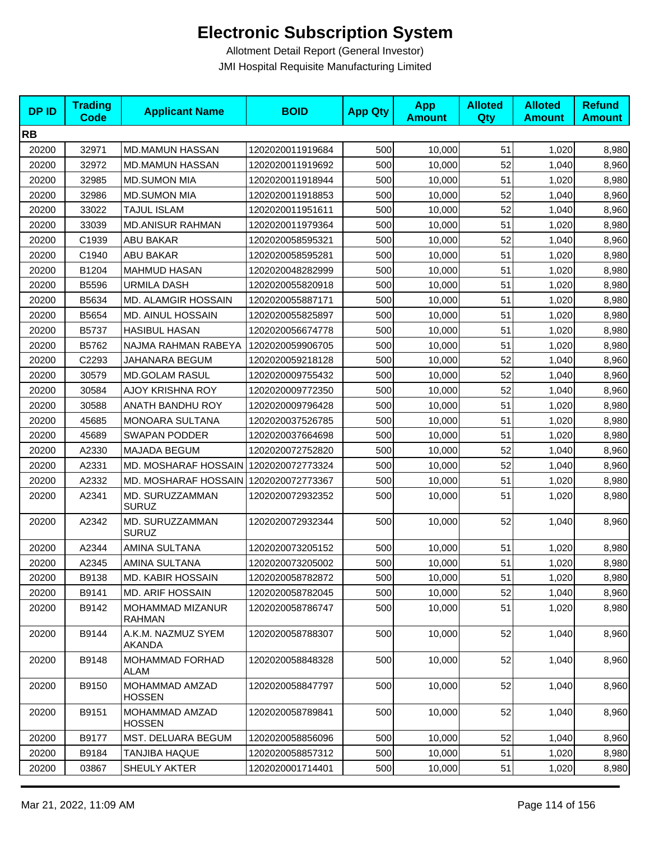| <b>DPID</b> | <b>Trading</b><br><b>Code</b> | <b>Applicant Name</b>                 | <b>BOID</b>      | <b>App Qty</b> | <b>App</b><br><b>Amount</b> | <b>Alloted</b><br>Qty | <b>Alloted</b><br><b>Amount</b> | <b>Refund</b><br><b>Amount</b> |
|-------------|-------------------------------|---------------------------------------|------------------|----------------|-----------------------------|-----------------------|---------------------------------|--------------------------------|
| <b>RB</b>   |                               |                                       |                  |                |                             |                       |                                 |                                |
| 20200       | 32971                         | <b>MD.MAMUN HASSAN</b>                | 1202020011919684 | 500            | 10,000                      | 51                    | 1,020                           | 8,980                          |
| 20200       | 32972                         | <b>MD.MAMUN HASSAN</b>                | 1202020011919692 | 500            | 10,000                      | 52                    | 1,040                           | 8,960                          |
| 20200       | 32985                         | <b>MD.SUMON MIA</b>                   | 1202020011918944 | 500            | 10,000                      | 51                    | 1,020                           | 8,980                          |
| 20200       | 32986                         | <b>MD.SUMON MIA</b>                   | 1202020011918853 | 500            | 10,000                      | 52                    | 1,040                           | 8,960                          |
| 20200       | 33022                         | <b>TAJUL ISLAM</b>                    | 1202020011951611 | 500            | 10,000                      | 52                    | 1,040                           | 8,960                          |
| 20200       | 33039                         | <b>MD.ANISUR RAHMAN</b>               | 1202020011979364 | 500            | 10,000                      | 51                    | 1,020                           | 8,980                          |
| 20200       | C1939                         | <b>ABU BAKAR</b>                      | 1202020058595321 | 500            | 10,000                      | 52                    | 1,040                           | 8,960                          |
| 20200       | C1940                         | <b>ABU BAKAR</b>                      | 1202020058595281 | 500            | 10,000                      | 51                    | 1,020                           | 8,980                          |
| 20200       | B1204                         | <b>MAHMUD HASAN</b>                   | 1202020048282999 | 500            | 10,000                      | 51                    | 1,020                           | 8,980                          |
| 20200       | B5596                         | <b>URMILA DASH</b>                    | 1202020055820918 | 500            | 10,000                      | 51                    | 1,020                           | 8,980                          |
| 20200       | B5634                         | MD. ALAMGIR HOSSAIN                   | 1202020055887171 | 500            | 10,000                      | 51                    | 1,020                           | 8,980                          |
| 20200       | B5654                         | MD. AINUL HOSSAIN                     | 1202020055825897 | 500            | 10,000                      | 51                    | 1,020                           | 8,980                          |
| 20200       | B5737                         | <b>HASIBUL HASAN</b>                  | 1202020056674778 | 500            | 10,000                      | 51                    | 1,020                           | 8,980                          |
| 20200       | B5762                         | NAJMA RAHMAN RABEYA                   | 1202020059906705 | 500            | 10,000                      | 51                    | 1,020                           | 8,980                          |
| 20200       | C2293                         | JAHANARA BEGUM                        | 1202020059218128 | 500            | 10,000                      | 52                    | 1,040                           | 8,960                          |
| 20200       | 30579                         | <b>MD.GOLAM RASUL</b>                 | 1202020009755432 | 500            | 10,000                      | 52                    | 1,040                           | 8,960                          |
| 20200       | 30584                         | AJOY KRISHNA ROY                      | 1202020009772350 | 500            | 10,000                      | 52                    | 1,040                           | 8,960                          |
| 20200       | 30588                         | ANATH BANDHU ROY                      | 1202020009796428 | 500            | 10,000                      | 51                    | 1,020                           | 8,980                          |
| 20200       | 45685                         | MONOARA SULTANA                       | 1202020037526785 | 500            | 10,000                      | 51                    | 1,020                           | 8,980                          |
| 20200       | 45689                         | <b>SWAPAN PODDER</b>                  | 1202020037664698 | 500            | 10,000                      | 51                    | 1,020                           | 8,980                          |
| 20200       | A2330                         | MAJADA BEGUM                          | 1202020072752820 | 500            | 10,000                      | 52                    | 1,040                           | 8,960                          |
| 20200       | A2331                         | MD. MOSHARAF HOSSAIN                  | 1202020072773324 | 500            | 10,000                      | 52                    | 1,040                           | 8,960                          |
| 20200       | A2332                         | MD. MOSHARAF HOSSAIN 1202020072773367 |                  | 500            | 10,000                      | 51                    | 1,020                           | 8,980                          |
| 20200       | A2341                         | MD. SURUZZAMMAN<br><b>SURUZ</b>       | 1202020072932352 | 500            | 10,000                      | 51                    | 1,020                           | 8,980                          |
| 20200       | A2342                         | MD. SURUZZAMMAN<br><b>SURUZ</b>       | 1202020072932344 | 500            | 10,000                      | 52                    | 1,040                           | 8,960                          |
| 20200       | A2344                         | AMINA SULTANA                         | 1202020073205152 | 500            | 10,000                      | 51                    | 1,020                           | 8,980                          |
| 20200       | A2345                         | AMINA SULTANA                         | 1202020073205002 | 500            | 10,000                      | 51                    | 1,020                           | 8,980                          |
| 20200       | B9138                         | <b>MD. KABIR HOSSAIN</b>              | 1202020058782872 | 500            | 10,000                      | 51                    | 1,020                           | 8,980                          |
| 20200       | B9141                         | <b>MD. ARIF HOSSAIN</b>               | 1202020058782045 | 500            | 10,000                      | 52                    | 1,040                           | 8,960                          |
| 20200       | B9142                         | MOHAMMAD MIZANUR<br><b>RAHMAN</b>     | 1202020058786747 | 500            | 10,000                      | 51                    | 1,020                           | 8,980                          |
| 20200       | B9144                         | A.K.M. NAZMUZ SYEM<br>AKANDA          | 1202020058788307 | 500            | 10,000                      | 52                    | 1,040                           | 8,960                          |
| 20200       | B9148                         | MOHAMMAD FORHAD<br>ALAM               | 1202020058848328 | 500            | 10,000                      | 52                    | 1,040                           | 8,960                          |
| 20200       | B9150                         | MOHAMMAD AMZAD<br><b>HOSSEN</b>       | 1202020058847797 | 500            | 10,000                      | 52                    | 1,040                           | 8,960                          |
| 20200       | B9151                         | MOHAMMAD AMZAD<br><b>HOSSEN</b>       | 1202020058789841 | 500            | 10,000                      | 52                    | 1,040                           | 8,960                          |
| 20200       | B9177                         | MST. DELUARA BEGUM                    | 1202020058856096 | 500            | 10,000                      | 52                    | 1,040                           | 8,960                          |
| 20200       | B9184                         | TANJIBA HAQUE                         | 1202020058857312 | 500            | 10,000                      | 51                    | 1,020                           | 8,980                          |
| 20200       | 03867                         | SHEULY AKTER                          | 1202020001714401 | 500            | 10,000                      | 51                    | 1,020                           | 8,980                          |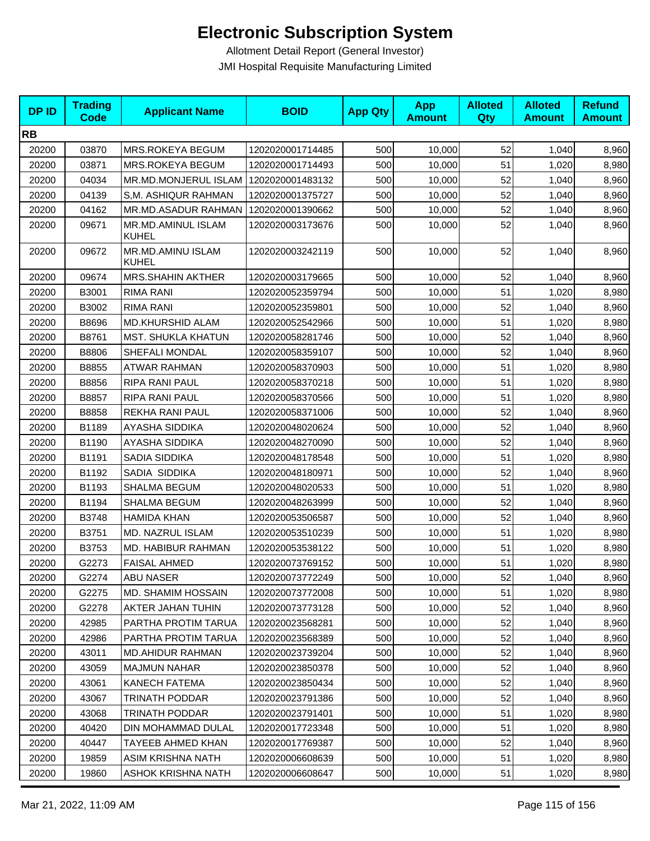| <b>DPID</b> | <b>Trading</b><br><b>Code</b> | <b>Applicant Name</b>       | <b>BOID</b>      | <b>App Qty</b> | <b>App</b><br><b>Amount</b> | <b>Alloted</b><br>Qty | <b>Alloted</b><br><b>Amount</b> | <b>Refund</b><br><b>Amount</b> |
|-------------|-------------------------------|-----------------------------|------------------|----------------|-----------------------------|-----------------------|---------------------------------|--------------------------------|
| <b>RB</b>   |                               |                             |                  |                |                             |                       |                                 |                                |
| 20200       | 03870                         | MRS.ROKEYA BEGUM            | 1202020001714485 | 500            | 10,000                      | 52                    | 1,040                           | 8,960                          |
| 20200       | 03871                         | MRS.ROKEYA BEGUM            | 1202020001714493 | 500            | 10,000                      | 51                    | 1,020                           | 8,980                          |
| 20200       | 04034                         | MR.MD.MONJERUL ISLAM        | 1202020001483132 | 500            | 10,000                      | 52                    | 1,040                           | 8,960                          |
| 20200       | 04139                         | S,M. ASHIQUR RAHMAN         | 1202020001375727 | 500            | 10,000                      | 52                    | 1,040                           | 8,960                          |
| 20200       | 04162                         | MR.MD.ASADUR RAHMAN         | 1202020001390662 | 500            | 10,000                      | 52                    | 1,040                           | 8,960                          |
| 20200       | 09671                         | MR.MD.AMINUL ISLAM<br>KUHEL | 1202020003173676 | 500            | 10,000                      | 52                    | 1,040                           | 8,960                          |
| 20200       | 09672                         | MR.MD.AMINU ISLAM<br>KUHEL  | 1202020003242119 | 500            | 10,000                      | 52                    | 1,040                           | 8,960                          |
| 20200       | 09674                         | <b>MRS.SHAHIN AKTHER</b>    | 1202020003179665 | 500            | 10,000                      | 52                    | 1,040                           | 8,960                          |
| 20200       | B3001                         | RIMA RANI                   | 1202020052359794 | 500            | 10,000                      | 51                    | 1,020                           | 8,980                          |
| 20200       | B3002                         | <b>RIMA RANI</b>            | 1202020052359801 | 500            | 10,000                      | 52                    | 1,040                           | 8,960                          |
| 20200       | B8696                         | <b>MD.KHURSHID ALAM</b>     | 1202020052542966 | 500            | 10,000                      | 51                    | 1,020                           | 8,980                          |
| 20200       | B8761                         | MST. SHUKLA KHATUN          | 1202020058281746 | 500            | 10,000                      | 52                    | 1,040                           | 8,960                          |
| 20200       | B8806                         | SHEFALI MONDAL              | 1202020058359107 | 500            | 10,000                      | 52                    | 1,040                           | 8,960                          |
| 20200       | B8855                         | <b>ATWAR RAHMAN</b>         | 1202020058370903 | 500            | 10,000                      | 51                    | 1,020                           | 8,980                          |
| 20200       | B8856                         | RIPA RANI PAUL              | 1202020058370218 | 500            | 10,000                      | 51                    | 1,020                           | 8,980                          |
| 20200       | B8857                         | RIPA RANI PAUL              | 1202020058370566 | 500            | 10,000                      | 51                    | 1,020                           | 8,980                          |
| 20200       | B8858                         | REKHA RANI PAUL             | 1202020058371006 | 500            | 10,000                      | 52                    | 1,040                           | 8,960                          |
| 20200       | B1189                         | AYASHA SIDDIKA              | 1202020048020624 | 500            | 10,000                      | 52                    | 1,040                           | 8,960                          |
| 20200       | B1190                         | AYASHA SIDDIKA              | 1202020048270090 | 500            | 10,000                      | 52                    | 1,040                           | 8,960                          |
| 20200       | B1191                         | SADIA SIDDIKA               | 1202020048178548 | 500            | 10,000                      | 51                    | 1,020                           | 8,980                          |
| 20200       | B1192                         | SADIA SIDDIKA               | 1202020048180971 | 500            | 10,000                      | 52                    | 1,040                           | 8,960                          |
| 20200       | B1193                         | <b>SHALMA BEGUM</b>         | 1202020048020533 | 500            | 10,000                      | 51                    | 1,020                           | 8,980                          |
| 20200       | B1194                         | SHALMA BEGUM                | 1202020048263999 | 500            | 10,000                      | 52                    | 1,040                           | 8,960                          |
| 20200       | B3748                         | <b>HAMIDA KHAN</b>          | 1202020053506587 | 500            | 10,000                      | 52                    | 1,040                           | 8,960                          |
| 20200       | B3751                         | MD. NAZRUL ISLAM            | 1202020053510239 | 500            | 10,000                      | 51                    | 1,020                           | 8,980                          |
| 20200       | B3753                         | MD. HABIBUR RAHMAN          | 1202020053538122 | 500            | 10,000                      | 51                    | 1,020                           | 8,980                          |
| 20200       | G2273                         | <b>FAISAL AHMED</b>         | 1202020073769152 | 500            | 10,000                      | 51                    | 1,020                           | 8,980                          |
| 20200       | G2274                         | <b>ABU NASER</b>            | 1202020073772249 | 500            | 10,000                      | 52                    | 1,040                           | 8,960                          |
| 20200       | G2275                         | MD. SHAMIM HOSSAIN          | 1202020073772008 | 500            | 10,000                      | 51                    | 1,020                           | 8,980                          |
| 20200       | G2278                         | AKTER JAHAN TUHIN           | 1202020073773128 | 500            | 10,000                      | 52                    | 1,040                           | 8,960                          |
| 20200       | 42985                         | PARTHA PROTIM TARUA         | 1202020023568281 | 500            | 10,000                      | 52                    | 1,040                           | 8,960                          |
| 20200       | 42986                         | PARTHA PROTIM TARUA         | 1202020023568389 | 500            | 10,000                      | 52                    | 1,040                           | 8,960                          |
| 20200       | 43011                         | <b>MD.AHIDUR RAHMAN</b>     | 1202020023739204 | 500            | 10,000                      | 52                    | 1.040                           | 8,960                          |
| 20200       | 43059                         | <b>MAJMUN NAHAR</b>         | 1202020023850378 | 500            | 10,000                      | 52                    | 1,040                           | 8,960                          |
| 20200       | 43061                         | KANECH FATEMA               | 1202020023850434 | 500            | 10,000                      | 52                    | 1,040                           | 8,960                          |
| 20200       | 43067                         | TRINATH PODDAR              | 1202020023791386 | 500            | 10,000                      | 52                    | 1,040                           | 8,960                          |
| 20200       | 43068                         | TRINATH PODDAR              | 1202020023791401 | 500            | 10,000                      | 51                    | 1,020                           | 8,980                          |
| 20200       | 40420                         | DIN MOHAMMAD DULAL          | 1202020017723348 | 500            | 10,000                      | 51                    | 1,020                           | 8,980                          |
| 20200       | 40447                         | TAYEEB AHMED KHAN           | 1202020017769387 | 500            | 10,000                      | 52                    | 1,040                           | 8,960                          |
| 20200       | 19859                         | <b>ASIM KRISHNA NATH</b>    | 1202020006608639 | 500            | 10,000                      | 51                    | 1,020                           | 8,980                          |
| 20200       | 19860                         | ASHOK KRISHNA NATH          | 1202020006608647 | 500            | 10,000                      | 51                    | 1,020                           | 8,980                          |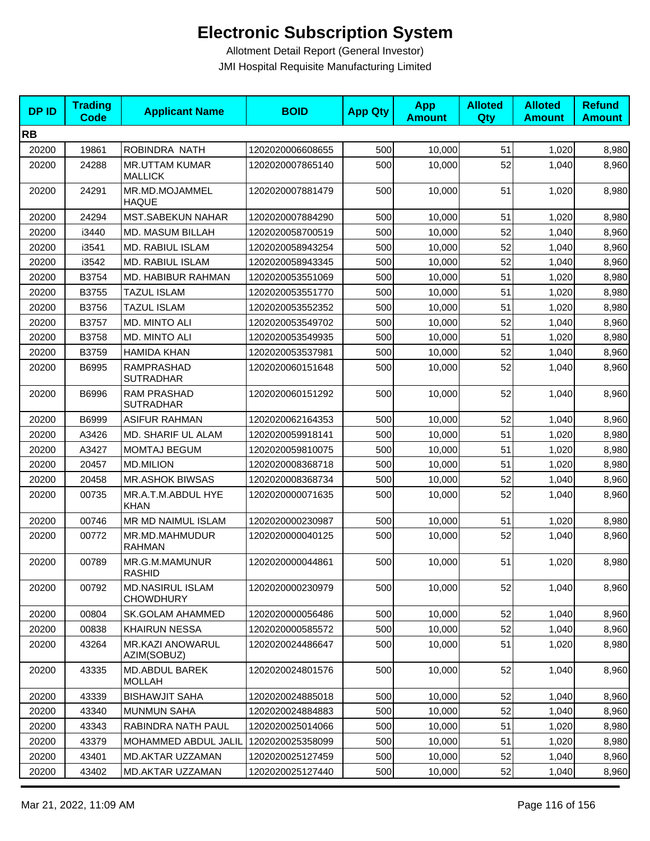| <b>DPID</b> | <b>Trading</b><br><b>Code</b> | <b>Applicant Name</b>                       | <b>BOID</b>      | <b>App Qty</b> | <b>App</b><br><b>Amount</b> | <b>Alloted</b><br>Qty | <b>Alloted</b><br><b>Amount</b> | <b>Refund</b><br><b>Amount</b> |
|-------------|-------------------------------|---------------------------------------------|------------------|----------------|-----------------------------|-----------------------|---------------------------------|--------------------------------|
| <b>RB</b>   |                               |                                             |                  |                |                             |                       |                                 |                                |
| 20200       | 19861                         | ROBINDRA NATH                               | 1202020006608655 | 500            | 10,000                      | 51                    | 1,020                           | 8,980                          |
| 20200       | 24288                         | <b>MR.UTTAM KUMAR</b><br><b>MALLICK</b>     | 1202020007865140 | 500            | 10,000                      | 52                    | 1,040                           | 8,960                          |
| 20200       | 24291                         | MR.MD.MOJAMMEL<br><b>HAQUE</b>              | 1202020007881479 | 500            | 10,000                      | 51                    | 1,020                           | 8,980                          |
| 20200       | 24294                         | <b>MST.SABEKUN NAHAR</b>                    | 1202020007884290 | 500            | 10,000                      | 51                    | 1,020                           | 8,980                          |
| 20200       | i3440                         | <b>MD. MASUM BILLAH</b>                     | 1202020058700519 | 500            | 10,000                      | 52                    | 1,040                           | 8,960                          |
| 20200       | i3541                         | MD. RABIUL ISLAM                            | 1202020058943254 | 500            | 10,000                      | 52                    | 1,040                           | 8,960                          |
| 20200       | i3542                         | MD. RABIUL ISLAM                            | 1202020058943345 | 500            | 10,000                      | 52                    | 1,040                           | 8,960                          |
| 20200       | B3754                         | MD. HABIBUR RAHMAN                          | 1202020053551069 | 500            | 10,000                      | 51                    | 1,020                           | 8,980                          |
| 20200       | B3755                         | <b>TAZUL ISLAM</b>                          | 1202020053551770 | 500            | 10,000                      | 51                    | 1,020                           | 8,980                          |
| 20200       | B3756                         | TAZUL ISLAM                                 | 1202020053552352 | 500            | 10,000                      | 51                    | 1,020                           | 8,980                          |
| 20200       | B3757                         | MD. MINTO ALI                               | 1202020053549702 | 500            | 10,000                      | 52                    | 1,040                           | 8,960                          |
| 20200       | B3758                         | MD. MINTO ALI                               | 1202020053549935 | 500            | 10,000                      | 51                    | 1,020                           | 8,980                          |
| 20200       | B3759                         | <b>HAMIDA KHAN</b>                          | 1202020053537981 | 500            | 10,000                      | 52                    | 1,040                           | 8,960                          |
| 20200       | B6995                         | RAMPRASHAD<br><b>SUTRADHAR</b>              | 1202020060151648 | 500            | 10,000                      | 52                    | 1,040                           | 8,960                          |
| 20200       | B6996                         | <b>RAM PRASHAD</b><br><b>SUTRADHAR</b>      | 1202020060151292 | 500            | 10,000                      | 52                    | 1,040                           | 8,960                          |
| 20200       | B6999                         | <b>ASIFUR RAHMAN</b>                        | 1202020062164353 | 500            | 10,000                      | 52                    | 1,040                           | 8,960                          |
| 20200       | A3426                         | MD. SHARIF UL ALAM                          | 1202020059918141 | 500            | 10,000                      | 51                    | 1,020                           | 8,980                          |
| 20200       | A3427                         | MOMTAJ BEGUM                                | 1202020059810075 | 500            | 10,000                      | 51                    | 1,020                           | 8,980                          |
| 20200       | 20457                         | <b>MD.MILION</b>                            | 1202020008368718 | 500            | 10,000                      | 51                    | 1,020                           | 8,980                          |
| 20200       | 20458                         | <b>MR.ASHOK BIWSAS</b>                      | 1202020008368734 | 500            | 10,000                      | 52                    | 1,040                           | 8,960                          |
| 20200       | 00735                         | MR.A.T.M.ABDUL HYE<br><b>KHAN</b>           | 1202020000071635 | 500            | 10,000                      | 52                    | 1,040                           | 8,960                          |
| 20200       | 00746                         | MR MD NAIMUL ISLAM                          | 1202020000230987 | 500            | 10,000                      | 51                    | 1,020                           | 8,980                          |
| 20200       | 00772                         | MR.MD.MAHMUDUR<br><b>RAHMAN</b>             | 1202020000040125 | 500            | 10,000                      | 52                    | 1,040                           | 8,960                          |
| 20200       | 00789                         | MR.G.M.MAMUNUR<br><b>RASHID</b>             | 1202020000044861 | 500            | 10,000                      | 51                    | 1,020                           | 8,980                          |
| 20200       | 00792                         | <b>MD.NASIRUL ISLAM</b><br><b>CHOWDHURY</b> | 1202020000230979 | 500            | 10,000                      | 52                    | 1,040                           | 8,960                          |
| 20200       | 00804                         | <b>SK.GOLAM AHAMMED</b>                     | 1202020000056486 | 500            | 10,000                      | 52                    | 1,040                           | 8,960                          |
| 20200       | 00838                         | <b>KHAIRUN NESSA</b>                        | 1202020000585572 | 500            | 10,000                      | 52                    | 1,040                           | 8,960                          |
| 20200       | 43264                         | MR.KAZI ANOWARUL<br>AZIM(SOBUZ)             | 1202020024486647 | 500            | 10,000                      | 51                    | 1,020                           | 8,980                          |
| 20200       | 43335                         | MD.ABDUL BAREK<br><b>MOLLAH</b>             | 1202020024801576 | 500            | 10,000                      | 52                    | 1,040                           | 8,960                          |
| 20200       | 43339                         | <b>BISHAWJIT SAHA</b>                       | 1202020024885018 | 500            | 10,000                      | 52                    | 1,040                           | 8,960                          |
| 20200       | 43340                         | <b>MUNMUN SAHA</b>                          | 1202020024884883 | 500            | 10,000                      | 52                    | 1,040                           | 8,960                          |
| 20200       | 43343                         | RABINDRA NATH PAUL                          | 1202020025014066 | 500            | 10,000                      | 51                    | 1,020                           | 8,980                          |
| 20200       | 43379                         | MOHAMMED ABDUL JALIL                        | 1202020025358099 | 500            | 10,000                      | 51                    | 1,020                           | 8,980                          |
| 20200       | 43401                         | MD.AKTAR UZZAMAN                            | 1202020025127459 | 500            | 10,000                      | 52                    | 1,040                           | 8,960                          |
| 20200       | 43402                         | MD.AKTAR UZZAMAN                            | 1202020025127440 | 500            | 10,000                      | 52                    | 1,040                           | 8,960                          |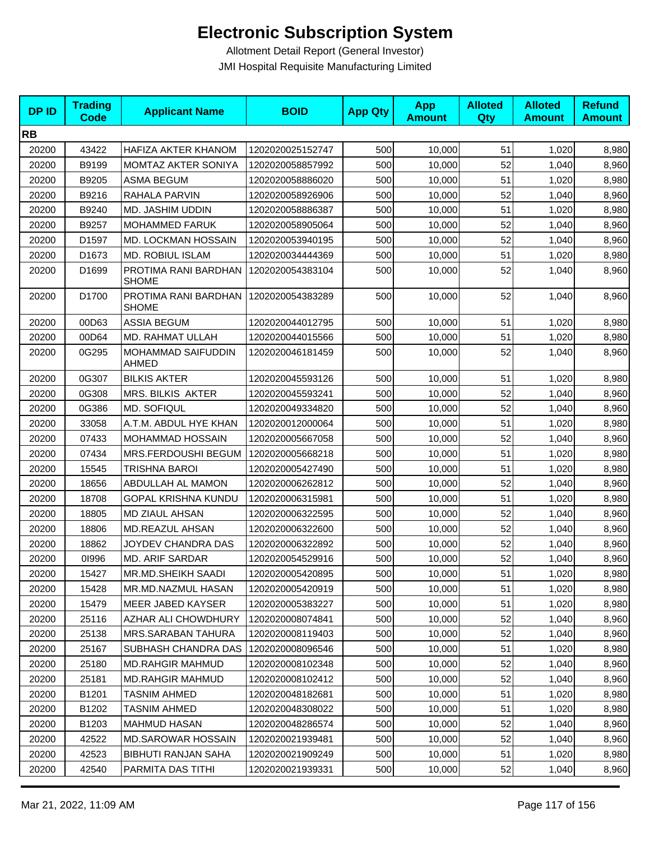| <b>DPID</b> | <b>Trading</b><br><b>Code</b> | <b>Applicant Name</b>                | <b>BOID</b>      | <b>App Qty</b> | <b>App</b><br><b>Amount</b> | <b>Alloted</b><br>Qty | <b>Alloted</b><br><b>Amount</b> | <b>Refund</b><br><b>Amount</b> |
|-------------|-------------------------------|--------------------------------------|------------------|----------------|-----------------------------|-----------------------|---------------------------------|--------------------------------|
| <b>RB</b>   |                               |                                      |                  |                |                             |                       |                                 |                                |
| 20200       | 43422                         | HAFIZA AKTER KHANOM                  | 1202020025152747 | 500            | 10,000                      | 51                    | 1,020                           | 8,980                          |
| 20200       | B9199                         | MOMTAZ AKTER SONIYA                  | 1202020058857992 | 500            | 10,000                      | 52                    | 1,040                           | 8,960                          |
| 20200       | B9205                         | <b>ASMA BEGUM</b>                    | 1202020058886020 | 500            | 10,000                      | 51                    | 1,020                           | 8,980                          |
| 20200       | B9216                         | RAHALA PARVIN                        | 1202020058926906 | 500            | 10,000                      | 52                    | 1,040                           | 8,960                          |
| 20200       | B9240                         | MD. JASHIM UDDIN                     | 1202020058886387 | 500            | 10,000                      | 51                    | 1,020                           | 8,980                          |
| 20200       | B9257                         | <b>MOHAMMED FARUK</b>                | 1202020058905064 | 500            | 10,000                      | 52                    | 1,040                           | 8,960                          |
| 20200       | D1597                         | MD. LOCKMAN HOSSAIN                  | 1202020053940195 | 500            | 10,000                      | 52                    | 1,040                           | 8,960                          |
| 20200       | D1673                         | <b>MD. ROBIUL ISLAM</b>              | 1202020034444369 | 500            | 10,000                      | 51                    | 1,020                           | 8,980                          |
| 20200       | D1699                         | PROTIMA RANI BARDHAN<br><b>SHOME</b> | 1202020054383104 | 500            | 10,000                      | 52                    | 1,040                           | 8,960                          |
| 20200       | D1700                         | PROTIMA RANI BARDHAN<br><b>SHOME</b> | 1202020054383289 | 500            | 10,000                      | 52                    | 1,040                           | 8,960                          |
| 20200       | 00D63                         | <b>ASSIA BEGUM</b>                   | 1202020044012795 | 500            | 10,000                      | 51                    | 1,020                           | 8,980                          |
| 20200       | 00D64                         | MD. RAHMAT ULLAH                     | 1202020044015566 | 500            | 10,000                      | 51                    | 1,020                           | 8,980                          |
| 20200       | 0G295                         | MOHAMMAD SAIFUDDIN<br>AHMED          | 1202020046181459 | 500            | 10,000                      | 52                    | 1,040                           | 8,960                          |
| 20200       | 0G307                         | <b>BILKIS AKTER</b>                  | 1202020045593126 | 500            | 10,000                      | 51                    | 1,020                           | 8,980                          |
| 20200       | 0G308                         | <b>MRS. BILKIS AKTER</b>             | 1202020045593241 | 500            | 10,000                      | 52                    | 1,040                           | 8,960                          |
| 20200       | 0G386                         | <b>MD. SOFIQUL</b>                   | 1202020049334820 | 500            | 10,000                      | 52                    | 1,040                           | 8,960                          |
| 20200       | 33058                         | A.T.M. ABDUL HYE KHAN                | 1202020012000064 | 500            | 10,000                      | 51                    | 1,020                           | 8,980                          |
| 20200       | 07433                         | MOHAMMAD HOSSAIN                     | 1202020005667058 | 500            | 10,000                      | 52                    | 1,040                           | 8,960                          |
| 20200       | 07434                         | MRS.FERDOUSHI BEGUM                  | 1202020005668218 | 500            | 10,000                      | 51                    | 1,020                           | 8,980                          |
| 20200       | 15545                         | TRISHNA BAROI                        | 1202020005427490 | 500            | 10,000                      | 51                    | 1,020                           | 8,980                          |
| 20200       | 18656                         | ABDULLAH AL MAMON                    | 1202020006262812 | 500            | 10,000                      | 52                    | 1,040                           | 8,960                          |
| 20200       | 18708                         | <b>GOPAL KRISHNA KUNDU</b>           | 1202020006315981 | 500            | 10,000                      | 51                    | 1,020                           | 8,980                          |
| 20200       | 18805                         | <b>MD ZIAUL AHSAN</b>                | 1202020006322595 | 500            | 10,000                      | 52                    | 1,040                           | 8,960                          |
| 20200       | 18806                         | <b>MD.REAZUL AHSAN</b>               | 1202020006322600 | 500            | 10,000                      | 52                    | 1,040                           | 8,960                          |
| 20200       | 18862                         | JOYDEV CHANDRA DAS                   | 1202020006322892 | 500            | 10,000                      | 52                    | 1,040                           | 8,960                          |
| 20200       | 01996                         | <b>MD. ARIF SARDAR</b>               | 1202020054529916 | 500            | 10,000                      | 52                    | 1,040                           | 8,960                          |
| 20200       | 15427                         | MR.MD.SHEIKH SAADI                   | 1202020005420895 | 500            | 10,000                      | 51                    | 1,020                           | 8,980                          |
| 20200       | 15428                         | MR.MD.NAZMUL HASAN                   | 1202020005420919 | 500            | 10,000                      | 51                    | 1,020                           | 8,980                          |
| 20200       | 15479                         | MEER JABED KAYSER                    | 1202020005383227 | 500            | 10,000                      | 51                    | 1,020                           | 8,980                          |
| 20200       | 25116                         | AZHAR ALI CHOWDHURY                  | 1202020008074841 | 500            | 10,000                      | 52                    | 1,040                           | 8,960                          |
| 20200       | 25138                         | <b>MRS.SARABAN TAHURA</b>            | 1202020008119403 | 500            | 10,000                      | 52                    | 1,040                           | 8,960                          |
| 20200       | 25167                         | SUBHASH CHANDRA DAS                  | 1202020008096546 | 500            | 10,000                      | 51                    | 1,020                           | 8,980                          |
| 20200       | 25180                         | <b>MD.RAHGIR MAHMUD</b>              | 1202020008102348 | 500            | 10,000                      | 52                    | 1,040                           | 8,960                          |
| 20200       | 25181                         | <b>MD.RAHGIR MAHMUD</b>              | 1202020008102412 | 500            | 10.000                      | 52                    | 1,040                           | 8,960                          |
| 20200       | B1201                         | <b>TASNIM AHMED</b>                  | 1202020048182681 | 500            | 10,000                      | 51                    | 1,020                           | 8,980                          |
| 20200       | B1202                         | <b>TASNIM AHMED</b>                  | 1202020048308022 | 500            | 10,000                      | 51                    | 1,020                           | 8,980                          |
| 20200       | B1203                         | <b>MAHMUD HASAN</b>                  | 1202020048286574 | 500            | 10,000                      | 52                    | 1,040                           | 8,960                          |
| 20200       | 42522                         | <b>MD.SAROWAR HOSSAIN</b>            | 1202020021939481 | 500            | 10,000                      | 52                    | 1,040                           | 8,960                          |
| 20200       | 42523                         | BIBHUTI RANJAN SAHA                  | 1202020021909249 | 500            | 10,000                      | 51                    | 1,020                           | 8,980                          |
| 20200       | 42540                         | PARMITA DAS TITHI                    | 1202020021939331 | 500            | 10,000                      | 52                    | 1,040                           | 8,960                          |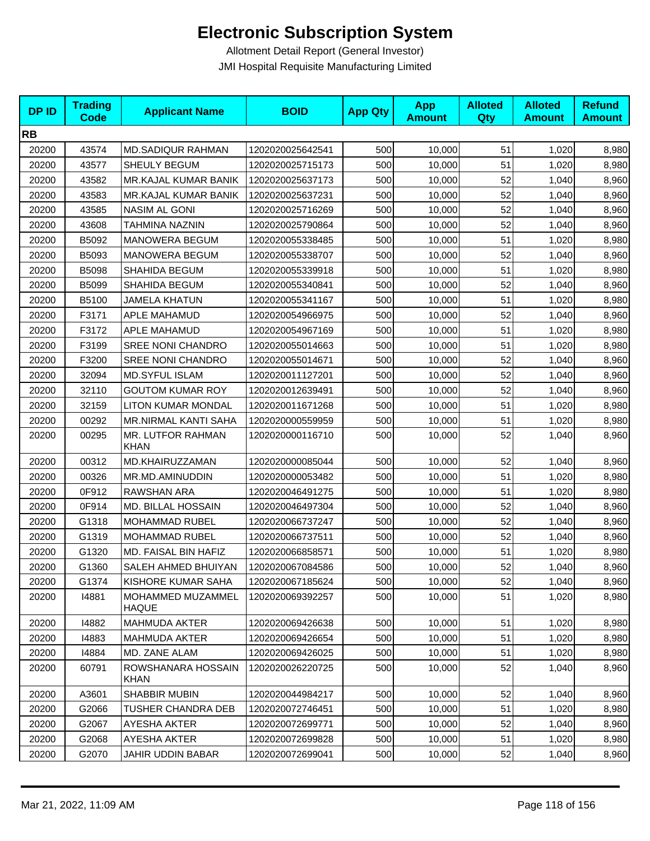| <b>DPID</b> | <b>Trading</b><br>Code | <b>Applicant Name</b>             | <b>BOID</b>      | <b>App Qty</b> | <b>App</b><br><b>Amount</b> | <b>Alloted</b><br>Qty | <b>Alloted</b><br><b>Amount</b> | <b>Refund</b><br><b>Amount</b> |
|-------------|------------------------|-----------------------------------|------------------|----------------|-----------------------------|-----------------------|---------------------------------|--------------------------------|
| <b>RB</b>   |                        |                                   |                  |                |                             |                       |                                 |                                |
| 20200       | 43574                  | <b>MD.SADIQUR RAHMAN</b>          | 1202020025642541 | 500            | 10,000                      | 51                    | 1,020                           | 8,980                          |
| 20200       | 43577                  | SHEULY BEGUM                      | 1202020025715173 | 500            | 10,000                      | 51                    | 1,020                           | 8,980                          |
| 20200       | 43582                  | MR.KAJAL KUMAR BANIK              | 1202020025637173 | 500            | 10,000                      | 52                    | 1,040                           | 8,960                          |
| 20200       | 43583                  | MR.KAJAL KUMAR BANIK              | 1202020025637231 | 500            | 10,000                      | 52                    | 1,040                           | 8,960                          |
| 20200       | 43585                  | NASIM AL GONI                     | 1202020025716269 | 500            | 10,000                      | 52                    | 1,040                           | 8,960                          |
| 20200       | 43608                  | TAHMINA NAZNIN                    | 1202020025790864 | 500            | 10,000                      | 52                    | 1,040                           | 8,960                          |
| 20200       | B5092                  | <b>MANOWERA BEGUM</b>             | 1202020055338485 | 500            | 10,000                      | 51                    | 1,020                           | 8,980                          |
| 20200       | B5093                  | <b>MANOWERA BEGUM</b>             | 1202020055338707 | 500            | 10,000                      | 52                    | 1,040                           | 8,960                          |
| 20200       | B5098                  | SHAHIDA BEGUM                     | 1202020055339918 | 500            | 10,000                      | 51                    | 1,020                           | 8,980                          |
| 20200       | B5099                  | SHAHIDA BEGUM                     | 1202020055340841 | 500            | 10,000                      | 52                    | 1,040                           | 8,960                          |
| 20200       | B5100                  | <b>JAMELA KHATUN</b>              | 1202020055341167 | 500            | 10,000                      | 51                    | 1,020                           | 8,980                          |
| 20200       | F3171                  | APLE MAHAMUD                      | 1202020054966975 | 500            | 10,000                      | 52                    | 1,040                           | 8,960                          |
| 20200       | F3172                  | APLE MAHAMUD                      | 1202020054967169 | 500            | 10,000                      | 51                    | 1,020                           | 8,980                          |
| 20200       | F3199                  | <b>SREE NONI CHANDRO</b>          | 1202020055014663 | 500            | 10,000                      | 51                    | 1,020                           | 8,980                          |
| 20200       | F3200                  | <b>SREE NONI CHANDRO</b>          | 1202020055014671 | 500            | 10,000                      | 52                    | 1,040                           | 8,960                          |
| 20200       | 32094                  | <b>MD.SYFUL ISLAM</b>             | 1202020011127201 | 500            | 10,000                      | 52                    | 1,040                           | 8,960                          |
| 20200       | 32110                  | <b>GOUTOM KUMAR ROY</b>           | 1202020012639491 | 500            | 10,000                      | 52                    | 1,040                           | 8,960                          |
| 20200       | 32159                  | LITON KUMAR MONDAL                | 1202020011671268 | 500            | 10,000                      | 51                    | 1,020                           | 8,980                          |
| 20200       | 00292                  | <b>MR.NIRMAL KANTI SAHA</b>       | 1202020000559959 | 500            | 10,000                      | 51                    | 1,020                           | 8,980                          |
| 20200       | 00295                  | MR. LUTFOR RAHMAN<br><b>KHAN</b>  | 1202020000116710 | 500            | 10,000                      | 52                    | 1,040                           | 8,960                          |
| 20200       | 00312                  | MD.KHAIRUZZAMAN                   | 1202020000085044 | 500            | 10,000                      | 52                    | 1,040                           | 8,960                          |
| 20200       | 00326                  | MR.MD.AMINUDDIN                   | 1202020000053482 | 500            | 10,000                      | 51                    | 1,020                           | 8,980                          |
| 20200       | 0F912                  | RAWSHAN ARA                       | 1202020046491275 | 500            | 10,000                      | 51                    | 1,020                           | 8,980                          |
| 20200       | 0F914                  | MD. BILLAL HOSSAIN                | 1202020046497304 | 500            | 10,000                      | 52                    | 1,040                           | 8,960                          |
| 20200       | G1318                  | MOHAMMAD RUBEL                    | 1202020066737247 | 500            | 10,000                      | 52                    | 1,040                           | 8,960                          |
| 20200       | G1319                  | <b>MOHAMMAD RUBEL</b>             | 1202020066737511 | 500            | 10,000                      | 52                    | 1,040                           | 8,960                          |
| 20200       | G1320                  | MD. FAISAL BIN HAFIZ              | 1202020066858571 | 500            | 10,000                      | 51                    | 1,020                           | 8,980                          |
| 20200       | G1360                  | SALEH AHMED BHUIYAN               | 1202020067084586 | 500            | 10,000                      | 52                    | 1,040                           | 8,960                          |
| 20200       | G1374                  | KISHORE KUMAR SAHA                | 1202020067185624 | 500            | 10,000                      | 52                    | 1,040                           | 8,960                          |
| 20200       | 14881                  | MOHAMMED MUZAMMEL<br>HAQUE        | 1202020069392257 | 500            | 10,000                      | 51                    | 1,020                           | 8,980                          |
| 20200       | 14882                  | MAHMUDA AKTER                     | 1202020069426638 | 500            | 10,000                      | 51                    | 1,020                           | 8,980                          |
| 20200       | 14883                  | <b>MAHMUDA AKTER</b>              | 1202020069426654 | 500            | 10,000                      | 51                    | 1,020                           | 8,980                          |
| 20200       | 14884                  | MD. ZANE ALAM                     | 1202020069426025 | 500            | 10,000                      | 51                    | 1,020                           | 8,980                          |
| 20200       | 60791                  | ROWSHANARA HOSSAIN<br><b>KHAN</b> | 1202020026220725 | 500            | 10,000                      | 52                    | 1,040                           | 8,960                          |
| 20200       | A3601                  | <b>SHABBIR MUBIN</b>              | 1202020044984217 | 500            | 10,000                      | 52                    | 1,040                           | 8,960                          |
| 20200       | G2066                  | TUSHER CHANDRA DEB                | 1202020072746451 | 500            | 10,000                      | 51                    | 1,020                           | 8,980                          |
| 20200       | G2067                  | AYESHA AKTER                      | 1202020072699771 | 500            | 10,000                      | 52                    | 1,040                           | 8,960                          |
| 20200       | G2068                  | AYESHA AKTER                      | 1202020072699828 | 500            | 10,000                      | 51                    | 1,020                           | 8,980                          |
| 20200       | G2070                  | JAHIR UDDIN BABAR                 | 1202020072699041 | 500            | 10,000                      | 52                    | 1,040                           | 8,960                          |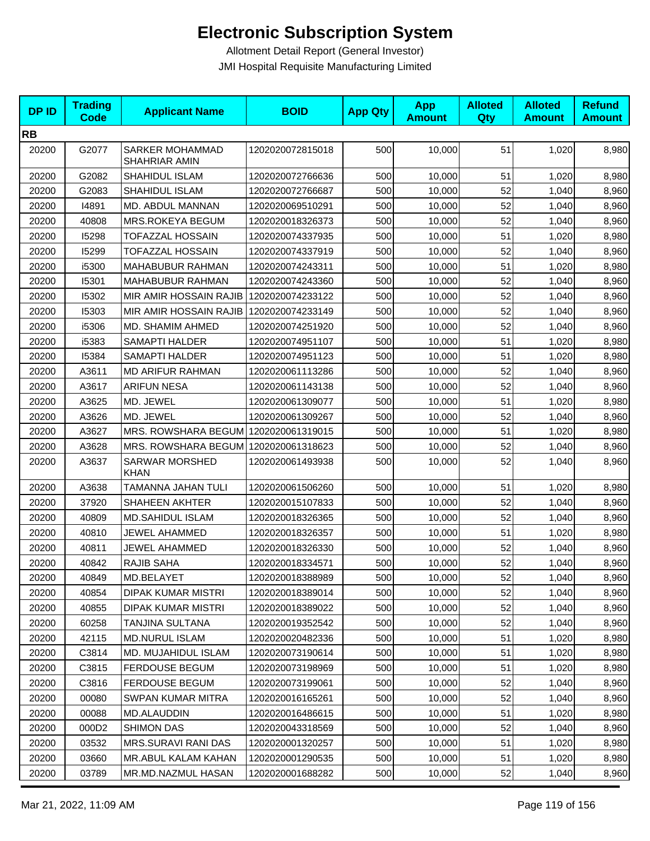| <b>DPID</b> | <b>Trading</b><br><b>Code</b> | <b>Applicant Name</b>                | <b>BOID</b>      | <b>App Qty</b> | <b>App</b><br><b>Amount</b> | <b>Alloted</b><br><b>Qty</b> | <b>Alloted</b><br><b>Amount</b> | <b>Refund</b><br><b>Amount</b> |
|-------------|-------------------------------|--------------------------------------|------------------|----------------|-----------------------------|------------------------------|---------------------------------|--------------------------------|
| <b>RB</b>   |                               |                                      |                  |                |                             |                              |                                 |                                |
| 20200       | G2077                         | SARKER MOHAMMAD<br>SHAHRIAR AMIN     | 1202020072815018 | 500            | 10,000                      | 51                           | 1,020                           | 8,980                          |
| 20200       | G2082                         | SHAHIDUL ISLAM                       | 1202020072766636 | 500            | 10,000                      | 51                           | 1,020                           | 8,980                          |
| 20200       | G2083                         | SHAHIDUL ISLAM                       | 1202020072766687 | 500            | 10,000                      | 52                           | 1,040                           | 8,960                          |
| 20200       | 14891                         | MD. ABDUL MANNAN                     | 1202020069510291 | 500            | 10,000                      | 52                           | 1,040                           | 8,960                          |
| 20200       | 40808                         | MRS.ROKEYA BEGUM                     | 1202020018326373 | 500            | 10,000                      | 52                           | 1,040                           | 8,960                          |
| 20200       | 15298                         | <b>TOFAZZAL HOSSAIN</b>              | 1202020074337935 | 500            | 10,000                      | 51                           | 1,020                           | 8,980                          |
| 20200       | 15299                         | <b>TOFAZZAL HOSSAIN</b>              | 1202020074337919 | 500            | 10,000                      | 52                           | 1,040                           | 8,960                          |
| 20200       | i5300                         | MAHABUBUR RAHMAN                     | 1202020074243311 | 500            | 10,000                      | 51                           | 1,020                           | 8,980                          |
| 20200       | 15301                         | MAHABUBUR RAHMAN                     | 1202020074243360 | 500            | 10,000                      | 52                           | 1,040                           | 8,960                          |
| 20200       | 15302                         | MIR AMIR HOSSAIN RAJIB               | 1202020074233122 | 500            | 10,000                      | 52                           | 1,040                           | 8,960                          |
| 20200       | 15303                         | MIR AMIR HOSSAIN RAJIB               | 1202020074233149 | 500            | 10,000                      | 52                           | 1,040                           | 8,960                          |
| 20200       | i5306                         | MD. SHAMIM AHMED                     | 1202020074251920 | 500            | 10,000                      | 52                           | 1,040                           | 8,960                          |
| 20200       | i5383                         | <b>SAMAPTI HALDER</b>                | 1202020074951107 | 500            | 10,000                      | 51                           | 1,020                           | 8,980                          |
| 20200       | 15384                         | <b>SAMAPTI HALDER</b>                | 1202020074951123 | 500            | 10,000                      | 51                           | 1,020                           | 8,980                          |
| 20200       | A3611                         | <b>MD ARIFUR RAHMAN</b>              | 1202020061113286 | 500            | 10,000                      | 52                           | 1,040                           | 8,960                          |
| 20200       | A3617                         | <b>ARIFUN NESA</b>                   | 1202020061143138 | 500            | 10,000                      | 52                           | 1,040                           | 8,960                          |
| 20200       | A3625                         | MD. JEWEL                            | 1202020061309077 | 500            | 10,000                      | 51                           | 1,020                           | 8,980                          |
| 20200       | A3626                         | MD. JEWEL                            | 1202020061309267 | 500            | 10,000                      | 52                           | 1,040                           | 8,960                          |
| 20200       | A3627                         | MRS. ROWSHARA BEGUM 1202020061319015 |                  | 500            | 10,000                      | 51                           | 1,020                           | 8,980                          |
| 20200       | A3628                         | MRS. ROWSHARA BEGUM 1202020061318623 |                  | 500            | 10,000                      | 52                           | 1,040                           | 8,960                          |
| 20200       | A3637                         | <b>SARWAR MORSHED</b><br><b>KHAN</b> | 1202020061493938 | 500            | 10,000                      | 52                           | 1,040                           | 8,960                          |
| 20200       | A3638                         | TAMANNA JAHAN TULI                   | 1202020061506260 | 500            | 10,000                      | 51                           | 1,020                           | 8,980                          |
| 20200       | 37920                         | SHAHEEN AKHTER                       | 1202020015107833 | 500            | 10,000                      | 52                           | 1,040                           | 8,960                          |
| 20200       | 40809                         | <b>MD.SAHIDUL ISLAM</b>              | 1202020018326365 | 500            | 10,000                      | 52                           | 1,040                           | 8,960                          |
| 20200       | 40810                         | <b>JEWEL AHAMMED</b>                 | 1202020018326357 | 500            | 10,000                      | 51                           | 1,020                           | 8,980                          |
| 20200       | 40811                         | JEWEL AHAMMED                        | 1202020018326330 | 500            | 10,000                      | 52                           | 1,040                           | 8,960                          |
| 20200       | 40842                         | RAJIB SAHA                           | 1202020018334571 | 500            | 10,000                      | 52                           | 1,040                           | 8,960                          |
| 20200       | 40849                         | MD.BELAYET                           | 1202020018388989 | 500            | 10,000                      | 52                           | 1,040                           | 8,960                          |
| 20200       | 40854                         | <b>DIPAK KUMAR MISTRI</b>            | 1202020018389014 | 500            | 10,000                      | 52                           | 1,040                           | 8,960                          |
| 20200       | 40855                         | DIPAK KUMAR MISTRI                   | 1202020018389022 | 500            | 10,000                      | 52                           | 1,040                           | 8,960                          |
| 20200       | 60258                         | <b>TANJINA SULTANA</b>               | 1202020019352542 | 500            | 10,000                      | 52                           | 1,040                           | 8,960                          |
| 20200       | 42115                         | <b>MD.NURUL ISLAM</b>                | 1202020020482336 | 500            | 10,000                      | 51                           | 1,020                           | 8,980                          |
| 20200       | C3814                         | MD. MUJAHIDUL ISLAM                  | 1202020073190614 | 500            | 10,000                      | 51                           | 1,020                           | 8,980                          |
| 20200       | C3815                         | FERDOUSE BEGUM                       | 1202020073198969 | 500            | 10,000                      | 51                           | 1,020                           | 8,980                          |
| 20200       | C3816                         | <b>FERDOUSE BEGUM</b>                | 1202020073199061 | 500            | 10,000                      | 52                           | 1,040                           | 8,960                          |
| 20200       | 00080                         | <b>SWPAN KUMAR MITRA</b>             | 1202020016165261 | 500            | 10,000                      | 52                           | 1,040                           | 8,960                          |
| 20200       | 00088                         | MD.ALAUDDIN                          | 1202020016486615 | 500            | 10,000                      | 51                           | 1,020                           | 8,980                          |
| 20200       | 000D <sub>2</sub>             | SHIMON DAS                           | 1202020043318569 | 500            | 10,000                      | 52                           | 1,040                           | 8,960                          |
| 20200       | 03532                         | MRS.SURAVI RANI DAS                  | 1202020001320257 | 500            | 10,000                      | 51                           | 1,020                           | 8,980                          |
| 20200       | 03660                         | MR.ABUL KALAM KAHAN                  | 1202020001290535 | 500            | 10,000                      | 51                           | 1,020                           | 8,980                          |
| 20200       | 03789                         | MR.MD.NAZMUL HASAN                   | 1202020001688282 | 500            | 10,000                      | 52                           | 1,040                           | 8,960                          |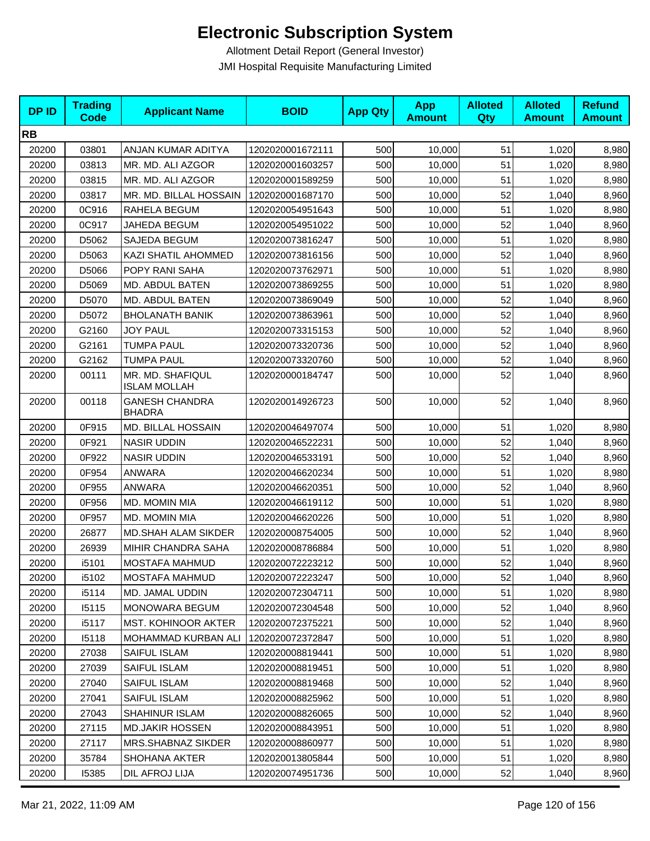| <b>DPID</b> | <b>Trading</b><br>Code | <b>Applicant Name</b>                   | <b>BOID</b>      | <b>App Qty</b> | <b>App</b><br><b>Amount</b> | <b>Alloted</b><br>Qty | <b>Alloted</b><br><b>Amount</b> | <b>Refund</b><br><b>Amount</b> |
|-------------|------------------------|-----------------------------------------|------------------|----------------|-----------------------------|-----------------------|---------------------------------|--------------------------------|
| <b>RB</b>   |                        |                                         |                  |                |                             |                       |                                 |                                |
| 20200       | 03801                  | ANJAN KUMAR ADITYA                      | 1202020001672111 | 500            | 10,000                      | 51                    | 1,020                           | 8,980                          |
| 20200       | 03813                  | MR. MD. ALI AZGOR                       | 1202020001603257 | 500            | 10,000                      | 51                    | 1,020                           | 8,980                          |
| 20200       | 03815                  | MR. MD. ALI AZGOR                       | 1202020001589259 | 500            | 10,000                      | 51                    | 1,020                           | 8,980                          |
| 20200       | 03817                  | MR. MD. BILLAL HOSSAIN                  | 1202020001687170 | 500            | 10,000                      | 52                    | 1,040                           | 8,960                          |
| 20200       | 0C916                  | RAHELA BEGUM                            | 1202020054951643 | 500            | 10,000                      | 51                    | 1,020                           | 8,980                          |
| 20200       | 0C917                  | JAHEDA BEGUM                            | 1202020054951022 | 500            | 10,000                      | 52                    | 1,040                           | 8,960                          |
| 20200       | D5062                  | SAJEDA BEGUM                            | 1202020073816247 | 500            | 10,000                      | 51                    | 1,020                           | 8,980                          |
| 20200       | D5063                  | KAZI SHATIL AHOMMED                     | 1202020073816156 | 500            | 10,000                      | 52                    | 1,040                           | 8,960                          |
| 20200       | D5066                  | POPY RANI SAHA                          | 1202020073762971 | 500            | 10,000                      | 51                    | 1,020                           | 8,980                          |
| 20200       | D5069                  | MD. ABDUL BATEN                         | 1202020073869255 | 500            | 10,000                      | 51                    | 1,020                           | 8,980                          |
| 20200       | D5070                  | MD. ABDUL BATEN                         | 1202020073869049 | 500            | 10,000                      | 52                    | 1,040                           | 8,960                          |
| 20200       | D5072                  | <b>BHOLANATH BANIK</b>                  | 1202020073863961 | 500            | 10,000                      | 52                    | 1,040                           | 8,960                          |
| 20200       | G2160                  | <b>JOY PAUL</b>                         | 1202020073315153 | 500            | 10,000                      | 52                    | 1,040                           | 8,960                          |
| 20200       | G2161                  | <b>TUMPA PAUL</b>                       | 1202020073320736 | 500            | 10,000                      | 52                    | 1,040                           | 8,960                          |
| 20200       | G2162                  | <b>TUMPA PAUL</b>                       | 1202020073320760 | 500            | 10,000                      | 52                    | 1,040                           | 8,960                          |
| 20200       | 00111                  | MR. MD. SHAFIQUL<br><b>ISLAM MOLLAH</b> | 1202020000184747 | 500            | 10,000                      | 52                    | 1,040                           | 8,960                          |
| 20200       | 00118                  | <b>GANESH CHANDRA</b><br><b>BHADRA</b>  | 1202020014926723 | 500            | 10,000                      | 52                    | 1,040                           | 8,960                          |
| 20200       | 0F915                  | MD. BILLAL HOSSAIN                      | 1202020046497074 | 500            | 10,000                      | 51                    | 1,020                           | 8,980                          |
| 20200       | 0F921                  | <b>NASIR UDDIN</b>                      | 1202020046522231 | 500            | 10,000                      | 52                    | 1,040                           | 8,960                          |
| 20200       | 0F922                  | <b>NASIR UDDIN</b>                      | 1202020046533191 | 500            | 10,000                      | 52                    | 1,040                           | 8,960                          |
| 20200       | 0F954                  | ANWARA                                  | 1202020046620234 | 500            | 10,000                      | 51                    | 1,020                           | 8,980                          |
| 20200       | 0F955                  | <b>ANWARA</b>                           | 1202020046620351 | 500            | 10,000                      | 52                    | 1,040                           | 8,960                          |
| 20200       | 0F956                  | MD. MOMIN MIA                           | 1202020046619112 | 500            | 10,000                      | 51                    | 1,020                           | 8,980                          |
| 20200       | 0F957                  | MD. MOMIN MIA                           | 1202020046620226 | 500            | 10,000                      | 51                    | 1,020                           | 8,980                          |
| 20200       | 26877                  | MD.SHAH ALAM SIKDER                     | 1202020008754005 | 500            | 10,000                      | 52                    | 1,040                           | 8,960                          |
| 20200       | 26939                  | MIHIR CHANDRA SAHA                      | 1202020008786884 | 500            | 10,000                      | 51                    | 1,020                           | 8,980                          |
| 20200       | i5101                  | <b>MOSTAFA MAHMUD</b>                   | 1202020072223212 | 500            | 10,000                      | 52                    | 1,040                           | 8,960                          |
| 20200       | i5102                  | MOSTAFA MAHMUD                          | 1202020072223247 | 500            | 10,000                      | 52                    | 1,040                           | 8,960                          |
| 20200       | i5114                  | MD. JAMAL UDDIN                         | 1202020072304711 | 500            | 10,000                      | 51                    | 1,020                           | 8,980                          |
| 20200       | 15115                  | <b>MONOWARA BEGUM</b>                   | 1202020072304548 | 500            | 10,000                      | 52                    | 1,040                           | 8,960                          |
| 20200       | i5117                  | MST. KOHINOOR AKTER                     | 1202020072375221 | 500            | 10,000                      | 52                    | 1,040                           | 8,960                          |
| 20200       | 15118                  | <b>MOHAMMAD KURBAN ALI</b>              | 1202020072372847 | 500            | 10,000                      | 51                    | 1,020                           | 8,980                          |
| 20200       | 27038                  | SAIFUL ISLAM                            | 1202020008819441 | 500            | 10,000                      | 51                    | 1,020                           | 8,980                          |
| 20200       | 27039                  | SAIFUL ISLAM                            | 1202020008819451 | 500            | 10,000                      | 51                    | 1,020                           | 8,980                          |
| 20200       | 27040                  | SAIFUL ISLAM                            | 1202020008819468 | 500            | 10,000                      | 52                    | 1,040                           | 8,960                          |
| 20200       | 27041                  | SAIFUL ISLAM                            | 1202020008825962 | 500            | 10,000                      | 51                    | 1,020                           | 8,980                          |
| 20200       | 27043                  | SHAHINUR ISLAM                          | 1202020008826065 | 500            | 10,000                      | 52                    | 1,040                           | 8,960                          |
| 20200       | 27115                  | <b>MD.JAKIR HOSSEN</b>                  | 1202020008843951 | 500            | 10,000                      | 51                    | 1,020                           | 8,980                          |
| 20200       | 27117                  | MRS.SHABNAZ SIKDER                      | 1202020008860977 | 500            | 10,000                      | 51                    | 1,020                           | 8,980                          |
| 20200       | 35784                  | SHOHANA AKTER                           | 1202020013805844 | 500            | 10,000                      | 51                    | 1,020                           | 8,980                          |
| 20200       | 15385                  | DIL AFROJ LIJA                          | 1202020074951736 | 500            | 10,000                      | 52                    | 1,040                           | 8,960                          |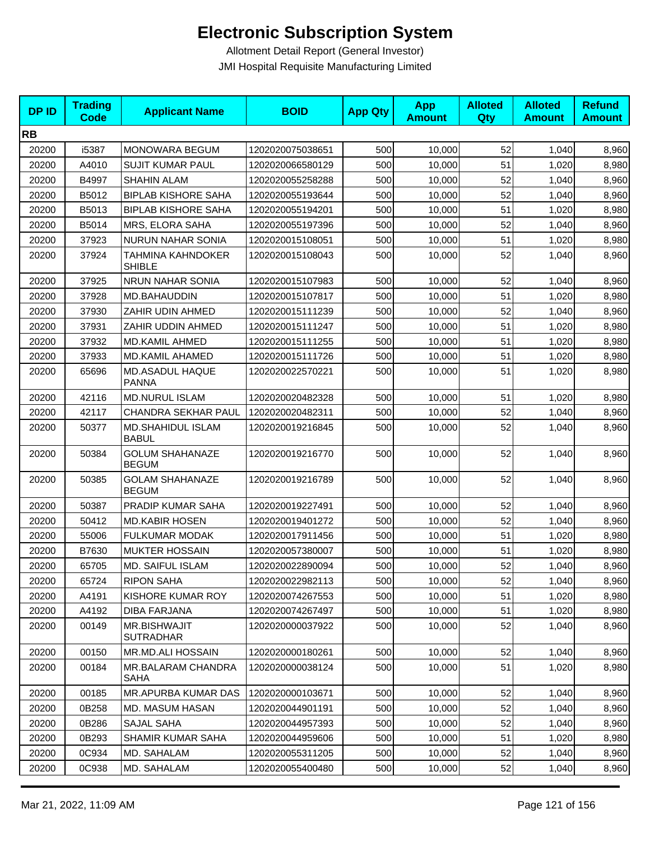| <b>DPID</b> | <b>Trading</b><br><b>Code</b> | <b>Applicant Name</b>                   | <b>BOID</b>      | <b>App Qty</b> | <b>App</b><br><b>Amount</b> | <b>Alloted</b><br>Qty | <b>Alloted</b><br><b>Amount</b> | <b>Refund</b><br><b>Amount</b> |
|-------------|-------------------------------|-----------------------------------------|------------------|----------------|-----------------------------|-----------------------|---------------------------------|--------------------------------|
| <b>RB</b>   |                               |                                         |                  |                |                             |                       |                                 |                                |
| 20200       | i5387                         | MONOWARA BEGUM                          | 1202020075038651 | 500            | 10,000                      | 52                    | 1,040                           | 8,960                          |
| 20200       | A4010                         | <b>SUJIT KUMAR PAUL</b>                 | 1202020066580129 | 500            | 10,000                      | 51                    | 1,020                           | 8,980                          |
| 20200       | B4997                         | <b>SHAHIN ALAM</b>                      | 1202020055258288 | 500            | 10,000                      | 52                    | 1,040                           | 8,960                          |
| 20200       | B5012                         | <b>BIPLAB KISHORE SAHA</b>              | 1202020055193644 | 500            | 10,000                      | 52                    | 1,040                           | 8,960                          |
| 20200       | B5013                         | <b>BIPLAB KISHORE SAHA</b>              | 1202020055194201 | 500            | 10,000                      | 51                    | 1,020                           | 8,980                          |
| 20200       | B5014                         | MRS, ELORA SAHA                         | 1202020055197396 | 500            | 10,000                      | 52                    | 1,040                           | 8,960                          |
| 20200       | 37923                         | <b>NURUN NAHAR SONIA</b>                | 1202020015108051 | 500            | 10,000                      | 51                    | 1,020                           | 8,980                          |
| 20200       | 37924                         | TAHMINA KAHNDOKER<br><b>SHIBLE</b>      | 1202020015108043 | 500            | 10,000                      | 52                    | 1,040                           | 8,960                          |
| 20200       | 37925                         | NRUN NAHAR SONIA                        | 1202020015107983 | 500            | 10,000                      | 52                    | 1,040                           | 8,960                          |
| 20200       | 37928                         | MD.BAHAUDDIN                            | 1202020015107817 | 500            | 10,000                      | 51                    | 1,020                           | 8,980                          |
| 20200       | 37930                         | ZAHIR UDIN AHMED                        | 1202020015111239 | 500            | 10,000                      | 52                    | 1,040                           | 8,960                          |
| 20200       | 37931                         | ZAHIR UDDIN AHMED                       | 1202020015111247 | 500            | 10,000                      | 51                    | 1,020                           | 8,980                          |
| 20200       | 37932                         | <b>MD.KAMIL AHMED</b>                   | 1202020015111255 | 500            | 10,000                      | 51                    | 1,020                           | 8,980                          |
| 20200       | 37933                         | <b>MD.KAMIL AHAMED</b>                  | 1202020015111726 | 500            | 10,000                      | 51                    | 1,020                           | 8,980                          |
| 20200       | 65696                         | MD.ASADUL HAQUE<br><b>PANNA</b>         | 1202020022570221 | 500            | 10,000                      | 51                    | 1,020                           | 8,980                          |
| 20200       | 42116                         | <b>MD.NURUL ISLAM</b>                   | 1202020020482328 | 500            | 10,000                      | 51                    | 1,020                           | 8,980                          |
| 20200       | 42117                         | <b>CHANDRA SEKHAR PAUL</b>              | 1202020020482311 | 500            | 10,000                      | 52                    | 1,040                           | 8,960                          |
| 20200       | 50377                         | MD.SHAHIDUL ISLAM<br><b>BABUL</b>       | 1202020019216845 | 500            | 10,000                      | 52                    | 1,040                           | 8,960                          |
| 20200       | 50384                         | <b>GOLUM SHAHANAZE</b><br><b>BEGUM</b>  | 1202020019216770 | 500            | 10,000                      | 52                    | 1,040                           | 8,960                          |
| 20200       | 50385                         | <b>GOLAM SHAHANAZE</b><br><b>BEGUM</b>  | 1202020019216789 | 500            | 10,000                      | 52                    | 1,040                           | 8,960                          |
| 20200       | 50387                         | PRADIP KUMAR SAHA                       | 1202020019227491 | 500            | 10,000                      | 52                    | 1,040                           | 8,960                          |
| 20200       | 50412                         | <b>MD.KABIR HOSEN</b>                   | 1202020019401272 | 500            | 10,000                      | 52                    | 1,040                           | 8,960                          |
| 20200       | 55006                         | FULKUMAR MODAK                          | 1202020017911456 | 500            | 10,000                      | 51                    | 1,020                           | 8,980                          |
| 20200       | B7630                         | <b>MUKTER HOSSAIN</b>                   | 1202020057380007 | 500            | 10,000                      | 51                    | 1,020                           | 8,980                          |
| 20200       | 65705                         | MD. SAIFUL ISLAM                        | 1202020022890094 | 500            | 10,000                      | 52                    | 1,040                           | 8,960                          |
| 20200       | 65724                         | <b>RIPON SAHA</b>                       | 1202020022982113 | 500            | 10,000                      | 52                    | 1,040                           | 8,960                          |
| 20200       | A4191                         | KISHORE KUMAR ROY                       | 1202020074267553 | 500            | 10,000                      | 51                    | 1,020                           | 8,980                          |
| 20200       | A4192                         | DIBA FARJANA                            | 1202020074267497 | 500            | 10,000                      | 51                    | 1,020                           | 8,980                          |
| 20200       | 00149                         | <b>MR.BISHWAJIT</b><br><b>SUTRADHAR</b> | 1202020000037922 | 500            | 10,000                      | 52                    | 1,040                           | 8,960                          |
| 20200       | 00150                         | <b>MR.MD.ALI HOSSAIN</b>                | 1202020000180261 | 500            | 10,000                      | 52                    | 1,040                           | 8,960                          |
| 20200       | 00184                         | MR.BALARAM CHANDRA<br>SAHA              | 1202020000038124 | 500            | 10,000                      | 51                    | 1,020                           | 8,980                          |
| 20200       | 00185                         | MR.APURBA KUMAR DAS                     | 1202020000103671 | 500            | 10,000                      | 52                    | 1,040                           | 8,960                          |
| 20200       | 0B258                         | <b>MD. MASUM HASAN</b>                  | 1202020044901191 | 500            | 10,000                      | 52                    | 1,040                           | 8,960                          |
| 20200       | 0B286                         | SAJAL SAHA                              | 1202020044957393 | 500            | 10,000                      | 52                    | 1,040                           | 8,960                          |
| 20200       | 0B293                         | SHAMIR KUMAR SAHA                       | 1202020044959606 | 500            | 10,000                      | 51                    | 1,020                           | 8,980                          |
| 20200       | 0C934                         | MD. SAHALAM                             | 1202020055311205 | 500            | 10,000                      | 52                    | 1,040                           | 8,960                          |
| 20200       | 0C938                         | MD. SAHALAM                             | 1202020055400480 | 500            | 10,000                      | 52                    | 1,040                           | 8,960                          |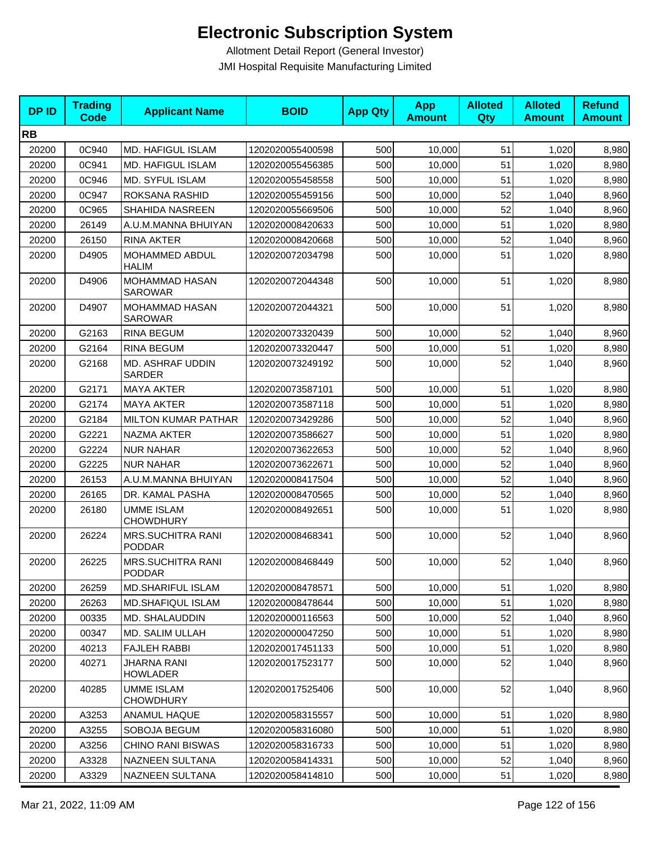| <b>DPID</b> | <b>Trading</b><br>Code | <b>Applicant Name</b>                     | <b>BOID</b>      | <b>App Qty</b> | <b>App</b><br><b>Amount</b> | <b>Alloted</b><br>Qty | <b>Alloted</b><br><b>Amount</b> | <b>Refund</b><br><b>Amount</b> |
|-------------|------------------------|-------------------------------------------|------------------|----------------|-----------------------------|-----------------------|---------------------------------|--------------------------------|
| <b>RB</b>   |                        |                                           |                  |                |                             |                       |                                 |                                |
| 20200       | 0C940                  | <b>MD. HAFIGUL ISLAM</b>                  | 1202020055400598 | 500            | 10,000                      | 51                    | 1,020                           | 8,980                          |
| 20200       | 0C941                  | <b>MD. HAFIGUL ISLAM</b>                  | 1202020055456385 | 500            | 10,000                      | 51                    | 1,020                           | 8,980                          |
| 20200       | 0C946                  | <b>MD. SYFUL ISLAM</b>                    | 1202020055458558 | 500            | 10,000                      | 51                    | 1,020                           | 8,980                          |
| 20200       | 0C947                  | ROKSANA RASHID                            | 1202020055459156 | 500            | 10,000                      | 52                    | 1,040                           | 8,960                          |
| 20200       | 0C965                  | SHAHIDA NASREEN                           | 1202020055669506 | 500            | 10,000                      | 52                    | 1,040                           | 8,960                          |
| 20200       | 26149                  | A.U.M.MANNA BHUIYAN                       | 1202020008420633 | 500            | 10,000                      | 51                    | 1,020                           | 8,980                          |
| 20200       | 26150                  | <b>RINA AKTER</b>                         | 1202020008420668 | 500            | 10,000                      | 52                    | 1,040                           | 8,960                          |
| 20200       | D4905                  | <b>MOHAMMED ABDUL</b><br><b>HALIM</b>     | 1202020072034798 | 500            | 10,000                      | 51                    | 1,020                           | 8,980                          |
| 20200       | D4906                  | <b>MOHAMMAD HASAN</b><br><b>SAROWAR</b>   | 1202020072044348 | 500            | 10,000                      | 51                    | 1,020                           | 8,980                          |
| 20200       | D4907                  | MOHAMMAD HASAN<br><b>SAROWAR</b>          | 1202020072044321 | 500            | 10,000                      | 51                    | 1,020                           | 8,980                          |
| 20200       | G2163                  | <b>RINA BEGUM</b>                         | 1202020073320439 | 500            | 10,000                      | 52                    | 1,040                           | 8,960                          |
| 20200       | G2164                  | <b>RINA BEGUM</b>                         | 1202020073320447 | 500            | 10,000                      | 51                    | 1,020                           | 8,980                          |
| 20200       | G2168                  | MD. ASHRAF UDDIN<br><b>SARDER</b>         | 1202020073249192 | 500            | 10,000                      | 52                    | 1.040                           | 8,960                          |
| 20200       | G2171                  | <b>MAYA AKTER</b>                         | 1202020073587101 | 500            | 10,000                      | 51                    | 1,020                           | 8,980                          |
| 20200       | G2174                  | <b>MAYA AKTER</b>                         | 1202020073587118 | 500            | 10,000                      | 51                    | 1,020                           | 8,980                          |
| 20200       | G2184                  | <b>MILTON KUMAR PATHAR</b>                | 1202020073429286 | 500            | 10,000                      | 52                    | 1,040                           | 8,960                          |
| 20200       | G2221                  | <b>NAZMA AKTER</b>                        | 1202020073586627 | 500            | 10,000                      | 51                    | 1,020                           | 8,980                          |
| 20200       | G2224                  | <b>NUR NAHAR</b>                          | 1202020073622653 | 500            | 10,000                      | 52                    | 1,040                           | 8,960                          |
| 20200       | G2225                  | <b>NUR NAHAR</b>                          | 1202020073622671 | 500            | 10,000                      | 52                    | 1,040                           | 8,960                          |
| 20200       | 26153                  | A.U.M.MANNA BHUIYAN                       | 1202020008417504 | 500            | 10,000                      | 52                    | 1,040                           | 8,960                          |
| 20200       | 26165                  | DR. KAMAL PASHA                           | 1202020008470565 | 500            | 10,000                      | 52                    | 1,040                           | 8,960                          |
| 20200       | 26180                  | <b>UMME ISLAM</b><br><b>CHOWDHURY</b>     | 1202020008492651 | 500            | 10,000                      | 51                    | 1,020                           | 8,980                          |
| 20200       | 26224                  | <b>MRS.SUCHITRA RANI</b><br><b>PODDAR</b> | 1202020008468341 | 500            | 10,000                      | 52                    | 1,040                           | 8,960                          |
| 20200       | 26225                  | <b>MRS.SUCHITRA RANI</b><br><b>PODDAR</b> | 1202020008468449 | 500            | 10,000                      | 52                    | 1,040                           | 8,960                          |
| 20200       | 26259                  | <b>MD.SHARIFUL ISLAM</b>                  | 1202020008478571 | 500            | 10,000                      | 51                    | 1,020                           | 8,980                          |
| 20200       | 26263                  | <b>MD.SHAFIQUL ISLAM</b>                  | 1202020008478644 | 500            | 10,000                      | 51                    | 1,020                           | 8,980                          |
| 20200       | 00335                  | MD. SHALAUDDIN                            | 1202020000116563 | 500            | 10,000                      | 52                    | 1,040                           | 8,960                          |
| 20200       | 00347                  | MD. SALIM ULLAH                           | 1202020000047250 | 500            | 10,000                      | 51                    | 1,020                           | 8,980                          |
| 20200       | 40213                  | <b>FAJLEH RABBI</b>                       | 1202020017451133 | 500            | 10,000                      | 51                    | 1,020                           | 8,980                          |
| 20200       | 40271                  | JHARNA RANI<br>HOWLADER                   | 1202020017523177 | 500            | 10.000                      | 52                    | 1,040                           | 8,960                          |
| 20200       | 40285                  | UMME ISLAM<br><b>CHOWDHURY</b>            | 1202020017525406 | 500            | 10.000                      | 52                    | 1,040                           | 8,960                          |
| 20200       | A3253                  | ANAMUL HAQUE                              | 1202020058315557 | 500            | 10,000                      | 51                    | 1,020                           | 8,980                          |
| 20200       | A3255                  | SOBOJA BEGUM                              | 1202020058316080 | 500            | 10,000                      | 51                    | 1,020                           | 8,980                          |
| 20200       | A3256                  | <b>CHINO RANI BISWAS</b>                  | 1202020058316733 | 500            | 10,000                      | 51                    | 1,020                           | 8,980                          |
| 20200       | A3328                  | NAZNEEN SULTANA                           | 1202020058414331 | 500            | 10,000                      | 52                    | 1,040                           | 8,960                          |
| 20200       | A3329                  | NAZNEEN SULTANA                           | 1202020058414810 | 500            | 10,000                      | 51                    | 1,020                           | 8,980                          |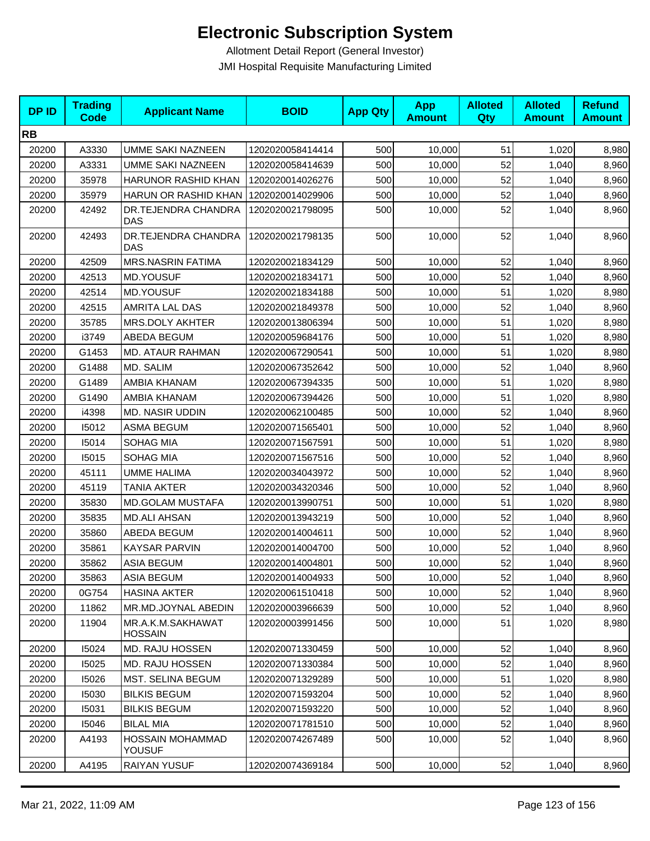| <b>DPID</b> | <b>Trading</b><br><b>Code</b> | <b>Applicant Name</b>               | <b>BOID</b>      | <b>App Qty</b> | <b>App</b><br><b>Amount</b> | <b>Alloted</b><br>Qty | <b>Alloted</b><br><b>Amount</b> | <b>Refund</b><br><b>Amount</b> |
|-------------|-------------------------------|-------------------------------------|------------------|----------------|-----------------------------|-----------------------|---------------------------------|--------------------------------|
| <b>RB</b>   |                               |                                     |                  |                |                             |                       |                                 |                                |
| 20200       | A3330                         | <b>UMME SAKI NAZNEEN</b>            | 1202020058414414 | 500            | 10,000                      | 51                    | 1,020                           | 8,980                          |
| 20200       | A3331                         | <b>UMME SAKI NAZNEEN</b>            | 1202020058414639 | 500            | 10,000                      | 52                    | 1,040                           | 8,960                          |
| 20200       | 35978                         | <b>HARUNOR RASHID KHAN</b>          | 1202020014026276 | 500            | 10,000                      | 52                    | 1,040                           | 8,960                          |
| 20200       | 35979                         | HARUN OR RASHID KHAN                | 1202020014029906 | 500            | 10,000                      | 52                    | 1,040                           | 8,960                          |
| 20200       | 42492                         | DR.TEJENDRA CHANDRA<br><b>DAS</b>   | 1202020021798095 | 500            | 10,000                      | 52                    | 1,040                           | 8,960                          |
| 20200       | 42493                         | DR.TEJENDRA CHANDRA<br>DAS          | 1202020021798135 | 500            | 10,000                      | 52                    | 1,040                           | 8,960                          |
| 20200       | 42509                         | <b>MRS.NASRIN FATIMA</b>            | 1202020021834129 | 500            | 10,000                      | 52                    | 1,040                           | 8,960                          |
| 20200       | 42513                         | <b>MD.YOUSUF</b>                    | 1202020021834171 | 500            | 10,000                      | 52                    | 1,040                           | 8,960                          |
| 20200       | 42514                         | <b>MD.YOUSUF</b>                    | 1202020021834188 | 500            | 10,000                      | 51                    | 1,020                           | 8,980                          |
| 20200       | 42515                         | AMRITA LAL DAS                      | 1202020021849378 | 500            | 10,000                      | 52                    | 1,040                           | 8,960                          |
| 20200       | 35785                         | MRS.DOLY AKHTER                     | 1202020013806394 | 500            | 10,000                      | 51                    | 1,020                           | 8,980                          |
| 20200       | i3749                         | ABEDA BEGUM                         | 1202020059684176 | 500            | 10,000                      | 51                    | 1,020                           | 8,980                          |
| 20200       | G1453                         | <b>MD. ATAUR RAHMAN</b>             | 1202020067290541 | 500            | 10,000                      | 51                    | 1,020                           | 8,980                          |
| 20200       | G1488                         | MD. SALIM                           | 1202020067352642 | 500            | 10,000                      | 52                    | 1,040                           | 8,960                          |
| 20200       | G1489                         | AMBIA KHANAM                        | 1202020067394335 | 500            | 10,000                      | 51                    | 1,020                           | 8,980                          |
| 20200       | G1490                         | AMBIA KHANAM                        | 1202020067394426 | 500            | 10,000                      | 51                    | 1,020                           | 8,980                          |
| 20200       | i4398                         | <b>MD. NASIR UDDIN</b>              | 1202020062100485 | 500            | 10,000                      | 52                    | 1,040                           | 8,960                          |
| 20200       | 15012                         | <b>ASMA BEGUM</b>                   | 1202020071565401 | 500            | 10,000                      | 52                    | 1,040                           | 8,960                          |
| 20200       | 15014                         | SOHAG MIA                           | 1202020071567591 | 500            | 10,000                      | 51                    | 1,020                           | 8,980                          |
| 20200       | 15015                         | SOHAG MIA                           | 1202020071567516 | 500            | 10,000                      | 52                    | 1,040                           | 8,960                          |
| 20200       | 45111                         | <b>UMME HALIMA</b>                  | 1202020034043972 | 500            | 10,000                      | 52                    | 1,040                           | 8,960                          |
| 20200       | 45119                         | TANIA AKTER                         | 1202020034320346 | 500            | 10,000                      | 52                    | 1,040                           | 8,960                          |
| 20200       | 35830                         | MD.GOLAM MUSTAFA                    | 1202020013990751 | 500            | 10,000                      | 51                    | 1,020                           | 8,980                          |
| 20200       | 35835                         | <b>MD.ALI AHSAN</b>                 | 1202020013943219 | 500            | 10,000                      | 52                    | 1,040                           | 8,960                          |
| 20200       | 35860                         | ABEDA BEGUM                         | 1202020014004611 | 500            | 10,000                      | 52                    | 1,040                           | 8,960                          |
| 20200       | 35861                         | KAYSAR PARVIN                       | 1202020014004700 | 500            | 10,000                      | 52                    | 1,040                           | 8,960                          |
| 20200       | 35862                         | <b>ASIA BEGUM</b>                   | 1202020014004801 | 500            | 10,000                      | 52                    | 1,040                           | 8,960                          |
| 20200       | 35863                         | <b>ASIA BEGUM</b>                   | 1202020014004933 | 500            | 10,000                      | 52                    | 1,040                           | 8,960                          |
| 20200       | 0G754                         | <b>HASINA AKTER</b>                 | 1202020061510418 | 500            | 10,000                      | 52                    | 1,040                           | 8,960                          |
| 20200       | 11862                         | MR.MD.JOYNAL ABEDIN                 | 1202020003966639 | 500            | 10,000                      | 52                    | 1,040                           | 8,960                          |
| 20200       | 11904                         | MR.A.K.M.SAKHAWAT<br><b>HOSSAIN</b> | 1202020003991456 | 500            | 10,000                      | 51                    | 1,020                           | 8,980                          |
| 20200       | 15024                         | MD. RAJU HOSSEN                     | 1202020071330459 | 500            | 10,000                      | 52                    | 1,040                           | 8,960                          |
| 20200       | 15025                         | <b>MD. RAJU HOSSEN</b>              | 1202020071330384 | 500            | 10,000                      | 52                    | 1,040                           | 8,960                          |
| 20200       | 15026                         | MST. SELINA BEGUM                   | 1202020071329289 | 500            | 10,000                      | 51                    | 1,020                           | 8,980                          |
| 20200       | 15030                         | <b>BILKIS BEGUM</b>                 | 1202020071593204 | 500            | 10,000                      | 52                    | 1,040                           | 8,960                          |
| 20200       | 15031                         | <b>BILKIS BEGUM</b>                 | 1202020071593220 | 500            | 10,000                      | 52                    | 1,040                           | 8,960                          |
| 20200       | 15046                         | <b>BILAL MIA</b>                    | 1202020071781510 | 500            | 10,000                      | 52                    | 1,040                           | 8,960                          |
| 20200       | A4193                         | <b>HOSSAIN MOHAMMAD</b><br>YOUSUF   | 1202020074267489 | 500            | 10,000                      | 52                    | 1,040                           | 8,960                          |
| 20200       | A4195                         | RAIYAN YUSUF                        | 1202020074369184 | 500            | 10,000                      | 52                    | 1,040                           | 8,960                          |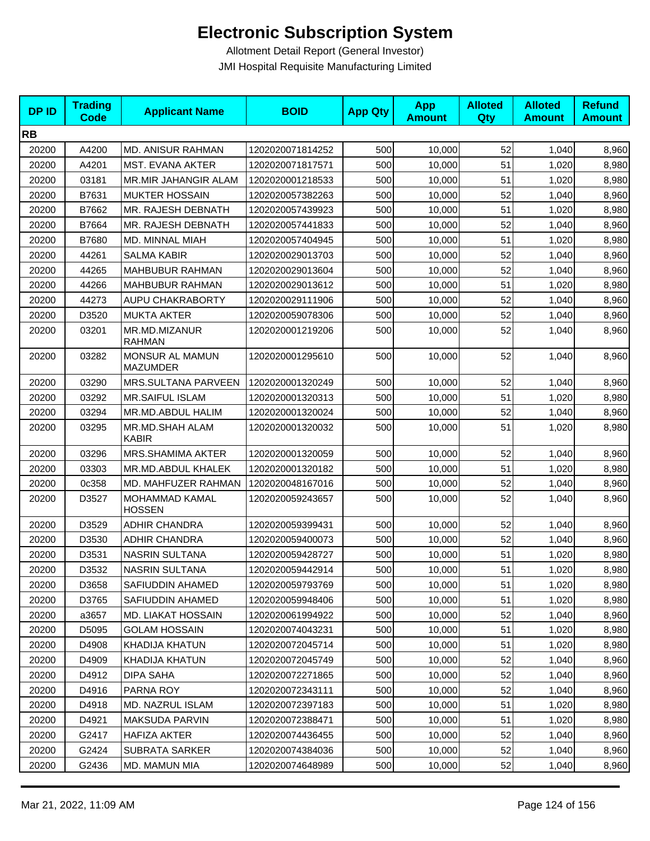| <b>DPID</b> | <b>Trading</b><br><b>Code</b> | <b>Applicant Name</b>              | <b>BOID</b>      | <b>App Qty</b> | <b>App</b><br><b>Amount</b> | <b>Alloted</b><br>Qty | <b>Alloted</b><br><b>Amount</b> | <b>Refund</b><br><b>Amount</b> |
|-------------|-------------------------------|------------------------------------|------------------|----------------|-----------------------------|-----------------------|---------------------------------|--------------------------------|
| <b>RB</b>   |                               |                                    |                  |                |                             |                       |                                 |                                |
| 20200       | A4200                         | MD. ANISUR RAHMAN                  | 1202020071814252 | 500            | 10,000                      | 52                    | 1,040                           | 8,960                          |
| 20200       | A4201                         | MST. EVANA AKTER                   | 1202020071817571 | 500            | 10,000                      | 51                    | 1,020                           | 8,980                          |
| 20200       | 03181                         | MR.MIR JAHANGIR ALAM               | 1202020001218533 | 500            | 10,000                      | 51                    | 1,020                           | 8,980                          |
| 20200       | B7631                         | <b>MUKTER HOSSAIN</b>              | 1202020057382263 | 500            | 10,000                      | 52                    | 1,040                           | 8,960                          |
| 20200       | B7662                         | MR. RAJESH DEBNATH                 | 1202020057439923 | 500            | 10,000                      | 51                    | 1,020                           | 8,980                          |
| 20200       | B7664                         | MR. RAJESH DEBNATH                 | 1202020057441833 | 500            | 10,000                      | 52                    | 1,040                           | 8,960                          |
| 20200       | B7680                         | MD. MINNAL MIAH                    | 1202020057404945 | 500            | 10,000                      | 51                    | 1,020                           | 8,980                          |
| 20200       | 44261                         | <b>SALMA KABIR</b>                 | 1202020029013703 | 500            | 10,000                      | 52                    | 1,040                           | 8,960                          |
| 20200       | 44265                         | <b>MAHBUBUR RAHMAN</b>             | 1202020029013604 | 500            | 10,000                      | 52                    | 1,040                           | 8,960                          |
| 20200       | 44266                         | MAHBUBUR RAHMAN                    | 1202020029013612 | 500            | 10,000                      | 51                    | 1,020                           | 8,980                          |
| 20200       | 44273                         | AUPU CHAKRABORTY                   | 1202020029111906 | 500            | 10,000                      | 52                    | 1,040                           | 8,960                          |
| 20200       | D3520                         | <b>MUKTA AKTER</b>                 | 1202020059078306 | 500            | 10,000                      | 52                    | 1,040                           | 8,960                          |
| 20200       | 03201                         | MR.MD.MIZANUR<br><b>RAHMAN</b>     | 1202020001219206 | 500            | 10,000                      | 52                    | 1,040                           | 8,960                          |
| 20200       | 03282                         | MONSUR AL MAMUN<br><b>MAZUMDER</b> | 1202020001295610 | 500            | 10,000                      | 52                    | 1,040                           | 8,960                          |
| 20200       | 03290                         | MRS.SULTANA PARVEEN                | 1202020001320249 | 500            | 10,000                      | 52                    | 1,040                           | 8,960                          |
| 20200       | 03292                         | <b>MR.SAIFUL ISLAM</b>             | 1202020001320313 | 500            | 10,000                      | 51                    | 1,020                           | 8,980                          |
| 20200       | 03294                         | MR.MD.ABDUL HALIM                  | 1202020001320024 | 500            | 10,000                      | 52                    | 1,040                           | 8,960                          |
| 20200       | 03295                         | MR.MD.SHAH ALAM<br><b>KABIR</b>    | 1202020001320032 | 500            | 10,000                      | 51                    | 1,020                           | 8,980                          |
| 20200       | 03296                         | MRS.SHAMIMA AKTER                  | 1202020001320059 | 500            | 10,000                      | 52                    | 1,040                           | 8,960                          |
| 20200       | 03303                         | MR.MD.ABDUL KHALEK                 | 1202020001320182 | 500            | 10,000                      | 51                    | 1,020                           | 8,980                          |
| 20200       | 0c358                         | MD. MAHFUZER RAHMAN                | 1202020048167016 | 500            | 10,000                      | 52                    | 1,040                           | 8,960                          |
| 20200       | D3527                         | MOHAMMAD KAMAL<br><b>HOSSEN</b>    | 1202020059243657 | 500            | 10,000                      | 52                    | 1,040                           | 8,960                          |
| 20200       | D3529                         | <b>ADHIR CHANDRA</b>               | 1202020059399431 | 500            | 10,000                      | 52                    | 1,040                           | 8,960                          |
| 20200       | D3530                         | <b>ADHIR CHANDRA</b>               | 1202020059400073 | 500            | 10,000                      | 52                    | 1,040                           | 8,960                          |
| 20200       | D3531                         | <b>NASRIN SULTANA</b>              | 1202020059428727 | 500            | 10,000                      | 51                    | 1,020                           | 8,980                          |
| 20200       | D3532                         | NASRIN SULTANA                     | 1202020059442914 | 500            | 10,000                      | 51                    | 1,020                           | 8,980                          |
| 20200       | D3658                         | SAFIUDDIN AHAMED                   | 1202020059793769 | 500            | 10,000                      | 51                    | 1,020                           | 8,980                          |
| 20200       | D3765                         | SAFIUDDIN AHAMED                   | 1202020059948406 | 500            | 10,000                      | 51                    | 1,020                           | 8,980                          |
| 20200       | a3657                         | <b>MD. LIAKAT HOSSAIN</b>          | 1202020061994922 | 500            | 10,000                      | 52                    | 1,040                           | 8,960                          |
| 20200       | D5095                         | <b>GOLAM HOSSAIN</b>               | 1202020074043231 | 500            | 10,000                      | 51                    | 1,020                           | 8,980                          |
| 20200       | D4908                         | <b>KHADIJA KHATUN</b>              | 1202020072045714 | 500            | 10,000                      | 51                    | 1,020                           | 8,980                          |
| 20200       | D4909                         | KHADIJA KHATUN                     | 1202020072045749 | 500            | 10,000                      | 52                    | 1,040                           | 8,960                          |
| 20200       | D4912                         | DIPA SAHA                          | 1202020072271865 | 500            | 10,000                      | 52                    | 1,040                           | 8,960                          |
| 20200       | D4916                         | PARNA ROY                          | 1202020072343111 | 500            | 10,000                      | 52                    | 1,040                           | 8,960                          |
| 20200       | D4918                         | MD. NAZRUL ISLAM                   | 1202020072397183 | 500            | 10,000                      | 51                    | 1,020                           | 8,980                          |
| 20200       | D4921                         | <b>MAKSUDA PARVIN</b>              | 1202020072388471 | 500            | 10,000                      | 51                    | 1,020                           | 8,980                          |
| 20200       | G2417                         | HAFIZA AKTER                       | 1202020074436455 | 500            | 10,000                      | 52                    | 1,040                           | 8,960                          |
| 20200       | G2424                         | SUBRATA SARKER                     | 1202020074384036 | 500            | 10,000                      | 52                    | 1,040                           | 8,960                          |
| 20200       | G2436                         | MD. MAMUN MIA                      | 1202020074648989 | 500            | 10,000                      | 52                    | 1,040                           | 8,960                          |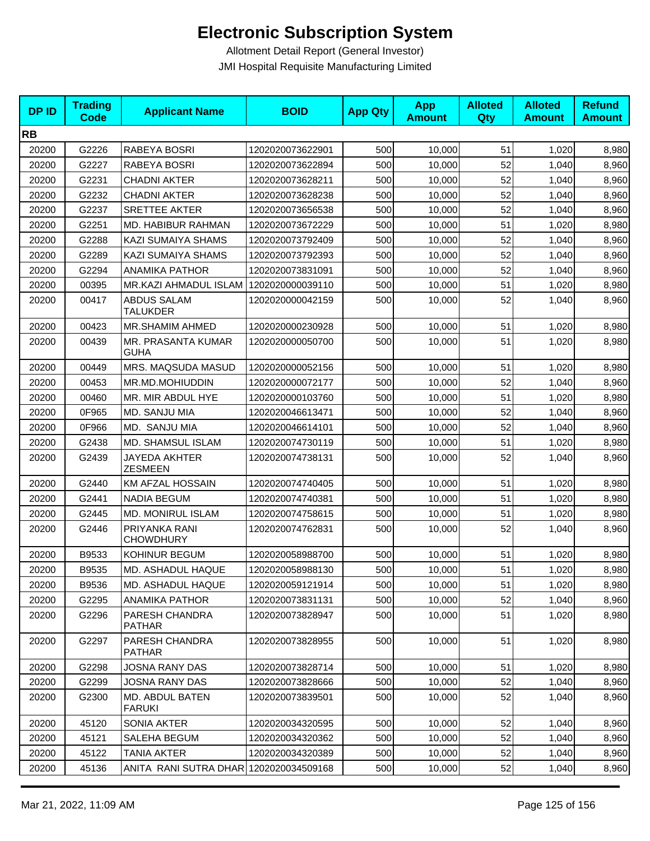| <b>DPID</b> | <b>Trading</b><br><b>Code</b> | <b>Applicant Name</b>                  | <b>BOID</b>      | <b>App Qty</b> | <b>App</b><br><b>Amount</b> | <b>Alloted</b><br>Qty | <b>Alloted</b><br><b>Amount</b> | <b>Refund</b><br><b>Amount</b> |
|-------------|-------------------------------|----------------------------------------|------------------|----------------|-----------------------------|-----------------------|---------------------------------|--------------------------------|
| <b>RB</b>   |                               |                                        |                  |                |                             |                       |                                 |                                |
| 20200       | G2226                         | RABEYA BOSRI                           | 1202020073622901 | 500            | 10,000                      | 51                    | 1,020                           | 8,980                          |
| 20200       | G2227                         | RABEYA BOSRI                           | 1202020073622894 | 500            | 10,000                      | 52                    | 1,040                           | 8,960                          |
| 20200       | G2231                         | <b>CHADNI AKTER</b>                    | 1202020073628211 | 500            | 10,000                      | 52                    | 1,040                           | 8,960                          |
| 20200       | G2232                         | <b>CHADNI AKTER</b>                    | 1202020073628238 | 500            | 10,000                      | 52                    | 1,040                           | 8,960                          |
| 20200       | G2237                         | SRETTEE AKTER                          | 1202020073656538 | 500            | 10,000                      | 52                    | 1,040                           | 8,960                          |
| 20200       | G2251                         | MD. HABIBUR RAHMAN                     | 1202020073672229 | 500            | 10,000                      | 51                    | 1,020                           | 8,980                          |
| 20200       | G2288                         | KAZI SUMAIYA SHAMS                     | 1202020073792409 | 500            | 10,000                      | 52                    | 1,040                           | 8,960                          |
| 20200       | G2289                         | KAZI SUMAIYA SHAMS                     | 1202020073792393 | 500            | 10,000                      | 52                    | 1,040                           | 8,960                          |
| 20200       | G2294                         | <b>ANAMIKA PATHOR</b>                  | 1202020073831091 | 500            | 10,000                      | 52                    | 1,040                           | 8,960                          |
| 20200       | 00395                         | MR.KAZI AHMADUL ISLAM                  | 1202020000039110 | 500            | 10,000                      | 51                    | 1,020                           | 8,980                          |
| 20200       | 00417                         | <b>ABDUS SALAM</b><br><b>TALUKDER</b>  | 1202020000042159 | 500            | 10,000                      | 52                    | 1,040                           | 8,960                          |
| 20200       | 00423                         | <b>MR.SHAMIM AHMED</b>                 | 1202020000230928 | 500            | 10,000                      | 51                    | 1,020                           | 8,980                          |
| 20200       | 00439                         | MR. PRASANTA KUMAR<br><b>GUHA</b>      | 1202020000050700 | 500            | 10,000                      | 51                    | 1,020                           | 8,980                          |
| 20200       | 00449                         | <b>MRS. MAQSUDA MASUD</b>              | 1202020000052156 | 500            | 10,000                      | 51                    | 1,020                           | 8,980                          |
| 20200       | 00453                         | MR.MD.MOHIUDDIN                        | 1202020000072177 | 500            | 10,000                      | 52                    | 1,040                           | 8,960                          |
| 20200       | 00460                         | MR. MIR ABDUL HYE                      | 1202020000103760 | 500            | 10,000                      | 51                    | 1,020                           | 8,980                          |
| 20200       | 0F965                         | MD. SANJU MIA                          | 1202020046613471 | 500            | 10,000                      | 52                    | 1,040                           | 8,960                          |
| 20200       | 0F966                         | MD. SANJU MIA                          | 1202020046614101 | 500            | 10,000                      | 52                    | 1,040                           | 8,960                          |
| 20200       | G2438                         | MD. SHAMSUL ISLAM                      | 1202020074730119 | 500            | 10,000                      | 51                    | 1,020                           | 8,980                          |
| 20200       | G2439                         | <b>JAYEDA AKHTER</b><br><b>ZESMEEN</b> | 1202020074738131 | 500            | 10,000                      | 52                    | 1,040                           | 8,960                          |
| 20200       | G2440                         | KM AFZAL HOSSAIN                       | 1202020074740405 | 500            | 10,000                      | 51                    | 1,020                           | 8,980                          |
| 20200       | G2441                         | <b>NADIA BEGUM</b>                     | 1202020074740381 | 500            | 10,000                      | 51                    | 1,020                           | 8,980                          |
| 20200       | G2445                         | MD. MONIRUL ISLAM                      | 1202020074758615 | 500            | 10,000                      | 51                    | 1,020                           | 8,980                          |
| 20200       | G2446                         | PRIYANKA RANI<br><b>CHOWDHURY</b>      | 1202020074762831 | 500            | 10,000                      | 52                    | 1,040                           | 8,960                          |
| 20200       | B9533                         | KOHINUR BEGUM                          | 1202020058988700 | 500            | 10,000                      | 51                    | 1,020                           | 8,980                          |
| 20200       | B9535                         | MD. ASHADUL HAQUE                      | 1202020058988130 | 500            | 10,000                      | 51                    | 1,020                           | 8,980                          |
| 20200       | B9536                         | MD. ASHADUL HAQUE                      | 1202020059121914 | 500            | 10,000                      | 51                    | 1,020                           | 8,980                          |
| 20200       | G2295                         | ANAMIKA PATHOR                         | 1202020073831131 | 500            | 10,000                      | 52                    | 1,040                           | 8,960                          |
| 20200       | G2296                         | PARESH CHANDRA<br><b>PATHAR</b>        | 1202020073828947 | 500            | 10,000                      | 51                    | 1,020                           | 8,980                          |
| 20200       | G2297                         | PARESH CHANDRA<br><b>PATHAR</b>        | 1202020073828955 | 500            | 10,000                      | 51                    | 1,020                           | 8,980                          |
| 20200       | G2298                         | <b>JOSNA RANY DAS</b>                  | 1202020073828714 | 500            | 10,000                      | 51                    | 1,020                           | 8,980                          |
| 20200       | G2299                         | <b>JOSNA RANY DAS</b>                  | 1202020073828666 | 500            | 10,000                      | 52                    | 1,040                           | 8,960                          |
| 20200       | G2300                         | MD. ABDUL BATEN<br><b>FARUKI</b>       | 1202020073839501 | 500            | 10,000                      | 52                    | 1,040                           | 8,960                          |
| 20200       | 45120                         | SONIA AKTER                            | 1202020034320595 | 500            | 10,000                      | 52                    | 1,040                           | 8,960                          |
| 20200       | 45121                         | SALEHA BEGUM                           | 1202020034320362 | 500            | 10,000                      | 52                    | 1,040                           | 8,960                          |
| 20200       | 45122                         | <b>TANIA AKTER</b>                     | 1202020034320389 | 500            | 10,000                      | 52                    | 1,040                           | 8,960                          |
| 20200       | 45136                         | ANITA RANI SUTRA DHAR 1202020034509168 |                  | 500            | 10,000                      | 52                    | 1,040                           | 8,960                          |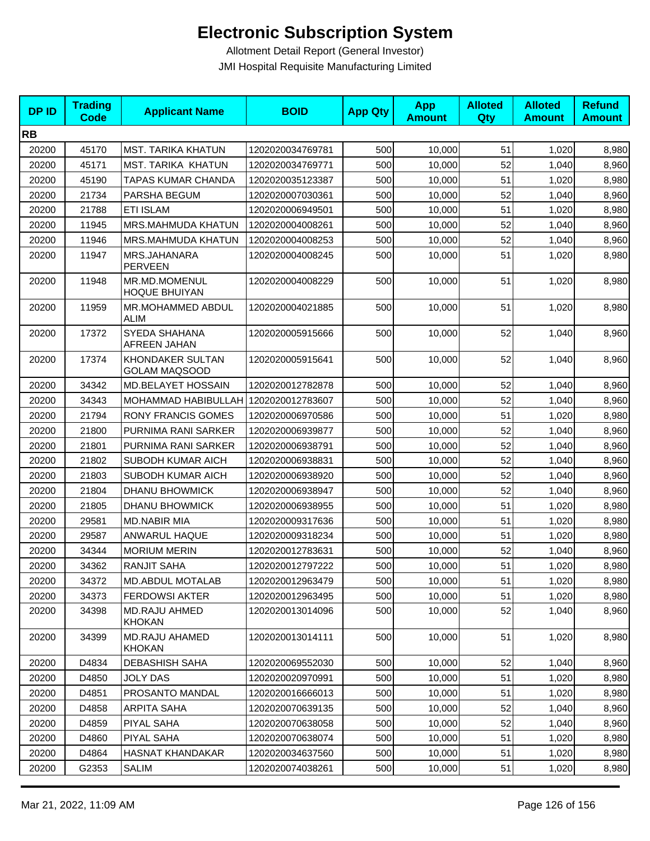| <b>DPID</b> | <b>Trading</b><br>Code | <b>Applicant Name</b>                    | <b>BOID</b>      | <b>App Qty</b> | <b>App</b><br><b>Amount</b> | <b>Alloted</b><br>Qty | <b>Alloted</b><br><b>Amount</b> | <b>Refund</b><br><b>Amount</b> |
|-------------|------------------------|------------------------------------------|------------------|----------------|-----------------------------|-----------------------|---------------------------------|--------------------------------|
| <b>RB</b>   |                        |                                          |                  |                |                             |                       |                                 |                                |
| 20200       | 45170                  | <b>MST. TARIKA KHATUN</b>                | 1202020034769781 | 500            | 10,000                      | 51                    | 1,020                           | 8,980                          |
| 20200       | 45171                  | <b>MST. TARIKA KHATUN</b>                | 1202020034769771 | 500            | 10,000                      | 52                    | 1,040                           | 8,960                          |
| 20200       | 45190                  | TAPAS KUMAR CHANDA                       | 1202020035123387 | 500            | 10,000                      | 51                    | 1,020                           | 8,980                          |
| 20200       | 21734                  | PARSHA BEGUM                             | 1202020007030361 | 500            | 10,000                      | 52                    | 1,040                           | 8,960                          |
| 20200       | 21788                  | <b>ETI ISLAM</b>                         | 1202020006949501 | 500            | 10,000                      | 51                    | 1,020                           | 8,980                          |
| 20200       | 11945                  | MRS.MAHMUDA KHATUN                       | 1202020004008261 | 500            | 10,000                      | 52                    | 1,040                           | 8,960                          |
| 20200       | 11946                  | MRS.MAHMUDA KHATUN                       | 1202020004008253 | 500            | 10,000                      | 52                    | 1,040                           | 8,960                          |
| 20200       | 11947                  | MRS.JAHANARA<br><b>PERVEEN</b>           | 1202020004008245 | 500            | 10,000                      | 51                    | 1,020                           | 8,980                          |
| 20200       | 11948                  | MR.MD.MOMENUL<br><b>HOQUE BHUIYAN</b>    | 1202020004008229 | 500            | 10,000                      | 51                    | 1,020                           | 8,980                          |
| 20200       | 11959                  | MR.MOHAMMED ABDUL<br>ALIM                | 1202020004021885 | 500            | 10,000                      | 51                    | 1,020                           | 8,980                          |
| 20200       | 17372                  | SYEDA SHAHANA<br>AFREEN JAHAN            | 1202020005915666 | 500            | 10,000                      | 52                    | 1,040                           | 8,960                          |
| 20200       | 17374                  | KHONDAKER SULTAN<br><b>GOLAM MAQSOOD</b> | 1202020005915641 | 500            | 10,000                      | 52                    | 1,040                           | 8,960                          |
| 20200       | 34342                  | MD.BELAYET HOSSAIN                       | 1202020012782878 | 500            | 10,000                      | 52                    | 1,040                           | 8,960                          |
| 20200       | 34343                  | MOHAMMAD HABIBULLAH 1202020012783607     |                  | 500            | 10,000                      | 52                    | 1,040                           | 8,960                          |
| 20200       | 21794                  | <b>RONY FRANCIS GOMES</b>                | 1202020006970586 | 500            | 10,000                      | 51                    | 1,020                           | 8,980                          |
| 20200       | 21800                  | PURNIMA RANI SARKER                      | 1202020006939877 | 500            | 10,000                      | 52                    | 1,040                           | 8,960                          |
| 20200       | 21801                  | PURNIMA RANI SARKER                      | 1202020006938791 | 500            | 10,000                      | 52                    | 1,040                           | 8,960                          |
| 20200       | 21802                  | SUBODH KUMAR AICH                        | 1202020006938831 | 500            | 10,000                      | 52                    | 1,040                           | 8,960                          |
| 20200       | 21803                  | SUBODH KUMAR AICH                        | 1202020006938920 | 500            | 10,000                      | 52                    | 1,040                           | 8,960                          |
| 20200       | 21804                  | <b>DHANU BHOWMICK</b>                    | 1202020006938947 | 500            | 10,000                      | 52                    | 1,040                           | 8,960                          |
| 20200       | 21805                  | <b>DHANU BHOWMICK</b>                    | 1202020006938955 | 500            | 10,000                      | 51                    | 1,020                           | 8,980                          |
| 20200       | 29581                  | <b>MD.NABIR MIA</b>                      | 1202020009317636 | 500            | 10,000                      | 51                    | 1,020                           | 8,980                          |
| 20200       | 29587                  | ANWARUL HAQUE                            | 1202020009318234 | 500            | 10,000                      | 51                    | 1,020                           | 8,980                          |
| 20200       | 34344                  | <b>MORIUM MERIN</b>                      | 1202020012783631 | 500            | 10,000                      | 52                    | 1,040                           | 8,960                          |
| 20200       | 34362                  | <b>RANJIT SAHA</b>                       | 1202020012797222 | 500            | 10,000                      | 51                    | 1,020                           | 8,980                          |
| 20200       | 34372                  | <b>MD.ABDUL MOTALAB</b>                  | 1202020012963479 | 500            | 10,000                      | 51                    | 1,020                           | 8,980                          |
| 20200       | 34373                  | <b>FERDOWSI AKTER</b>                    | 1202020012963495 | 500            | 10,000                      | 51                    | 1,020                           | 8,980                          |
| 20200       | 34398                  | <b>MD.RAJU AHMED</b><br><b>KHOKAN</b>    | 1202020013014096 | 500            | 10,000                      | 52                    | 1,040                           | 8,960                          |
| 20200       | 34399                  | <b>MD.RAJU AHAMED</b><br><b>KHOKAN</b>   | 1202020013014111 | 500            | 10,000                      | 51                    | 1,020                           | 8,980                          |
| 20200       | D4834                  | <b>DEBASHISH SAHA</b>                    | 1202020069552030 | 500            | 10,000                      | 52                    | 1,040                           | 8,960                          |
| 20200       | D4850                  | <b>JOLY DAS</b>                          | 1202020020970991 | 500            | 10,000                      | 51                    | 1,020                           | 8,980                          |
| 20200       | D4851                  | PROSANTO MANDAL                          | 1202020016666013 | 500            | 10,000                      | 51                    | 1,020                           | 8,980                          |
| 20200       | D4858                  | ARPITA SAHA                              | 1202020070639135 | 500            | 10,000                      | 52                    | 1,040                           | 8,960                          |
| 20200       | D4859                  | PIYAL SAHA                               | 1202020070638058 | 500            | 10,000                      | 52                    | 1,040                           | 8,960                          |
| 20200       | D4860                  | PIYAL SAHA                               | 1202020070638074 | 500            | 10,000                      | 51                    | 1,020                           | 8,980                          |
| 20200       | D4864                  | <b>HASNAT KHANDAKAR</b>                  | 1202020034637560 | 500            | 10,000                      | 51                    | 1,020                           | 8,980                          |
| 20200       | G2353                  | SALIM                                    | 1202020074038261 | 500            | 10,000                      | 51                    | 1,020                           | 8,980                          |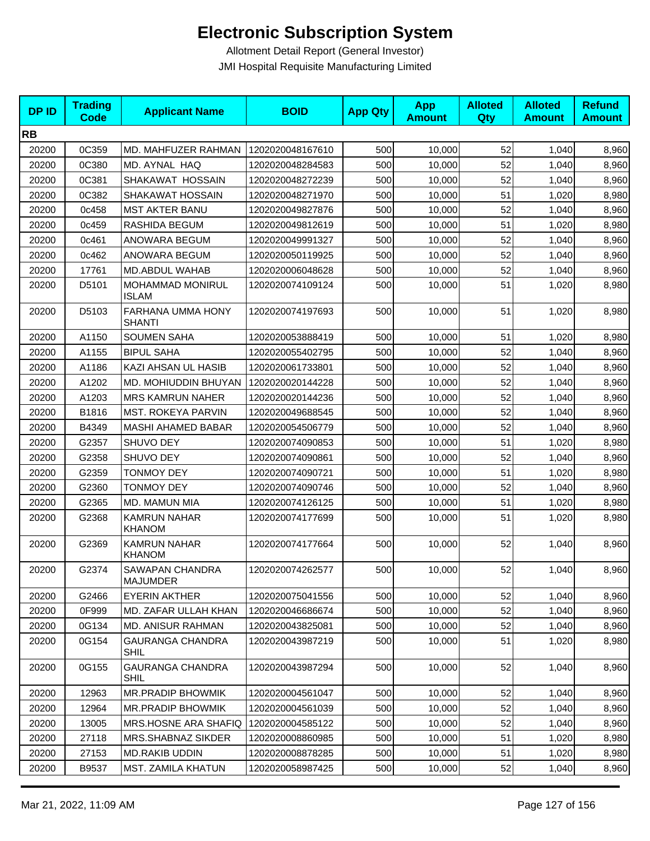| <b>DPID</b> | <b>Trading</b><br><b>Code</b> | <b>Applicant Name</b>                     | <b>BOID</b>      | <b>App Qty</b> | <b>App</b><br><b>Amount</b> | <b>Alloted</b><br>Qty | <b>Alloted</b><br><b>Amount</b> | <b>Refund</b><br><b>Amount</b> |
|-------------|-------------------------------|-------------------------------------------|------------------|----------------|-----------------------------|-----------------------|---------------------------------|--------------------------------|
| <b>RB</b>   |                               |                                           |                  |                |                             |                       |                                 |                                |
| 20200       | 0C359                         | MD. MAHFUZER RAHMAN                       | 1202020048167610 | 500            | 10,000                      | 52                    | 1,040                           | 8,960                          |
| 20200       | 0C380                         | MD. AYNAL HAQ                             | 1202020048284583 | 500            | 10,000                      | 52                    | 1,040                           | 8,960                          |
| 20200       | 0C381                         | SHAKAWAT HOSSAIN                          | 1202020048272239 | 500            | 10,000                      | 52                    | 1,040                           | 8,960                          |
| 20200       | 0C382                         | SHAKAWAT HOSSAIN                          | 1202020048271970 | 500            | 10,000                      | 51                    | 1,020                           | 8,980                          |
| 20200       | 0c458                         | <b>MST AKTER BANU</b>                     | 1202020049827876 | 500            | 10,000                      | 52                    | 1,040                           | 8,960                          |
| 20200       | 0c459                         | RASHIDA BEGUM                             | 1202020049812619 | 500            | 10,000                      | 51                    | 1,020                           | 8,980                          |
| 20200       | 0c461                         | ANOWARA BEGUM                             | 1202020049991327 | 500            | 10,000                      | 52                    | 1,040                           | 8,960                          |
| 20200       | 0c462                         | ANOWARA BEGUM                             | 1202020050119925 | 500            | 10,000                      | 52                    | 1,040                           | 8,960                          |
| 20200       | 17761                         | MD.ABDUL WAHAB                            | 1202020006048628 | 500            | 10,000                      | 52                    | 1,040                           | 8,960                          |
| 20200       | D5101                         | MOHAMMAD MONIRUL<br><b>ISLAM</b>          | 1202020074109124 | 500            | 10,000                      | 51                    | 1,020                           | 8,980                          |
| 20200       | D5103                         | FARHANA UMMA HONY<br><b>SHANTI</b>        | 1202020074197693 | 500            | 10,000                      | 51                    | 1,020                           | 8,980                          |
| 20200       | A1150                         | <b>SOUMEN SAHA</b>                        | 1202020053888419 | 500            | 10,000                      | 51                    | 1,020                           | 8,980                          |
| 20200       | A1155                         | <b>BIPUL SAHA</b>                         | 1202020055402795 | 500            | 10.000                      | 52                    | 1,040                           | 8,960                          |
| 20200       | A1186                         | KAZI AHSAN UL HASIB                       | 1202020061733801 | 500            | 10,000                      | 52                    | 1,040                           | 8,960                          |
| 20200       | A1202                         | MD. MOHIUDDIN BHUYAN                      | 1202020020144228 | 500            | 10,000                      | 52                    | 1,040                           | 8,960                          |
| 20200       | A1203                         | <b>MRS KAMRUN NAHER</b>                   | 1202020020144236 | 500            | 10,000                      | 52                    | 1,040                           | 8,960                          |
| 20200       | B1816                         | MST. ROKEYA PARVIN                        | 1202020049688545 | 500            | 10,000                      | 52                    | 1,040                           | 8,960                          |
| 20200       | B4349                         | MASHI AHAMED BABAR                        | 1202020054506779 | 500            | 10,000                      | 52                    | 1,040                           | 8,960                          |
| 20200       | G2357                         | SHUVO DEY                                 | 1202020074090853 | 500            | 10,000                      | 51                    | 1,020                           | 8,980                          |
| 20200       | G2358                         | SHUVO DEY                                 | 1202020074090861 | 500            | 10,000                      | 52                    | 1,040                           | 8,960                          |
| 20200       | G2359                         | <b>TONMOY DEY</b>                         | 1202020074090721 | 500            | 10,000                      | 51                    | 1,020                           | 8,980                          |
| 20200       | G2360                         | <b>TONMOY DEY</b>                         | 1202020074090746 | 500            | 10,000                      | 52                    | 1,040                           | 8,960                          |
| 20200       | G2365                         | MD. MAMUN MIA                             | 1202020074126125 | 500            | 10,000                      | 51                    | 1,020                           | 8,980                          |
| 20200       | G2368                         | <b>KAMRUN NAHAR</b><br><b>KHANOM</b>      | 1202020074177699 | 500            | 10,000                      | 51                    | 1,020                           | 8,980                          |
| 20200       | G2369                         | <b>KAMRUN NAHAR</b><br><b>KHANOM</b>      | 1202020074177664 | 500            | 10,000                      | 52                    | 1,040                           | 8,960                          |
| 20200       | G2374                         | <b>SAWAPAN CHANDRA</b><br><b>MAJUMDER</b> | 1202020074262577 | 500            | 10,000                      | 52                    | 1,040                           | 8,960                          |
| 20200       | G2466                         | <b>EYERIN AKTHER</b>                      | 1202020075041556 | 500            | 10,000                      | 52                    | 1,040                           | 8,960                          |
| 20200       | 0F999                         | MD. ZAFAR ULLAH KHAN                      | 1202020046686674 | 500            | 10,000                      | 52                    | 1,040                           | 8,960                          |
| 20200       | 0G134                         | <b>MD. ANISUR RAHMAN</b>                  | 1202020043825081 | 500            | 10,000                      | 52                    | 1,040                           | 8,960                          |
| 20200       | 0G154                         | <b>GAURANGA CHANDRA</b><br><b>SHIL</b>    | 1202020043987219 | 500            | 10,000                      | 51                    | 1,020                           | 8,980                          |
| 20200       | 0G155                         | <b>GAURANGA CHANDRA</b><br><b>SHIL</b>    | 1202020043987294 | 500            | 10,000                      | 52                    | 1,040                           | 8,960                          |
| 20200       | 12963                         | MR.PRADIP BHOWMIK                         | 1202020004561047 | 500            | 10,000                      | 52                    | 1,040                           | 8,960                          |
| 20200       | 12964                         | <b>MR.PRADIP BHOWMIK</b>                  | 1202020004561039 | 500            | 10,000                      | 52                    | 1,040                           | 8,960                          |
| 20200       | 13005                         | MRS.HOSNE ARA SHAFIQ                      | 1202020004585122 | 500            | 10,000                      | 52                    | 1,040                           | 8,960                          |
| 20200       | 27118                         | MRS.SHABNAZ SIKDER                        | 1202020008860985 | 500            | 10,000                      | 51                    | 1,020                           | 8,980                          |
| 20200       | 27153                         | MD.RAKIB UDDIN                            | 1202020008878285 | 500            | 10,000                      | 51                    | 1,020                           | 8,980                          |
| 20200       | B9537                         | <b>MST. ZAMILA KHATUN</b>                 | 1202020058987425 | 500            | 10,000                      | 52                    | 1,040                           | 8,960                          |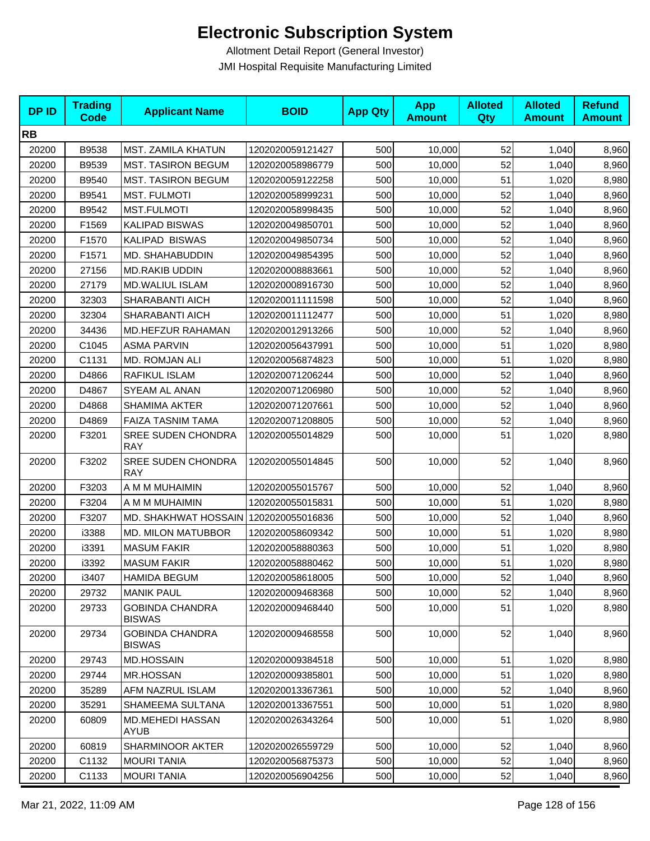| <b>DPID</b> | <b>Trading</b><br><b>Code</b> | <b>Applicant Name</b>                   | <b>BOID</b>      | <b>App Qty</b> | <b>App</b><br><b>Amount</b> | <b>Alloted</b><br>Qty | <b>Alloted</b><br><b>Amount</b> | <b>Refund</b><br><b>Amount</b> |
|-------------|-------------------------------|-----------------------------------------|------------------|----------------|-----------------------------|-----------------------|---------------------------------|--------------------------------|
| <b>RB</b>   |                               |                                         |                  |                |                             |                       |                                 |                                |
| 20200       | B9538                         | MST. ZAMILA KHATUN                      | 1202020059121427 | 500            | 10,000                      | 52                    | 1,040                           | 8,960                          |
| 20200       | B9539                         | <b>MST. TASIRON BEGUM</b>               | 1202020058986779 | 500            | 10,000                      | 52                    | 1,040                           | 8,960                          |
| 20200       | B9540                         | <b>MST. TASIRON BEGUM</b>               | 1202020059122258 | 500            | 10,000                      | 51                    | 1,020                           | 8,980                          |
| 20200       | B9541                         | <b>MST. FULMOTI</b>                     | 1202020058999231 | 500            | 10,000                      | 52                    | 1,040                           | 8,960                          |
| 20200       | B9542                         | <b>MST.FULMOTI</b>                      | 1202020058998435 | 500            | 10,000                      | 52                    | 1,040                           | 8,960                          |
| 20200       | F1569                         | KALIPAD BISWAS                          | 1202020049850701 | 500            | 10,000                      | 52                    | 1,040                           | 8,960                          |
| 20200       | F1570                         | KALIPAD BISWAS                          | 1202020049850734 | 500            | 10,000                      | 52                    | 1,040                           | 8,960                          |
| 20200       | F1571                         | MD. SHAHABUDDIN                         | 1202020049854395 | 500            | 10,000                      | 52                    | 1,040                           | 8,960                          |
| 20200       | 27156                         | <b>MD.RAKIB UDDIN</b>                   | 1202020008883661 | 500            | 10,000                      | 52                    | 1,040                           | 8,960                          |
| 20200       | 27179                         | MD.WALIUL ISLAM                         | 1202020008916730 | 500            | 10,000                      | 52                    | 1,040                           | 8,960                          |
| 20200       | 32303                         | SHARABANTI AICH                         | 1202020011111598 | 500            | 10,000                      | 52                    | 1,040                           | 8,960                          |
| 20200       | 32304                         | SHARABANTI AICH                         | 1202020011112477 | 500            | 10,000                      | 51                    | 1,020                           | 8,980                          |
| 20200       | 34436                         | MD.HEFZUR RAHAMAN                       | 1202020012913266 | 500            | 10,000                      | 52                    | 1,040                           | 8,960                          |
| 20200       | C1045                         | <b>ASMA PARVIN</b>                      | 1202020056437991 | 500            | 10,000                      | 51                    | 1,020                           | 8,980                          |
| 20200       | C1131                         | MD. ROMJAN ALI                          | 1202020056874823 | 500            | 10,000                      | 51                    | 1,020                           | 8,980                          |
| 20200       | D4866                         | RAFIKUL ISLAM                           | 1202020071206244 | 500            | 10,000                      | 52                    | 1,040                           | 8,960                          |
| 20200       | D4867                         | SYEAM AL ANAN                           | 1202020071206980 | 500            | 10,000                      | 52                    | 1,040                           | 8,960                          |
| 20200       | D4868                         | <b>SHAMIMA AKTER</b>                    | 1202020071207661 | 500            | 10,000                      | 52                    | 1,040                           | 8,960                          |
| 20200       | D4869                         | FAIZA TASNIM TAMA                       | 1202020071208805 | 500            | 10,000                      | 52                    | 1,040                           | 8,960                          |
| 20200       | F3201                         | <b>SREE SUDEN CHONDRA</b><br><b>RAY</b> | 1202020055014829 | 500            | 10,000                      | 51                    | 1,020                           | 8,980                          |
| 20200       | F3202                         | <b>SREE SUDEN CHONDRA</b><br><b>RAY</b> | 1202020055014845 | 500            | 10,000                      | 52                    | 1,040                           | 8,960                          |
| 20200       | F3203                         | A M M MUHAIMIN                          | 1202020055015767 | 500            | 10,000                      | 52                    | 1,040                           | 8,960                          |
| 20200       | F3204                         | A M M MUHAIMIN                          | 1202020055015831 | 500            | 10,000                      | 51                    | 1,020                           | 8,980                          |
| 20200       | F3207                         | MD. SHAKHWAT HOSSAIN                    | 1202020055016836 | 500            | 10,000                      | 52                    | 1,040                           | 8,960                          |
| 20200       | i3388                         | <b>MD. MILON MATUBBOR</b>               | 1202020058609342 | 500            | 10,000                      | 51                    | 1,020                           | 8,980                          |
| 20200       | i3391                         | <b>MASUM FAKIR</b>                      | 1202020058880363 | 500            | 10,000                      | 51                    | 1,020                           | 8,980                          |
| 20200       | i3392                         | <b>MASUM FAKIR</b>                      | 1202020058880462 | 500            | 10,000                      | 51                    | 1,020                           | 8,980                          |
| 20200       | i3407                         | <b>HAMIDA BEGUM</b>                     | 1202020058618005 | 500            | 10,000                      | 52                    | 1,040                           | 8,960                          |
| 20200       | 29732                         | <b>MANIK PAUL</b>                       | 1202020009468368 | 500            | 10,000                      | 52                    | 1,040                           | 8,960                          |
| 20200       | 29733                         | <b>GOBINDA CHANDRA</b><br><b>BISWAS</b> | 1202020009468440 | 500            | 10,000                      | 51                    | 1,020                           | 8,980                          |
| 20200       | 29734                         | <b>GOBINDA CHANDRA</b><br><b>BISWAS</b> | 1202020009468558 | 500            | 10,000                      | 52                    | 1,040                           | 8,960                          |
| 20200       | 29743                         | <b>MD.HOSSAIN</b>                       | 1202020009384518 | 500            | 10,000                      | 51                    | 1,020                           | 8,980                          |
| 20200       | 29744                         | MR.HOSSAN                               | 1202020009385801 | 500            | 10,000                      | 51                    | 1,020                           | 8,980                          |
| 20200       | 35289                         | AFM NAZRUL ISLAM                        | 1202020013367361 | 500            | 10,000                      | 52                    | 1,040                           | 8,960                          |
| 20200       | 35291                         | SHAMEEMA SULTANA                        | 1202020013367551 | 500            | 10,000                      | 51                    | 1,020                           | 8,980                          |
| 20200       | 60809                         | MD.MEHEDI HASSAN<br><b>AYUB</b>         | 1202020026343264 | 500            | 10,000                      | 51                    | 1,020                           | 8,980                          |
| 20200       | 60819                         | SHARMINOOR AKTER                        | 1202020026559729 | 500            | 10,000                      | 52                    | 1,040                           | 8,960                          |
| 20200       | C1132                         | <b>MOURI TANIA</b>                      | 1202020056875373 | 500            | 10,000                      | 52                    | 1,040                           | 8,960                          |
| 20200       | C1133                         | <b>MOURI TANIA</b>                      | 1202020056904256 | 500            | 10,000                      | 52                    | 1,040                           | 8,960                          |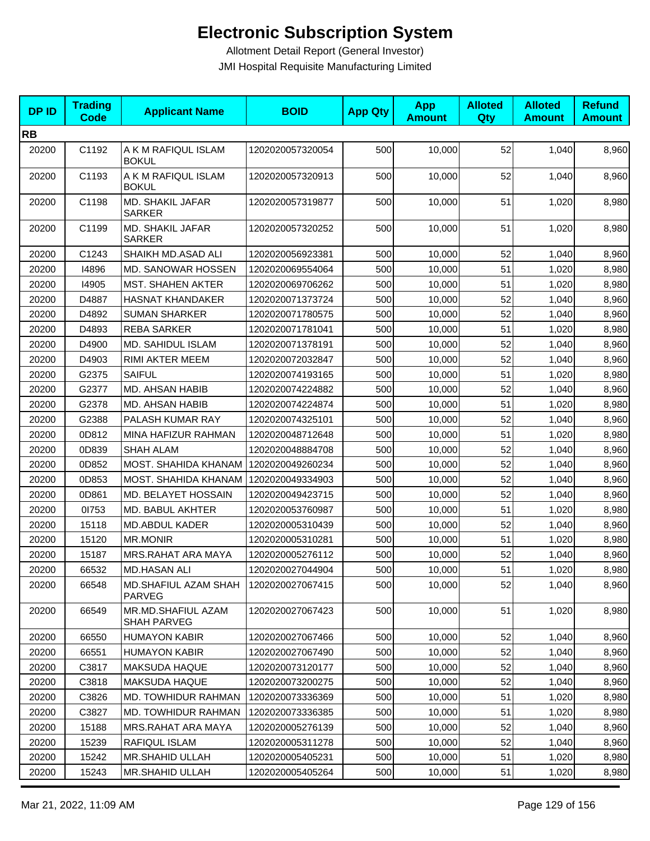| <b>DPID</b> | <b>Trading</b><br><b>Code</b> | <b>Applicant Name</b>                    | <b>BOID</b>      | <b>App Qty</b> | <b>App</b><br><b>Amount</b> | <b>Alloted</b><br><b>Qty</b> | <b>Alloted</b><br><b>Amount</b> | <b>Refund</b><br><b>Amount</b> |
|-------------|-------------------------------|------------------------------------------|------------------|----------------|-----------------------------|------------------------------|---------------------------------|--------------------------------|
| <b>RB</b>   |                               |                                          |                  |                |                             |                              |                                 |                                |
| 20200       | C1192                         | A K M RAFIQUL ISLAM<br><b>BOKUL</b>      | 1202020057320054 | 500            | 10,000                      | 52                           | 1,040                           | 8,960                          |
| 20200       | C1193                         | A K M RAFIQUL ISLAM<br><b>BOKUL</b>      | 1202020057320913 | 500            | 10,000                      | 52                           | 1,040                           | 8,960                          |
| 20200       | C1198                         | MD. SHAKIL JAFAR<br><b>SARKER</b>        | 1202020057319877 | 500            | 10,000                      | 51                           | 1,020                           | 8,980                          |
| 20200       | C1199                         | MD. SHAKIL JAFAR<br><b>SARKER</b>        | 1202020057320252 | 500            | 10,000                      | 51                           | 1,020                           | 8,980                          |
| 20200       | C1243                         | SHAIKH MD.ASAD ALI                       | 1202020056923381 | 500            | 10,000                      | 52                           | 1,040                           | 8,960                          |
| 20200       | 14896                         | MD. SANOWAR HOSSEN                       | 1202020069554064 | 500            | 10,000                      | 51                           | 1,020                           | 8,980                          |
| 20200       | 14905                         | <b>MST. SHAHEN AKTER</b>                 | 1202020069706262 | 500            | 10,000                      | 51                           | 1,020                           | 8,980                          |
| 20200       | D4887                         | <b>HASNAT KHANDAKER</b>                  | 1202020071373724 | 500            | 10,000                      | 52                           | 1,040                           | 8,960                          |
| 20200       | D4892                         | <b>SUMAN SHARKER</b>                     | 1202020071780575 | 500            | 10,000                      | 52                           | 1,040                           | 8,960                          |
| 20200       | D4893                         | <b>REBA SARKER</b>                       | 1202020071781041 | 500            | 10,000                      | 51                           | 1,020                           | 8,980                          |
| 20200       | D4900                         | MD. SAHIDUL ISLAM                        | 1202020071378191 | 500            | 10,000                      | 52                           | 1,040                           | 8,960                          |
| 20200       | D4903                         | RIMI AKTER MEEM                          | 1202020072032847 | 500            | 10,000                      | 52                           | 1,040                           | 8,960                          |
| 20200       | G2375                         | SAIFUL                                   | 1202020074193165 | 500            | 10,000                      | 51                           | 1,020                           | 8,980                          |
| 20200       | G2377                         | MD. AHSAN HABIB                          | 1202020074224882 | 500            | 10,000                      | 52                           | 1,040                           | 8,960                          |
| 20200       | G2378                         | MD. AHSAN HABIB                          | 1202020074224874 | 500            | 10,000                      | 51                           | 1,020                           | 8,980                          |
| 20200       | G2388                         | PALASH KUMAR RAY                         | 1202020074325101 | 500            | 10,000                      | 52                           | 1,040                           | 8,960                          |
| 20200       | 0D812                         | MINA HAFIZUR RAHMAN                      | 1202020048712648 | 500            | 10,000                      | 51                           | 1,020                           | 8,980                          |
| 20200       | 0D839                         | <b>SHAH ALAM</b>                         | 1202020048884708 | 500            | 10,000                      | 52                           | 1,040                           | 8,960                          |
| 20200       | 0D852                         | MOST. SHAHIDA KHANAM                     | 1202020049260234 | 500            | 10,000                      | 52                           | 1,040                           | 8,960                          |
| 20200       | 0D853                         | MOST. SHAHIDA KHANAM                     | 1202020049334903 | 500            | 10,000                      | 52                           | 1,040                           | 8,960                          |
| 20200       | 0D861                         | MD. BELAYET HOSSAIN                      | 1202020049423715 | 500            | 10,000                      | 52                           | 1,040                           | 8,960                          |
| 20200       | 01753                         | MD. BABUL AKHTER                         | 1202020053760987 | 500            | 10,000                      | 51                           | 1,020                           | 8,980                          |
| 20200       | 15118                         | <b>MD.ABDUL KADER</b>                    | 1202020005310439 | 500            | 10,000                      | 52                           | 1,040                           | 8,960                          |
| 20200       | 15120                         | <b>MR.MONIR</b>                          | 1202020005310281 | 500            | 10,000                      | 51                           | 1,020                           | 8,980                          |
| 20200       | 15187                         | MRS.RAHAT ARA MAYA                       | 1202020005276112 | 500            | 10,000                      | 52                           | 1,040                           | 8,960                          |
| 20200       | 66532                         | <b>MD.HASAN ALI</b>                      | 1202020027044904 | 500            | 10,000                      | 51                           | 1,020                           | 8,980                          |
| 20200       | 66548                         | MD.SHAFIUL AZAM SHAH<br><b>PARVEG</b>    | 1202020027067415 | 500            | 10,000                      | 52                           | 1,040                           | 8,960                          |
| 20200       | 66549                         | MR.MD.SHAFIUL AZAM<br><b>SHAH PARVEG</b> | 1202020027067423 | 500            | 10,000                      | 51                           | 1,020                           | 8,980                          |
| 20200       | 66550                         | <b>HUMAYON KABIR</b>                     | 1202020027067466 | 500            | 10,000                      | 52                           | 1,040                           | 8,960                          |
| 20200       | 66551                         | <b>HUMAYON KABIR</b>                     | 1202020027067490 | 500            | 10,000                      | 52                           | 1,040                           | 8,960                          |
| 20200       | C3817                         | <b>MAKSUDA HAQUE</b>                     | 1202020073120177 | 500            | 10,000                      | 52                           | 1,040                           | 8,960                          |
| 20200       | C3818                         | <b>MAKSUDA HAQUE</b>                     | 1202020073200275 | 500            | 10,000                      | 52                           | 1,040                           | 8,960                          |
| 20200       | C3826                         | <b>MD. TOWHIDUR RAHMAN</b>               | 1202020073336369 | 500            | 10,000                      | 51                           | 1,020                           | 8,980                          |
| 20200       | C3827                         | MD. TOWHIDUR RAHMAN                      | 1202020073336385 | 500            | 10,000                      | 51                           | 1,020                           | 8,980                          |
| 20200       | 15188                         | MRS.RAHAT ARA MAYA                       | 1202020005276139 | 500            | 10,000                      | 52                           | 1,040                           | 8,960                          |
| 20200       | 15239                         | RAFIQUL ISLAM                            | 1202020005311278 | 500            | 10,000                      | 52                           | 1,040                           | 8,960                          |
| 20200       | 15242                         | MR.SHAHID ULLAH                          | 1202020005405231 | 500            | 10,000                      | 51                           | 1,020                           | 8,980                          |
| 20200       | 15243                         | MR.SHAHID ULLAH                          | 1202020005405264 | 500            | 10,000                      | 51                           | 1,020                           | 8,980                          |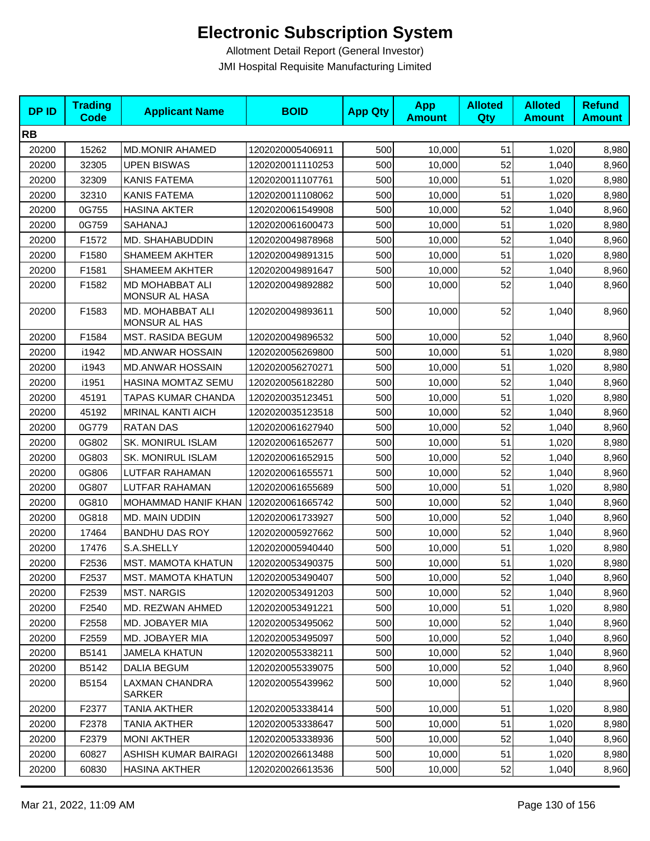| <b>DPID</b> | <b>Trading</b><br>Code | <b>Applicant Name</b>                    | <b>BOID</b>      | <b>App Qty</b> | <b>App</b><br><b>Amount</b> | <b>Alloted</b><br>Qty | <b>Alloted</b><br><b>Amount</b> | <b>Refund</b><br><b>Amount</b> |
|-------------|------------------------|------------------------------------------|------------------|----------------|-----------------------------|-----------------------|---------------------------------|--------------------------------|
| <b>RB</b>   |                        |                                          |                  |                |                             |                       |                                 |                                |
| 20200       | 15262                  | <b>MD.MONIR AHAMED</b>                   | 1202020005406911 | 500            | 10,000                      | 51                    | 1,020                           | 8,980                          |
| 20200       | 32305                  | <b>UPEN BISWAS</b>                       | 1202020011110253 | 500            | 10,000                      | 52                    | 1,040                           | 8,960                          |
| 20200       | 32309                  | <b>KANIS FATEMA</b>                      | 1202020011107761 | 500            | 10,000                      | 51                    | 1,020                           | 8,980                          |
| 20200       | 32310                  | <b>KANIS FATEMA</b>                      | 1202020011108062 | 500            | 10,000                      | 51                    | 1,020                           | 8,980                          |
| 20200       | 0G755                  | <b>HASINA AKTER</b>                      | 1202020061549908 | 500            | 10,000                      | 52                    | 1,040                           | 8,960                          |
| 20200       | 0G759                  | SAHANAJ                                  | 1202020061600473 | 500            | 10,000                      | 51                    | 1,020                           | 8,980                          |
| 20200       | F1572                  | MD. SHAHABUDDIN                          | 1202020049878968 | 500            | 10,000                      | 52                    | 1,040                           | 8,960                          |
| 20200       | F1580                  | <b>SHAMEEM AKHTER</b>                    | 1202020049891315 | 500            | 10,000                      | 51                    | 1,020                           | 8,980                          |
| 20200       | F1581                  | <b>SHAMEEM AKHTER</b>                    | 1202020049891647 | 500            | 10,000                      | 52                    | 1,040                           | 8,960                          |
| 20200       | F1582                  | MD MOHABBAT ALI<br>MONSUR AL HASA        | 1202020049892882 | 500            | 10,000                      | 52                    | 1,040                           | 8,960                          |
| 20200       | F1583                  | MD. MOHABBAT ALI<br><b>MONSUR AL HAS</b> | 1202020049893611 | 500            | 10,000                      | 52                    | 1,040                           | 8,960                          |
| 20200       | F1584                  | <b>MST. RASIDA BEGUM</b>                 | 1202020049896532 | 500            | 10,000                      | 52                    | 1,040                           | 8,960                          |
| 20200       | i1942                  | <b>MD.ANWAR HOSSAIN</b>                  | 1202020056269800 | 500            | 10,000                      | 51                    | 1,020                           | 8,980                          |
| 20200       | i1943                  | <b>MD.ANWAR HOSSAIN</b>                  | 1202020056270271 | 500            | 10,000                      | 51                    | 1,020                           | 8,980                          |
| 20200       | i1951                  | HASINA MOMTAZ SEMU                       | 1202020056182280 | 500            | 10,000                      | 52                    | 1,040                           | 8,960                          |
| 20200       | 45191                  | TAPAS KUMAR CHANDA                       | 1202020035123451 | 500            | 10,000                      | 51                    | 1,020                           | 8,980                          |
| 20200       | 45192                  | <b>MRINAL KANTI AICH</b>                 | 1202020035123518 | 500            | 10,000                      | 52                    | 1,040                           | 8,960                          |
| 20200       | 0G779                  | <b>RATAN DAS</b>                         | 1202020061627940 | 500            | 10,000                      | 52                    | 1,040                           | 8,960                          |
| 20200       | 0G802                  | <b>SK. MONIRUL ISLAM</b>                 | 1202020061652677 | 500            | 10,000                      | 51                    | 1,020                           | 8,980                          |
| 20200       | 0G803                  | SK. MONIRUL ISLAM                        | 1202020061652915 | 500            | 10,000                      | 52                    | 1,040                           | 8,960                          |
| 20200       | 0G806                  | LUTFAR RAHAMAN                           | 1202020061655571 | 500            | 10,000                      | 52                    | 1,040                           | 8,960                          |
| 20200       | 0G807                  | LUTFAR RAHAMAN                           | 1202020061655689 | 500            | 10,000                      | 51                    | 1,020                           | 8,980                          |
| 20200       | 0G810                  | MOHAMMAD HANIF KHAN                      | 1202020061665742 | 500            | 10,000                      | 52                    | 1,040                           | 8,960                          |
| 20200       | 0G818                  | MD. MAIN UDDIN                           | 1202020061733927 | 500            | 10,000                      | 52                    | 1,040                           | 8,960                          |
| 20200       | 17464                  | <b>BANDHU DAS ROY</b>                    | 1202020005927662 | 500            | 10,000                      | 52                    | 1,040                           | 8,960                          |
| 20200       | 17476                  | S.A.SHELLY                               | 1202020005940440 | 500            | 10,000                      | 51                    | 1,020                           | 8,980                          |
| 20200       | F2536                  | <b>MST. MAMOTA KHATUN</b>                | 1202020053490375 | 500            | 10,000                      | 51                    | 1,020                           | 8,980                          |
| 20200       | F2537                  | MST. MAMOTA KHATUN                       | 1202020053490407 | 500            | 10,000                      | 52                    | 1,040                           | 8,960                          |
| 20200       | F2539                  | <b>MST. NARGIS</b>                       | 1202020053491203 | 500            | 10,000                      | 52                    | 1,040                           | 8,960                          |
| 20200       | F2540                  | MD. REZWAN AHMED                         | 1202020053491221 | 500            | 10,000                      | 51                    | 1,020                           | 8,980                          |
| 20200       | F2558                  | MD. JOBAYER MIA                          | 1202020053495062 | 500            | 10,000                      | 52                    | 1,040                           | 8,960                          |
| 20200       | F2559                  | MD. JOBAYER MIA                          | 1202020053495097 | 500            | 10,000                      | 52                    | 1,040                           | 8,960                          |
| 20200       | B5141                  | <b>JAMELA KHATUN</b>                     | 1202020055338211 | 500            | 10,000                      | 52                    | 1,040                           | 8,960                          |
| 20200       | B5142                  | <b>DALIA BEGUM</b>                       | 1202020055339075 | 500            | 10,000                      | 52                    | 1,040                           | 8,960                          |
| 20200       | B5154                  | LAXMAN CHANDRA<br>SARKER                 | 1202020055439962 | 500            | 10,000                      | 52                    | 1,040                           | 8,960                          |
| 20200       | F2377                  | <b>TANIA AKTHER</b>                      | 1202020053338414 | 500            | 10,000                      | 51                    | 1,020                           | 8,980                          |
| 20200       | F2378                  | TANIA AKTHER                             | 1202020053338647 | 500            | 10,000                      | 51                    | 1,020                           | 8,980                          |
| 20200       | F2379                  | <b>MONI AKTHER</b>                       | 1202020053338936 | 500            | 10,000                      | 52                    | 1,040                           | 8,960                          |
| 20200       | 60827                  | ASHISH KUMAR BAIRAGI                     | 1202020026613488 | 500            | 10,000                      | 51                    | 1,020                           | 8,980                          |
| 20200       | 60830                  | <b>HASINA AKTHER</b>                     | 1202020026613536 | 500            | 10,000                      | 52                    | 1,040                           | 8,960                          |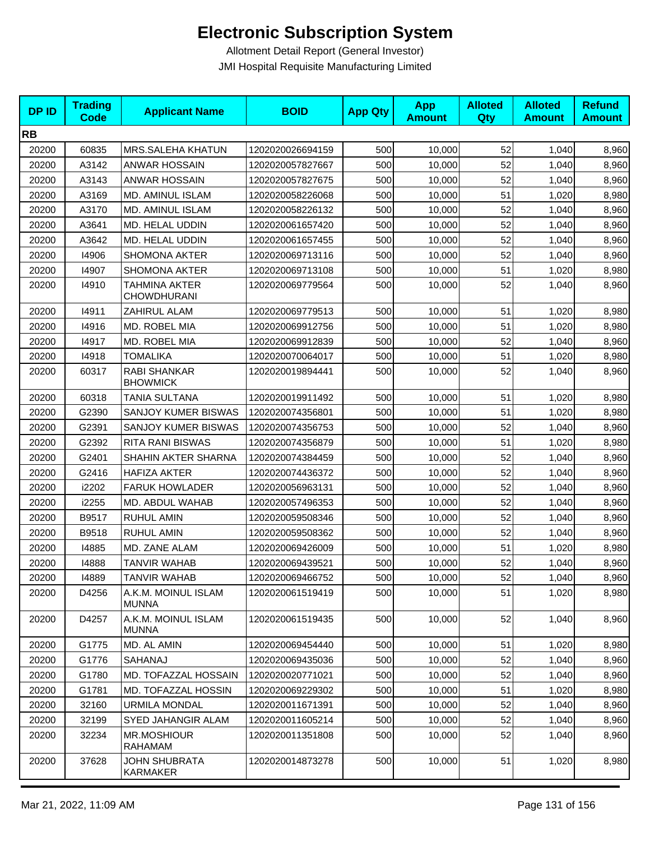| <b>DPID</b> | <b>Trading</b><br><b>Code</b> | <b>Applicant Name</b>                      | <b>BOID</b>      | <b>App Qty</b> | <b>App</b><br><b>Amount</b> | <b>Alloted</b><br>Qty | <b>Alloted</b><br><b>Amount</b> | <b>Refund</b><br><b>Amount</b> |
|-------------|-------------------------------|--------------------------------------------|------------------|----------------|-----------------------------|-----------------------|---------------------------------|--------------------------------|
| <b>RB</b>   |                               |                                            |                  |                |                             |                       |                                 |                                |
| 20200       | 60835                         | MRS.SALEHA KHATUN                          | 1202020026694159 | 500            | 10,000                      | 52                    | 1,040                           | 8,960                          |
| 20200       | A3142                         | <b>ANWAR HOSSAIN</b>                       | 1202020057827667 | 500            | 10,000                      | 52                    | 1,040                           | 8,960                          |
| 20200       | A3143                         | <b>ANWAR HOSSAIN</b>                       | 1202020057827675 | 500            | 10,000                      | 52                    | 1,040                           | 8,960                          |
| 20200       | A3169                         | MD. AMINUL ISLAM                           | 1202020058226068 | 500            | 10,000                      | 51                    | 1,020                           | 8,980                          |
| 20200       | A3170                         | MD. AMINUL ISLAM                           | 1202020058226132 | 500            | 10,000                      | 52                    | 1,040                           | 8,960                          |
| 20200       | A3641                         | MD. HELAL UDDIN                            | 1202020061657420 | 500            | 10,000                      | 52                    | 1,040                           | 8,960                          |
| 20200       | A3642                         | MD. HELAL UDDIN                            | 1202020061657455 | 500            | 10,000                      | 52                    | 1,040                           | 8,960                          |
| 20200       | 14906                         | <b>SHOMONA AKTER</b>                       | 1202020069713116 | 500            | 10,000                      | 52                    | 1,040                           | 8,960                          |
| 20200       | 14907                         | <b>SHOMONA AKTER</b>                       | 1202020069713108 | 500            | 10,000                      | 51                    | 1,020                           | 8,980                          |
| 20200       | 14910                         | <b>TAHMINA AKTER</b><br><b>CHOWDHURANI</b> | 1202020069779564 | 500            | 10,000                      | 52                    | 1,040                           | 8,960                          |
| 20200       | 14911                         | ZAHIRUL ALAM                               | 1202020069779513 | 500            | 10,000                      | 51                    | 1,020                           | 8,980                          |
| 20200       | 14916                         | MD. ROBEL MIA                              | 1202020069912756 | 500            | 10,000                      | 51                    | 1,020                           | 8,980                          |
| 20200       | 14917                         | MD. ROBEL MIA                              | 1202020069912839 | 500            | 10,000                      | 52                    | 1,040                           | 8,960                          |
| 20200       | 14918                         | <b>TOMALIKA</b>                            | 1202020070064017 | 500            | 10,000                      | 51                    | 1,020                           | 8,980                          |
| 20200       | 60317                         | RABI SHANKAR<br><b>BHOWMICK</b>            | 1202020019894441 | 500            | 10,000                      | 52                    | 1,040                           | 8,960                          |
| 20200       | 60318                         | TANIA SULTANA                              | 1202020019911492 | 500            | 10,000                      | 51                    | 1,020                           | 8,980                          |
| 20200       | G2390                         | SANJOY KUMER BISWAS                        | 1202020074356801 | 500            | 10,000                      | 51                    | 1,020                           | 8,980                          |
| 20200       | G2391                         | <b>SANJOY KUMER BISWAS</b>                 | 1202020074356753 | 500            | 10,000                      | 52                    | 1,040                           | 8,960                          |
| 20200       | G2392                         | <b>RITA RANI BISWAS</b>                    | 1202020074356879 | 500            | 10,000                      | 51                    | 1,020                           | 8,980                          |
| 20200       | G2401                         | SHAHIN AKTER SHARNA                        | 1202020074384459 | 500            | 10,000                      | 52                    | 1,040                           | 8,960                          |
| 20200       | G2416                         | <b>HAFIZA AKTER</b>                        | 1202020074436372 | 500            | 10,000                      | 52                    | 1,040                           | 8,960                          |
| 20200       | i2202                         | <b>FARUK HOWLADER</b>                      | 1202020056963131 | 500            | 10,000                      | 52                    | 1,040                           | 8,960                          |
| 20200       | i2255                         | MD. ABDUL WAHAB                            | 1202020057496353 | 500            | 10,000                      | 52                    | 1,040                           | 8,960                          |
| 20200       | B9517                         | RUHUL AMIN                                 | 1202020059508346 | 500            | 10,000                      | 52                    | 1,040                           | 8,960                          |
| 20200       | B9518                         | <b>RUHUL AMIN</b>                          | 1202020059508362 | 500            | 10,000                      | 52                    | 1,040                           | 8,960                          |
| 20200       | 14885                         | MD. ZANE ALAM                              | 1202020069426009 | 500            | 10,000                      | 51                    | 1,020                           | 8,980                          |
| 20200       | 14888                         | TANVIR WAHAB                               | 1202020069439521 | 500            | 10,000                      | 52                    | 1,040                           | 8,960                          |
| 20200       | 14889                         | <b>TANVIR WAHAB</b>                        | 1202020069466752 | 500            | 10,000                      | 52                    | 1,040                           | 8,960                          |
| 20200       | D4256                         | A.K.M. MOINUL ISLAM<br><b>MUNNA</b>        | 1202020061519419 | 500            | 10,000                      | 51                    | 1,020                           | 8,980                          |
| 20200       | D4257                         | A.K.M. MOINUL ISLAM<br><b>MUNNA</b>        | 1202020061519435 | 500            | 10,000                      | 52                    | 1,040                           | 8,960                          |
| 20200       | G1775                         | MD. AL AMIN                                | 1202020069454440 | 500            | 10,000                      | 51                    | 1,020                           | 8,980                          |
| 20200       | G1776                         | SAHANAJ                                    | 1202020069435036 | 500            | 10,000                      | 52                    | 1,040                           | 8,960                          |
| 20200       | G1780                         | MD. TOFAZZAL HOSSAIN                       | 1202020020771021 | 500            | 10,000                      | 52                    | 1,040                           | 8,960                          |
| 20200       | G1781                         | MD. TOFAZZAL HOSSIN                        | 1202020069229302 | 500            | 10,000                      | 51                    | 1,020                           | 8,980                          |
| 20200       | 32160                         | <b>URMILA MONDAL</b>                       | 1202020011671391 | 500            | 10,000                      | 52                    | 1,040                           | 8,960                          |
| 20200       | 32199                         | SYED JAHANGIR ALAM                         | 1202020011605214 | 500            | 10,000                      | 52                    | 1,040                           | 8,960                          |
| 20200       | 32234                         | <b>MR.MOSHIOUR</b><br>RAHAMAM              | 1202020011351808 | 500            | 10,000                      | 52                    | 1,040                           | 8,960                          |
| 20200       | 37628                         | <b>JOHN SHUBRATA</b><br>KARMAKER           | 1202020014873278 | 500            | 10,000                      | 51                    | 1,020                           | 8,980                          |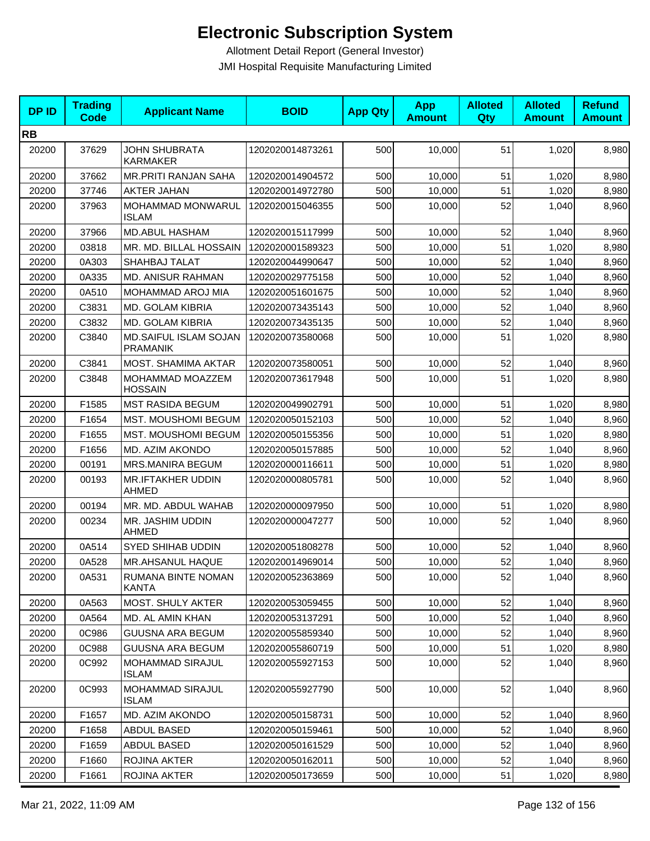| <b>DPID</b> | <b>Trading</b><br><b>Code</b> | <b>Applicant Name</b>                    | <b>BOID</b>      | <b>App Qty</b> | <b>App</b><br><b>Amount</b> | <b>Alloted</b><br>Qty | <b>Alloted</b><br><b>Amount</b> | <b>Refund</b><br><b>Amount</b> |
|-------------|-------------------------------|------------------------------------------|------------------|----------------|-----------------------------|-----------------------|---------------------------------|--------------------------------|
| <b>RB</b>   |                               |                                          |                  |                |                             |                       |                                 |                                |
| 20200       | 37629                         | <b>JOHN SHUBRATA</b><br><b>KARMAKER</b>  | 1202020014873261 | 500            | 10,000                      | 51                    | 1,020                           | 8,980                          |
| 20200       | 37662                         | MR.PRITI RANJAN SAHA                     | 1202020014904572 | 500            | 10,000                      | 51                    | 1,020                           | 8,980                          |
| 20200       | 37746                         | <b>AKTER JAHAN</b>                       | 1202020014972780 | 500            | 10,000                      | 51                    | 1,020                           | 8,980                          |
| 20200       | 37963                         | MOHAMMAD MONWARUL<br><b>ISLAM</b>        | 1202020015046355 | 500            | 10,000                      | 52                    | 1,040                           | 8,960                          |
| 20200       | 37966                         | MD.ABUL HASHAM                           | 1202020015117999 | 500            | 10,000                      | 52                    | 1,040                           | 8,960                          |
| 20200       | 03818                         | MR. MD. BILLAL HOSSAIN                   | 1202020001589323 | 500            | 10,000                      | 51                    | 1,020                           | 8,980                          |
| 20200       | 0A303                         | SHAHBAJ TALAT                            | 1202020044990647 | 500            | 10,000                      | 52                    | 1,040                           | 8,960                          |
| 20200       | 0A335                         | <b>MD. ANISUR RAHMAN</b>                 | 1202020029775158 | 500            | 10,000                      | 52                    | 1,040                           | 8,960                          |
| 20200       | 0A510                         | MOHAMMAD AROJ MIA                        | 1202020051601675 | 500            | 10,000                      | 52                    | 1,040                           | 8,960                          |
| 20200       | C3831                         | MD. GOLAM KIBRIA                         | 1202020073435143 | 500            | 10,000                      | 52                    | 1,040                           | 8,960                          |
| 20200       | C3832                         | MD. GOLAM KIBRIA                         | 1202020073435135 | 500            | 10,000                      | 52                    | 1,040                           | 8,960                          |
| 20200       | C3840                         | MD.SAIFUL ISLAM SOJAN<br><b>PRAMANIK</b> | 1202020073580068 | 500            | 10,000                      | 51                    | 1,020                           | 8,980                          |
| 20200       | C3841                         | MOST. SHAMIMA AKTAR                      | 1202020073580051 | 500            | 10,000                      | 52                    | 1,040                           | 8,960                          |
| 20200       | C3848                         | MOHAMMAD MOAZZEM<br><b>HOSSAIN</b>       | 1202020073617948 | 500            | 10,000                      | 51                    | 1,020                           | 8,980                          |
| 20200       | F1585                         | <b>MST RASIDA BEGUM</b>                  | 1202020049902791 | 500            | 10,000                      | 51                    | 1,020                           | 8,980                          |
| 20200       | F1654                         | MST. MOUSHOMI BEGUM                      | 1202020050152103 | 500            | 10,000                      | 52                    | 1,040                           | 8,960                          |
| 20200       | F1655                         | MST. MOUSHOMI BEGUM                      | 1202020050155356 | 500            | 10,000                      | 51                    | 1,020                           | 8,980                          |
| 20200       | F1656                         | MD. AZIM AKONDO                          | 1202020050157885 | 500            | 10,000                      | 52                    | 1,040                           | 8,960                          |
| 20200       | 00191                         | MRS.MANIRA BEGUM                         | 1202020000116611 | 500            | 10,000                      | 51                    | 1,020                           | 8,980                          |
| 20200       | 00193                         | <b>MR.IFTAKHER UDDIN</b><br>AHMED        | 1202020000805781 | 500            | 10,000                      | 52                    | 1,040                           | 8,960                          |
| 20200       | 00194                         | MR. MD. ABDUL WAHAB                      | 1202020000097950 | 500            | 10,000                      | 51                    | 1,020                           | 8,980                          |
| 20200       | 00234                         | MR. JASHIM UDDIN<br>AHMED                | 1202020000047277 | 500            | 10,000                      | 52                    | 1,040                           | 8,960                          |
| 20200       | 0A514                         | SYED SHIHAB UDDIN                        | 1202020051808278 | 500            | 10,000                      | 52                    | 1,040                           | 8,960                          |
| 20200       | 0A528                         | MR.AHSANUL HAQUE                         | 1202020014969014 | 500            | 10,000                      | 52                    | 1,040                           | 8,960                          |
| 20200       | 0A531                         | RUMANA BINTE NOMAN<br>KANTA              | 1202020052363869 | 500            | 10,000                      | 52                    | 1,040                           | 8,960                          |
| 20200       | 0A563                         | <b>MOST. SHULY AKTER</b>                 | 1202020053059455 | 500            | 10,000                      | 52                    | 1,040                           | 8,960                          |
| 20200       | 0A564                         | MD. AL AMIN KHAN                         | 1202020053137291 | 500            | 10,000                      | 52                    | 1,040                           | 8,960                          |
| 20200       | 0C986                         | <b>GUUSNA ARA BEGUM</b>                  | 1202020055859340 | 500            | 10,000                      | 52                    | 1,040                           | 8,960                          |
| 20200       | 0C988                         | <b>GUUSNA ARA BEGUM</b>                  | 1202020055860719 | 500            | 10,000                      | 51                    | 1,020                           | 8,980                          |
| 20200       | 0C992                         | MOHAMMAD SIRAJUL<br>ISLAM                | 1202020055927153 | 500            | 10,000                      | 52                    | 1,040                           | 8,960                          |
| 20200       | 0C993                         | MOHAMMAD SIRAJUL<br>ISLAM                | 1202020055927790 | 500            | 10,000                      | 52                    | 1,040                           | 8,960                          |
| 20200       | F1657                         | MD. AZIM AKONDO                          | 1202020050158731 | 500            | 10,000                      | 52                    | 1,040                           | 8,960                          |
| 20200       | F1658                         | ABDUL BASED                              | 1202020050159461 | 500            | 10,000                      | 52                    | 1,040                           | 8,960                          |
| 20200       | F1659                         | ABDUL BASED                              | 1202020050161529 | 500            | 10,000                      | 52                    | 1,040                           | 8,960                          |
| 20200       | F1660                         | ROJINA AKTER                             | 1202020050162011 | 500            | 10,000                      | 52                    | 1,040                           | 8,960                          |
| 20200       | F1661                         | ROJINA AKTER                             | 1202020050173659 | 500            | 10,000                      | 51                    | 1,020                           | 8,980                          |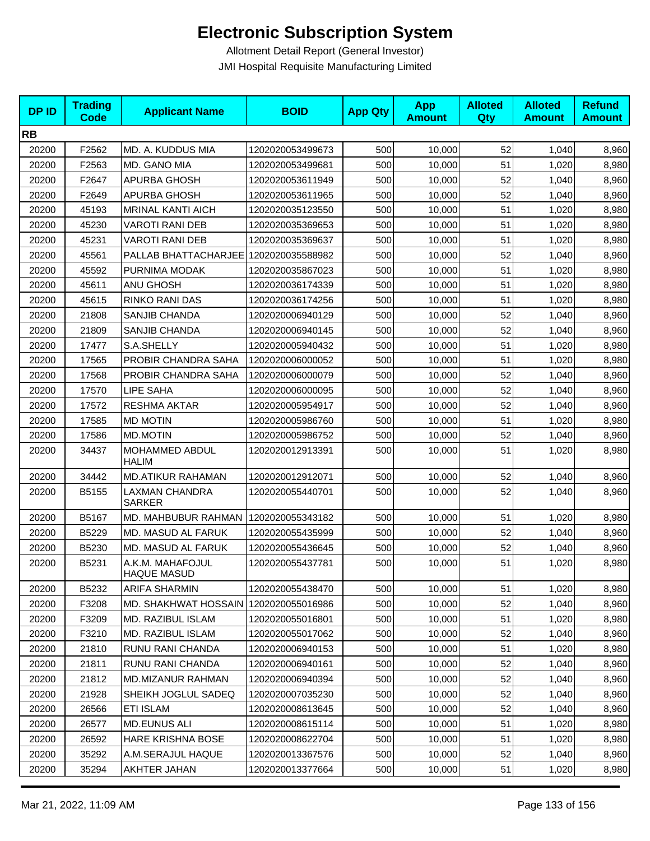| <b>DPID</b> | <b>Trading</b><br>Code | <b>Applicant Name</b>                  | <b>BOID</b>      | <b>App Qty</b> | <b>App</b><br><b>Amount</b> | <b>Alloted</b><br><b>Qty</b> | <b>Alloted</b><br><b>Amount</b> | <b>Refund</b><br><b>Amount</b> |
|-------------|------------------------|----------------------------------------|------------------|----------------|-----------------------------|------------------------------|---------------------------------|--------------------------------|
| <b>RB</b>   |                        |                                        |                  |                |                             |                              |                                 |                                |
| 20200       | F2562                  | MD. A. KUDDUS MIA                      | 1202020053499673 | 500            | 10,000                      | 52                           | 1,040                           | 8,960                          |
| 20200       | F2563                  | MD. GANO MIA                           | 1202020053499681 | 500            | 10,000                      | 51                           | 1,020                           | 8,980                          |
| 20200       | F2647                  | APURBA GHOSH                           | 1202020053611949 | 500            | 10,000                      | 52                           | 1,040                           | 8,960                          |
| 20200       | F2649                  | APURBA GHOSH                           | 1202020053611965 | 500            | 10,000                      | 52                           | 1,040                           | 8,960                          |
| 20200       | 45193                  | <b>MRINAL KANTI AICH</b>               | 1202020035123550 | 500            | 10,000                      | 51                           | 1,020                           | 8,980                          |
| 20200       | 45230                  | <b>VAROTI RANI DEB</b>                 | 1202020035369653 | 500            | 10,000                      | 51                           | 1,020                           | 8,980                          |
| 20200       | 45231                  | <b>VAROTI RANI DEB</b>                 | 1202020035369637 | 500            | 10,000                      | 51                           | 1,020                           | 8,980                          |
| 20200       | 45561                  | PALLAB BHATTACHARJEE 1202020035588982  |                  | 500            | 10,000                      | 52                           | 1,040                           | 8,960                          |
| 20200       | 45592                  | PURNIMA MODAK                          | 1202020035867023 | 500            | 10,000                      | 51                           | 1,020                           | 8,980                          |
| 20200       | 45611                  | <b>ANU GHOSH</b>                       | 1202020036174339 | 500            | 10,000                      | 51                           | 1,020                           | 8,980                          |
| 20200       | 45615                  | <b>RINKO RANI DAS</b>                  | 1202020036174256 | 500            | 10,000                      | 51                           | 1,020                           | 8,980                          |
| 20200       | 21808                  | SANJIB CHANDA                          | 1202020006940129 | 500            | 10,000                      | 52                           | 1,040                           | 8,960                          |
| 20200       | 21809                  | SANJIB CHANDA                          | 1202020006940145 | 500            | 10,000                      | 52                           | 1,040                           | 8,960                          |
| 20200       | 17477                  | S.A.SHELLY                             | 1202020005940432 | 500            | 10,000                      | 51                           | 1,020                           | 8,980                          |
| 20200       | 17565                  | PROBIR CHANDRA SAHA                    | 1202020006000052 | 500            | 10,000                      | 51                           | 1,020                           | 8,980                          |
| 20200       | 17568                  | PROBIR CHANDRA SAHA                    | 1202020006000079 | 500            | 10,000                      | 52                           | 1,040                           | 8,960                          |
| 20200       | 17570                  | LIPE SAHA                              | 1202020006000095 | 500            | 10,000                      | 52                           | 1,040                           | 8,960                          |
| 20200       | 17572                  | <b>RESHMA AKTAR</b>                    | 1202020005954917 | 500            | 10,000                      | 52                           | 1,040                           | 8,960                          |
| 20200       | 17585                  | <b>MD MOTIN</b>                        | 1202020005986760 | 500            | 10,000                      | 51                           | 1,020                           | 8,980                          |
| 20200       | 17586                  | <b>MD.MOTIN</b>                        | 1202020005986752 | 500            | 10,000                      | 52                           | 1,040                           | 8,960                          |
| 20200       | 34437                  | MOHAMMED ABDUL<br><b>HALIM</b>         | 1202020012913391 | 500            | 10,000                      | 51                           | 1,020                           | 8,980                          |
| 20200       | 34442                  | <b>MD.ATIKUR RAHAMAN</b>               | 1202020012912071 | 500            | 10,000                      | 52                           | 1,040                           | 8,960                          |
| 20200       | B5155                  | LAXMAN CHANDRA<br><b>SARKER</b>        | 1202020055440701 | 500            | 10,000                      | 52                           | 1,040                           | 8,960                          |
| 20200       | B5167                  | MD. MAHBUBUR RAHMAN                    | 1202020055343182 | 500            | 10,000                      | 51                           | 1,020                           | 8,980                          |
| 20200       | B5229                  | MD. MASUD AL FARUK                     | 1202020055435999 | 500            | 10,000                      | 52                           | 1,040                           | 8,960                          |
| 20200       | B5230                  | MD. MASUD AL FARUK                     | 1202020055436645 | 500            | 10,000                      | 52                           | 1,040                           | 8,960                          |
| 20200       | B5231                  | A.K.M. MAHAFOJUL<br><b>HAQUE MASUD</b> | 1202020055437781 | 500            | 10,000                      | 51                           | 1,020                           | 8,980                          |
| 20200       | B5232                  | ARIFA SHARMIN                          | 1202020055438470 | 500            | 10,000                      | 51                           | 1,020                           | 8,980                          |
| 20200       | F3208                  | MD. SHAKHWAT HOSSAIN 1202020055016986  |                  | 500            | 10,000                      | 52                           | 1,040                           | 8,960                          |
| 20200       | F3209                  | <b>MD. RAZIBUL ISLAM</b>               | 1202020055016801 | 500            | 10,000                      | 51                           | 1,020                           | 8,980                          |
| 20200       | F3210                  | MD. RAZIBUL ISLAM                      | 1202020055017062 | 500            | 10,000                      | 52                           | 1,040                           | 8,960                          |
| 20200       | 21810                  | RUNU RANI CHANDA                       | 1202020006940153 | 500            | 10,000                      | 51                           | 1,020                           | 8,980                          |
| 20200       | 21811                  | RUNU RANI CHANDA                       | 1202020006940161 | 500            | 10,000                      | 52                           | 1,040                           | 8,960                          |
| 20200       | 21812                  | <b>MD.MIZANUR RAHMAN</b>               | 1202020006940394 | 500            | 10,000                      | 52                           | 1,040                           | 8,960                          |
| 20200       | 21928                  | SHEIKH JOGLUL SADEQ                    | 1202020007035230 | 500            | 10,000                      | 52                           | 1,040                           | 8,960                          |
| 20200       | 26566                  | <b>ETI ISLAM</b>                       | 1202020008613645 | 500            | 10,000                      | 52                           | 1,040                           | 8,960                          |
| 20200       | 26577                  | <b>MD.EUNUS ALI</b>                    | 1202020008615114 | 500            | 10,000                      | 51                           | 1,020                           | 8,980                          |
| 20200       | 26592                  | HARE KRISHNA BOSE                      | 1202020008622704 | 500            | 10,000                      | 51                           | 1,020                           | 8,980                          |
| 20200       | 35292                  | A.M.SERAJUL HAQUE                      | 1202020013367576 | 500            | 10,000                      | 52                           | 1,040                           | 8,960                          |
| 20200       | 35294                  | AKHTER JAHAN                           | 1202020013377664 | 500            | 10,000                      | 51                           | 1,020                           | 8,980                          |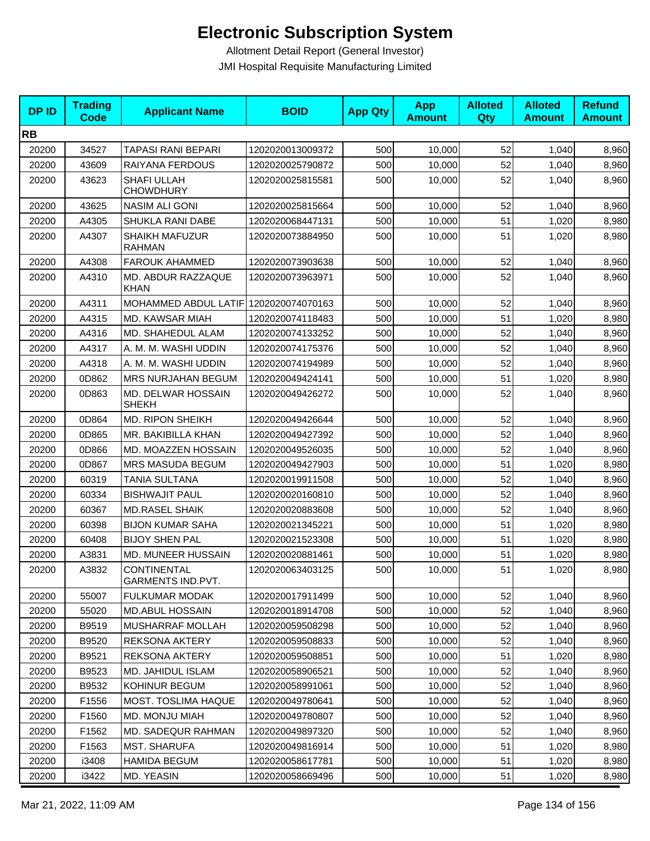| <b>DPID</b> | <b>Trading</b><br>Code | <b>Applicant Name</b>                  | <b>BOID</b>      | <b>App Qty</b> | <b>App</b><br><b>Amount</b> | <b>Alloted</b><br>Qty | <b>Alloted</b><br><b>Amount</b> | <b>Refund</b><br><b>Amount</b> |
|-------------|------------------------|----------------------------------------|------------------|----------------|-----------------------------|-----------------------|---------------------------------|--------------------------------|
| <b>RB</b>   |                        |                                        |                  |                |                             |                       |                                 |                                |
| 20200       | 34527                  | TAPASI RANI BEPARI                     | 1202020013009372 | 500            | 10,000                      | 52                    | 1,040                           | 8,960                          |
| 20200       | 43609                  | RAIYANA FERDOUS                        | 1202020025790872 | 500            | 10,000                      | 52                    | 1,040                           | 8,960                          |
| 20200       | 43623                  | SHAFI ULLAH<br><b>CHOWDHURY</b>        | 1202020025815581 | 500            | 10,000                      | 52                    | 1,040                           | 8,960                          |
| 20200       | 43625                  | NASIM ALI GONI                         | 1202020025815664 | 500            | 10,000                      | 52                    | 1,040                           | 8,960                          |
| 20200       | A4305                  | SHUKLA RANI DABE                       | 1202020068447131 | 500            | 10,000                      | 51                    | 1,020                           | 8,980                          |
| 20200       | A4307                  | <b>SHAIKH MAFUZUR</b><br><b>RAHMAN</b> | 1202020073884950 | 500            | 10,000                      | 51                    | 1,020                           | 8,980                          |
| 20200       | A4308                  | <b>FAROUK AHAMMED</b>                  | 1202020073903638 | 500            | 10,000                      | 52                    | 1,040                           | 8,960                          |
| 20200       | A4310                  | MD. ABDUR RAZZAQUE<br><b>KHAN</b>      | 1202020073963971 | 500            | 10,000                      | 52                    | 1,040                           | 8,960                          |
| 20200       | A4311                  | MOHAMMED ABDUL LATIF                   | 1202020074070163 | 500            | 10,000                      | 52                    | 1,040                           | 8,960                          |
| 20200       | A4315                  | MD. KAWSAR MIAH                        | 1202020074118483 | 500            | 10,000                      | 51                    | 1,020                           | 8,980                          |
| 20200       | A4316                  | MD. SHAHEDUL ALAM                      | 1202020074133252 | 500            | 10,000                      | 52                    | 1,040                           | 8,960                          |
| 20200       | A4317                  | A. M. M. WASHI UDDIN                   | 1202020074175376 | 500            | 10,000                      | 52                    | 1,040                           | 8,960                          |
| 20200       | A4318                  | A. M. M. WASHI UDDIN                   | 1202020074194989 | 500            | 10,000                      | 52                    | 1,040                           | 8,960                          |
| 20200       | 0D862                  | MRS NURJAHAN BEGUM                     | 1202020049424141 | 500            | 10,000                      | 51                    | 1,020                           | 8,980                          |
| 20200       | 0D863                  | MD. DELWAR HOSSAIN<br><b>SHEKH</b>     | 1202020049426272 | 500            | 10,000                      | 52                    | 1,040                           | 8,960                          |
| 20200       | 0D864                  | <b>MD. RIPON SHEIKH</b>                | 1202020049426644 | 500            | 10,000                      | 52                    | 1,040                           | 8,960                          |
| 20200       | 0D865                  | MR. BAKIBILLA KHAN                     | 1202020049427392 | 500            | 10,000                      | 52                    | 1,040                           | 8,960                          |
| 20200       | 0D866                  | MD. MOAZZEN HOSSAIN                    | 1202020049526035 | 500            | 10,000                      | 52                    | 1,040                           | 8,960                          |
| 20200       | 0D867                  | MRS MASUDA BEGUM                       | 1202020049427903 | 500            | 10,000                      | 51                    | 1,020                           | 8,980                          |
| 20200       | 60319                  | TANIA SULTANA                          | 1202020019911508 | 500            | 10,000                      | 52                    | 1,040                           | 8,960                          |
| 20200       | 60334                  | <b>BISHWAJIT PAUL</b>                  | 1202020020160810 | 500            | 10,000                      | 52                    | 1,040                           | 8,960                          |
| 20200       | 60367                  | <b>MD.RASEL SHAIK</b>                  | 1202020020883608 | 500            | 10.000                      | 52                    | 1,040                           | 8,960                          |
| 20200       | 60398                  | <b>BIJON KUMAR SAHA</b>                | 1202020021345221 | 500            | 10,000                      | 51                    | 1,020                           | 8,980                          |
| 20200       | 60408                  | <b>BIJOY SHEN PAL</b>                  | 1202020021523308 | 500            | 10,000                      | 51                    | 1,020                           | 8,980                          |
| 20200       | A3831                  | MD. MUNEER HUSSAIN                     | 1202020020881461 | 500            | 10,000                      | 51                    | 1,020                           | 8,980                          |
| 20200       | A3832                  | CONTINENTAL<br>GARMENTS IND.PVT.       | 1202020063403125 | 500            | 10,000                      | 51                    | 1,020                           | 8,980                          |
| 20200       | 55007                  | <b>FULKUMAR MODAK</b>                  | 1202020017911499 | 500            | 10,000                      | 52                    | 1,040                           | 8,960                          |
| 20200       | 55020                  | MD.ABUL HOSSAIN                        | 1202020018914708 | 500            | 10,000                      | 52                    | 1,040                           | 8,960                          |
| 20200       | B9519                  | MUSHARRAF MOLLAH                       | 1202020059508298 | 500            | 10,000                      | 52                    | 1,040                           | 8,960                          |
| 20200       | B9520                  | <b>REKSONA AKTERY</b>                  | 1202020059508833 | 500            | 10,000                      | 52                    | 1,040                           | 8,960                          |
| 20200       | B9521                  | <b>REKSONA AKTERY</b>                  | 1202020059508851 | 500            | 10,000                      | 51                    | 1,020                           | 8,980                          |
| 20200       | B9523                  | MD. JAHIDUL ISLAM                      | 1202020058906521 | 500            | 10,000                      | 52                    | 1,040                           | 8,960                          |
| 20200       | B9532                  | KOHINUR BEGUM                          | 1202020058991061 | 500            | 10,000                      | 52                    | 1,040                           | 8,960                          |
| 20200       | F1556                  | MOST. TOSLIMA HAQUE                    | 1202020049780641 | 500            | 10,000                      | 52                    | 1,040                           | 8,960                          |
| 20200       | F1560                  | MD. MONJU MIAH                         | 1202020049780807 | 500            | 10,000                      | 52                    | 1,040                           | 8,960                          |
| 20200       | F1562                  | <b>MD. SADEQUR RAHMAN</b>              | 1202020049897320 | 500            | 10,000                      | 52                    | 1,040                           | 8,960                          |
| 20200       | F1563                  | <b>MST. SHARUFA</b>                    | 1202020049816914 | 500            | 10,000                      | 51                    | 1,020                           | 8,980                          |
| 20200       | i3408                  | <b>HAMIDA BEGUM</b>                    | 1202020058617781 | 500            | 10,000                      | 51                    | 1,020                           | 8,980                          |
| 20200       | i3422                  | MD. YEASIN                             | 1202020058669496 | 500            | 10,000                      | 51                    | 1,020                           | 8,980                          |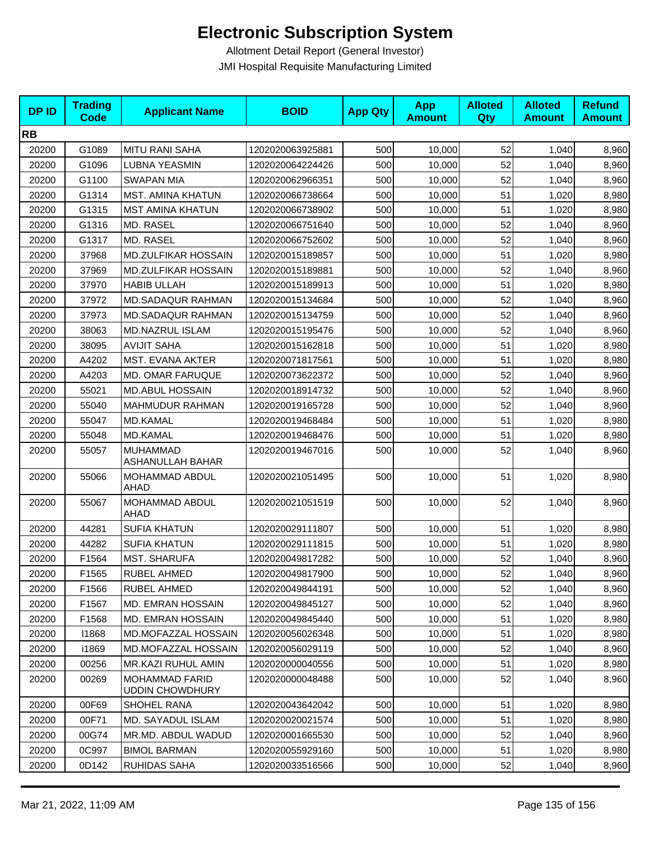| <b>DPID</b> | <b>Trading</b><br><b>Code</b> | <b>Applicant Name</b>                           | <b>BOID</b>      | <b>App Qty</b> | <b>App</b><br><b>Amount</b> | <b>Alloted</b><br>Qty | <b>Alloted</b><br><b>Amount</b> | <b>Refund</b><br><b>Amount</b> |
|-------------|-------------------------------|-------------------------------------------------|------------------|----------------|-----------------------------|-----------------------|---------------------------------|--------------------------------|
| <b>RB</b>   |                               |                                                 |                  |                |                             |                       |                                 |                                |
| 20200       | G1089                         | <b>MITU RANI SAHA</b>                           | 1202020063925881 | 500            | 10,000                      | 52                    | 1,040                           | 8,960                          |
| 20200       | G1096                         | <b>LUBNA YEASMIN</b>                            | 1202020064224426 | 500            | 10,000                      | 52                    | 1,040                           | 8,960                          |
| 20200       | G1100                         | <b>SWAPAN MIA</b>                               | 1202020062966351 | 500            | 10,000                      | 52                    | 1,040                           | 8,960                          |
| 20200       | G1314                         | <b>MST. AMINA KHATUN</b>                        | 1202020066738664 | 500            | 10,000                      | 51                    | 1,020                           | 8,980                          |
| 20200       | G1315                         | <b>MST AMINA KHATUN</b>                         | 1202020066738902 | 500            | 10,000                      | 51                    | 1,020                           | 8,980                          |
| 20200       | G1316                         | MD. RASEL                                       | 1202020066751640 | 500            | 10,000                      | 52                    | 1,040                           | 8,960                          |
| 20200       | G1317                         | MD. RASEL                                       | 1202020066752602 | 500            | 10,000                      | 52                    | 1,040                           | 8,960                          |
| 20200       | 37968                         | MD.ZULFIKAR HOSSAIN                             | 1202020015189857 | 500            | 10,000                      | 51                    | 1,020                           | 8,980                          |
| 20200       | 37969                         | MD.ZULFIKAR HOSSAIN                             | 1202020015189881 | 500            | 10,000                      | 52                    | 1,040                           | 8,960                          |
| 20200       | 37970                         | <b>HABIB ULLAH</b>                              | 1202020015189913 | 500            | 10,000                      | 51                    | 1,020                           | 8,980                          |
| 20200       | 37972                         | <b>MD.SADAQUR RAHMAN</b>                        | 1202020015134684 | 500            | 10,000                      | 52                    | 1,040                           | 8,960                          |
| 20200       | 37973                         | <b>MD.SADAQUR RAHMAN</b>                        | 1202020015134759 | 500            | 10,000                      | 52                    | 1,040                           | 8,960                          |
| 20200       | 38063                         | MD.NAZRUL ISLAM                                 | 1202020015195476 | 500            | 10,000                      | 52                    | 1,040                           | 8,960                          |
| 20200       | 38095                         | <b>AVIJIT SAHA</b>                              | 1202020015162818 | 500            | 10,000                      | 51                    | 1,020                           | 8,980                          |
| 20200       | A4202                         | MST. EVANA AKTER                                | 1202020071817561 | 500            | 10,000                      | 51                    | 1,020                           | 8,980                          |
| 20200       | A4203                         | MD. OMAR FARUQUE                                | 1202020073622372 | 500            | 10,000                      | 52                    | 1,040                           | 8,960                          |
| 20200       | 55021                         | <b>MD.ABUL HOSSAIN</b>                          | 1202020018914732 | 500            | 10,000                      | 52                    | 1,040                           | 8,960                          |
| 20200       | 55040                         | MAHMUDUR RAHMAN                                 | 1202020019165728 | 500            | 10,000                      | 52                    | 1,040                           | 8,960                          |
| 20200       | 55047                         | <b>MD.KAMAL</b>                                 | 1202020019468484 | 500            | 10,000                      | 51                    | 1,020                           | 8,980                          |
| 20200       | 55048                         | MD.KAMAL                                        | 1202020019468476 | 500            | 10,000                      | 51                    | 1,020                           | 8,980                          |
| 20200       | 55057                         | <b>MUHAMMAD</b><br>ASHANULLAH BAHAR             | 1202020019467016 | 500            | 10,000                      | 52                    | 1,040                           | 8,960                          |
| 20200       | 55066                         | MOHAMMAD ABDUL<br>AHAD                          | 1202020021051495 | 500            | 10,000                      | 51                    | 1,020                           | 8,980                          |
| 20200       | 55067                         | MOHAMMAD ABDUL<br>AHAD                          | 1202020021051519 | 500            | 10,000                      | 52                    | 1,040                           | 8,960                          |
| 20200       | 44281                         | <b>SUFIA KHATUN</b>                             | 1202020029111807 | 500            | 10,000                      | 51                    | 1,020                           | 8,980                          |
| 20200       | 44282                         | <b>SUFIA KHATUN</b>                             | 1202020029111815 | 500            | 10,000                      | 51                    | 1,020                           | 8,980                          |
| 20200       | F1564                         | <b>MST. SHARUFA</b>                             | 1202020049817282 | 500            | 10,000                      | 52                    | 1,040                           | 8,960                          |
| 20200       | F1565                         | RUBEL AHMED                                     | 1202020049817900 | 500            | 10,000                      | 52                    | 1,040                           | 8,960                          |
| 20200       | F1566                         | RUBEL AHMED                                     | 1202020049844191 | 500            | 10,000                      | 52                    | 1,040                           | 8,960                          |
| 20200       | F1567                         | MD. EMRAN HOSSAIN                               | 1202020049845127 | 500            | 10,000                      | 52                    | 1,040                           | 8,960                          |
| 20200       | F1568                         | <b>MD. EMRAN HOSSAIN</b>                        | 1202020049845440 | 500            | 10,000                      | 51                    | 1,020                           | 8,980                          |
| 20200       | 11868                         | MD.MOFAZZAL HOSSAIN                             | 1202020056026348 | 500            | 10,000                      | 51                    | 1,020                           | 8,980                          |
| 20200       | i1869                         | MD.MOFAZZAL HOSSAIN                             | 1202020056029119 | 500            | 10,000                      | 52                    | 1,040                           | 8,960                          |
| 20200       | 00256                         | MR.KAZI RUHUL AMIN                              | 1202020000040556 | 500            | 10,000                      | 51                    | 1,020                           | 8,980                          |
| 20200       | 00269                         | <b>MOHAMMAD FARID</b><br><b>UDDIN CHOWDHURY</b> | 1202020000048488 | 500            | 10,000                      | 52                    | 1,040                           | 8,960                          |
| 20200       | 00F69                         | <b>SHOHEL RANA</b>                              | 1202020043642042 | 500            | 10,000                      | 51                    | 1,020                           | 8,980                          |
| 20200       | 00F71                         | MD. SAYADUL ISLAM                               | 1202020020021574 | 500            | 10,000                      | 51                    | 1,020                           | 8,980                          |
| 20200       | 00G74                         | MR.MD. ABDUL WADUD                              | 1202020001665530 | 500            | 10,000                      | 52                    | 1,040                           | 8,960                          |
| 20200       | 0C997                         | <b>BIMOL BARMAN</b>                             | 1202020055929160 | 500            | 10,000                      | 51                    | 1,020                           | 8,980                          |
| 20200       | 0D142                         | RUHIDAS SAHA                                    | 1202020033516566 | 500            | 10,000                      | 52                    | 1,040                           | 8,960                          |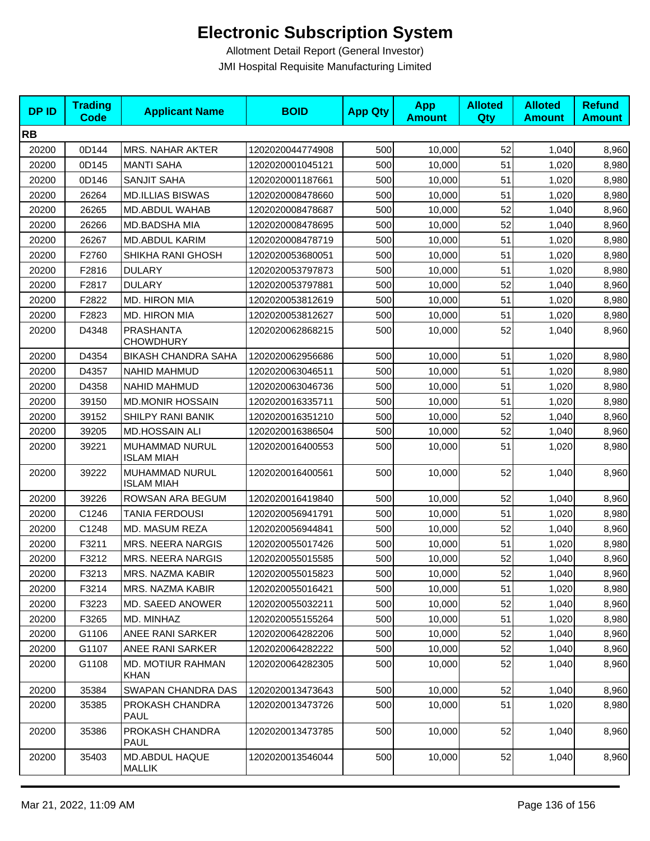| <b>DPID</b> | <b>Trading</b><br><b>Code</b> | <b>Applicant Name</b>                   | <b>BOID</b>      | <b>App Qty</b> | <b>App</b><br><b>Amount</b> | <b>Alloted</b><br>Qty | <b>Alloted</b><br><b>Amount</b> | <b>Refund</b><br><b>Amount</b> |
|-------------|-------------------------------|-----------------------------------------|------------------|----------------|-----------------------------|-----------------------|---------------------------------|--------------------------------|
| <b>RB</b>   |                               |                                         |                  |                |                             |                       |                                 |                                |
| 20200       | 0D144                         | <b>MRS. NAHAR AKTER</b>                 | 1202020044774908 | 500            | 10,000                      | 52                    | 1,040                           | 8,960                          |
| 20200       | 0D145                         | <b>MANTI SAHA</b>                       | 1202020001045121 | 500            | 10,000                      | 51                    | 1,020                           | 8,980                          |
| 20200       | 0D146                         | <b>SANJIT SAHA</b>                      | 1202020001187661 | 500            | 10,000                      | 51                    | 1,020                           | 8,980                          |
| 20200       | 26264                         | <b>MD.ILLIAS BISWAS</b>                 | 1202020008478660 | 500            | 10,000                      | 51                    | 1,020                           | 8,980                          |
| 20200       | 26265                         | MD.ABDUL WAHAB                          | 1202020008478687 | 500            | 10,000                      | 52                    | 1,040                           | 8,960                          |
| 20200       | 26266                         | MD.BADSHA MIA                           | 1202020008478695 | 500            | 10,000                      | 52                    | 1,040                           | 8,960                          |
| 20200       | 26267                         | <b>MD.ABDUL KARIM</b>                   | 1202020008478719 | 500            | 10,000                      | 51                    | 1,020                           | 8,980                          |
| 20200       | F2760                         | SHIKHA RANI GHOSH                       | 1202020053680051 | 500            | 10,000                      | 51                    | 1,020                           | 8,980                          |
| 20200       | F2816                         | <b>DULARY</b>                           | 1202020053797873 | 500            | 10,000                      | 51                    | 1,020                           | 8,980                          |
| 20200       | F2817                         | <b>DULARY</b>                           | 1202020053797881 | 500            | 10,000                      | 52                    | 1,040                           | 8,960                          |
| 20200       | F2822                         | MD. HIRON MIA                           | 1202020053812619 | 500            | 10,000                      | 51                    | 1,020                           | 8,980                          |
| 20200       | F2823                         | <b>MD. HIRON MIA</b>                    | 1202020053812627 | 500            | 10,000                      | 51                    | 1,020                           | 8,980                          |
| 20200       | D4348                         | PRASHANTA<br><b>CHOWDHURY</b>           | 1202020062868215 | 500            | 10,000                      | 52                    | 1,040                           | 8,960                          |
| 20200       | D4354                         | <b>BIKASH CHANDRA SAHA</b>              | 1202020062956686 | 500            | 10,000                      | 51                    | 1,020                           | 8,980                          |
| 20200       | D4357                         | <b>NAHID MAHMUD</b>                     | 1202020063046511 | 500            | 10,000                      | 51                    | 1,020                           | 8,980                          |
| 20200       | D4358                         | <b>NAHID MAHMUD</b>                     | 1202020063046736 | 500            | 10,000                      | 51                    | 1,020                           | 8,980                          |
| 20200       | 39150                         | <b>MD.MONIR HOSSAIN</b>                 | 1202020016335711 | 500            | 10,000                      | 51                    | 1,020                           | 8,980                          |
| 20200       | 39152                         | SHILPY RANI BANIK                       | 1202020016351210 | 500            | 10,000                      | 52                    | 1,040                           | 8,960                          |
| 20200       | 39205                         | MD.HOSSAIN ALI                          | 1202020016386504 | 500            | 10,000                      | 52                    | 1,040                           | 8,960                          |
| 20200       | 39221                         | MUHAMMAD NURUL<br><b>ISLAM MIAH</b>     | 1202020016400553 | 500            | 10,000                      | 51                    | 1,020                           | 8,980                          |
| 20200       | 39222                         | MUHAMMAD NURUL<br><b>ISLAM MIAH</b>     | 1202020016400561 | 500            | 10,000                      | 52                    | 1,040                           | 8,960                          |
| 20200       | 39226                         | ROWSAN ARA BEGUM                        | 1202020016419840 | 500            | 10,000                      | 52                    | 1,040                           | 8,960                          |
| 20200       | C1246                         | <b>TANIA FERDOUSI</b>                   | 1202020056941791 | 500            | 10,000                      | 51                    | 1,020                           | 8,980                          |
| 20200       | C1248                         | MD. MASUM REZA                          | 1202020056944841 | 500            | 10,000                      | 52                    | 1,040                           | 8,960                          |
| 20200       | F3211                         | <b>MRS. NEERA NARGIS</b>                | 1202020055017426 | 500            | 10,000                      | 51                    | 1,020                           | 8,980                          |
| 20200       | F3212                         | <b>MRS. NEERA NARGIS</b>                | 1202020055015585 | 500            | 10,000                      | 52                    | 1,040                           | 8,960                          |
| 20200       | F3213                         | MRS. NAZMA KABIR                        | 1202020055015823 | 500            | 10,000                      | 52                    | 1,040                           | 8,960                          |
| 20200       | F3214                         | <b>MRS. NAZMA KABIR</b>                 | 1202020055016421 | 500            | 10,000                      | 51                    | 1,020                           | 8,980                          |
| 20200       | F3223                         | MD. SAEED ANOWER                        | 1202020055032211 | 500            | 10,000                      | 52                    | 1,040                           | 8,960                          |
| 20200       | F3265                         | MD. MINHAZ                              | 1202020055155264 | 500            | 10,000                      | 51                    | 1,020                           | 8,980                          |
| 20200       | G1106                         | ANEE RANI SARKER                        | 1202020064282206 | 500            | 10,000                      | 52                    | 1,040                           | 8,960                          |
| 20200       | G1107                         | ANEE RANI SARKER                        | 1202020064282222 | 500            | 10,000                      | 52                    | 1,040                           | 8,960                          |
| 20200       | G1108                         | <b>MD. MOTIUR RAHMAN</b><br><b>KHAN</b> | 1202020064282305 | 500            | 10,000                      | 52                    | 1,040                           | 8,960                          |
| 20200       | 35384                         | SWAPAN CHANDRA DAS                      | 1202020013473643 | 500            | 10,000                      | 52                    | 1,040                           | 8,960                          |
| 20200       | 35385                         | PROKASH CHANDRA<br><b>PAUL</b>          | 1202020013473726 | 500            | 10,000                      | 51                    | 1,020                           | 8,980                          |
| 20200       | 35386                         | PROKASH CHANDRA<br><b>PAUL</b>          | 1202020013473785 | 500            | 10,000                      | 52                    | 1,040                           | 8,960                          |
| 20200       | 35403                         | MD.ABDUL HAQUE<br><b>MALLIK</b>         | 1202020013546044 | 500            | 10,000                      | 52                    | 1,040                           | 8,960                          |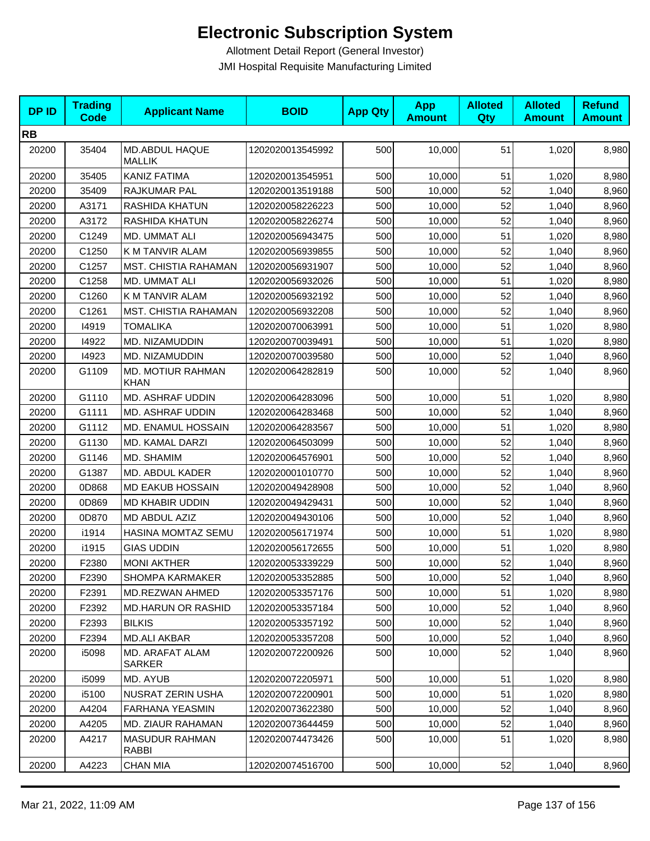| <b>DPID</b> | <b>Trading</b><br><b>Code</b> | <b>Applicant Name</b>            | <b>BOID</b>      | <b>App Qty</b> | <b>App</b><br><b>Amount</b> | <b>Alloted</b><br><b>Qty</b> | <b>Alloted</b><br><b>Amount</b> | <b>Refund</b><br><b>Amount</b> |
|-------------|-------------------------------|----------------------------------|------------------|----------------|-----------------------------|------------------------------|---------------------------------|--------------------------------|
| <b>RB</b>   |                               |                                  |                  |                |                             |                              |                                 |                                |
| 20200       | 35404                         | MD.ABDUL HAQUE<br><b>MALLIK</b>  | 1202020013545992 | 500            | 10,000                      | 51                           | 1,020                           | 8,980                          |
| 20200       | 35405                         | KANIZ FATIMA                     | 1202020013545951 | 500            | 10,000                      | 51                           | 1,020                           | 8,980                          |
| 20200       | 35409                         | RAJKUMAR PAL                     | 1202020013519188 | 500            | 10,000                      | 52                           | 1,040                           | 8,960                          |
| 20200       | A3171                         | <b>RASHIDA KHATUN</b>            | 1202020058226223 | 500            | 10,000                      | 52                           | 1,040                           | 8,960                          |
| 20200       | A3172                         | RASHIDA KHATUN                   | 1202020058226274 | 500            | 10,000                      | 52                           | 1,040                           | 8,960                          |
| 20200       | C1249                         | MD. UMMAT ALI                    | 1202020056943475 | 500            | 10,000                      | 51                           | 1,020                           | 8,980                          |
| 20200       | C1250                         | K M TANVIR ALAM                  | 1202020056939855 | 500            | 10,000                      | 52                           | 1,040                           | 8,960                          |
| 20200       | C1257                         | MST. CHISTIA RAHAMAN             | 1202020056931907 | 500            | 10,000                      | 52                           | 1,040                           | 8,960                          |
| 20200       | C1258                         | MD. UMMAT ALI                    | 1202020056932026 | 500            | 10,000                      | 51                           | 1,020                           | 8,980                          |
| 20200       | C1260                         | K M TANVIR ALAM                  | 1202020056932192 | 500            | 10,000                      | 52                           | 1,040                           | 8,960                          |
| 20200       | C1261                         | MST. CHISTIA RAHAMAN             | 1202020056932208 | 500            | 10,000                      | 52                           | 1,040                           | 8,960                          |
| 20200       | 14919                         | <b>TOMALIKA</b>                  | 1202020070063991 | 500            | 10,000                      | 51                           | 1,020                           | 8,980                          |
| 20200       | 14922                         | MD. NIZAMUDDIN                   | 1202020070039491 | 500            | 10,000                      | 51                           | 1,020                           | 8,980                          |
| 20200       | 14923                         | MD. NIZAMUDDIN                   | 1202020070039580 | 500            | 10,000                      | 52                           | 1,040                           | 8,960                          |
| 20200       | G1109                         | MD. MOTIUR RAHMAN<br><b>KHAN</b> | 1202020064282819 | 500            | 10,000                      | 52                           | 1,040                           | 8,960                          |
| 20200       | G1110                         | MD. ASHRAF UDDIN                 | 1202020064283096 | 500            | 10,000                      | 51                           | 1,020                           | 8,980                          |
| 20200       | G1111                         | MD. ASHRAF UDDIN                 | 1202020064283468 | 500            | 10,000                      | 52                           | 1,040                           | 8,960                          |
| 20200       | G1112                         | MD. ENAMUL HOSSAIN               | 1202020064283567 | 500            | 10,000                      | 51                           | 1,020                           | 8,980                          |
| 20200       | G1130                         | MD. KAMAL DARZI                  | 1202020064503099 | 500            | 10,000                      | 52                           | 1,040                           | 8,960                          |
| 20200       | G1146                         | MD. SHAMIM                       | 1202020064576901 | 500            | 10,000                      | 52                           | 1,040                           | 8,960                          |
| 20200       | G1387                         | MD. ABDUL KADER                  | 1202020001010770 | 500            | 10,000                      | 52                           | 1,040                           | 8,960                          |
| 20200       | 0D868                         | <b>MD EAKUB HOSSAIN</b>          | 1202020049428908 | 500            | 10,000                      | 52                           | 1,040                           | 8,960                          |
| 20200       | 0D869                         | MD KHABIR UDDIN                  | 1202020049429431 | 500            | 10,000                      | 52                           | 1,040                           | 8,960                          |
| 20200       | 0D870                         | MD ABDUL AZIZ                    | 1202020049430106 | 500            | 10,000                      | 52                           | 1,040                           | 8,960                          |
| 20200       | i1914                         | HASINA MOMTAZ SEMU               | 1202020056171974 | 500            | 10,000                      | 51                           | 1,020                           | 8,980                          |
| 20200       | i1915                         | <b>GIAS UDDIN</b>                | 1202020056172655 | 500            | 10,000                      | 51                           | 1,020                           | 8,980                          |
| 20200       | F2380                         | <b>MONI AKTHER</b>               | 1202020053339229 | 500            | 10,000                      | 52                           | 1,040                           | 8,960                          |
| 20200       | F2390                         | <b>SHOMPA KARMAKER</b>           | 1202020053352885 | 500            | 10,000                      | 52                           | 1,040                           | 8,960                          |
| 20200       | F2391                         | MD.REZWAN AHMED                  | 1202020053357176 | 500            | 10,000                      | 51                           | 1,020                           | 8,980                          |
| 20200       | F2392                         | <b>MD.HARUN OR RASHID</b>        | 1202020053357184 | 500            | 10,000                      | 52                           | 1,040                           | 8,960                          |
| 20200       | F2393                         | <b>BILKIS</b>                    | 1202020053357192 | 500            | 10,000                      | 52                           | 1,040                           | 8,960                          |
| 20200       | F2394                         | <b>MD.ALI AKBAR</b>              | 1202020053357208 | 500            | 10,000                      | 52                           | 1,040                           | 8,960                          |
| 20200       | i5098                         | MD. ARAFAT ALAM<br>SARKER        | 1202020072200926 | 500            | 10,000                      | 52                           | 1,040                           | 8,960                          |
| 20200       | i5099                         | MD. AYUB                         | 1202020072205971 | 500            | 10,000                      | 51                           | 1,020                           | 8,980                          |
| 20200       | i5100                         | NUSRAT ZERIN USHA                | 1202020072200901 | 500            | 10,000                      | 51                           | 1,020                           | 8,980                          |
| 20200       | A4204                         | <b>FARHANA YEASMIN</b>           | 1202020073622380 | 500            | 10,000                      | 52                           | 1,040                           | 8,960                          |
| 20200       | A4205                         | MD. ZIAUR RAHAMAN                | 1202020073644459 | 500            | 10,000                      | 52                           | 1,040                           | 8,960                          |
| 20200       | A4217                         | <b>MASUDUR RAHMAN</b><br>RABBI   | 1202020074473426 | 500            | 10,000                      | 51                           | 1,020                           | 8,980                          |
| 20200       | A4223                         | CHAN MIA                         | 1202020074516700 | 500            | 10,000                      | 52                           | 1,040                           | 8,960                          |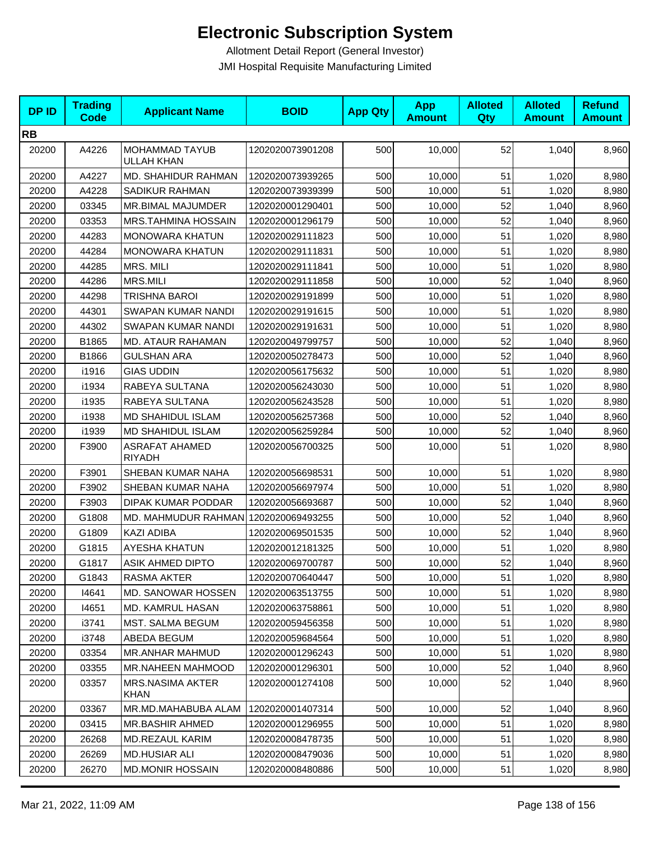| <b>DPID</b> | <b>Trading</b><br><b>Code</b> | <b>Applicant Name</b>                  | <b>BOID</b>      | <b>App Qty</b> | <b>App</b><br><b>Amount</b> | <b>Alloted</b><br>Qty | <b>Alloted</b><br><b>Amount</b> | <b>Refund</b><br><b>Amount</b> |
|-------------|-------------------------------|----------------------------------------|------------------|----------------|-----------------------------|-----------------------|---------------------------------|--------------------------------|
| <b>RB</b>   |                               |                                        |                  |                |                             |                       |                                 |                                |
| 20200       | A4226                         | MOHAMMAD TAYUB<br><b>ULLAH KHAN</b>    | 1202020073901208 | 500            | 10,000                      | 52                    | 1,040                           | 8,960                          |
| 20200       | A4227                         | MD. SHAHIDUR RAHMAN                    | 1202020073939265 | 500            | 10,000                      | 51                    | 1,020                           | 8,980                          |
| 20200       | A4228                         | SADIKUR RAHMAN                         | 1202020073939399 | 500            | 10,000                      | 51                    | 1,020                           | 8,980                          |
| 20200       | 03345                         | MR.BIMAL MAJUMDER                      | 1202020001290401 | 500            | 10,000                      | 52                    | 1,040                           | 8,960                          |
| 20200       | 03353                         | <b>MRS.TAHMINA HOSSAIN</b>             | 1202020001296179 | 500            | 10,000                      | 52                    | 1,040                           | 8,960                          |
| 20200       | 44283                         | MONOWARA KHATUN                        | 1202020029111823 | 500            | 10,000                      | 51                    | 1,020                           | 8,980                          |
| 20200       | 44284                         | <b>MONOWARA KHATUN</b>                 | 1202020029111831 | 500            | 10,000                      | 51                    | 1,020                           | 8,980                          |
| 20200       | 44285                         | MRS. MILI                              | 1202020029111841 | 500            | 10,000                      | 51                    | 1,020                           | 8,980                          |
| 20200       | 44286                         | <b>MRS.MILI</b>                        | 1202020029111858 | 500            | 10,000                      | 52                    | 1,040                           | 8,960                          |
| 20200       | 44298                         | <b>TRISHNA BAROI</b>                   | 1202020029191899 | 500            | 10,000                      | 51                    | 1,020                           | 8,980                          |
| 20200       | 44301                         | SWAPAN KUMAR NANDI                     | 1202020029191615 | 500            | 10,000                      | 51                    | 1,020                           | 8,980                          |
| 20200       | 44302                         | SWAPAN KUMAR NANDI                     | 1202020029191631 | 500            | 10,000                      | 51                    | 1,020                           | 8,980                          |
| 20200       | B1865                         | MD. ATAUR RAHAMAN                      | 1202020049799757 | 500            | 10,000                      | 52                    | 1,040                           | 8,960                          |
| 20200       | B1866                         | <b>GULSHAN ARA</b>                     | 1202020050278473 | 500            | 10,000                      | 52                    | 1,040                           | 8,960                          |
| 20200       | i1916                         | <b>GIAS UDDIN</b>                      | 1202020056175632 | 500            | 10,000                      | 51                    | 1,020                           | 8,980                          |
| 20200       | i1934                         | RABEYA SULTANA                         | 1202020056243030 | 500            | 10,000                      | 51                    | 1,020                           | 8,980                          |
| 20200       | i1935                         | RABEYA SULTANA                         | 1202020056243528 | 500            | 10,000                      | 51                    | 1,020                           | 8,980                          |
| 20200       | i1938                         | <b>MD SHAHIDUL ISLAM</b>               | 1202020056257368 | 500            | 10,000                      | 52                    | 1,040                           | 8,960                          |
| 20200       | i1939                         | <b>MD SHAHIDUL ISLAM</b>               | 1202020056259284 | 500            | 10,000                      | 52                    | 1,040                           | 8,960                          |
| 20200       | F3900                         | <b>ASRAFAT AHAMED</b><br><b>RIYADH</b> | 1202020056700325 | 500            | 10,000                      | 51                    | 1,020                           | 8,980                          |
| 20200       | F3901                         | SHEBAN KUMAR NAHA                      | 1202020056698531 | 500            | 10,000                      | 51                    | 1,020                           | 8,980                          |
| 20200       | F3902                         | SHEBAN KUMAR NAHA                      | 1202020056697974 | 500            | 10,000                      | 51                    | 1,020                           | 8,980                          |
| 20200       | F3903                         | DIPAK KUMAR PODDAR                     | 1202020056693687 | 500            | 10,000                      | 52                    | 1,040                           | 8,960                          |
| 20200       | G1808                         | MD. MAHMUDUR RAHMAN 1202020069493255   |                  | 500            | 10,000                      | 52                    | 1,040                           | 8,960                          |
| 20200       | G1809                         | <b>KAZI ADIBA</b>                      | 1202020069501535 | 500            | 10,000                      | 52                    | 1,040                           | 8,960                          |
| 20200       | G1815                         | AYESHA KHATUN                          | 1202020012181325 | 500            | 10,000                      | 51                    | 1,020                           | 8,980                          |
| 20200       | G1817                         | ASIK AHMED DIPTO                       | 1202020069700787 | 500            | 10,000                      | 52                    | 1,040                           | 8,960                          |
| 20200       | G1843                         | RASMA AKTER                            | 1202020070640447 | 500            | 10,000                      | 51                    | 1,020                           | 8,980                          |
| 20200       | 14641                         | MD. SANOWAR HOSSEN                     | 1202020063513755 | 500            | 10,000                      | 51                    | 1,020                           | 8,980                          |
| 20200       | 14651                         | <b>MD. KAMRUL HASAN</b>                | 1202020063758861 | 500            | 10,000                      | 51                    | 1,020                           | 8,980                          |
| 20200       | i3741                         | MST. SALMA BEGUM                       | 1202020059456358 | 500            | 10,000                      | 51                    | 1,020                           | 8,980                          |
| 20200       | i3748                         | ABEDA BEGUM                            | 1202020059684564 | 500            | 10,000                      | 51                    | 1,020                           | 8,980                          |
| 20200       | 03354                         | <b>MR.ANHAR MAHMUD</b>                 | 1202020001296243 | 500            | 10,000                      | 51                    | 1,020                           | 8,980                          |
| 20200       | 03355                         | MR.NAHEEN MAHMOOD                      | 1202020001296301 | 500            | 10,000                      | 52                    | 1,040                           | 8,960                          |
| 20200       | 03357                         | <b>MRS.NASIMA AKTER</b><br><b>KHAN</b> | 1202020001274108 | 500            | 10,000                      | 52                    | 1,040                           | 8,960                          |
| 20200       | 03367                         | MR.MD.MAHABUBA ALAM                    | 1202020001407314 | 500            | 10,000                      | 52                    | 1,040                           | 8,960                          |
| 20200       | 03415                         | <b>MR.BASHIR AHMED</b>                 | 1202020001296955 | 500            | 10,000                      | 51                    | 1,020                           | 8,980                          |
| 20200       | 26268                         | MD.REZAUL KARIM                        | 1202020008478735 | 500            | 10,000                      | 51                    | 1,020                           | 8,980                          |
| 20200       | 26269                         | <b>MD.HUSIAR ALI</b>                   | 1202020008479036 | 500            | 10,000                      | 51                    | 1,020                           | 8,980                          |
| 20200       | 26270                         | <b>MD.MONIR HOSSAIN</b>                | 1202020008480886 | 500            | 10,000                      | 51                    | 1,020                           | 8,980                          |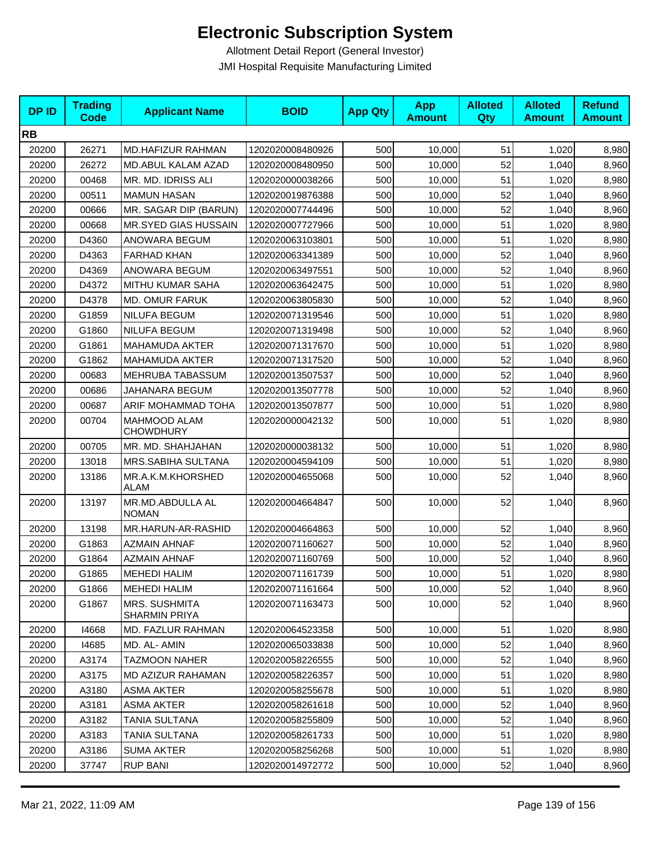| <b>DPID</b> | <b>Trading</b><br><b>Code</b> | <b>Applicant Name</b>                        | <b>BOID</b>      | <b>App Qty</b> | <b>App</b><br><b>Amount</b> | <b>Alloted</b><br>Qty | <b>Alloted</b><br><b>Amount</b> | <b>Refund</b><br><b>Amount</b> |
|-------------|-------------------------------|----------------------------------------------|------------------|----------------|-----------------------------|-----------------------|---------------------------------|--------------------------------|
| <b>RB</b>   |                               |                                              |                  |                |                             |                       |                                 |                                |
| 20200       | 26271                         | MD.HAFIZUR RAHMAN                            | 1202020008480926 | 500            | 10,000                      | 51                    | 1,020                           | 8,980                          |
| 20200       | 26272                         | MD.ABUL KALAM AZAD                           | 1202020008480950 | 500            | 10,000                      | 52                    | 1,040                           | 8,960                          |
| 20200       | 00468                         | MR. MD. IDRISS ALI                           | 1202020000038266 | 500            | 10,000                      | 51                    | 1,020                           | 8,980                          |
| 20200       | 00511                         | <b>MAMUN HASAN</b>                           | 1202020019876388 | 500            | 10,000                      | 52                    | 1,040                           | 8,960                          |
| 20200       | 00666                         | MR. SAGAR DIP (BARUN)                        | 1202020007744496 | 500            | 10,000                      | 52                    | 1,040                           | 8,960                          |
| 20200       | 00668                         | MR.SYED GIAS HUSSAIN                         | 1202020007727966 | 500            | 10,000                      | 51                    | 1,020                           | 8,980                          |
| 20200       | D4360                         | ANOWARA BEGUM                                | 1202020063103801 | 500            | 10,000                      | 51                    | 1,020                           | 8,980                          |
| 20200       | D4363                         | <b>FARHAD KHAN</b>                           | 1202020063341389 | 500            | 10,000                      | 52                    | 1,040                           | 8,960                          |
| 20200       | D4369                         | ANOWARA BEGUM                                | 1202020063497551 | 500            | 10,000                      | 52                    | 1,040                           | 8,960                          |
| 20200       | D4372                         | MITHU KUMAR SAHA                             | 1202020063642475 | 500            | 10,000                      | 51                    | 1,020                           | 8,980                          |
| 20200       | D4378                         | <b>MD. OMUR FARUK</b>                        | 1202020063805830 | 500            | 10,000                      | 52                    | 1,040                           | 8,960                          |
| 20200       | G1859                         | <b>NILUFA BEGUM</b>                          | 1202020071319546 | 500            | 10,000                      | 51                    | 1,020                           | 8,980                          |
| 20200       | G1860                         | <b>NILUFA BEGUM</b>                          | 1202020071319498 | 500            | 10,000                      | 52                    | 1,040                           | 8,960                          |
| 20200       | G1861                         | <b>MAHAMUDA AKTER</b>                        | 1202020071317670 | 500            | 10,000                      | 51                    | 1,020                           | 8,980                          |
| 20200       | G1862                         | <b>MAHAMUDA AKTER</b>                        | 1202020071317520 | 500            | 10,000                      | 52                    | 1,040                           | 8,960                          |
| 20200       | 00683                         | MEHRUBA TABASSUM                             | 1202020013507537 | 500            | 10,000                      | 52                    | 1,040                           | 8,960                          |
| 20200       | 00686                         | JAHANARA BEGUM                               | 1202020013507778 | 500            | 10,000                      | 52                    | 1,040                           | 8,960                          |
| 20200       | 00687                         | ARIF MOHAMMAD TOHA                           | 1202020013507877 | 500            | 10,000                      | 51                    | 1,020                           | 8,980                          |
| 20200       | 00704                         | <b>MAHMOOD ALAM</b><br><b>CHOWDHURY</b>      | 1202020000042132 | 500            | 10,000                      | 51                    | 1,020                           | 8,980                          |
| 20200       | 00705                         | MR. MD. SHAHJAHAN                            | 1202020000038132 | 500            | 10,000                      | 51                    | 1,020                           | 8,980                          |
| 20200       | 13018                         | MRS.SABIHA SULTANA                           | 1202020004594109 | 500            | 10,000                      | 51                    | 1,020                           | 8,980                          |
| 20200       | 13186                         | MR.A.K.M.KHORSHED<br>ALAM                    | 1202020004655068 | 500            | 10,000                      | 52                    | 1,040                           | 8,960                          |
| 20200       | 13197                         | MR.MD.ABDULLA AL<br><b>NOMAN</b>             | 1202020004664847 | 500            | 10,000                      | 52                    | 1,040                           | 8,960                          |
| 20200       | 13198                         | MR.HARUN-AR-RASHID                           | 1202020004664863 | 500            | 10,000                      | 52                    | 1,040                           | 8,960                          |
| 20200       | G1863                         | <b>AZMAIN AHNAF</b>                          | 1202020071160627 | 500            | 10,000                      | 52                    | 1,040                           | 8,960                          |
| 20200       | G1864                         | <b>AZMAIN AHNAF</b>                          | 1202020071160769 | 500            | 10,000                      | 52                    | 1,040                           | 8,960                          |
| 20200       | G1865                         | <b>MEHEDI HALIM</b>                          | 1202020071161739 | 500            | 10,000                      | 51                    | 1,020                           | 8,980                          |
| 20200       | G1866                         | <b>MEHEDI HALIM</b>                          | 1202020071161664 | 500            | 10,000                      | 52                    | 1,040                           | 8,960                          |
| 20200       | G1867                         | <b>MRS. SUSHMITA</b><br><b>SHARMIN PRIYA</b> | 1202020071163473 | 500            | 10,000                      | 52                    | 1,040                           | 8,960                          |
| 20200       | 14668                         | MD. FAZLUR RAHMAN                            | 1202020064523358 | 500            | 10,000                      | 51                    | 1,020                           | 8,980                          |
| 20200       | 14685                         | MD. AL-AMIN                                  | 1202020065033838 | 500            | 10,000                      | 52                    | 1,040                           | 8,960                          |
| 20200       | A3174                         | <b>TAZMOON NAHER</b>                         | 1202020058226555 | 500            | 10,000                      | 52                    | 1,040                           | 8,960                          |
| 20200       | A3175                         | MD AZIZUR RAHAMAN                            | 1202020058226357 | 500            | 10,000                      | 51                    | 1,020                           | 8,980                          |
| 20200       | A3180                         | <b>ASMA AKTER</b>                            | 1202020058255678 | 500            | 10,000                      | 51                    | 1,020                           | 8,980                          |
| 20200       | A3181                         | <b>ASMA AKTER</b>                            | 1202020058261618 | 500            | 10,000                      | 52                    | 1,040                           | 8,960                          |
| 20200       | A3182                         | TANIA SULTANA                                | 1202020058255809 | 500            | 10,000                      | 52                    | 1,040                           | 8,960                          |
| 20200       | A3183                         | TANIA SULTANA                                | 1202020058261733 | 500            | 10,000                      | 51                    | 1,020                           | 8,980                          |
| 20200       | A3186                         | <b>SUMA AKTER</b>                            | 1202020058256268 | 500            | 10,000                      | 51                    | 1,020                           | 8,980                          |
| 20200       | 37747                         | <b>RUP BANI</b>                              | 1202020014972772 | 500            | 10,000                      | 52                    | 1,040                           | 8,960                          |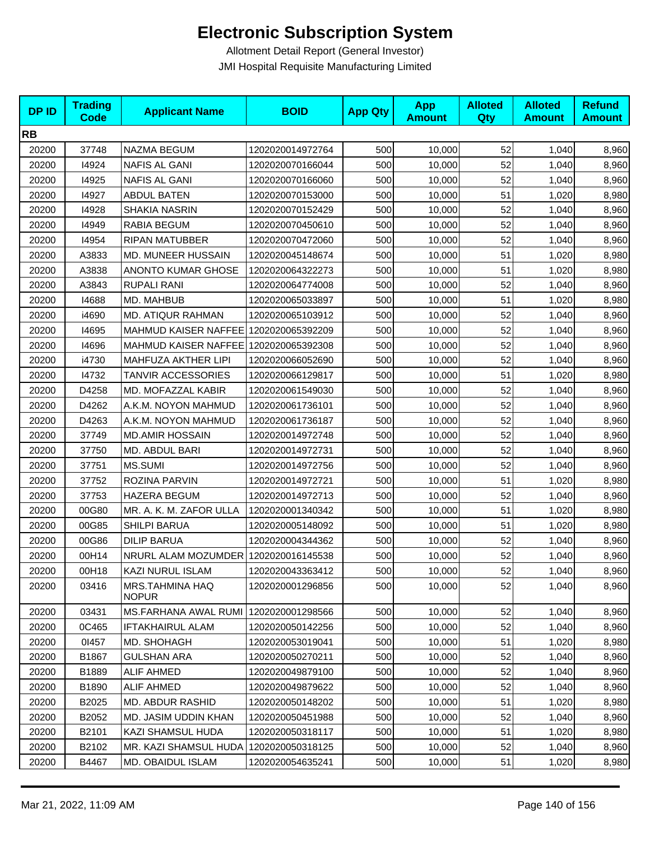| <b>DPID</b> | <b>Trading</b><br><b>Code</b> | <b>Applicant Name</b>                 | <b>BOID</b>      | <b>App Qty</b> | <b>App</b><br><b>Amount</b> | <b>Alloted</b><br>Qty | <b>Alloted</b><br><b>Amount</b> | <b>Refund</b><br><b>Amount</b> |
|-------------|-------------------------------|---------------------------------------|------------------|----------------|-----------------------------|-----------------------|---------------------------------|--------------------------------|
| <b>RB</b>   |                               |                                       |                  |                |                             |                       |                                 |                                |
| 20200       | 37748                         | NAZMA BEGUM                           | 1202020014972764 | 500            | 10,000                      | 52                    | 1,040                           | 8,960                          |
| 20200       | 14924                         | <b>NAFIS AL GANI</b>                  | 1202020070166044 | 500            | 10,000                      | 52                    | 1,040                           | 8,960                          |
| 20200       | 14925                         | NAFIS AL GANI                         | 1202020070166060 | 500            | 10,000                      | 52                    | 1,040                           | 8,960                          |
| 20200       | 14927                         | <b>ABDUL BATEN</b>                    | 1202020070153000 | 500            | 10,000                      | 51                    | 1,020                           | 8,980                          |
| 20200       | 14928                         | SHAKIA NASRIN                         | 1202020070152429 | 500            | 10,000                      | 52                    | 1,040                           | 8,960                          |
| 20200       | 14949                         | RABIA BEGUM                           | 1202020070450610 | 500            | 10,000                      | 52                    | 1,040                           | 8,960                          |
| 20200       | 14954                         | <b>RIPAN MATUBBER</b>                 | 1202020070472060 | 500            | 10,000                      | 52                    | 1,040                           | 8,960                          |
| 20200       | A3833                         | <b>MD. MUNEER HUSSAIN</b>             | 1202020045148674 | 500            | 10,000                      | 51                    | 1,020                           | 8,980                          |
| 20200       | A3838                         | <b>ANONTO KUMAR GHOSE</b>             | 1202020064322273 | 500            | 10,000                      | 51                    | 1,020                           | 8,980                          |
| 20200       | A3843                         | <b>RUPALI RANI</b>                    | 1202020064774008 | 500            | 10,000                      | 52                    | 1,040                           | 8,960                          |
| 20200       | 14688                         | MD. MAHBUB                            | 1202020065033897 | 500            | 10,000                      | 51                    | 1,020                           | 8,980                          |
| 20200       | i4690                         | MD. ATIQUR RAHMAN                     | 1202020065103912 | 500            | 10,000                      | 52                    | 1,040                           | 8,960                          |
| 20200       | 14695                         | MAHMUD KAISER NAFFEE 1202020065392209 |                  | 500            | 10,000                      | 52                    | 1,040                           | 8,960                          |
| 20200       | 14696                         | MAHMUD KAISER NAFFEE 1202020065392308 |                  | 500            | 10,000                      | 52                    | 1,040                           | 8,960                          |
| 20200       | i4730                         | MAHFUZA AKTHER LIPI                   | 1202020066052690 | 500            | 10,000                      | 52                    | 1,040                           | 8,960                          |
| 20200       | 14732                         | TANVIR ACCESSORIES                    | 1202020066129817 | 500            | 10,000                      | 51                    | 1,020                           | 8,980                          |
| 20200       | D4258                         | MD. MOFAZZAL KABIR                    | 1202020061549030 | 500            | 10,000                      | 52                    | 1,040                           | 8,960                          |
| 20200       | D4262                         | A.K.M. NOYON MAHMUD                   | 1202020061736101 | 500            | 10,000                      | 52                    | 1,040                           | 8,960                          |
| 20200       | D4263                         | A.K.M. NOYON MAHMUD                   | 1202020061736187 | 500            | 10,000                      | 52                    | 1,040                           | 8,960                          |
| 20200       | 37749                         | <b>MD.AMIR HOSSAIN</b>                | 1202020014972748 | 500            | 10,000                      | 52                    | 1,040                           | 8,960                          |
| 20200       | 37750                         | MD. ABDUL BARI                        | 1202020014972731 | 500            | 10,000                      | 52                    | 1,040                           | 8,960                          |
| 20200       | 37751                         | MS.SUMI                               | 1202020014972756 | 500            | 10,000                      | 52                    | 1,040                           | 8,960                          |
| 20200       | 37752                         | ROZINA PARVIN                         | 1202020014972721 | 500            | 10,000                      | 51                    | 1,020                           | 8,980                          |
| 20200       | 37753                         | <b>HAZERA BEGUM</b>                   | 1202020014972713 | 500            | 10,000                      | 52                    | 1,040                           | 8,960                          |
| 20200       | 00G80                         | MR. A. K. M. ZAFOR ULLA               | 1202020001340342 | 500            | 10,000                      | 51                    | 1,020                           | 8,980                          |
| 20200       | 00G85                         | SHILPI BARUA                          | 1202020005148092 | 500            | 10,000                      | 51                    | 1,020                           | 8,980                          |
| 20200       | 00G86                         | <b>DILIP BARUA</b>                    | 1202020004344362 | 500            | 10,000                      | 52                    | 1,040                           | 8,960                          |
| 20200       | 00H14                         | NRURL ALAM MOZUMDER 1202020016145538  |                  | 500            | 10,000                      | 52                    | 1,040                           | 8,960                          |
| 20200       | 00H18                         | KAZI NURUL ISLAM                      | 1202020043363412 | 500            | 10,000                      | 52                    | 1,040                           | 8,960                          |
| 20200       | 03416                         | MRS.TAHMINA HAQ<br><b>NOPUR</b>       | 1202020001296856 | 500            | 10,000                      | 52                    | 1,040                           | 8,960                          |
| 20200       | 03431                         | MS.FARHANA AWAL RUMI 1202020001298566 |                  | 500            | 10,000                      | 52                    | 1,040                           | 8,960                          |
| 20200       | 0C465                         | <b>IFTAKHAIRUL ALAM</b>               | 1202020050142256 | 500            | 10,000                      | 52                    | 1,040                           | 8,960                          |
| 20200       | 01457                         | MD. SHOHAGH                           | 1202020053019041 | 500            | 10,000                      | 51                    | 1,020                           | 8,980                          |
| 20200       | B1867                         | <b>GULSHAN ARA</b>                    | 1202020050270211 | 500            | 10,000                      | 52                    | 1,040                           | 8,960                          |
| 20200       | B1889                         | <b>ALIF AHMED</b>                     | 1202020049879100 | 500            | 10,000                      | 52                    | 1,040                           | 8,960                          |
| 20200       | B1890                         | <b>ALIF AHMED</b>                     | 1202020049879622 | 500            | 10,000                      | 52                    | 1,040                           | 8,960                          |
| 20200       | B2025                         | MD. ABDUR RASHID                      | 1202020050148202 | 500            | 10,000                      | 51                    | 1,020                           | 8,980                          |
| 20200       | B2052                         | MD. JASIM UDDIN KHAN                  | 1202020050451988 | 500            | 10,000                      | 52                    | 1,040                           | 8,960                          |
| 20200       | B2101                         | KAZI SHAMSUL HUDA                     | 1202020050318117 | 500            | 10,000                      | 51                    | 1,020                           | 8,980                          |
| 20200       | B2102                         | MR. KAZI SHAMSUL HUDA                 | 1202020050318125 | 500            | 10,000                      | 52                    | 1,040                           | 8,960                          |
| 20200       | B4467                         | <b>MD. OBAIDUL ISLAM</b>              | 1202020054635241 | 500            | 10,000                      | 51                    | 1,020                           | 8,980                          |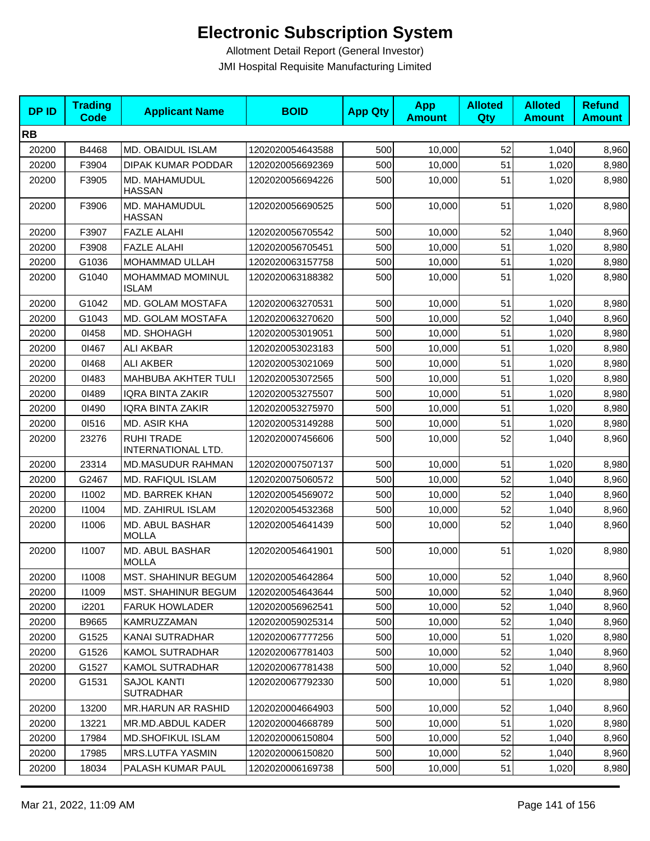| <b>DPID</b> | <b>Trading</b><br>Code | <b>Applicant Name</b>                   | <b>BOID</b>      | <b>App Qty</b> | <b>App</b><br><b>Amount</b> | <b>Alloted</b><br><b>Qty</b> | <b>Alloted</b><br><b>Amount</b> | <b>Refund</b><br><b>Amount</b> |
|-------------|------------------------|-----------------------------------------|------------------|----------------|-----------------------------|------------------------------|---------------------------------|--------------------------------|
| <b>RB</b>   |                        |                                         |                  |                |                             |                              |                                 |                                |
| 20200       | B4468                  | <b>MD. OBAIDUL ISLAM</b>                | 1202020054643588 | 500            | 10,000                      | 52                           | 1,040                           | 8,960                          |
| 20200       | F3904                  | DIPAK KUMAR PODDAR                      | 1202020056692369 | 500            | 10,000                      | 51                           | 1,020                           | 8,980                          |
| 20200       | F3905                  | MD. MAHAMUDUL<br><b>HASSAN</b>          | 1202020056694226 | 500            | 10,000                      | 51                           | 1,020                           | 8,980                          |
| 20200       | F3906                  | MD. MAHAMUDUL<br><b>HASSAN</b>          | 1202020056690525 | 500            | 10,000                      | 51                           | 1,020                           | 8,980                          |
| 20200       | F3907                  | <b>FAZLE ALAHI</b>                      | 1202020056705542 | 500            | 10.000                      | 52                           | 1,040                           | 8,960                          |
| 20200       | F3908                  | <b>FAZLE ALAHI</b>                      | 1202020056705451 | 500            | 10,000                      | 51                           | 1,020                           | 8,980                          |
| 20200       | G1036                  | MOHAMMAD ULLAH                          | 1202020063157758 | 500            | 10,000                      | 51                           | 1,020                           | 8,980                          |
| 20200       | G1040                  | MOHAMMAD MOMINUL<br><b>ISLAM</b>        | 1202020063188382 | 500            | 10,000                      | 51                           | 1,020                           | 8,980                          |
| 20200       | G1042                  | MD. GOLAM MOSTAFA                       | 1202020063270531 | 500            | 10,000                      | 51                           | 1,020                           | 8,980                          |
| 20200       | G1043                  | MD. GOLAM MOSTAFA                       | 1202020063270620 | 500            | 10,000                      | 52                           | 1,040                           | 8,960                          |
| 20200       | 01458                  | MD. SHOHAGH                             | 1202020053019051 | 500            | 10,000                      | 51                           | 1,020                           | 8,980                          |
| 20200       | 01467                  | <b>ALI AKBAR</b>                        | 1202020053023183 | 500            | 10,000                      | 51                           | 1,020                           | 8,980                          |
| 20200       | 01468                  | <b>ALI AKBER</b>                        | 1202020053021069 | 500            | 10,000                      | 51                           | 1,020                           | 8,980                          |
| 20200       | 01483                  | MAHBUBA AKHTER TULI                     | 1202020053072565 | 500            | 10,000                      | 51                           | 1,020                           | 8,980                          |
| 20200       | 01489                  | <b>IQRA BINTA ZAKIR</b>                 | 1202020053275507 | 500            | 10,000                      | 51                           | 1,020                           | 8,980                          |
| 20200       | 01490                  | <b>IQRA BINTA ZAKIR</b>                 | 1202020053275970 | 500            | 10,000                      | 51                           | 1,020                           | 8,980                          |
| 20200       | 01516                  | MD. ASIR KHA                            | 1202020053149288 | 500            | 10,000                      | 51                           | 1,020                           | 8,980                          |
| 20200       | 23276                  | <b>RUHI TRADE</b><br>INTERNATIONAL LTD. | 1202020007456606 | 500            | 10,000                      | 52                           | 1,040                           | 8,960                          |
| 20200       | 23314                  | <b>MD.MASUDUR RAHMAN</b>                | 1202020007507137 | 500            | 10,000                      | 51                           | 1,020                           | 8,980                          |
| 20200       | G2467                  | MD. RAFIQUL ISLAM                       | 1202020075060572 | 500            | 10,000                      | 52                           | 1,040                           | 8,960                          |
| 20200       | 11002                  | MD. BARREK KHAN                         | 1202020054569072 | 500            | 10,000                      | 52                           | 1,040                           | 8,960                          |
| 20200       | 11004                  | MD. ZAHIRUL ISLAM                       | 1202020054532368 | 500            | 10,000                      | 52                           | 1,040                           | 8,960                          |
| 20200       | 11006                  | <b>MD. ABUL BASHAR</b><br><b>MOLLA</b>  | 1202020054641439 | 500            | 10.000                      | 52                           | 1,040                           | 8,960                          |
| 20200       | 11007                  | <b>MD. ABUL BASHAR</b><br>MOLLA         | 1202020054641901 | 500            | 10,000                      | 51                           | 1,020                           | 8,980                          |
| 20200       | 11008                  | MST. SHAHINUR BEGUM                     | 1202020054642864 | 500            | 10,000                      | 52                           | 1,040                           | 8,960                          |
| 20200       | 11009                  | MST. SHAHINUR BEGUM                     | 1202020054643644 | 500            | 10,000                      | 52                           | 1,040                           | 8,960                          |
| 20200       | i2201                  | <b>FARUK HOWLADER</b>                   | 1202020056962541 | 500            | 10,000                      | 52                           | 1,040                           | 8,960                          |
| 20200       | B9665                  | KAMRUZZAMAN                             | 1202020059025314 | 500            | 10,000                      | 52                           | 1,040                           | 8,960                          |
| 20200       | G1525                  | KANAI SUTRADHAR                         | 1202020067777256 | 500            | 10,000                      | 51                           | 1,020                           | 8,980                          |
| 20200       | G1526                  | <b>KAMOL SUTRADHAR</b>                  | 1202020067781403 | 500            | 10,000                      | 52                           | 1,040                           | 8,960                          |
| 20200       | G1527                  | <b>KAMOL SUTRADHAR</b>                  | 1202020067781438 | 500            | 10,000                      | 52                           | 1,040                           | 8,960                          |
| 20200       | G1531                  | <b>SAJOL KANTI</b><br><b>SUTRADHAR</b>  | 1202020067792330 | 500            | 10,000                      | 51                           | 1,020                           | 8,980                          |
| 20200       | 13200                  | <b>MR.HARUN AR RASHID</b>               | 1202020004664903 | 500            | 10,000                      | 52                           | 1,040                           | 8,960                          |
| 20200       | 13221                  | MR.MD.ABDUL KADER                       | 1202020004668789 | 500            | 10,000                      | 51                           | 1,020                           | 8,980                          |
| 20200       | 17984                  | <b>MD.SHOFIKUL ISLAM</b>                | 1202020006150804 | 500            | 10,000                      | 52                           | 1,040                           | 8,960                          |
| 20200       | 17985                  | MRS.LUTFA YASMIN                        | 1202020006150820 | 500            | 10,000                      | 52                           | 1,040                           | 8,960                          |
| 20200       | 18034                  | PALASH KUMAR PAUL                       | 1202020006169738 | 500            | 10,000                      | 51                           | 1,020                           | 8,980                          |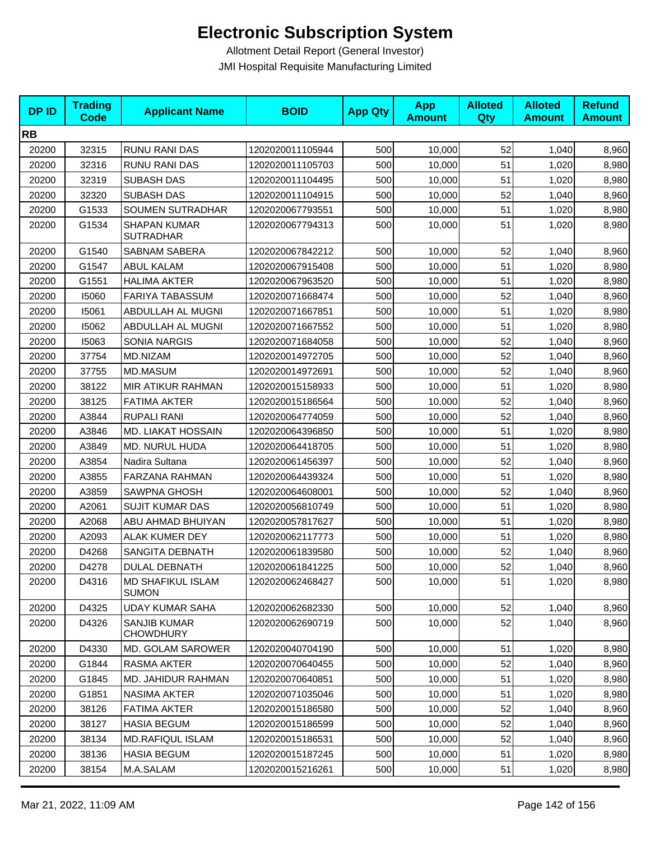| <b>DPID</b> | <b>Trading</b><br><b>Code</b> | <b>Applicant Name</b>                    | <b>BOID</b>      | <b>App Qty</b> | <b>App</b><br><b>Amount</b> | <b>Alloted</b><br>Qty | <b>Alloted</b><br><b>Amount</b> | <b>Refund</b><br><b>Amount</b> |
|-------------|-------------------------------|------------------------------------------|------------------|----------------|-----------------------------|-----------------------|---------------------------------|--------------------------------|
| <b>RB</b>   |                               |                                          |                  |                |                             |                       |                                 |                                |
| 20200       | 32315                         | RUNU RANI DAS                            | 1202020011105944 | 500            | 10,000                      | 52                    | 1,040                           | 8,960                          |
| 20200       | 32316                         | RUNU RANI DAS                            | 1202020011105703 | 500            | 10,000                      | 51                    | 1,020                           | 8,980                          |
| 20200       | 32319                         | <b>SUBASH DAS</b>                        | 1202020011104495 | 500            | 10,000                      | 51                    | 1,020                           | 8,980                          |
| 20200       | 32320                         | <b>SUBASH DAS</b>                        | 1202020011104915 | 500            | 10,000                      | 52                    | 1,040                           | 8,960                          |
| 20200       | G1533                         | SOUMEN SUTRADHAR                         | 1202020067793551 | 500            | 10,000                      | 51                    | 1,020                           | 8,980                          |
| 20200       | G1534                         | <b>SHAPAN KUMAR</b><br><b>SUTRADHAR</b>  | 1202020067794313 | 500            | 10,000                      | 51                    | 1,020                           | 8,980                          |
| 20200       | G1540                         | <b>SABNAM SABERA</b>                     | 1202020067842212 | 500            | 10,000                      | 52                    | 1,040                           | 8,960                          |
| 20200       | G1547                         | <b>ABUL KALAM</b>                        | 1202020067915408 | 500            | 10,000                      | 51                    | 1,020                           | 8,980                          |
| 20200       | G1551                         | <b>HALIMA AKTER</b>                      | 1202020067963520 | 500            | 10,000                      | 51                    | 1,020                           | 8,980                          |
| 20200       | 15060                         | <b>FARIYA TABASSUM</b>                   | 1202020071668474 | 500            | 10,000                      | 52                    | 1,040                           | 8,960                          |
| 20200       | 15061                         | ABDULLAH AL MUGNI                        | 1202020071667851 | 500            | 10,000                      | 51                    | 1,020                           | 8,980                          |
| 20200       | 15062                         | ABDULLAH AL MUGNI                        | 1202020071667552 | 500            | 10,000                      | 51                    | 1,020                           | 8,980                          |
| 20200       | 15063                         | <b>SONIA NARGIS</b>                      | 1202020071684058 | 500            | 10,000                      | 52                    | 1,040                           | 8,960                          |
| 20200       | 37754                         | MD.NIZAM                                 | 1202020014972705 | 500            | 10,000                      | 52                    | 1,040                           | 8,960                          |
| 20200       | 37755                         | <b>MD.MASUM</b>                          | 1202020014972691 | 500            | 10,000                      | 52                    | 1,040                           | 8,960                          |
| 20200       | 38122                         | MIR ATIKUR RAHMAN                        | 1202020015158933 | 500            | 10,000                      | 51                    | 1,020                           | 8,980                          |
| 20200       | 38125                         | <b>FATIMA AKTER</b>                      | 1202020015186564 | 500            | 10,000                      | 52                    | 1,040                           | 8,960                          |
| 20200       | A3844                         | <b>RUPALI RANI</b>                       | 1202020064774059 | 500            | 10,000                      | 52                    | 1,040                           | 8,960                          |
| 20200       | A3846                         | MD. LIAKAT HOSSAIN                       | 1202020064396850 | 500            | 10,000                      | 51                    | 1,020                           | 8,980                          |
| 20200       | A3849                         | MD. NURUL HUDA                           | 1202020064418705 | 500            | 10,000                      | 51                    | 1,020                           | 8,980                          |
| 20200       | A3854                         | Nadira Sultana                           | 1202020061456397 | 500            | 10,000                      | 52                    | 1,040                           | 8,960                          |
| 20200       | A3855                         | FARZANA RAHMAN                           | 1202020064439324 | 500            | 10,000                      | 51                    | 1,020                           | 8,980                          |
| 20200       | A3859                         | SAWPNA GHOSH                             | 1202020064608001 | 500            | 10,000                      | 52                    | 1,040                           | 8,960                          |
| 20200       | A2061                         | <b>SUJIT KUMAR DAS</b>                   | 1202020056810749 | 500            | 10,000                      | 51                    | 1,020                           | 8,980                          |
| 20200       | A2068                         | ABU AHMAD BHUIYAN                        | 1202020057817627 | 500            | 10,000                      | 51                    | 1,020                           | 8,980                          |
| 20200       | A2093                         | <b>ALAK KUMER DEY</b>                    | 1202020062117773 | 500            | 10,000                      | 51                    | 1,020                           | 8,980                          |
| 20200       | D4268                         | SANGITA DEBNATH                          | 1202020061839580 | 500            | 10,000                      | 52                    | 1,040                           | 8,960                          |
| 20200       | D4278                         | <b>DULAL DEBNATH</b>                     | 1202020061841225 | 500            | 10,000                      | 52                    | 1,040                           | 8,960                          |
| 20200       | D4316                         | <b>MD SHAFIKUL ISLAM</b><br><b>SUMON</b> | 1202020062468427 | 500            | 10,000                      | 51                    | 1,020                           | 8,980                          |
| 20200       | D4325                         | <b>UDAY KUMAR SAHA</b>                   | 1202020062682330 | 500            | 10,000                      | 52                    | 1,040                           | 8,960                          |
| 20200       | D4326                         | <b>SANJIB KUMAR</b><br><b>CHOWDHURY</b>  | 1202020062690719 | 500            | 10,000                      | 52                    | 1,040                           | 8,960                          |
| 20200       | D4330                         | MD. GOLAM SAROWER                        | 1202020040704190 | 500            | 10,000                      | 51                    | 1,020                           | 8,980                          |
| 20200       | G1844                         | RASMA AKTER                              | 1202020070640455 | 500            | 10,000                      | 52                    | 1,040                           | 8,960                          |
| 20200       | G1845                         | <b>MD. JAHIDUR RAHMAN</b>                | 1202020070640851 | 500            | 10,000                      | 51                    | 1,020                           | 8,980                          |
| 20200       | G1851                         | <b>NASIMA AKTER</b>                      | 1202020071035046 | 500            | 10,000                      | 51                    | 1,020                           | 8,980                          |
| 20200       | 38126                         | <b>FATIMA AKTER</b>                      | 1202020015186580 | 500            | 10,000                      | 52                    | 1,040                           | 8,960                          |
| 20200       | 38127                         | <b>HASIA BEGUM</b>                       | 1202020015186599 | 500            | 10,000                      | 52                    | 1,040                           | 8,960                          |
| 20200       | 38134                         | MD.RAFIQUL ISLAM                         | 1202020015186531 | 500            | 10,000                      | 52                    | 1,040                           | 8,960                          |
| 20200       | 38136                         | <b>HASIA BEGUM</b>                       | 1202020015187245 | 500            | 10,000                      | 51                    | 1,020                           | 8,980                          |
| 20200       | 38154                         | M.A.SALAM                                | 1202020015216261 | 500            | 10,000                      | 51                    | 1,020                           | 8,980                          |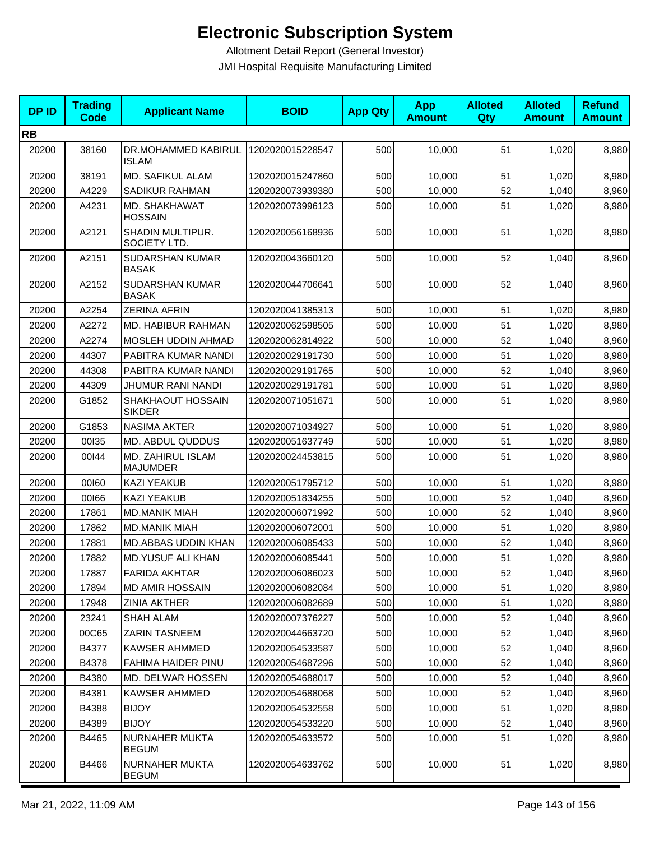| <b>DPID</b> | <b>Trading</b><br>Code | <b>Applicant Name</b>                | <b>BOID</b>      | <b>App Qty</b> | <b>App</b><br><b>Amount</b> | <b>Alloted</b><br>Qty | <b>Alloted</b><br><b>Amount</b> | <b>Refund</b><br><b>Amount</b> |
|-------------|------------------------|--------------------------------------|------------------|----------------|-----------------------------|-----------------------|---------------------------------|--------------------------------|
| <b>RB</b>   |                        |                                      |                  |                |                             |                       |                                 |                                |
| 20200       | 38160                  | DR.MOHAMMED KABIRUL<br><b>ISLAM</b>  | 1202020015228547 | 500            | 10,000                      | 51                    | 1,020                           | 8,980                          |
| 20200       | 38191                  | <b>MD. SAFIKUL ALAM</b>              | 1202020015247860 | 500            | 10,000                      | 51                    | 1,020                           | 8,980                          |
| 20200       | A4229                  | SADIKUR RAHMAN                       | 1202020073939380 | 500            | 10,000                      | 52                    | 1,040                           | 8,960                          |
| 20200       | A4231                  | MD. SHAKHAWAT<br><b>HOSSAIN</b>      | 1202020073996123 | 500            | 10,000                      | 51                    | 1,020                           | 8,980                          |
| 20200       | A2121                  | SHADIN MULTIPUR.<br>SOCIETY LTD.     | 1202020056168936 | 500            | 10.000                      | 51                    | 1,020                           | 8,980                          |
| 20200       | A2151                  | SUDARSHAN KUMAR<br><b>BASAK</b>      | 1202020043660120 | 500            | 10,000                      | 52                    | 1,040                           | 8,960                          |
| 20200       | A2152                  | SUDARSHAN KUMAR<br><b>BASAK</b>      | 1202020044706641 | 500            | 10,000                      | 52                    | 1,040                           | 8,960                          |
| 20200       | A2254                  | <b>ZERINA AFRIN</b>                  | 1202020041385313 | 500            | 10,000                      | 51                    | 1,020                           | 8,980                          |
| 20200       | A2272                  | <b>MD. HABIBUR RAHMAN</b>            | 1202020062598505 | 500            | 10,000                      | 51                    | 1,020                           | 8,980                          |
| 20200       | A2274                  | <b>MOSLEH UDDIN AHMAD</b>            | 1202020062814922 | 500            | 10,000                      | 52                    | 1,040                           | 8,960                          |
| 20200       | 44307                  | PABITRA KUMAR NANDI                  | 1202020029191730 | 500            | 10,000                      | 51                    | 1,020                           | 8,980                          |
| 20200       | 44308                  | PABITRA KUMAR NANDI                  | 1202020029191765 | 500            | 10,000                      | 52                    | 1,040                           | 8,960                          |
| 20200       | 44309                  | JHUMUR RANI NANDI                    | 1202020029191781 | 500            | 10,000                      | 51                    | 1,020                           | 8,980                          |
| 20200       | G1852                  | SHAKHAOUT HOSSAIN<br><b>SIKDER</b>   | 1202020071051671 | 500            | 10,000                      | 51                    | 1,020                           | 8,980                          |
| 20200       | G1853                  | <b>NASIMA AKTER</b>                  | 1202020071034927 | 500            | 10,000                      | 51                    | 1,020                           | 8,980                          |
| 20200       | 00135                  | MD. ABDUL QUDDUS                     | 1202020051637749 | 500            | 10,000                      | 51                    | 1,020                           | 8,980                          |
| 20200       | 00144                  | MD. ZAHIRUL ISLAM<br><b>MAJUMDER</b> | 1202020024453815 | 500            | 10,000                      | 51                    | 1,020                           | 8,980                          |
| 20200       | 00160                  | KAZI YEAKUB                          | 1202020051795712 | 500            | 10,000                      | 51                    | 1,020                           | 8,980                          |
| 20200       | 00166                  | <b>KAZI YEAKUB</b>                   | 1202020051834255 | 500            | 10,000                      | 52                    | 1,040                           | 8,960                          |
| 20200       | 17861                  | <b>MD.MANIK MIAH</b>                 | 1202020006071992 | 500            | 10,000                      | 52                    | 1,040                           | 8,960                          |
| 20200       | 17862                  | <b>MD.MANIK MIAH</b>                 | 1202020006072001 | 500            | 10,000                      | 51                    | 1,020                           | 8,980                          |
| 20200       | 17881                  | MD.ABBAS UDDIN KHAN                  | 1202020006085433 | 500            | 10,000                      | 52                    | 1,040                           | 8,960                          |
| 20200       | 17882                  | <b>MD.YUSUF ALI KHAN</b>             | 1202020006085441 | 500            | 10,000                      | 51                    | 1,020                           | 8,980                          |
| 20200       | 17887                  | FARIDA AKHTAR                        | 1202020006086023 | 500            | 10,000                      | 52                    | 1,040                           | 8,960                          |
| 20200       | 17894                  | <b>MD AMIR HOSSAIN</b>               | 1202020006082084 | 500            | 10,000                      | 51                    | 1,020                           | 8,980                          |
| 20200       | 17948                  | <b>ZINIA AKTHER</b>                  | 1202020006082689 | 500            | 10,000                      | 51                    | 1,020                           | 8,980                          |
| 20200       | 23241                  | <b>SHAH ALAM</b>                     | 1202020007376227 | 500            | 10,000                      | 52                    | 1,040                           | 8,960                          |
| 20200       | 00C65                  | ZARIN TASNEEM                        | 1202020044663720 | 500            | 10,000                      | 52                    | 1,040                           | 8,960                          |
| 20200       | B4377                  | <b>KAWSER AHMMED</b>                 | 1202020054533587 | 500            | 10,000                      | 52                    | 1,040                           | 8,960                          |
| 20200       | B4378                  | FAHIMA HAIDER PINU                   | 1202020054687296 | 500            | 10,000                      | 52                    | 1,040                           | 8,960                          |
| 20200       | B4380                  | <b>MD. DELWAR HOSSEN</b>             | 1202020054688017 | 500            | 10,000                      | 52                    | 1,040                           | 8,960                          |
| 20200       | B4381                  | <b>KAWSER AHMMED</b>                 | 1202020054688068 | 500            | 10,000                      | 52                    | 1,040                           | 8,960                          |
| 20200       | B4388                  | <b>BIJOY</b>                         | 1202020054532558 | 500            | 10,000                      | 51                    | 1,020                           | 8,980                          |
| 20200       | B4389                  | <b>BIJOY</b>                         | 1202020054533220 | 500            | 10,000                      | 52                    | 1,040                           | 8,960                          |
| 20200       | B4465                  | NURNAHER MUKTA<br><b>BEGUM</b>       | 1202020054633572 | 500            | 10,000                      | 51                    | 1,020                           | 8,980                          |
| 20200       | B4466                  | NURNAHER MUKTA<br><b>BEGUM</b>       | 1202020054633762 | 500            | 10,000                      | 51                    | 1,020                           | 8,980                          |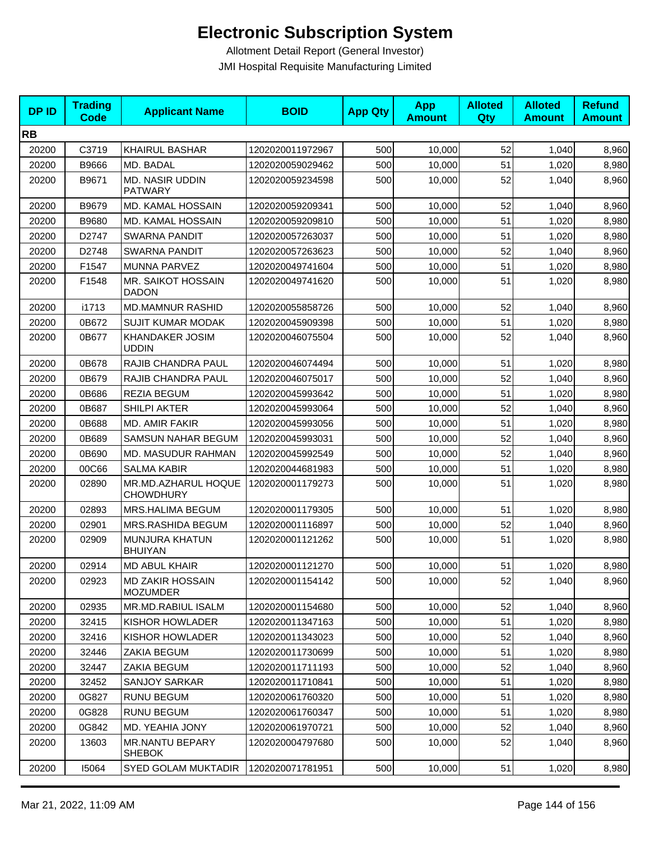| <b>DPID</b> | <b>Trading</b><br><b>Code</b> | <b>Applicant Name</b>                      | <b>BOID</b>      | <b>App Qty</b> | <b>App</b><br><b>Amount</b> | <b>Alloted</b><br><b>Qty</b> | <b>Alloted</b><br><b>Amount</b> | <b>Refund</b><br><b>Amount</b> |
|-------------|-------------------------------|--------------------------------------------|------------------|----------------|-----------------------------|------------------------------|---------------------------------|--------------------------------|
| <b>RB</b>   |                               |                                            |                  |                |                             |                              |                                 |                                |
| 20200       | C3719                         | <b>KHAIRUL BASHAR</b>                      | 1202020011972967 | 500            | 10,000                      | 52                           | 1,040                           | 8,960                          |
| 20200       | B9666                         | MD. BADAL                                  | 1202020059029462 | 500            | 10,000                      | 51                           | 1,020                           | 8,980                          |
| 20200       | B9671                         | <b>MD. NASIR UDDIN</b><br><b>PATWARY</b>   | 1202020059234598 | 500            | 10,000                      | 52                           | 1,040                           | 8,960                          |
| 20200       | B9679                         | MD. KAMAL HOSSAIN                          | 1202020059209341 | 500            | 10,000                      | 52                           | 1,040                           | 8,960                          |
| 20200       | B9680                         | <b>MD. KAMAL HOSSAIN</b>                   | 1202020059209810 | 500            | 10,000                      | 51                           | 1,020                           | 8,980                          |
| 20200       | D2747                         | <b>SWARNA PANDIT</b>                       | 1202020057263037 | 500            | 10,000                      | 51                           | 1,020                           | 8,980                          |
| 20200       | D2748                         | <b>SWARNA PANDIT</b>                       | 1202020057263623 | 500            | 10,000                      | 52                           | 1,040                           | 8,960                          |
| 20200       | F1547                         | <b>MUNNA PARVEZ</b>                        | 1202020049741604 | 500            | 10,000                      | 51                           | 1,020                           | 8,980                          |
| 20200       | F1548                         | MR. SAIKOT HOSSAIN<br><b>DADON</b>         | 1202020049741620 | 500            | 10,000                      | 51                           | 1,020                           | 8,980                          |
| 20200       | i1713                         | <b>MD.MAMNUR RASHID</b>                    | 1202020055858726 | 500            | 10,000                      | 52                           | 1,040                           | 8,960                          |
| 20200       | 0B672                         | <b>SUJIT KUMAR MODAK</b>                   | 1202020045909398 | 500            | 10,000                      | 51                           | 1,020                           | 8,980                          |
| 20200       | 0B677                         | <b>KHANDAKER JOSIM</b><br><b>UDDIN</b>     | 1202020046075504 | 500            | 10,000                      | 52                           | 1,040                           | 8,960                          |
| 20200       | 0B678                         | RAJIB CHANDRA PAUL                         | 1202020046074494 | 500            | 10,000                      | 51                           | 1,020                           | 8,980                          |
| 20200       | 0B679                         | RAJIB CHANDRA PAUL                         | 1202020046075017 | 500            | 10.000                      | 52                           | 1,040                           | 8,960                          |
| 20200       | 0B686                         | <b>REZIA BEGUM</b>                         | 1202020045993642 | 500            | 10,000                      | 51                           | 1,020                           | 8,980                          |
| 20200       | 0B687                         | <b>SHILPI AKTER</b>                        | 1202020045993064 | 500            | 10,000                      | 52                           | 1,040                           | 8,960                          |
| 20200       | 0B688                         | MD. AMIR FAKIR                             | 1202020045993056 | 500            | 10,000                      | 51                           | 1,020                           | 8,980                          |
| 20200       | 0B689                         | SAMSUN NAHAR BEGUM                         | 1202020045993031 | 500            | 10,000                      | 52                           | 1,040                           | 8,960                          |
| 20200       | 0B690                         | MD. MASUDUR RAHMAN                         | 1202020045992549 | 500            | 10,000                      | 52                           | 1,040                           | 8,960                          |
| 20200       | 00C66                         | <b>SALMA KABIR</b>                         | 1202020044681983 | 500            | 10,000                      | 51                           | 1,020                           | 8,980                          |
| 20200       | 02890                         | MR.MD.AZHARUL HOQUE<br><b>CHOWDHURY</b>    | 1202020001179273 | 500            | 10,000                      | 51                           | 1,020                           | 8,980                          |
| 20200       | 02893                         | <b>MRS.HALIMA BEGUM</b>                    | 1202020001179305 | 500            | 10,000                      | 51                           | 1,020                           | 8,980                          |
| 20200       | 02901                         | MRS.RASHIDA BEGUM                          | 1202020001116897 | 500            | 10,000                      | 52                           | 1,040                           | 8,960                          |
| 20200       | 02909                         | MUNJURA KHATUN<br><b>BHUIYAN</b>           | 1202020001121262 | 500            | 10,000                      | 51                           | 1,020                           | 8,980                          |
| 20200       | 02914                         | <b>MD ABUL KHAIR</b>                       | 1202020001121270 | 500            | 10,000                      | 51                           | 1,020                           | 8,980                          |
| 20200       | 02923                         | <b>MD ZAKIR HOSSAIN</b><br><b>MOZUMDER</b> | 1202020001154142 | 500            | 10,000                      | 52                           | 1,040                           | 8,960                          |
| 20200       | 02935                         | MR.MD.RABIUL ISALM                         | 1202020001154680 | 500            | 10,000                      | 52                           | 1,040                           | 8,960                          |
| 20200       | 32415                         | KISHOR HOWLADER                            | 1202020011347163 | 500            | 10,000                      | 51                           | 1,020                           | 8,980                          |
| 20200       | 32416                         | KISHOR HOWLADER                            | 1202020011343023 | 500            | 10,000                      | 52                           | 1,040                           | 8,960                          |
| 20200       | 32446                         | ZAKIA BEGUM                                | 1202020011730699 | 500            | 10,000                      | 51                           | 1,020                           | 8,980                          |
| 20200       | 32447                         | ZAKIA BEGUM                                | 1202020011711193 | 500            | 10,000                      | 52                           | 1,040                           | 8,960                          |
| 20200       | 32452                         | <b>SANJOY SARKAR</b>                       | 1202020011710841 | 500            | 10,000                      | 51                           | 1,020                           | 8,980                          |
| 20200       | 0G827                         | <b>RUNU BEGUM</b>                          | 1202020061760320 | 500            | 10,000                      | 51                           | 1,020                           | 8,980                          |
| 20200       | 0G828                         | <b>RUNU BEGUM</b>                          | 1202020061760347 | 500            | 10,000                      | 51                           | 1,020                           | 8,980                          |
| 20200       | 0G842                         | MD. YEAHIA JONY                            | 1202020061970721 | 500            | 10,000                      | 52                           | 1,040                           | 8,960                          |
| 20200       | 13603                         | <b>MR.NANTU BEPARY</b><br><b>SHEBOK</b>    | 1202020004797680 | 500            | 10,000                      | 52                           | 1,040                           | 8,960                          |
| 20200       | 15064                         | <b>SYED GOLAM MUKTADIR</b>                 | 1202020071781951 | 500            | 10,000                      | 51                           | 1,020                           | 8,980                          |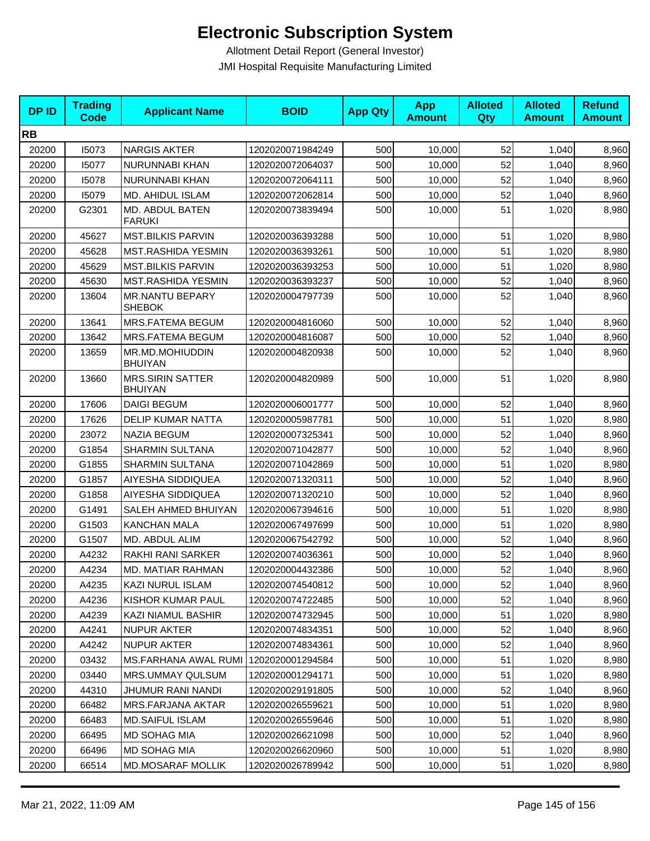| <b>DPID</b> | <b>Trading</b><br><b>Code</b> | <b>Applicant Name</b>                     | <b>BOID</b>      | <b>App Qty</b> | <b>App</b><br><b>Amount</b> | <b>Alloted</b><br>Qty | <b>Alloted</b><br><b>Amount</b> | <b>Refund</b><br><b>Amount</b> |
|-------------|-------------------------------|-------------------------------------------|------------------|----------------|-----------------------------|-----------------------|---------------------------------|--------------------------------|
| <b>RB</b>   |                               |                                           |                  |                |                             |                       |                                 |                                |
| 20200       | 15073                         | <b>NARGIS AKTER</b>                       | 1202020071984249 | 500            | 10,000                      | 52                    | 1,040                           | 8,960                          |
| 20200       | 15077                         | NURUNNABI KHAN                            | 1202020072064037 | 500            | 10,000                      | 52                    | 1,040                           | 8,960                          |
| 20200       | 15078                         | NURUNNABI KHAN                            | 1202020072064111 | 500            | 10,000                      | 52                    | 1,040                           | 8,960                          |
| 20200       | 15079                         | MD. AHIDUL ISLAM                          | 1202020072062814 | 500            | 10,000                      | 52                    | 1,040                           | 8,960                          |
| 20200       | G2301                         | MD. ABDUL BATEN<br><b>FARUKI</b>          | 1202020073839494 | 500            | 10,000                      | 51                    | 1,020                           | 8,980                          |
| 20200       | 45627                         | <b>MST.BILKIS PARVIN</b>                  | 1202020036393288 | 500            | 10,000                      | 51                    | 1,020                           | 8,980                          |
| 20200       | 45628                         | MST.RASHIDA YESMIN                        | 1202020036393261 | 500            | 10,000                      | 51                    | 1,020                           | 8,980                          |
| 20200       | 45629                         | <b>MST.BILKIS PARVIN</b>                  | 1202020036393253 | 500            | 10,000                      | 51                    | 1,020                           | 8,980                          |
| 20200       | 45630                         | MST.RASHIDA YESMIN                        | 1202020036393237 | 500            | 10,000                      | 52                    | 1,040                           | 8,960                          |
| 20200       | 13604                         | <b>MR.NANTU BEPARY</b><br><b>SHEBOK</b>   | 1202020004797739 | 500            | 10,000                      | 52                    | 1,040                           | 8,960                          |
| 20200       | 13641                         | MRS.FATEMA BEGUM                          | 1202020004816060 | 500            | 10,000                      | 52                    | 1,040                           | 8,960                          |
| 20200       | 13642                         | MRS.FATEMA BEGUM                          | 1202020004816087 | 500            | 10,000                      | 52                    | 1,040                           | 8,960                          |
| 20200       | 13659                         | MR.MD.MOHIUDDIN<br><b>BHUIYAN</b>         | 1202020004820938 | 500            | 10,000                      | 52                    | 1,040                           | 8,960                          |
| 20200       | 13660                         | <b>MRS.SIRIN SATTER</b><br><b>BHUIYAN</b> | 1202020004820989 | 500            | 10,000                      | 51                    | 1,020                           | 8,980                          |
| 20200       | 17606                         | <b>DAIGI BEGUM</b>                        | 1202020006001777 | 500            | 10,000                      | 52                    | 1,040                           | 8,960                          |
| 20200       | 17626                         | <b>DELIP KUMAR NATTA</b>                  | 1202020005987781 | 500            | 10,000                      | 51                    | 1,020                           | 8,980                          |
| 20200       | 23072                         | <b>NAZIA BEGUM</b>                        | 1202020007325341 | 500            | 10,000                      | 52                    | 1,040                           | 8,960                          |
| 20200       | G1854                         | <b>SHARMIN SULTANA</b>                    | 1202020071042877 | 500            | 10,000                      | 52                    | 1,040                           | 8,960                          |
| 20200       | G1855                         | SHARMIN SULTANA                           | 1202020071042869 | 500            | 10,000                      | 51                    | 1,020                           | 8,980                          |
| 20200       | G1857                         | AIYESHA SIDDIQUEA                         | 1202020071320311 | 500            | 10,000                      | 52                    | 1,040                           | 8,960                          |
| 20200       | G1858                         | AIYESHA SIDDIQUEA                         | 1202020071320210 | 500            | 10,000                      | 52                    | 1,040                           | 8,960                          |
| 20200       | G1491                         | SALEH AHMED BHUIYAN                       | 1202020067394616 | 500            | 10,000                      | 51                    | 1,020                           | 8,980                          |
| 20200       | G1503                         | <b>KANCHAN MALA</b>                       | 1202020067497699 | 500            | 10,000                      | 51                    | 1,020                           | 8,980                          |
| 20200       | G1507                         | MD. ABDUL ALIM                            | 1202020067542792 | 500            | 10,000                      | 52                    | 1,040                           | 8,960                          |
| 20200       | A4232                         | RAKHI RANI SARKER                         | 1202020074036361 | 500            | 10,000                      | 52                    | 1,040                           | 8,960                          |
| 20200       | A4234                         | MD. MATIAR RAHMAN                         | 1202020004432386 | 500            | 10,000                      | 52                    | 1,040                           | 8,960                          |
| 20200       | A4235                         | KAZI NURUL ISLAM                          | 1202020074540812 | 500            | 10,000                      | 52                    | 1,040                           | 8,960                          |
| 20200       | A4236                         | KISHOR KUMAR PAUL                         | 1202020074722485 | 500            | 10,000                      | 52                    | 1,040                           | 8,960                          |
| 20200       | A4239                         | KAZI NIAMUL BASHIR                        | 1202020074732945 | 500            | 10,000                      | 51                    | 1,020                           | 8,980                          |
| 20200       | A4241                         | <b>NUPUR AKTER</b>                        | 1202020074834351 | 500            | 10,000                      | 52                    | 1,040                           | 8,960                          |
| 20200       | A4242                         | <b>NUPUR AKTER</b>                        | 1202020074834361 | 500            | 10,000                      | 52                    | 1,040                           | 8,960                          |
| 20200       | 03432                         | MS.FARHANA AWAL RUMI                      | 1202020001294584 | 500            | 10,000                      | 51                    | 1,020                           | 8,980                          |
| 20200       | 03440                         | MRS.UMMAY QULSUM                          | 1202020001294171 | 500            | 10,000                      | 51                    | 1,020                           | 8,980                          |
| 20200       | 44310                         | JHUMUR RANI NANDI                         | 1202020029191805 | 500            | 10,000                      | 52                    | 1,040                           | 8,960                          |
| 20200       | 66482                         | <b>MRS.FARJANA AKTAR</b>                  | 1202020026559621 | 500            | 10,000                      | 51                    | 1,020                           | 8,980                          |
| 20200       | 66483                         | <b>MD.SAIFUL ISLAM</b>                    | 1202020026559646 | 500            | 10,000                      | 51                    | 1,020                           | 8,980                          |
| 20200       | 66495                         | MD SOHAG MIA                              | 1202020026621098 | 500            | 10,000                      | 52                    | 1,040                           | 8,960                          |
| 20200       | 66496                         | MD SOHAG MIA                              | 1202020026620960 | 500            | 10,000                      | 51                    | 1,020                           | 8,980                          |
| 20200       | 66514                         | MD.MOSARAF MOLLIK                         | 1202020026789942 | 500            | 10,000                      | 51                    | 1,020                           | 8,980                          |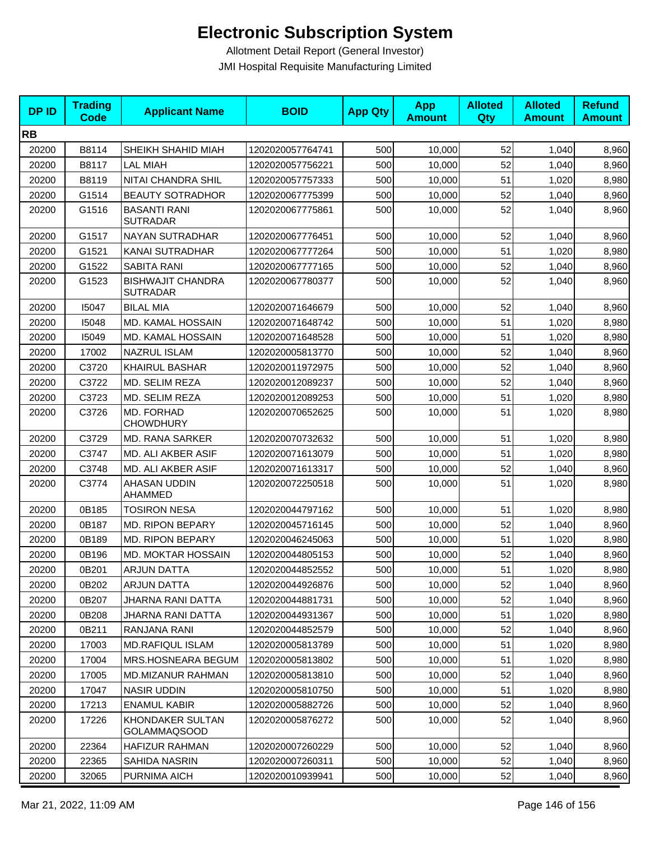| <b>DPID</b> | <b>Trading</b><br><b>Code</b> | <b>Applicant Name</b>                       | <b>BOID</b>      | <b>App Qty</b> | <b>App</b><br><b>Amount</b> | <b>Alloted</b><br>Qty | <b>Alloted</b><br><b>Amount</b> | <b>Refund</b><br><b>Amount</b> |
|-------------|-------------------------------|---------------------------------------------|------------------|----------------|-----------------------------|-----------------------|---------------------------------|--------------------------------|
| <b>RB</b>   |                               |                                             |                  |                |                             |                       |                                 |                                |
| 20200       | B8114                         | SHEIKH SHAHID MIAH                          | 1202020057764741 | 500            | 10,000                      | 52                    | 1,040                           | 8,960                          |
| 20200       | B8117                         | <b>LAL MIAH</b>                             | 1202020057756221 | 500            | 10,000                      | 52                    | 1,040                           | 8,960                          |
| 20200       | B8119                         | NITAI CHANDRA SHIL                          | 1202020057757333 | 500            | 10,000                      | 51                    | 1,020                           | 8,980                          |
| 20200       | G1514                         | <b>BEAUTY SOTRADHOR</b>                     | 1202020067775399 | 500            | 10,000                      | 52                    | 1,040                           | 8,960                          |
| 20200       | G1516                         | <b>BASANTI RANI</b><br><b>SUTRADAR</b>      | 1202020067775861 | 500            | 10,000                      | 52                    | 1,040                           | 8,960                          |
| 20200       | G1517                         | NAYAN SUTRADHAR                             | 1202020067776451 | 500            | 10,000                      | 52                    | 1,040                           | 8,960                          |
| 20200       | G1521                         | KANAI SUTRADHAR                             | 1202020067777264 | 500            | 10.000                      | 51                    | 1,020                           | 8,980                          |
| 20200       | G1522                         | <b>SABITA RANI</b>                          | 1202020067777165 | 500            | 10,000                      | 52                    | 1,040                           | 8,960                          |
| 20200       | G1523                         | <b>BISHWAJIT CHANDRA</b><br><b>SUTRADAR</b> | 1202020067780377 | 500            | 10,000                      | 52                    | 1,040                           | 8,960                          |
| 20200       | 15047                         | <b>BILAL MIA</b>                            | 1202020071646679 | 500            | 10,000                      | 52                    | 1,040                           | 8,960                          |
| 20200       | 15048                         | MD. KAMAL HOSSAIN                           | 1202020071648742 | 500            | 10,000                      | 51                    | 1,020                           | 8,980                          |
| 20200       | 15049                         | MD. KAMAL HOSSAIN                           | 1202020071648528 | 500            | 10,000                      | 51                    | 1,020                           | 8,980                          |
| 20200       | 17002                         | NAZRUL ISLAM                                | 1202020005813770 | 500            | 10,000                      | 52                    | 1,040                           | 8,960                          |
| 20200       | C3720                         | <b>KHAIRUL BASHAR</b>                       | 1202020011972975 | 500            | 10,000                      | 52                    | 1,040                           | 8,960                          |
| 20200       | C3722                         | MD. SELIM REZA                              | 1202020012089237 | 500            | 10,000                      | 52                    | 1,040                           | 8,960                          |
| 20200       | C3723                         | MD. SELIM REZA                              | 1202020012089253 | 500            | 10,000                      | 51                    | 1,020                           | 8,980                          |
| 20200       | C3726                         | MD. FORHAD<br><b>CHOWDHURY</b>              | 1202020070652625 | 500            | 10,000                      | 51                    | 1,020                           | 8,980                          |
| 20200       | C3729                         | MD. RANA SARKER                             | 1202020070732632 | 500            | 10,000                      | 51                    | 1,020                           | 8,980                          |
| 20200       | C3747                         | MD. ALI AKBER ASIF                          | 1202020071613079 | 500            | 10,000                      | 51                    | 1,020                           | 8,980                          |
| 20200       | C3748                         | MD. ALI AKBER ASIF                          | 1202020071613317 | 500            | 10,000                      | 52                    | 1,040                           | 8,960                          |
| 20200       | C3774                         | AHASAN UDDIN<br><b>AHAMMED</b>              | 1202020072250518 | 500            | 10,000                      | 51                    | 1,020                           | 8,980                          |
| 20200       | 0B185                         | <b>TOSIRON NESA</b>                         | 1202020044797162 | 500            | 10,000                      | 51                    | 1,020                           | 8,980                          |
| 20200       | 0B187                         | <b>MD. RIPON BEPARY</b>                     | 1202020045716145 | 500            | 10.000                      | 52                    | 1,040                           | 8,960                          |
| 20200       | 0B189                         | MD. RIPON BEPARY                            | 1202020046245063 | 500            | 10,000                      | 51                    | 1,020                           | 8,980                          |
| 20200       | 0B196                         | <b>MD. MOKTAR HOSSAIN</b>                   | 1202020044805153 | 500            | 10,000                      | 52                    | 1,040                           | 8,960                          |
| 20200       | 0B201                         | <b>ARJUN DATTA</b>                          | 1202020044852552 | 500            | 10,000                      | 51                    | 1,020                           | 8,980                          |
| 20200       | 0B202                         | <b>ARJUN DATTA</b>                          | 1202020044926876 | 500            | 10,000                      | 52                    | 1,040                           | 8,960                          |
| 20200       | 0B207                         | <b>JHARNA RANI DATTA</b>                    | 1202020044881731 | 500            | 10,000                      | 52                    | 1,040                           | 8,960                          |
| 20200       | 0B208                         | <b>JHARNA RANI DATTA</b>                    | 1202020044931367 | 500            | 10,000                      | 51                    | 1,020                           | 8,980                          |
| 20200       | 0B211                         | RANJANA RANI                                | 1202020044852579 | 500            | 10,000                      | 52                    | 1,040                           | 8,960                          |
| 20200       | 17003                         | <b>MD.RAFIQUL ISLAM</b>                     | 1202020005813789 | 500            | 10,000                      | 51                    | 1,020                           | 8,980                          |
| 20200       | 17004                         | MRS.HOSNEARA BEGUM                          | 1202020005813802 | 500            | 10,000                      | 51                    | 1,020                           | 8,980                          |
| 20200       | 17005                         | <b>MD.MIZANUR RAHMAN</b>                    | 1202020005813810 | 500            | 10,000                      | 52                    | 1,040                           | 8,960                          |
| 20200       | 17047                         | <b>NASIR UDDIN</b>                          | 1202020005810750 | 500            | 10,000                      | 51                    | 1,020                           | 8,980                          |
| 20200       | 17213                         | <b>ENAMUL KABIR</b>                         | 1202020005882726 | 500            | 10,000                      | 52                    | 1,040                           | 8,960                          |
| 20200       | 17226                         | KHONDAKER SULTAN<br><b>GOLAMMAQSOOD</b>     | 1202020005876272 | 500            | 10,000                      | 52                    | 1,040                           | 8,960                          |
| 20200       | 22364                         | <b>HAFIZUR RAHMAN</b>                       | 1202020007260229 | 500            | 10,000                      | 52                    | 1,040                           | 8,960                          |
| 20200       | 22365                         | SAHIDA NASRIN                               | 1202020007260311 | 500            | 10,000                      | 52                    | 1,040                           | 8,960                          |
| 20200       | 32065                         | PURNIMA AICH                                | 1202020010939941 | 500            | 10,000                      | 52                    | 1,040                           | 8,960                          |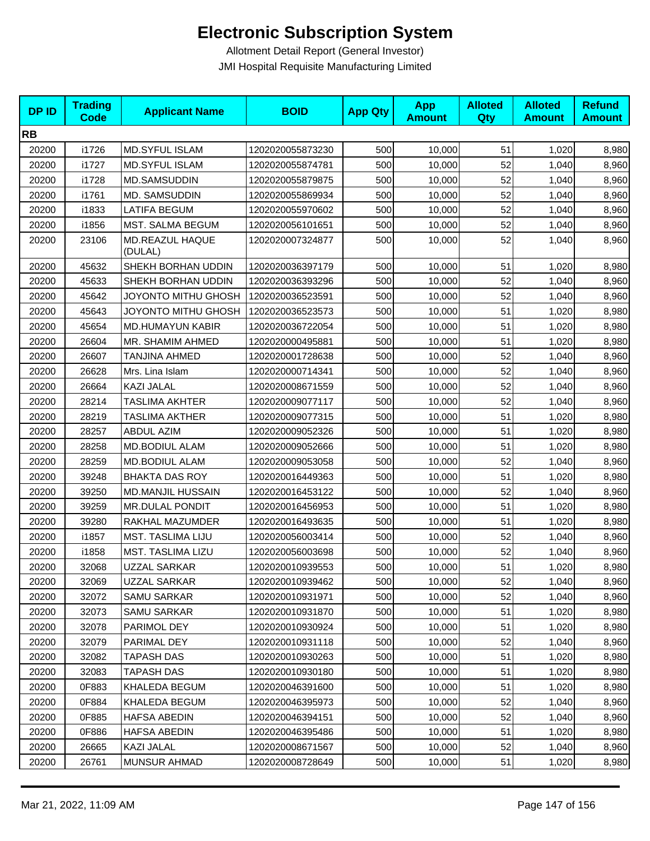| <b>DPID</b> | <b>Trading</b><br><b>Code</b> | <b>Applicant Name</b>      | <b>BOID</b>      | <b>App Qty</b> | <b>App</b><br><b>Amount</b> | <b>Alloted</b><br>Qty | <b>Alloted</b><br><b>Amount</b> | <b>Refund</b><br><b>Amount</b> |
|-------------|-------------------------------|----------------------------|------------------|----------------|-----------------------------|-----------------------|---------------------------------|--------------------------------|
| <b>RB</b>   |                               |                            |                  |                |                             |                       |                                 |                                |
| 20200       | i1726                         | <b>MD.SYFUL ISLAM</b>      | 1202020055873230 | 500            | 10,000                      | 51                    | 1,020                           | 8,980                          |
| 20200       | i1727                         | MD.SYFUL ISLAM             | 1202020055874781 | 500            | 10,000                      | 52                    | 1,040                           | 8,960                          |
| 20200       | i1728                         | <b>MD.SAMSUDDIN</b>        | 1202020055879875 | 500            | 10,000                      | 52                    | 1,040                           | 8,960                          |
| 20200       | i1761                         | MD. SAMSUDDIN              | 1202020055869934 | 500            | 10,000                      | 52                    | 1,040                           | 8,960                          |
| 20200       | i1833                         | <b>LATIFA BEGUM</b>        | 1202020055970602 | 500            | 10,000                      | 52                    | 1,040                           | 8,960                          |
| 20200       | i1856                         | MST. SALMA BEGUM           | 1202020056101651 | 500            | 10,000                      | 52                    | 1,040                           | 8,960                          |
| 20200       | 23106                         | MD.REAZUL HAQUE<br>(DULAL) | 1202020007324877 | 500            | 10,000                      | 52                    | 1,040                           | 8,960                          |
| 20200       | 45632                         | SHEKH BORHAN UDDIN         | 1202020036397179 | 500            | 10,000                      | 51                    | 1,020                           | 8,980                          |
| 20200       | 45633                         | SHEKH BORHAN UDDIN         | 1202020036393296 | 500            | 10,000                      | 52                    | 1,040                           | 8,960                          |
| 20200       | 45642                         | JOYONTO MITHU GHOSH        | 1202020036523591 | 500            | 10,000                      | 52                    | 1,040                           | 8,960                          |
| 20200       | 45643                         | JOYONTO MITHU GHOSH        | 1202020036523573 | 500            | 10,000                      | 51                    | 1,020                           | 8,980                          |
| 20200       | 45654                         | <b>MD.HUMAYUN KABIR</b>    | 1202020036722054 | 500            | 10,000                      | 51                    | 1,020                           | 8,980                          |
| 20200       | 26604                         | MR. SHAMIM AHMED           | 1202020000495881 | 500            | 10,000                      | 51                    | 1,020                           | 8,980                          |
| 20200       | 26607                         | TANJINA AHMED              | 1202020001728638 | 500            | 10,000                      | 52                    | 1,040                           | 8,960                          |
| 20200       | 26628                         | Mrs. Lina Islam            | 1202020000714341 | 500            | 10,000                      | 52                    | 1,040                           | 8,960                          |
| 20200       | 26664                         | KAZI JALAL                 | 1202020008671559 | 500            | 10,000                      | 52                    | 1,040                           | 8,960                          |
| 20200       | 28214                         | TASLIMA AKHTER             | 1202020009077117 | 500            | 10,000                      | 52                    | 1,040                           | 8,960                          |
| 20200       | 28219                         | TASLIMA AKTHER             | 1202020009077315 | 500            | 10,000                      | 51                    | 1,020                           | 8,980                          |
| 20200       | 28257                         | <b>ABDUL AZIM</b>          | 1202020009052326 | 500            | 10,000                      | 51                    | 1,020                           | 8,980                          |
| 20200       | 28258                         | MD.BODIUL ALAM             | 1202020009052666 | 500            | 10,000                      | 51                    | 1,020                           | 8,980                          |
| 20200       | 28259                         | MD.BODIUL ALAM             | 1202020009053058 | 500            | 10,000                      | 52                    | 1,040                           | 8,960                          |
| 20200       | 39248                         | <b>BHAKTA DAS ROY</b>      | 1202020016449363 | 500            | 10,000                      | 51                    | 1,020                           | 8,980                          |
| 20200       | 39250                         | <b>MD.MANJIL HUSSAIN</b>   | 1202020016453122 | 500            | 10,000                      | 52                    | 1,040                           | 8,960                          |
| 20200       | 39259                         | <b>MR.DULAL PONDIT</b>     | 1202020016456953 | 500            | 10,000                      | 51                    | 1,020                           | 8,980                          |
| 20200       | 39280                         | RAKHAL MAZUMDER            | 1202020016493635 | 500            | 10,000                      | 51                    | 1,020                           | 8,980                          |
| 20200       | i1857                         | <b>MST. TASLIMA LIJU</b>   | 1202020056003414 | 500            | 10,000                      | 52                    | 1,040                           | 8,960                          |
| 20200       | i1858                         | MST. TASLIMA LIZU          | 1202020056003698 | 500            | 10,000                      | 52                    | 1,040                           | 8,960                          |
| 20200       | 32068                         | <b>UZZAL SARKAR</b>        | 1202020010939553 | 500            | 10,000                      | 51                    | 1,020                           | 8,980                          |
| 20200       | 32069                         | UZZAL SARKAR               | 1202020010939462 | 500            | 10,000                      | 52                    | 1,040                           | 8,960                          |
| 20200       | 32072                         | <b>SAMU SARKAR</b>         | 1202020010931971 | 500            | 10,000                      | 52                    | 1,040                           | 8,960                          |
| 20200       | 32073                         | SAMU SARKAR                | 1202020010931870 | 500            | 10,000                      | 51                    | 1,020                           | 8,980                          |
| 20200       | 32078                         | PARIMOL DEY                | 1202020010930924 | 500            | 10,000                      | 51                    | 1,020                           | 8,980                          |
| 20200       | 32079                         | PARIMAL DEY                | 1202020010931118 | 500            | 10,000                      | 52                    | 1,040                           | 8,960                          |
| 20200       | 32082                         | <b>TAPASH DAS</b>          | 1202020010930263 | 500            | 10,000                      | 51                    | 1,020                           | 8,980                          |
| 20200       | 32083                         | <b>TAPASH DAS</b>          | 1202020010930180 | 500            | 10,000                      | 51                    | 1,020                           | 8,980                          |
| 20200       | 0F883                         | KHALEDA BEGUM              | 1202020046391600 | 500            | 10,000                      | 51                    | 1,020                           | 8,980                          |
| 20200       | 0F884                         | KHALEDA BEGUM              | 1202020046395973 | 500            | 10,000                      | 52                    | 1,040                           | 8,960                          |
| 20200       | 0F885                         | HAFSA ABEDIN               | 1202020046394151 | 500            | 10,000                      | 52                    | 1,040                           | 8,960                          |
| 20200       | 0F886                         | HAFSA ABEDIN               | 1202020046395486 | 500            | 10,000                      | 51                    | 1,020                           | 8,980                          |
| 20200       | 26665                         | KAZI JALAL                 | 1202020008671567 | 500            | 10,000                      | 52                    | 1,040                           | 8,960                          |
| 20200       | 26761                         | <b>MUNSUR AHMAD</b>        | 1202020008728649 | 500            | 10,000                      | 51                    | 1,020                           | 8,980                          |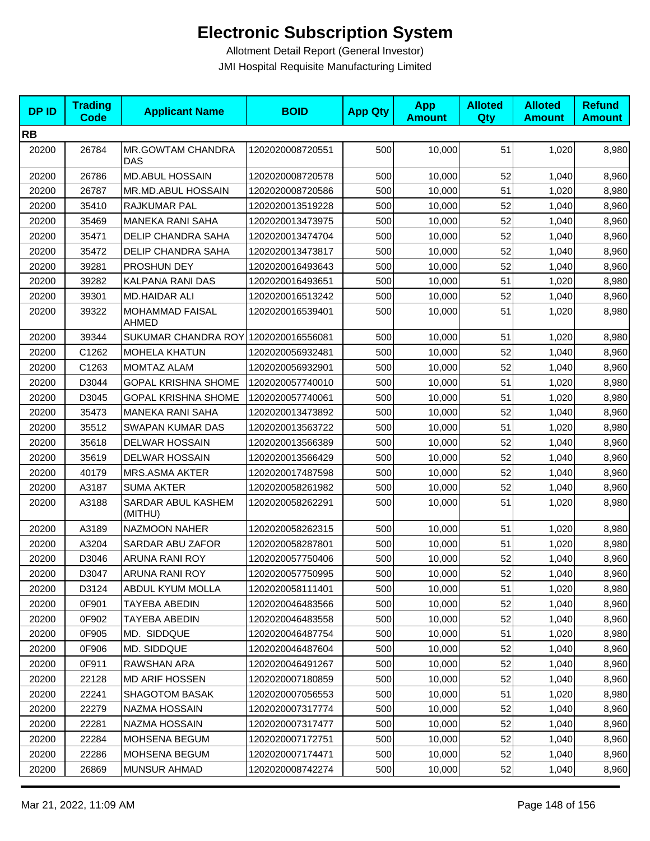| <b>DPID</b> | <b>Trading</b><br><b>Code</b> | <b>Applicant Name</b>                | <b>BOID</b>      | <b>App Qty</b> | <b>App</b><br><b>Amount</b> | <b>Alloted</b><br>Qty | <b>Alloted</b><br><b>Amount</b> | <b>Refund</b><br><b>Amount</b> |
|-------------|-------------------------------|--------------------------------------|------------------|----------------|-----------------------------|-----------------------|---------------------------------|--------------------------------|
| <b>RB</b>   |                               |                                      |                  |                |                             |                       |                                 |                                |
| 20200       | 26784                         | MR.GOWTAM CHANDRA<br>DAS             | 1202020008720551 | 500            | 10,000                      | 51                    | 1,020                           | 8,980                          |
| 20200       | 26786                         | <b>MD.ABUL HOSSAIN</b>               | 1202020008720578 | 500            | 10,000                      | 52                    | 1,040                           | 8,960                          |
| 20200       | 26787                         | MR.MD.ABUL HOSSAIN                   | 1202020008720586 | 500            | 10,000                      | 51                    | 1,020                           | 8,980                          |
| 20200       | 35410                         | RAJKUMAR PAL                         | 1202020013519228 | 500            | 10,000                      | 52                    | 1,040                           | 8,960                          |
| 20200       | 35469                         | <b>MANEKA RANI SAHA</b>              | 1202020013473975 | 500            | 10,000                      | 52                    | 1,040                           | 8,960                          |
| 20200       | 35471                         | <b>DELIP CHANDRA SAHA</b>            | 1202020013474704 | 500            | 10,000                      | 52                    | 1,040                           | 8,960                          |
| 20200       | 35472                         | <b>DELIP CHANDRA SAHA</b>            | 1202020013473817 | 500            | 10,000                      | 52                    | 1,040                           | 8,960                          |
| 20200       | 39281                         | PROSHUN DEY                          | 1202020016493643 | 500            | 10,000                      | 52                    | 1,040                           | 8,960                          |
| 20200       | 39282                         | KALPANA RANI DAS                     | 1202020016493651 | 500            | 10,000                      | 51                    | 1,020                           | 8,980                          |
| 20200       | 39301                         | <b>MD.HAIDAR ALI</b>                 | 1202020016513242 | 500            | 10,000                      | 52                    | 1,040                           | 8,960                          |
| 20200       | 39322                         | <b>MOHAMMAD FAISAL</b><br>AHMED      | 1202020016539401 | 500            | 10,000                      | 51                    | 1,020                           | 8,980                          |
| 20200       | 39344                         | SUKUMAR CHANDRA ROY 1202020016556081 |                  | 500            | 10,000                      | 51                    | 1,020                           | 8,980                          |
| 20200       | C1262                         | <b>MOHELA KHATUN</b>                 | 1202020056932481 | 500            | 10,000                      | 52                    | 1,040                           | 8,960                          |
| 20200       | C1263                         | <b>MOMTAZ ALAM</b>                   | 1202020056932901 | 500            | 10,000                      | 52                    | 1,040                           | 8,960                          |
| 20200       | D3044                         | <b>GOPAL KRISHNA SHOME</b>           | 1202020057740010 | 500            | 10,000                      | 51                    | 1,020                           | 8,980                          |
| 20200       | D3045                         | <b>GOPAL KRISHNA SHOME</b>           | 1202020057740061 | 500            | 10,000                      | 51                    | 1,020                           | 8,980                          |
| 20200       | 35473                         | <b>MANEKA RANI SAHA</b>              | 1202020013473892 | 500            | 10,000                      | 52                    | 1,040                           | 8,960                          |
| 20200       | 35512                         | SWAPAN KUMAR DAS                     | 1202020013563722 | 500            | 10,000                      | 51                    | 1,020                           | 8,980                          |
| 20200       | 35618                         | <b>DELWAR HOSSAIN</b>                | 1202020013566389 | 500            | 10,000                      | 52                    | 1,040                           | 8,960                          |
| 20200       | 35619                         | <b>DELWAR HOSSAIN</b>                | 1202020013566429 | 500            | 10,000                      | 52                    | 1,040                           | 8,960                          |
| 20200       | 40179                         | <b>MRS.ASMA AKTER</b>                | 1202020017487598 | 500            | 10,000                      | 52                    | 1,040                           | 8,960                          |
| 20200       | A3187                         | <b>SUMA AKTER</b>                    | 1202020058261982 | 500            | 10,000                      | 52                    | 1,040                           | 8,960                          |
| 20200       | A3188                         | SARDAR ABUL KASHEM<br>(MITHU)        | 1202020058262291 | 500            | 10,000                      | 51                    | 1,020                           | 8,980                          |
| 20200       | A3189                         | NAZMOON NAHER                        | 1202020058262315 | 500            | 10,000                      | 51                    | 1,020                           | 8,980                          |
| 20200       | A3204                         | SARDAR ABU ZAFOR                     | 1202020058287801 | 500            | 10,000                      | 51                    | 1,020                           | 8,980                          |
| 20200       | D3046                         | ARUNA RANI ROY                       | 1202020057750406 | 500            | 10,000                      | 52                    | 1,040                           | 8,960                          |
| 20200       | D3047                         | ARUNA RANI ROY                       | 1202020057750995 | 500            | 10,000                      | 52                    | 1,040                           | 8,960                          |
| 20200       | D3124                         | <b>ABDUL KYUM MOLLA</b>              | 1202020058111401 | 500            | 10,000                      | 51                    | 1,020                           | 8,980                          |
| 20200       | 0F901                         | TAYEBA ABEDIN                        | 1202020046483566 | 500            | 10,000                      | 52                    | 1,040                           | 8,960                          |
| 20200       | 0F902                         | <b>TAYEBA ABEDIN</b>                 | 1202020046483558 | 500            | 10,000                      | 52                    | 1,040                           | 8,960                          |
| 20200       | 0F905                         | MD. SIDDQUE                          | 1202020046487754 | 500            | 10,000                      | 51                    | 1,020                           | 8,980                          |
| 20200       | 0F906                         | MD. SIDDQUE                          | 1202020046487604 | 500            | 10,000                      | 52                    | 1,040                           | 8,960                          |
| 20200       | 0F911                         | RAWSHAN ARA                          | 1202020046491267 | 500            | 10,000                      | 52                    | 1,040                           | 8,960                          |
| 20200       | 22128                         | <b>MD ARIF HOSSEN</b>                | 1202020007180859 | 500            | 10,000                      | 52                    | 1,040                           | 8,960                          |
| 20200       | 22241                         | <b>SHAGOTOM BASAK</b>                | 1202020007056553 | 500            | 10,000                      | 51                    | 1,020                           | 8,980                          |
| 20200       | 22279                         | NAZMA HOSSAIN                        | 1202020007317774 | 500            | 10,000                      | 52                    | 1,040                           | 8,960                          |
| 20200       | 22281                         | NAZMA HOSSAIN                        | 1202020007317477 | 500            | 10,000                      | 52                    | 1,040                           | 8,960                          |
| 20200       | 22284                         | MOHSENA BEGUM                        | 1202020007172751 | 500            | 10,000                      | 52                    | 1,040                           | 8,960                          |
| 20200       | 22286                         | MOHSENA BEGUM                        | 1202020007174471 | 500            | 10,000                      | 52                    | 1,040                           | 8,960                          |
| 20200       | 26869                         | <b>MUNSUR AHMAD</b>                  | 1202020008742274 | 500            | 10,000                      | 52                    | 1,040                           | 8,960                          |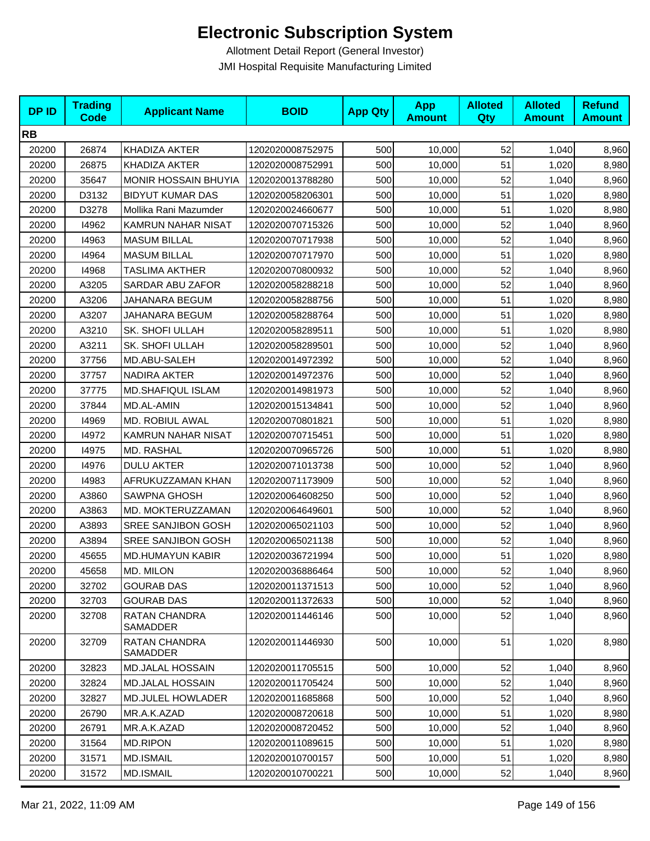| <b>DPID</b> | <b>Trading</b><br><b>Code</b> | <b>Applicant Name</b>     | <b>BOID</b>      | <b>App Qty</b> | <b>App</b><br><b>Amount</b> | <b>Alloted</b><br>Qty | <b>Alloted</b><br><b>Amount</b> | <b>Refund</b><br><b>Amount</b> |
|-------------|-------------------------------|---------------------------|------------------|----------------|-----------------------------|-----------------------|---------------------------------|--------------------------------|
| <b>RB</b>   |                               |                           |                  |                |                             |                       |                                 |                                |
| 20200       | 26874                         | KHADIZA AKTER             | 1202020008752975 | 500            | 10,000                      | 52                    | 1,040                           | 8,960                          |
| 20200       | 26875                         | KHADIZA AKTER             | 1202020008752991 | 500            | 10,000                      | 51                    | 1,020                           | 8,980                          |
| 20200       | 35647                         | MONIR HOSSAIN BHUYIA      | 1202020013788280 | 500            | 10,000                      | 52                    | 1,040                           | 8,960                          |
| 20200       | D3132                         | <b>BIDYUT KUMAR DAS</b>   | 1202020058206301 | 500            | 10,000                      | 51                    | 1,020                           | 8,980                          |
| 20200       | D3278                         | Mollika Rani Mazumder     | 1202020024660677 | 500            | 10,000                      | 51                    | 1,020                           | 8,980                          |
| 20200       | 14962                         | KAMRUN NAHAR NISAT        | 1202020070715326 | 500            | 10,000                      | 52                    | 1,040                           | 8,960                          |
| 20200       | 14963                         | <b>MASUM BILLAL</b>       | 1202020070717938 | 500            | 10,000                      | 52                    | 1,040                           | 8,960                          |
| 20200       | 14964                         | <b>MASUM BILLAL</b>       | 1202020070717970 | 500            | 10,000                      | 51                    | 1,020                           | 8,980                          |
| 20200       | 14968                         | <b>TASLIMA AKTHER</b>     | 1202020070800932 | 500            | 10,000                      | 52                    | 1,040                           | 8,960                          |
| 20200       | A3205                         | SARDAR ABU ZAFOR          | 1202020058288218 | 500            | 10,000                      | 52                    | 1,040                           | 8,960                          |
| 20200       | A3206                         | JAHANARA BEGUM            | 1202020058288756 | 500            | 10,000                      | 51                    | 1,020                           | 8,980                          |
| 20200       | A3207                         | JAHANARA BEGUM            | 1202020058288764 | 500            | 10,000                      | 51                    | 1,020                           | 8,980                          |
| 20200       | A3210                         | SK. SHOFI ULLAH           | 1202020058289511 | 500            | 10,000                      | 51                    | 1,020                           | 8,980                          |
| 20200       | A3211                         | SK. SHOFI ULLAH           | 1202020058289501 | 500            | 10,000                      | 52                    | 1,040                           | 8,960                          |
| 20200       | 37756                         | MD.ABU-SALEH              | 1202020014972392 | 500            | 10,000                      | 52                    | 1,040                           | 8,960                          |
| 20200       | 37757                         | NADIRA AKTER              | 1202020014972376 | 500            | 10,000                      | 52                    | 1,040                           | 8,960                          |
| 20200       | 37775                         | <b>MD.SHAFIQUL ISLAM</b>  | 1202020014981973 | 500            | 10,000                      | 52                    | 1,040                           | 8,960                          |
| 20200       | 37844                         | MD.AL-AMIN                | 1202020015134841 | 500            | 10,000                      | 52                    | 1,040                           | 8,960                          |
| 20200       | 14969                         | MD. ROBIUL AWAL           | 1202020070801821 | 500            | 10,000                      | 51                    | 1,020                           | 8,980                          |
| 20200       | 14972                         | KAMRUN NAHAR NISAT        | 1202020070715451 | 500            | 10,000                      | 51                    | 1,020                           | 8,980                          |
| 20200       | 14975                         | MD. RASHAL                | 1202020070965726 | 500            | 10,000                      | 51                    | 1,020                           | 8,980                          |
| 20200       | 14976                         | <b>DULU AKTER</b>         | 1202020071013738 | 500            | 10,000                      | 52                    | 1,040                           | 8,960                          |
| 20200       | 14983                         | AFRUKUZZAMAN KHAN         | 1202020071173909 | 500            | 10,000                      | 52                    | 1,040                           | 8,960                          |
| 20200       | A3860                         | <b>SAWPNA GHOSH</b>       | 1202020064608250 | 500            | 10,000                      | 52                    | 1,040                           | 8,960                          |
| 20200       | A3863                         | MD. MOKTERUZZAMAN         | 1202020064649601 | 500            | 10,000                      | 52                    | 1,040                           | 8,960                          |
| 20200       | A3893                         | SREE SANJIBON GOSH        | 1202020065021103 | 500            | 10,000                      | 52                    | 1,040                           | 8,960                          |
| 20200       | A3894                         | SREE SANJIBON GOSH        | 1202020065021138 | 500            | 10,000                      | 52                    | 1,040                           | 8,960                          |
| 20200       | 45655                         | <b>MD.HUMAYUN KABIR</b>   | 1202020036721994 | 500            | 10,000                      | 51                    | 1,020                           | 8,980                          |
| 20200       | 45658                         | MD. MILON                 | 1202020036886464 | 500            | 10,000                      | 52                    | 1,040                           | 8,960                          |
| 20200       | 32702                         | <b>GOURAB DAS</b>         | 1202020011371513 | 500            | 10,000                      | 52                    | 1,040                           | 8,960                          |
| 20200       | 32703                         | <b>GOURAB DAS</b>         | 1202020011372633 | 500            | 10,000                      | 52                    | 1,040                           | 8,960                          |
| 20200       | 32708                         | RATAN CHANDRA<br>SAMADDER | 1202020011446146 | 500            | 10,000                      | 52                    | 1,040                           | 8,960                          |
| 20200       | 32709                         | RATAN CHANDRA<br>SAMADDER | 1202020011446930 | 500            | 10,000                      | 51                    | 1,020                           | 8,980                          |
| 20200       | 32823                         | MD.JALAL HOSSAIN          | 1202020011705515 | 500            | 10,000                      | 52                    | 1,040                           | 8,960                          |
| 20200       | 32824                         | <b>MD.JALAL HOSSAIN</b>   | 1202020011705424 | 500            | 10,000                      | 52                    | 1,040                           | 8,960                          |
| 20200       | 32827                         | MD.JULEL HOWLADER         | 1202020011685868 | 500            | 10,000                      | 52                    | 1,040                           | 8,960                          |
| 20200       | 26790                         | MR.A.K.AZAD               | 1202020008720618 | 500            | 10,000                      | 51                    | 1,020                           | 8,980                          |
| 20200       | 26791                         | MR.A.K.AZAD               | 1202020008720452 | 500            | 10,000                      | 52                    | 1,040                           | 8,960                          |
| 20200       | 31564                         | MD.RIPON                  | 1202020011089615 | 500            | 10,000                      | 51                    | 1,020                           | 8,980                          |
| 20200       | 31571                         | <b>MD.ISMAIL</b>          | 1202020010700157 | 500            | 10,000                      | 51                    | 1,020                           | 8,980                          |
| 20200       | 31572                         | <b>MD.ISMAIL</b>          | 1202020010700221 | 500            | 10,000                      | 52                    | 1,040                           | 8,960                          |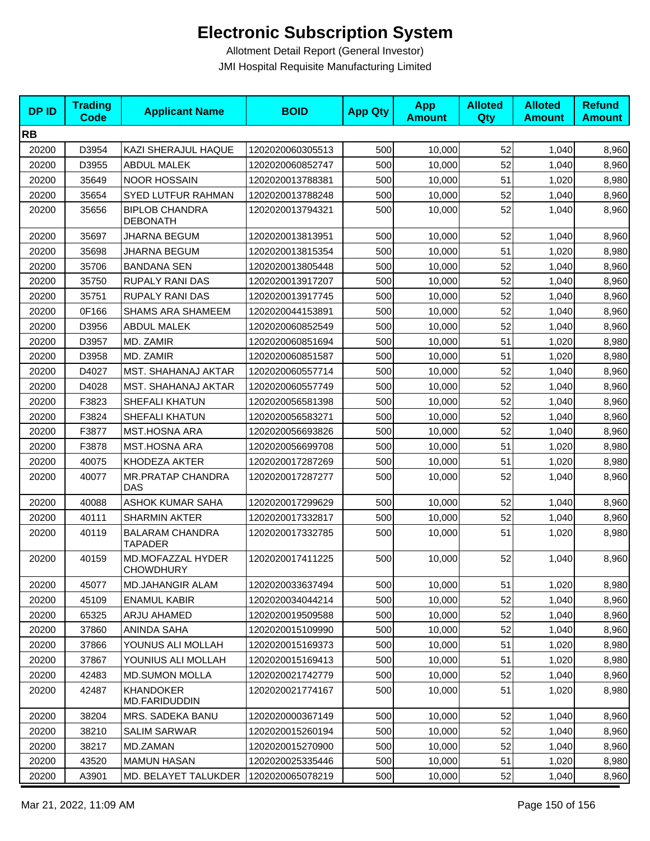| <b>DPID</b> | <b>Trading</b><br><b>Code</b> | <b>Applicant Name</b>                    | <b>BOID</b>      | <b>App Qty</b> | <b>App</b><br><b>Amount</b> | <b>Alloted</b><br><b>Qty</b> | <b>Alloted</b><br><b>Amount</b> | <b>Refund</b><br><b>Amount</b> |
|-------------|-------------------------------|------------------------------------------|------------------|----------------|-----------------------------|------------------------------|---------------------------------|--------------------------------|
| <b>RB</b>   |                               |                                          |                  |                |                             |                              |                                 |                                |
| 20200       | D3954                         | KAZI SHERAJUL HAQUE                      | 1202020060305513 | 500            | 10,000                      | 52                           | 1,040                           | 8,960                          |
| 20200       | D3955                         | <b>ABDUL MALEK</b>                       | 1202020060852747 | 500            | 10,000                      | 52                           | 1,040                           | 8,960                          |
| 20200       | 35649                         | <b>NOOR HOSSAIN</b>                      | 1202020013788381 | 500            | 10,000                      | 51                           | 1,020                           | 8,980                          |
| 20200       | 35654                         | SYED LUTFUR RAHMAN                       | 1202020013788248 | 500            | 10,000                      | 52                           | 1,040                           | 8,960                          |
| 20200       | 35656                         | <b>BIPLOB CHANDRA</b><br><b>DEBONATH</b> | 1202020013794321 | 500            | 10,000                      | 52                           | 1,040                           | 8,960                          |
| 20200       | 35697                         | <b>JHARNA BEGUM</b>                      | 1202020013813951 | 500            | 10,000                      | 52                           | 1,040                           | 8,960                          |
| 20200       | 35698                         | <b>JHARNA BEGUM</b>                      | 1202020013815354 | 500            | 10,000                      | 51                           | 1,020                           | 8,980                          |
| 20200       | 35706                         | <b>BANDANA SEN</b>                       | 1202020013805448 | 500            | 10,000                      | 52                           | 1,040                           | 8,960                          |
| 20200       | 35750                         | RUPALY RANI DAS                          | 1202020013917207 | 500            | 10,000                      | 52                           | 1,040                           | 8,960                          |
| 20200       | 35751                         | RUPALY RANI DAS                          | 1202020013917745 | 500            | 10,000                      | 52                           | 1,040                           | 8,960                          |
| 20200       | 0F166                         | <b>SHAMS ARA SHAMEEM</b>                 | 1202020044153891 | 500            | 10,000                      | 52                           | 1,040                           | 8,960                          |
| 20200       | D3956                         | <b>ABDUL MALEK</b>                       | 1202020060852549 | 500            | 10,000                      | 52                           | 1,040                           | 8,960                          |
| 20200       | D3957                         | MD. ZAMIR                                | 1202020060851694 | 500            | 10.000                      | 51                           | 1,020                           | 8,980                          |
| 20200       | D3958                         | MD. ZAMIR                                | 1202020060851587 | 500            | 10,000                      | 51                           | 1,020                           | 8,980                          |
| 20200       | D4027                         | MST. SHAHANAJ AKTAR                      | 1202020060557714 | 500            | 10,000                      | 52                           | 1,040                           | 8,960                          |
| 20200       | D4028                         | MST. SHAHANAJ AKTAR                      | 1202020060557749 | 500            | 10,000                      | 52                           | 1,040                           | 8,960                          |
| 20200       | F3823                         | SHEFALI KHATUN                           | 1202020056581398 | 500            | 10,000                      | 52                           | 1,040                           | 8,960                          |
| 20200       | F3824                         | SHEFALI KHATUN                           | 1202020056583271 | 500            | 10,000                      | 52                           | 1,040                           | 8,960                          |
| 20200       | F3877                         | MST.HOSNA ARA                            | 1202020056693826 | 500            | 10,000                      | 52                           | 1,040                           | 8,960                          |
| 20200       | F3878                         | <b>MST.HOSNA ARA</b>                     | 1202020056699708 | 500            | 10,000                      | 51                           | 1,020                           | 8,980                          |
| 20200       | 40075                         | KHODEZA AKTER                            | 1202020017287269 | 500            | 10,000                      | 51                           | 1,020                           | 8,980                          |
| 20200       | 40077                         | <b>MR.PRATAP CHANDRA</b><br><b>DAS</b>   | 1202020017287277 | 500            | 10,000                      | 52                           | 1,040                           | 8,960                          |
| 20200       | 40088                         | <b>ASHOK KUMAR SAHA</b>                  | 1202020017299629 | 500            | 10,000                      | 52                           | 1,040                           | 8,960                          |
| 20200       | 40111                         | <b>SHARMIN AKTER</b>                     | 1202020017332817 | 500            | 10,000                      | 52                           | 1,040                           | 8,960                          |
| 20200       | 40119                         | <b>BALARAM CHANDRA</b><br><b>TAPADER</b> | 1202020017332785 | 500            | 10,000                      | 51                           | 1,020                           | 8,980                          |
| 20200       | 40159                         | MD.MOFAZZAL HYDER<br><b>CHOWDHURY</b>    | 1202020017411225 | 500            | 10,000                      | 52                           | 1,040                           | 8,960                          |
| 20200       | 45077                         | MD.JAHANGIR ALAM                         | 1202020033637494 | 500            | 10,000                      | 51                           | 1,020                           | 8,980                          |
| 20200       | 45109                         | <b>ENAMUL KABIR</b>                      | 1202020034044214 | 500            | 10,000                      | 52                           | 1,040                           | 8,960                          |
| 20200       | 65325                         | ARJU AHAMED                              | 1202020019509588 | 500            | 10,000                      | 52                           | 1,040                           | 8,960                          |
| 20200       | 37860                         | <b>ANINDA SAHA</b>                       | 1202020015109990 | 500            | 10,000                      | 52                           | 1,040                           | 8,960                          |
| 20200       | 37866                         | YOUNUS ALI MOLLAH                        | 1202020015169373 | 500            | 10,000                      | 51                           | 1,020                           | 8,980                          |
| 20200       | 37867                         | YOUNIUS ALI MOLLAH                       | 1202020015169413 | 500            | 10,000                      | 51                           | 1,020                           | 8,980                          |
| 20200       | 42483                         | <b>MD.SUMON MOLLA</b>                    | 1202020021742779 | 500            | 10,000                      | 52                           | 1,040                           | 8,960                          |
| 20200       | 42487                         | <b>KHANDOKER</b><br>MD.FARIDUDDIN        | 1202020021774167 | 500            | 10,000                      | 51                           | 1,020                           | 8,980                          |
| 20200       | 38204                         | MRS. SADEKA BANU                         | 1202020000367149 | 500            | 10,000                      | 52                           | 1,040                           | 8,960                          |
| 20200       | 38210                         | <b>SALIM SARWAR</b>                      | 1202020015260194 | 500            | 10,000                      | 52                           | 1,040                           | 8,960                          |
| 20200       | 38217                         | MD.ZAMAN                                 | 1202020015270900 | 500            | 10,000                      | 52                           | 1,040                           | 8,960                          |
| 20200       | 43520                         | <b>MAMUN HASAN</b>                       | 1202020025335446 | 500            | 10,000                      | 51                           | 1,020                           | 8,980                          |
| 20200       | A3901                         | MD. BELAYET TALUKDER                     | 1202020065078219 | 500            | 10,000                      | 52                           | 1,040                           | 8,960                          |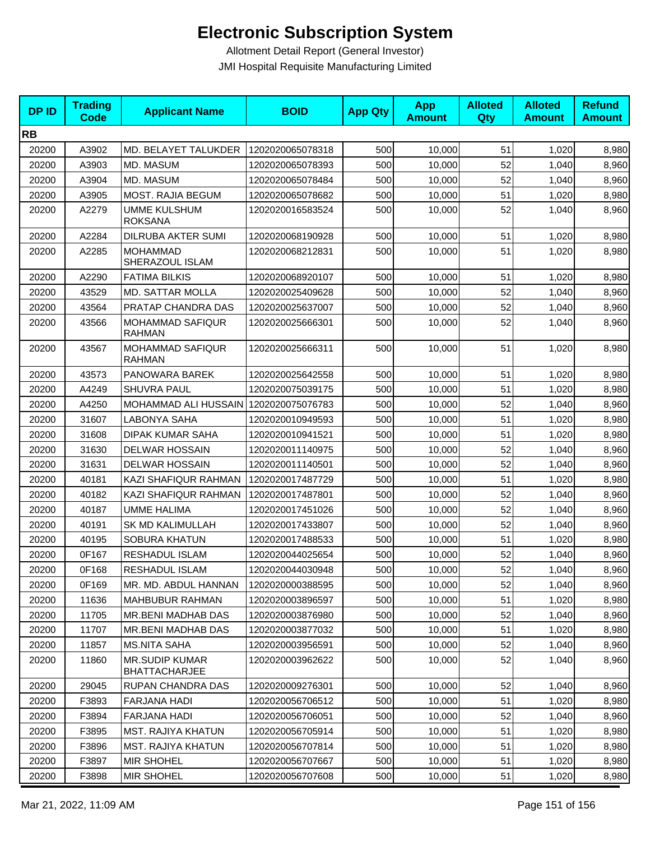| <b>DPID</b> | <b>Trading</b><br><b>Code</b> | <b>Applicant Name</b>                         | <b>BOID</b>      | <b>App Qty</b> | <b>App</b><br><b>Amount</b> | <b>Alloted</b><br>Qty | <b>Alloted</b><br><b>Amount</b> | <b>Refund</b><br><b>Amount</b> |
|-------------|-------------------------------|-----------------------------------------------|------------------|----------------|-----------------------------|-----------------------|---------------------------------|--------------------------------|
| <b>RB</b>   |                               |                                               |                  |                |                             |                       |                                 |                                |
| 20200       | A3902                         | MD. BELAYET TALUKDER                          | 1202020065078318 | 500            | 10,000                      | 51                    | 1,020                           | 8,980                          |
| 20200       | A3903                         | MD. MASUM                                     | 1202020065078393 | 500            | 10,000                      | 52                    | 1,040                           | 8,960                          |
| 20200       | A3904                         | MD. MASUM                                     | 1202020065078484 | 500            | 10,000                      | 52                    | 1,040                           | 8,960                          |
| 20200       | A3905                         | <b>MOST. RAJIA BEGUM</b>                      | 1202020065078682 | 500            | 10,000                      | 51                    | 1,020                           | 8,980                          |
| 20200       | A2279                         | <b>UMME KULSHUM</b><br><b>ROKSANA</b>         | 1202020016583524 | 500            | 10,000                      | 52                    | 1,040                           | 8,960                          |
| 20200       | A2284                         | DILRUBA AKTER SUMI                            | 1202020068190928 | 500            | 10,000                      | 51                    | 1,020                           | 8,980                          |
| 20200       | A2285                         | <b>MOHAMMAD</b><br>SHERAZOUL ISLAM            | 1202020068212831 | 500            | 10,000                      | 51                    | 1,020                           | 8,980                          |
| 20200       | A2290                         | <b>FATIMA BILKIS</b>                          | 1202020068920107 | 500            | 10,000                      | 51                    | 1,020                           | 8,980                          |
| 20200       | 43529                         | <b>MD. SATTAR MOLLA</b>                       | 1202020025409628 | 500            | 10,000                      | 52                    | 1,040                           | 8,960                          |
| 20200       | 43564                         | PRATAP CHANDRA DAS                            | 1202020025637007 | 500            | 10,000                      | 52                    | 1,040                           | 8,960                          |
| 20200       | 43566                         | <b>MOHAMMAD SAFIQUR</b><br><b>RAHMAN</b>      | 1202020025666301 | 500            | 10,000                      | 52                    | 1,040                           | 8,960                          |
| 20200       | 43567                         | <b>MOHAMMAD SAFIQUR</b><br><b>RAHMAN</b>      | 1202020025666311 | 500            | 10,000                      | 51                    | 1,020                           | 8,980                          |
| 20200       | 43573                         | PANOWARA BAREK                                | 1202020025642558 | 500            | 10,000                      | 51                    | 1,020                           | 8,980                          |
| 20200       | A4249                         | <b>SHUVRA PAUL</b>                            | 1202020075039175 | 500            | 10,000                      | 51                    | 1,020                           | 8,980                          |
| 20200       | A4250                         | MOHAMMAD ALI HUSSAIN   1202020075076783       |                  | 500            | 10,000                      | 52                    | 1,040                           | 8,960                          |
| 20200       | 31607                         | LABONYA SAHA                                  | 1202020010949593 | 500            | 10,000                      | 51                    | 1,020                           | 8,980                          |
| 20200       | 31608                         | <b>DIPAK KUMAR SAHA</b>                       | 1202020010941521 | 500            | 10,000                      | 51                    | 1,020                           | 8,980                          |
| 20200       | 31630                         | <b>DELWAR HOSSAIN</b>                         | 1202020011140975 | 500            | 10,000                      | 52                    | 1,040                           | 8,960                          |
| 20200       | 31631                         | <b>DELWAR HOSSAIN</b>                         | 1202020011140501 | 500            | 10,000                      | 52                    | 1,040                           | 8,960                          |
| 20200       | 40181                         | KAZI SHAFIQUR RAHMAN                          | 1202020017487729 | 500            | 10,000                      | 51                    | 1,020                           | 8,980                          |
| 20200       | 40182                         | KAZI SHAFIQUR RAHMAN                          | 1202020017487801 | 500            | 10,000                      | 52                    | 1,040                           | 8,960                          |
| 20200       | 40187                         | <b>UMME HALIMA</b>                            | 1202020017451026 | 500            | 10,000                      | 52                    | 1,040                           | 8,960                          |
| 20200       | 40191                         | <b>SK MD KALIMULLAH</b>                       | 1202020017433807 | 500            | 10,000                      | 52                    | 1,040                           | 8,960                          |
| 20200       | 40195                         | <b>SOBURA KHATUN</b>                          | 1202020017488533 | 500            | 10,000                      | 51                    | 1,020                           | 8,980                          |
| 20200       | 0F167                         | RESHADUL ISLAM                                | 1202020044025654 | 500            | 10,000                      | 52                    | 1,040                           | 8,960                          |
| 20200       | 0F168                         | RESHADUL ISLAM                                | 1202020044030948 | 500            | 10,000                      | 52                    | 1,040                           | 8,960                          |
| 20200       | 0F169                         | MR. MD. ABDUL HANNAN                          | 1202020000388595 | 500            | 10,000                      | 52                    | 1,040                           | 8,960                          |
| 20200       | 11636                         | <b>MAHBUBUR RAHMAN</b>                        | 1202020003896597 | 500            | 10,000                      | 51                    | 1,020                           | 8,980                          |
| 20200       | 11705                         | <b>MR.BENI MADHAB DAS</b>                     | 1202020003876980 | 500            | 10,000                      | 52                    | 1,040                           | 8,960                          |
| 20200       | 11707                         | MR.BENI MADHAB DAS                            | 1202020003877032 | 500            | 10,000                      | 51                    | 1,020                           | 8,980                          |
| 20200       | 11857                         | <b>MS.NITA SAHA</b>                           | 1202020003956591 | 500            | 10,000                      | 52                    | 1,040                           | 8,960                          |
| 20200       | 11860                         | <b>MR.SUDIP KUMAR</b><br><b>BHATTACHARJEE</b> | 1202020003962622 | 500            | 10,000                      | 52                    | 1,040                           | 8,960                          |
| 20200       | 29045                         | RUPAN CHANDRA DAS                             | 1202020009276301 | 500            | 10,000                      | 52                    | 1,040                           | 8,960                          |
| 20200       | F3893                         | FARJANA HADI                                  | 1202020056706512 | 500            | 10,000                      | 51                    | 1,020                           | 8,980                          |
| 20200       | F3894                         | FARJANA HADI                                  | 1202020056706051 | 500            | 10,000                      | 52                    | 1,040                           | 8,960                          |
| 20200       | F3895                         | <b>MST. RAJIYA KHATUN</b>                     | 1202020056705914 | 500            | 10,000                      | 51                    | 1,020                           | 8,980                          |
| 20200       | F3896                         | <b>MST. RAJIYA KHATUN</b>                     | 1202020056707814 | 500            | 10,000                      | 51                    | 1,020                           | 8,980                          |
| 20200       | F3897                         | <b>MIR SHOHEL</b>                             | 1202020056707667 | 500            | 10,000                      | 51                    | 1,020                           | 8,980                          |
| 20200       | F3898                         | <b>MIR SHOHEL</b>                             | 1202020056707608 | 500            | 10,000                      | 51                    | 1,020                           | 8,980                          |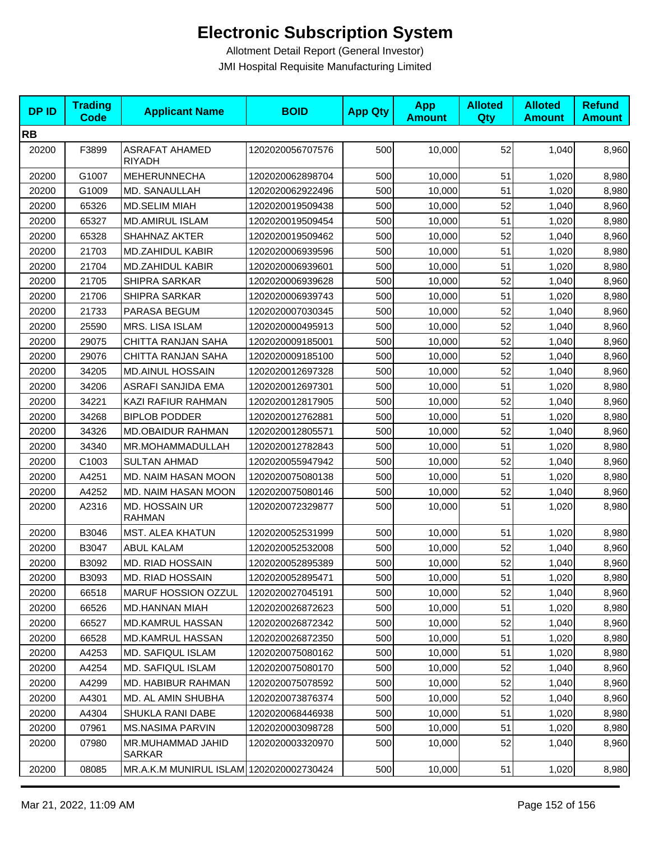| <b>DPID</b> | <b>Trading</b><br><b>Code</b> | <b>Applicant Name</b>                   | <b>BOID</b>      | <b>App Qty</b> | <b>App</b><br><b>Amount</b> | <b>Alloted</b><br>Qty | <b>Alloted</b><br><b>Amount</b> | <b>Refund</b><br><b>Amount</b> |
|-------------|-------------------------------|-----------------------------------------|------------------|----------------|-----------------------------|-----------------------|---------------------------------|--------------------------------|
| <b>RB</b>   |                               |                                         |                  |                |                             |                       |                                 |                                |
| 20200       | F3899                         | <b>ASRAFAT AHAMED</b><br>RIYADH         | 1202020056707576 | 500            | 10,000                      | 52                    | 1,040                           | 8,960                          |
| 20200       | G1007                         | <b>MEHERUNNECHA</b>                     | 1202020062898704 | 500            | 10,000                      | 51                    | 1,020                           | 8,980                          |
| 20200       | G1009                         | MD. SANAULLAH                           | 1202020062922496 | 500            | 10,000                      | 51                    | 1,020                           | 8,980                          |
| 20200       | 65326                         | <b>MD.SELIM MIAH</b>                    | 1202020019509438 | 500            | 10,000                      | 52                    | 1,040                           | 8,960                          |
| 20200       | 65327                         | <b>MD.AMIRUL ISLAM</b>                  | 1202020019509454 | 500            | 10,000                      | 51                    | 1,020                           | 8,980                          |
| 20200       | 65328                         | SHAHNAZ AKTER                           | 1202020019509462 | 500            | 10,000                      | 52                    | 1,040                           | 8,960                          |
| 20200       | 21703                         | <b>MD.ZAHIDUL KABIR</b>                 | 1202020006939596 | 500            | 10,000                      | 51                    | 1,020                           | 8,980                          |
| 20200       | 21704                         | MD.ZAHIDUL KABIR                        | 1202020006939601 | 500            | 10,000                      | 51                    | 1,020                           | 8,980                          |
| 20200       | 21705                         | SHIPRA SARKAR                           | 1202020006939628 | 500            | 10,000                      | 52                    | 1,040                           | 8,960                          |
| 20200       | 21706                         | SHIPRA SARKAR                           | 1202020006939743 | 500            | 10,000                      | 51                    | 1,020                           | 8,980                          |
| 20200       | 21733                         | PARASA BEGUM                            | 1202020007030345 | 500            | 10,000                      | 52                    | 1,040                           | 8,960                          |
| 20200       | 25590                         | MRS. LISA ISLAM                         | 1202020000495913 | 500            | 10,000                      | 52                    | 1,040                           | 8,960                          |
| 20200       | 29075                         | CHITTA RANJAN SAHA                      | 1202020009185001 | 500            | 10,000                      | 52                    | 1,040                           | 8,960                          |
| 20200       | 29076                         | CHITTA RANJAN SAHA                      | 1202020009185100 | 500            | 10,000                      | 52                    | 1,040                           | 8,960                          |
| 20200       | 34205                         | <b>MD.AINUL HOSSAIN</b>                 | 1202020012697328 | 500            | 10,000                      | 52                    | 1,040                           | 8,960                          |
| 20200       | 34206                         | ASRAFI SANJIDA EMA                      | 1202020012697301 | 500            | 10,000                      | 51                    | 1,020                           | 8,980                          |
| 20200       | 34221                         | KAZI RAFIUR RAHMAN                      | 1202020012817905 | 500            | 10,000                      | 52                    | 1,040                           | 8,960                          |
| 20200       | 34268                         | <b>BIPLOB PODDER</b>                    | 1202020012762881 | 500            | 10,000                      | 51                    | 1,020                           | 8,980                          |
| 20200       | 34326                         | MD.OBAIDUR RAHMAN                       | 1202020012805571 | 500            | 10,000                      | 52                    | 1,040                           | 8,960                          |
| 20200       | 34340                         | MR.MOHAMMADULLAH                        | 1202020012782843 | 500            | 10,000                      | 51                    | 1,020                           | 8,980                          |
| 20200       | C1003                         | <b>SULTAN AHMAD</b>                     | 1202020055947942 | 500            | 10,000                      | 52                    | 1,040                           | 8,960                          |
| 20200       | A4251                         | MD. NAIM HASAN MOON                     | 1202020075080138 | 500            | 10,000                      | 51                    | 1,020                           | 8,980                          |
| 20200       | A4252                         | MD. NAIM HASAN MOON                     | 1202020075080146 | 500            | 10,000                      | 52                    | 1,040                           | 8,960                          |
| 20200       | A2316                         | <b>MD. HOSSAIN UR</b><br><b>RAHMAN</b>  | 1202020072329877 | 500            | 10,000                      | 51                    | 1,020                           | 8,980                          |
| 20200       | B3046                         | <b>MST. ALEA KHATUN</b>                 | 1202020052531999 | 500            | 10,000                      | 51                    | 1,020                           | 8,980                          |
| 20200       | B3047                         | <b>ABUL KALAM</b>                       | 1202020052532008 | 500            | 10,000                      | 52                    | 1,040                           | 8,960                          |
| 20200       | B3092                         | MD. RIAD HOSSAIN                        | 1202020052895389 | 500            | 10,000                      | 52                    | 1,040                           | 8,960                          |
| 20200       | B3093                         | MD. RIAD HOSSAIN                        | 1202020052895471 | 500            | 10,000                      | 51                    | 1,020                           | 8,980                          |
| 20200       | 66518                         | <b>MARUF HOSSION OZZUL</b>              | 1202020027045191 | 500            | 10,000                      | 52                    | 1,040                           | 8,960                          |
| 20200       | 66526                         | MD.HANNAN MIAH                          | 1202020026872623 | 500            | 10,000                      | 51                    | 1,020                           | 8,980                          |
| 20200       | 66527                         | MD.KAMRUL HASSAN                        | 1202020026872342 | 500            | 10,000                      | 52                    | 1,040                           | 8,960                          |
| 20200       | 66528                         | MD.KAMRUL HASSAN                        | 1202020026872350 | 500            | 10,000                      | 51                    | 1,020                           | 8,980                          |
| 20200       | A4253                         | MD. SAFIQUL ISLAM                       | 1202020075080162 | 500            | 10,000                      | 51                    | 1,020                           | 8,980                          |
| 20200       | A4254                         | MD. SAFIQUL ISLAM                       | 1202020075080170 | 500            | 10,000                      | 52                    | 1,040                           | 8,960                          |
| 20200       | A4299                         | <b>MD. HABIBUR RAHMAN</b>               | 1202020075078592 | 500            | 10,000                      | 52                    | 1,040                           | 8,960                          |
| 20200       | A4301                         | MD. AL AMIN SHUBHA                      | 1202020073876374 | 500            | 10,000                      | 52                    | 1,040                           | 8,960                          |
| 20200       | A4304                         | SHUKLA RANI DABE                        | 1202020068446938 | 500            | 10,000                      | 51                    | 1,020                           | 8,980                          |
| 20200       | 07961                         | <b>MS.NASIMA PARVIN</b>                 | 1202020003098728 | 500            | 10,000                      | 51                    | 1,020                           | 8,980                          |
| 20200       | 07980                         | MR.MUHAMMAD JAHID<br>SARKAR             | 1202020003320970 | 500            | 10,000                      | 52                    | 1,040                           | 8,960                          |
| 20200       | 08085                         | MR.A.K.M MUNIRUL ISLAM 1202020002730424 |                  | 500            | 10,000                      | 51                    | 1,020                           | 8,980                          |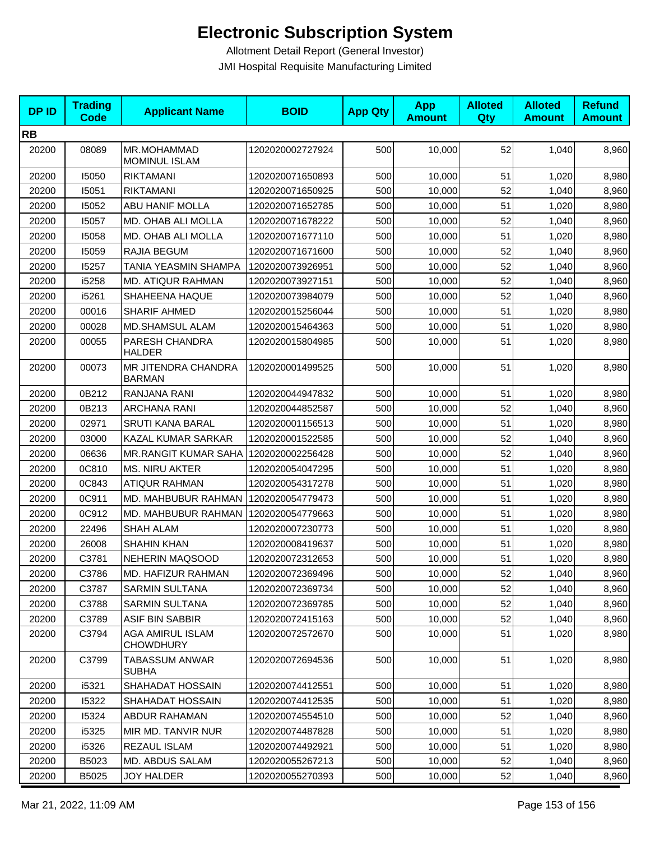| <b>DPID</b> | <b>Trading</b><br><b>Code</b> | <b>Applicant Name</b>                | <b>BOID</b>      | <b>App Qty</b> | <b>App</b><br><b>Amount</b> | <b>Alloted</b><br>Qty | <b>Alloted</b><br><b>Amount</b> | <b>Refund</b><br><b>Amount</b> |
|-------------|-------------------------------|--------------------------------------|------------------|----------------|-----------------------------|-----------------------|---------------------------------|--------------------------------|
| <b>RB</b>   |                               |                                      |                  |                |                             |                       |                                 |                                |
| 20200       | 08089                         | MR.MOHAMMAD<br>MOMINUL ISLAM         | 1202020002727924 | 500            | 10,000                      | 52                    | 1,040                           | 8,960                          |
| 20200       | 15050                         | <b>RIKTAMANI</b>                     | 1202020071650893 | 500            | 10,000                      | 51                    | 1,020                           | 8,980                          |
| 20200       | 15051                         | <b>RIKTAMANI</b>                     | 1202020071650925 | 500            | 10,000                      | 52                    | 1,040                           | 8,960                          |
| 20200       | 15052                         | ABU HANIF MOLLA                      | 1202020071652785 | 500            | 10,000                      | 51                    | 1,020                           | 8,980                          |
| 20200       | 15057                         | MD. OHAB ALI MOLLA                   | 1202020071678222 | 500            | 10,000                      | 52                    | 1,040                           | 8,960                          |
| 20200       | 15058                         | MD. OHAB ALI MOLLA                   | 1202020071677110 | 500            | 10,000                      | 51                    | 1,020                           | 8,980                          |
| 20200       | 15059                         | RAJIA BEGUM                          | 1202020071671600 | 500            | 10,000                      | 52                    | 1,040                           | 8,960                          |
| 20200       | 15257                         | TANIA YEASMIN SHAMPA                 | 1202020073926951 | 500            | 10,000                      | 52                    | 1,040                           | 8,960                          |
| 20200       | i5258                         | MD. ATIQUR RAHMAN                    | 1202020073927151 | 500            | 10,000                      | 52                    | 1,040                           | 8,960                          |
| 20200       | i5261                         | SHAHEENA HAQUE                       | 1202020073984079 | 500            | 10,000                      | 52                    | 1,040                           | 8,960                          |
| 20200       | 00016                         | SHARIF AHMED                         | 1202020015256044 | 500            | 10,000                      | 51                    | 1,020                           | 8,980                          |
| 20200       | 00028                         | <b>MD.SHAMSUL ALAM</b>               | 1202020015464363 | 500            | 10,000                      | 51                    | 1,020                           | 8,980                          |
| 20200       | 00055                         | PARESH CHANDRA<br><b>HALDER</b>      | 1202020015804985 | 500            | 10,000                      | 51                    | 1,020                           | 8,980                          |
| 20200       | 00073                         | MR JITENDRA CHANDRA<br><b>BARMAN</b> | 1202020001499525 | 500            | 10,000                      | 51                    | 1,020                           | 8,980                          |
| 20200       | 0B212                         | RANJANA RANI                         | 1202020044947832 | 500            | 10,000                      | 51                    | 1,020                           | 8,980                          |
| 20200       | 0B213                         | <b>ARCHANA RANI</b>                  | 1202020044852587 | 500            | 10,000                      | 52                    | 1,040                           | 8,960                          |
| 20200       | 02971                         | <b>SRUTI KANA BARAL</b>              | 1202020001156513 | 500            | 10,000                      | 51                    | 1,020                           | 8,980                          |
| 20200       | 03000                         | KAZAL KUMAR SARKAR                   | 1202020001522585 | 500            | 10,000                      | 52                    | 1,040                           | 8,960                          |
| 20200       | 06636                         | <b>MR.RANGIT KUMAR SAHA</b>          | 1202020002256428 | 500            | 10,000                      | 52                    | 1,040                           | 8,960                          |
| 20200       | 0C810                         | <b>MS. NIRU AKTER</b>                | 1202020054047295 | 500            | 10,000                      | 51                    | 1,020                           | 8,980                          |
| 20200       | 0C843                         | <b>ATIQUR RAHMAN</b>                 | 1202020054317278 | 500            | 10,000                      | 51                    | 1,020                           | 8,980                          |
| 20200       | 0C911                         | MD. MAHBUBUR RAHMAN                  | 1202020054779473 | 500            | 10,000                      | 51                    | 1,020                           | 8,980                          |
| 20200       | 0C912                         | MD. MAHBUBUR RAHMAN                  | 1202020054779663 | 500            | 10,000                      | 51                    | 1,020                           | 8,980                          |
| 20200       | 22496                         | SHAH ALAM                            | 1202020007230773 | 500            | 10,000                      | 51                    | 1,020                           | 8,980                          |
| 20200       | 26008                         | <b>SHAHIN KHAN</b>                   | 1202020008419637 | 500            | 10,000                      | 51                    | 1,020                           | 8,980                          |
| 20200       | C3781                         | NEHERIN MAQSOOD                      | 1202020072312653 | 500            | 10,000                      | 51                    | 1,020                           | 8,980                          |
| 20200       | C3786                         | MD. HAFIZUR RAHMAN                   | 1202020072369496 | 500            | 10,000                      | 52                    | 1,040                           | 8,960                          |
| 20200       | C3787                         | <b>SARMIN SULTANA</b>                | 1202020072369734 | 500            | 10,000                      | 52                    | 1,040                           | 8,960                          |
| 20200       | C3788                         | <b>SARMIN SULTANA</b>                | 1202020072369785 | 500            | 10,000                      | 52                    | 1,040                           | 8,960                          |
| 20200       | C3789                         | <b>ASIF BIN SABBIR</b>               | 1202020072415163 | 500            | 10,000                      | 52                    | 1,040                           | 8,960                          |
| 20200       | C3794                         | AGA AMIRUL ISLAM<br><b>CHOWDHURY</b> | 1202020072572670 | 500            | 10,000                      | 51                    | 1,020                           | 8,980                          |
| 20200       | C3799                         | TABASSUM ANWAR<br><b>SUBHA</b>       | 1202020072694536 | 500            | 10,000                      | 51                    | 1,020                           | 8,980                          |
| 20200       | i5321                         | SHAHADAT HOSSAIN                     | 1202020074412551 | 500            | 10,000                      | 51                    | 1,020                           | 8,980                          |
| 20200       | 15322                         | SHAHADAT HOSSAIN                     | 1202020074412535 | 500            | 10,000                      | 51                    | 1,020                           | 8,980                          |
| 20200       | 15324                         | ABDUR RAHAMAN                        | 1202020074554510 | 500            | 10,000                      | 52                    | 1,040                           | 8,960                          |
| 20200       | i5325                         | MIR MD. TANVIR NUR                   | 1202020074487828 | 500            | 10,000                      | 51                    | 1,020                           | 8,980                          |
| 20200       | i5326                         | REZAUL ISLAM                         | 1202020074492921 | 500            | 10,000                      | 51                    | 1,020                           | 8,980                          |
| 20200       | B5023                         | MD. ABDUS SALAM                      | 1202020055267213 | 500            | 10,000                      | 52                    | 1,040                           | 8,960                          |
| 20200       | B5025                         | <b>JOY HALDER</b>                    | 1202020055270393 | 500            | 10,000                      | 52                    | 1,040                           | 8,960                          |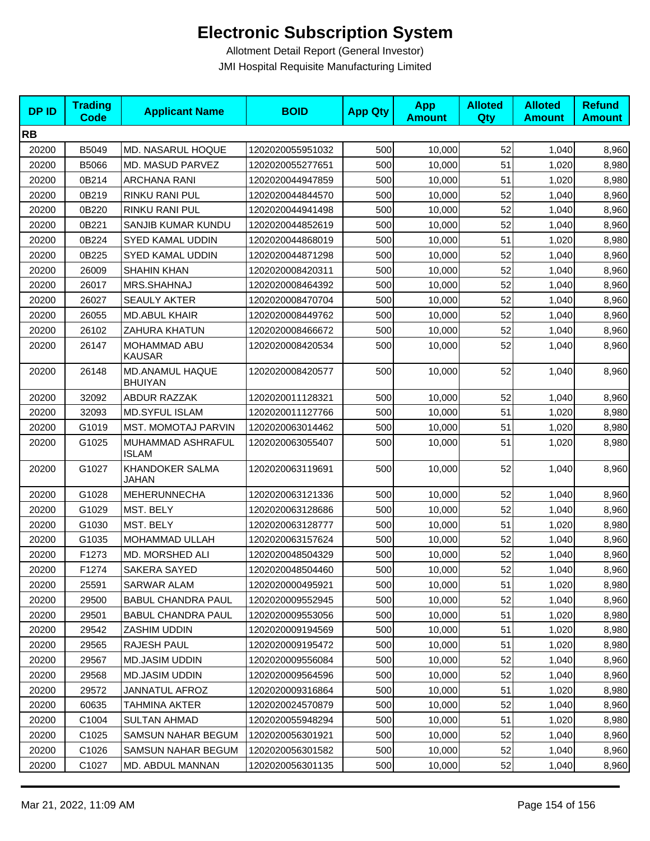| <b>DPID</b> | <b>Trading</b><br><b>Code</b> | <b>Applicant Name</b>             | <b>BOID</b>      | <b>App Qty</b> | <b>App</b><br><b>Amount</b> | <b>Alloted</b><br>Qty | <b>Alloted</b><br><b>Amount</b> | <b>Refund</b><br><b>Amount</b> |
|-------------|-------------------------------|-----------------------------------|------------------|----------------|-----------------------------|-----------------------|---------------------------------|--------------------------------|
| <b>RB</b>   |                               |                                   |                  |                |                             |                       |                                 |                                |
| 20200       | B5049                         | MD. NASARUL HOQUE                 | 1202020055951032 | 500            | 10,000                      | 52                    | 1,040                           | 8,960                          |
| 20200       | B5066                         | MD. MASUD PARVEZ                  | 1202020055277651 | 500            | 10,000                      | 51                    | 1,020                           | 8,980                          |
| 20200       | 0B214                         | <b>ARCHANA RANI</b>               | 1202020044947859 | 500            | 10,000                      | 51                    | 1,020                           | 8,980                          |
| 20200       | 0B219                         | RINKU RANI PUL                    | 1202020044844570 | 500            | 10,000                      | 52                    | 1,040                           | 8,960                          |
| 20200       | 0B220                         | RINKU RANI PUL                    | 1202020044941498 | 500            | 10,000                      | 52                    | 1,040                           | 8,960                          |
| 20200       | 0B221                         | SANJIB KUMAR KUNDU                | 1202020044852619 | 500            | 10,000                      | 52                    | 1,040                           | 8,960                          |
| 20200       | 0B224                         | SYED KAMAL UDDIN                  | 1202020044868019 | 500            | 10,000                      | 51                    | 1,020                           | 8,980                          |
| 20200       | 0B225                         | SYED KAMAL UDDIN                  | 1202020044871298 | 500            | 10,000                      | 52                    | 1,040                           | 8,960                          |
| 20200       | 26009                         | <b>SHAHIN KHAN</b>                | 1202020008420311 | 500            | 10,000                      | 52                    | 1,040                           | 8,960                          |
| 20200       | 26017                         | MRS.SHAHNAJ                       | 1202020008464392 | 500            | 10,000                      | 52                    | 1,040                           | 8,960                          |
| 20200       | 26027                         | <b>SEAULY AKTER</b>               | 1202020008470704 | 500            | 10,000                      | 52                    | 1,040                           | 8,960                          |
| 20200       | 26055                         | <b>MD.ABUL KHAIR</b>              | 1202020008449762 | 500            | 10,000                      | 52                    | 1,040                           | 8,960                          |
| 20200       | 26102                         | ZAHURA KHATUN                     | 1202020008466672 | 500            | 10,000                      | 52                    | 1,040                           | 8,960                          |
| 20200       | 26147                         | MOHAMMAD ABU<br><b>KAUSAR</b>     | 1202020008420534 | 500            | 10,000                      | 52                    | 1,040                           | 8,960                          |
| 20200       | 26148                         | MD.ANAMUL HAQUE<br><b>BHUIYAN</b> | 1202020008420577 | 500            | 10,000                      | 52                    | 1.040                           | 8,960                          |
| 20200       | 32092                         | <b>ABDUR RAZZAK</b>               | 1202020011128321 | 500            | 10,000                      | 52                    | 1,040                           | 8,960                          |
| 20200       | 32093                         | <b>MD.SYFUL ISLAM</b>             | 1202020011127766 | 500            | 10,000                      | 51                    | 1,020                           | 8,980                          |
| 20200       | G1019                         | <b>MST. MOMOTAJ PARVIN</b>        | 1202020063014462 | 500            | 10,000                      | 51                    | 1,020                           | 8,980                          |
| 20200       | G1025                         | MUHAMMAD ASHRAFUL<br><b>ISLAM</b> | 1202020063055407 | 500            | 10,000                      | 51                    | 1,020                           | 8,980                          |
| 20200       | G1027                         | <b>KHANDOKER SALMA</b><br>JAHAN   | 1202020063119691 | 500            | 10,000                      | 52                    | 1,040                           | 8,960                          |
| 20200       | G1028                         | MEHERUNNECHA                      | 1202020063121336 | 500            | 10,000                      | 52                    | 1,040                           | 8,960                          |
| 20200       | G1029                         | MST. BELY                         | 1202020063128686 | 500            | 10.000                      | 52                    | 1,040                           | 8,960                          |
| 20200       | G1030                         | MST. BELY                         | 1202020063128777 | 500            | 10,000                      | 51                    | 1,020                           | 8,980                          |
| 20200       | G1035                         | MOHAMMAD ULLAH                    | 1202020063157624 | 500            | 10,000                      | 52                    | 1,040                           | 8,960                          |
| 20200       | F1273                         | MD. MORSHED ALI                   | 1202020048504329 | 500            | 10,000                      | 52                    | 1,040                           | 8,960                          |
| 20200       | F1274                         | SAKERA SAYED                      | 1202020048504460 | 500            | 10,000                      | 52                    | 1,040                           | 8,960                          |
| 20200       | 25591                         | SARWAR ALAM                       | 1202020000495921 | 500            | 10,000                      | 51                    | 1,020                           | 8,980                          |
| 20200       | 29500                         | <b>BABUL CHANDRA PAUL</b>         | 1202020009552945 | 500            | 10,000                      | 52                    | 1,040                           | 8,960                          |
| 20200       | 29501                         | <b>BABUL CHANDRA PAUL</b>         | 1202020009553056 | 500            | 10.000                      | 51                    | 1,020                           | 8,980                          |
| 20200       | 29542                         | ZASHIM UDDIN                      | 1202020009194569 | 500            | 10,000                      | 51                    | 1,020                           | 8,980                          |
| 20200       | 29565                         | RAJESH PAUL                       | 1202020009195472 | 500            | 10,000                      | 51                    | 1,020                           | 8,980                          |
| 20200       | 29567                         | MD.JASIM UDDIN                    | 1202020009556084 | 500            | 10,000                      | 52                    | 1,040                           | 8,960                          |
| 20200       | 29568                         | <b>MD.JASIM UDDIN</b>             | 1202020009564596 | 500            | 10,000                      | 52                    | 1,040                           | 8,960                          |
| 20200       | 29572                         | JANNATUL AFROZ                    | 1202020009316864 | 500            | 10,000                      | 51                    | 1,020                           | 8,980                          |
| 20200       | 60635                         | TAHMINA AKTER                     | 1202020024570879 | 500            | 10,000                      | 52                    | 1,040                           | 8,960                          |
| 20200       | C1004                         | <b>SULTAN AHMAD</b>               | 1202020055948294 | 500            | 10,000                      | 51                    | 1,020                           | 8,980                          |
| 20200       | C <sub>1025</sub>             | SAMSUN NAHAR BEGUM                | 1202020056301921 | 500            | 10,000                      | 52                    | 1,040                           | 8,960                          |
| 20200       | C <sub>1026</sub>             | SAMSUN NAHAR BEGUM                | 1202020056301582 | 500            | 10,000                      | 52                    | 1,040                           | 8,960                          |
| 20200       | C <sub>1027</sub>             | MD. ABDUL MANNAN                  | 1202020056301135 | 500            | 10,000                      | 52                    | 1,040                           | 8,960                          |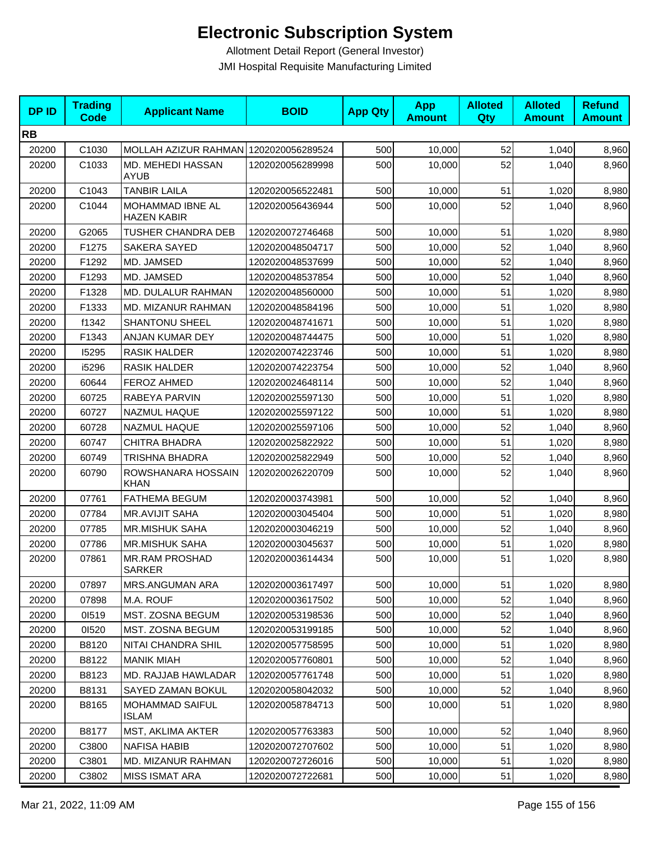| <b>DPID</b> | <b>Trading</b><br><b>Code</b> | <b>Applicant Name</b>                  | <b>BOID</b>      | <b>App Qty</b> | <b>App</b><br><b>Amount</b> | <b>Alloted</b><br>Qty | <b>Alloted</b><br><b>Amount</b> | <b>Refund</b><br><b>Amount</b> |
|-------------|-------------------------------|----------------------------------------|------------------|----------------|-----------------------------|-----------------------|---------------------------------|--------------------------------|
| <b>RB</b>   |                               |                                        |                  |                |                             |                       |                                 |                                |
| 20200       | C1030                         | MOLLAH AZIZUR RAHMAN 1202020056289524  |                  | 500            | 10,000                      | 52                    | 1,040                           | 8,960                          |
| 20200       | C1033                         | MD. MEHEDI HASSAN<br><b>AYUB</b>       | 1202020056289998 | 500            | 10,000                      | 52                    | 1,040                           | 8,960                          |
| 20200       | C1043                         | <b>TANBIR LAILA</b>                    | 1202020056522481 | 500            | 10,000                      | 51                    | 1,020                           | 8,980                          |
| 20200       | C1044                         | MOHAMMAD IBNE AL<br><b>HAZEN KABIR</b> | 1202020056436944 | 500            | 10,000                      | 52                    | 1,040                           | 8,960                          |
| 20200       | G2065                         | TUSHER CHANDRA DEB                     | 1202020072746468 | 500            | 10,000                      | 51                    | 1,020                           | 8,980                          |
| 20200       | F1275                         | SAKERA SAYED                           | 1202020048504717 | 500            | 10,000                      | 52                    | 1,040                           | 8,960                          |
| 20200       | F1292                         | MD. JAMSED                             | 1202020048537699 | 500            | 10,000                      | 52                    | 1,040                           | 8,960                          |
| 20200       | F1293                         | MD. JAMSED                             | 1202020048537854 | 500            | 10,000                      | 52                    | 1,040                           | 8,960                          |
| 20200       | F1328                         | <b>MD. DULALUR RAHMAN</b>              | 1202020048560000 | 500            | 10,000                      | 51                    | 1,020                           | 8,980                          |
| 20200       | F1333                         | MD. MIZANUR RAHMAN                     | 1202020048584196 | 500            | 10,000                      | 51                    | 1,020                           | 8,980                          |
| 20200       | f1342                         | <b>SHANTONU SHEEL</b>                  | 1202020048741671 | 500            | 10,000                      | 51                    | 1,020                           | 8,980                          |
| 20200       | F1343                         | ANJAN KUMAR DEY                        | 1202020048744475 | 500            | 10,000                      | 51                    | 1,020                           | 8,980                          |
| 20200       | 15295                         | <b>RASIK HALDER</b>                    | 1202020074223746 | 500            | 10,000                      | 51                    | 1,020                           | 8,980                          |
| 20200       | i5296                         | <b>RASIK HALDER</b>                    | 1202020074223754 | 500            | 10,000                      | 52                    | 1,040                           | 8,960                          |
| 20200       | 60644                         | <b>FEROZ AHMED</b>                     | 1202020024648114 | 500            | 10,000                      | 52                    | 1,040                           | 8,960                          |
| 20200       | 60725                         | RABEYA PARVIN                          | 1202020025597130 | 500            | 10,000                      | 51                    | 1,020                           | 8,980                          |
| 20200       | 60727                         | NAZMUL HAQUE                           | 1202020025597122 | 500            | 10,000                      | 51                    | 1,020                           | 8,980                          |
| 20200       | 60728                         | NAZMUL HAQUE                           | 1202020025597106 | 500            | 10,000                      | 52                    | 1,040                           | 8,960                          |
| 20200       | 60747                         | <b>CHITRA BHADRA</b>                   | 1202020025822922 | 500            | 10,000                      | 51                    | 1,020                           | 8,980                          |
| 20200       | 60749                         | TRISHNA BHADRA                         | 1202020025822949 | 500            | 10,000                      | 52                    | 1,040                           | 8,960                          |
| 20200       | 60790                         | ROWSHANARA HOSSAIN<br><b>KHAN</b>      | 1202020026220709 | 500            | 10,000                      | 52                    | 1,040                           | 8,960                          |
| 20200       | 07761                         | <b>FATHEMA BEGUM</b>                   | 1202020003743981 | 500            | 10,000                      | 52                    | 1,040                           | 8,960                          |
| 20200       | 07784                         | <b>MR.AVIJIT SAHA</b>                  | 1202020003045404 | 500            | 10,000                      | 51                    | 1,020                           | 8,980                          |
| 20200       | 07785                         | <b>MR.MISHUK SAHA</b>                  | 1202020003046219 | 500            | 10,000                      | 52                    | 1,040                           | 8,960                          |
| 20200       | 07786                         | <b>MR.MISHUK SAHA</b>                  | 1202020003045637 | 500            | 10,000                      | 51                    | 1,020                           | 8,980                          |
| 20200       | 07861                         | <b>MR.RAM PROSHAD</b><br><b>SARKER</b> | 1202020003614434 | 500            | 10,000                      | 51                    | 1,020                           | 8,980                          |
| 20200       | 07897                         | MRS.ANGUMAN ARA                        | 1202020003617497 | 500            | 10,000                      | 51                    | 1,020                           | 8,980                          |
| 20200       | 07898                         | M.A. ROUF                              | 1202020003617502 | 500            | 10,000                      | 52                    | 1,040                           | 8,960                          |
| 20200       | 01519                         | <b>MST. ZOSNA BEGUM</b>                | 1202020053198536 | 500            | 10,000                      | 52                    | 1,040                           | 8,960                          |
| 20200       | 01520                         | MST. ZOSNA BEGUM                       | 1202020053199185 | 500            | 10,000                      | 52                    | 1,040                           | 8,960                          |
| 20200       | B8120                         | NITAI CHANDRA SHIL                     | 1202020057758595 | 500            | 10,000                      | 51                    | 1,020                           | 8,980                          |
| 20200       | B8122                         | <b>MANIK MIAH</b>                      | 1202020057760801 | 500            | 10,000                      | 52                    | 1,040                           | 8,960                          |
| 20200       | B8123                         | MD. RAJJAB HAWLADAR                    | 1202020057761748 | 500            | 10,000                      | 51                    | 1,020                           | 8,980                          |
| 20200       | B8131                         | SAYED ZAMAN BOKUL                      | 1202020058042032 | 500            | 10,000                      | 52                    | 1,040                           | 8,960                          |
| 20200       | B8165                         | <b>MOHAMMAD SAIFUL</b><br>ISLAM        | 1202020058784713 | 500            | 10,000                      | 51                    | 1,020                           | 8,980                          |
| 20200       | B8177                         | MST, AKLIMA AKTER                      | 1202020057763383 | 500            | 10,000                      | 52                    | 1,040                           | 8,960                          |
| 20200       | C3800                         | <b>NAFISA HABIB</b>                    | 1202020072707602 | 500            | 10,000                      | 51                    | 1,020                           | 8,980                          |
| 20200       | C3801                         | <b>MD. MIZANUR RAHMAN</b>              | 1202020072726016 | 500            | 10,000                      | 51                    | 1,020                           | 8,980                          |
| 20200       | C3802                         | MISS ISMAT ARA                         | 1202020072722681 | 500            | 10,000                      | 51                    | 1,020                           | 8,980                          |